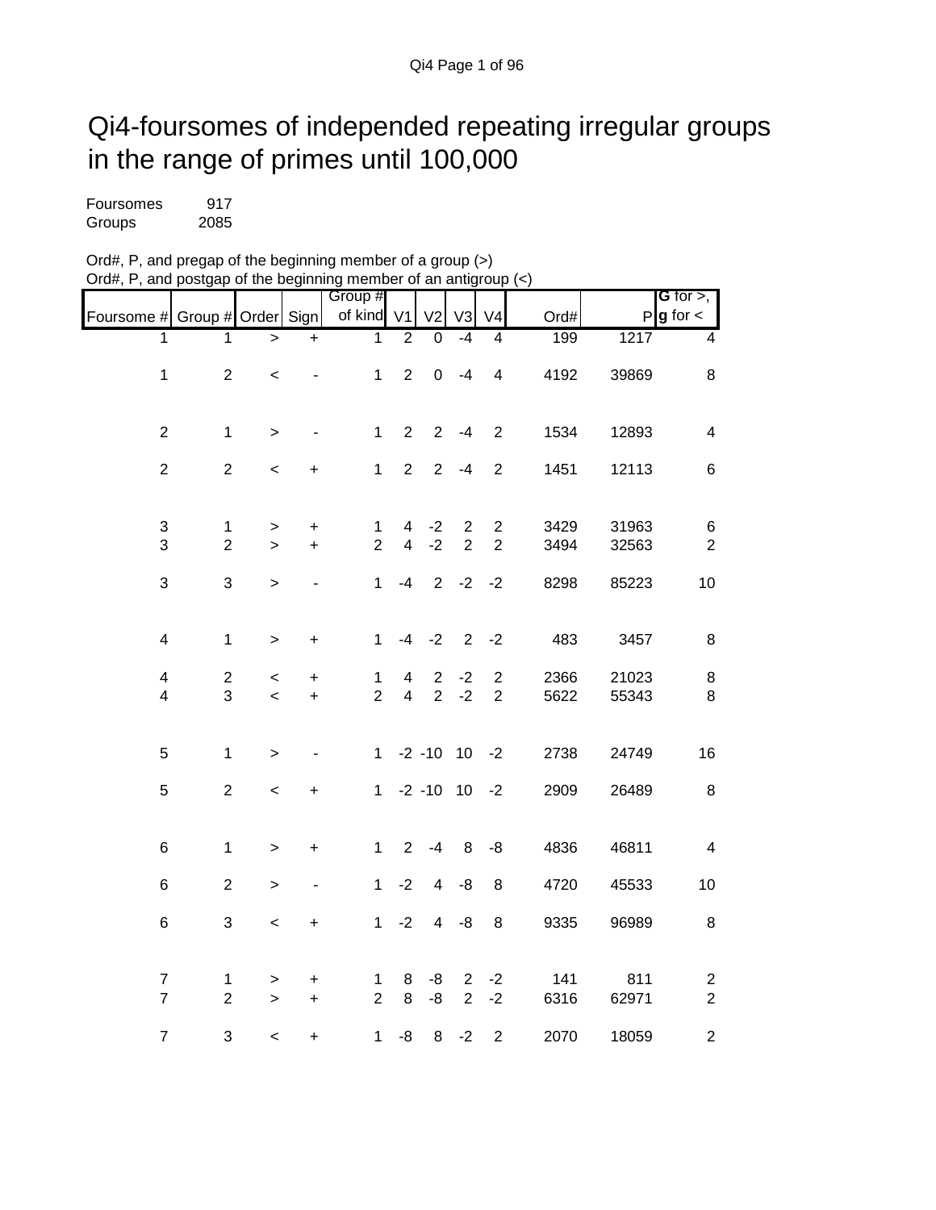## Qi4-foursomes of independed repeating irregular groups in the range of primes until 100,000

| Foursomes | 917  |
|-----------|------|
| Groups    | 2085 |

| Ord#, P, and pregap of the beginning member of a group (>)       |  |
|------------------------------------------------------------------|--|
| Ord#, P, and postgap of the beginning member of an antigroup (<) |  |

|                                |                                  |              |           |                                |                                           |                |                                  |                                  |              |                | G for $>$ ,             |
|--------------------------------|----------------------------------|--------------|-----------|--------------------------------|-------------------------------------------|----------------|----------------------------------|----------------------------------|--------------|----------------|-------------------------|
| Foursome # Group # Order Sign  |                                  |              |           | Group #<br>of kind             | V <sub>1</sub>                            | V <sub>2</sub> | V <sub>3</sub>                   | V <sub>4</sub>                   | Ord#         |                | $P g$ for $\lt$         |
| 1                              | 1                                | $\, > \,$    | $\ddot{}$ | 1                              | 2                                         | $\overline{0}$ | $-4$                             | $\overline{4}$                   | 199          | 1217           | 4                       |
| $\mathbf{1}$                   | $\overline{2}$                   | $\,<\,$      |           | $\mathbf{1}$                   | $\overline{2}$                            | $\pmb{0}$      | $-4$                             | $\overline{\mathbf{4}}$          | 4192         | 39869          | $\,8\,$                 |
|                                |                                  |              |           |                                |                                           |                |                                  |                                  |              |                |                         |
| $\overline{c}$                 | $\mathbf 1$                      | $\, > \,$    |           | $\mathbf 1$                    | $\overline{2}$                            | $\overline{2}$ | $-4$                             | $\overline{2}$                   | 1534         | 12893          | $\overline{\mathbf{4}}$ |
| $\overline{2}$                 | $\overline{2}$                   | $\,<\,$      | +         | $\mathbf{1}$                   | $\overline{2}$                            | $\overline{2}$ | $-4$                             | $\overline{2}$                   | 1451         | 12113          | $\,6$                   |
|                                |                                  |              |           |                                |                                           |                |                                  |                                  |              |                |                         |
| $\ensuremath{\mathsf{3}}$<br>3 | $\mathbf{1}$<br>$\boldsymbol{2}$ | $\, > \,$    | +         | $\mathbf{1}$<br>$\overline{2}$ | $\overline{4}$<br>$\overline{\mathbf{4}}$ | $-2$<br>$-2$   | $\overline{c}$<br>$\overline{2}$ | $\overline{2}$<br>$\overline{2}$ | 3429<br>3494 | 31963<br>32563 | $\,6$                   |
|                                |                                  | $\mathbf{r}$ | $\ddot{}$ |                                |                                           |                |                                  |                                  |              |                | $\sqrt{2}$              |
| 3                              | 3                                | $\mathbf{I}$ |           | $\mathbf{1}$                   | $-4$                                      | $\overline{2}$ | $-2$                             | $-2$                             | 8298         | 85223          | 10                      |
|                                |                                  |              |           |                                |                                           |                |                                  |                                  |              |                |                         |
| 4                              | $\mathbf 1$                      | $\, > \,$    | $\ddot{}$ | $\mathbf{1}$                   | $-4$                                      | $-2$           | 2                                | $-2$                             | 483          | 3457           | $\,8\,$                 |
| 4                              | $\overline{c}$                   | $\,<\,$      | +         | $\mathbf 1$                    | 4                                         | $\overline{2}$ | $-2$                             | $\overline{2}$                   | 2366         | 21023          | $\,8\,$                 |
| 4                              | 3                                | $\,<$        | $\ddot{}$ | $\overline{2}$                 | $\overline{4}$                            | $\overline{2}$ | $-2$                             | $\overline{2}$                   | 5622         | 55343          | $\bf 8$                 |
|                                |                                  |              |           |                                |                                           |                |                                  |                                  |              |                |                         |
| 5                              | $\mathbf 1$                      | $\,$         |           | $\mathbf 1$                    |                                           | $-2 - 10$      | 10                               | $-2$                             | 2738         | 24749          | 16                      |
| 5                              | $\boldsymbol{2}$                 | $\,<$        | +         | $\mathbf{1}$                   |                                           | $-2 - 10$      | 10                               | $-2$                             | 2909         | 26489          | $\,8\,$                 |
|                                |                                  |              |           |                                |                                           |                |                                  |                                  |              |                |                         |
| $6\phantom{1}$                 | $\mathbf 1$                      | $\,>$        | $\ddot{}$ | $\mathbf{1}$                   | $\overline{2}$                            | $-4$           | 8                                | -8                               | 4836         | 46811          | $\overline{\mathbf{4}}$ |
| 6                              | $\overline{2}$                   | $\,>$        |           | $\mathbf 1$                    | $-2$                                      | $\overline{4}$ | $-8$                             | 8                                | 4720         | 45533          | 10                      |
| 6                              | 3                                | $\,<$        | +         | $\mathbf 1$                    | $-2$                                      | $\overline{4}$ | -8                               | 8                                | 9335         | 96989          | $\,8\,$                 |
|                                |                                  |              |           |                                |                                           |                |                                  |                                  |              |                |                         |
| $\overline{7}$                 | 1                                | $\, > \,$    | +         | 1                              | 8                                         | -8             | $\overline{c}$                   | $-2$                             | 141          | 811            | $\overline{c}$          |
| $\overline{7}$                 | $\overline{2}$                   | $\mathbf{I}$ | $\ddot{}$ | $\overline{2}$                 | 8                                         | -8             | $\overline{2}$                   | $-2$                             | 6316         | 62971          | $\overline{c}$          |
| $\overline{7}$                 | 3                                | $\,<$        | +         | $\mathbf{1}$                   | -8                                        | 8              | $-2$                             | $\boldsymbol{2}$                 | 2070         | 18059          | $\overline{c}$          |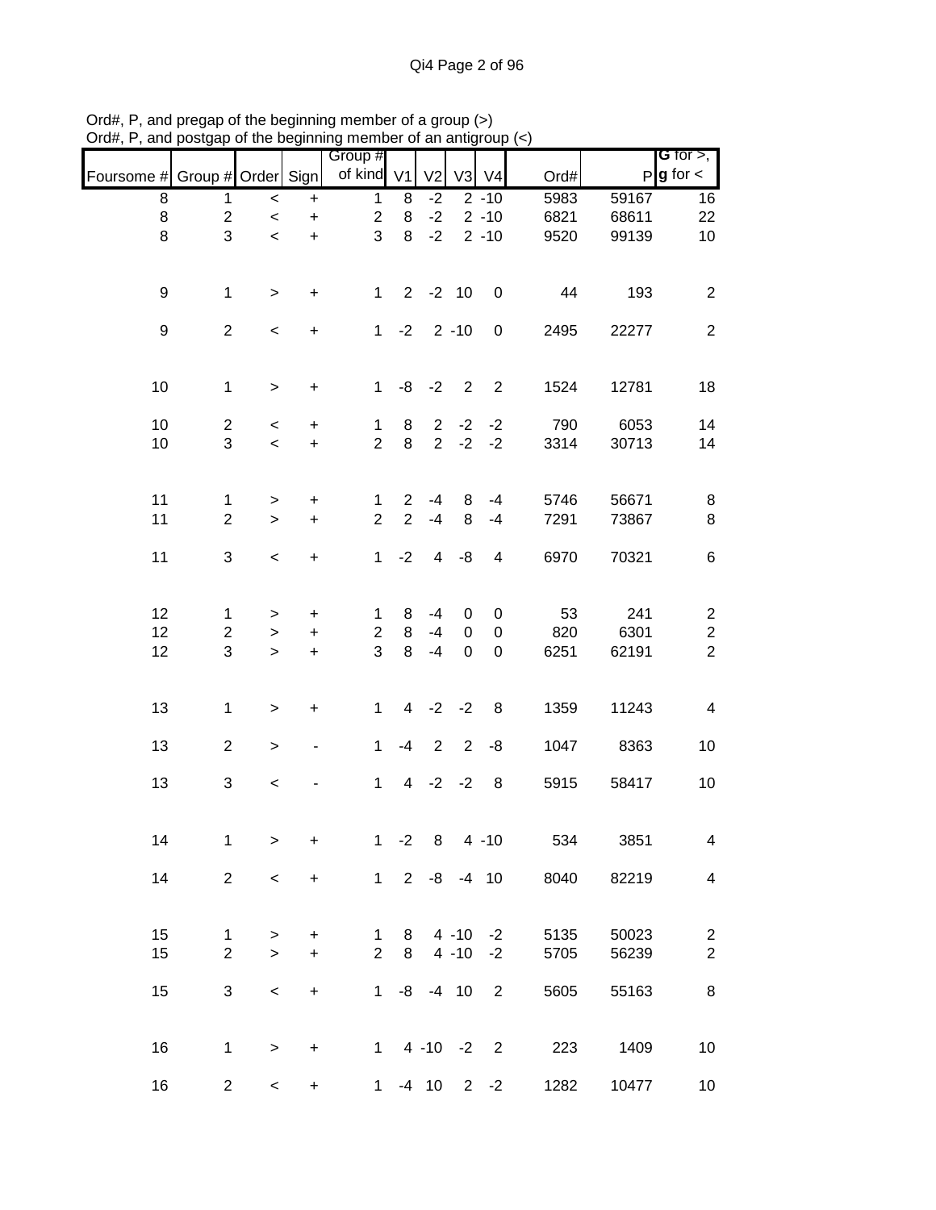|                               |                                |             |                | Group #                 |                |                |                      |                         |              |                | G for $>$ ,                     |
|-------------------------------|--------------------------------|-------------|----------------|-------------------------|----------------|----------------|----------------------|-------------------------|--------------|----------------|---------------------------------|
| Foursome # Group # Order Sign |                                |             |                | of kind V1              |                | V <sub>2</sub> | V3                   | V <sub>4</sub>          | Ord#         | P              | $g$ for $\lt$                   |
| 8                             | 1                              | $\,<\,$     | $\ddot{}$      | $\mathbf{1}$            | 8              | $-2$           |                      | $2 - 10$                | 5983         | 59167          | 16                              |
| 8                             | $\overline{2}$                 | $\,<$       | $\ddot{}$      | $\overline{c}$          | 8              | $-2$           |                      | $2 - 10$                | 6821         | 68611          | 22                              |
| 8                             | 3                              | $\prec$     | $\ddot{}$      | 3                       | 8              | $-2$           |                      | $2 - 10$                | 9520         | 99139          | 10                              |
| 9                             | $\mathbf{1}$                   | $\, > \,$   | $\ddot{}$      | $\mathbf 1$             | $\overline{2}$ | $-2$ 10        |                      | $\boldsymbol{0}$        | 44           | 193            | $\overline{2}$                  |
| $\boldsymbol{9}$              | $\overline{2}$                 | $\,<$       | $\ddot{}$      | $\mathbf{1}$            | $-2$           |                | $2 - 10$             | $\boldsymbol{0}$        | 2495         | 22277          | $\overline{2}$                  |
| 10                            | $\mathbf{1}$                   | $\geq$      | $\ddot{}$      | $\mathbf{1}$            |                | $-8 - -2$      | $\overline{2}$       | $\overline{2}$          | 1524         | 12781          | 18                              |
| 10                            | $\overline{2}$                 | $\,<$       | $\ddot{}$      | 1                       | 8              |                |                      | $2 -2 -2$               | 790          | 6053           | 14                              |
| 10                            | 3                              | $\,<$       | $\ddot{}$      | $\overline{2}$          | 8              | 2 <sup>7</sup> | $-2$                 | $-2$                    | 3314         | 30713          | 14                              |
| 11                            | $\mathbf{1}$                   | $\,$        | $\ddot{}$      | 1                       | $\overline{2}$ | $-4$           | 8                    | $-4$                    | 5746         | 56671          | 8                               |
| 11                            | $\overline{2}$                 | $\geq$      | $\ddot{}$      | $\overline{2}$          | $\overline{2}$ | $-4$           | 8                    | $-4$                    | 7291         | 73867          | 8                               |
| 11                            | 3                              | $\,<$       | $\ddot{}$      | $\mathbf 1$             | $-2$           | $\overline{4}$ | $-8$                 | $\overline{\mathbf{4}}$ | 6970         | 70321          | 6                               |
| 12                            | $\mathbf{1}$                   | >           | $\pmb{+}$      | 1                       | 8              | $-4$           | 0                    | 0                       | 53           | 241            | $\overline{c}$                  |
| 12                            | $\overline{c}$                 | $\,>$       | $\ddot{}$      | $\overline{\mathbf{c}}$ | 8              | $-4$           | $\pmb{0}$            | $\pmb{0}$               | 820          | 6301           | $\overline{c}$                  |
| 12                            | 3                              | $\geq$      | $\ddot{}$      | 3                       | 8              | $-4$           | 0                    | $\boldsymbol{0}$        | 6251         | 62191          | $\overline{2}$                  |
| 13                            | $\mathbf{1}$                   | $\geq$      | +              | $\mathbf{1}$            |                | $4 -2 -2$      |                      | 8                       | 1359         | 11243          | 4                               |
| 13                            | $\overline{2}$                 | $\,$        |                | 1                       | $-4$           | $\overline{2}$ | $\overline{2}$       | -8                      | 1047         | 8363           | 10                              |
| 13                            | 3                              | $\,<$       |                | $\mathbf{1}$            | $\overline{4}$ | $-2$           | $-2$                 | 8                       | 5915         | 58417          | 10                              |
| 14                            | $\mathbf{1}$                   | $\, > \,$   | $\ddot{}$      | 1                       | $-2$           | 8 <sup>8</sup> |                      | $4 - 10$                | 534          | 3851           | $\overline{\mathcal{A}}$        |
| 14                            | $\overline{2}$                 | $\,<$       | $\ddot{}$      |                         |                | $1 2 -8 -4 10$ |                      |                         | 8040         | 82219          | $\overline{\mathcal{A}}$        |
| 15<br>15                      | $\mathbf{1}$<br>$\overline{2}$ | ><br>$\geq$ | +<br>$\ddot{}$ | 1<br>$\overline{2}$     | 8<br>8         |                | $4 - 10$<br>$4 - 10$ | $-2$<br>$-2$            | 5135<br>5705 | 50023<br>56239 | $\mathbf 2$<br>$\boldsymbol{2}$ |
|                               |                                |             |                |                         |                |                |                      |                         |              |                |                                 |
| 15                            | 3                              | $\,<$       | $\ddot{}$      | $\mathbf{1}$            |                | $-8$ $-4$ 10   |                      | $\overline{2}$          | 5605         | 55163          | 8                               |
| 16                            | $\mathbf{1}$                   | $\,$        | $\ddot{}$      | $\mathbf 1$             |                | $4 - 10 - 2$ 2 |                      |                         | 223          | 1409           | 10                              |
| 16                            | $\overline{2}$                 | $\,<$       | $\ddot{}$      | $\mathbf 1$             |                | $-4$ 10 2 $-2$ |                      |                         | 1282         | 10477          | $10\,$                          |

Ord#, P, and pregap of the beginning member of a group (>) Ord#, P, and postgap of the beginning member of an antigroup (<)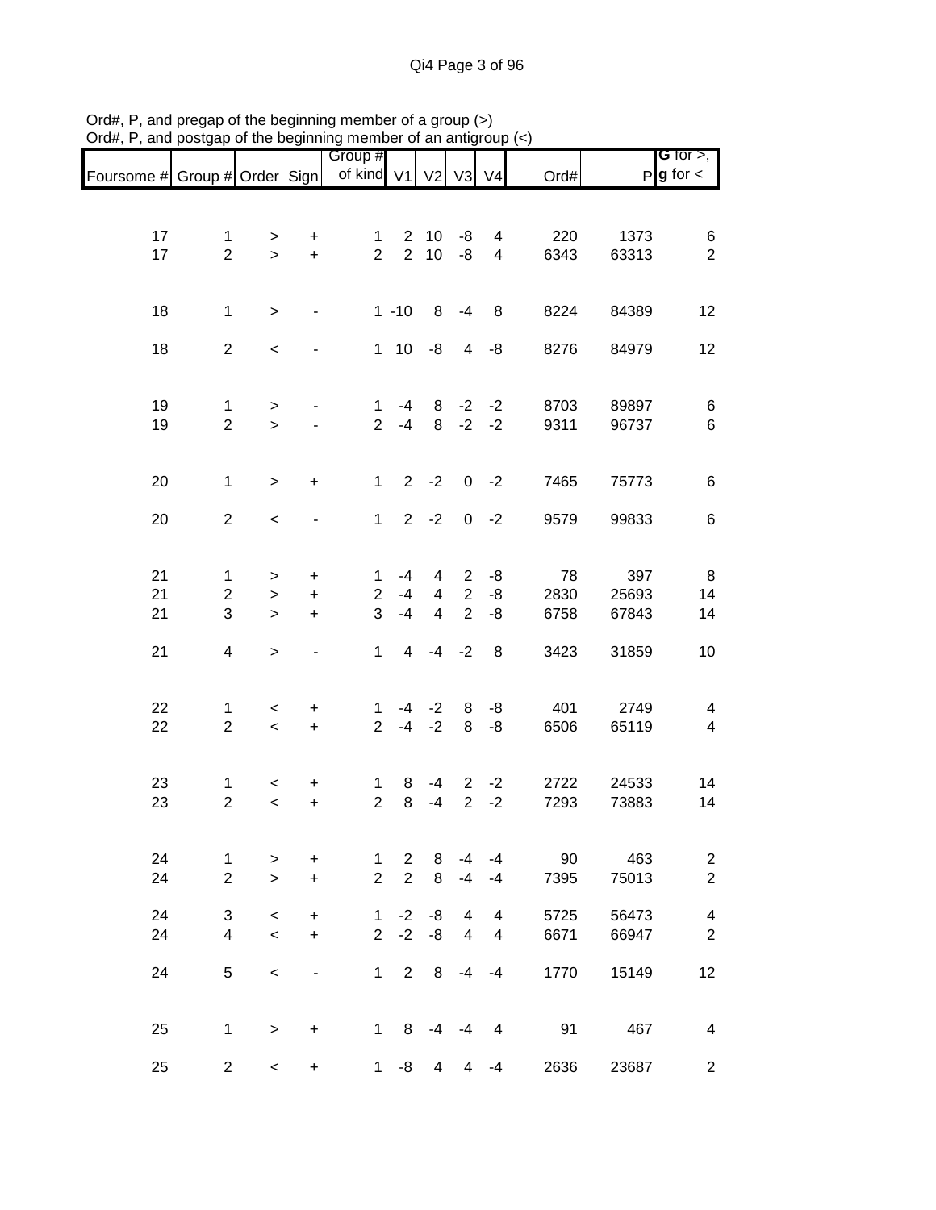|                               |                               |           |                              | Group #                        |                |                |                     |                              |             |               | G for $>$ ,                               |
|-------------------------------|-------------------------------|-----------|------------------------------|--------------------------------|----------------|----------------|---------------------|------------------------------|-------------|---------------|-------------------------------------------|
| Foursome # Group # Order Sign |                               |           |                              | of kind V1                     |                | V <sub>2</sub> | V3                  | V <sub>4</sub>               | Ord#        |               | $P$ <b>g</b> for $\lt$                    |
|                               |                               |           |                              |                                |                |                |                     |                              |             |               |                                           |
|                               |                               |           |                              |                                |                |                |                     |                              |             |               |                                           |
| 17                            | $\mathbf{1}$                  | $\, > \,$ | +                            | $\mathbf 1$                    | $2^{\circ}$    | 10             | -8                  | 4                            | 220         | 1373          | 6                                         |
| 17                            | $\overline{2}$                | $\geq$    | $\ddot{}$                    | $\overline{2}$                 | $\overline{2}$ | $10$           | -8                  | 4                            | 6343        | 63313         | $\overline{2}$                            |
|                               |                               |           |                              |                                |                |                |                     |                              |             |               |                                           |
| 18                            | $\mathbf 1$                   |           | $\qquad \qquad \blacksquare$ |                                | $1 - 10$       |                | $8 - 4$             | 8                            | 8224        | 84389         | 12                                        |
|                               |                               | $\, > \,$ |                              |                                |                |                |                     |                              |             |               |                                           |
| 18                            | $\overline{2}$                | $\,<$     |                              |                                | $1 \t10 \t -8$ |                | $\overline{4}$      | -8                           | 8276        | 84979         | 12                                        |
|                               |                               |           |                              |                                |                |                |                     |                              |             |               |                                           |
|                               |                               |           |                              |                                |                |                |                     |                              |             |               |                                           |
| 19                            | $\mathbf 1$                   | >         |                              | $\mathbf{1}$                   | -4             | 8              | $-2$                | $-2$                         | 8703        | 89897         | 6                                         |
| 19                            | $\overline{2}$                | $\geq$    |                              | $\overline{2}$                 | $-4$           | 8              | $-2$                | $-2$                         | 9311        | 96737         | $\,6$                                     |
|                               |                               |           |                              |                                |                |                |                     |                              |             |               |                                           |
|                               |                               |           |                              |                                |                |                |                     |                              |             |               |                                           |
| 20                            | $\mathbf 1$                   | $\geq$    | $\ddot{}$                    | $\mathbf{1}$                   |                | $2 -2$         |                     | $0 -2$                       | 7465        | 75773         | 6                                         |
| 20                            | $\overline{2}$                | $\,<$     | $\overline{\phantom{a}}$     | $\mathbf{1}$                   |                | $2 - 2$        |                     | $0 -2$                       | 9579        | 99833         | 6                                         |
|                               |                               |           |                              |                                |                |                |                     |                              |             |               |                                           |
|                               |                               |           |                              |                                |                |                |                     |                              |             |               |                                           |
| 21                            | $\mathbf{1}$                  | $\, > \,$ | $\ddot{}$                    | $\mathbf 1$                    | $-4$           | 4              | $\overline{2}$      | -8                           | 78          | 397           | 8                                         |
| 21                            | $\overline{c}$                | $\,>$     | $\ddot{}$                    | $\overline{2}$                 | $-4$           | $\overline{4}$ | $\overline{2}$      | -8                           | 2830        | 25693         | 14                                        |
| 21                            | 3                             | $\geq$    | $\ddot{}$                    | 3                              | $-4$           | $\overline{4}$ | $\overline{2}$      | -8                           | 6758        | 67843         | 14                                        |
|                               |                               |           |                              |                                |                |                |                     |                              |             |               |                                           |
| 21                            | $\overline{\mathbf{4}}$       | $\,$      |                              | $\mathbf{1}$                   |                | $4 -4 -2$      |                     | 8                            | 3423        | 31859         | 10                                        |
|                               |                               |           |                              |                                |                |                |                     |                              |             |               |                                           |
|                               |                               |           |                              |                                |                |                |                     |                              |             |               |                                           |
| 22<br>22                      | $\mathbf 1$<br>$\overline{2}$ | $\,<$     | +                            | 1<br>$\overline{2}$            | -4<br>$-4$     | $-2$<br>$-2$   | 8<br>8              | -8<br>-8                     | 401<br>6506 | 2749<br>65119 | $\overline{4}$<br>$\overline{4}$          |
|                               |                               | $\,<$     | $\ddot{}$                    |                                |                |                |                     |                              |             |               |                                           |
|                               |                               |           |                              |                                |                |                |                     |                              |             |               |                                           |
| 23                            | 1                             | $\,<\,$   | +                            | $\mathbf{1}$                   | 8              | $-4$           | $\mathbf{2}$        | $-2$                         | 2722        | 24533         | 14                                        |
| 23                            | $\boldsymbol{2}$              | $\,<$     | $\ddot{}$                    | $\overline{2}$                 | 8              | $-4$           | $\overline{2}$      | $-2$                         | 7293        | 73883         | 14                                        |
|                               |                               |           |                              |                                |                |                |                     |                              |             |               |                                           |
|                               |                               |           |                              |                                |                |                |                     |                              |             |               |                                           |
| 24                            | 1                             | >         | +                            | $\mathbf 1$                    | $\overline{2}$ | 8              | -4                  | -4                           | 90          | 463           | $\overline{\mathbf{c}}$                   |
| 24                            | $\overline{2}$                | $\,>$     | $\ddot{}$                    | $\overline{2}$                 | $\overline{2}$ | 8              | $-4$                | $-4$                         | 7395        | 75013         | $\overline{2}$                            |
|                               |                               |           |                              |                                |                |                |                     |                              |             |               |                                           |
| 24                            | 3<br>$\overline{\mathbf{4}}$  | $\,<\,$   | $\ddot{}$                    | $\mathbf{1}$<br>$\overline{2}$ | $-2$<br>$-2$   | -8<br>$-8$     | 4<br>$\overline{4}$ | 4<br>$\overline{\mathbf{4}}$ | 5725        | 56473         | $\overline{\mathbf{4}}$<br>$\overline{2}$ |
| 24                            |                               | $\,<$     | $+$                          |                                |                |                |                     |                              | 6671        | 66947         |                                           |
| 24                            | 5                             | $\,<$     |                              | $\mathbf{1}$                   | 2              | 8              | $-4$                | $-4$                         | 1770        | 15149         | 12                                        |
|                               |                               |           |                              |                                |                |                |                     |                              |             |               |                                           |
|                               |                               |           |                              |                                |                |                |                     |                              |             |               |                                           |
| 25                            | 1                             | $\, > \,$ | +                            | $\mathbf{1}$                   | 8              | $-4$           | $-4$                | $\overline{4}$               | 91          | 467           | $\overline{4}$                            |
|                               |                               |           |                              |                                |                |                |                     |                              |             |               |                                           |
| 25                            | $\overline{2}$                | $\,<\,$   | +                            | $\mathbf 1$                    | -8             | 4              | 4                   | $-4$                         | 2636        | 23687         | $\overline{c}$                            |

Ord#, P, and pregap of the beginning member of a group (>) Ord#, P, and postgap of the beginning member of an antigroup (<)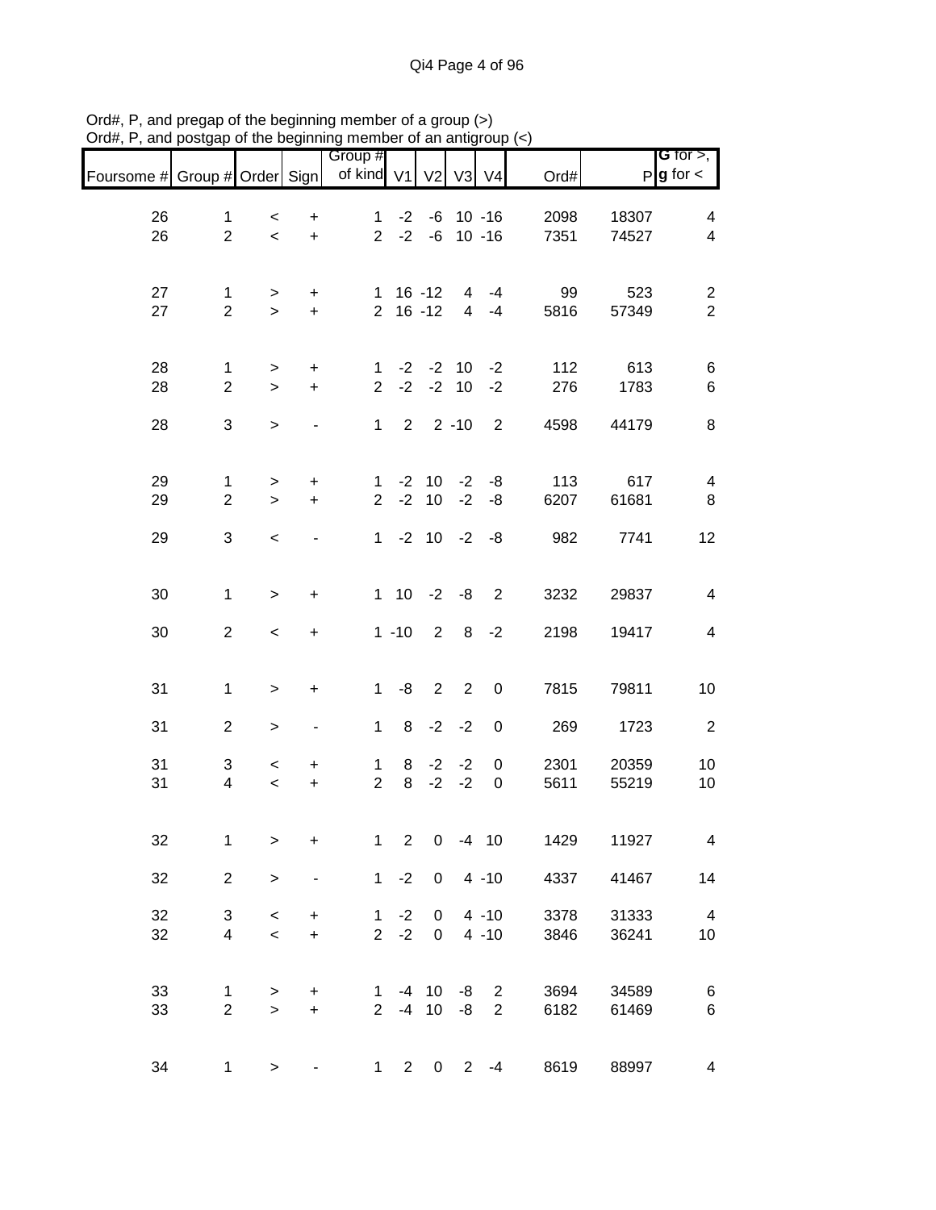| Foursome # Group # Order Sign |                                |                  |                        | Group #<br>of kind V1          |                | V <sub>2</sub>                | V <sub>3</sub>      | V <sub>4</sub>           | Ord#         |                | <b>G</b> for $>$ ,<br>$P$ <b>g</b> for $\lt$ |
|-------------------------------|--------------------------------|------------------|------------------------|--------------------------------|----------------|-------------------------------|---------------------|--------------------------|--------------|----------------|----------------------------------------------|
| 26<br>26                      | $\mathbf{1}$<br>$\overline{2}$ | $\,<\,$<br>$\,<$ | $\ddot{}$<br>$\ddot{}$ | $\mathbf{1}$<br>$\overline{2}$ | $-2$<br>$-2$   | -6<br>-6                      |                     | $10 - 16$<br>$10 - 16$   | 2098<br>7351 | 18307<br>74527 | 4<br>$\overline{\mathbf{4}}$                 |
| 27<br>27                      | $\mathbf{1}$<br>$\overline{2}$ | ><br>$\geq$      | $\ddot{}$<br>$\ddot{}$ | 1                              |                | $16 - 12$<br>$2 16 - 12$      | 4<br>$\overline{4}$ | $-4$<br>$-4$             | 99<br>5816   | 523<br>57349   | $\overline{\mathbf{c}}$<br>$\overline{2}$    |
| 28<br>28                      | 1<br>$\overline{2}$            | ><br>$\geq$      | $\ddot{}$<br>$\ddot{}$ | $\mathbf 1$<br>$\overline{2}$  | $-2$           | $-2$ $-2$ 10                  | $-2$ 10             | $-2$<br>$-2$             | 112<br>276   | 613<br>1783    | 6<br>6                                       |
| 28                            | 3                              | $\,$             |                        | $\mathbf{1}$                   | $\overline{2}$ |                               | $2 - 10$            | $\overline{2}$           | 4598         | 44179          | 8                                            |
| 29<br>29                      | 1<br>$\overline{c}$            | ><br>$\geq$      | $\ddot{}$<br>$\ddot{}$ | $\mathbf 1$<br>$\overline{2}$  |                | $-2$ 10 $-2$<br>$-2$ 10       | $-2$                | -8<br>-8                 | 113<br>6207  | 617<br>61681   | $\overline{\mathbf{4}}$<br>$\bf 8$           |
| 29                            | 3                              | $\,<\,$          |                        |                                |                | $1 - 2 10 - 2$                |                     | -8                       | 982          | 7741           | 12                                           |
| 30                            | $\mathbf 1$                    | $\,>$            | $\ddot{}$              |                                | $1\quad10$     | $-2$                          | $-8$                | 2                        | 3232         | 29837          | $\overline{\mathbf{4}}$                      |
| 30                            | $\overline{2}$                 | $\,<\,$          | $\ddot{}$              |                                | $1 - 10$       | $\overline{2}$                | 8 <sup>8</sup>      | $-2$                     | 2198         | 19417          | $\overline{\mathbf{4}}$                      |
| 31                            | $\mathbf{1}$                   | >                | $\ddot{}$              | $\mathbf 1$                    | -8             | $\overline{2}$                | $\overline{2}$      | 0                        | 7815         | 79811          | 10                                           |
| 31                            | $\overline{c}$                 | >                | -                      | $\mathbf{1}$                   | 8              |                               | $-2 -2$             | $\boldsymbol{0}$         | 269          | 1723           | $\boldsymbol{2}$                             |
| 31<br>31                      | 3<br>4                         | $\,<$<br>$\,<$   | +<br>$\ddot{}$         | $\mathbf{1}$<br>$\overline{2}$ | 8<br>8         | $-2$<br>$-2$                  | $-2$<br>$-2$        | 0<br>0                   | 2301<br>5611 | 20359<br>55219 | 10<br>10                                     |
| 32                            | $\mathbf 1$                    | >                | $\ddot{}$              | $\mathbf{1}$                   | $\overline{2}$ | $\mathbf 0$                   |                     | $-4$ 10                  | 1429         | 11927          | $\overline{4}$                               |
| 32                            | $\overline{2}$                 | $\mathbf{I}$     |                        |                                | $1 -2$         | $\overline{0}$                |                     | $4 - 10$                 | 4337         | 41467          | 14                                           |
| 32<br>32                      | 3<br>4                         | $\,<$<br>$\,<$   | $\ddot{}$<br>$\ddot{}$ | $\mathbf{1}$<br>$\overline{2}$ | $-2$<br>$-2$   | $\mathbf 0$<br>$\overline{0}$ |                     | $4 - 10$<br>$4 - 10$     | 3378<br>3846 | 31333<br>36241 | $\overline{\mathbf{4}}$<br>10                |
| 33<br>33                      | 1<br>$\overline{2}$            | ><br>$\geq$      | $\ddot{}$<br>$\ddot{}$ | $\mathbf{1}$<br>$\overline{2}$ |                | $-4$ 10<br>$-4$ 10            | -8                  | $-8$ 2<br>$\overline{2}$ | 3694<br>6182 | 34589<br>61469 | 6<br>$\,6$                                   |
| 34                            | $\mathbf{1}$                   | $\,$             |                        | $1 \quad$                      | $2^{\circ}$    |                               | $0\quad 2$          | $-4$                     | 8619         | 88997          | $\overline{\mathbf{4}}$                      |

Ord#, P, and pregap of the beginning member of a group (>) Ord#, P, and postgap of the beginning member of an antigroup (<)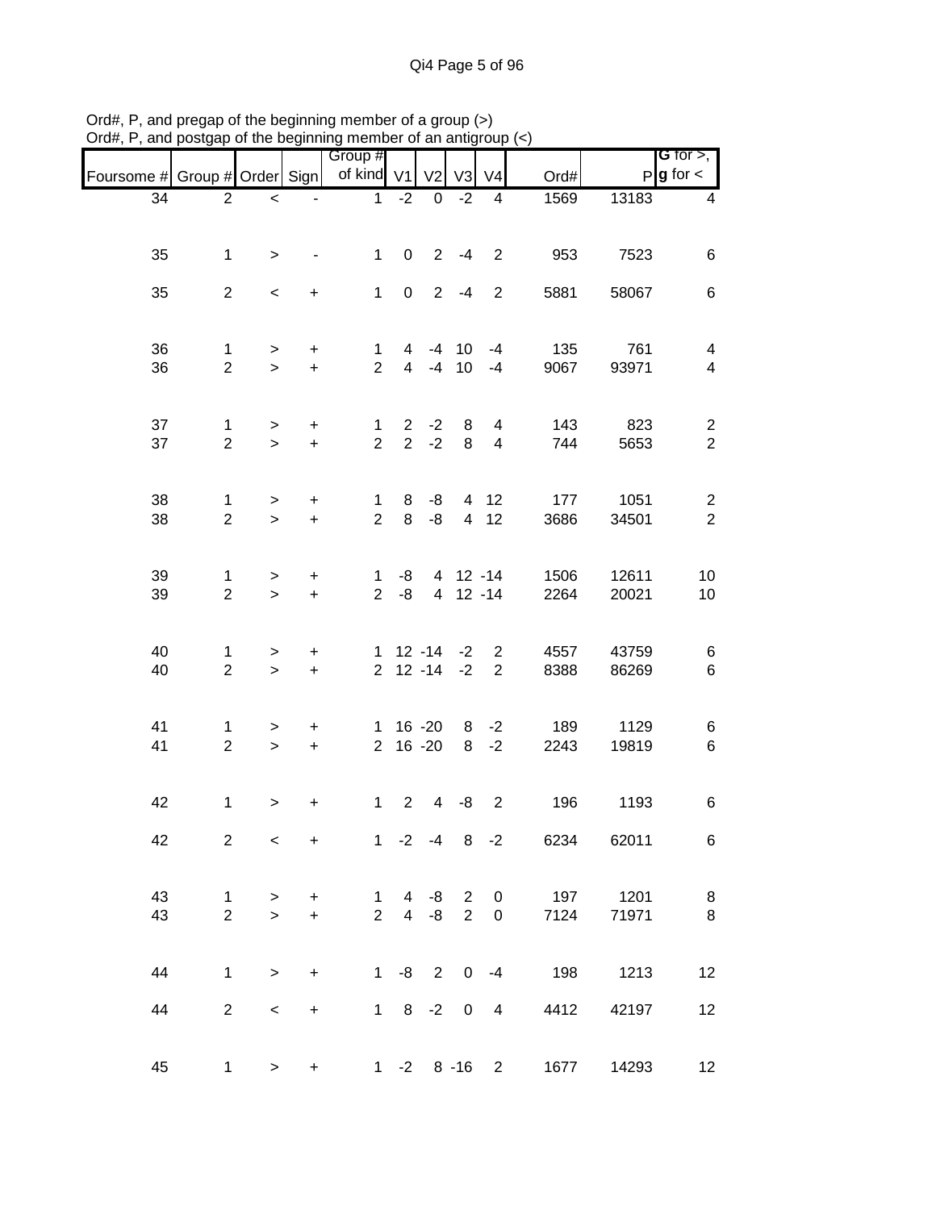|                               |                     |                  |                                               | Group #                        |                                |                        |                      |                                  |                                |                | G for $>$ ,                      |
|-------------------------------|---------------------|------------------|-----------------------------------------------|--------------------------------|--------------------------------|------------------------|----------------------|----------------------------------|--------------------------------|----------------|----------------------------------|
| Foursome # Group # Order Sign |                     |                  |                                               | of kind V1                     |                                | V <sub>2</sub>         | V <sub>3</sub>       | V <sub>4</sub>                   | Ord#                           |                | $P$ <b>g</b> for $\lt$           |
| 34                            | $\overline{2}$      | $\,<$            |                                               | $\mathbf{1}$                   | $-2$                           | $\pmb{0}$              | $-2$                 | 4                                | 1569                           | 13183          | 4                                |
|                               |                     |                  |                                               |                                |                                |                        |                      |                                  |                                |                |                                  |
| 35                            | $\mathbf 1$         | $\, >$           |                                               | $\mathbf{1}$                   | $\mathbf 0$                    |                        | $2 - 4$              | $\overline{2}$                   | 953                            | 7523           | 6                                |
| 35                            | $\overline{2}$      | $\,<\,$          | $\ddot{}$                                     | $\mathbf{1}$                   | $\mathbf 0$                    |                        | $2 - 4$              | $\overline{2}$                   | 5881                           | 58067          | 6                                |
| 36<br>36                      | 1<br>$\overline{2}$ | ><br>$\geq$      | $\ddot{}$<br>$\ddot{}$                        | 1<br>$\overline{2}$            | 4<br>$\overline{4}$            | -4<br>$-4$             | 10<br>10             | $-4$<br>$-4$                     | 135<br>9067                    | 761<br>93971   | 4<br>$\overline{\mathbf{4}}$     |
|                               |                     |                  |                                               |                                |                                |                        |                      |                                  |                                |                |                                  |
| 37<br>37                      | 1<br>$\overline{2}$ | $\, >$<br>$\, >$ | $\ddot{}$<br>$\ddot{}$                        | $\mathbf 1$<br>$\overline{2}$  | $\mathbf{2}$<br>$\overline{2}$ | $-2$<br>$-2$           | 8<br>8               | 4<br>$\overline{\mathbf{4}}$     | 143<br>744                     | 823<br>5653    | $\overline{c}$<br>$\overline{2}$ |
|                               |                     |                  |                                               |                                |                                |                        |                      |                                  |                                |                |                                  |
| 38<br>38                      | 1<br>$\overline{c}$ | $\geq$<br>$\,>$  | $\boldsymbol{+}$<br>$\ddot{}$                 | $\mathbf{1}$<br>$\overline{2}$ | 8<br>8                         | -8<br>$-8$             | $\overline{4}$       | 4 12<br>12                       | 177<br>3686                    | 1051<br>34501  | $\overline{c}$<br>$\overline{2}$ |
|                               |                     |                  |                                               |                                |                                |                        |                      |                                  |                                |                |                                  |
| 39<br>39                      | 1<br>$\overline{2}$ | ><br>$\,$        | $\begin{array}{c} + \end{array}$<br>$\ddot{}$ | $\mathbf 1$<br>$\overline{2}$  | -8<br>-8                       |                        | 4 12 -14<br>4 12 -14 |                                  | 1506<br>2264                   | 12611<br>20021 | 10<br>10                         |
|                               |                     |                  |                                               |                                |                                |                        |                      |                                  |                                |                |                                  |
| 40<br>40                      | 1<br>$\overline{2}$ | ><br>$\,$        | $\ddot{}$<br>$\ddot{}$                        | 1<br>$\overline{2}$            | $12 - 14$                      | $12 - 14$              | $-2$<br>$-2$         | $\overline{2}$<br>$\overline{2}$ | 4557<br>8388                   | 43759<br>86269 | 6<br>$\,6$                       |
|                               |                     |                  |                                               |                                |                                |                        |                      |                                  |                                |                |                                  |
| 41<br>41                      | 1<br>$\overline{2}$ | $\, >$<br>$\,>$  | +<br>$\boldsymbol{+}$                         | $\mathbf 1$<br>$\overline{2}$  |                                | $16 - 20$<br>$16 - 20$ | 8<br>8               | $-2$<br>$-2$                     | 189<br>2243                    | 1129<br>19819  | 6<br>6                           |
|                               |                     |                  |                                               |                                |                                |                        |                      |                                  |                                |                |                                  |
| 42                            | 1                   | $\, > \,$        | $\ddot{}$                                     | $\mathbf{1}$                   | $\overline{2}$                 | 4                      | -8                   | $\overline{2}$                   | 196                            | 1193           | 6                                |
| 42                            | $\overline{2}$      | $\,<$            | $\ddot{}$                                     |                                |                                |                        |                      |                                  | 1 -2 -4 8 -2 6234 62011        |                | 6                                |
| 43                            | $\mathbf{1}$        | $\geq$           | $\ddot{}$                                     | $\mathbf{1}$                   |                                | $4 -8$ 2 0             |                      |                                  |                                | 197 1201       | 8                                |
| 43                            | $\overline{2}$      | $\geq$           | $\ddot{}$                                     | $2^{\circ}$                    |                                | $4 -8 2$               |                      | $\mathbf 0$                      | 7124                           | 71971          | 8                                |
| 44                            | $\mathbf 1$         | $\geq$           | $\ddot{}$                                     |                                |                                |                        |                      |                                  | 1 -8 2 0 -4 198 1213           |                | 12                               |
| 44                            | $\overline{2}$      | $\,<\,$          | $\ddot{}$                                     |                                | $1 \t 8 \t -2 \t 0 \t 4$       |                        |                      |                                  | 4412                           | 42197          | 12                               |
| 45                            | $\mathbf{1}$        | $\geq$           | $\ddot{}$                                     |                                | $1 - 2 8 - 16$                 |                        |                      |                                  | 1677<br>$2 \quad \blacksquare$ | 14293          | 12                               |
|                               |                     |                  |                                               |                                |                                |                        |                      |                                  |                                |                |                                  |

Ord#, P, and pregap of the beginning member of a group (>) Ord#, P, and postgap of the beginning member of an antigroup (<)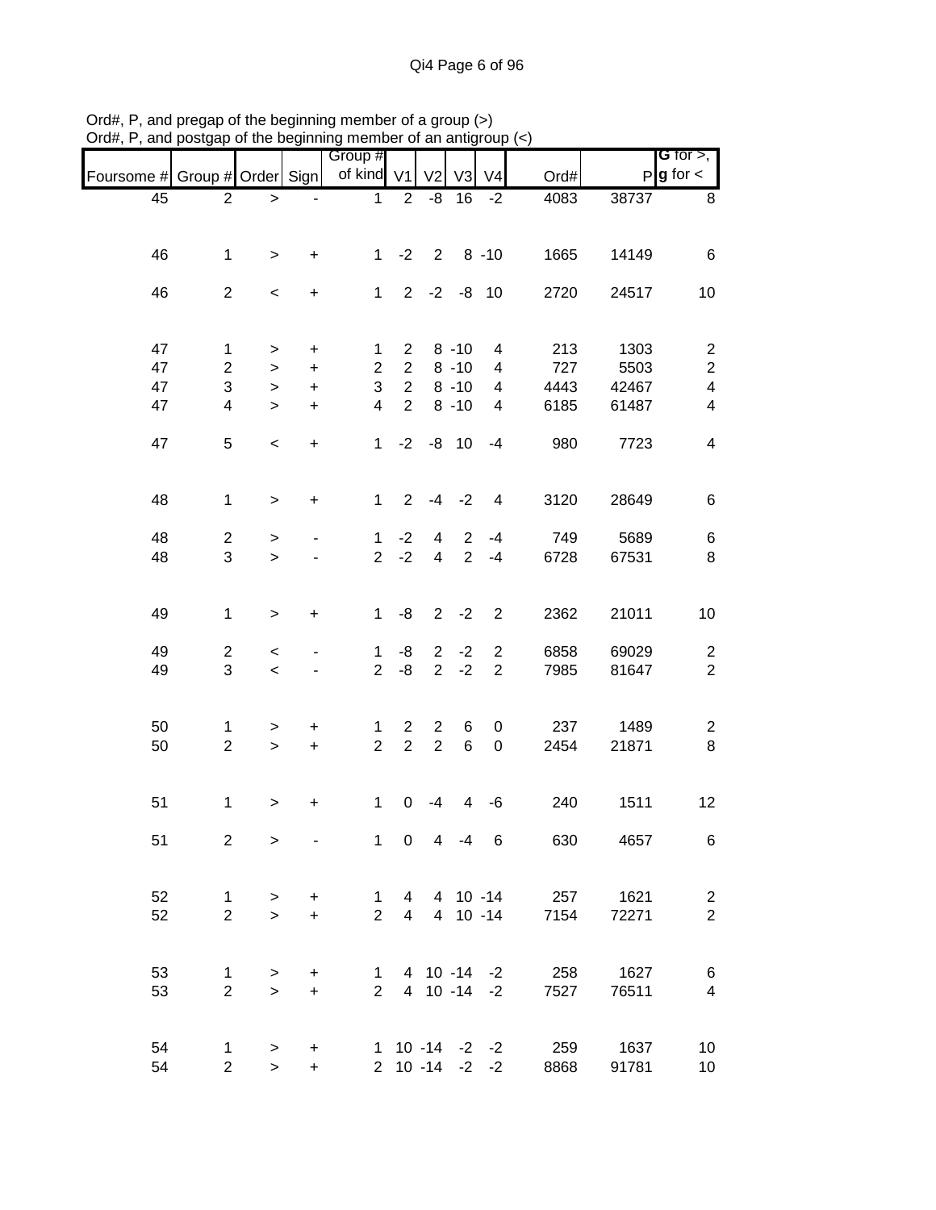|                               |                         |           |           | Group #        |                |                   |                |                     |      |       | <b>G</b> for $>$ ,       |
|-------------------------------|-------------------------|-----------|-----------|----------------|----------------|-------------------|----------------|---------------------|------|-------|--------------------------|
| Foursome # Group # Order Sign |                         |           |           | of kind V1     |                | V <sub>2</sub>    | V <sub>3</sub> | V <sub>4</sub>      | Ord# |       | $P$ <b>g</b> for $\lt$   |
| 45                            | $\overline{2}$          | >         |           | 1              | $\overline{2}$ | -8                | 16             | $-2$                | 4083 | 38737 | 8                        |
|                               |                         |           |           |                |                |                   |                |                     |      |       |                          |
| 46                            | $\mathbf 1$             | >         | +         | $\mathbf 1$    | $-2$           | $\overline{2}$    |                | $8 - 10$            | 1665 | 14149 | 6                        |
| 46                            | $\overline{2}$          | $\,<\,$   | $\ddot{}$ | $\mathbf{1}$   |                | $2 -2 -8 10$      |                |                     | 2720 | 24517 | 10                       |
|                               |                         |           |           |                |                |                   |                |                     |      |       |                          |
| 47                            | 1                       | >         | +         | 1              | 2              |                   | $8 - 10$       | 4                   | 213  | 1303  | $\overline{2}$           |
| 47                            | $\overline{c}$          | $\geq$    | +         | $\overline{2}$ | $\overline{2}$ |                   | $8 - 10$       | 4                   | 727  | 5503  | $\boldsymbol{2}$         |
| 47                            | 3                       | $\, > \,$ | $\ddot{}$ | 3              | $\overline{2}$ |                   | $8 - 10$       | 4                   | 4443 | 42467 | $\overline{\mathbf{4}}$  |
| 47                            | $\overline{\mathbf{4}}$ | $\, > \,$ | $\ddot{}$ | 4              | $\overline{2}$ |                   | $8 - 10$       | 4                   | 6185 | 61487 | 4                        |
| 47                            | 5                       | $\,<$     | $\ddot{}$ | $\mathbf 1$    | $-2$           |                   | $-8$ 10        | $-4$                | 980  | 7723  | $\overline{\mathcal{A}}$ |
| 48                            | $\mathbf 1$             | $\, > \,$ | $\ddot{}$ | $\mathbf{1}$   | $\overline{2}$ | $-4$              | $-2$           | $\overline{4}$      | 3120 | 28649 | 6                        |
|                               |                         |           |           |                |                |                   |                |                     |      |       |                          |
| 48                            | $\overline{c}$          | >         |           | 1              | $-2$           | $\overline{4}$    | 2              | $-4$                | 749  | 5689  | 6                        |
| 48                            | 3                       | $\geq$    |           | $\overline{2}$ | $-2$           | $\overline{4}$    | 2              | $-4$                | 6728 | 67531 | 8                        |
| 49                            | $\mathbf 1$             | >         | +         | 1              | -8             | $\overline{2}$    | $-2$           | $\overline{2}$      | 2362 | 21011 | 10                       |
|                               |                         |           |           |                |                |                   |                |                     |      |       |                          |
| 49                            | $\overline{c}$          | $\,<$     |           | 1              | -8             | $\overline{2}$    | $-2$           | $\overline{2}$      | 6858 | 69029 | $\overline{c}$           |
| 49                            | 3                       | $\,<\,$   |           | $\overline{2}$ | -8             | 2 <sup>1</sup>    | $-2$           | $\sqrt{2}$          | 7985 | 81647 | $\boldsymbol{2}$         |
| 50                            | 1                       | >         | +         | 1              | $\overline{2}$ | $\overline{2}$    | 6              | 0                   | 237  | 1489  | $\overline{\mathbf{c}}$  |
| 50                            | $\boldsymbol{2}$        | $\geq$    | $\ddot{}$ | $\overline{2}$ | $\overline{2}$ | $\overline{2}$    | $\,6$          | $\boldsymbol{0}$    | 2454 | 21871 | $\,8\,$                  |
| 51                            | $\mathbf 1$             | >         | $\ddot{}$ | 1              | 0              | $-4$              | 4              | -6                  | 240  | 1511  | 12                       |
|                               |                         |           |           |                |                |                   |                |                     |      |       |                          |
| 51                            | $\overline{2}$          | $\geq$    |           |                | $1 \quad 0$    |                   | $4 -4 6$       |                     | 630  | 4657  | 6                        |
| 52                            | $\mathbf{1}$            | $\geq$    | $\ddot{}$ | $\mathbf{1}$   |                |                   |                | 4 4 10 -14          | 257  | 1621  | $\overline{2}$           |
| 52                            | $\overline{2}$          | $\geq$    | $\ddot{}$ | $\overline{2}$ |                |                   |                | 4 4 10 -14          | 7154 | 72271 | $\overline{2}$           |
|                               |                         |           |           |                |                |                   |                |                     |      |       |                          |
| 53                            | 1                       | >         | $\ddot{}$ | $\mathbf{1}$   |                |                   |                | 4 10 -14 -2         | 258  | 1627  | $\,6$                    |
| 53                            | $\overline{2}$          | $\geq$    | $\ddot{}$ | $2^{\circ}$    |                |                   |                | 4 10 -14 -2         | 7527 | 76511 | $\overline{\mathbf{4}}$  |
| 54                            | $\mathbf 1$             | $\, > \,$ | +         |                |                |                   |                | $1 10 - 14 - 2 - 2$ | 259  | 1637  | 10                       |
| 54                            | $\overline{c}$          | $\geq$    | $\ddot{}$ |                |                | $2 \t10 - 14 - 2$ |                | $-2$                | 8868 | 91781 | 10                       |

Ord#, P, and pregap of the beginning member of a group (>) Ord#, P, and postgap of the beginning member of an antigroup (<)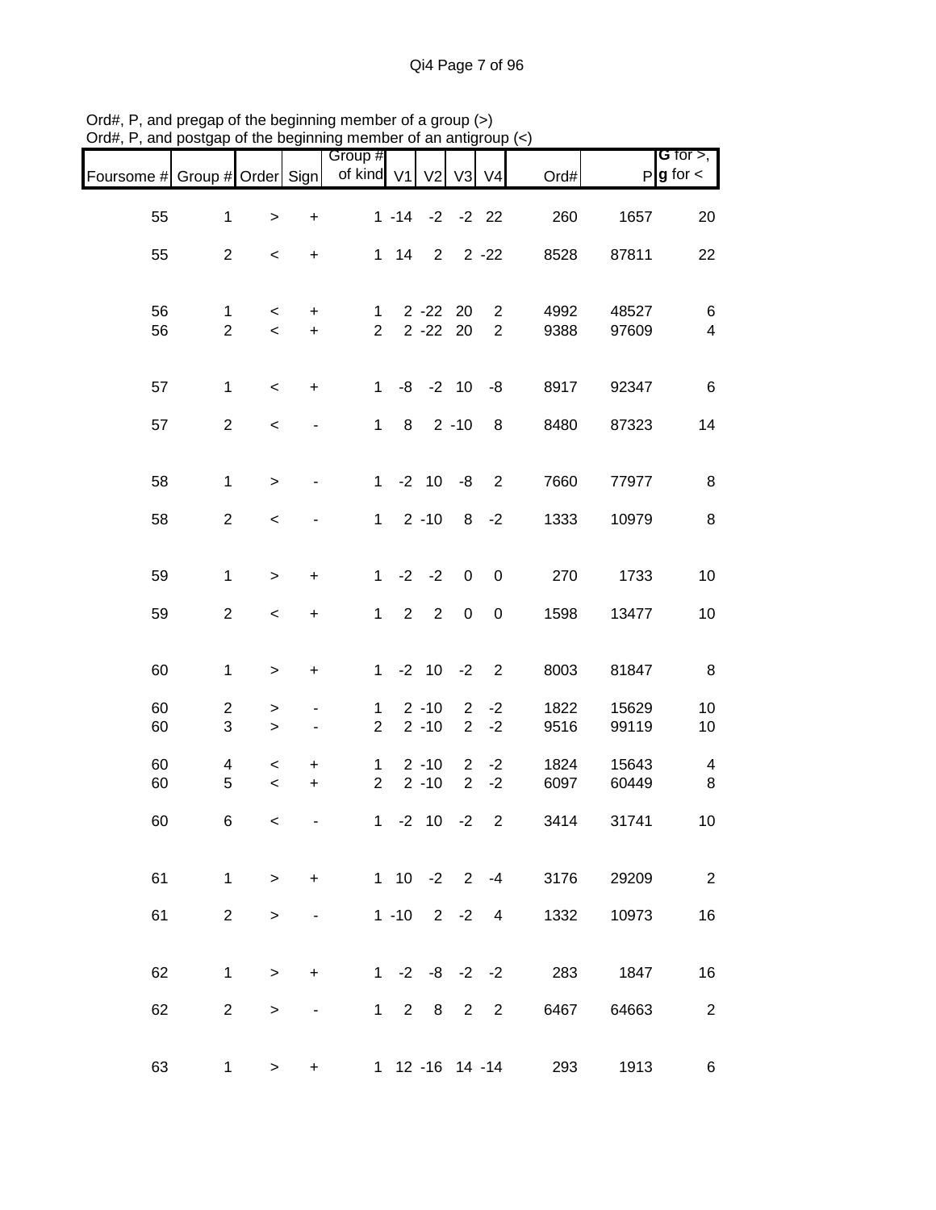|                               |                     |                                  |                              | Group #                        |                |                      |                                  |                  |                                |                | G for $>$ ,              |
|-------------------------------|---------------------|----------------------------------|------------------------------|--------------------------------|----------------|----------------------|----------------------------------|------------------|--------------------------------|----------------|--------------------------|
| Foursome # Group # Order Sign |                     |                                  |                              | of kind V1                     |                | V <sub>2</sub>       | V3                               | V <sub>4</sub>   | Ord#                           |                | $P$ <b>g</b> for $\lt$   |
| 55                            | $\mathbf{1}$        | $\,>$                            | $\ddot{}$                    |                                | $1 - 14$       |                      | $-2$ $-2$ 22                     |                  | 260                            | 1657           | 20                       |
| 55                            | $\overline{2}$      | $\,<$                            | +                            |                                | $1 \quad 14$   | $\overline{2}$       |                                  | $2 - 22$         | 8528                           | 87811          | 22                       |
| 56                            | 1                   | $\,<$                            | +                            | $\mathbf{1}$                   |                | 2 - 22 20            |                                  | $\overline{2}$   | 4992                           | 48527          | 6                        |
| 56                            | $\overline{2}$      | $\,<$                            | $\ddot{}$                    | $\overline{2}$                 |                | $2 - 22$             | 20                               | $\overline{2}$   | 9388                           | 97609          | $\overline{\mathbf{4}}$  |
| 57                            | $\mathbf{1}$        | $\,<\,$                          | $\ddot{}$                    | $\mathbf 1$                    |                | $-8$ $-2$ 10         |                                  | -8               | 8917                           | 92347          | $\,6$                    |
| 57                            | $\overline{2}$      | $\,<$                            | $\qquad \qquad \blacksquare$ | $\mathbf{1}$                   | 8              |                      | $2 - 10$                         | 8                | 8480                           | 87323          | 14                       |
| 58                            | $\mathbf 1$         | $\, >$                           | $\blacksquare$               | $1 -$                          |                | $-2$ 10              | -8                               | $\overline{2}$   | 7660                           | 77977          | 8                        |
| 58                            | $\overline{2}$      | $\,<$                            |                              | $\mathbf{1}$                   |                | $2 - 10$             | 8                                | $-2$             | 1333                           | 10979          | 8                        |
| 59                            | $\mathbf{1}$        | $\,$                             | $\ddot{}$                    | $\mathbf{1}$                   | $-2$           | $-2$                 | $\pmb{0}$                        | $\boldsymbol{0}$ | 270                            | 1733           | 10                       |
| 59                            | $\overline{2}$      | $\,<$                            | $\ddot{}$                    | $\mathbf{1}$                   | $\overline{2}$ | $\overline{2}$       | $\pmb{0}$                        | $\pmb{0}$        | 1598                           | 13477          | 10                       |
| 60                            | 1                   | $\, > \,$                        | +                            | $\mathbf{1}$                   |                | $-2$ 10 $-2$         |                                  | $\overline{2}$   | 8003                           | 81847          | 8                        |
| 60<br>60                      | $\overline{c}$<br>3 | ><br>$\, > \,$                   | -                            | $\mathbf{1}$<br>$\overline{2}$ |                | $2 - 10$<br>$2 - 10$ | $\overline{2}$<br>$\overline{2}$ | $-2$<br>$-2$     | 1822<br>9516                   | 15629<br>99119 | 10<br>10                 |
| 60                            | 4                   | $\,<$                            | +                            | 1                              |                | $2 - 10$             | $\overline{2}$                   | $-2$             | 1824                           | 15643          | $\overline{\mathbf{4}}$  |
| 60                            | 5                   | $\,<$                            | $\ddot{}$                    | $\overline{2}$                 |                | $2 - 10$             | $\overline{2}$                   | $-2$             | 6097                           | 60449          | 8                        |
| 60                            | 6                   | $\,<$                            | -                            | $\mathbf{1}$                   |                | $-2$ 10              | $-2$                             | $\overline{2}$   | 3414                           | 31741          | 10                       |
| 61                            |                     | $1 \quad \blacksquare$<br>$\geq$ | $+$                          |                                |                |                      |                                  |                  | $1 \t10 \t-2 \t2 \t-4$<br>3176 | 29209          | $\overline{\phantom{a}}$ |
| 61                            | 2 <sup>1</sup>      | $\geq$                           |                              |                                |                | $1 - 10$ 2 $-2$ 4    |                                  |                  | 1332                           | 10973          | 16                       |
| 62                            | $\mathbf{1}$        | $\geq$                           | $\ddot{}$                    |                                |                |                      |                                  |                  | 1 -2 -8 -2 -2 283 1847         |                | 16                       |
| 62                            | $\overline{2}$      | >                                |                              |                                |                | 1 2 8 2 2            |                                  |                  | 6467                           | 64663          | $\mathbf{2}$             |
| 63                            | 1.                  | >                                | $\ddot{}$                    |                                |                |                      |                                  |                  | 1 12 -16 14 -14<br>293         | 1913           | 6                        |

Ord#, P, and pregap of the beginning member of a group (>) Ord#, P, and postgap of the beginning member of an antigroup (<)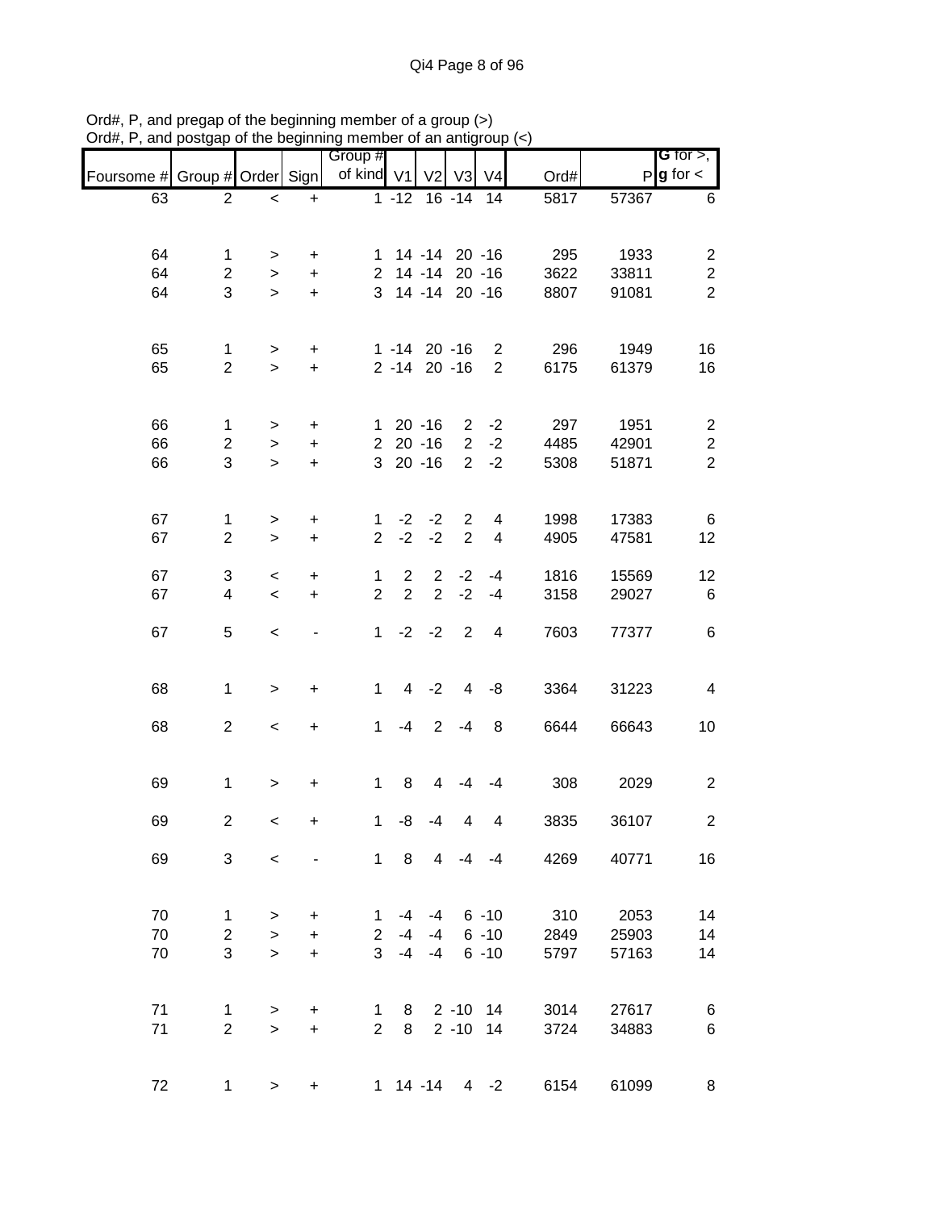|            |                         |                     |                                  | Group #        |                    |                   |                |                         |      |       | G for $>$ ,             |
|------------|-------------------------|---------------------|----------------------------------|----------------|--------------------|-------------------|----------------|-------------------------|------|-------|-------------------------|
| Foursome # | Group # Order Sign      |                     |                                  | of kind V1     |                    | V <sub>2</sub>    | V3             | V <sub>4</sub>          | Ord# |       | $P$ <b>g</b> for $\lt$  |
| 63         | $\overline{2}$          | $\,<$               | $\ddot{}$                        |                | $\overline{1}$ -12 |                   | $16 - 14$      | 14                      | 5817 | 57367 | 6                       |
|            |                         |                     |                                  |                |                    |                   |                |                         |      |       |                         |
| 64         | $\mathbf{1}$            | >                   | $\ddot{}$                        | 1.             |                    |                   | 14 -14 20 -16  |                         | 295  | 1933  | $\overline{c}$          |
| 64         | $\overline{2}$          | $\, > \,$           | $\ddot{}$                        | $\overline{2}$ |                    |                   | 14 -14 20 -16  |                         | 3622 | 33811 | $\boldsymbol{2}$        |
| 64         | 3                       | $\geq$              | $\ddot{}$                        | 3              |                    |                   | 14 -14 20 -16  |                         | 8807 | 91081 | $\overline{2}$          |
|            |                         |                     |                                  |                |                    |                   |                |                         |      |       |                         |
| 65         | $\mathbf{1}$            | $\,$                | $\begin{array}{c} + \end{array}$ |                |                    | $1 - 14$ 20 $-16$ |                | $\overline{c}$          | 296  | 1949  | 16                      |
| 65         | $\overline{2}$          | $\,$                | $\pm$                            |                |                    | 2 -14 20 -16      |                | $\overline{2}$          | 6175 | 61379 | 16                      |
|            |                         |                     |                                  |                |                    |                   |                |                         |      |       |                         |
| 66         | $\mathbf{1}$            | $\, > \,$           | $\ddot{}$                        |                |                    | $120 - 16$        | $2^{\circ}$    | $-2$                    | 297  | 1951  | $\overline{c}$          |
| 66         | $\overline{2}$          | $\,>$               | $\ddot{}$                        |                |                    | $220 - 16$        | 2 <sup>1</sup> | $-2$                    | 4485 | 42901 | $\overline{c}$          |
| 66         | 3                       | $\geq$              | $\ddot{}$                        |                |                    | $320 - 16$        | $2^{\circ}$    | $-2$                    | 5308 | 51871 | $\overline{2}$          |
|            |                         |                     |                                  |                |                    |                   |                |                         |      |       |                         |
| 67         | $\mathbf{1}$            | >                   | $\ddot{}$                        | 1              | $-2$               | $-2$              | $\overline{2}$ | 4                       | 1998 | 17383 | 6                       |
| 67         | $\overline{2}$          | $\geq$              | $\ddot{}$                        | $\overline{2}$ | $-2$               | $-2$              | $\overline{2}$ | $\overline{\mathbf{4}}$ | 4905 | 47581 | 12                      |
|            |                         |                     |                                  |                |                    |                   |                |                         |      |       |                         |
| 67         | 3                       | $\,<$               | $\ddot{}$                        | 1              | $\overline{2}$     | 2                 | $-2$           | $-4$                    | 1816 | 15569 | 12                      |
| 67         | 4                       | $\,<$               | $\ddot{}$                        | $\overline{2}$ | $\overline{2}$     | $\overline{2}$    | $-2$           | $-4$                    | 3158 | 29027 | 6                       |
| 67         | 5                       | $\,<$               |                                  | $\mathbf{1}$   |                    | $-2 -2$           | 2              | $\overline{4}$          | 7603 | 77377 | $\,6$                   |
|            |                         |                     |                                  |                |                    |                   |                |                         |      |       |                         |
| 68         | $\mathbf{1}$            | $\,$                | $\begin{array}{c} + \end{array}$ | 1              |                    | $4 -2$            | $\overline{4}$ | -8                      | 3364 | 31223 | 4                       |
|            |                         |                     |                                  |                |                    |                   |                |                         |      |       |                         |
| 68         | $\overline{2}$          | $\,<$               | $\ddot{}$                        | 1              | $-4$               | 2                 | $-4$           | $\bf 8$                 | 6644 | 66643 | 10                      |
|            |                         |                     |                                  |                |                    |                   |                |                         |      |       |                         |
| 69         | $\mathbf{1}$            | $\,$                | $\ddot{}$                        | $\mathbf 1$    | 8                  | 4                 | -4             | -4                      | 308  | 2029  | $\overline{c}$          |
| 69         | $\overline{\mathbf{c}}$ | $\,<$               | +                                | $\mathbf{1}$   | -8                 | -4                | 4              | 4                       | 3835 | 36107 | $\overline{\mathbf{c}}$ |
| 69         | 3                       | $\,<\,$             |                                  |                | $1 \quad 8$        | $\overline{4}$    |                | $-4 - 4$                | 4269 | 40771 | 16                      |
|            |                         |                     |                                  |                |                    |                   |                |                         |      |       |                         |
| 70         | $\mathbf{1}$            | >                   | +                                | 1              | -4                 | -4                |                | $6 - 10$                | 310  | 2053  | 14                      |
| 70         | $\overline{2}$          | $\, > \,$           | $\ddot{}$                        | $\overline{2}$ | -4                 | -4                |                | $6 - 10$                | 2849 | 25903 | 14                      |
| 70         | 3                       | $\geq$              | $\ddot{}$                        | 3              | $-4$               | -4                |                | $6 - 10$                | 5797 | 57163 | 14                      |
|            |                         |                     |                                  |                |                    |                   |                |                         |      |       |                         |
| 71         | $\mathbf{1}$            |                     | +                                | 1.             | 8                  |                   | $2 - 10$ 14    |                         | 3014 | 27617 | 6                       |
| 71         | $\overline{2}$          | $\, > \,$<br>$\geq$ | $\pm$                            | $\overline{2}$ | 8                  |                   | $2 - 10$       | 14                      | 3724 | 34883 | 6                       |
|            |                         |                     |                                  |                |                    |                   |                |                         |      |       |                         |
|            |                         |                     |                                  |                |                    |                   |                |                         |      |       |                         |
| 72         | $\mathbf 1$             | $\geq$              | +                                |                |                    | 1 14 -14          |                | $4 -2$                  | 6154 | 61099 | 8                       |

Ord#, P, and pregap of the beginning member of a group (>) Ord#, P, and postgap of the beginning member of an antigroup (<)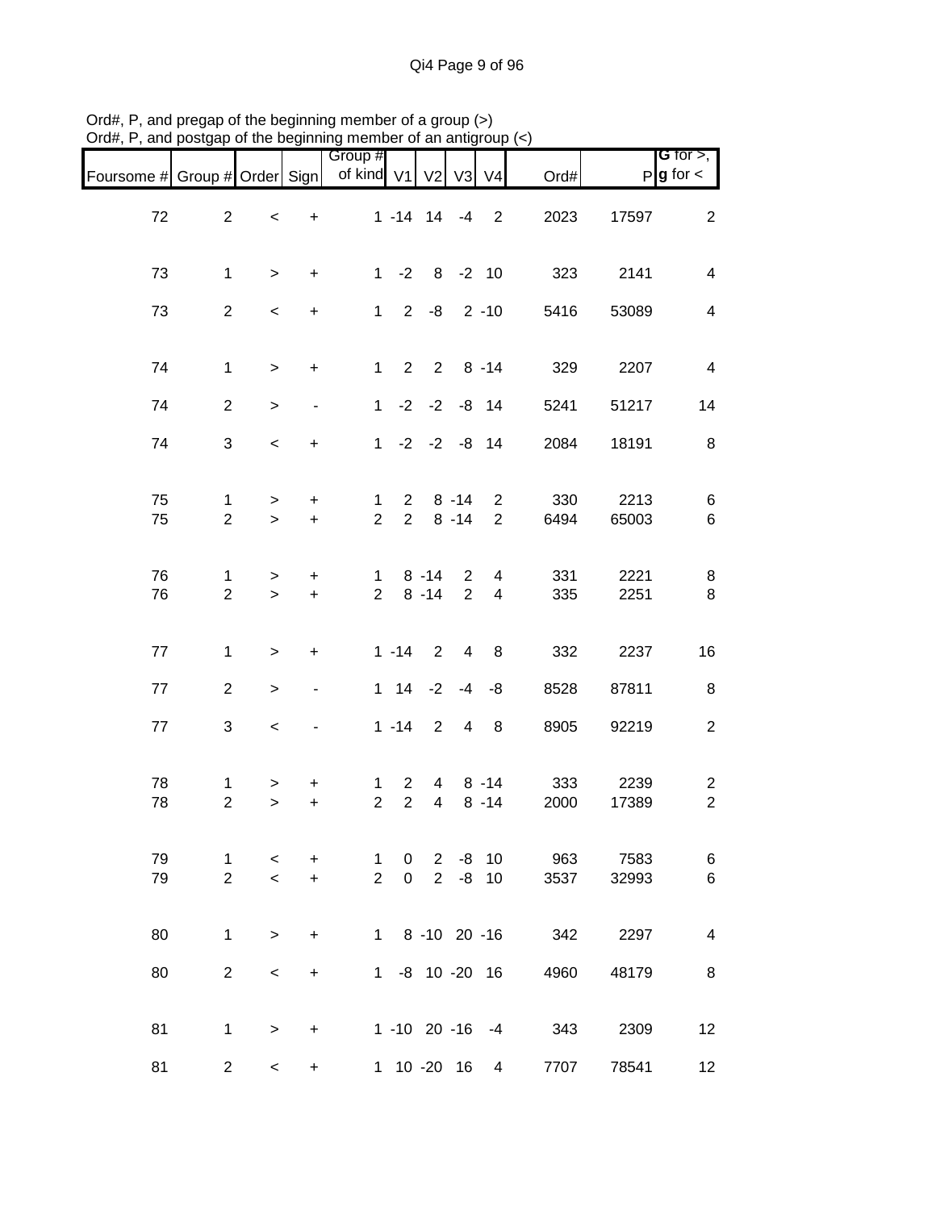| Foursome # Group # Order Sign |                                |                                                      |                          | Group #<br>of kind V1 V2       |                                  |                                  | V3                   | V <sub>4</sub>                   | Ord#        |               | G for $>$ ,<br>$P$ <b>g</b> for $\lt$     |
|-------------------------------|--------------------------------|------------------------------------------------------|--------------------------|--------------------------------|----------------------------------|----------------------------------|----------------------|----------------------------------|-------------|---------------|-------------------------------------------|
| 72                            | $\overline{2}$                 | $\,<$                                                | $\ddot{}$                |                                |                                  |                                  |                      | $1 - 14$ $14$ $-4$ 2             | 2023        | 17597         | $\overline{2}$                            |
| 73                            | $\mathbf{1}$                   | $\geq$                                               | $+$                      |                                |                                  | $1 - 2 8 - 2 10$                 |                      |                                  | 323         | 2141          | $\overline{\mathbf{4}}$                   |
| 73                            | $\overline{2}$                 | $\overline{\phantom{a}}$                             | $+$                      |                                |                                  | $1 2 -8 2 -10$                   |                      |                                  | 5416        | 53089         | $\overline{\mathbf{4}}$                   |
| 74                            | $\mathbf{1}$                   | $\geq$                                               | $\ddot{}$                |                                |                                  |                                  |                      | $1 2 2 8 - 14$                   | 329         | 2207          | $\overline{4}$                            |
| 74                            | $\overline{2}$                 | $\,$                                                 | $\blacksquare$           |                                |                                  | $1 -2 -2 -8 14$                  |                      |                                  | 5241        | 51217         | 14                                        |
| 74                            | 3                              | $\,<\,$                                              | $+$                      |                                |                                  | $1 -2 -2 -8 14$                  |                      |                                  | 2084        | 18191         | 8                                         |
| 75<br>75                      | $\mathbf{1}$<br>$\overline{2}$ | $\geq$<br>$\geq$                                     | $\ddot{}$<br>$+$         | $\mathbf{1}$<br>$\overline{2}$ | $2^{\circ}$                      | $2 \t 8 \t -14$                  | $8 - 14$             | $\overline{2}$<br>$\overline{2}$ | 330<br>6494 | 2213<br>65003 | $\,6$<br>$\,6\,$                          |
| 76<br>76                      | $\mathbf{1}$<br>$\overline{2}$ | $\geq$<br>$\geq$                                     | $\ddot{}$<br>$+$         | $\mathbf{1}$<br>$2^{\circ}$    |                                  | $8 - 14$<br>$8 - 14$             | $\overline{2}$<br>2  | $\overline{4}$<br>$\overline{4}$ | 331<br>335  | 2221<br>2251  | 8<br>$\,8\,$                              |
| 77                            | $\mathbf{1}$                   | $\,$                                                 | $\ddot{}$                |                                | $1 - 14$                         | $2^{\circ}$                      |                      | 4 8                              | 332         | 2237          | 16                                        |
| 77                            | $\overline{2}$                 | $\,$                                                 | $\overline{\phantom{a}}$ |                                |                                  | $1 \t14 \t-2 \t-4$               |                      | -8                               | 8528        | 87811         | $\,8\,$                                   |
| 77                            | 3                              | $\overline{\phantom{a}}$                             |                          |                                | $1 - 14$                         | $\overline{\phantom{a}}$         | $\overline{4}$       | 8 <sup>8</sup>                   | 8905        | 92219         | $\boldsymbol{2}$                          |
| 78<br>78                      | $\mathbf{1}$<br>$\overline{2}$ | $\,>$<br>$\,$                                        | $\ddot{}$<br>$\ddot{}$   | $\mathbf 1$<br>$\overline{2}$  | $\overline{2}$<br>$\overline{2}$ | $\overline{4}$<br>$\overline{4}$ |                      | $8 - 14$<br>$8 - 14$             | 333<br>2000 | 2239<br>17389 | $\overline{\mathbf{c}}$<br>$\overline{c}$ |
| 79<br>79                      | 1<br>$\overline{2}$            | $\overline{\phantom{0}}$<br>$\overline{\phantom{a}}$ | $\ddot{}$<br>$+$         | $\mathbf 1$<br>$\overline{2}$  | 0<br>0                           |                                  | $2 - 8$<br>$2 -8 10$ | 10 <sup>°</sup>                  | 963<br>3537 | 7583<br>32993 | 6<br>6                                    |
| 80                            | $\mathbf{1}$                   | $\geq$                                               | $\ddot{}$                |                                |                                  | 1 8 -10 20 -16                   |                      |                                  | 342 2297    |               | 4                                         |
| 80                            | $\overline{2}$                 | $\,<\,$                                              | $\ddot{}$                |                                |                                  |                                  |                      | 1 -8 10 -20 16                   | 4960        | 48179         | 8                                         |
| 81                            | $\mathbf 1$                    | $\,>$                                                | $\ddot{}$                |                                |                                  |                                  |                      | $1 - 10$ 20 $-16$ $-4$           | 343         | 2309          | 12                                        |
| 81                            | $\overline{2}$                 | $\overline{\phantom{0}}$                             | $\ddot{}$                |                                |                                  | 1 10 -20 16                      |                      | $\overline{4}$                   | 7707        | 78541         | 12                                        |

Ord#, P, and pregap of the beginning member of a group (>) Ord#, P, and postgap of the beginning member of an antigroup (<)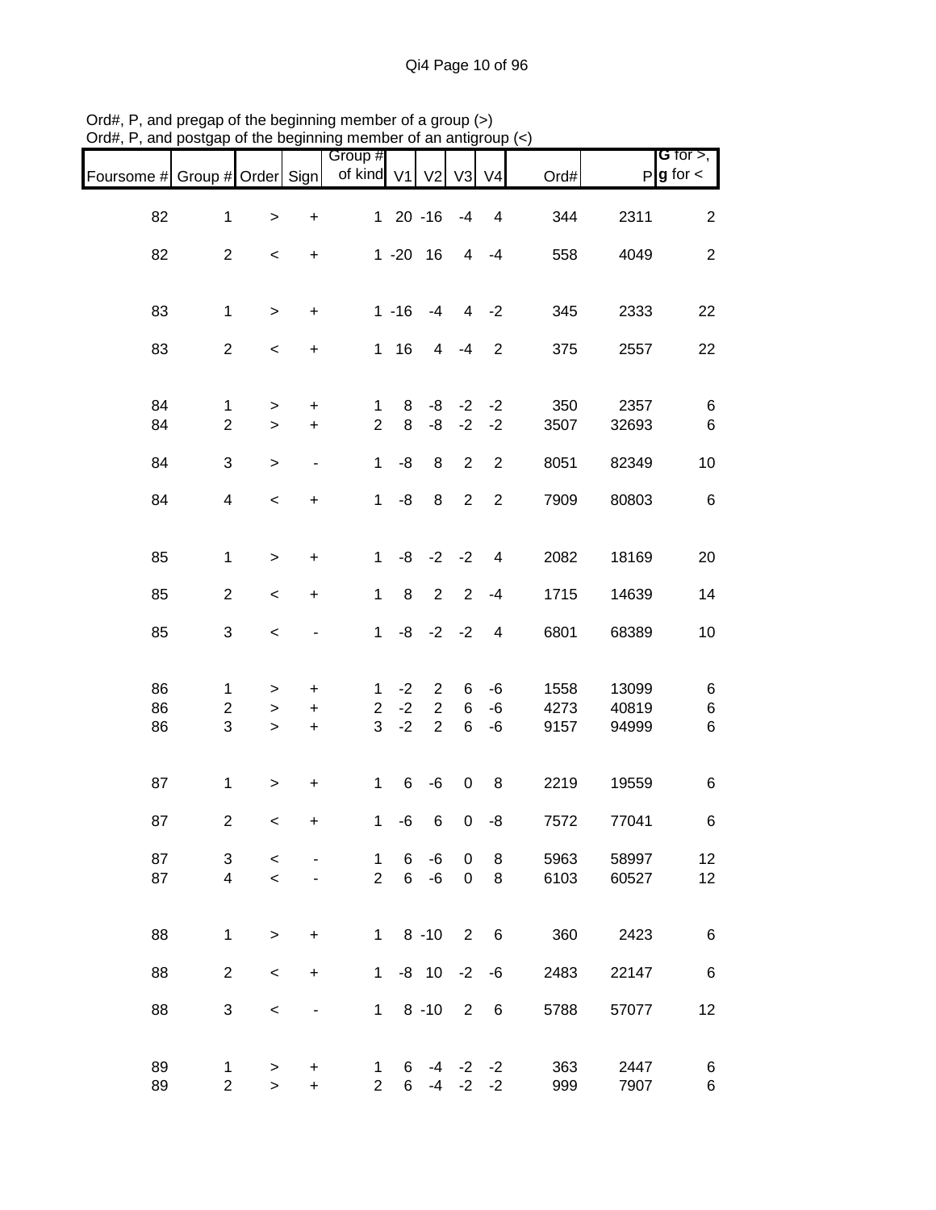| <b>G</b> for $>$ ,<br>$P g$ for $\lt$ |              | Ord#       | V <sub>4</sub>         | V3          | V <sub>2</sub>  |          | Group #<br>of kind V1 |                              |                     |                         | Foursome # Group # Order Sign |
|---------------------------------------|--------------|------------|------------------------|-------------|-----------------|----------|-----------------------|------------------------------|---------------------|-------------------------|-------------------------------|
| $\overline{2}$                        | 2311         | 344        | 4                      | $-4$        | $120 - 16$      |          |                       | $\ddot{}$                    | $\, > \,$           | $\mathbf{1}$            | 82                            |
| $\overline{2}$                        | 4049         | 558        | $-4$                   | 4           | $1 - 20$ 16     |          |                       | $\ddot{}$                    | $\,<$               | $\overline{2}$          | 82                            |
|                                       |              |            |                        |             |                 |          |                       |                              |                     |                         |                               |
| 22                                    | 2333         | 345        | $-2$                   | 4           | $-4$            | $1 - 16$ |                       | $\ddot{}$                    | $\, >$              | $\mathbf{1}$            | 83                            |
| 22                                    | 2557         | 375        | $\overline{2}$         | $-4$        | 4               | 116      |                       | $\ddot{}$                    | $\,<$               | $\overline{2}$          | 83                            |
| 6                                     | 2357         | 350        | $-2$                   | $-2$        | -8              | 8        | 1                     | $\ddot{}$                    | $\, > \,$           | 1                       | 84                            |
| 6                                     | 32693        | 3507       | $-2$                   | $-2$        | -8              | 8        | $\overline{2}$        | $\ddot{}$                    | $\, > \,$           | $\overline{2}$          | 84                            |
| 10                                    | 82349        | 8051       | $\overline{2}$         | 2           | 8               | -8       | $\mathbf{1}$          | $\qquad \qquad \blacksquare$ | $\geq$              | 3                       | 84                            |
| 6                                     | 80803        | 7909       | $\overline{2}$         | 2           | 8               | $-8$     | $\mathbf{1}$          | $\ddot{}$                    | $\,<$               | $\overline{\mathbf{4}}$ | 84                            |
| 20                                    | 18169        | 2082       | 4                      | $-2 -2$     |                 | -8       | $\mathbf{1}$          | $\ddot{}$                    | $\, > \,$           | $\mathbf{1}$            | 85                            |
| 14                                    | 14639        | 1715       | $-4$                   | 2           | $\overline{2}$  | 8        | $\mathbf{1}$          | $\ddot{}$                    | $\,<$               | $\overline{2}$          | 85                            |
| 10                                    | 68389        | 6801       | $\overline{4}$         | $-2$        | $-2$            | -8       | $\mathbf{1}$          |                              | $\,<$               | 3                       | 85                            |
|                                       |              |            |                        |             |                 |          |                       |                              |                     |                         |                               |
| 6                                     | 13099        | 1558       | -6                     | 6           | $\overline{2}$  | $-2$     | $\mathbf{1}$          | $\ddot{}$                    | >                   | 1                       | 86                            |
| 6                                     | 40819        | 4273       | $-6$                   | 6           | $\overline{2}$  | $-2$     | $\overline{2}$        | $\ddot{}$                    | >                   | $\overline{c}$          | 86                            |
| 6                                     | 94999        | 9157       | $-6$                   | 6           | $\overline{2}$  | $-2$     | 3                     | $\ddot{}$                    | $\, > \,$           | 3                       | 86                            |
| 6                                     | 19559        | 2219       | 8                      | $\pmb{0}$   | -6              | 6        | $\mathbf{1}$          | $\ddot{}$                    | $\,$                | $\mathbf{1}$            | 87                            |
| 6                                     | 77041        | 7572       | -8                     | 0           | 6               | -6       | $\mathbf{1}$          | $\ddot{}$                    | $\,<$               | $\overline{2}$          | 87                            |
| 12 <sub>2</sub>                       | 58997        | 5963       | 8                      | 0           | -6              | 6        | $\mathbf 1$           |                              |                     | 3                       | 87                            |
|                                       |              |            | 8                      | $\mathbf 0$ | $-6$            | 6        | $\overline{2}$        |                              | $\,<\,$             | $\overline{4}$          | 87                            |
| 12                                    | 60527        | 6103       |                        |             |                 |          |                       |                              | $\prec$             |                         |                               |
| 6                                     | 2423         | 360        | $6\overline{6}$        | 2           | $1 \t 8 \t -10$ |          |                       | $\ddot{}$                    | $\geq$              | $\mathbf{1}$            | 88                            |
| 6                                     | 22147        | 2483       | -6                     | $-2$        | $-8$ 10         |          | 1                     | $\ddot{}$                    | $\,<\,$             | $\overline{2}$          | 88                            |
| 12                                    | 57077        | 5788       | 6                      | 2           | $1 \t 8 \t -10$ |          |                       |                              | $\,<\,$             | 3                       | 88                            |
| 6<br>6                                | 2447<br>7907 | 363<br>999 | $-4$ $-2$ $-2$<br>$-2$ | $-2$        | $-4$            | 6<br>6   | 1<br>$\overline{2}$   | +<br>$\ddot{}$               | $\, > \,$<br>$\geq$ | 1<br>$\overline{2}$     | 89<br>89                      |

Ord#, P, and pregap of the beginning member of a group (>) Ord#, P, and postgap of the beginning member of an antigroup (<)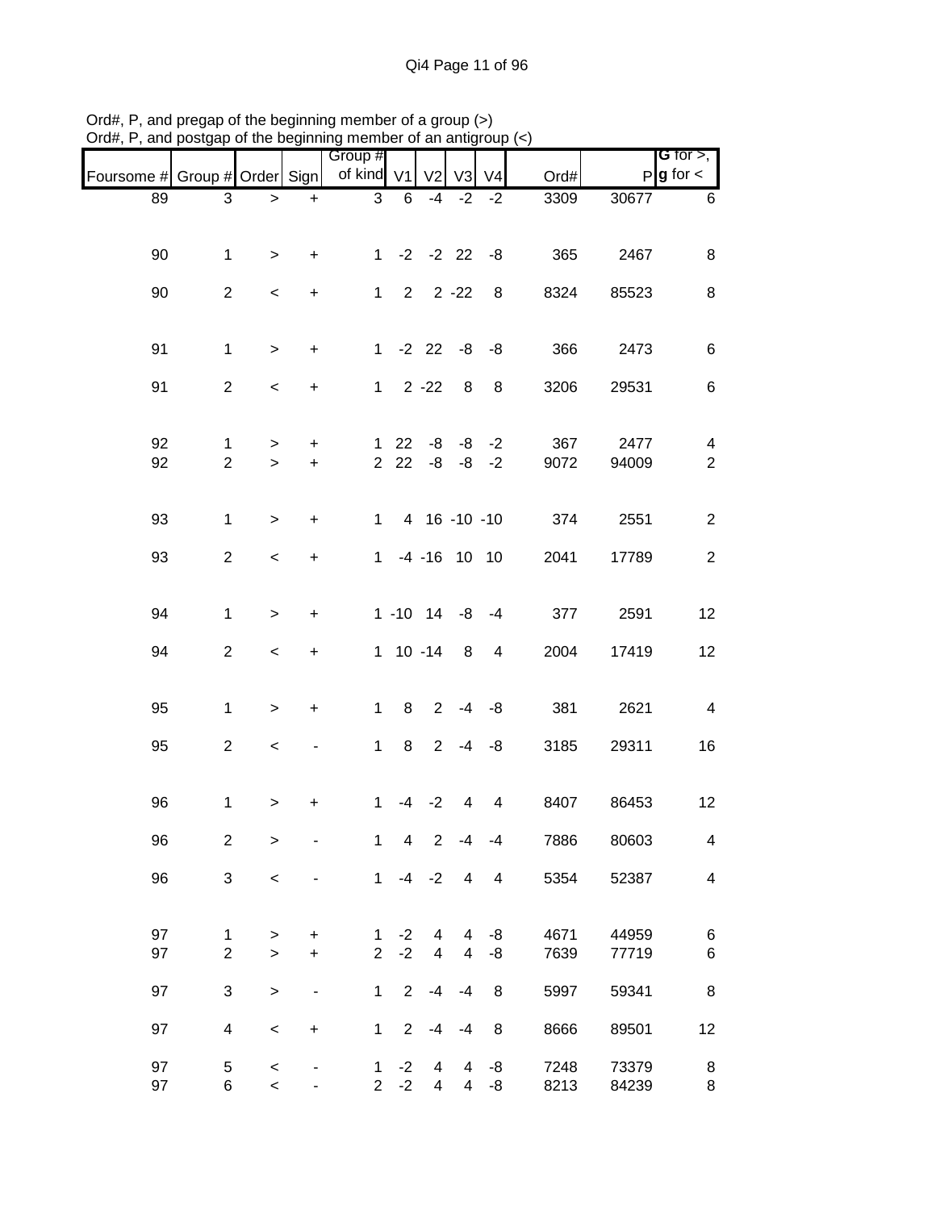| <b>G</b> for $>$ ,<br>$P g$ for $\lt$ | Ord#             | V <sub>4</sub>          | V <sub>3</sub>           | V <sub>2</sub>          |                          | Group #<br>of kind V1          |                                  |                  |                         | Foursome # Group # Order Sign |
|---------------------------------------|------------------|-------------------------|--------------------------|-------------------------|--------------------------|--------------------------------|----------------------------------|------------------|-------------------------|-------------------------------|
| 30677                                 | $\frac{1}{3309}$ | $-2$                    | $-2$                     | $-4$                    | 6                        | $\sqrt{3}$                     | $\ddot{}$                        | $\geq$           | 3                       | 89                            |
|                                       |                  |                         |                          |                         |                          |                                |                                  |                  |                         |                               |
| 2467                                  | 365              |                         |                          | $1 -2 -2 22 -8$         |                          |                                | +                                | $\, > \,$        | $\mathbf{1}$            | 90                            |
|                                       |                  |                         |                          |                         |                          |                                |                                  |                  |                         |                               |
| 85523                                 | 8324             | 8                       |                          | $2 \t2 \t-22$           |                          | $\mathbf 1$                    | +                                | $\,<\,$          | $\overline{2}$          | 90                            |
|                                       |                  |                         |                          |                         |                          |                                |                                  |                  |                         |                               |
| 2473                                  | 366              |                         |                          | $1 - 2 22 - 8 - 8$      |                          |                                | +                                | $\geq$           | $\mathbf{1}$            | 91                            |
| 29531                                 | 3206             | 8                       | 8                        |                         | $1 \t2 \t-22$            |                                | $\begin{array}{c} + \end{array}$ | $\,<$            | $\overline{2}$          | 91                            |
|                                       |                  |                         |                          |                         |                          |                                |                                  |                  |                         |                               |
| 2477                                  | 367              | $-2$                    |                          | $22 - 8 - 8$            |                          | $\mathbf{1}$                   | $\ddot{}$                        | $\, > \,$        | $\mathbf{1}$            | 92                            |
| 94009                                 | 9072             |                         |                          | $222 -8 -8 -2$          |                          |                                | $\ddot{}$                        | $\geq$           | $\overline{2}$          | 92                            |
|                                       |                  |                         |                          |                         |                          |                                |                                  |                  |                         |                               |
| 2551                                  | 374              |                         |                          | 1 4 16 -10 -10          |                          |                                | $\ddot{}$                        | $\geq$           | $\mathbf{1}$            | 93                            |
| 17789                                 | 2041             |                         |                          | $-4$ $-16$ 10 10        |                          | $\mathbf{1}$                   | $\ddot{}$                        | $\,<$            | $\overline{2}$          | 93                            |
|                                       |                  |                         |                          |                         |                          |                                |                                  |                  |                         |                               |
| 2591                                  | 377              |                         |                          | $1 - 10$ $14 - 8$ $-4$  |                          |                                | $\ddot{}$                        | $\geq$           | $\mathbf{1}$            | 94                            |
|                                       |                  |                         |                          |                         |                          |                                |                                  |                  |                         |                               |
| 17419                                 | 2004             | 4                       |                          | $1 10 - 14 8$           |                          |                                | +                                | $\,<\,$          | $\overline{c}$          | 94                            |
|                                       |                  |                         |                          |                         |                          |                                |                                  |                  |                         |                               |
| 2621                                  | 381              |                         | $2 -4 -8$                |                         | 8                        | $\mathbf{1}$                   | $\ddot{}$                        | $\,$             | $\mathbf{1}$            | 95                            |
| 29311                                 | 3185             |                         | $2 -4 -8$                |                         | 8                        | $\mathbf{1}$                   |                                  | $\,<$            | $\overline{c}$          | 95                            |
|                                       |                  |                         |                          |                         |                          |                                |                                  |                  |                         |                               |
| 86453                                 | 8407             | $\overline{\mathbf{4}}$ | 4                        | $-2$                    | $-4$                     | 1                              | +                                | >                | 1                       | 96                            |
|                                       | 7886             | $-4$                    | $-4$                     | $\overline{2}$          | $\overline{\mathcal{A}}$ | $\mathbf{1}$                   |                                  |                  |                         |                               |
| 80603                                 |                  |                         |                          |                         |                          |                                |                                  | $\mathbf{I}$     | $\overline{c}$          | 96                            |
| 52387                                 | 5354             | $\overline{4}$          | $\overline{4}$           | $-4 -2$                 |                          | $\mathbf{1}$                   |                                  | $\,<$            | 3                       | 96                            |
|                                       |                  |                         |                          |                         |                          |                                |                                  |                  |                         |                               |
| 44959                                 | 4671             | -8                      | 4                        | 4                       | $-2$                     | 1                              | +                                | >                | 1                       | 97                            |
| 77719                                 | 7639             | $-8$                    | $\overline{\mathcal{A}}$ | $\overline{\mathbf{4}}$ | $-2$                     | $\overline{2}$                 | $\ddot{}$                        | $\geq$           | $\overline{c}$          | 97                            |
| 59341                                 | 5997             | 8                       | $-4$                     | $-4$                    | $\overline{2}$           | $\mathbf{1}$                   |                                  | $\geq$           | 3                       | 97                            |
| 89501                                 | 8666             | 8                       | $-4$                     | $-4$                    | $\overline{2}$           | 1                              | $\ddot{}$                        | $\prec$          | $\overline{\mathbf{4}}$ | 97                            |
|                                       |                  |                         |                          |                         |                          |                                |                                  |                  |                         |                               |
| 73379<br>84239                        | 7248<br>8213     | -8<br>-8                | 4<br>$\overline{4}$      | 4<br>$\overline{4}$     | $-2$<br>$-2$             | $\mathbf{1}$<br>$\overline{2}$ |                                  | $\,<$<br>$\prec$ | 5<br>6                  | 97<br>97                      |
|                                       |                  |                         |                          |                         |                          |                                |                                  |                  |                         |                               |

Ord#, P, and pregap of the beginning member of a group (>) Ord#, P, and postgap of the beginning member of an antigroup (<)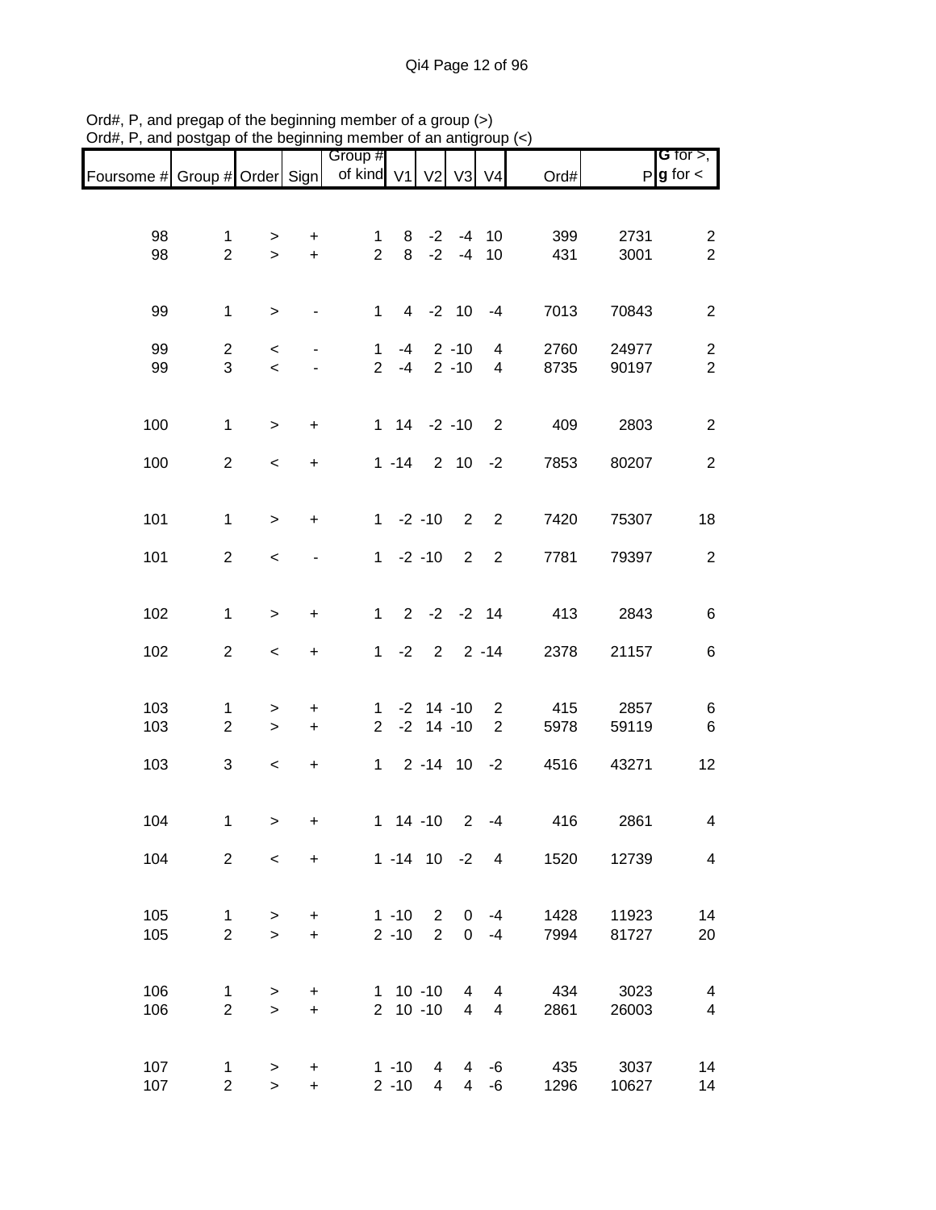|                               |                                |                          |                                  | Group #                        |                      |                                     |                       |                     |                  |                | <b>G</b> for $>$ ,               |
|-------------------------------|--------------------------------|--------------------------|----------------------------------|--------------------------------|----------------------|-------------------------------------|-----------------------|---------------------|------------------|----------------|----------------------------------|
| Foursome # Group # Order Sign |                                |                          |                                  | of kind V1                     |                      | V <sub>2</sub>                      | V3                    | V <sub>4</sub>      | Ord#             |                | $P g$ for $\lt$                  |
|                               |                                |                          |                                  |                                |                      |                                     |                       |                     |                  |                |                                  |
| 98<br>98                      | $\mathbf{1}$<br>$\overline{2}$ | $\, > \,$<br>$\geq$      | +<br>$+$                         | $\mathbf 1$<br>$\overline{2}$  | 8                    | $8 - 2 - 4 10$<br>$-2$              | $-4$                  | 10                  | 399<br>431       | 2731<br>3001   | $\overline{2}$<br>$\overline{2}$ |
| 99                            | $\mathbf 1$                    | $\geq$                   |                                  | $\mathbf{1}$                   |                      | $4 -2 10$                           |                       | $-4$                | 7013             | 70843          | $\overline{2}$                   |
| 99<br>99                      | $\overline{2}$<br>3            | $\,<$<br>$\,<$           |                                  | $\mathbf{1}$<br>$\overline{2}$ | $-4$<br>$-4$         |                                     | $2 - 10$<br>$2 - 10$  | $\overline{4}$<br>4 | 2760<br>8735     | 24977<br>90197 | $\overline{c}$<br>$\sqrt{2}$     |
| 100                           | $\mathbf{1}$                   | $\geq$                   | $\ddot{}$                        |                                |                      | $1 14 -2 -10$                       |                       | $\overline{2}$      | 409              | 2803           | $\overline{c}$                   |
| 100                           | $\overline{2}$                 | $\overline{\phantom{a}}$ | $\ddot{}$                        |                                | $1 - 14$             |                                     | 2 10                  | $-2$                | 7853             | 80207          | $\overline{2}$                   |
| 101                           | $\mathbf{1}$                   | $\geq$                   | $\ddot{}$                        |                                |                      | $1 -2 -10$                          | $\overline{2}$        | $\overline{2}$      | 7420             | 75307          | 18                               |
| 101                           | $\overline{2}$                 | $\,<$                    |                                  |                                |                      | $1 -2 -10$                          | $2^{\circ}$           | $\overline{2}$      | 7781             | 79397          | $\overline{2}$                   |
| 102                           | $\mathbf{1}$                   | $\,>$                    | $\ddot{}$                        | $\mathbf{1}$                   |                      | $2 -2 -2 14$                        |                       |                     | 413              | 2843           | $\,6$                            |
| 102                           | $\overline{2}$                 | $\,<\,$                  | $\ddot{}$                        | $\mathbf{1}$                   | $-2$                 |                                     | $2 \quad 2 \quad -14$ |                     | 2378             | 21157          | 6                                |
| 103<br>103                    | 1<br>$\overline{2}$            | $\, > \,$<br>$\, >$      | $\ddot{}$<br>$\ddot{}$           | 1<br>$\overline{2}$            |                      | $-2$ 14 $-10$<br>$-2$ 14 $-10$      |                       | $\overline{2}$<br>2 | 415<br>5978      | 2857<br>59119  | 6<br>$\,6\,$                     |
| 103                           | 3                              | $\,<$                    | $\ddot{}$                        | $\mathbf{1}$                   |                      | $2 - 14$ 10                         |                       | $-2$                | 4516             | 43271          | 12                               |
| 104                           | $\mathbf{1}$                   | $\,$                     | $\begin{array}{c} + \end{array}$ |                                |                      | $1 14 - 10$                         | $2^{\circ}$           | $-4$                | 416              | 2861           | 4                                |
| 104                           | $2^{\circ}$                    | $\prec$                  | $+$                              |                                |                      | $1 - 14$ 10 $-2$ 4                  |                       |                     | 1520             | 12739          | $\overline{4}$                   |
| 105<br>105                    | $\mathbf{1}$<br>$\overline{2}$ | $\geq$<br>$\geq$         | $+$<br>$+$                       |                                | $2 - 10$             | $1 - 10$ 2 0 $-4$<br>$\overline{2}$ |                       | $0 -4$              | 1428<br>7994     | 11923<br>81727 | 14<br>20                         |
| 106<br>106                    | $\mathbf{1}$<br>$\overline{2}$ | ><br>$\geq$              | $\ddot{}$<br>$\ddot{}$           |                                |                      | 1 10 -10 4<br>2 10 -10              | $\overline{4}$        | 4<br>$\overline{4}$ | 434<br>2861      | 3023<br>26003  | $\overline{4}$<br>$\overline{4}$ |
| 107<br>107                    | $\mathbf 1$<br>$\overline{2}$  | $\,$<br>$\,$             | $\ddot{}$<br>$\ddot{}$           |                                | $1 - 10$<br>$2 - 10$ | $\overline{4}$<br>$\overline{4}$    |                       | $4 - 6$             | 4 -6 435<br>1296 | 3037<br>10627  | 14<br>14                         |

Ord#, P, and pregap of the beginning member of a group (>) Ord#, P, and postgap of the beginning member of an antigroup (<)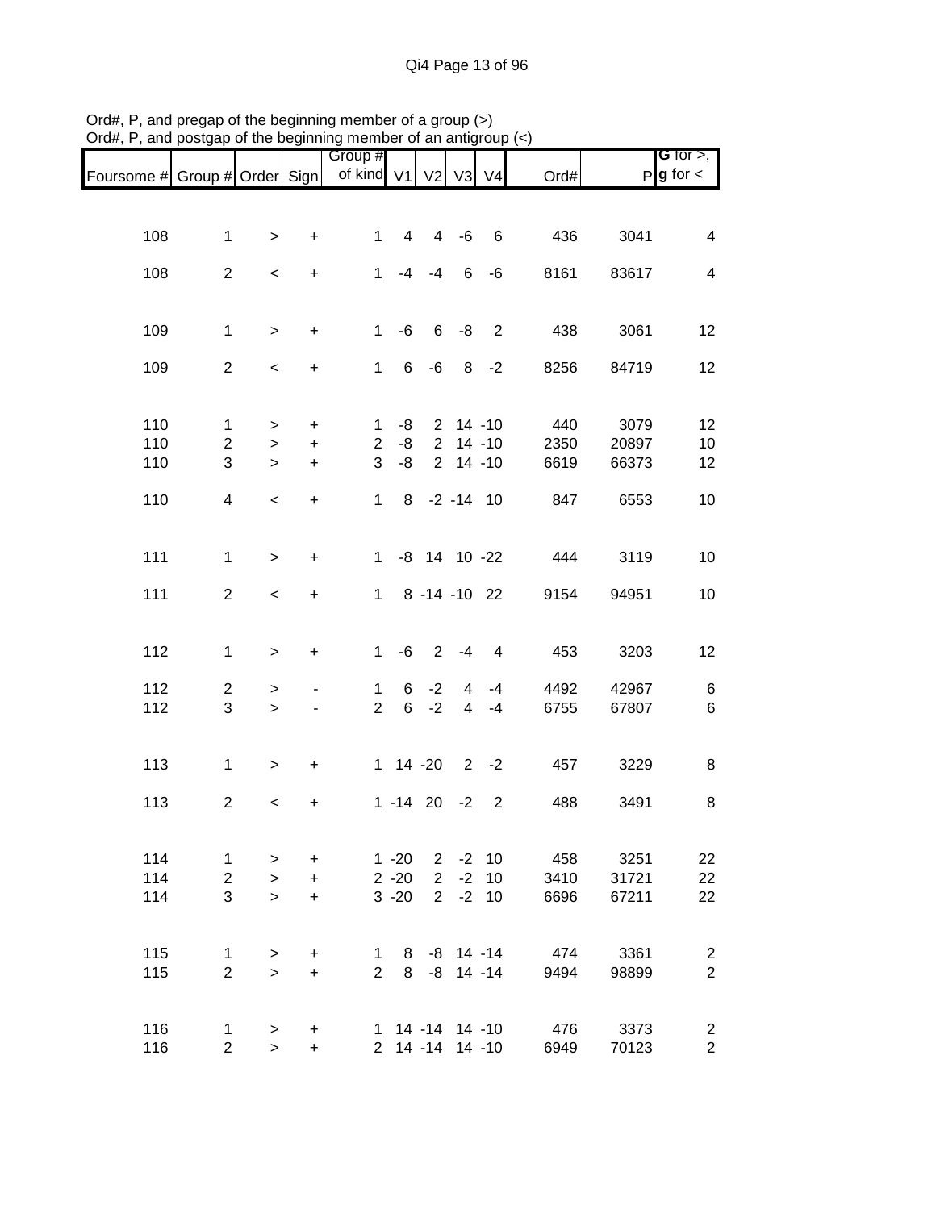|                               |                         |                          |           | Group #                     |          |                  |                |                 |      |       | G for $>$ ,            |
|-------------------------------|-------------------------|--------------------------|-----------|-----------------------------|----------|------------------|----------------|-----------------|------|-------|------------------------|
| Foursome # Group # Order Sign |                         |                          |           | of kind $V1$ $V2$ $V3$ $V4$ |          |                  |                |                 | Ord# |       | $P$ <b>g</b> for $\lt$ |
|                               |                         |                          |           |                             |          |                  |                |                 |      |       |                        |
| 108                           | $\mathbf{1}$            | $\geq$                   | $\ddot{}$ | $\mathbf{1}$                | 4        |                  | $4 - 6$        | $6\overline{6}$ | 436  | 3041  | 4                      |
|                               |                         |                          |           |                             |          |                  |                |                 |      |       |                        |
| 108                           | $\overline{a}$          | $\,<$                    | $\ddot{}$ | $\mathbf{1}$                |          | $-4 - 4$         |                | $6 - 6$         | 8161 | 83617 | 4                      |
|                               |                         |                          |           |                             |          |                  |                |                 |      |       |                        |
| 109                           | $\mathbf{1}$            | $\geq$                   | $\ddot{}$ | $\mathbf{1}$                | -6       |                  |                | $6 - 8$ 2       | 438  | 3061  | 12                     |
| 109                           | $\overline{2}$          | $\,<$                    | $\ddot{}$ | $1 -$                       | 6        | -6               |                | $8 - 2$         | 8256 | 84719 | 12                     |
|                               |                         |                          |           |                             |          |                  |                |                 |      |       |                        |
| 110                           | 1                       | $\geq$                   | $\ddot{}$ | 1.                          | -8       |                  |                | $2$ 14 -10      | 440  | 3079  | 12                     |
| 110                           | $\overline{2}$          | $\geq$                   | $\ddot{}$ | $\overline{2}$              | -8       |                  |                | $2$ 14 -10      | 2350 | 20897 | 10                     |
| 110                           | 3                       | $\geq$                   | $\ddot{}$ | 3                           | -8       |                  | $2$ 14 -10     |                 | 6619 | 66373 | 12                     |
| 110                           | $\overline{\mathbf{4}}$ | $\,<$                    | $\ddot{}$ | $\mathbf{1}$                |          | 8 -2 -14 10      |                |                 | 847  | 6553  | 10                     |
|                               |                         |                          |           |                             |          |                  |                |                 |      |       |                        |
| 111                           | $\mathbf{1}$            | $\geq$                   | $\pm$     |                             |          | 1 -8 14 10 -22   |                |                 | 444  | 3119  | 10                     |
|                               |                         |                          |           |                             |          |                  |                |                 |      |       |                        |
| 111                           | $\overline{2}$          | $\overline{\phantom{0}}$ | $\ddot{}$ |                             |          |                  |                | 1 8 -14 -10 22  | 9154 | 94951 | 10                     |
|                               |                         |                          |           |                             |          |                  |                |                 |      |       |                        |
| 112                           | $\mathbf{1}$            | $\geq$                   | $\ddot{}$ | $\mathbf{1}$                | -6       |                  | $2 - 4$        | $\overline{4}$  | 453  | 3203  | 12                     |
| 112                           | $\overline{2}$          | $\, > \,$                |           | $\mathbf{1}$                | 6        | $-2$             | $\overline{4}$ | $-4$            | 4492 | 42967 | 6                      |
| 112                           | 3                       | $\geq$                   |           | $\overline{2}$              |          | $6 -2$           | $\overline{4}$ | $-4$            | 6755 | 67807 | 6                      |
|                               |                         |                          |           |                             |          |                  |                |                 |      |       |                        |
| 113                           | $\mathbf{1}$            | $\geq$                   | $\ddot{}$ |                             |          | $1 \t14 - 20$    |                | $2 -2$          | 457  | 3229  | 8                      |
| 113                           | $\overline{2}$          | $\,<$                    | $\ddot{}$ |                             |          | $1 - 14$ 20 $-2$ |                | $\overline{2}$  | 488  | 3491  | 8                      |
|                               |                         |                          |           |                             |          |                  |                |                 |      |       |                        |
| 114                           | $\mathbf{1}$            | $\geq$                   | +         |                             | $1 - 20$ | $2^{\circ}$      |                | $-2$ 10         | 458  | 3251  | 22                     |
| 114                           | $\overline{2}$          | $\geq$                   | $+$       |                             | $2 - 20$ | 2 <sup>7</sup>   |                | $-2$ 10         | 3410 | 31721 | 22                     |
| 114                           | 3                       | $\geq$                   | $+$       |                             | $3 - 20$ |                  |                | $2 -2 10$       | 6696 | 67211 | 22                     |
|                               |                         |                          |           |                             |          |                  |                |                 |      |       |                        |
| 115                           | 1                       | $\geq$                   | $\ddot{}$ | $\mathbf{1}$                | 8        |                  |                | -8 14 -14       | 474  | 3361  | $\overline{2}$         |
| 115                           | $\overline{2}$          | $\geq$                   | $+$       | $\overline{2}$              | 8        |                  |                | $-8$ 14 $-14$   | 9494 | 98899 | $\overline{c}$         |
|                               |                         |                          |           |                             |          |                  |                |                 |      |       |                        |
| 116                           | 1                       | $\, > \,$                | ÷         |                             |          |                  |                | 1 14 -14 14 -10 | 476  | 3373  | $\overline{c}$         |
| 116                           | $\overline{2}$          | $\geq$                   | $\ddot{}$ |                             |          |                  |                | 2 14 -14 14 -10 | 6949 | 70123 | $\overline{a}$         |

Ord#, P, and pregap of the beginning member of a group (>) Ord#, P, and postgap of the beginning member of an antigroup (<)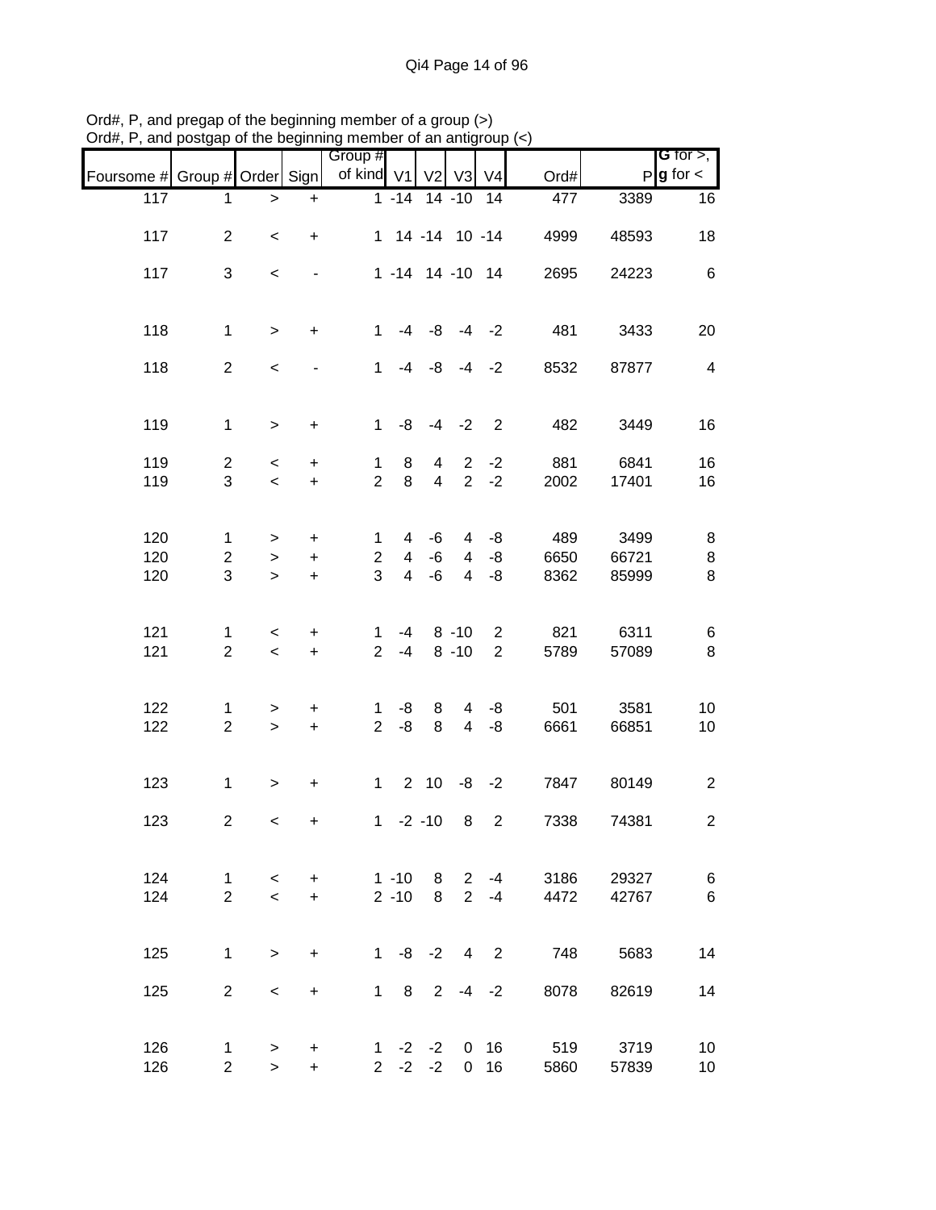|                               |                         |                          |                          | Group #                       |                |                     |                |                            |      |               | <b>G</b> for $>$ ,      |
|-------------------------------|-------------------------|--------------------------|--------------------------|-------------------------------|----------------|---------------------|----------------|----------------------------|------|---------------|-------------------------|
| Foursome # Group # Order Sign |                         |                          |                          | of kind V1                    |                | V <sub>2</sub>      | V3             | V <sub>4</sub>             | Ord# |               | $P$ <b>g</b> for $\lt$  |
| 117                           | 1                       |                          | $\ddot{}$                |                               |                | 1 -14 14 -10 14     |                |                            | 477  | 3389          | 16                      |
|                               |                         | $\,$                     |                          |                               |                |                     |                |                            |      |               |                         |
| 117                           | $\overline{2}$          | $\,<\,$                  | $\ddot{}$                |                               |                | 1 14 -14 10 -14     |                |                            | 4999 | 48593         | 18                      |
|                               |                         |                          |                          |                               |                |                     |                |                            |      |               |                         |
| 117                           | 3                       | $\,<$                    |                          |                               |                | 1 -14 14 -10 14     |                |                            | 2695 | 24223         | 6                       |
|                               |                         |                          |                          |                               |                |                     |                |                            |      |               |                         |
|                               |                         |                          |                          |                               |                |                     |                |                            |      |               |                         |
| 118                           | $\mathbf{1}$            | $\geq$                   | $+$                      | $1 \quad$                     |                | $-4$ $-8$ $-4$ $-2$ |                |                            | 481  | 3433          | 20                      |
|                               |                         |                          |                          |                               |                |                     |                |                            |      |               |                         |
| 118                           | $\overline{2}$          | $\,<$                    | $\overline{\phantom{a}}$ | 1                             |                | $-4$ $-8$ $-4$ $-2$ |                |                            | 8532 | 87877         | $\overline{\mathbf{4}}$ |
|                               |                         |                          |                          |                               |                |                     |                |                            |      |               |                         |
|                               |                         |                          |                          |                               |                |                     |                |                            |      |               |                         |
| 119                           | $\mathbf{1}$            | $\geq$                   | $\ddot{}$                |                               |                | $1 - 8 - 4 - 2$ 2   |                |                            | 482  | 3449          | 16                      |
| 119                           | $\overline{2}$          | $\,<\,$                  | $\ddot{}$                | $\mathbf{1}$                  | 8              | $\overline{4}$      |                | $2 -2$                     | 881  | 6841          | 16                      |
| 119                           | 3                       | $\prec$                  | $+$                      | $\overline{2}$                | 8              | $\overline{4}$      | $\overline{2}$ | $-2$                       | 2002 | 17401         | 16                      |
|                               |                         |                          |                          |                               |                |                     |                |                            |      |               |                         |
|                               |                         |                          |                          |                               |                |                     |                |                            |      |               |                         |
| 120                           | $\mathbf{1}$            | >                        | $+$                      | $\mathbf{1}$                  | 4              | -6                  | $\overline{4}$ | -8                         | 489  | 3499          | 8                       |
| 120                           | $\overline{a}$          | $\, >$                   | $\ddot{}$                | $\overline{c}$                | $\overline{4}$ | -6                  | $\overline{4}$ | -8                         | 6650 | 66721         | $\,8\,$                 |
| 120                           | 3                       | $\geq$                   | $\ddot{}$                | 3                             | $\overline{4}$ | -6                  | $\overline{4}$ | -8                         | 8362 | 85999         | 8                       |
|                               |                         |                          |                          |                               |                |                     |                |                            |      |               |                         |
|                               |                         |                          |                          |                               |                |                     |                |                            |      |               |                         |
| 121                           | 1                       | $\overline{\phantom{a}}$ | $\ddot{}$                | $\mathbf 1$                   | -4             |                     | $8 - 10$       | $\overline{2}$             | 821  | 6311          | 6                       |
| 121                           | $\overline{2}$          | $\,<$                    | $+$                      | 2 <sup>7</sup>                | $-4$           |                     | $8 - 10$       | $2^{\circ}$                | 5789 | 57089         | $\bf 8$                 |
|                               |                         |                          |                          |                               |                |                     |                |                            |      |               |                         |
| 122                           |                         |                          |                          |                               | -8             |                     | $\overline{4}$ |                            | 501  |               |                         |
| 122                           | 1<br>$\overline{2}$     | $\geq$<br>$\,>$          | $+$<br>$+$               | $\mathbf 1$<br>$\overline{2}$ | -8             | 8<br>8              | $\overline{4}$ | -8<br>-8                   | 6661 | 3581<br>66851 | 10<br>10                |
|                               |                         |                          |                          |                               |                |                     |                |                            |      |               |                         |
|                               |                         |                          |                          |                               |                |                     |                |                            |      |               |                         |
| 123                           | $\mathbf 1$             | $\geq$                   | $+$                      |                               |                | $1 2 10 -8 -2$      |                |                            | 7847 | 80149         | $\overline{c}$          |
|                               |                         |                          |                          |                               |                |                     |                |                            |      |               |                         |
| 123                           | $\overline{\mathbf{c}}$ | $\,<\,$                  | $\ddot{}$                |                               |                | $1 -2 -10$          | 8              | $\overline{2}$             | 7338 | 74381         | $\overline{c}$          |
|                               |                         |                          |                          |                               |                |                     |                |                            |      |               |                         |
|                               |                         |                          |                          |                               |                |                     |                |                            |      |               |                         |
| 124                           | $\mathbf{1}$            | $\lt$                    | $\ddot{}$                |                               | $1 - 10$       |                     | 8 <sub>2</sub> | $-4$                       | 3186 | 29327         | 6                       |
| 124                           | $\overline{2}$          | $\overline{\phantom{0}}$ | $+$                      |                               | $2 - 10$       | 8                   | $\overline{2}$ | $-4$                       | 4472 | 42767         | 6                       |
|                               |                         |                          |                          |                               |                |                     |                |                            |      |               |                         |
|                               |                         |                          |                          |                               |                |                     |                |                            |      |               |                         |
| 125                           | $\mathbf{1}$            | $\geq$                   | $\ddot{}$                |                               |                | $1 - 8 - 2$         | 4              | $\overline{\phantom{0}}^2$ | 748  | 5683          | 14                      |
| 125                           | $\overline{2}$          | $\,<$                    | $+$                      |                               | 8<br>$1 \quad$ |                     |                | $2 - 4 - 2$                | 8078 | 82619         | 14                      |
|                               |                         |                          |                          |                               |                |                     |                |                            |      |               |                         |
|                               |                         |                          |                          |                               |                |                     |                |                            |      |               |                         |
| 126                           | $\mathbf 1$             | $\, > \,$                | $\ddot{}$                |                               |                | $1 -2 -2$           |                | 0 <sub>16</sub>            | 519  | 3719          | 10                      |
| 126                           | $\overline{2}$          | $\geq$                   | $+$                      |                               | $2 -2$         | $-2$                |                | $0$ 16                     | 5860 | 57839         | 10                      |

Ord#, P, and pregap of the beginning member of a group (>) Ord#, P, and postgap of the beginning member of an antigroup (<)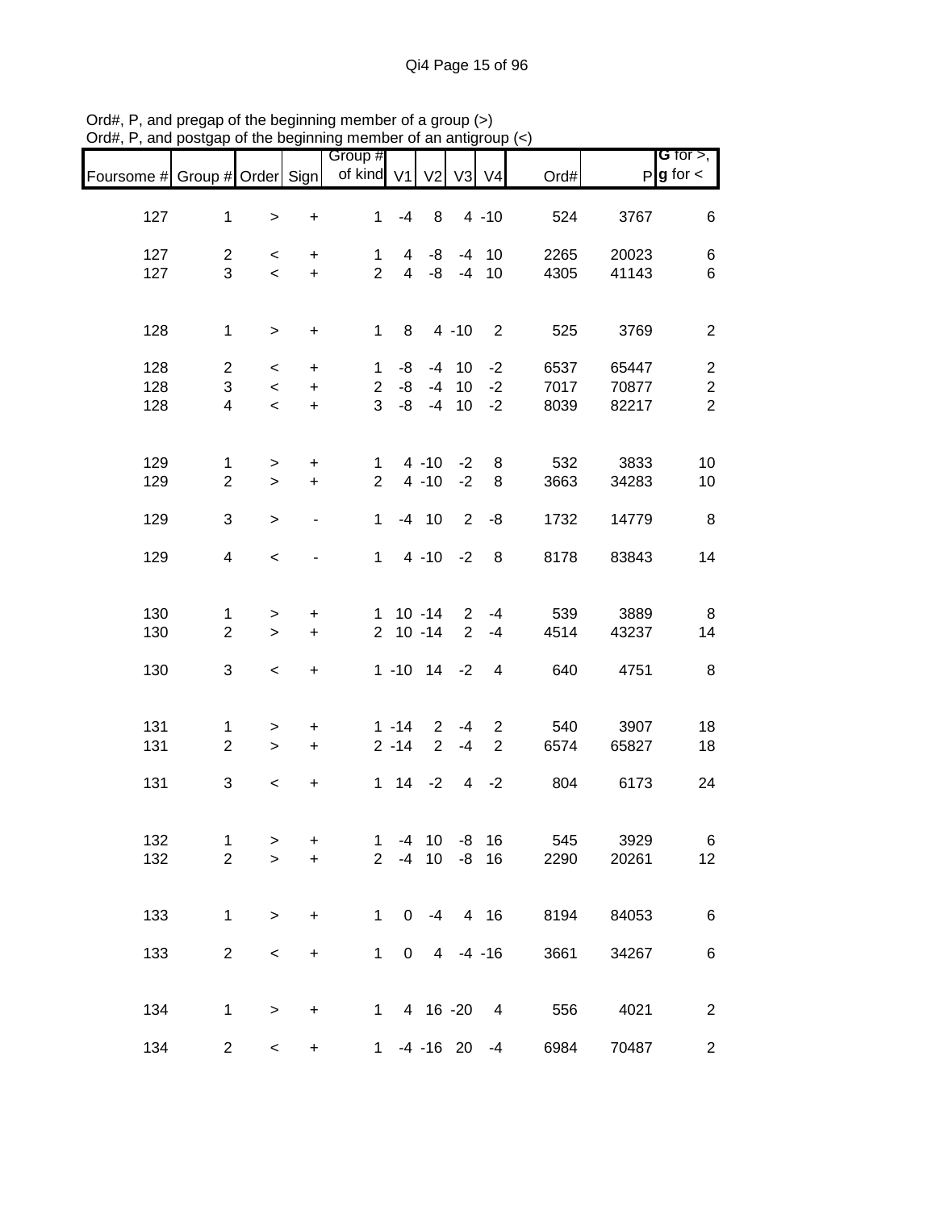|                               |                |                          |                                  | Group #<br>of kind V1 |                | V <sub>2</sub>    |                |                            |      |       | <b>G</b> for $>$ ,<br>$P$ <b>g</b> for $\lt$ |
|-------------------------------|----------------|--------------------------|----------------------------------|-----------------------|----------------|-------------------|----------------|----------------------------|------|-------|----------------------------------------------|
| Foursome # Group # Order Sign |                |                          |                                  |                       |                |                   | V <sub>3</sub> | V <sub>4</sub>             | Ord# |       |                                              |
| 127                           | $\mathbf 1$    | $\,$                     | $\begin{array}{c} + \end{array}$ | $\mathbf{1}$          | $-4$           | 8                 |                | $4 - 10$                   | 524  | 3767  | 6                                            |
| 127                           | $\overline{2}$ | $\,<\,$                  | $\ddot{}$                        | 1                     | 4              | -8                |                | $-4$ 10                    | 2265 | 20023 | 6                                            |
| 127                           | 3              | $\overline{\phantom{0}}$ | $+$                              | $\overline{2}$        | $\overline{4}$ | -8                |                | $-4$ 10                    | 4305 | 41143 | 6                                            |
|                               |                |                          |                                  |                       |                |                   |                |                            |      |       |                                              |
| 128                           | $\mathbf{1}$   | $\geq$                   | $\ddot{}$                        | $\mathbf{1}$          | 8              |                   | $4 - 10$       | $\overline{\phantom{0}}^2$ | 525  | 3769  | $\overline{c}$                               |
| 128                           | $\overline{2}$ | $\,<\,$                  | $\ddot{}$                        | $\mathbf{1}$          | -8             |                   | $-4$ 10        | $-2$                       | 6537 | 65447 | $\overline{c}$                               |
| 128                           | 3              | $\,<$                    | $\ddot{}$                        | $\overline{2}$        | -8             |                   | $-4$ 10        | $-2$                       | 7017 | 70877 | $\boldsymbol{2}$                             |
| 128                           | 4              | $\,<$                    | $\ddot{}$                        | 3                     | $-8$           |                   | $-4$ 10        | $-2$                       | 8039 | 82217 | $\overline{2}$                               |
|                               |                |                          |                                  |                       |                |                   |                |                            |      |       |                                              |
| 129                           | $\mathbf{1}$   | $\geq$                   | $\ddot{}$                        | $\mathbf{1}$          |                | 4 -10 -2          |                | 8                          | 532  | 3833  | 10                                           |
| 129                           | $\overline{2}$ | $\geq$                   | $\ddot{}$                        | $\overline{2}$        |                | $4 - 10$          | $-2$           | 8                          | 3663 | 34283 | 10                                           |
|                               |                |                          |                                  |                       |                |                   |                |                            |      |       |                                              |
| 129                           | 3              | $\,>$                    | $\overline{\phantom{0}}$         | $\mathbf{1}$          |                | $-4$ 10           | $\overline{2}$ | -8                         | 1732 | 14779 | 8                                            |
| 129                           | $\overline{4}$ | $\,<$                    |                                  | $\mathbf{1}$          |                | $4 - 10 - 2$      |                | 8                          | 8178 | 83843 | 14                                           |
|                               |                |                          |                                  |                       |                |                   |                |                            |      |       |                                              |
|                               |                |                          |                                  |                       |                |                   |                |                            |      |       |                                              |
| 130                           | 1              | >                        | $\ddot{}$                        |                       |                | $1 \t10 - 14$     | $\overline{2}$ | $-4$                       | 539  | 3889  | 8                                            |
| 130                           | $\overline{2}$ | $\geq$                   | $\ddot{}$                        |                       |                | $2 10 - 14$       | $\overline{2}$ | $-4$                       | 4514 | 43237 | 14                                           |
|                               |                |                          |                                  |                       |                |                   |                |                            |      |       |                                              |
| 130                           | 3              | $\overline{\phantom{a}}$ | $\ddot{}$                        |                       |                | $1 - 10$ $14 - 2$ |                | 4                          | 640  | 4751  | 8                                            |
|                               |                |                          |                                  |                       |                |                   |                |                            |      |       |                                              |
|                               |                |                          |                                  |                       |                |                   |                |                            |      |       |                                              |
| 131                           | 1              | $\geq$                   | $\ddot{}$                        |                       | $1 - 14$       | $\overline{2}$    | $-4$           | $\overline{2}$             | 540  | 3907  | 18                                           |
| 131                           | $\overline{2}$ | $\geq$                   | $\ddot{}$                        |                       | $2 - 14$       | $\overline{2}$    | $-4$           | $\overline{2}$             | 6574 | 65827 | 18                                           |
|                               |                |                          |                                  |                       |                |                   |                |                            |      |       |                                              |
| 131                           | 3              | $\,<\,$                  | $\ddot{}$                        |                       |                | $1 \t14 \t-2$     | $\overline{4}$ | $-2$                       | 804  | 6173  | 24                                           |
|                               |                |                          |                                  |                       |                |                   |                |                            |      |       |                                              |
| 132                           | 1              |                          | +                                | $\mathbf 1$           |                | $-4$ 10           |                | $-8$ 16                    | 545  | 3929  | 6                                            |
| 132                           | $\overline{2}$ | ><br>$\geq$              | $\ddot{}$                        | $\overline{2}$        |                | $-4$ 10           |                | $-8$ 16                    | 2290 | 20261 | 12                                           |
|                               |                |                          |                                  |                       |                |                   |                |                            |      |       |                                              |
|                               |                |                          |                                  |                       |                |                   |                |                            |      |       |                                              |
| 133                           | $\mathbf 1$    | $\geq$                   | $\ddot{}$                        | $\mathbf{1}$          |                | $0 -4$            |                | 4 16                       | 8194 | 84053 | 6                                            |
|                               |                |                          |                                  |                       |                |                   |                |                            |      |       |                                              |
| 133                           | $\overline{c}$ | $\,<\,$                  | $\ddot{}$                        | $\mathbf{1}$          | $\overline{0}$ |                   | $4 - 4 - 16$   |                            | 3661 | 34267 | 6                                            |
|                               |                |                          |                                  |                       |                |                   |                |                            |      |       |                                              |
|                               |                |                          |                                  |                       |                |                   |                |                            |      |       |                                              |
| 134                           | 1              | $\,$                     | $\ddot{}$                        |                       | $1 \quad$      | 4 16 -20          |                | $\overline{4}$             | 556  | 4021  | $\overline{c}$                               |
|                               |                |                          |                                  |                       |                |                   |                |                            |      |       |                                              |
| 134                           | $\overline{c}$ | $\,<$                    | $\begin{array}{c} + \end{array}$ |                       |                | $1 -4 -16 20$     |                | -4                         | 6984 | 70487 | $\overline{c}$                               |

Ord#, P, and pregap of the beginning member of a group (>) Ord#, P, and postgap of the beginning member of an antigroup (<)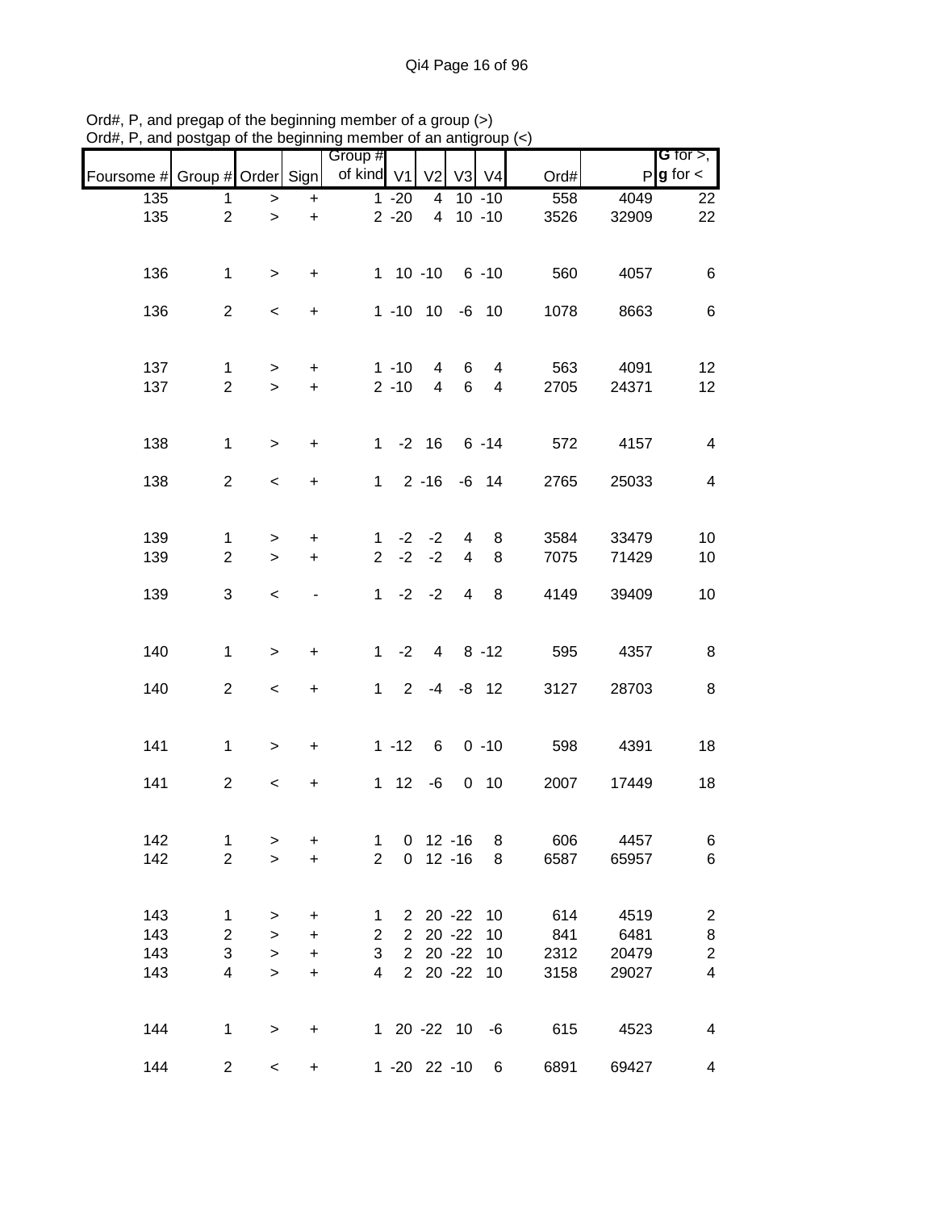|                               |                         |                          |                                  | Group #        |                |                |                |                                   |      |       | <b>G</b> for $>$ , $\vert$ |
|-------------------------------|-------------------------|--------------------------|----------------------------------|----------------|----------------|----------------|----------------|-----------------------------------|------|-------|----------------------------|
| Foursome # Group # Order Sign |                         |                          |                                  | of kind V1     |                | V <sub>2</sub> | V <sub>3</sub> | V <sub>4</sub>                    | Ord# |       | $P g$ for $\lt$            |
| 135                           | 1                       | $\,$                     | $+$                              |                | $1 - 20$       | 4              |                | $10 - 10$                         | 558  | 4049  | 22                         |
| 135                           | $\overline{2}$          | $\geq$                   | $\ddot{}$                        |                | $2 - 20$       | $\overline{4}$ |                | $10 - 10$                         | 3526 | 32909 | 22                         |
|                               |                         |                          |                                  |                |                |                |                |                                   |      |       |                            |
|                               |                         |                          |                                  |                |                |                |                |                                   |      |       |                            |
| 136                           | $\mathbf{1}$            | $\geq$                   | $\ddot{}$                        |                | 1 10 -10 6 -10 |                |                |                                   | 560  | 4057  | 6                          |
| 136                           | $\overline{2}$          | $\overline{\phantom{a}}$ | $+$                              |                | 1 -10 10 -6 10 |                |                |                                   | 1078 | 8663  | 6                          |
|                               |                         |                          |                                  |                |                |                |                |                                   |      |       |                            |
| 137                           | 1                       | $\, > \,$                | $\ddot{}$                        |                | $1 - 10$       | $\overline{4}$ | 6              | 4                                 | 563  | 4091  | 12                         |
| 137                           | $\overline{2}$          | $\geq$                   | $\ddot{}$                        |                | $2 - 10$       | $\overline{4}$ | 6              | 4                                 | 2705 | 24371 | 12                         |
|                               |                         |                          |                                  |                |                |                |                |                                   |      |       |                            |
| 138                           | $\mathbf{1}$            |                          |                                  |                |                |                |                | $1 - 2 16 6 - 14$                 | 572  | 4157  | 4                          |
|                               |                         | $\geq$                   | $\ddot{}$                        |                |                |                |                |                                   |      |       |                            |
| 138                           | $\overline{2}$          | $\overline{\phantom{a}}$ | $\ddot{}$                        |                |                |                |                | $1 \quad 2 -16 \quad -6 \quad 14$ | 2765 | 25033 | $\overline{4}$             |
|                               |                         |                          |                                  |                |                |                |                |                                   |      |       |                            |
| 139                           | $\mathbf{1}$            | >                        | $\ddot{}$                        | $\mathbf 1$    |                | $-2$ $-2$      | $\overline{4}$ | 8                                 | 3584 | 33479 | 10                         |
| 139                           | $\overline{2}$          | $\geq$                   | $\ddot{}$                        | $\overline{2}$ |                | $-2 -2$        | $\overline{4}$ | 8                                 | 7075 | 71429 | 10                         |
| 139                           | 3                       | $\,<\,$                  |                                  |                | $1 -2 -2$      |                | $\overline{4}$ | 8                                 | 4149 | 39409 | 10                         |
|                               |                         |                          |                                  |                |                |                |                |                                   |      |       |                            |
|                               |                         |                          |                                  |                |                |                |                |                                   |      |       |                            |
| 140                           | $\mathbf{1}$            | $\geq$                   | $\ddot{}$                        |                | $1 -2$         |                | $4 8 - 12$     |                                   | 595  | 4357  | 8                          |
| 140                           | $\overline{2}$          | $\,<\,$                  | $\begin{array}{c} + \end{array}$ |                | $1 2 -4 -8 12$ |                |                |                                   | 3127 | 28703 | 8                          |
|                               |                         |                          |                                  |                |                |                |                |                                   |      |       |                            |
| 141                           | $\mathbf{1}$            | $\geq$                   | $\ddot{}$                        |                | $1 - 12$       | 6              |                | $0 - 10$                          | 598  | 4391  | 18                         |
|                               |                         |                          |                                  |                |                |                |                |                                   |      |       |                            |
| 141                           | $\overline{2}$          | $\,<$                    | $\ddot{}$                        |                | $1 \t12 \t-6$  |                |                | $0$ 10                            | 2007 | 17449 | 18                         |
|                               |                         |                          |                                  |                |                |                |                |                                   |      |       |                            |
| 142                           | $\mathbf{1}$            | >                        | $\ddot{}$                        | 1              |                | $0$ 12 -16     |                | 8                                 | 606  | 4457  | 6                          |
| 142                           | $\overline{2}$          | $\mathbf{I}$             | $\ddot{}$                        | $\overline{2}$ |                | $0$ 12 -16     |                | 8                                 | 6587 | 65957 | 6                          |
|                               |                         |                          |                                  |                |                |                |                |                                   |      |       |                            |
| 143                           | $\mathbf{1}$            | >                        | $\ddot{}$                        | 1              |                | 2 20 -22       |                | 10                                | 614  | 4519  | $\overline{2}$             |
| 143                           | $\overline{c}$          | $\, > \,$                | +                                | $\overline{c}$ | $\overline{2}$ |                | $20 - 22$      | 10                                | 841  | 6481  | $\bf 8$                    |
| 143                           | 3                       | $\, > \,$                | $\ddot{}$                        | 3              |                | $2\ 20\ -22$   |                | 10                                | 2312 | 20479 | $\overline{c}$             |
| 143                           | $\overline{\mathbf{4}}$ | $\geq$                   | $\ddot{}$                        | $\overline{4}$ |                | 2 20 -22 10    |                |                                   | 3158 | 29027 | $\overline{\mathbf{4}}$    |
|                               |                         |                          |                                  |                |                |                |                |                                   |      |       |                            |
|                               |                         |                          |                                  |                |                |                |                |                                   |      |       |                            |
| 144                           | 1                       | $\,>$                    | $\begin{array}{c} + \end{array}$ |                | 1 20 -22 10 -6 |                |                |                                   | 615  | 4523  | $\overline{\mathbf{4}}$    |
| 144                           | $\overline{c}$          | $\,<$                    | $\ddot{}$                        |                | 1 -20 22 -10   |                |                | 6                                 | 6891 | 69427 | 4                          |

Ord#, P, and pregap of the beginning member of a group (>) Ord#, P, and postgap of the beginning member of an antigroup (<)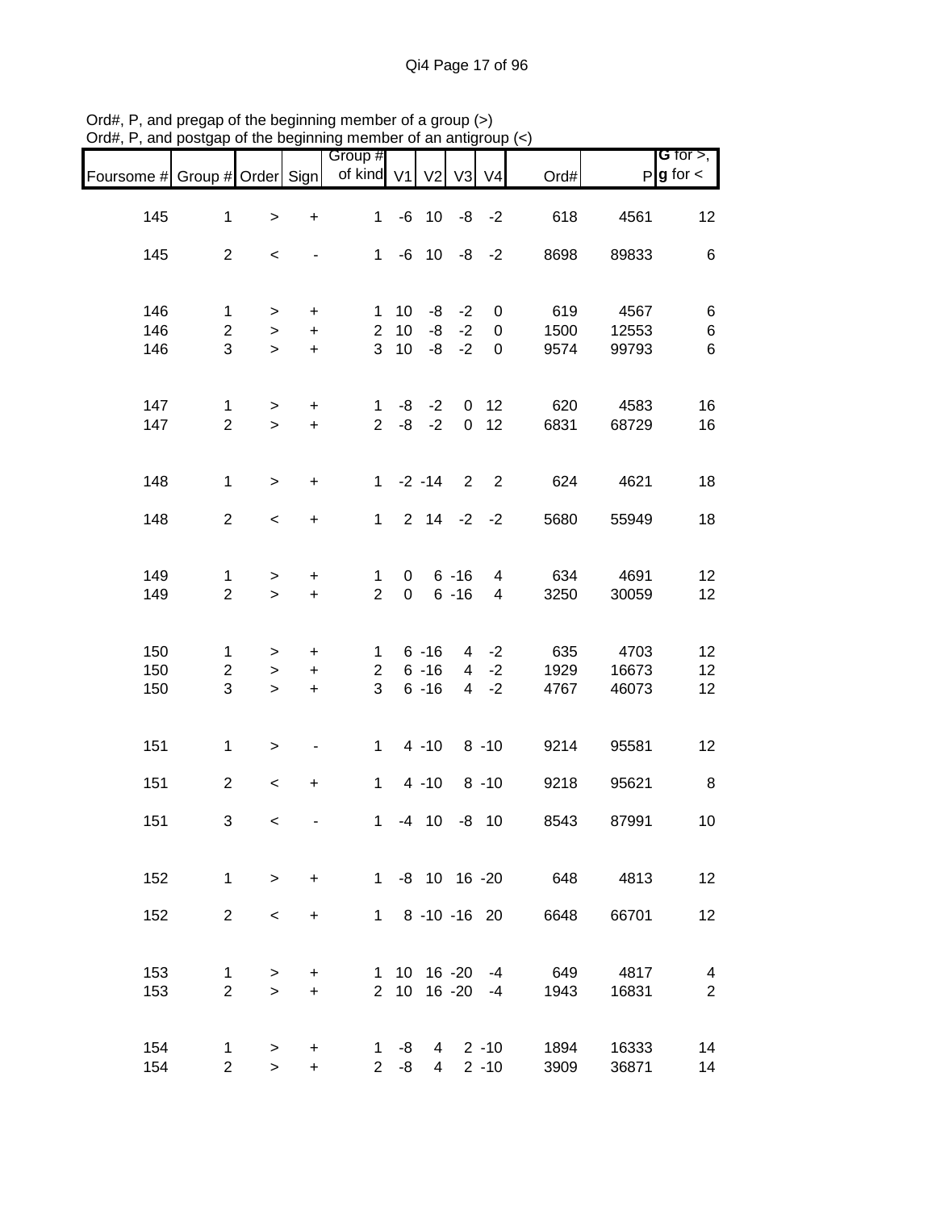|                               |                                    |                          |                               | 11011001                                 |                            |                                  |                      |                                  |                         |                        |                                            |
|-------------------------------|------------------------------------|--------------------------|-------------------------------|------------------------------------------|----------------------------|----------------------------------|----------------------|----------------------------------|-------------------------|------------------------|--------------------------------------------|
| Foursome # Group # Order Sign |                                    |                          |                               | Group #<br>of kind V1 V2 V3 V4           |                            |                                  |                      |                                  | Ord#                    |                        | G for $>$ ,<br>$P$ <b>g</b> for $\lt$      |
| 145                           | $\mathbf{1}$                       | $\,$                     | $\ddot{}$                     | 1                                        |                            | $-6$ 10 $-8$ $-2$                |                      |                                  | 618                     | 4561                   | 12                                         |
| 145                           | $\overline{2}$                     | $\overline{\phantom{a}}$ | $\overline{\phantom{a}}$      |                                          |                            |                                  |                      | $1 -6 10 -8 -2$                  | 8698                    | 89833                  | $\,6$                                      |
| 146<br>146                    | $\mathbf{1}$<br>$\overline{a}$     | $\geq$<br>$\,$           | $\ddot{}$<br>$+$              | 2 <sup>1</sup>                           | $1 10$<br>10               | -8                               | $-8$ $-2$<br>$-2$    | $\overline{0}$<br>$\mathbf 0$    | 619<br>1500             | 4567<br>12553          | 6<br>6                                     |
| 146                           | 3                                  | $\, >$                   | $+$                           | 3 <sup>1</sup>                           | 10                         |                                  | $-8 - -2$            | $\mathbf 0$                      | 9574                    | 99793                  | 6                                          |
| 147<br>147                    | $\mathbf{1}$<br>$\overline{2}$     | $\geq$<br>$\geq$         | $+$<br>$+$                    |                                          | $2 - 8$                    |                                  |                      | $1 -8 -2 0 12$<br>$-2$ 0 12      | 620<br>6831             | 4583<br>68729          | 16<br>16                                   |
| 148                           | $\mathbf{1}$                       | $\geq$                   | $\ddot{}$                     |                                          |                            |                                  |                      | $1 -2 -14$ 2 2                   | 624                     | 4621                   | 18                                         |
| 148                           | $\overline{2}$                     | $\overline{\phantom{0}}$ | $+$                           |                                          |                            |                                  |                      | $1 \t2 \t14 \t-2 \t-2$           | 5680                    | 55949                  | 18                                         |
| 149<br>149                    | 1<br>$\overline{2}$                | $\geq$<br>$\geq$         | $\ddot{}$<br>$+$              | $\mathbf{1}$<br>$\overline{2}$           | $\mathbf 0$<br>$\mathbf 0$ |                                  | $6 - 16$<br>$6 - 16$ | $\overline{4}$<br>$\overline{4}$ | 634<br>3250             | 4691<br>30059          | 12 <sub>2</sub><br>12                      |
| 150<br>150<br>150             | $\mathbf 1$<br>$\overline{2}$<br>3 | $\geq$<br>$\,>$<br>$\,>$ | $\ddot{}$<br>$+$<br>$\ddot{}$ | $1 \quad$<br>$2^{\circ}$<br>$\mathbf{3}$ |                            | $6 - 16$<br>$6 - 16$<br>$6 - 16$ |                      | $4 -2$<br>$4 -2$<br>$4 -2$       | 635<br>1929<br>4767     | 4703<br>16673<br>46073 | 12<br>12<br>12                             |
| 151                           | $\mathbf{1}$                       | $\geq$                   | $\overline{\phantom{a}}$      | $1 \quad$                                |                            |                                  |                      | $4 - 10$ $8 - 10$                | 9214                    | 95581                  | 12                                         |
| 151                           | $\overline{2}$                     | $\,<$                    | $+$                           | $1 \quad$                                |                            |                                  |                      | $4 - 10$ $8 - 10$                | 9218                    | 95621                  | $\,8\,$                                    |
| 151                           | 3                                  | $\,<$                    |                               | $\mathbf{1}$                             |                            |                                  |                      | $-4$ 10 $-8$ 10                  | 8543                    | 87991                  | 10                                         |
| 152                           | $\mathbf{1}$                       | $\geq$                   | $+$                           |                                          |                            |                                  |                      |                                  | 1 -8 10 16 -20 648 4813 |                        | 12                                         |
| 152                           | $2^{\circ}$                        | $\,<\,$                  | $+$                           |                                          |                            |                                  |                      | 1 8 -10 -16 20                   | 6648                    | 66701                  | 12                                         |
| 153<br>153                    | $\mathbf{1}$<br>$\overline{2}$     | $\geq$<br>$\geq$         | $\ddot{}$<br>$+$              |                                          | $2 \quad 10$               |                                  | 16 -20               | 1 10 16 -20 -4<br>$-4$           | 649<br>1943             | 4817<br>16831          | $\overline{\mathcal{A}}$<br>$\overline{2}$ |
| 154<br>154                    | $\mathbf 1$<br>$\overline{2}$      | ><br>$\geq$              | $\ddot{}$<br>$+$              |                                          | $1 - 8$<br>$2 - 8$         | $\overline{4}$                   |                      | $4 \t2 \t-10$<br>$2 - 10$        | 1894<br>3909            | 16333<br>36871         | 14<br>14                                   |

Ord#, P, and pregap of the beginning member of a group (>) Ord#, P, and postgap of the beginning member of an antigroup (<)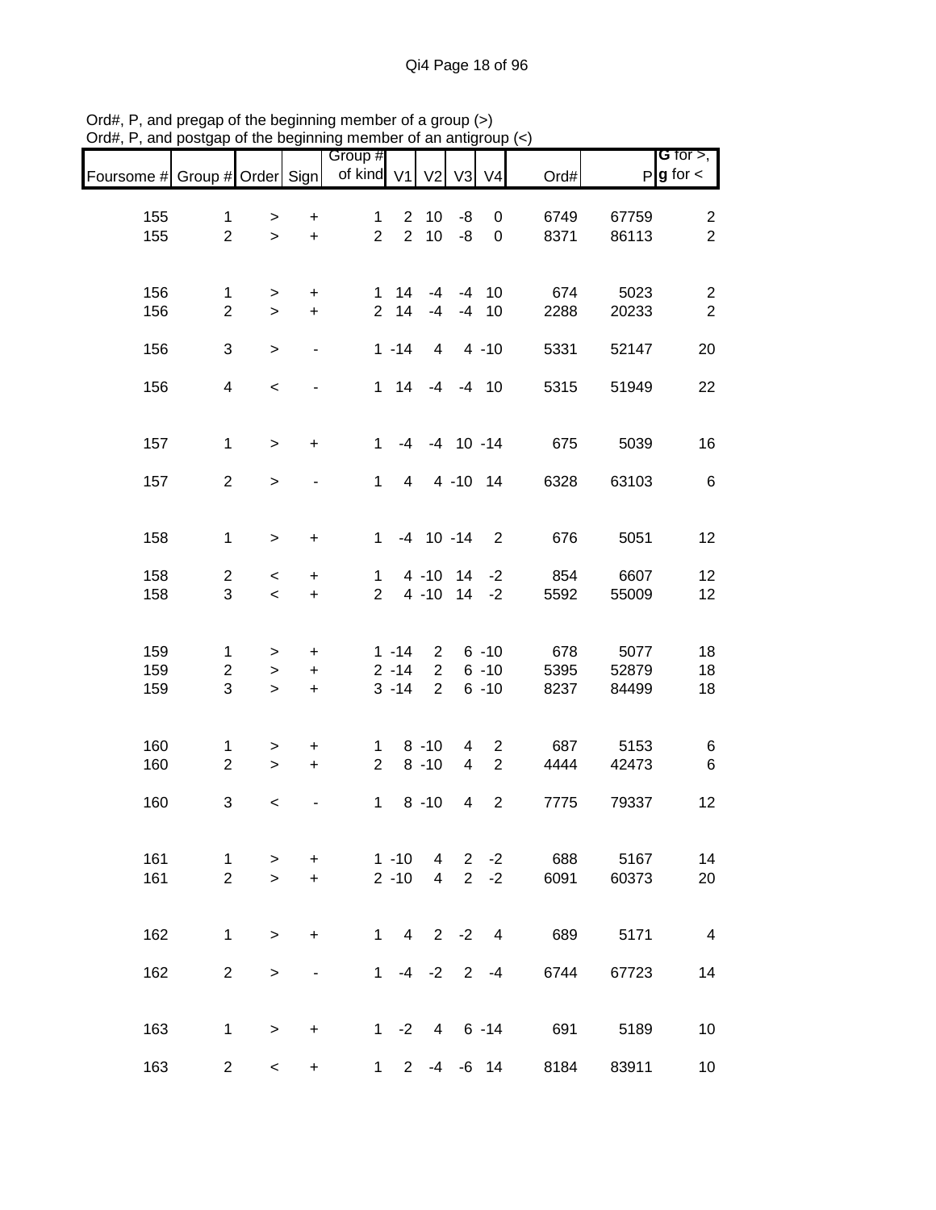|                               |                |           |                              | Group #        |                |                    |                         |                          |      |       | G for $>$ ,              |
|-------------------------------|----------------|-----------|------------------------------|----------------|----------------|--------------------|-------------------------|--------------------------|------|-------|--------------------------|
| Foursome # Group # Order Sign |                |           |                              | of kind V1     |                | V <sub>2</sub>     | V3                      | V <sub>4</sub>           | Ord# |       | $P$ <b>g</b> for $\lt$   |
| 155                           | $\mathbf{1}$   | $\, > \,$ | $\ddot{}$                    | $\mathbf{1}$   |                | $2 \quad 10$       | -8                      | 0                        | 6749 | 67759 | $\overline{2}$           |
| 155                           | $\overline{2}$ | $\geq$    | $\ddot{}$                    | $\overline{2}$ | 2              | 10                 | $-8$                    | $\mathbf 0$              | 8371 | 86113 | $\overline{2}$           |
|                               |                |           |                              |                |                |                    |                         |                          |      |       |                          |
| 156                           | $\mathbf{1}$   | $\, > \,$ | $\ddot{}$                    | $\mathbf 1$    | 14             | $-4$               |                         | $-4$ 10                  | 674  | 5023  | $\overline{2}$           |
| 156                           | $\overline{2}$ | $\geq$    | $\ddot{}$                    | $2^{\circ}$    | 14             | $-4$               |                         | $-4$ 10                  | 2288 | 20233 | $\sqrt{2}$               |
| 156                           | 3              | $\,>$     | $\overline{\phantom{a}}$     |                | $1 - 14$       | $\overline{4}$     |                         | $4 - 10$                 | 5331 | 52147 | 20                       |
| 156                           | $\overline{4}$ | $\,<$     | $\overline{\phantom{a}}$     |                |                | 1 14 -4 -4 10      |                         |                          | 5315 | 51949 | 22                       |
|                               |                |           |                              |                |                |                    |                         |                          |      |       |                          |
| 157                           | $\mathbf{1}$   | $\geq$    | $\ddot{}$                    | $\mathbf{1}$   |                | $-4$ $-4$ 10 $-14$ |                         |                          | 675  | 5039  | 16                       |
| 157                           | $\overline{2}$ | $\,$      |                              | $\mathbf{1}$   | $\overline{4}$ |                    | 4 -10 14                |                          | 6328 | 63103 | 6                        |
|                               |                |           |                              |                |                |                    |                         |                          |      |       |                          |
| 158                           | $\mathbf{1}$   | $\,$      | $\ddot{}$                    | $\mathbf 1$    |                | $-4$ 10 $-14$      |                         | $\overline{2}$           | 676  | 5051  | 12                       |
| 158                           | $\overline{2}$ | $\,<$     | $\ddot{}$                    | $\mathbf 1$    |                | 4 -10 14 -2        |                         |                          | 854  | 6607  | 12                       |
| 158                           | 3              | $\,<$     | $\ddot{}$                    | $\overline{2}$ |                | 4 -10 14 -2        |                         |                          | 5592 | 55009 | 12                       |
|                               |                |           |                              |                |                |                    |                         |                          |      |       |                          |
| 159                           | $\mathbf{1}$   | >         | +                            |                | $1 - 14$       | $2^{\circ}$        |                         | $6 - 10$                 | 678  | 5077  | 18                       |
| 159                           | $\overline{2}$ | $\, > \,$ | $\ddot{}$                    |                | $2 - 14$       | $\overline{2}$     |                         | $6 - 10$                 | 5395 | 52879 | 18                       |
| 159                           | $\sqrt{3}$     | $\, >$    | $\ddot{}$                    |                | $3 - 14$       | $\overline{2}$     |                         | $6 - 10$                 | 8237 | 84499 | 18                       |
| 160                           | $\mathbf{1}$   | $\, > \,$ | $\ddot{}$                    | $\mathbf 1$    |                | $8 - 10$           | 4                       | $\overline{c}$           | 687  | 5153  | 6                        |
| 160                           | $\overline{2}$ | $\,$      | $\ddot{}$                    | $\overline{2}$ |                | $8 - 10$           | $\overline{\mathbf{4}}$ | $\overline{2}$           | 4444 | 42473 | $\,6$                    |
| 160                           | 3              | $\,<$     |                              | $\mathbf 1$    |                | $8 - 10$           | 4                       | $\overline{2}$           | 7775 | 79337 | 12                       |
|                               |                |           |                              |                |                |                    |                         |                          |      |       |                          |
| 161                           | $\mathbf{1}$   | >         | $\ddot{}$                    |                | $1 - 10$       | $\overline{4}$     |                         | $2 -2$                   | 688  | 5167  | 14                       |
| 161                           | $\overline{2}$ | $\geq$    | $\ddot{}$                    |                | $2 - 10$       | $\overline{4}$     |                         | $2 -2$                   | 6091 | 60373 | 20                       |
|                               |                |           |                              |                |                |                    |                         |                          |      |       |                          |
| 162                           | $\mathbf{1}$   | $\geq$    | $\ddot{}$                    |                | $1 \quad 4$    |                    | $2 -2$                  | $\overline{\phantom{0}}$ | 689  | 5171  | $\overline{\phantom{0}}$ |
| 162                           | $\overline{2}$ | $\, >$    | $\qquad \qquad \blacksquare$ | $\mathbf{1}$   |                | $-4$ $-2$ 2        |                         | $-4$                     | 6744 | 67723 | 14                       |
|                               |                |           |                              |                |                |                    |                         |                          |      |       |                          |
| 163                           | $\mathbf{1}$   | $\,$      | $\ddot{}$                    |                | $1 -2$         |                    |                         | $4 6 - 14$               | 691  | 5189  | 10                       |
| 163                           | $\overline{c}$ | $\,<\,$   | $\ddot{}$                    | $1 \quad$      | $2^{\circ}$    | $-4$               |                         | $-6$ 14                  | 8184 | 83911 | 10                       |

Ord#, P, and pregap of the beginning member of a group (>) Ord#, P, and postgap of the beginning member of an antigroup (<)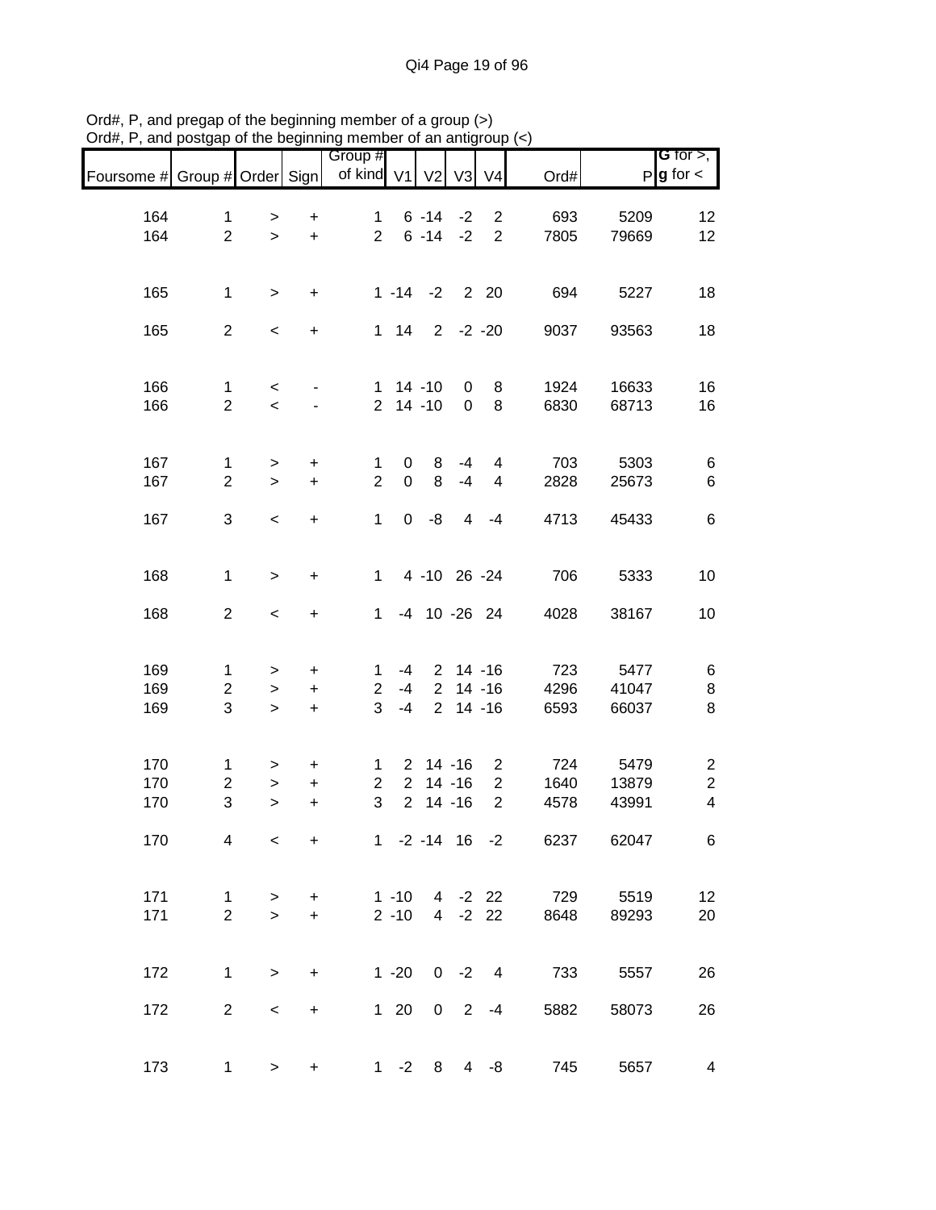|                               |                                |                  |                        | <br>,,,,,,,,,,,<br>Group #       |              |                           |                               |                                  |                   |                | G for $>$ ,                                 |
|-------------------------------|--------------------------------|------------------|------------------------|----------------------------------|--------------|---------------------------|-------------------------------|----------------------------------|-------------------|----------------|---------------------------------------------|
| Foursome # Group # Order Sign |                                |                  |                        | of kind V1                       |              | V <sub>2</sub>            | V3                            | V <sub>4</sub>                   | Ord#              |                | $P$ <b>g</b> for $\lt$                      |
|                               |                                |                  |                        |                                  |              |                           |                               |                                  |                   |                |                                             |
| 164                           | $\mathbf{1}$                   | $\, > \,$        | $\ddot{}$              | $\mathbf{1}$                     |              | $6 - 14$                  | $-2$                          | $\overline{2}$                   | 693               | 5209           | 12                                          |
| 164                           | $\overline{2}$                 | $\geq$           | $+$                    | $2^{\circ}$                      |              | $6 - 14 - 2$              |                               | $\overline{2}$                   | 7805              | 79669          | 12                                          |
|                               |                                |                  |                        |                                  |              |                           |                               |                                  |                   |                |                                             |
| 165                           | $\mathbf{1}$                   | $\geq$           | $\ddot{}$              |                                  |              | $1 - 14 - 2$ 2 20         |                               |                                  | 694               | 5227           | 18                                          |
|                               |                                |                  |                        |                                  |              |                           |                               |                                  |                   |                |                                             |
| 165                           | $\overline{2}$                 | $\,<$            | $\ddot{}$              |                                  |              | 1 14 2 -2 -20             |                               |                                  | 9037              | 93563          | 18                                          |
|                               |                                |                  |                        |                                  |              |                           |                               |                                  |                   |                |                                             |
|                               |                                |                  |                        |                                  |              |                           |                               |                                  |                   |                |                                             |
| 166<br>166                    | $\mathbf{1}$<br>$\overline{2}$ | $\,<$<br>$\,<$   |                        |                                  |              | $1 14 - 10$<br>$2$ 14 -10 | $\overline{0}$<br>$\mathbf 0$ | 8<br>8                           | 1924<br>6830      | 16633<br>68713 | 16<br>16                                    |
|                               |                                |                  |                        |                                  |              |                           |                               |                                  |                   |                |                                             |
|                               |                                |                  |                        |                                  |              |                           |                               |                                  |                   |                |                                             |
| 167                           | $\mathbf{1}$                   | $\,>$            | $\ddot{}$              | 1                                | $\mathbf{0}$ | 8                         | -4                            | $\overline{\mathbf{4}}$          | 703               | 5303           | 6                                           |
| 167                           | $\overline{2}$                 | $\mathbf{I}$     | $\ddot{}$              | $\overline{2}$                   | $\mathbf 0$  | 8                         | $-4$                          | $\overline{\mathbf{4}}$          | 2828              | 25673          | $\,6$                                       |
|                               |                                |                  |                        |                                  |              |                           |                               |                                  |                   |                |                                             |
| 167                           | 3                              | $\prec$          | $\ddot{}$              | $\mathbf 1$                      |              | $0 - 8$                   |                               | $4 - 4$                          | 4713              | 45433          | $\,6$                                       |
|                               |                                |                  |                        |                                  |              |                           |                               |                                  |                   |                |                                             |
| 168                           | $\mathbf{1}$                   | $\,$             | $\ddot{}$              | $\mathbf{1}$                     |              | 4 -10 26 -24              |                               |                                  | 706               | 5333           | 10                                          |
|                               |                                |                  |                        |                                  |              |                           |                               |                                  |                   |                |                                             |
| 168                           | $\overline{2}$                 | $\,<$            | $+$                    | $\mathbf{1}$                     |              | -4 10 -26 24              |                               |                                  | 4028              | 38167          | 10                                          |
|                               |                                |                  |                        |                                  |              |                           |                               |                                  |                   |                |                                             |
| 169                           | $\mathbf{1}$                   | $\, > \,$        | $\ddot{}$              | $\mathbf 1$                      | -4           |                           | $2$ 14 -16                    |                                  | 723               | 5477           | 6                                           |
| 169                           | $\overline{c}$                 | $\, >$           | $\ddot{}$              | $\overline{2}$                   | -4           |                           | $2$ 14 -16                    |                                  | 4296              | 41047          | 8                                           |
| 169                           | $\mathfrak{S}$                 | $\mathbf{I}$     | $\ddot{}$              | $\overline{3}$                   | $-4$         |                           | $2$ 14 -16                    |                                  | 6593              | 66037          | 8                                           |
|                               |                                |                  |                        |                                  |              |                           |                               |                                  |                   |                |                                             |
|                               |                                |                  |                        |                                  |              |                           |                               |                                  |                   |                |                                             |
| 170                           | $\mathbf{1}$                   | $\,>$            | $\ddot{}$              | $\mathbf{1}$                     |              | $2 \t14 - 16$             |                               | $\overline{2}$                   | 724               | 5479           | $\overline{c}$                              |
| 170<br>170                    | $\overline{c}$<br>3            | $\geq$<br>$\geq$ | $\ddot{}$<br>$\ddot{}$ | $\overline{c}$<br>$\mathfrak{S}$ |              | $2$ 14 -16<br>$2$ 14 -16  |                               | $\overline{2}$<br>$\overline{2}$ | 1640<br>4578      | 13879<br>43991 | $\boldsymbol{2}$<br>$\overline{\mathbf{4}}$ |
|                               |                                |                  |                        |                                  |              |                           |                               |                                  |                   |                |                                             |
| 170                           | 4                              | $\,<\,$          | $\ddot{}$              |                                  |              |                           |                               |                                  | 1 -2 -14 16 -2    | 6237 62047     | 6                                           |
|                               |                                |                  |                        |                                  |              |                           |                               |                                  |                   |                |                                             |
|                               |                                |                  |                        |                                  |              |                           |                               |                                  |                   |                |                                             |
| 171                           | 1                              | >                | $\pm$                  |                                  |              |                           |                               |                                  | 1 -10 4 -2 22 729 | 5519           | 12                                          |
| 171                           | $\overline{2}$                 | $\geq$           | $+$                    |                                  | $2 - 10$     |                           |                               |                                  | 4 -2 22<br>8648   | 89293          | 20                                          |
|                               |                                |                  |                        |                                  |              |                           |                               |                                  |                   |                |                                             |
| 172                           | $\mathbf{1}$                   | $\,$             | $\ddot{}$              |                                  | $1 - 20$     |                           |                               | $0 -2 4$                         | 733               | 5557           | 26                                          |
|                               |                                |                  |                        |                                  |              |                           |                               |                                  |                   |                |                                             |
| 172                           | $\overline{2}$                 | $\,<\,$          | $+$                    |                                  | $1 \quad 20$ |                           |                               | $0 \t2 \t-4$                     | 5882              | 58073          | 26                                          |
|                               |                                |                  |                        |                                  |              |                           |                               |                                  |                   |                |                                             |
|                               |                                |                  |                        |                                  |              |                           |                               |                                  |                   |                |                                             |
| 173                           | $\mathbf{1}$                   | $\geq$           | $\ddot{}$              |                                  |              | $1 - 2 8$                 |                               | $4 - 8$                          | 745               | 5657           | $\overline{\mathbf{4}}$                     |

Ord#, P, and pregap of the beginning member of a group (>) Ord#, P, and postgap of the beginning member of an antigroup (<)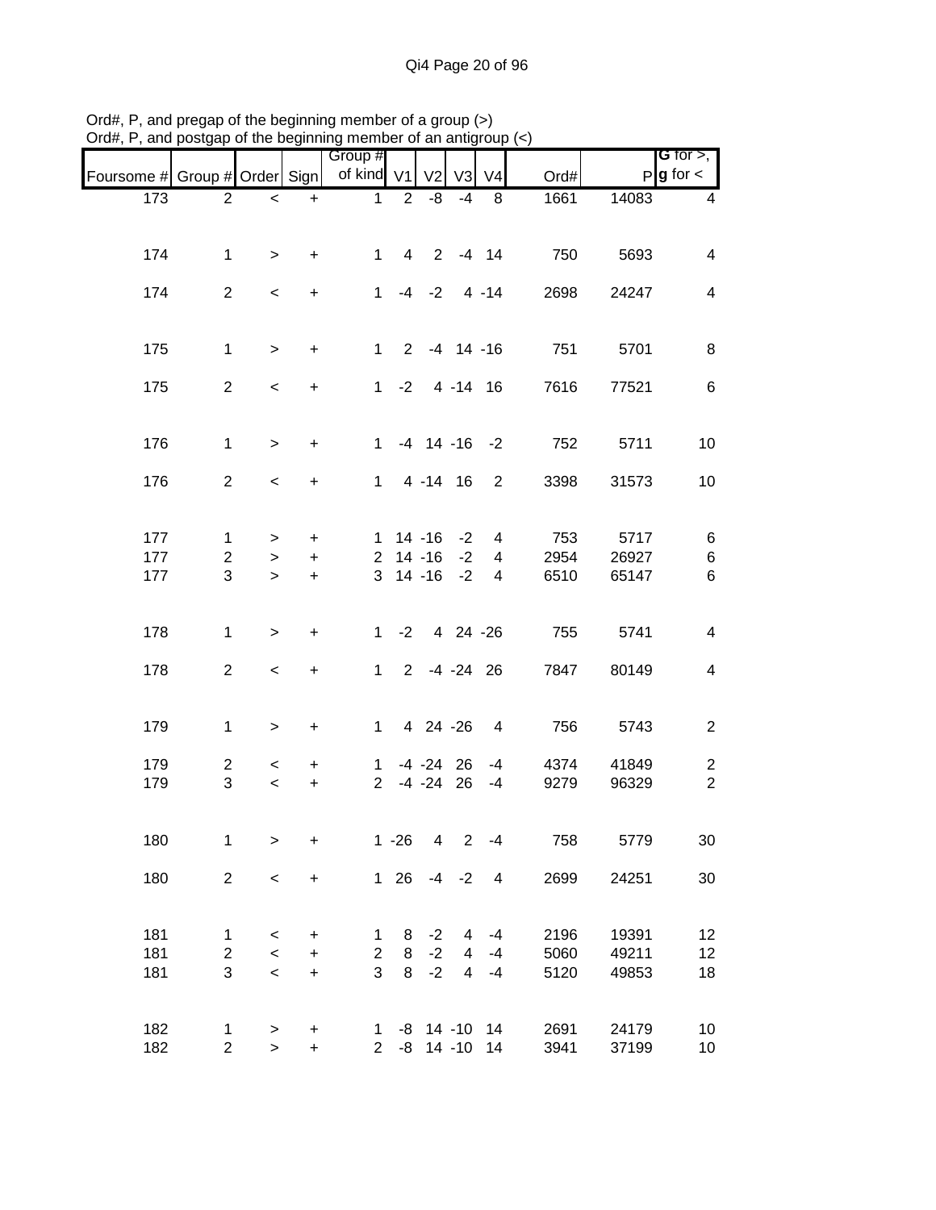|                               |                |                          |           | Group #        |                |                         |                |                         |      |       | G for $>$ ,              |
|-------------------------------|----------------|--------------------------|-----------|----------------|----------------|-------------------------|----------------|-------------------------|------|-------|--------------------------|
| Foursome # Group # Order Sign |                |                          |           | of kind V1     |                | V <sub>2</sub>          | V <sub>3</sub> | V <sub>4</sub>          | Ord# |       | $P$ <b>g</b> for $\lt$   |
| 173                           | $\overline{2}$ | $\overline{\phantom{0}}$ | $+$       | $\mathbf{1}$   | $\overline{2}$ | -8                      | $-4$           | 8                       | 1661 | 14083 | $\overline{4}$           |
|                               |                |                          |           |                |                |                         |                |                         |      |       |                          |
|                               |                |                          |           |                |                |                         |                |                         |      |       |                          |
| 174                           | $\mathbf{1}$   | $\geq$                   | $\ddot{}$ | $\mathbf{1}$   |                | 4 2 -4 14               |                |                         | 750  | 5693  | $\overline{\mathcal{A}}$ |
| 174                           | $\overline{2}$ | $\,<$                    | $+$       | $\mathbf{1}$   |                | $-4$ $-2$ $4$ $-14$     |                |                         | 2698 | 24247 | 4                        |
|                               |                |                          |           |                |                |                         |                |                         |      |       |                          |
| 175                           | $\mathbf{1}$   | $\geq$                   | $+$       |                |                | $1 \t2 \t-4 \t14 \t-16$ |                |                         | 751  | 5701  | 8                        |
|                               |                |                          |           |                |                |                         |                |                         |      |       |                          |
| 175                           | $\overline{2}$ | $\,<$                    | $+$       |                |                | $1 - 2$ 4 -14 16        |                |                         | 7616 | 77521 | 6                        |
|                               |                |                          |           |                |                |                         |                |                         |      |       |                          |
| 176                           | $\mathbf{1}$   | $\geq$                   | $\ddot{}$ |                |                | $1 - 4 14 - 16 - 2$     |                |                         | 752  | 5711  | 10                       |
| 176                           | $\overline{2}$ | $\,<$                    | $\ddot{}$ | $\mathbf{1}$   |                | 4 -14 16                |                | $\overline{2}$          | 3398 | 31573 | 10                       |
|                               |                |                          |           |                |                |                         |                |                         |      |       |                          |
| 177                           | $\mathbf{1}$   | $\geq$                   | $+$       |                |                | $1 14 - 16 - 2$         |                | $\overline{4}$          | 753  | 5717  | 6                        |
| 177                           | $\overline{2}$ | $\, > \,$                | $\ddot{}$ | $\overline{2}$ |                | 14 -16                  | $-2$           | $\overline{4}$          | 2954 | 26927 | 6                        |
| 177                           | 3              | $\geq$                   | $\ddot{}$ |                |                | 3 14 -16                | $-2$           | 4                       | 6510 | 65147 | 6                        |
|                               |                |                          |           |                |                |                         |                |                         |      |       |                          |
| 178                           | $\mathbf{1}$   | $\,>$                    | $\ddot{}$ |                |                | $1 -2 4 24 -26$         |                |                         | 755  | 5741  | $\overline{4}$           |
|                               |                |                          |           |                |                |                         |                |                         |      |       |                          |
| 178                           | $\overline{2}$ | $\,<\,$                  | $+$       |                |                | 1 2 -4 -24 26           |                |                         | 7847 | 80149 | $\overline{4}$           |
|                               |                |                          |           |                |                |                         |                |                         |      |       |                          |
| 179                           | $\mathbf{1}$   | $\,$                     | $\ddot{}$ | $\mathbf{1}$   |                | 4 24 -26                |                | $\overline{\mathbf{4}}$ | 756  | 5743  | $\overline{2}$           |
| 179                           | $\overline{2}$ | $\overline{\phantom{0}}$ | $\ddot{}$ | $\mathbf{1}$   |                | $-4 - 24$ 26            |                | $-4$                    | 4374 | 41849 | $\overline{c}$           |
| 179                           | 3              | $\,<$                    | $\ddot{}$ | $\overline{2}$ |                | $-4$ $-24$ 26           |                | $-4$                    | 9279 | 96329 | $\overline{2}$           |
|                               |                |                          |           |                |                |                         |                |                         |      |       |                          |
|                               | 1              |                          |           |                | $1 - 26$       | $\overline{4}$          | 2              | $-4$                    | 758  |       |                          |
| 180                           |                | >                        | $\ddot{}$ |                |                |                         |                |                         |      | 5779  | 30                       |
| 180                           | $\overline{2}$ | $\,<$                    | $\ddot{}$ |                | 1 26           |                         | $-4 -2$        | $\overline{4}$          | 2699 | 24251 | 30                       |
|                               |                |                          |           |                |                |                         |                |                         |      |       |                          |
| 181                           | 1              | $\,<$                    | +         | 1              | 8              | $-2$                    | $\overline{4}$ | $-4$                    | 2196 | 19391 | 12                       |
| 181                           | $\overline{c}$ | $\,<$                    | +         | $\overline{c}$ | 8              | $-2$                    | $\overline{4}$ | $-4$                    | 5060 | 49211 | 12                       |
| 181                           | 3              | $\,<$                    | $\ddot{}$ | 3              | 8              | $-2$                    | $\overline{4}$ | $-4$                    | 5120 | 49853 | 18                       |
|                               |                |                          |           |                |                |                         |                |                         |      |       |                          |
| 182                           | 1              | $\,$                     | $\ddot{}$ | $1 \quad$      |                | $-8$ 14 $-10$ 14        |                |                         | 2691 | 24179 | 10                       |
| 182                           | $\overline{c}$ | $\,>$                    | $+$       | $2^{\circ}$    |                | $-8$ 14 $-10$ 14        |                |                         | 3941 | 37199 | 10                       |

Ord#, P, and pregap of the beginning member of a group (>) Ord#, P, and postgap of the beginning member of an antigroup (<)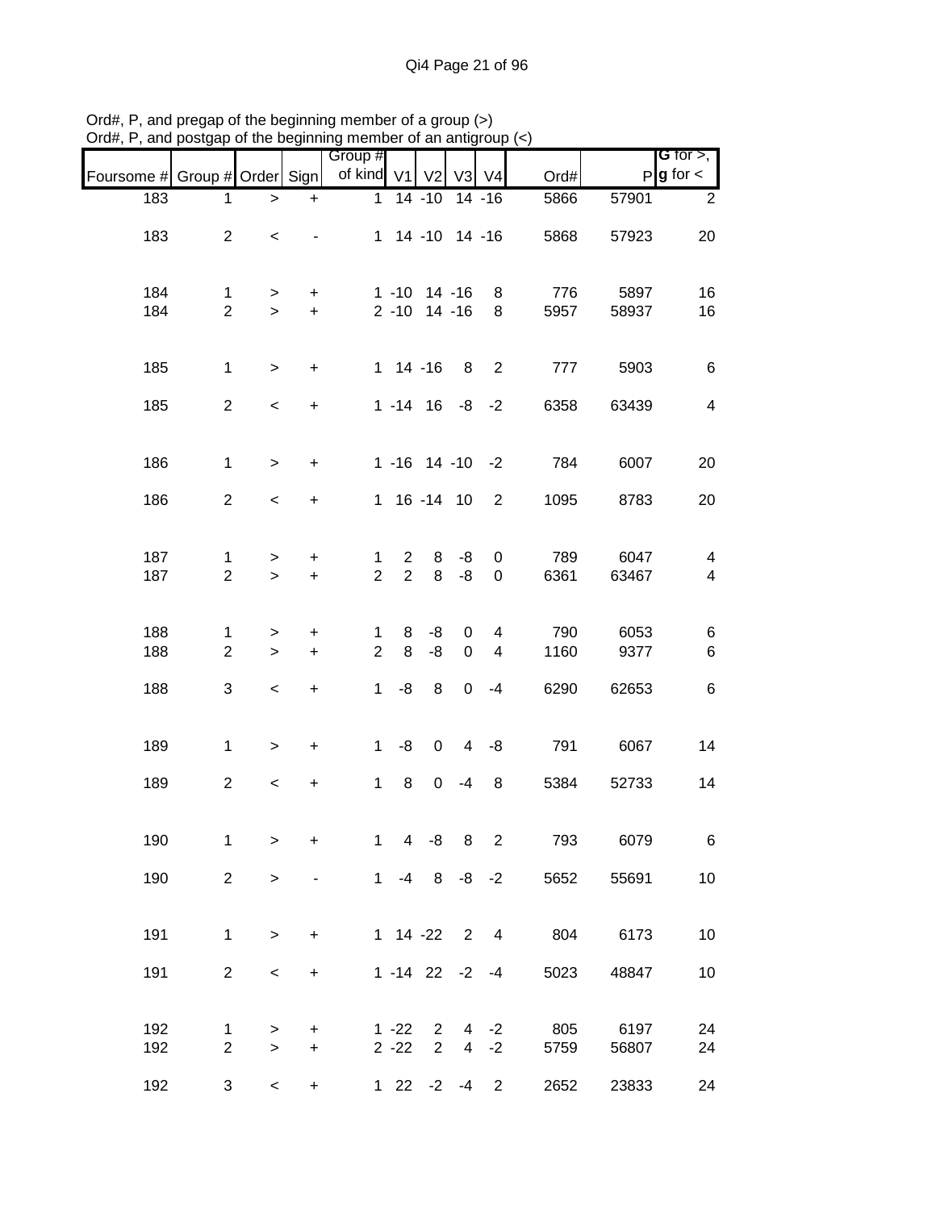|                               |                                |                          |                                  | Group #             |                                  |                                        |                     |                         |             |               | <b>G</b> for $>$ ,            |
|-------------------------------|--------------------------------|--------------------------|----------------------------------|---------------------|----------------------------------|----------------------------------------|---------------------|-------------------------|-------------|---------------|-------------------------------|
| Foursome # Group # Order Sign |                                |                          |                                  | of kind V1          |                                  | V <sub>2</sub>                         |                     | V3 V4                   | Ord#        |               | $P g$ for $\lt$               |
| 183                           | 1                              | >                        | $\ddot{}$                        | $\mathbf{1}$        |                                  | $14 - 10$                              |                     | $14 - 16$               | 5866        | 57901         | $\overline{2}$                |
| 183                           | $\overline{2}$                 | $\,<\,$                  |                                  |                     |                                  | 1 14 -10 14 -16                        |                     |                         | 5868        | 57923         | 20                            |
| 184<br>184                    | $\mathbf{1}$<br>$\overline{2}$ | ><br>$\geq$              | +<br>$+$                         |                     |                                  | $1 - 10$ 14 $-16$<br>$2 - 10$ 14 $-16$ |                     | 8<br>8                  | 776<br>5957 | 5897<br>58937 | 16<br>16                      |
| 185                           | $\mathbf{1}$                   | $\geq$                   | $\ddot{}$                        |                     |                                  | $1 14 - 16$                            | 8                   | 2                       | 777         | 5903          | 6                             |
| 185                           | $\overline{2}$                 | $\overline{\phantom{a}}$ | $\ddot{}$                        |                     |                                  | $1 - 14$ 16 $-8$                       |                     | $-2$                    | 6358        | 63439         | $\overline{\mathcal{A}}$      |
| 186                           | $\mathbf 1$                    | $\geq$                   | $\ddot{}$                        |                     |                                  |                                        |                     | $1 - 16$ $14 - 10$ $-2$ | 784         | 6007          | 20                            |
| 186                           | $\overline{2}$                 | $\,<$                    | $\ddot{}$                        |                     |                                  | 1 16 -14 10                            |                     | $\overline{2}$          | 1095        | 8783          | 20                            |
| 187<br>187                    | $\mathbf{1}$<br>$\overline{2}$ | ><br>$\geq$              | +<br>$\ddot{}$                   | 1<br>$\overline{2}$ | $\overline{2}$<br>$\overline{2}$ | 8<br>8                                 | -8<br>-8            | 0<br>0                  | 789<br>6361 | 6047<br>63467 | 4<br>$\overline{\mathcal{A}}$ |
| 188<br>188                    | 1<br>$\overline{2}$            | ><br>$\geq$              | +<br>$\ddot{}$                   | 1<br>$\overline{2}$ | 8<br>8                           | -8<br>-8                               | 0<br>$\mathbf 0$    | 4<br>4                  | 790<br>1160 | 6053<br>9377  | 6<br>6                        |
| 188                           | 3                              | $\,<\,$                  | $\ddot{}$                        | $\mathbf{1}$        | -8                               | 8                                      | $\mathbf 0$         | $-4$                    | 6290        | 62653         | 6                             |
| 189                           | $\mathbf{1}$                   | $\geq$                   | $\begin{array}{c} + \end{array}$ | $\mathbf{1}$        | -8                               | $\mathbf 0$                            | 4                   | -8                      | 791         | 6067          | 14                            |
| 189                           | $\overline{2}$                 | $\,<$                    | $\begin{array}{c} + \end{array}$ | $\mathbf{1}$        | 8                                | 0                                      | $-4$                | 8                       | 5384        | 52733         | 14                            |
| 190                           | 1                              | >                        | $\ddot{}$                        | $\mathbf{1}$        | $\overline{4}$                   | -8                                     | 8                   | 2                       | 793         | 6079          | 6                             |
| 190                           | $\overline{2}$                 | $\geq$                   |                                  |                     |                                  |                                        |                     | $1 -4 8 -8 -2$          | 5652        | 55691         | 10                            |
| 191                           | $\mathbf{1}$                   | $\geq$                   | $\ddot{}$                        |                     |                                  | 1 14 -22 2 4                           |                     |                         | 804         | 6173          | 10                            |
| 191                           | $\overline{c}$                 | $\,<\,$                  | $\ddot{}$                        |                     |                                  | $1 - 14$ 22 $-2$                       |                     | $-4$                    | 5023        | 48847         | 10                            |
| 192<br>192                    | 1<br>$\overline{2}$            | ><br>$\geq$              | +<br>$\ddot{}$                   |                     | $1 - 22$<br>$2 - 22$             | $\overline{2}$<br>$\overline{2}$       | 4<br>$\overline{4}$ | $-2$<br>$-2$            | 805<br>5759 | 6197<br>56807 | 24<br>24                      |
| 192                           | 3                              | $\overline{\phantom{a}}$ | $\ddot{}$                        |                     |                                  | $122 -2 -4$                            |                     | $\overline{2}$          | 2652        | 23833         | 24                            |

Ord#, P, and pregap of the beginning member of a group (>) Ord#, P, and postgap of the beginning member of an antigroup (<)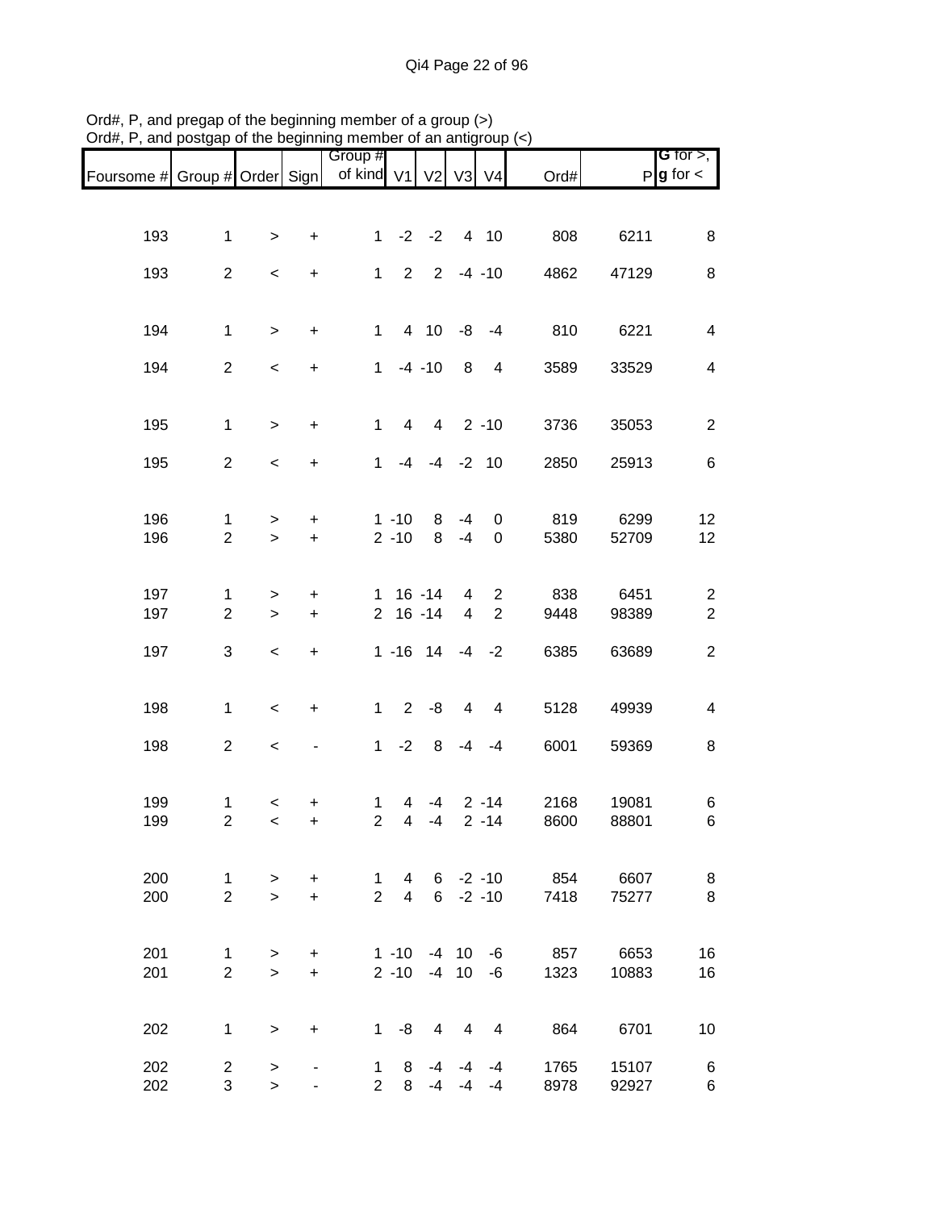|                               |                |           |                          | Group #             |                             |                       |                |                |                      |       | G for $>$ ,             |
|-------------------------------|----------------|-----------|--------------------------|---------------------|-----------------------------|-----------------------|----------------|----------------|----------------------|-------|-------------------------|
| Foursome # Group # Order Sign |                |           |                          | of kind V1 V2 V3 V4 |                             |                       |                |                | Ord#                 |       | $P g$ for $\lt$         |
|                               |                |           |                          |                     |                             |                       |                |                |                      |       |                         |
| 193                           | $\mathbf{1}$   | $\,$      | $\ddot{}$                | 1                   |                             | $-2$ $-2$ 4 10        |                |                | 808                  | 6211  | 8                       |
| 193                           | $\overline{2}$ | $\,<$     | $\ddot{}$                | $\mathbf{1}$        |                             | $2 \t2 \t-4 \t-10$    |                |                | 4862                 | 47129 | $\,8\,$                 |
|                               |                |           |                          |                     |                             |                       |                |                |                      |       |                         |
| 194                           | $\mathbf{1}$   | $\geq$    | $\ddot{}$                | $\mathbf{1}$        |                             | 4 10 -8 -4            |                |                | 810                  | 6221  | $\overline{\mathbf{4}}$ |
| 194                           | $\overline{2}$ | $\,<$     | $\ddot{}$                |                     |                             | $1 - 4 - 10$          |                | 8 4            | 3589                 | 33529 | $\overline{\mathbf{4}}$ |
| 195                           | $\mathbf{1}$   | $\geq$    | $\ddot{}$                | $\mathbf{1}$        | 4                           |                       |                | $4$ 2 -10      | 3736                 | 35053 | $\sqrt{2}$              |
| 195                           | $\overline{2}$ | $\,<$     | $\pm$                    |                     |                             | $1 -4 -4 -2 10$       |                |                | 2850                 | 25913 | $\,6$                   |
|                               |                |           |                          |                     |                             |                       |                |                |                      |       |                         |
| 196                           | 1              | $\geq$    | $\ddot{}$                |                     | $1 - 10$                    | 8                     | -4             | 0              | 819                  | 6299  | 12                      |
| 196                           | $\overline{2}$ | $\geq$    | $+$                      |                     | $2 - 10$                    | 8                     | $-4$           | 0              | 5380                 | 52709 | 12                      |
| 197                           | $\mathbf{1}$   | $\, > \,$ | $\ddot{}$                |                     |                             | $1 \t16 - 14$         | $\overline{4}$ | $\overline{2}$ | 838                  | 6451  | $\overline{c}$          |
| 197                           | $\overline{2}$ | $\,$      | $\ddot{}$                |                     |                             | $2 16 - 14$           | $\overline{4}$ | 2              | 9448                 | 98389 | $\overline{2}$          |
| 197                           | 3              | $\,<$     | $\ddot{}$                |                     |                             | $1 - 16$ $14 - 4 - 2$ |                |                | 6385                 | 63689 | $\overline{c}$          |
|                               |                |           |                          |                     |                             |                       |                |                |                      |       |                         |
| 198                           | $\mathbf{1}$   | $\,<$     | $\ddot{}$                |                     | $\overline{2}$<br>$1 \quad$ | -8                    | 4              | $\overline{4}$ | 5128                 | 49939 | $\overline{\mathbf{4}}$ |
| 198                           | $\overline{2}$ | $\,<$     | $\overline{\phantom{0}}$ |                     | $1 -2$                      | 8                     | -4             | $-4$           | 6001                 | 59369 | 8                       |
| 199                           | 1              | $\,<\,$   | +                        | 1                   | 4                           | -4                    |                | $2 - 14$       | 2168                 | 19081 | 6                       |
| 199                           | $\overline{2}$ | $\,<$     | $\ddot{}$                | $\overline{2}$      | 4                           | $-4$                  |                | $2 - 14$       | 8600                 | 88801 | 6                       |
| 200                           | $\mathbf{1}$   | $\geq$    | $\ddot{}$                | $\mathbf{1}$        | $\overline{4}$              |                       |                | $6 - 2 - 10$   | 854                  | 6607  | 8                       |
| 200                           | $\overline{2}$ | $\geq$    | $+$                      | $\overline{2}$      | $\overline{4}$              |                       |                |                | $6 - 2 - 10$<br>7418 | 75277 | 8                       |
|                               |                |           |                          |                     |                             |                       |                |                |                      |       |                         |
| 201                           | 1              | $\geq$    | $\ddot{}$                |                     |                             | $1 - 10 - 4$ 10 $-6$  |                |                | 857                  | 6653  | 16                      |
| 201                           | $\overline{2}$ | $\geq$    | $+$                      |                     |                             | $2 - 10 - 4$ 10 $-6$  |                |                | 1323                 | 10883 | 16                      |
| 202                           | $\mathbf 1$    | $\geq$    | +                        |                     | $1 - 8$                     | $\overline{4}$        | 4              | $\overline{4}$ | 864                  | 6701  | 10                      |
| 202                           | $\overline{2}$ | $\, > \,$ |                          |                     | 8<br>$1 \quad$              | -4                    | -4             | -4             | 1765                 | 15107 | 6                       |
| 202                           | 3              | $\geq$    |                          |                     | $\overline{2}$<br>8         |                       | $-4$ $-4$      | $-4$           | 8978                 | 92927 | 6                       |

Ord#, P, and pregap of the beginning member of a group (>) Ord#, P, and postgap of the beginning member of an antigroup (<)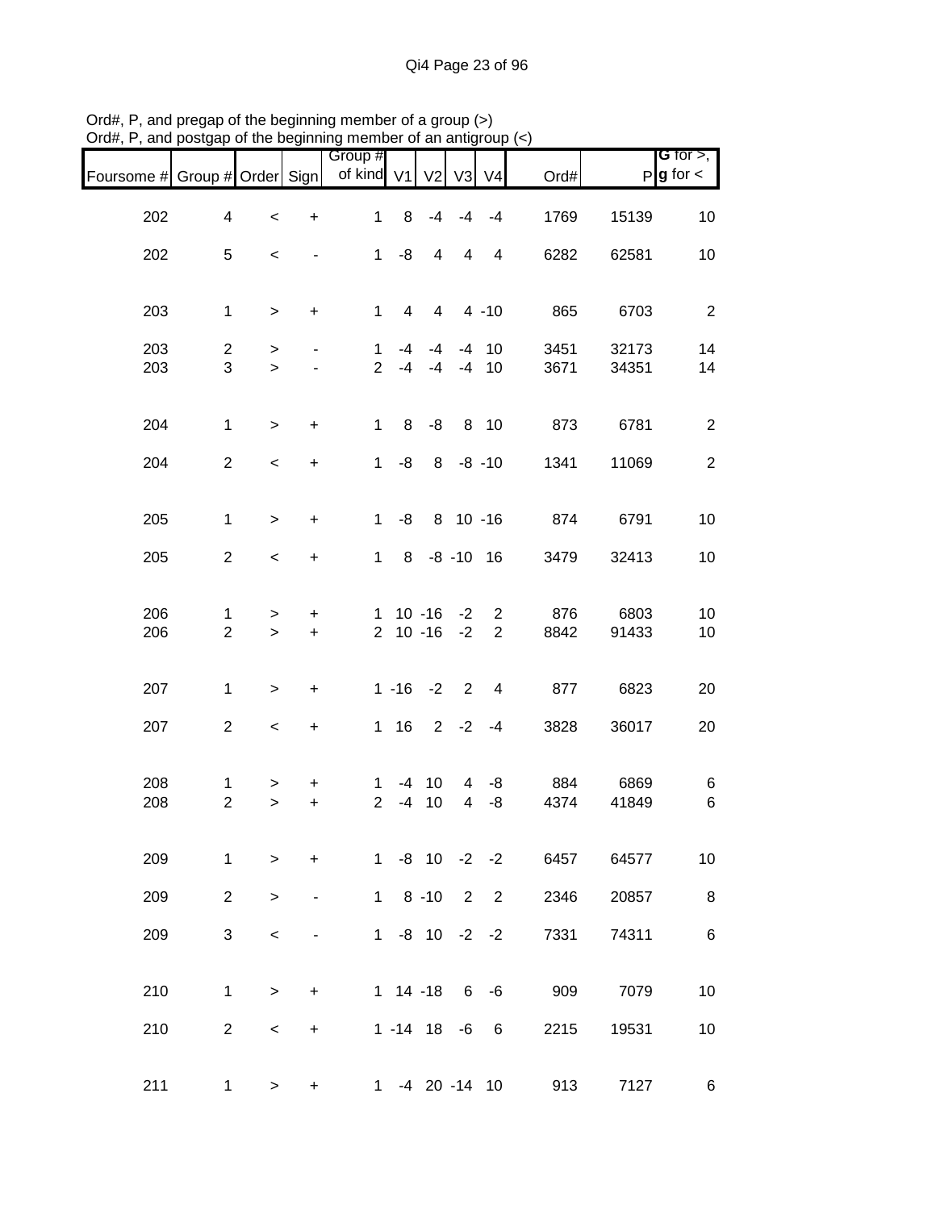|                               |                                |                          |                | Group #             |                |                      |                |                |                     |                | <b>G</b> for $>$ ,     |
|-------------------------------|--------------------------------|--------------------------|----------------|---------------------|----------------|----------------------|----------------|----------------|---------------------|----------------|------------------------|
| Foursome # Group # Order Sign |                                |                          |                | of kind V1          |                | V <sub>2</sub>       | V <sub>3</sub> | V <sub>4</sub> | Ord#                |                | $P$ <b>g</b> for $\lt$ |
| 202                           | 4                              | $\,<$                    | $\ddot{}$      | $\mathbf{1}$        | 8              | $-4$                 | $-4$           | $-4$           | 1769                | 15139          | 10                     |
| 202                           | 5                              | $\,<\,$                  |                | $\mathbf{1}$        | -8             | 4                    | 4              | 4              | 6282                | 62581          | 10                     |
|                               |                                |                          |                |                     |                |                      |                |                |                     |                |                        |
| 203                           | $\mathbf{1}$                   | $\,>$                    | +              | $\mathbf{1}$        | $\overline{4}$ | $4\overline{ }$      |                | $4 - 10$       | 865                 | 6703           | $\overline{2}$         |
| 203<br>203                    | $\overline{2}$<br>3            | ><br>$\geq$              |                | 1<br>$\overline{2}$ | $-4$<br>$-4$   | -4<br>$-4$           | $-4$           | $-4$ 10<br>10  | 3451<br>3671        | 32173<br>34351 | 14<br>14               |
|                               |                                |                          |                |                     |                |                      |                |                |                     |                |                        |
| 204                           | $\mathbf{1}$                   | $\geq$                   | $\ddot{}$      | $\mathbf{1}$        | 8              | -8                   |                | 8 10           | 873                 | 6781           | $\overline{2}$         |
| 204                           | $\overline{2}$                 | $\,<$                    | $\ddot{}$      | 1                   | -8             |                      |                | $8 - 8 - 10$   | 1341                | 11069          | $\overline{2}$         |
| 205                           | $\mathbf{1}$                   |                          |                | $1 \quad$           | -8             |                      |                | 8 10 -16       | 874                 | 6791           | 10                     |
|                               |                                | $\geq$                   | $\ddot{}$      |                     |                |                      |                |                |                     |                |                        |
| 205                           | $\overline{2}$                 | $\overline{\phantom{a}}$ | +              | 1                   |                | 8 -8 -10 16          |                |                | 3479                | 32413          | 10                     |
| 206                           | $\mathbf{1}$                   | >                        | +              |                     |                | $1 \t10 - 16 - 2$    |                | $\overline{2}$ | 876                 | 6803           | 10                     |
| 206                           | $\overline{2}$                 | $\geq$                   | $\ddot{}$      |                     |                | $2 10 - 16 - 2$      |                | 2              | 8842                | 91433          | 10                     |
| 207                           | $\mathbf{1}$                   | $\,$                     | +              |                     | $1 - 16$       | $-2$                 | $\overline{2}$ | $\overline{4}$ | 877                 | 6823           | 20                     |
| 207                           | $\overline{c}$                 | $\,<$                    | +              |                     | $1 \t16$       |                      | $2 -2$         | $-4$           | 3828                | 36017          | 20                     |
|                               |                                |                          |                |                     |                |                      |                |                |                     |                |                        |
| 208<br>208                    | $\mathbf{1}$<br>$\overline{2}$ | $\, > \,$<br>$\geq$      | +<br>$\ddot{}$ | 1<br>$\overline{2}$ | -4<br>$-4$     | 10<br>10             | 4<br>4         | -8<br>-8       | 884<br>4374         | 6869<br>41849  | 6<br>6                 |
|                               |                                |                          |                |                     |                |                      |                |                |                     |                |                        |
| 209                           | $\mathbf{1}$                   | $\geq$                   | $\ddot{}$      |                     |                | $1 - 8$ 10 $-2$ $-2$ |                |                | 6457                | 64577          | 10                     |
| 209                           | $2^{\circ}$                    | $\geq$                   | $\blacksquare$ |                     |                |                      |                |                | 1 8 -10 2 2<br>2346 | 20857          | $\bf8$                 |
| 209                           | 3                              | $\,<\,$                  |                |                     |                | $1 - 8$ 10 $-2$ $-2$ |                |                | 7331                | 74311          | $\,6\,$                |
|                               |                                |                          |                |                     |                |                      |                |                |                     |                |                        |
| 210                           | $\mathbf{1}$                   | $\,>$                    | +              |                     |                | $1 14 - 18 6 - 6$    |                |                | 909                 | 7079           | 10                     |
| 210                           | $\overline{2}$                 | $\,<\,$                  | $\ddot{}$      |                     |                | $1 - 14$ 18 $-6$ 6   |                |                | 2215                | 19531          | 10                     |
| 211                           | 1                              | $\, > \,$                | $\ddot{}$      |                     |                |                      |                |                | 1 -4 20 -14 10      | 913<br>7127    | $\,6$                  |

Ord#, P, and pregap of the beginning member of a group (>) Ord#, P, and postgap of the beginning member of an antigroup (<)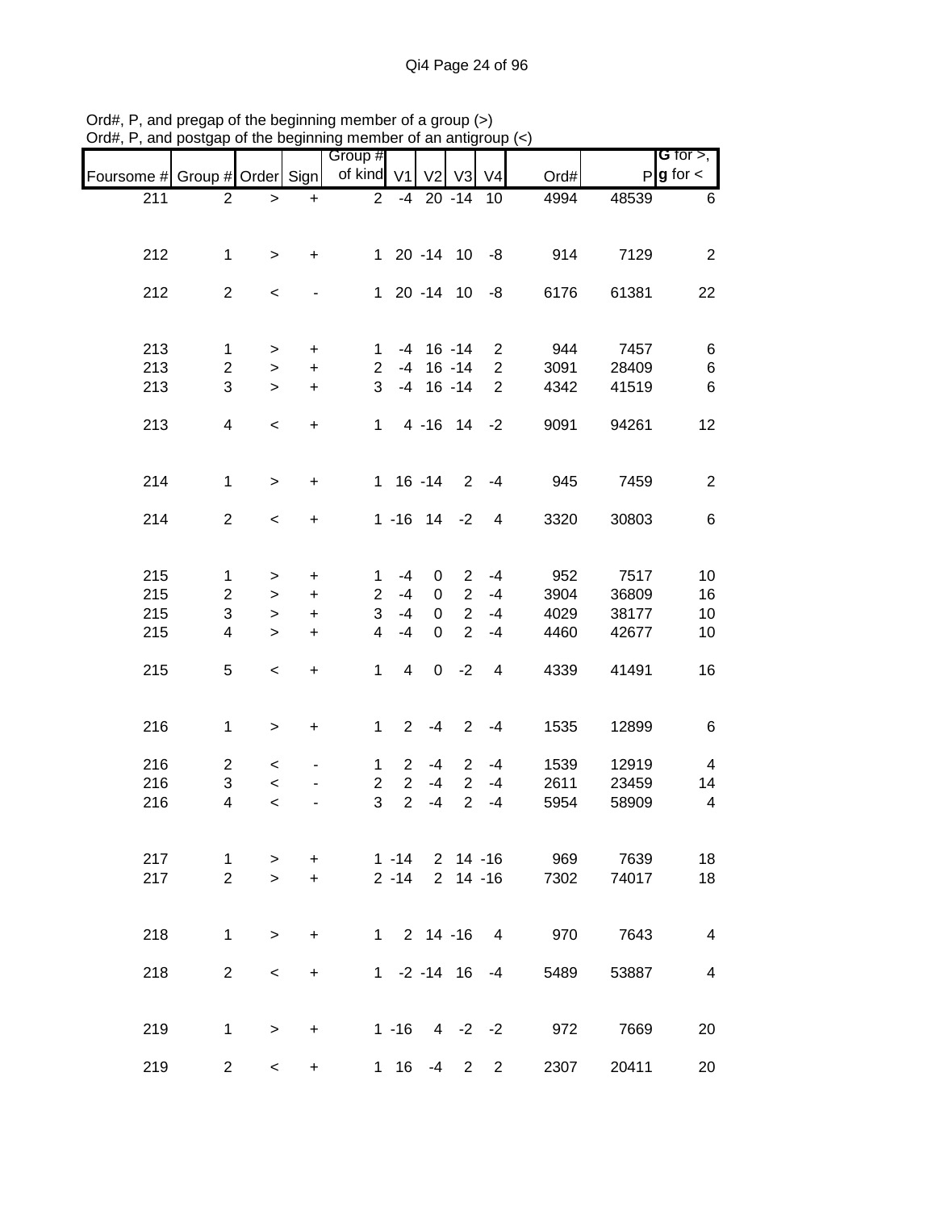|            |                         |              |           | Group #        |                |                                |                |                      |      |       | <b>G</b> for $>$ ,       |
|------------|-------------------------|--------------|-----------|----------------|----------------|--------------------------------|----------------|----------------------|------|-------|--------------------------|
| Foursome # | Group # Order Sign      |              |           | of kind V1     |                | V <sub>2</sub>                 | V3             | V <sub>4</sub>       | Ord# |       | $P$ <b>g</b> for $\lt$   |
|            |                         |              |           | $\overline{2}$ |                |                                |                | 10                   |      | 48539 |                          |
| 211        | $\overline{2}$          | >            | $\ddot{}$ |                |                | $-4$ 20 $-14$                  |                |                      | 4994 |       | 6                        |
| 212        | $\mathbf{1}$            | $\geq$       | $\ddot{}$ |                |                | $120 - 1410 - 8$               |                |                      | 914  | 7129  | $\overline{2}$           |
| 212        | $\overline{c}$          | $\,<$        |           |                |                | 1 20 -14 10                    |                | -8                   | 6176 | 61381 | 22                       |
| 213        | $\mathbf 1$             | $\, > \,$    | $\ddot{}$ | 1              |                | $-4$ 16 $-14$                  |                | $2^{\circ}$          | 944  | 7457  | 6                        |
| 213        | 2                       | $\,>$        | $\ddot{}$ | $\overline{2}$ |                | $-4$ 16 $-14$                  |                | $\overline{2}$       | 3091 | 28409 | $\,6$                    |
| 213        | 3                       | $\geq$       | $\ddot{}$ | 3              |                | $-4$ 16 $-14$                  |                | $\overline{2}$       | 4342 | 41519 | 6                        |
| 213        | $\overline{\mathbf{4}}$ | $\,<$        | $\ddot{}$ |                |                | 1 4 -16 14                     |                | $-2$                 | 9091 | 94261 | 12                       |
| 214        | $\mathbf{1}$            | $\,>$        | $\ddot{}$ |                |                | $1 \t16 - 14$                  |                | $2 - 4$              | 945  | 7459  | $\overline{2}$           |
| 214        | $\overline{2}$          | $\,<$        | $\ddot{}$ |                |                | $1 - 16$ 14 $-2$               |                | 4                    | 3320 | 30803 | 6                        |
| 215        | $\mathbf{1}$            | >            | +         | $\mathbf{1}$   | -4             | 0                              | $\overline{2}$ | $-4$                 | 952  | 7517  | 10                       |
| 215        | $\overline{2}$          | $\mathbf{I}$ | $\ddot{}$ | $\overline{a}$ | $-4$           | 0                              | 2              | $-4$                 | 3904 | 36809 | 16                       |
| 215        | 3                       | $\mathbf{I}$ | $\ddot{}$ | 3              | $-4$           | $\mathbf 0$                    | $\overline{2}$ | $-4$                 | 4029 | 38177 | 10                       |
| 215        | $\overline{\mathbf{4}}$ | $\mathbf{I}$ | $\ddot{}$ | $\overline{4}$ | $-4$           | $\Omega$                       | $\overline{2}$ | $-4$                 | 4460 | 42677 | 10                       |
| 215        | 5                       | $\,<$        | $\ddot{}$ | $\mathbf{1}$   | $\overline{4}$ | $\overline{0}$                 | $-2$           | $\overline{4}$       | 4339 | 41491 | 16                       |
| 216        | $\mathbf{1}$            | $\geq$       | $\ddot{}$ | $\mathbf{1}$   | $\overline{2}$ | $-4$                           | $\overline{2}$ | $-4$                 | 1535 | 12899 | 6                        |
| 216        | $\overline{c}$          | $\,<\,$      |           | $\mathbf{1}$   | $\overline{2}$ | $-4$                           | $\overline{2}$ | -4                   | 1539 | 12919 | 4                        |
| 216        | 3                       | $\,<$        |           | $\overline{2}$ | $\overline{2}$ | -4                             | $\overline{2}$ | $-4$                 | 2611 | 23459 | 14                       |
| 216        | 4                       | $\prec$      |           | 3              | $\overline{2}$ | -4                             | $\overline{2}$ | $-4$                 | 5954 | 58909 | $\overline{\mathcal{A}}$ |
| 217        | 1                       | $\, > \,$    | $\ddot{}$ |                | $1 - 14$       |                                |                | 2 14 -16             | 969  | 7639  | 18                       |
| 217        | $\overline{2}$          | $\geq$       | $+$       |                | $2 - 14$       |                                |                | $2$ 14 -16           | 7302 | 74017 | 18                       |
| 218        | $\mathbf{1}$            | $\geq$       | $\ddot{}$ |                |                | $1 \quad 2 \quad 14 \quad -16$ |                | $\overline{4}$       | 970  | 7643  | $\overline{4}$           |
| 218        | $\overline{2}$          | $\,<\,$      | $\ddot{}$ |                |                |                                |                | $1 - 2 - 14$ 16 $-4$ | 5489 | 53887 | 4                        |
| 219        | $\mathbf{1}$            | $\,$         | $\ddot{}$ |                | $1 - 16$       |                                |                | $4 -2 -2$            | 972  | 7669  | 20                       |
| 219        | $\overline{2}$          | $\prec$      | $+$       |                | $1 \t16$       |                                | $-4$ 2         | $2^{\circ}$          | 2307 | 20411 | 20                       |

Ord#, P, and pregap of the beginning member of a group (>) Ord#, P, and postgap of the beginning member of an antigroup (<)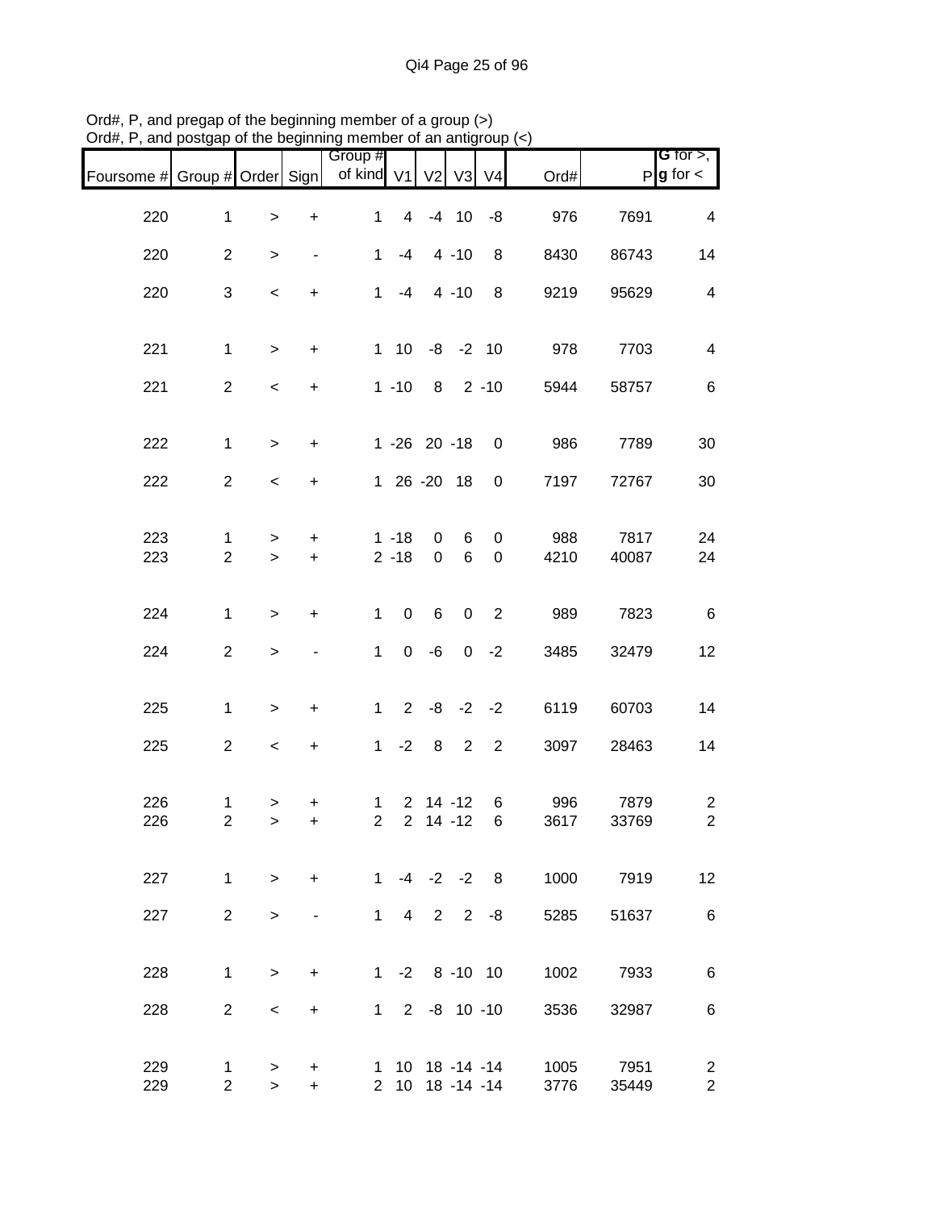| Foursome # Group # Order Sign |                     |                          |                                  | Group #<br>of kind V1          |                                  | V <sub>2</sub>    | V3 V4               |                                    | Ord#         |               | <b>G</b> for $>$ ,<br>$P$ <b>g</b> for $\lt$ |
|-------------------------------|---------------------|--------------------------|----------------------------------|--------------------------------|----------------------------------|-------------------|---------------------|------------------------------------|--------------|---------------|----------------------------------------------|
| 220                           | $\mathbf{1}$        | $\, >$                   | +                                | 1                              | $\overline{4}$                   |                   | $-4$ 10             | -8                                 | 976          | 7691          | $\overline{4}$                               |
| 220                           | $\overline{2}$      | $\, > \,$                | $\overline{\phantom{a}}$         | $\mathbf{1}$                   | $-4$                             |                   | $4 - 10$            | 8                                  | 8430         | 86743         | 14                                           |
| 220                           | 3                   | $\overline{\phantom{a}}$ | $\ddot{}$                        | 1                              | $-4$                             |                   | $4 - 10$            | 8                                  | 9219         | 95629         | $\overline{\mathcal{A}}$                     |
| 221                           | $\mathbf{1}$        | $\geq$                   | $\ddot{}$                        |                                | $1 \quad 10$                     |                   | $-8$ $-2$ 10        |                                    | 978          | 7703          | 4                                            |
| 221                           | $\overline{2}$      | $\,<$                    | $\ddot{}$                        |                                | $1 - 10$                         | 8                 |                     | $2 - 10$                           | 5944         | 58757         | 6                                            |
| 222                           | $\mathbf{1}$        | $\geq$                   | $\ddot{}$                        |                                |                                  | 1 -26 20 -18      |                     | 0                                  | 986          | 7789          | 30                                           |
| 222                           | $\overline{c}$      | $\overline{\phantom{a}}$ | $\ddot{}$                        |                                |                                  | 1 26 -20 18       |                     | 0                                  | 7197         | 72767         | 30                                           |
| 223<br>223                    | 1<br>$\overline{2}$ | $\, > \,$<br>$\geq$      | +<br>$\ddot{}$                   |                                | $1 - 18$<br>$2 - 18$             | 0<br>$\mathbf 0$  | 6<br>6              | $\mathbf 0$<br>0                   | 988<br>4210  | 7817<br>40087 | 24<br>24                                     |
| 224                           | $\mathbf{1}$        | $\,>$                    | +                                | $\mathbf{1}$                   | $\mathsf 0$                      | 6                 | $\mathbf 0$         | $\overline{\phantom{0}}$ 2         | 989          | 7823          | $\,6$                                        |
| 224                           | $\overline{2}$      | $\,$                     |                                  | $\mathbf{1}$                   | $\mathbf 0$                      | -6                |                     | $0 -2$                             | 3485         | 32479         | 12                                           |
| 225                           | $\mathbf{1}$        | $\,$                     | $\ddot{}$                        | $\mathbf{1}$                   | $2^{\circ}$                      |                   |                     | $-8$ $-2$ $-2$                     | 6119         | 60703         | 14                                           |
| 225                           | $\overline{c}$      | $\,<$                    | $\begin{array}{c} + \end{array}$ | 1                              | $-2$                             | 8                 | $\overline{2}$      | $\overline{2}$                     | 3097         | 28463         | 14                                           |
| 226<br>226                    | 1<br>$\overline{2}$ | ><br>$\,>$               | +<br>$\ddot{}$                   | $\mathbf{1}$<br>$\overline{2}$ | $\overline{2}$<br>$\overline{2}$ |                   | 14 -12<br>$14 - 12$ | 6<br>6                             | 996<br>3617  | 7879<br>33769 | $\overline{c}$<br>$\overline{c}$             |
| 227                           | $\mathbf{1}$        | $\geq$                   | $+$                              |                                |                                  |                   |                     | $1 -4 -2 -2 8$                     | 1000         | 7919          | 12 <sub>2</sub>                              |
| 227                           | $\overline{2}$      | $\geq$                   | $\overline{\phantom{a}}$         | $1 \quad$                      |                                  | $4$ 2 2           |                     | -8                                 | 5285         | 51637         | 6                                            |
| 228                           | $\mathbf{1}$        | $\geq$                   | +                                |                                |                                  | $1 - 2 8 - 10 10$ |                     |                                    | 1002         | 7933          | 6                                            |
| 228                           | $\overline{2}$      | $\,<\,$                  | $\ddot{}$                        |                                |                                  |                   |                     | $1 \t2 \t-8 \t10 \t-10$            | 3536         | 32987         | 6                                            |
| 229<br>229                    | 1<br>$\overline{2}$ | $\geq$<br>$\, > \,$      | +<br>$+$                         |                                |                                  |                   |                     | 1 10 18 -14 -14<br>2 10 18 -14 -14 | 1005<br>3776 | 7951<br>35449 | $\overline{2}$<br>$\overline{2}$             |

Ord#, P, and pregap of the beginning member of a group (>) Ord#, P, and postgap of the beginning member of an antigroup (<)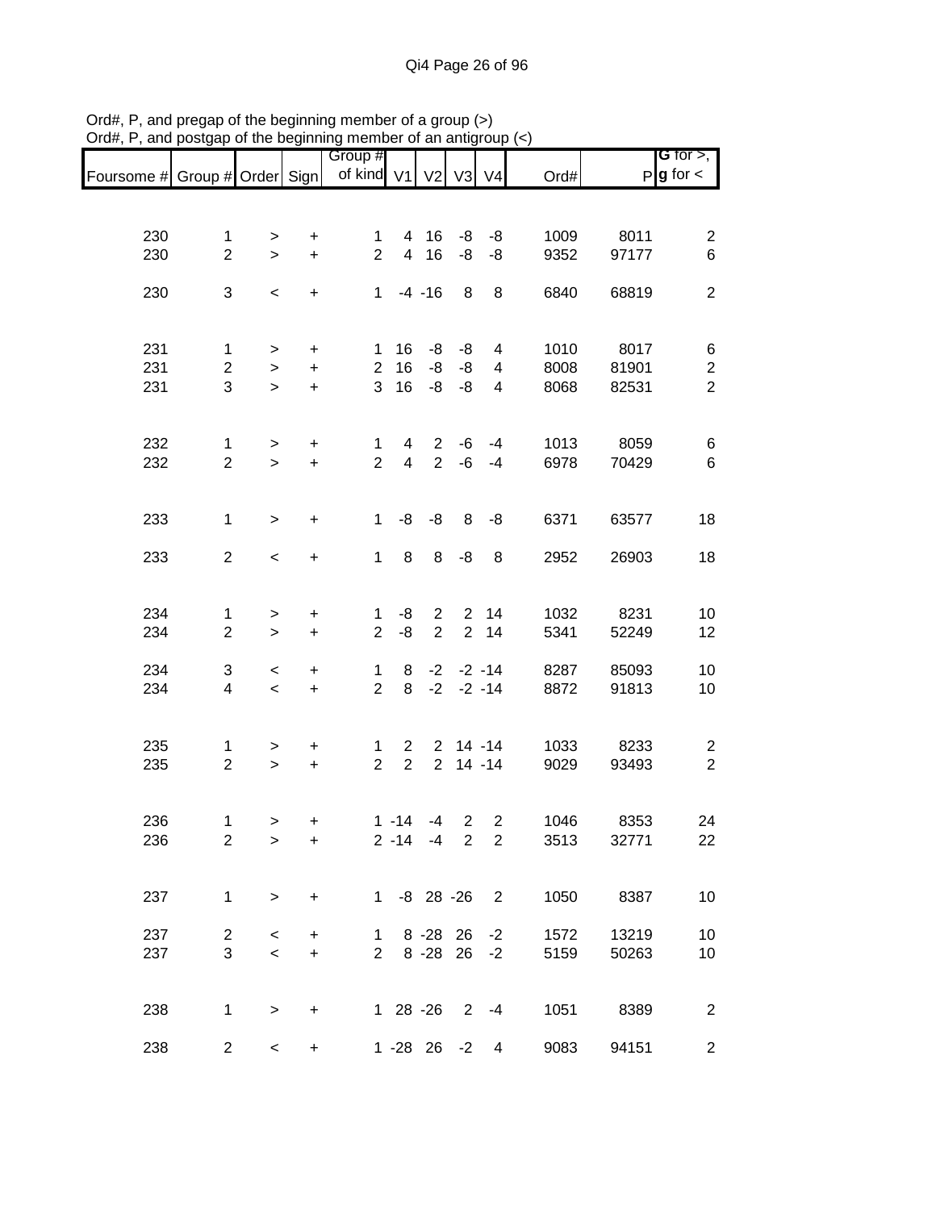| Foursome # Group # Order Sign |                                              |                      |                                               | Group #<br>of kind V1    |                                | V <sub>2</sub>                   | V3 V4          |                        | Ord#                 |                        | G for $>$ ,<br>$P g$ for $\lt$                 |
|-------------------------------|----------------------------------------------|----------------------|-----------------------------------------------|--------------------------|--------------------------------|----------------------------------|----------------|------------------------|----------------------|------------------------|------------------------------------------------|
|                               |                                              |                      |                                               |                          |                                |                                  |                |                        |                      |                        |                                                |
| 230<br>230                    | $\mathbf{1}$<br>$\overline{2}$               | $\, > \,$<br>$\geq$  | $\ddot{}$<br>$\ddot{}$                        | 1<br>$\overline{2}$      | $\overline{4}$                 | 4 16<br>16                       | -8<br>-8       | -8<br>-8               | 1009<br>9352         | 8011<br>97177          | $\overline{c}$<br>$\,6\,$                      |
| 230                           | 3                                            | $\,<\,$              | $\ddot{}$                                     | $\mathbf{1}$             |                                | $-4 - 16$                        | 8              | 8                      | 6840                 | 68819                  | $\boldsymbol{2}$                               |
| 231<br>231<br>231             | $\mathbf{1}$<br>$\overline{\mathbf{c}}$<br>3 | ><br>$\,>$<br>$\geq$ | +<br>$\ddot{}$<br>$\ddot{}$                   | 1<br>$\overline{c}$<br>3 | 16<br>16<br>16                 | -8<br>-8<br>-8                   | -8<br>-8<br>-8 | 4<br>4<br>4            | 1010<br>8008<br>8068 | 8017<br>81901<br>82531 | 6<br>$\overline{\mathbf{c}}$<br>$\overline{2}$ |
|                               |                                              |                      |                                               |                          |                                |                                  |                |                        |                      |                        |                                                |
| 232<br>232                    | 1<br>$\overline{2}$                          | ><br>$\,$            | $\ddot{}$<br>$\ddot{}$                        | 1<br>$\overline{2}$      | 4<br>$\overline{4}$            | $2^{\circ}$<br>$\overline{2}$    | -6<br>$-6$     | -4<br>$-4$             | 1013<br>6978         | 8059<br>70429          | 6<br>6                                         |
| 233                           | $\mathbf{1}$                                 | $\,$                 | $\ddot{}$                                     | $\mathbf 1$              | -8                             | -8                               | 8              | -8                     | 6371                 | 63577                  | 18                                             |
| 233                           | $\overline{2}$                               | $\,<$                | $\ddot{}$                                     | $\mathbf{1}$             | 8                              | 8                                | -8             | 8                      | 2952                 | 26903                  | 18                                             |
| 234<br>234                    | $\mathbf{1}$<br>$\overline{2}$               | $\, > \,$<br>$\geq$  | $\begin{array}{c} + \end{array}$<br>$\ddot{}$ | 1<br>$\overline{2}$      | -8<br>-8                       | $\overline{2}$<br>$\overline{2}$ | $\overline{2}$ | 2 14<br>14             | 1032<br>5341         | 8231<br>52249          | 10<br>12                                       |
| 234<br>234                    | 3<br>4                                       | $\,<$<br>$\,<$       | $\begin{array}{c} + \end{array}$<br>$\ddot{}$ | 1<br>$\overline{2}$      | 8<br>8                         | $-2$<br>$-2$                     |                | $-2 - 14$<br>$-2 - 14$ | 8287<br>8872         | 85093<br>91813         | 10<br>10                                       |
| 235<br>235                    | 1<br>$\overline{2}$                          | ><br>$\,$            | $\ddot{}$<br>$\ddot{}$                        | 1<br>$\overline{2}$      | $\mathbf{2}$<br>$\overline{2}$ | $\overline{2}$                   | $2$ 14 -14     | $14 - 14$              | 1033<br>9029         | 8233<br>93493          | $\overline{c}$<br>$\overline{c}$               |
| 236<br>236                    | $\mathbf 1$<br>$\overline{2}$                | $\, >$<br>$\,>$      | +<br>$\ddot{}$                                |                          | $1 - 14$                       | -4<br>$2 - 14 - 4$ 2             | 2              | $\overline{c}$<br>2    | 1046<br>3513         | 8353<br>32771          | 24<br>22                                       |
| 237                           | $\mathbf{1}$                                 | $\geq$               | $\ddot{}$                                     |                          |                                | 1 -8 28 -26 2                    |                |                        |                      | 1050 8387              | 10                                             |
| 237<br>237                    | $\overline{2}$<br>3                          | $\,<\,$<br>$\prec$   | $+$<br>$+$                                    | $\mathbf{1}$             |                                | 8 - 28 26<br>2 8 - 28 26         |                | $-2$<br>$-2$           | 1572<br>5159         | 13219<br>50263         | 10<br>10                                       |
| 238                           | $\mathbf{1}$                                 | $\, > \,$            | $\ddot{}$                                     |                          |                                | 1 28 -26 2 -4                    |                |                        | 1051                 | 8389                   | $\overline{c}$                                 |
| 238                           | $\overline{2}$                               | $\,<\,$              | $\ddot{}$                                     |                          |                                | 1 -28 26                         | $-2$           | 4                      | 9083                 | 94151                  | $\overline{2}$                                 |

Ord#, P, and pregap of the beginning member of a group (>) Ord#, P, and postgap of the beginning member of an antigroup (<)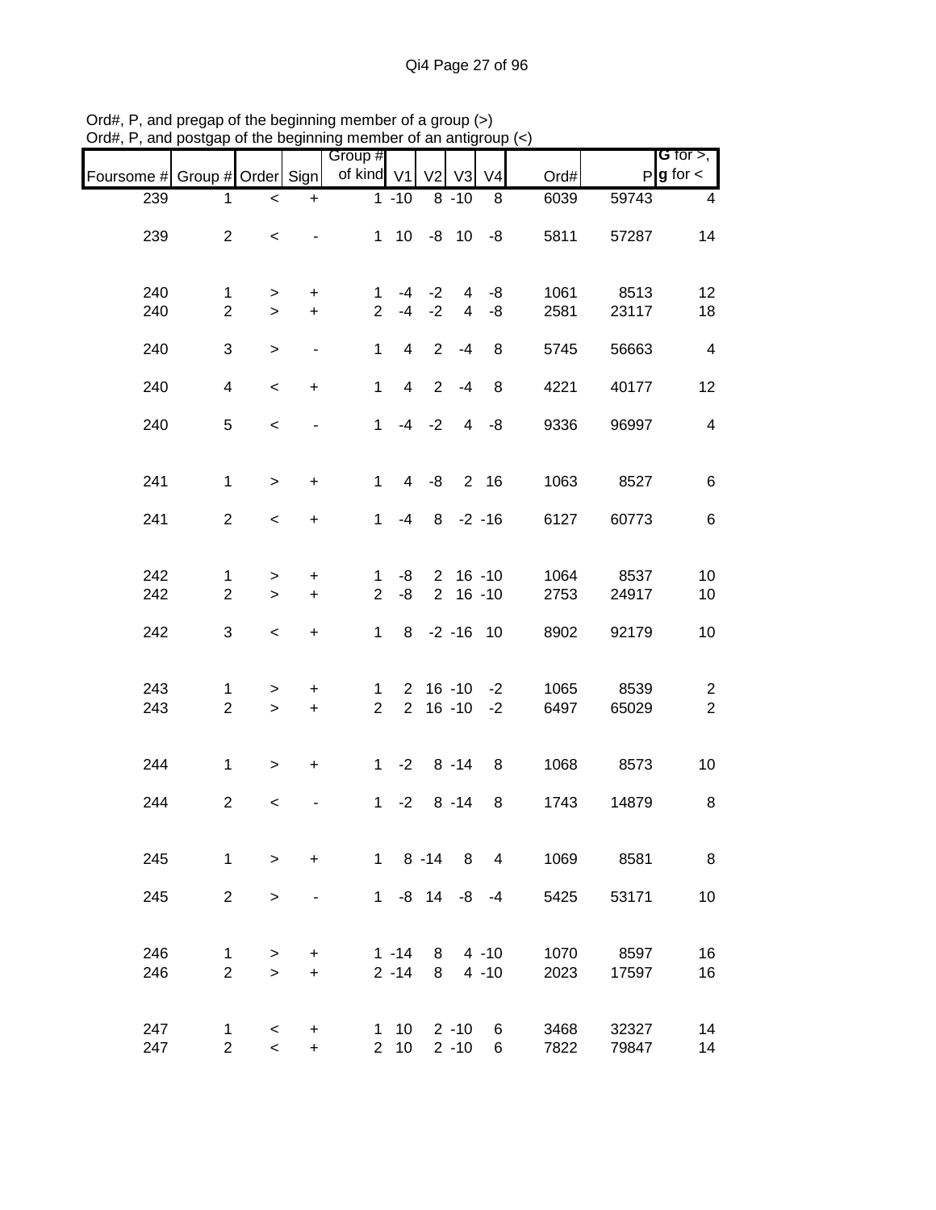|                               |                                |                                                      |                  | Group #                       |                        |                |                      |                                         |              |                | <b>G</b> for $>$ ,               |
|-------------------------------|--------------------------------|------------------------------------------------------|------------------|-------------------------------|------------------------|----------------|----------------------|-----------------------------------------|--------------|----------------|----------------------------------|
| Foursome # Group # Order Sign |                                |                                                      |                  | of kind V1                    |                        | V <sub>2</sub> | V3                   | V <sub>4</sub>                          | Ord#         |                | $P$ <b>g</b> for $\lt$           |
| 239                           | 1.                             | $\,<$                                                | $\ddot{}$        |                               | $1 - 10$               |                | $8 - 10$             | 8                                       | 6039         | 59743          | 4                                |
| 239                           | $\overline{2}$                 | $\overline{\phantom{a}}$                             |                  |                               |                        |                |                      | $1 10 -8 10 -8$                         | 5811         | 57287          | 14                               |
| 240                           | $\mathbf{1}$                   | >                                                    | $\ddot{}$        | $\mathbf{1}$                  |                        | $-4$ $-2$      | 4                    | -8                                      | 1061         | 8513           | 12                               |
| 240                           | $\overline{2}$                 | $\geq$                                               | $\ddot{}$        | $\overline{2}$                | $-4$                   | $-2$           | $\overline{4}$       | -8                                      | 2581         | 23117          | 18                               |
| 240                           | 3                              | $\,>$                                                | $\blacksquare$   | $\mathbf{1}$                  | 4                      | $\overline{2}$ | $-4$                 | 8                                       | 5745         | 56663          | $\overline{\mathbf{4}}$          |
| 240                           | 4                              | $\overline{\phantom{a}}$                             | $+$              | $\mathbf{1}$                  | $\overline{4}$         | $\overline{2}$ | -4                   | 8                                       | 4221         | 40177          | 12                               |
| 240                           | 5                              | $\,<$                                                |                  | $\mathbf{1}$                  |                        | $-4 -2$        | $\overline{4}$       | -8                                      | 9336         | 96997          | $\overline{\mathbf{4}}$          |
| 241                           | $\mathbf{1}$                   | $\, >$                                               | $\ddot{}$        | $\mathbf{1}$                  | $\overline{4}$         | -8             |                      | 2 16                                    | 1063         | 8527           | 6                                |
| 241                           | $\overline{2}$                 | $\,<$                                                | $\ddot{}$        |                               | $1 -4$                 |                |                      | $8 - 2 - 16$                            | 6127         | 60773          | 6                                |
| 242                           | $\mathbf{1}$                   | $\, > \,$                                            | $\ddot{}$        | $\mathbf 1$                   | -8                     |                |                      | $2, 16 - 10$                            | 1064         | 8537           | 10                               |
| 242                           | $\overline{2}$                 | $\geq$                                               | $\ddot{}$        | $\overline{2}$                | -8                     |                |                      | $2 16 - 10$                             | 2753         | 24917          | 10                               |
| 242                           | 3                              | $\overline{\phantom{a}}$                             | $\ddot{}$        | $\mathbf{1}$                  | 8                      |                |                      | $-2 - 16$ 10                            | 8902         | 92179          | 10                               |
| 243<br>243                    | 1<br>$\overline{2}$            | ><br>$\geq$                                          | +<br>$\ddot{}$   | $\mathbf 1$<br>$\overline{2}$ |                        |                |                      | $2 \t16 \t-10 \t-2$<br>$2 \t16 - 10 -2$ | 1065<br>6497 | 8539<br>65029  | $\overline{c}$<br>$\overline{2}$ |
| 244                           | $\mathbf{1}$                   | $\geq$                                               | $\ddot{}$        |                               | $1 -2 8 -14$           |                |                      | 8                                       | 1068         | 8573           | 10                               |
| 244                           | $\overline{2}$                 | $\,<$                                                |                  | $\mathbf 1$                   | $-2$                   |                | $8 - 14$             | 8                                       | 1743         | 14879          | 8                                |
| 245                           | $\mathbf{1}$                   | $\geq$                                               | $\ddot{}$        |                               |                        |                |                      | $1 \t 8 - 14 \t 8 \t 4$                 |              | 1069 8581      | 8                                |
| 245                           | $\overline{2}$                 | $\geq$                                               |                  |                               |                        |                |                      | $1 - 8$ 14 $-8$ $-4$                    | 5425         | 53171          | 10                               |
| 246<br>246                    | $\mathbf{1}$<br>$\overline{2}$ | $\, > \,$<br>$\geq$                                  | $\ddot{}$<br>$+$ |                               | $1 - 14$<br>$2 - 14$   |                |                      | $8 \t 4 \t -10$<br>$8 \t 4 \t -10$      | 1070<br>2023 | 8597<br>17597  | 16<br>16                         |
| 247<br>247                    | 1<br>$\overline{2}$            | $\overline{\phantom{0}}$<br>$\overline{\phantom{0}}$ | +<br>$+$         |                               | $1 10$<br>$2 \quad 10$ |                | $2 - 10$<br>$2 - 10$ | 6<br>6                                  | 3468<br>7822 | 32327<br>79847 | 14<br>14                         |

Ord#, P, and pregap of the beginning member of a group (>) Ord#, P, and postgap of the beginning member of an antigroup (<)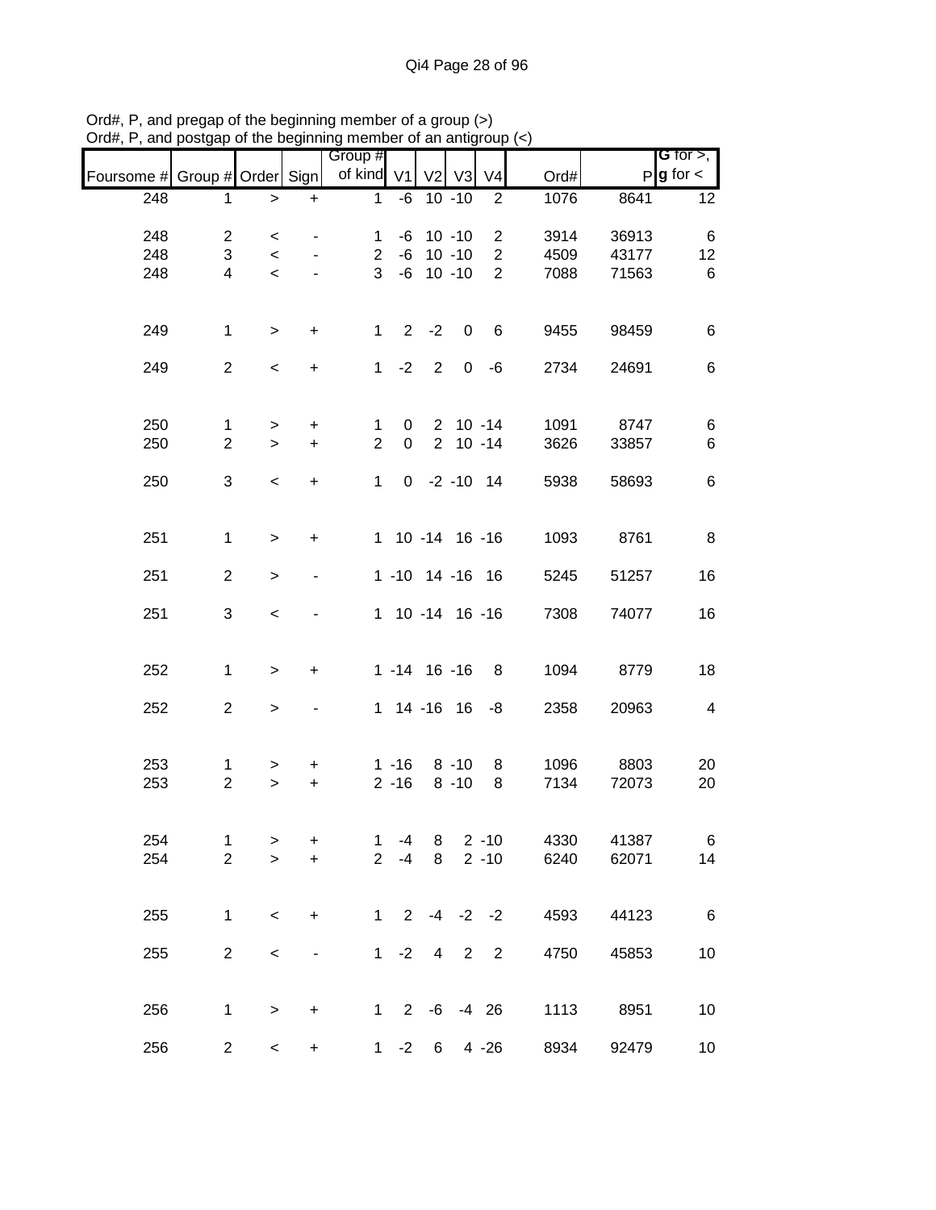|                               |                |         |                  | ייטעוווטוויש ווייייי  |                        | "               |                         |                |      |       |                              |
|-------------------------------|----------------|---------|------------------|-----------------------|------------------------|-----------------|-------------------------|----------------|------|-------|------------------------------|
|                               |                |         |                  | Group #<br>of kind V1 |                        | V <sub>2</sub>  | V3                      | V <sub>4</sub> |      | P     | G for $>$ ,<br>$g$ for $\lt$ |
| Foursome # Group # Order Sign |                |         |                  |                       |                        |                 |                         |                | Ord# |       |                              |
| 248                           | 1              | $\, >$  | $\ddot{}$        | $\mathbf{1}$          | -6                     |                 | $10 - 10$               | $\overline{2}$ | 1076 | 8641  | 12                           |
| 248                           | $\overline{2}$ | $\,<$   |                  | $\mathbf{1}$          | -6                     |                 | $10 - 10$               | $\overline{2}$ | 3914 | 36913 | 6                            |
| 248                           | 3              | $\,<$   |                  | $\overline{2}$        |                        | $-6$ 10 $-10$   |                         | $\overline{a}$ | 4509 | 43177 | 12                           |
| 248                           | 4              | $\prec$ |                  | 3                     |                        | $-6$ 10 $-10$   |                         | $\overline{2}$ | 7088 | 71563 | 6                            |
|                               |                |         |                  |                       |                        |                 |                         |                |      |       |                              |
| 249                           | $\mathbf{1}$   | $\geq$  | $\boldsymbol{+}$ | $\mathbf 1$           |                        | $2 -2$          | $\overline{\mathbf{0}}$ | 6              | 9455 | 98459 | 6                            |
| 249                           | $\overline{2}$ | $\,<$   | $\ddot{}$        | $\mathbf 1$           | $-2$                   | $\overline{2}$  |                         | $0 - 6$        | 2734 | 24691 | $\,6$                        |
| 250                           | $\mathbf{1}$   | $\geq$  | $\ddot{}$        | $\mathbf{1}$          | $\overline{0}$         |                 | $2 10 - 14$             |                | 1091 | 8747  | $\,6$                        |
| 250                           | $\overline{2}$ | $\geq$  | $\ddot{}$        | $\overline{2}$        | $\mathbf 0$            |                 | $2 10 - 14$             |                | 3626 | 33857 | $\,6\,$                      |
|                               |                |         |                  |                       |                        |                 |                         |                |      |       |                              |
| 250                           | 3              | $\,<$   | $\pm$            | $\mathbf{1}$          |                        | $0 -2 -10 14$   |                         |                | 5938 | 58693 | $\,6$                        |
| 251                           | $\mathbf{1}$   | $\geq$  | $\ddot{}$        |                       | 1 10 -14 16 -16        |                 |                         |                | 1093 | 8761  | 8                            |
| 251                           | $\overline{2}$ | $\geq$  |                  |                       | 1 -10 14 -16 16        |                 |                         |                | 5245 | 51257 | 16                           |
| 251                           | 3              | $\,<$   |                  |                       | 1 10 -14 16 -16        |                 |                         |                | 7308 | 74077 | 16                           |
| 252                           | $\mathbf{1}$   | $\,$    | $\ddot{}$        |                       | $1 - 14$ 16 - 16       |                 |                         | 8              | 1094 | 8779  | 18                           |
| 252                           | $\overline{2}$ | $\geq$  |                  |                       | 1 14 -16 16 -8         |                 |                         |                | 2358 | 20963 | $\overline{\mathbf{4}}$      |
| 253                           | $\mathbf{1}$   | >       | +                |                       | $1 - 16$ 8 - 10        |                 |                         | 8              | 1096 | 8803  | 20                           |
| 253                           | $\overline{2}$ | $\,$    | $\ddot{}$        |                       | $2 - 16$               |                 | $8 - 10$                | 8              | 7134 | 72073 | 20                           |
| 254                           | $\mathbf 1$    | >       | +                | 1                     | -4                     | 8               |                         | $2 - 10$       | 4330 | 41387 | 6                            |
| 254                           | $\overline{2}$ | $\geq$  | $\ddot{}$        | $\overline{2}$        | $-4$                   | 8               |                         | $2 - 10$       | 6240 | 62071 | 14                           |
| 255                           | $\mathbf{1}$   | $\,<\,$ | $\ddot{}$        |                       | $1 \t2 \t-4 \t-2 \t-2$ |                 |                         |                | 4593 | 44123 | 6                            |
| 255                           | $\overline{2}$ | $\,<$   |                  |                       | $1 -2$                 | $\overline{4}$  | $\overline{2}$          | $\overline{2}$ | 4750 | 45853 | 10                           |
| 256                           | $\mathbf{1}$   | $\,$    | $\ddot{}$        |                       | $1 \t2 \t-6 \t-4 \t26$ |                 |                         |                | 1113 | 8951  | 10                           |
| 256                           | $\overline{2}$ | $\,<$   | $\ddot{}$        |                       | $1 -2$                 | $6\overline{6}$ |                         | $4 - 26$       | 8934 | 92479 | 10                           |

Ord#, P, and pregap of the beginning member of a group (>) Ord#, P, and postgap of the beginning member of an antigroup (<)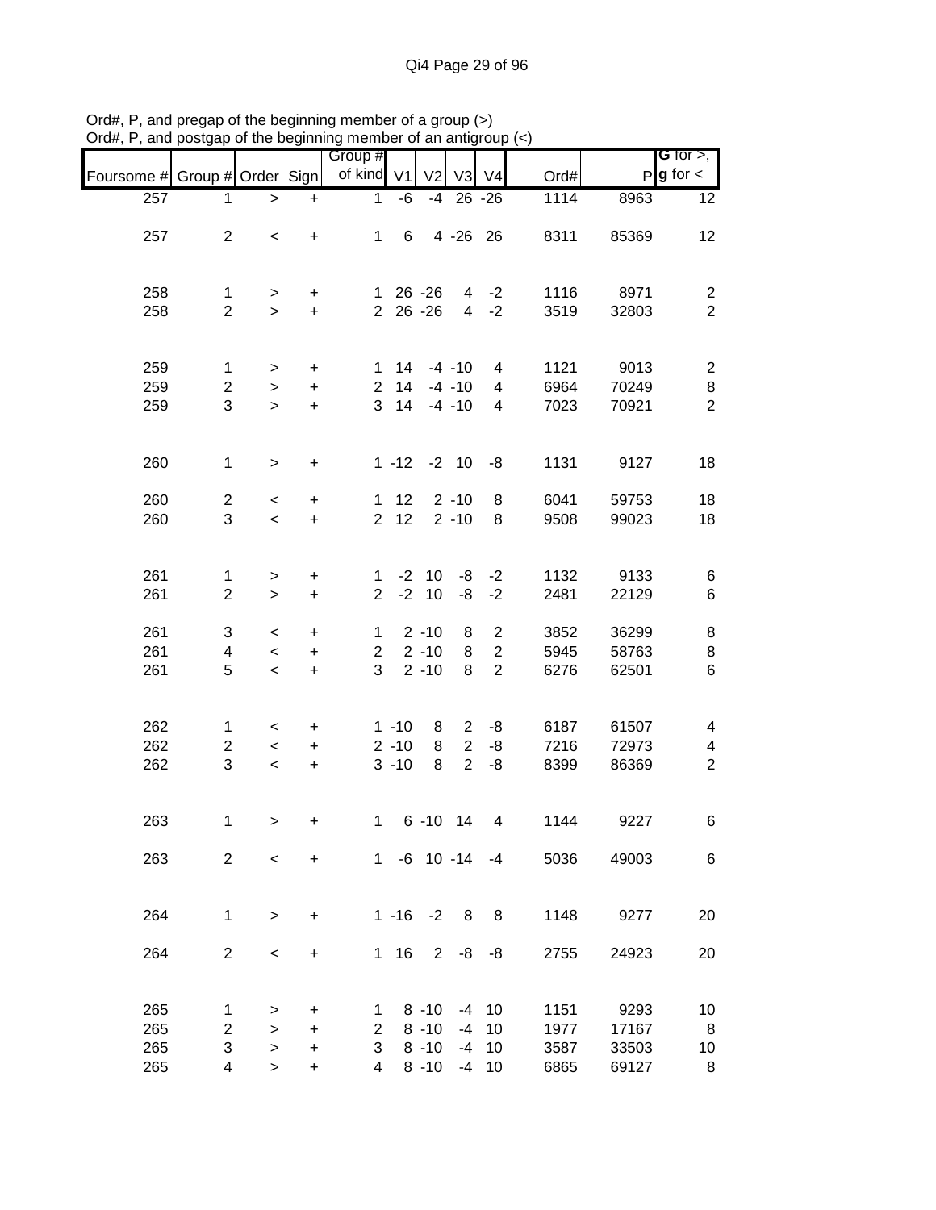|                               |                                |                          |                        | Group #                        |                      |                |                        |                |              |                | <b>G</b> for $>$ ,           |
|-------------------------------|--------------------------------|--------------------------|------------------------|--------------------------------|----------------------|----------------|------------------------|----------------|--------------|----------------|------------------------------|
| Foursome # Group # Order Sign |                                |                          |                        | of kind V1                     |                      | V <sub>2</sub> |                        | $V3$ $V4$      | Ord#         |                | $P$ <b>g</b> for $\lt$       |
| 257                           | 1                              | $\, > \,$                | $\ddot{}$              | 1                              | -6                   | -4             |                        | $26 - 26$      | 1114         | 8963           | 12                           |
|                               |                                |                          |                        |                                |                      |                |                        |                |              |                |                              |
| 257                           | $\overline{2}$                 | $\,<$                    | $\ddot{}$              | $\mathbf{1}$                   | 6                    |                |                        | 4 - 26 26      | 8311         | 85369          | 12                           |
|                               |                                |                          |                        |                                |                      |                |                        |                |              |                |                              |
| 258                           | $\mathbf{1}$                   | >                        | $\ddot{}$              |                                | $126 - 26$           |                |                        | $4 -2$         | 1116         | 8971           | $\overline{c}$               |
| 258                           | $\overline{2}$                 | $\geq$                   | $\ddot{}$              |                                | $2\ 26\ -26$         |                | $\overline{4}$         | $-2$           | 3519         | 32803          | $\overline{2}$               |
|                               |                                |                          |                        |                                |                      |                |                        |                |              |                |                              |
|                               |                                |                          |                        |                                |                      |                |                        |                |              |                |                              |
| 259<br>259                    | 1<br>$\overline{c}$            | $\geq$                   | $\ddot{}$              | 1<br>$\overline{2}$            | 14<br>14             |                | $-4 - 10$<br>$-4 - 10$ | 4<br>4         | 1121<br>6964 | 9013<br>70249  | $\overline{c}$               |
| 259                           | 3                              | $\geq$<br>$\geq$         | $\ddot{}$<br>$\ddot{}$ | 3                              | 14                   |                | $-4 - 10$              | 4              | 7023         | 70921          | 8<br>$\overline{2}$          |
|                               |                                |                          |                        |                                |                      |                |                        |                |              |                |                              |
|                               |                                |                          |                        |                                |                      |                |                        |                |              |                |                              |
| 260                           | $\mathbf{1}$                   | $\geq$                   | $\ddot{}$              |                                | $1 - 12 - 2 10$      |                |                        | -8             | 1131         | 9127           | 18                           |
|                               |                                |                          |                        |                                | 12                   |                | $2 - 10$               |                |              |                |                              |
| 260<br>260                    | $\overline{c}$<br>3            | $\,<\,$<br>$\,<$         | $\ddot{}$<br>$\ddot{}$ | $\mathbf{1}$<br>$\overline{2}$ | 12                   |                | $2 - 10$               | 8<br>8         | 6041<br>9508 | 59753<br>99023 | 18<br>18                     |
|                               |                                |                          |                        |                                |                      |                |                        |                |              |                |                              |
|                               |                                |                          |                        |                                |                      |                |                        |                |              |                |                              |
| 261                           | $\mathbf{1}$                   | $\,>$                    | $\ddot{}$              | $\mathbf{1}$                   |                      | $-2$ 10        | -8                     | $-2$           | 1132         | 9133           | 6                            |
| 261                           | $\overline{2}$                 | $\,$                     | $\ddot{}$              | $\overline{2}$                 | $-2$                 | 10             | -8                     | $-2$           | 2481         | 22129          | 6                            |
| 261                           | 3                              | $\,<\,$                  | $\ddot{}$              | $\mathbf{1}$                   |                      | $2 - 10$       | 8                      | $\overline{2}$ | 3852         | 36299          | 8                            |
| 261                           | 4                              | $\overline{\phantom{a}}$ | $\ddot{}$              | $\overline{2}$                 |                      | $2 - 10$       | 8                      | $\overline{c}$ | 5945         | 58763          | 8                            |
| 261                           | 5                              | $\overline{\phantom{a}}$ | $\pm$                  | 3                              |                      | $2 - 10$       | 8                      | $\overline{2}$ | 6276         | 62501          | 6                            |
|                               |                                |                          |                        |                                |                      |                |                        |                |              |                |                              |
|                               |                                |                          |                        |                                |                      |                |                        |                |              |                |                              |
| 262<br>262                    | $\mathbf{1}$<br>$\overline{c}$ | $\,<\,$<br>$\,<$         | $\ddot{}$<br>$\ddot{}$ |                                | $1 - 10$<br>$2 - 10$ | 8<br>8         | $\overline{2}$<br>2    | -8<br>-8       | 6187<br>7216 | 61507<br>72973 | $\overline{\mathbf{4}}$<br>4 |
| 262                           | 3                              | $\,<$                    | $\pm$                  |                                | $3 - 10$             | 8              | $\overline{2}$         | -8             | 8399         | 86369          | $\boldsymbol{2}$             |
|                               |                                |                          |                        |                                |                      |                |                        |                |              |                |                              |
|                               |                                |                          |                        |                                |                      |                |                        |                |              |                |                              |
| 263                           | $\mathbf 1$                    | $\, > \,$                | +                      | $1 \quad$                      |                      | $6 - 10$ 14    |                        | 4              | 1144         | 9227           | 6                            |
|                               | $\overline{2}$                 |                          |                        |                                |                      |                |                        | 1 -6 10 -14 -4 |              |                |                              |
| 263                           |                                | $\overline{\phantom{0}}$ | $\ddot{}$              |                                |                      |                |                        |                | 5036         | 49003          | 6                            |
|                               |                                |                          |                        |                                |                      |                |                        |                |              |                |                              |
| 264                           | $\mathbf{1}$                   | $\geq$                   | $\ddot{}$              |                                | $1 - 16 - 2$         |                | 8                      | 8 <sup>8</sup> | 1148         | 9277           | 20                           |
|                               |                                |                          |                        |                                |                      |                |                        |                |              |                |                              |
| 264                           | $\overline{2}$                 | $\,<$                    | +                      |                                | $1 \quad 16 \quad 2$ |                | -8                     | -8             | 2755         | 24923          | 20                           |
|                               |                                |                          |                        |                                |                      |                |                        |                |              |                |                              |
| 265                           | 1                              | >                        | $\ddot{}$              | 1                              |                      | $8 - 10$       | -4                     | 10             | 1151         | 9293           | 10                           |
| 265                           | $\overline{c}$                 | $\geq$                   | $\ddot{}$              | $\overline{2}$                 |                      | $8 - 10$       | -4                     | 10             | 1977         | 17167          | 8                            |
| 265                           | 3                              | >                        | +                      | 3                              |                      | $8 - 10$       | $-4$                   | 10             | 3587         | 33503          | 10                           |
| 265                           | 4                              | $\geq$                   | $\ddot{}$              | 4                              |                      | $8 - 10$       | -4                     | 10             | 6865         | 69127          | 8                            |

Ord#, P, and pregap of the beginning member of a group (>) Ord#, P, and postgap of the beginning member of an antigroup (<)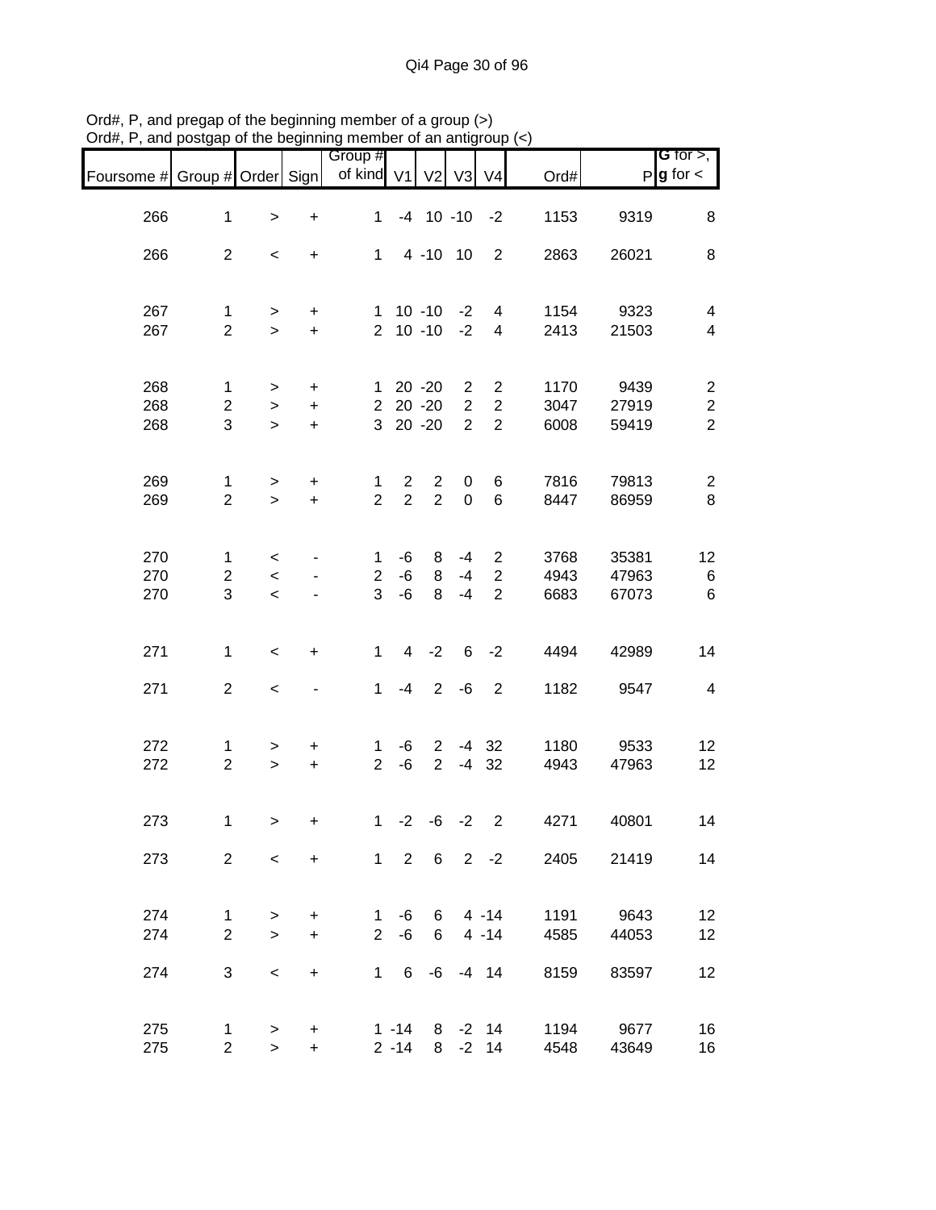| Foursome # Group # Order Sign |                |                          |           | Group #<br>of kind V1 |                | V <sub>2</sub> | V3                 | V <sub>4</sub>     | Ord#                         |       | <b>G</b> for $>$ ,<br>$P$ <b>g</b> for $\lt$ |
|-------------------------------|----------------|--------------------------|-----------|-----------------------|----------------|----------------|--------------------|--------------------|------------------------------|-------|----------------------------------------------|
| 266                           | $\mathbf{1}$   | $\,$                     | $\ddot{}$ | $\mathbf{1}$          |                |                | $-4$ 10 $-10$ $-2$ |                    | 1153                         | 9319  | 8                                            |
| 266                           | $\overline{2}$ | $\,<$                    | $\ddot{}$ | $1 \quad$             |                |                | 4 -10 10           | $\overline{2}$     | 2863                         | 26021 | 8                                            |
|                               |                |                          |           |                       |                |                |                    |                    |                              |       |                                              |
| 267                           | $\mathbf{1}$   | $\geq$                   | $\ddot{}$ |                       |                | $1 \t10 \t-10$ | $-2$               | $\overline{4}$     | 1154                         | 9323  | $\overline{4}$                               |
| 267                           | $\overline{2}$ | $\geq$                   | $+$       |                       |                | $2 10 - 10$    | $-2$               | 4                  | 2413                         | 21503 | $\overline{\mathcal{A}}$                     |
| 268                           | $\mathbf 1$    | $\geq$                   | $\ddot{}$ |                       |                | $120 -20$      | $\overline{2}$     | $\overline{2}$     | 1170                         | 9439  | $\overline{c}$                               |
| 268                           | $\overline{c}$ | $\,>$                    | $\ddot{}$ |                       |                | $2$ 20 -20     | $\overline{2}$     | $\overline{2}$     | 3047                         | 27919 | $\boldsymbol{2}$                             |
| 268                           | 3              | $\geq$                   | $\ddot{}$ |                       |                | 3 20 -20       | 2                  | $\overline{2}$     | 6008                         | 59419 | $\overline{2}$                               |
| 269                           | $\mathbf{1}$   | $\geq$                   | $\ddot{}$ | $\mathbf{1}$          | $\overline{2}$ | $\overline{2}$ | $\mathbf 0$        | 6                  | 7816                         | 79813 | $\overline{c}$                               |
| 269                           | $\overline{2}$ | $\geq$                   | $+$       | $\overline{2}$        | $\overline{2}$ | $\overline{2}$ | $\mathbf 0$        | 6                  | 8447                         | 86959 | 8                                            |
| 270                           | $\mathbf{1}$   | $\lt$                    |           | $\mathbf 1$           | -6             | 8              | $-4$               | $\overline{2}$     | 3768                         | 35381 | 12                                           |
| 270                           | $\overline{2}$ | $\overline{\phantom{a}}$ |           | $\overline{2}$        | $-6$           | 8              | $-4$               | $\overline{2}$     | 4943                         | 47963 | $\,6$                                        |
| 270                           | 3              | $\overline{\phantom{0}}$ |           | 3                     | -6             | 8              | $-4$               | 2                  | 6683                         | 67073 | 6                                            |
| 271                           | $\mathbf{1}$   | $\,<$                    | $\ddot{}$ | $\mathbf{1}$          |                | $4 -2$         |                    | $6 -2$             | 4494                         | 42989 | 14                                           |
| 271                           | $\overline{2}$ | $\,<$                    |           | 1                     | $-4$           |                |                    | $2 -6 2$           | 1182                         | 9547  | $\overline{\mathbf{4}}$                      |
| 272                           | 1              | $\, > \,$                | $\ddot{}$ | $\mathbf 1$           | -6             | $2^{\circ}$    |                    | $-4$ 32            | 1180                         | 9533  | 12                                           |
| 272                           | $\overline{2}$ | $\geq$                   | $+$       | $\overline{2}$        | -6             | $\overline{2}$ |                    | $-4$ 32            | 4943                         | 47963 | 12                                           |
| 273                           | $\mathbf{1}$   | $\,$                     | $\ddot{}$ |                       | $1 -2$         |                | $-6 -2$            | $\overline{2}$     | 4271                         | 40801 | 14                                           |
| 273                           | $\overline{2}$ | $\prec$                  | $+$       |                       |                |                |                    |                    | $1 \t2 \t6 \t2 \t-2$<br>2405 | 21419 | 14                                           |
| 274                           | $\mathbf{1}$   | $\geq$                   | $\ddot{}$ |                       |                |                |                    | $1 - 6$ 6 4 -14    | 1191                         | 9643  | 12                                           |
| 274                           | $\overline{2}$ | $\geq$                   | $+$       | $2^{\circ}$           | -6             |                |                    | 6 4 - 14           | 4585                         | 44053 | 12                                           |
| 274                           | 3              | $\overline{\phantom{0}}$ | $+$       |                       |                |                |                    | 1 6 -6 -4 14       | 8159                         | 83597 | 12                                           |
| 275                           | 1              | $\geq$                   | $\ddot{}$ |                       |                |                |                    | $1 - 14$ 8 $-2$ 14 | 1194                         | 9677  | 16                                           |
| 275                           | $\overline{2}$ | $\geq$                   | $+$       |                       | $2 - 14$       |                |                    | $8 - 2 14$         | 4548                         | 43649 | 16                                           |

Ord#, P, and pregap of the beginning member of a group (>) Ord#, P, and postgap of the beginning member of an antigroup (<)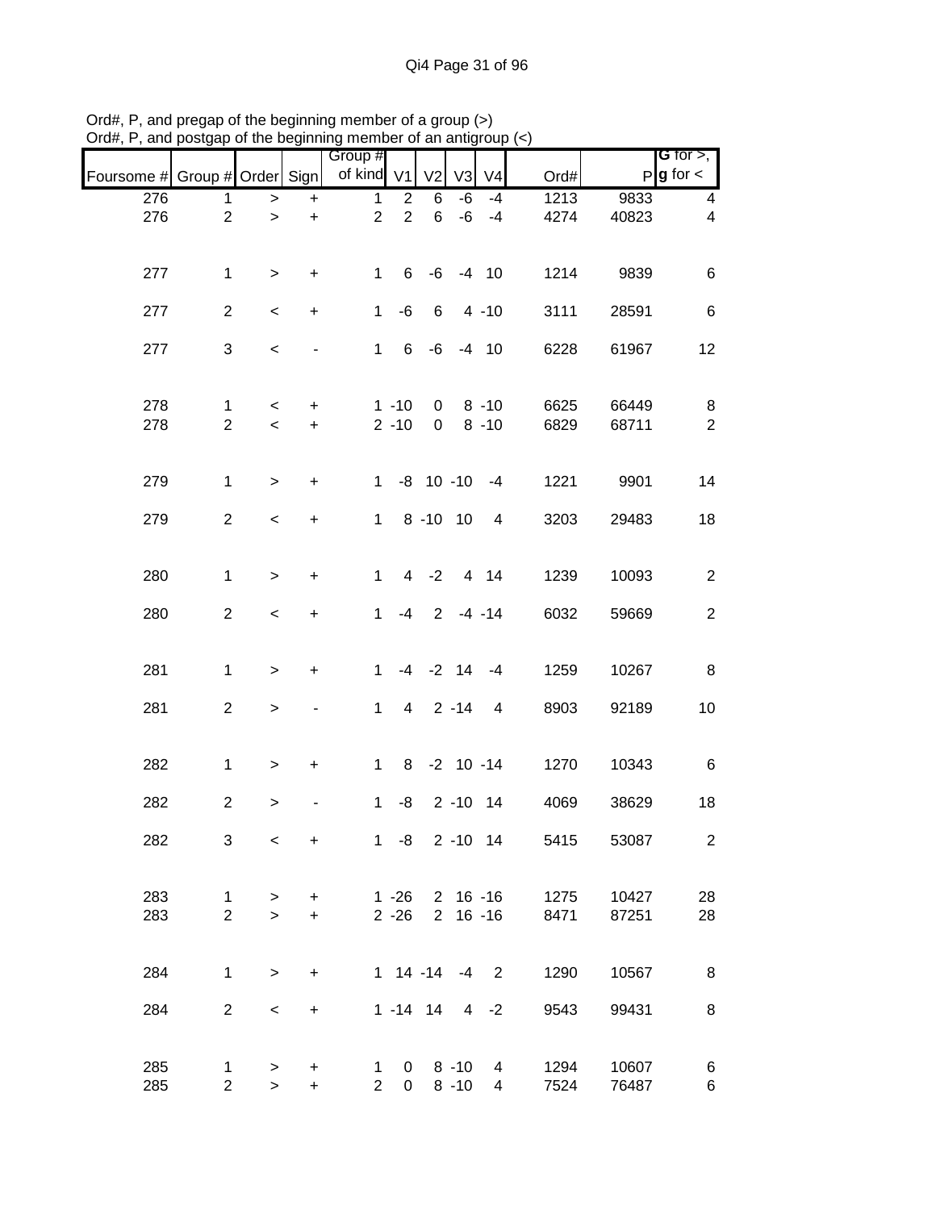|                               |                |                          |           | Group #        |                   |                |                   |                |                       |       | <b>G</b> for $>$ ,      |
|-------------------------------|----------------|--------------------------|-----------|----------------|-------------------|----------------|-------------------|----------------|-----------------------|-------|-------------------------|
| Foursome # Group # Order Sign |                |                          |           | of kind V1     |                   | V <sub>2</sub> | V3                | V <sub>4</sub> | Ord#                  | P     | $g$ for $\lt$           |
| 276                           | 1              | $\, >$                   | $\ddot{}$ | $\mathbf{1}$   | $\overline{2}$    | 6              | -6                | $-4$           | 1213                  | 9833  | 4                       |
| 276                           | $\overline{2}$ | $\, >$                   | $\ddot{}$ | $\overline{2}$ | $\overline{2}$    | 6              | -6                | -4             | 4274                  | 40823 | $\overline{\mathbf{4}}$ |
|                               |                |                          |           |                |                   |                |                   |                |                       |       |                         |
| 277                           | $\mathbf{1}$   | $\geq$                   | $\ddot{}$ | $\mathbf{1}$   |                   |                | $6 - 6 - 4 10$    |                | 1214                  | 9839  | 6                       |
|                               |                |                          |           |                |                   |                |                   |                |                       |       |                         |
| 277                           | $\overline{a}$ | $\,<\,$                  | $\ddot{}$ | $\mathbf{1}$   | -6                | 6              |                   | $4 - 10$       | 3111                  | 28591 | $\,6$                   |
| 277                           | 3              |                          |           | $\mathbf{1}$   |                   |                | $6 - 6 - 4 10$    |                |                       |       | 12                      |
|                               |                | $\,<$                    |           |                |                   |                |                   |                | 6228                  | 61967 |                         |
|                               |                |                          |           |                |                   |                |                   |                |                       |       |                         |
| 278                           | $\mathbf{1}$   | $\,<\,$                  | $\ddot{}$ |                | $1 - 10$          | $\mathbf{0}$   |                   | $8 - 10$       | 6625                  | 66449 | 8                       |
| 278                           | $\overline{2}$ | $\overline{\phantom{a}}$ | $\ddot{}$ |                | $2 - 10$          | 0              |                   | $8 - 10$       | 6829                  | 68711 | $\overline{2}$          |
|                               |                |                          |           |                |                   |                |                   |                |                       |       |                         |
| 279                           | $\mathbf{1}$   | $\geq$                   | $\ddot{}$ |                | $1 - 8$ 10 -10 -4 |                |                   |                | 1221                  | 9901  | 14                      |
|                               |                |                          |           |                |                   |                |                   |                |                       |       |                         |
| 279                           | $\overline{a}$ | $\,<$                    | $\ddot{}$ | $\mathbf{1}$   |                   |                | 8 - 10 10 4       |                | 3203                  | 29483 | 18                      |
|                               |                |                          |           |                |                   |                |                   |                |                       |       |                         |
| 280                           | $\mathbf{1}$   | $\geq$                   | $\ddot{}$ | $\mathbf{1}$   |                   |                | 4 -2 4 14         |                | 1239                  | 10093 | $\overline{2}$          |
|                               |                |                          |           |                |                   |                |                   |                |                       |       |                         |
| 280                           | $\overline{a}$ | $\,<$                    | $\ddot{}$ | $\mathbf{1}$   | $-4$              |                | $2 - 4 - 14$      |                | 6032                  | 59669 | $\overline{2}$          |
|                               |                |                          |           |                |                   |                |                   |                |                       |       |                         |
| 281                           | $\mathbf{1}$   | $\,$                     | $\ddot{}$ | $\mathbf{1}$   |                   |                | $-4$ $-2$ 14 $-4$ |                | 1259                  | 10267 | 8                       |
|                               |                |                          |           |                |                   |                |                   |                |                       |       |                         |
| 281                           | $\overline{a}$ | $\mathbf{I}$             |           | $\mathbf{1}$   |                   |                | $4 \quad 2 -14$   | 4              | 8903                  | 92189 | 10                      |
|                               |                |                          |           |                |                   |                |                   |                |                       |       |                         |
| 282                           | $\mathbf{1}$   | $\geq$                   | $\ddot{}$ | $\mathbf{1}$   |                   |                | 8 -2 10 -14       |                | 1270                  | 10343 | 6                       |
|                               |                |                          |           |                |                   |                |                   |                |                       |       |                         |
| 282                           | $\overline{2}$ | $\,>$                    |           | $\mathbf{1}$   |                   |                | $-8$ 2 $-10$ 14   |                | 4069                  | 38629 | 18                      |
| 282                           | 3              | $\,<\,$                  | $\ddot{}$ |                |                   |                |                   |                | 1 -8 2 -10 14<br>5415 | 53087 | $\overline{2}$          |
|                               |                |                          |           |                |                   |                |                   |                |                       |       |                         |
|                               |                |                          |           |                |                   |                |                   |                |                       |       |                         |
| 283                           | $\mathbf{1}$   | >                        | $\ddot{}$ |                | $1 - 26$          |                |                   |                | 2 16 -16<br>1275      | 10427 | 28                      |
| 283                           | $\overline{2}$ | $\geq$                   | $\ddot{}$ |                | $2 - 26$          |                | $2 16 - 16$       |                | 8471                  | 87251 | 28                      |
|                               |                |                          |           |                |                   |                |                   |                |                       |       |                         |
| 284                           | $\mathbf{1}$   | $\,$                     | $\ddot{}$ |                | $1$ 14 -14 -4 2   |                |                   |                | 1290                  | 10567 | 8                       |
|                               |                |                          |           |                |                   |                |                   |                |                       |       |                         |
| 284                           | $\overline{2}$ | $\,<$                    | $\ddot{}$ |                | $1 - 14$ 14       |                |                   | $4 -2$         | 9543                  | 99431 | 8                       |
|                               |                |                          |           |                |                   |                |                   |                |                       |       |                         |
| 285                           | $\mathbf{1}$   | $\,$                     | +         | $\mathbf{1}$   | $\overline{0}$    |                | 8 -10             | 4              | 1294                  | 10607 | 6                       |
| 285                           | $\overline{2}$ | $\geq$                   | $\ddot{}$ | $\overline{2}$ | $\mathbf 0$       |                | $8 - 10$          | 4              | 7524                  | 76487 | 6                       |

Ord#, P, and pregap of the beginning member of a group (>) Ord#, P, and postgap of the beginning member of an antigroup (<)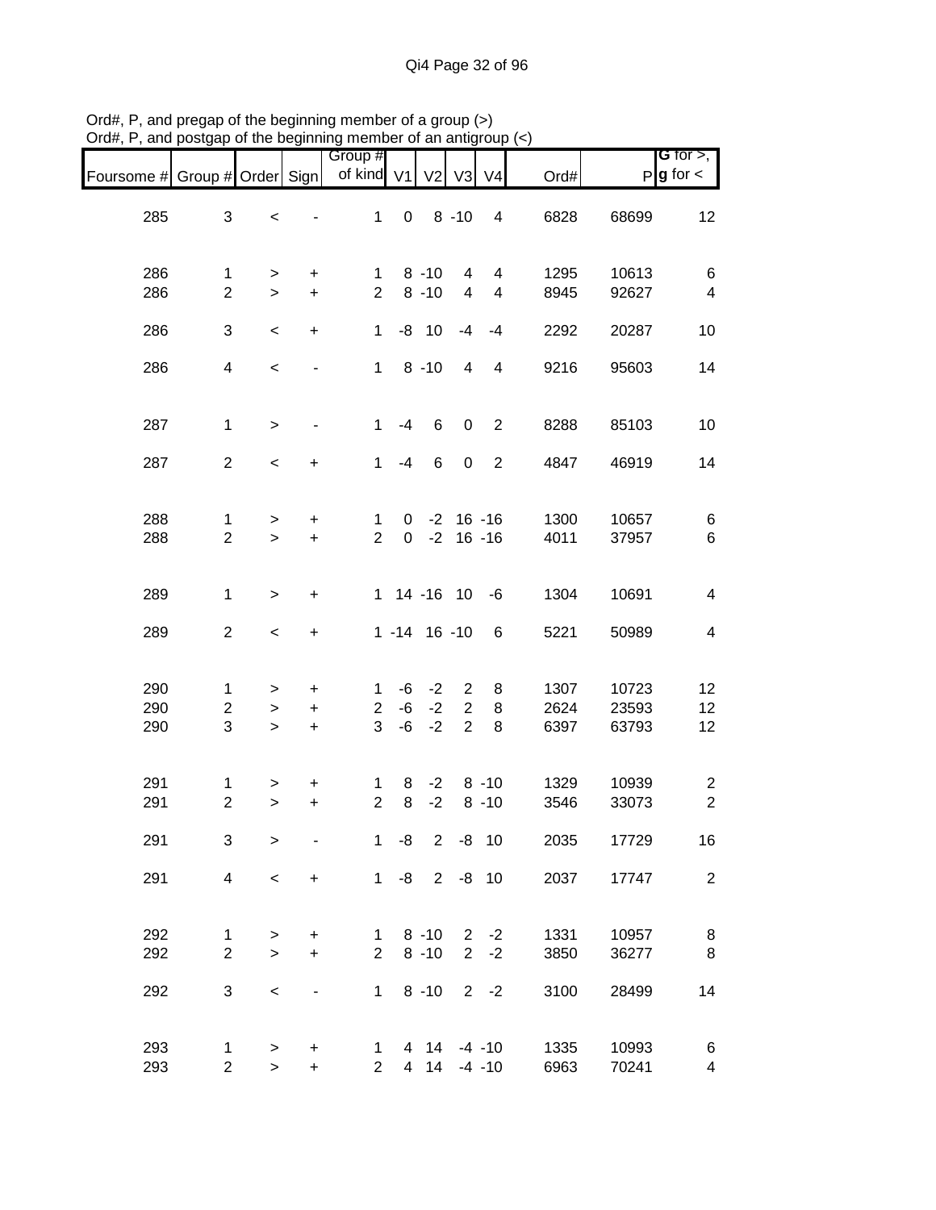| Foursome # Group # Order Sign |                                |                               |                                               | Group #<br>of kind V1               |                  | V <sub>2</sub>       |                               | V3 V4                          | Ord#                 |                         | <b>G</b> for $>$ ,<br>$P$ <b>g</b> for $\lt$ |
|-------------------------------|--------------------------------|-------------------------------|-----------------------------------------------|-------------------------------------|------------------|----------------------|-------------------------------|--------------------------------|----------------------|-------------------------|----------------------------------------------|
| 285                           | 3                              | $\,<$                         |                                               | $\mathbf{1}$                        | $\mathbf 0$      |                      | $8 - 10$                      | $\overline{4}$                 | 6828                 | 68699                   | 12                                           |
| 286<br>286                    | $\mathbf{1}$<br>$\overline{2}$ | ><br>$\geq$                   | $\ddot{}$<br>$\ddot{}$                        | $\mathbf{1}$<br>$\overline{2}$      |                  | $8 - 10$<br>$8 - 10$ | 4<br>$\overline{4}$           | 4<br>$\overline{4}$            | 1295<br>8945         | 10613<br>92627          | 6<br>$\overline{\mathbf{4}}$                 |
| 286                           | 3                              | $\,<\,$                       | $\ddot{}$                                     | $\mathbf{1}$                        |                  | $-8$ 10              | -4                            | $-4$                           | 2292                 | 20287                   | 10                                           |
| 286                           | $\overline{4}$                 | $\,<$                         | -                                             | $\mathbf{1}$                        |                  | $8 - 10$             | $\overline{4}$                | 4                              | 9216                 | 95603                   | 14                                           |
| 287                           | $\mathbf{1}$                   | $\,>$                         |                                               | $\mathbf{1}$                        | $-4$             | 6                    | $\mathbf 0$                   | $\overline{2}$                 | 8288                 | 85103                   | 10                                           |
| 287                           | $\overline{2}$                 | $\overline{\phantom{a}}$      | $\ddot{}$                                     | $\mathbf{1}$                        | $-4$             | 6                    | $\mathbf 0$                   | $\overline{2}$                 | 4847                 | 46919                   | 14                                           |
| 288<br>288                    | $\mathbf{1}$<br>$\overline{2}$ | ><br>$\geq$                   | $\ddot{}$<br>$\ddot{}$                        | $\mathbf{1}$<br>$\overline{2}$      | 0<br>$\mathbf 0$ |                      |                               | $-2$ 16 $-16$<br>$-2$ 16 $-16$ | 1300<br>4011         | 10657<br>37957          | 6<br>6                                       |
| 289                           | $\mathbf{1}$                   | $\,>$                         | $\ddot{}$                                     |                                     |                  | 1 14 -16 10          |                               | -6                             | 1304                 | 10691                   | $\overline{\mathcal{A}}$                     |
| 289                           | $\overline{2}$                 | $\overline{\phantom{a}}$      | $\ddot{}$                                     |                                     |                  | $1 - 14$ 16 -10      |                               | 6                              | 5221                 | 50989                   | $\overline{4}$                               |
| 290<br>290<br>290             | 1<br>$\overline{c}$<br>3       | $\, > \,$<br>$\, >$<br>$\geq$ | $\ddot{}$<br>$\ddot{}$<br>$\ddot{}$           | $\mathbf{1}$<br>$\overline{2}$<br>3 | -6<br>-6<br>-6   | $-2$<br>$-2$<br>$-2$ | 2<br>2<br>$\overline{2}$      | 8<br>8<br>8                    | 1307<br>2624<br>6397 | 10723<br>23593<br>63793 | 12<br>12<br>12                               |
| 291<br>291                    | 1<br>$\overline{2}$            | ><br>$\geq$                   | $\ddot{}$<br>$\ddot{}$                        | $\mathbf{1}$<br>$\overline{2}$      | 8<br>8           | $-2$<br>$-2$         |                               | $8 - 10$<br>$8 - 10$           | 1329<br>3546         | 10939<br>33073          | $\overline{c}$<br>$\overline{2}$             |
| 291                           | 3                              | $\, > \,$                     |                                               | 1                                   | -8               |                      | $2 -8 10$                     |                                | 2035                 | 17729                   | 16                                           |
| 291                           | $\overline{4}$                 | $\,<$                         | $\ddot{}$                                     | 1                                   |                  | $-8$ 2 $-8$ 10       |                               |                                | 2037                 | 17747                   | $\overline{2}$                               |
| 292<br>292                    | 1<br>$\overline{2}$            | $\, > \,$<br>$\geq$           | $\ddot{}$<br>$\ddot{}$                        | $\mathbf 1$<br>$\overline{2}$       |                  | $8 - 10$<br>$8 - 10$ | $2^{\circ}$<br>$\overline{2}$ | $-2$<br>$-2$                   | 1331<br>3850         | 10957<br>36277          | 8<br>8                                       |
| 292                           | 3                              | $\,<$                         |                                               | $\mathbf{1}$                        |                  | $8 - 10$             |                               | $2 - 2$                        | 3100                 | 28499                   | 14                                           |
| 293<br>293                    | 1<br>$\overline{2}$            | $\, >$<br>$\geq$              | $\ddot{}$<br>$\begin{array}{c} + \end{array}$ | 1<br>$\overline{2}$                 |                  | 4 14<br>4 14         |                               | $-4 - 10$<br>$-4 - 10$         | 1335<br>6963         | 10993<br>70241          | 6<br>$\overline{\mathbf{4}}$                 |

Ord#, P, and pregap of the beginning member of a group (>) Ord#, P, and postgap of the beginning member of an antigroup (<)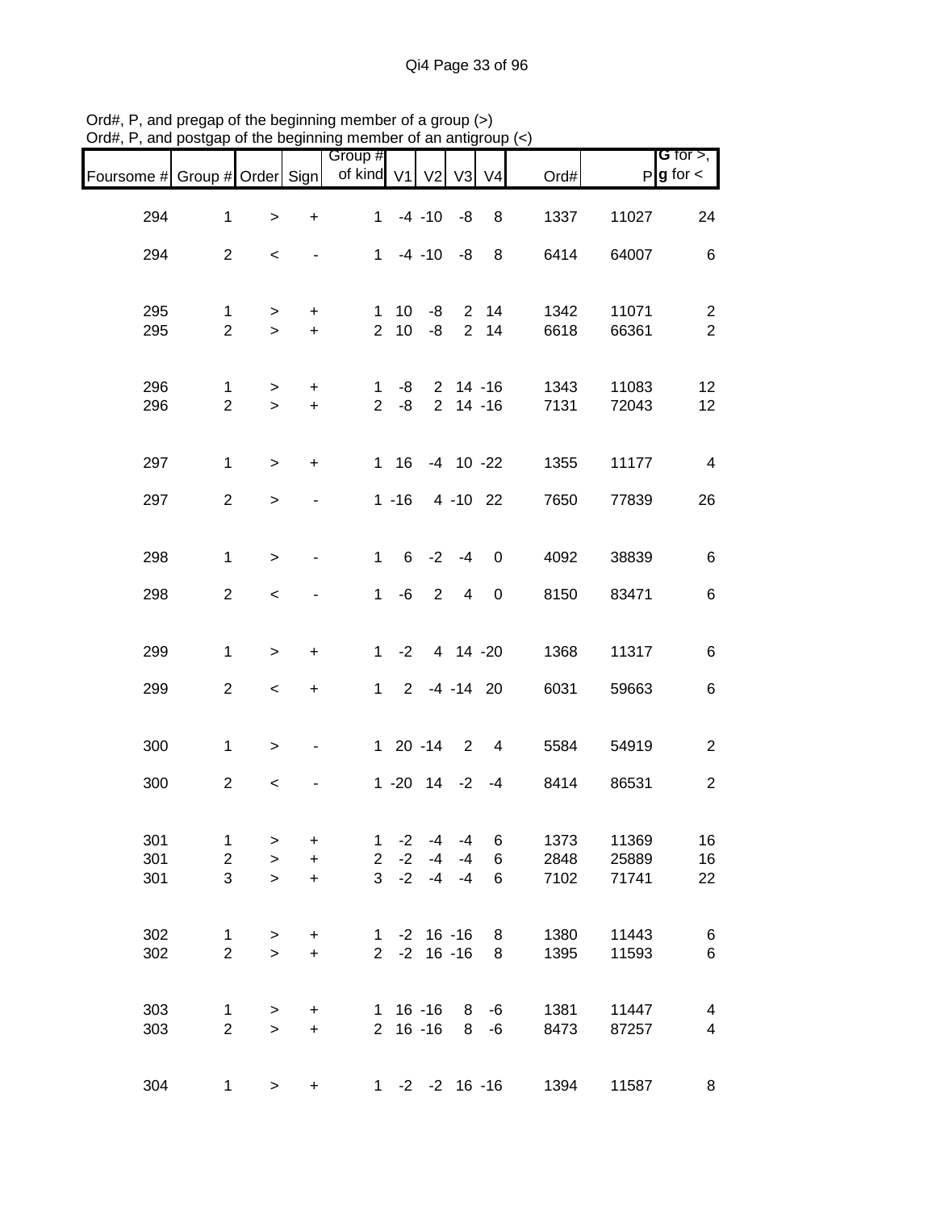| Foursome # Group # Order Sign |                                              |                          |                                     | Group #<br>of kind V1                          |                      | V <sub>2</sub>                 | V3                               | V <sub>4</sub>           | Ord#                 |                         | <b>G</b> for $>$ ,<br>$P$ <b>g</b> for $\lt$ |
|-------------------------------|----------------------------------------------|--------------------------|-------------------------------------|------------------------------------------------|----------------------|--------------------------------|----------------------------------|--------------------------|----------------------|-------------------------|----------------------------------------------|
| 294                           | $\mathbf{1}$                                 | $\, > \,$                | $\ddot{}$                           | $\mathbf{1}$                                   |                      | $-4 - 10$                      | -8                               | 8                        | 1337                 | 11027                   | 24                                           |
| 294                           | $\overline{2}$                               | $\,<\,$                  |                                     | $\mathbf{1}$                                   |                      | $-4 - 10$                      | -8                               | 8                        | 6414                 | 64007                   | 6                                            |
| 295<br>295                    | $\mathbf{1}$<br>$\overline{2}$               | $\geq$<br>$\geq$         | $\ddot{}$<br>$+$                    | $\mathbf 1$<br>$\overline{2}$                  | 10<br>10             | -8<br>-8                       | $\overline{2}$<br>$\overline{2}$ | 14<br>14                 | 1342<br>6618         | 11071<br>66361          | $\overline{2}$<br>$\overline{2}$             |
| 296<br>296                    | 1<br>$\overline{2}$                          | $\geq$<br>$\geq$         | $\ddot{}$<br>$\ddot{}$              | 1.<br>$\overline{2}$                           | -8<br>-8             |                                |                                  | $2$ 14 -16<br>$2$ 14 -16 | 1343<br>7131         | 11083<br>72043          | 12<br>12                                     |
| 297                           | $\mathbf{1}$                                 | $\,>$                    | $\ddot{}$                           |                                                | $1 \t16$             |                                |                                  | $-4$ 10 $-22$            | 1355                 | 11177                   | $\overline{\mathbf{4}}$                      |
| 297                           | $\overline{2}$                               | $\, > \,$                |                                     |                                                | $1 - 16$             |                                |                                  | 4 -10 22                 | 7650                 | 77839                   | 26                                           |
| 298                           | $\mathbf{1}$                                 | $\, > \,$                | $\frac{1}{2}$                       | $\mathbf{1}$                                   | $6\overline{6}$      | $-2$                           | $-4$                             | 0                        | 4092                 | 38839                   | 6                                            |
| 298                           | $\overline{2}$                               | $\,<\,$                  |                                     | $\mathbf 1$                                    | -6                   | $\overline{2}$                 | $\overline{4}$                   | 0                        | 8150                 | 83471                   | 6                                            |
| 299                           | $\mathbf{1}$                                 | $\,>$                    | $\ddot{}$                           |                                                | $1 -2$               |                                | 4 14 -20                         |                          | 1368                 | 11317                   | 6                                            |
| 299                           | $\overline{c}$                               | $\overline{\phantom{a}}$ | $\ddot{}$                           |                                                |                      | $1 2 -4 -14 20$                |                                  |                          | 6031                 | 59663                   | 6                                            |
| 300                           | $\mathbf{1}$                                 | $\, >$                   |                                     |                                                |                      | $120 -14$                      | $\overline{\phantom{0}}^2$       | 4                        | 5584                 | 54919                   | $\overline{c}$                               |
| 300                           | $\overline{c}$                               | $\,<$                    |                                     |                                                |                      | $1 - 20$ $14 - 2$              |                                  | $-4$                     | 8414                 | 86531                   | $\boldsymbol{2}$                             |
| 301<br>301<br>301             | $\mathbf{1}$<br>$\overline{\mathbf{c}}$<br>3 | ><br>$\geq$<br>$\geq$    | $\ddot{}$<br>$\ddot{}$<br>$\ddot{}$ | $\mathbf{1}$<br>$\overline{2}$<br>$\mathbf{3}$ | $-2$<br>$-2$<br>$-2$ | $-4$<br>$-4$<br>$-4$           | $-4$<br>$-4$<br>$-4$             | 6<br>6<br>6              | 1373<br>2848<br>7102 | 11369<br>25889<br>71741 | 16<br>16<br>22                               |
| 302<br>302                    | $\mathbf{1}$<br>$\overline{2}$               | $\,$<br>$\geq$           | $\ddot{}$<br>$+$                    | $1 \quad$<br>$\overline{2}$                    |                      | $-2$ 16 $-16$<br>$-2$ 16 $-16$ |                                  | 8<br>8                   | 1380<br>1395         | 11443<br>11593          | 6<br>6                                       |
| 303<br>303                    | 1<br>$\overline{2}$                          | $\, > \,$<br>$\,$        | $\ddot{}$<br>$\ddot{}$              |                                                |                      | $1 16 - 16$<br>$2 16 - 16$     | 8<br>8                           | -6<br>$-6$               | 1381<br>8473         | 11447<br>87257          | 4<br>$\overline{\mathbf{4}}$                 |
| 304                           | 1                                            | $\geq$                   | +                                   |                                                |                      | $1 - 2 - 2 16 - 16$            |                                  |                          | 1394                 | 11587                   | 8                                            |

Ord#, P, and pregap of the beginning member of a group (>) Ord#, P, and postgap of the beginning member of an antigroup (<)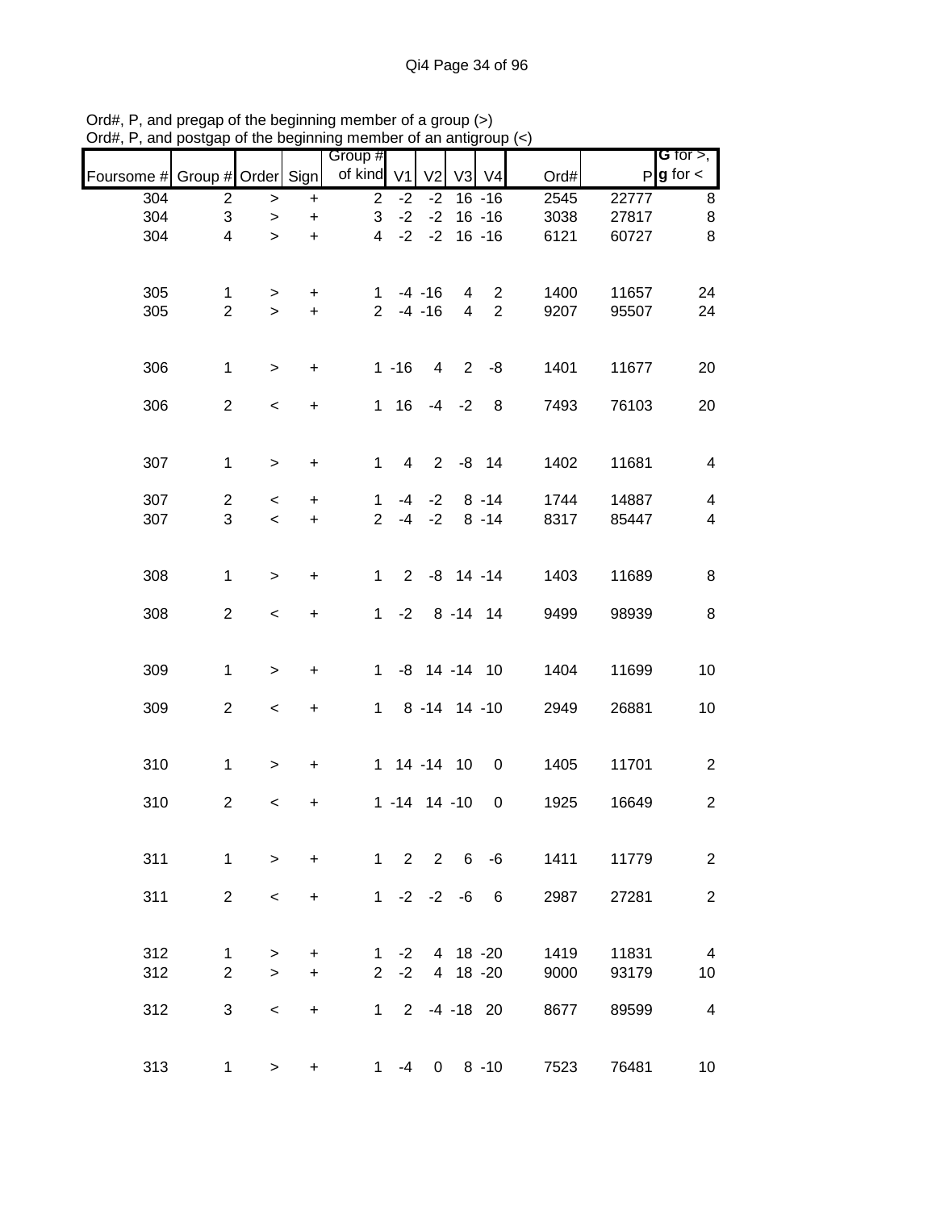|                               |                         |                          |                  | Group #        |          |                      |                |                |      |       | G for $>$ ,             |
|-------------------------------|-------------------------|--------------------------|------------------|----------------|----------|----------------------|----------------|----------------|------|-------|-------------------------|
| Foursome # Group # Order Sign |                         |                          |                  | of kind V1     |          | V <sub>2</sub>       | V <sub>3</sub> | V <sub>4</sub> | Ord# |       | $P$ <b>g</b> for $\lt$  |
| 304                           | $\overline{c}$          | $\,$                     | $\ddot{}$        | $\overline{2}$ | $-2$     | $-2$                 |                | $16 - 16$      | 2545 | 22777 | 8                       |
| 304                           | 3                       | $\,$                     | $\ddot{}$        | 3              | $-2$     | $-2$                 |                | $16 - 16$      | 3038 | 27817 | $\bf 8$                 |
| 304                           | $\overline{\mathbf{4}}$ | $\geq$                   | $\ddot{}$        | $\overline{4}$ | $-2$     | $-2$                 |                | $16 - 16$      | 6121 | 60727 | 8                       |
|                               |                         |                          |                  |                |          |                      |                |                |      |       |                         |
| 305                           | $\mathbf{1}$            | >                        | $\ddot{}$        | 1.             |          | $-4 - 16$            | 4              | 2              | 1400 | 11657 | 24                      |
| 305                           | $\overline{2}$          | $\geq$                   | $\ddot{}$        | $\overline{2}$ |          | $-4 - 16$            | $\overline{4}$ | $\overline{2}$ | 9207 | 95507 | 24                      |
|                               |                         |                          |                  |                |          |                      |                |                |      |       |                         |
| 306                           | $\mathbf{1}$            | $\geq$                   | $\boldsymbol{+}$ |                | $1 - 16$ | $\overline{4}$       |                | $2 - 8$        | 1401 | 11677 | 20                      |
| 306                           | $\overline{2}$          | $\overline{\phantom{a}}$ | $\boldsymbol{+}$ |                | $1 \t16$ |                      | $-4 -2$        | 8              | 7493 | 76103 | 20                      |
|                               |                         |                          |                  |                |          |                      |                |                |      |       |                         |
| 307                           | $\mathbf{1}$            | $\,>$                    | $\ddot{}$        | $\mathbf{1}$   | 4        | $2^{\circ}$          |                | $-8$ 14        | 1402 | 11681 | 4                       |
|                               |                         |                          |                  |                |          |                      |                |                |      |       |                         |
| 307                           | $\overline{c}$          | $\,<$                    | $\ddot{}$        | $\mathbf 1$    |          | $-4 -2$              |                | $8 - 14$       | 1744 | 14887 | $\overline{4}$          |
| 307                           | 3                       | $\prec$                  | $\ddot{}$        | $\overline{2}$ |          | $-4 -2$              |                | $8 - 14$       | 8317 | 85447 | $\overline{\mathbf{4}}$ |
|                               |                         |                          |                  |                |          |                      |                |                |      |       |                         |
| 308                           | $\mathbf{1}$            | $\geq$                   | $\ddot{}$        | $\mathbf{1}$   |          | $2 -8 14 -14$        |                |                | 1403 | 11689 | 8                       |
| 308                           | $\overline{2}$          | $\,<$                    | $\ddot{}$        | $\mathbf 1$    |          | $-2$ 8 $-14$ 14      |                |                | 9499 | 98939 | 8                       |
|                               |                         |                          |                  |                |          |                      |                |                |      |       |                         |
| 309                           | $\mathbf{1}$            | $\,>$                    | $\ddot{}$        | 1              |          | $-8$ 14 $-14$ 10     |                |                | 1404 | 11699 | 10                      |
|                               | $\overline{2}$          |                          |                  |                |          |                      |                |                |      |       |                         |
| 309                           |                         | $\,<$                    | $\boldsymbol{+}$ | $\mathbf 1$    |          | 8 -14 14 -10         |                |                | 2949 | 26881 | 10                      |
|                               |                         |                          |                  |                |          |                      |                |                |      |       |                         |
| 310                           | $\mathbf{1}$            | $\,>$                    | $\ddot{}$        |                |          | 1 14 -14 10          |                | $\mathbf 0$    | 1405 | 11701 | $\overline{2}$          |
| 310                           | $\overline{c}$          | $\,<$                    | +                |                |          | $1 - 14$ 14 -10      |                | $\mathbf 0$    | 1925 | 16649 | $\overline{2}$          |
|                               |                         |                          |                  |                |          |                      |                |                |      |       |                         |
| 311                           | $\mathbf{1}$            | $\geq$                   | $\ddot{}$        |                |          | $1 \t2 \t2 \t6 \t-6$ |                |                | 1411 | 11779 | 2                       |
|                               |                         |                          |                  |                |          |                      |                |                |      |       |                         |
| 311                           | $\overline{2}$          | $\,<\,$                  | $\ddot{}$        |                |          | $1 -2 -2 -6$         |                | 6              | 2987 | 27281 | $\overline{2}$          |
|                               |                         |                          |                  |                |          |                      |                |                |      |       |                         |
| 312                           | 1                       | $\, > \,$                | $\ddot{}$        | 1.             | $-2$     |                      | 4 18 -20       |                | 1419 | 11831 | $\overline{4}$          |
| 312                           | $\overline{2}$          | $\geq$                   | $\ddot{}$        | $\overline{2}$ | $-2$     |                      | 4 18 -20       |                | 9000 | 93179 | 10                      |
| 312                           | 3                       | $\,<\,$                  | $\ddot{}$        |                |          | $1 2 -4 -18 20$      |                |                | 8677 | 89599 | $\overline{\mathbf{4}}$ |
|                               |                         |                          |                  |                |          |                      |                |                |      |       |                         |
| 313                           | $\mathbf{1}$            | $\geq$                   | $\ddot{}$        | 1              | $-4$     | $\mathbf 0$          |                | $8 - 10$       | 7523 | 76481 | 10                      |

Ord#, P, and pregap of the beginning member of a group (>) Ord#, P, and postgap of the beginning member of an antigroup (<)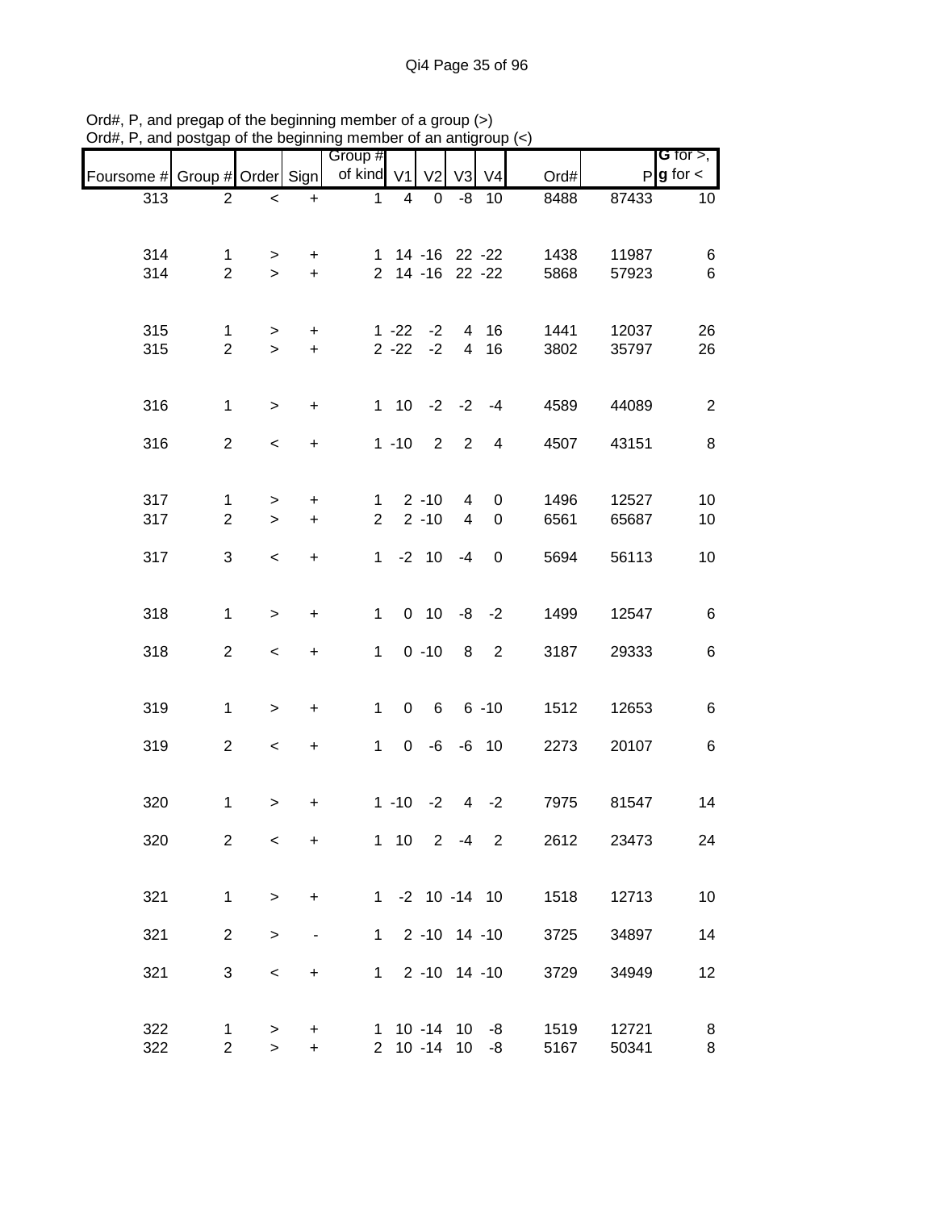| , 1, 1, 1, 1, 1               | poolgap                        |                          |                          | of the beginning member of an antigroup $(\gamma)$ |   |                              |                |                |              |                |                                              |
|-------------------------------|--------------------------------|--------------------------|--------------------------|----------------------------------------------------|---|------------------------------|----------------|----------------|--------------|----------------|----------------------------------------------|
| Foursome # Group # Order Sign |                                |                          |                          | Group #<br>of kind V1                              |   | V <sub>2</sub>               | V3             | V <sub>4</sub> | Ord#         |                | <b>G</b> for $>$ ,<br>$P$ <b>g</b> for $\lt$ |
| $\overline{313}$              | $\overline{2}$                 | $\overline{\phantom{0}}$ | $+$                      | $\mathbf 1$                                        | 4 | $\mathbf 0$                  | -8             | 10             | 8488         | 87433          | 10                                           |
|                               |                                |                          |                          |                                                    |   |                              |                |                |              |                |                                              |
| 314                           | 1                              | $\geq$                   | $\ddot{}$                |                                                    |   | 1 14 -16 22 -22              |                |                | 1438         | 11987          | 6                                            |
| 314                           | $\overline{2}$                 | $\geq$                   | $+$                      |                                                    |   | 2 14 -16 22 -22              |                |                | 5868         | 57923          | 6                                            |
| 315                           | $\mathbf 1$                    | $\geq$                   | $\ddot{}$                |                                                    |   | $1 - 22 - 2$                 |                | 4 16           | 1441         | 12037          | 26                                           |
| 315                           | $\overline{2}$                 | $\geq$                   | $\ddot{}$                |                                                    |   | $2 - 22 - 2$                 |                | 4 16           | 3802         | 35797          | 26                                           |
| 316                           | $\mathbf{1}$                   | $\geq$                   | $\ddot{}$                |                                                    |   | $1 10 -2 -2 -4$              |                |                | 4589         | 44089          | $\overline{2}$                               |
| 316                           | $\overline{2}$                 | $\overline{\phantom{a}}$ | $\ddot{}$                |                                                    |   | $1 - 10$ 2 2                 |                | $\overline{4}$ | 4507         | 43151          | 8                                            |
| 317                           | $\mathbf{1}$                   | >                        | $\ddot{}$                | $\mathbf 1$                                        |   | $2 - 10$                     | $\overline{4}$ | 0              | 1496         | 12527          | 10                                           |
| 317                           | $\overline{2}$                 | $\geq$                   | $\ddot{}$                | $\overline{2}$                                     |   | $2 - 10$                     | $\overline{4}$ | 0              | 6561         | 65687          | 10                                           |
| 317                           | 3                              | $\,<$                    | $\ddot{}$                | $\mathbf{1}$                                       |   | $-2$ 10                      | -4             | $\mathbf 0$    | 5694         | 56113          | 10                                           |
| 318                           | $\mathbf{1}$                   | $\,$                     | $\ddot{}$                | $\mathbf{1}$                                       |   | $0$ 10                       |                | $-8 - 2$       | 1499         | 12547          | $\,6$                                        |
| 318                           | $\overline{a}$                 | $\overline{\phantom{a}}$ | $\ddot{}$                | $\mathbf{1}$                                       |   | $0 - 10$                     | 8              | $\overline{2}$ | 3187         | 29333          | 6                                            |
| 319                           | $\mathbf{1}$                   | $\geq$                   | $\boldsymbol{+}$         | $\mathbf{1}$                                       |   | $0 6 6 -10$                  |                |                | 1512         | 12653          | 6                                            |
| 319                           | $\overline{2}$                 | $\overline{\phantom{a}}$ | $\ddot{}$                | $\mathbf{1}$                                       |   | $0 -6 -6 10$                 |                |                | 2273         | 20107          | 6                                            |
| 320                           | $\mathbf{1}$                   | $\geq$                   | +                        |                                                    |   | $1 - 10 - 2$                 |                | $4 -2$         | 7975         | 81547          | 14                                           |
| 320                           | $\overline{2}$                 | $\,<\,$                  | $\ddot{}$                |                                                    |   | $1 10 2 -4$                  |                | $\overline{2}$ | 2612         | 23473          | 24                                           |
| 321                           | $\mathbf{1}$                   | $\mathbf{I}$             | $\ddot{}$                |                                                    |   | $1 - 2 10 - 14 10$           |                |                | 1518         | 12713          | 10                                           |
| 321                           | $\overline{2}$                 | $\,$                     | $\overline{\phantom{m}}$ | $\mathbf{1}$                                       |   | $2 - 10$ 14 $-10$            |                |                | 3725         | 34897          | 14                                           |
| 321                           | 3                              | $\,<$                    | $\ddot{}$                | $\mathbf{1}$                                       |   | $2 - 10$ 14 $-10$            |                |                | 3729         | 34949          | 12                                           |
| 322<br>322                    | $\mathbf{1}$<br>$\overline{2}$ | ><br>$\mathbf{r}$        | +<br>$\ddot{}$           |                                                    |   | $1$ 10 -14 10 -8<br>2 10 -14 | 10             | -8             | 1519<br>5167 | 12721<br>50341 | 8<br>8                                       |

Ord#, P, and pregap of the beginning member of a group (>) Ord#, P, and postgap of the beginning member of an antigroup (<)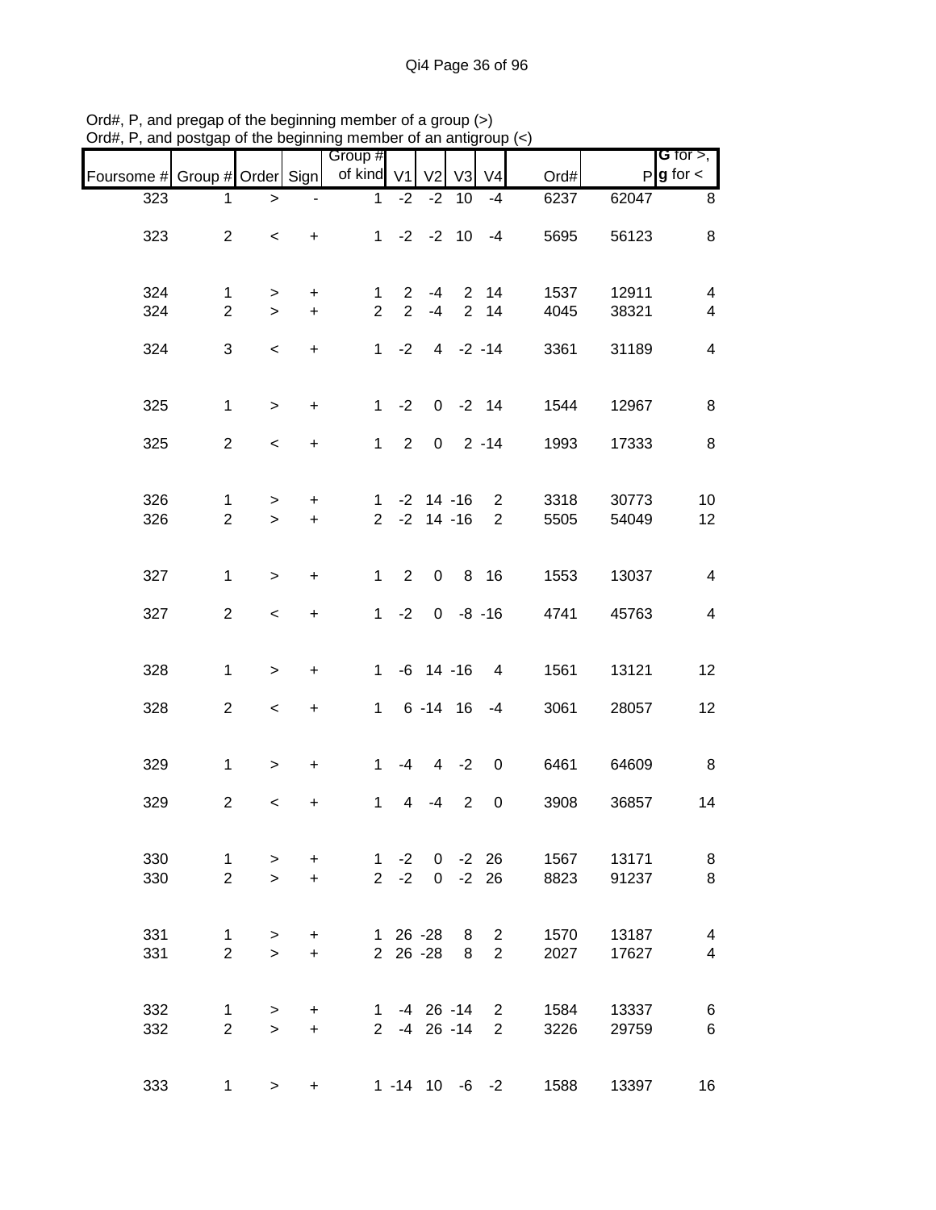|                               |                                |                          |                        | Group #                        |                                  |                                  |                        |                                  |                             |                | <b>G</b> for $>$ ,                                  |
|-------------------------------|--------------------------------|--------------------------|------------------------|--------------------------------|----------------------------------|----------------------------------|------------------------|----------------------------------|-----------------------------|----------------|-----------------------------------------------------|
| Foursome # Group # Order Sign |                                |                          |                        | of kind V1                     |                                  | V <sub>2</sub>                   | V3                     | V <sub>4</sub>                   | Ord#                        |                | $P g$ for $\lt$                                     |
| 323                           | 1                              | >                        |                        | 1                              | $-2$                             | $-2$                             | 10                     | $-4$                             | 6237                        | 62047          | 8                                                   |
| 323                           | $\overline{c}$                 | $\,<$                    | $\ddot{}$              |                                |                                  | $1 -2 -2 10$                     |                        | $-4$                             | 5695                        | 56123          | $\,8\,$                                             |
| 324<br>324                    | $\mathbf 1$<br>$\overline{2}$  | ><br>$\geq$              | $\ddot{}$<br>$\ddot{}$ | $\mathbf{1}$<br>$\overline{2}$ | $\overline{2}$<br>$\overline{2}$ | -4<br>$-4$                       | $\overline{2}$         | 2 14<br>14                       | 1537<br>4045                | 12911<br>38321 | $\overline{4}$<br>$\overline{\mathcal{A}}$          |
| 324                           | 3                              | $\,<$                    | $\ddot{}$              |                                | $1 -2$                           |                                  | $4 -2 -14$             |                                  | 3361                        | 31189          | $\overline{\mathbf{4}}$                             |
| 325                           | $\mathbf{1}$                   | $\geq$                   | $\ddot{}$              | 1                              | $-2$                             |                                  | $0 -2 14$              |                                  | 1544                        | 12967          | 8                                                   |
| 325                           | $\overline{2}$                 | $\overline{\phantom{a}}$ | $\ddot{}$              |                                | $1 \quad 2$                      |                                  | $0 \quad 2 -14$        |                                  | 1993                        | 17333          | 8                                                   |
| 326<br>326                    | $\mathbf{1}$<br>$\overline{2}$ | $\,>$<br>$\geq$          | $+$<br>$+$             | $\overline{2}$                 |                                  | $1 - 2 14 - 16$<br>$-2$ 14 $-16$ |                        | $\overline{2}$<br>$\overline{2}$ | 3318<br>5505                | 30773<br>54049 | 10<br>12                                            |
| 327                           | $\mathbf 1$                    | $\geq$                   | $\ddot{}$              | $\mathbf{1}$                   | $\overline{2}$                   | $\mathbf 0$                      |                        | 8 16                             | 1553                        | 13037          | $\overline{4}$                                      |
| 327                           | $\overline{2}$                 | $\,<$                    | $\ddot{}$              |                                | $1 -2$                           |                                  | $0 -8 -16$             |                                  | 4741                        | 45763          | $\overline{4}$                                      |
| 328                           | $\mathbf{1}$                   | $\, > \,$                | +                      | $1 \quad$                      |                                  | $-6$ 14 $-16$                    |                        | $\overline{4}$                   | 1561                        | 13121          | 12                                                  |
| 328                           | $\overline{c}$                 | $\,<$                    | +                      |                                |                                  | 1 6 -14 16                       |                        | $-4$                             | 3061                        | 28057          | 12                                                  |
| 329                           | $\mathbf{1}$                   | $\geq$                   | $\ddot{}$              | $\mathbf{1}$                   | $-4$                             |                                  | $4 -2$                 | $\mathbf 0$                      | 6461                        | 64609          | 8                                                   |
| 329                           | $\overline{c}$                 | $\,<$                    | $\ddot{}$              | $\mathbf{1}$                   | 4                                | -4                               | $\overline{2}$         | $\pmb{0}$                        | 3908                        | 36857          | 14                                                  |
| 330<br>330                    | $\mathbf{1}$<br>$\overline{2}$ | $\geq$<br>$\geq$         | $\ddot{}$<br>$+$       |                                | $1 -2$<br>$2 -2$                 |                                  | $0 -2 26$<br>$0 -2 26$ |                                  | 1567<br>8823                | 13171<br>91237 | 8<br>8                                              |
| 331<br>331                    | $\mathbf{1}$<br>$\overline{2}$ | $\geq$<br>$\geq$         | $\ddot{}$<br>$+$       |                                |                                  | 1 26 -28 8<br>2 26 -28           | 8                      | $\overline{2}$<br>$\overline{2}$ | 1570<br>2027                | 13187<br>17627 | $\overline{\mathcal{A}}$<br>$\overline{\mathbf{4}}$ |
| 332<br>332                    | $\mathbf{1}$<br>$\overline{2}$ | ><br>$\geq$              | $\ddot{}$<br>$+$       |                                |                                  | $1 -4 26 -14 2$<br>2 -4 26 -14   |                        |                                  | 1584<br>3226<br>$2^{\circ}$ | 13337<br>29759 | 6<br>$\,6$                                          |
| 333                           | 1                              | $\geq$                   | $\ddot{}$              |                                |                                  | $1 - 14$ 10 $-6$ $-2$            |                        |                                  | 1588                        | 13397          | 16                                                  |

Ord#, P, and pregap of the beginning member of a group (>) Ord#, P, and postgap of the beginning member of an antigroup (<)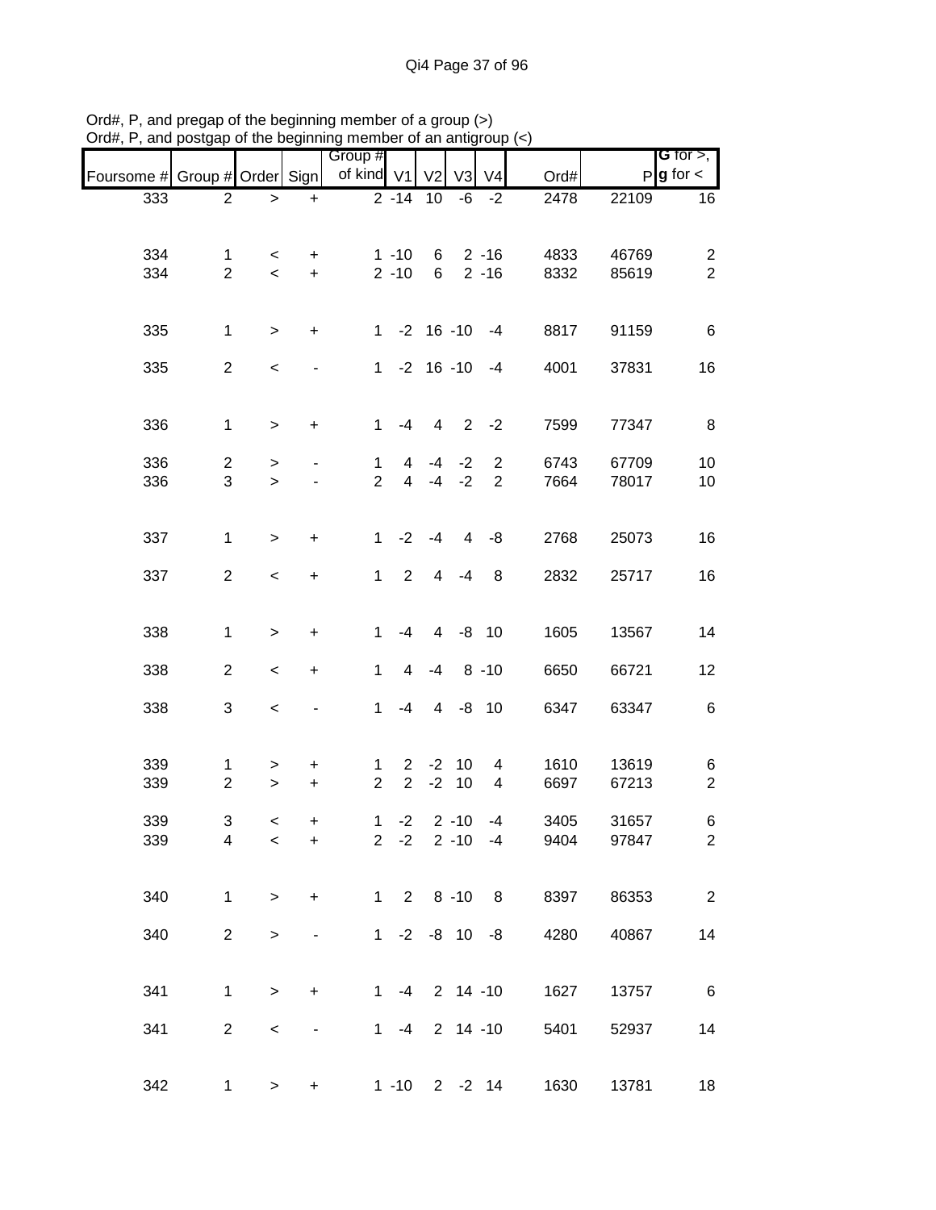| 21 un , 1 , un u              | oolyup              |                                     |                                  | of the beginning member of an antigroup $(\gamma)$ |                                  |                  |                          |                                  |              |                |                                       |
|-------------------------------|---------------------|-------------------------------------|----------------------------------|----------------------------------------------------|----------------------------------|------------------|--------------------------|----------------------------------|--------------|----------------|---------------------------------------|
| Foursome # Group # Order Sign |                     |                                     |                                  | Group #<br>of kind V1                              |                                  | V <sub>2</sub>   | V <sub>3</sub>           | V <sub>4</sub>                   | Ord#         |                | G for $>$ ,<br>$P$ <b>g</b> for $\lt$ |
| 333                           | $\overline{2}$      | $\, >$                              | $\ddot{}$                        |                                                    | $\sqrt{2} - 14$                  | 10               | -6                       | $-2$                             | 2478         | 22109          | 16                                    |
| 334<br>334                    | 1<br>$\overline{2}$ | $\,<\,$<br>$\overline{\phantom{a}}$ | +<br>$\ddot{}$                   |                                                    | $1 - 10$<br>$2 - 10$             | 6<br>$6^{\circ}$ |                          | $2 - 16$<br>$2 - 16$             | 4833<br>8332 | 46769<br>85619 | $\overline{2}$<br>$\overline{2}$      |
| 335                           | $\mathbf{1}$        | $\,$                                | $\begin{array}{c} + \end{array}$ | $\mathbf 1$                                        |                                  |                  | $-2$ 16 $-10$ $-4$       |                                  | 8817         | 91159          | 6                                     |
| 335                           | $\overline{2}$      | $\,<$                               |                                  | $\mathbf 1$                                        |                                  |                  | $-2$ 16 $-10$ $-4$       |                                  | 4001         | 37831          | 16                                    |
| 336                           | $\mathbf 1$         | $\, > \,$                           | $\ddot{}$                        | $\mathbf{1}$                                       | $-4$                             | 4                |                          | $2 -2$                           | 7599         | 77347          | 8                                     |
| 336<br>336                    | $\overline{c}$<br>3 | $\, > \,$<br>$\geq$                 |                                  | $\mathbf{1}$<br>$\overline{2}$                     | $\overline{4}$<br>$\overline{4}$ | $-4$<br>$-4$     | $-2$<br>$-2$             | $\overline{2}$<br>$\overline{2}$ | 6743<br>7664 | 67709<br>78017 | 10<br>10                              |
| 337                           | $\mathbf 1$         | $\,>$                               | $\ddot{}$                        | $\mathbf{1}$                                       | $-2$                             | $-4$             | 4                        | -8                               | 2768         | 25073          | 16                                    |
| 337                           | $\overline{2}$      | $\overline{\phantom{a}}$            | $\ddot{}$                        | $\mathbf{1}$                                       | $\overline{2}$                   | $\overline{4}$   | $-4$                     | 8                                | 2832         | 25717          | 16                                    |
| 338                           | $\mathbf{1}$        | $\,$                                | $\begin{array}{c} + \end{array}$ | 1                                                  | $-4$                             | 4                |                          | $-8$ 10                          | 1605         | 13567          | 14                                    |
| 338                           | $\overline{c}$      | $\,<\,$                             | $\begin{array}{c} + \end{array}$ | $\mathbf{1}$                                       | 4                                | $-4$             |                          | $8 - 10$                         | 6650         | 66721          | 12                                    |
| 338                           | 3                   | $\,<\,$                             |                                  | $\mathbf{1}$                                       | $-4$                             | $\overline{4}$   |                          | $-8$ 10                          | 6347         | 63347          | 6                                     |
| 339<br>339                    | 1<br>$\overline{2}$ | ><br>$\geq$                         | +<br>$\ddot{}$                   | 1<br>$\overline{2}$                                | $\overline{2}$<br>$\overline{2}$ | $-2$             | $-2$ 10<br>10            | 4<br>$\overline{4}$              | 1610<br>6697 | 13619<br>67213 | 6<br>$\overline{c}$                   |
| 339<br>339                    | 3<br>4              | $\,<\,$<br>$\,<$                    | $\ddot{}$<br>+                   | $\mathbf{1}$                                       | $-2$<br>$2 -2$                   |                  | $2 - 10$<br>$2 - 10 - 4$ | $-4$                             | 3405<br>9404 | 31657<br>97847 | 6<br>$\overline{2}$                   |
| 340                           | $\mathbf{1}$        | $\mathbf{I}$                        | $\ddot{}$                        |                                                    | $1 2 8 - 10 8$                   |                  |                          |                                  | 8397         | 86353          | $\sqrt{2}$                            |
| 340                           | $\overline{2}$      | $\,$                                | -                                |                                                    | $1 - 2 - 8$ 10 $-8$              |                  |                          |                                  | 4280         | 40867          | 14                                    |
| 341                           | 1                   | $\,$                                | $\ddot{}$                        | 1                                                  | $-4$                             |                  |                          | $2$ 14 -10                       | 1627         | 13757          | 6                                     |
| 341                           | $\overline{c}$      | $\,<$                               |                                  |                                                    | $1 - 4$                          |                  |                          | $2$ 14 -10                       | 5401         | 52937          | 14                                    |
| 342                           | $\mathbf{1}$        | $\geq$                              | $\ddot{}$                        |                                                    | $1 - 10$ 2 $-2$ 14               |                  |                          |                                  | 1630         | 13781          | 18                                    |

Ord#, P, and pregap of the beginning member of a group (>) Ord#, P, and postgap of the beginning member of an antigroup (<)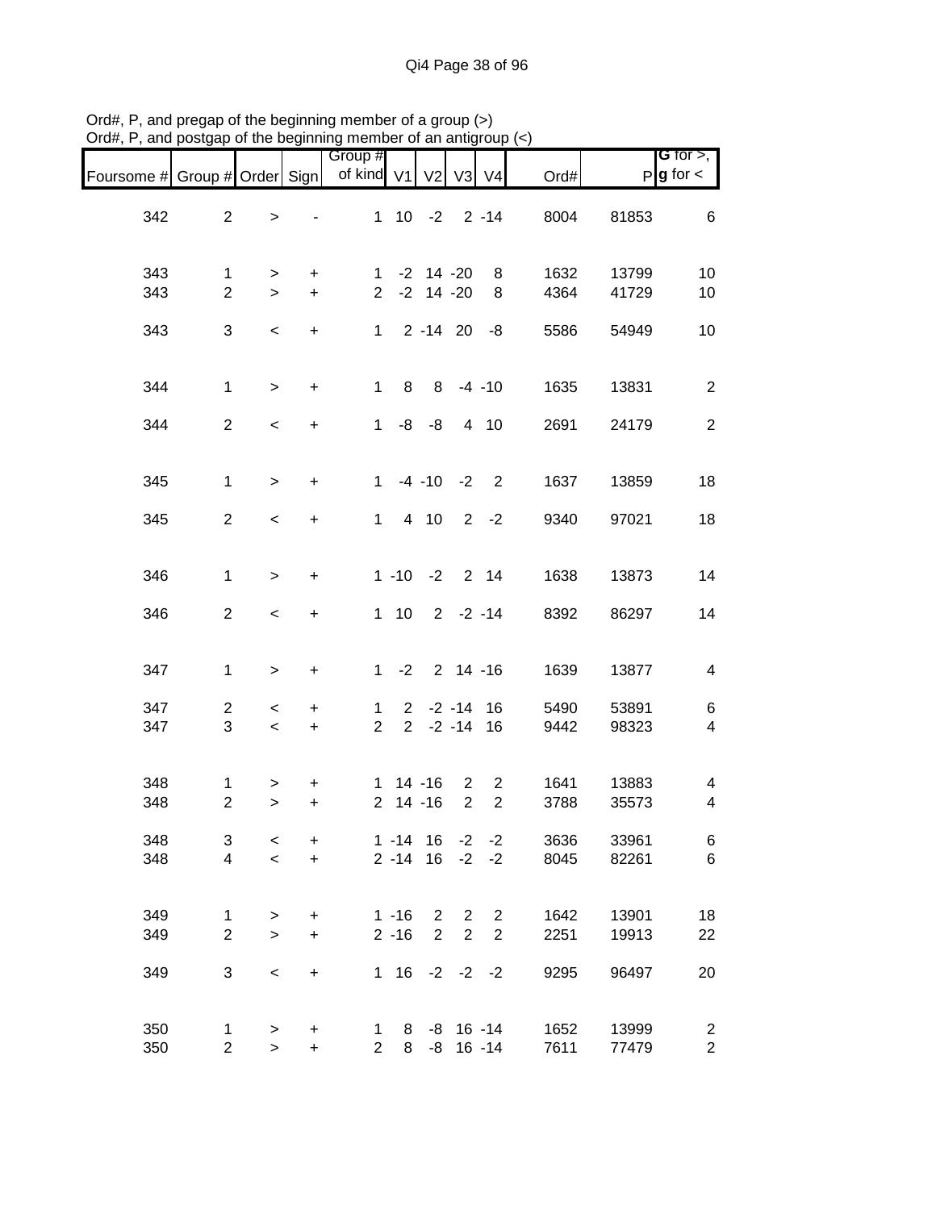| Foursome # Group # Order Sign |                     |                                   |                                  | Group #<br>of kind V1 V2 V3 V4 |                                  |                                  |                     |                                  | Ord#         |                | <b>G</b> for $>$ ,<br>$P$ <b>g</b> for $\lt$ |
|-------------------------------|---------------------|-----------------------------------|----------------------------------|--------------------------------|----------------------------------|----------------------------------|---------------------|----------------------------------|--------------|----------------|----------------------------------------------|
| 342                           | $\overline{2}$      | $\,>$                             |                                  |                                | $1$ 10 -2 2 -14                  |                                  |                     |                                  | 8004         | 81853          | 6                                            |
| 343<br>343                    | 1<br>$\overline{2}$ | $\geq$<br>$\geq$                  | $\ddot{}$<br>$+$                 |                                | $1 - 2 14 - 20$<br>$2 -2 14 -20$ |                                  |                     | 8<br>8                           | 1632<br>4364 | 13799<br>41729 | 10<br>10                                     |
| 343                           | 3                   | $\,<$                             | $+$                              |                                | $1 \quad 2 -14 \quad 20$         |                                  |                     | -8                               | 5586         | 54949          | 10                                           |
| 344                           | $\mathbf{1}$        | $\, >$                            | $+$                              | $\mathbf{1}$                   | 8 <sup>8</sup>                   |                                  |                     | $8 - 4 - 10$                     | 1635         | 13831          | $\sqrt{2}$                                   |
| 344                           | $\overline{2}$      | $\overline{\phantom{a}}$          | $\ddot{}$                        |                                | $1 - 8 - 8$                      |                                  |                     | 4 10                             | 2691         | 24179          | $\overline{2}$                               |
| 345                           | $\mathbf{1}$        | $\geq$                            | $\ddot{}$                        |                                |                                  |                                  |                     | $1 -4 -10 -2 2$                  | 1637         | 13859          | 18                                           |
| 345                           | $\overline{2}$      | $\,<$                             | $\ddot{}$                        |                                |                                  |                                  |                     | $1 4 10 2 -2$                    | 9340         | 97021          | 18                                           |
| 346                           | $\mathbf{1}$        | $\geq$                            | $\ddot{}$                        |                                |                                  |                                  |                     | $1 - 10 - 2$ 2 14                | 1638         | 13873          | 14                                           |
| 346                           | $\overline{2}$      | $\overline{\phantom{a}}$          | $+$                              |                                |                                  |                                  |                     | $1 10 2 -2 -14$                  | 8392         | 86297          | 14                                           |
| 347                           | $\mathbf{1}$        | $\,$                              | $\begin{array}{c} + \end{array}$ |                                |                                  |                                  |                     | $1 - 2$ 2 14 -16                 | 1639         | 13877          | $\overline{\mathbf{4}}$                      |
| 347<br>347                    | $\overline{2}$<br>3 | $\,<\,$<br>$\prec$                | $\ddot{}$<br>$+$                 | $\mathbf{1}$<br>2 <sup>1</sup> |                                  |                                  |                     | $2 -2 -14$ 16<br>$2 -2 -14 16$   | 5490<br>9442 | 53891<br>98323 | 6<br>$\overline{\mathbf{4}}$                 |
| 348<br>348                    | 1<br>$\overline{2}$ | ><br>$\geq$                       | +<br>$\ddot{}$                   |                                | $1 14 - 16 2$<br>$2$ 14 -16      |                                  | 2                   | $\overline{2}$<br>$\overline{2}$ | 1641<br>3788 | 13883<br>35573 | 4<br>$\overline{\mathbf{4}}$                 |
| 348<br>348                    | 3<br>$\overline{4}$ | $\,<$<br>$\overline{\phantom{0}}$ | +<br>$+$                         |                                | $1 - 14$ 16<br>$2 - 14$ 16       |                                  | $-2$<br>$-2$        | $-2$<br>$-2$                     | 3636<br>8045 | 33961<br>82261 | 6<br>6                                       |
| 349<br>349                    | 1<br>$\overline{2}$ | $\, > \,$<br>$\geq$               | $\ddot{}$<br>$\ddot{}$           |                                | $1 - 16$<br>$2 - 16$             | $\overline{2}$<br>$\overline{2}$ | $\overline{2}$<br>2 | $\overline{2}$<br>$\overline{2}$ | 1642<br>2251 | 13901<br>19913 | 18<br>22                                     |
| 349                           | 3                   | $\,<$                             | $\ddot{}$                        |                                | $1 \t16$                         |                                  |                     | $-2$ $-2$ $-2$                   | 9295         | 96497          | 20                                           |
| 350<br>350                    | 1<br>$\overline{a}$ | $\,$<br>$\,$                      | +<br>$\ddot{}$                   | $\mathbf 1$<br>2 <sup>1</sup>  | 8<br>8                           |                                  |                     | $-8$ 16 $-14$<br>$-8$ 16 $-14$   | 1652<br>7611 | 13999<br>77479 | $\overline{c}$<br>$\overline{c}$             |

Ord#, P, and pregap of the beginning member of a group (>) Ord#, P, and postgap of the beginning member of an antigroup (<)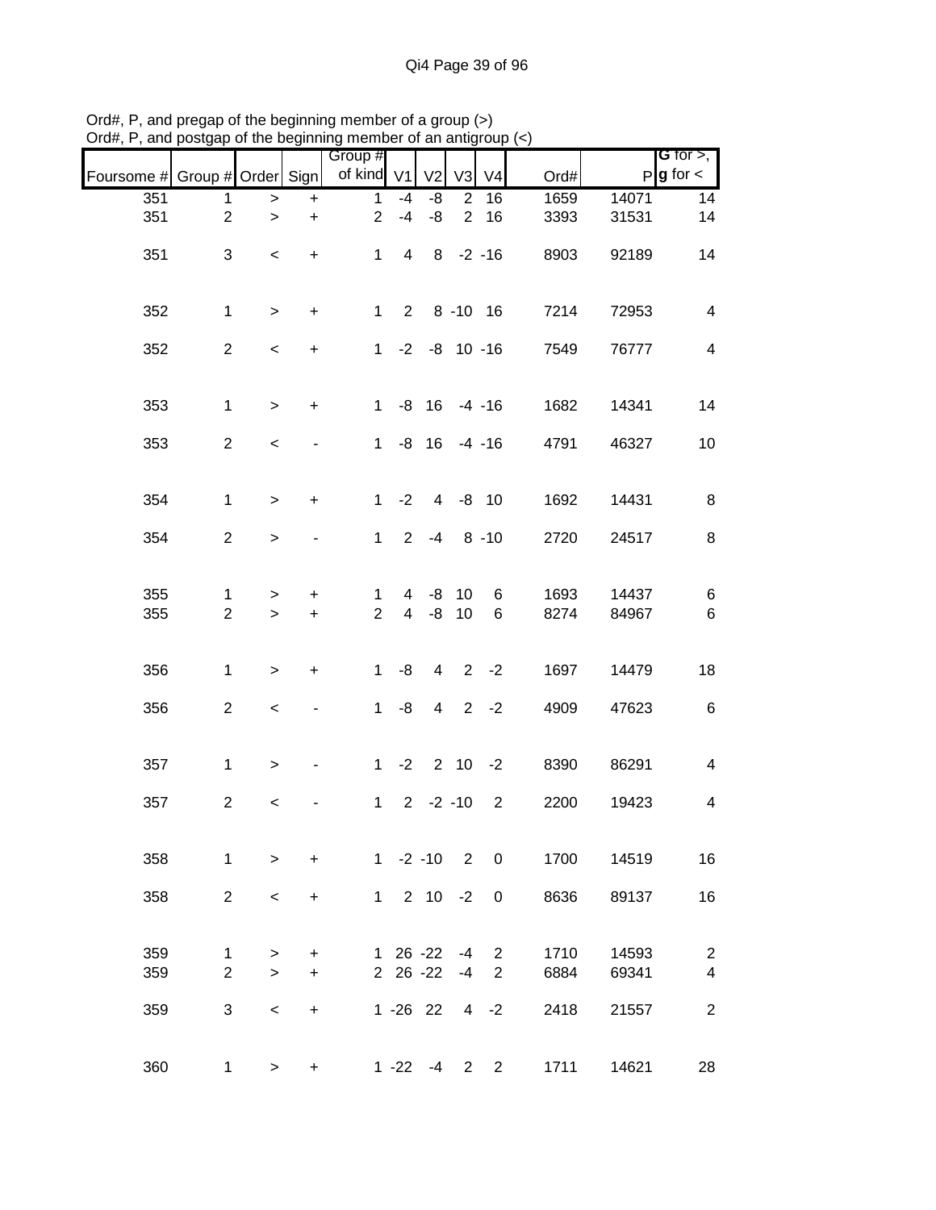|                               |                     |                          |                        | Group #             |                |                    |                |                |              |                | <b>G</b> for $>$ , $\overline{\phantom{a}}$ |
|-------------------------------|---------------------|--------------------------|------------------------|---------------------|----------------|--------------------|----------------|----------------|--------------|----------------|---------------------------------------------|
| Foursome # Group # Order Sign |                     |                          |                        | of kind V1          |                | V <sub>2</sub>     | V <sub>3</sub> | V <sub>4</sub> | Ord#         | P              | $g$ for $\lt$                               |
| 351                           | 1                   | $\, >$                   | $\ddot{}$              | $\mathbf{1}$        | $-4$           | -8                 | 2              | 16             | 1659         | 14071          | 14                                          |
| 351                           | $\overline{2}$      | $\,>$                    | $\ddot{}$              | $\overline{2}$      | $-4$           | -8                 | 2              | 16             | 3393         | 31531          | 14                                          |
| 351                           | 3                   | $\,<\,$                  | $\ddot{}$              | $\mathbf{1}$        | $\overline{4}$ |                    | $8 - 2 - 16$   |                | 8903         | 92189          | 14                                          |
| 352                           | $\mathbf 1$         | $\geq$                   | $\ddot{}$              | $\mathbf{1}$        |                | 2 8 - 10 16        |                |                | 7214         | 72953          | $\overline{\mathbf{4}}$                     |
| 352                           | $\overline{2}$      | $\overline{\phantom{a}}$ | $\ddot{}$              |                     |                | $1 - 2 - 8$ 10 -16 |                |                | 7549         | 76777          | $\overline{\mathbf{4}}$                     |
| 353                           | $\mathbf{1}$        | $\geq$                   | $\ddot{}$              | $\mathbf{1}$        |                | $-8$ 16 $-4$ $-16$ |                |                | 1682         | 14341          | 14                                          |
| 353                           | $\overline{c}$      | $\,<$                    |                        | 1                   |                | $-8$ 16 $-4$ $-16$ |                |                | 4791         | 46327          | 10                                          |
| 354                           | $\mathbf{1}$        | $\geq$                   | $\ddot{}$              | 1                   | $-2$           |                    | 4 -8 10        |                | 1692         | 14431          | 8                                           |
| 354                           | $\overline{2}$      | $\,$                     |                        | 1                   |                | $2 - 4$            |                | $8 - 10$       | 2720         | 24517          | 8                                           |
| 355<br>355                    | 1<br>$\overline{2}$ | ><br>$\geq$              | $\ddot{}$<br>$\ddot{}$ | 1<br>$\overline{2}$ | 4              | -8<br>$4 - 8$      | 10<br>10       | 6<br>6         | 1693<br>8274 | 14437<br>84967 | 6<br>$\,6$                                  |
|                               |                     |                          |                        |                     |                |                    |                |                |              |                |                                             |
| 356                           | $\mathbf{1}$        | $\geq$                   | $\ddot{}$              | $\mathbf{1}$        | -8             | $\overline{4}$     |                | $2 -2$         | 1697         | 14479          | 18                                          |
| 356                           | $\overline{c}$      | $\,<$                    |                        | $\mathbf 1$         | -8             | $\overline{4}$     |                | $2 -2$         | 4909         | 47623          | $\,6$                                       |
| 357                           | $\mathbf 1$         | $\, > \,$                |                        | $\mathbf 1$         | $-2$           |                    | $2 \t10 \t-2$  |                | 8390         | 86291          | $\overline{\mathbf{4}}$                     |
| 357                           | $\overline{a}$      | $\,<$                    |                        | $\mathbf{1}$        |                | $2 - 2 - 10$       |                | 2              | 2200         | 19423          | 4                                           |
| 358                           | $\mathbf 1$         | $\geq$                   | $\ddot{}$              |                     |                | $1 -2 -10$ 2 0     |                |                | 1700         | 14519          | 16                                          |
| 358                           | $\overline{2}$      | $\,<\,$                  | $\ddot{}$              |                     |                | $1 2 10 -2$        |                | 0              | 8636         | 89137          | 16                                          |
| 359                           | 1                   | >                        | $\ddot{}$              |                     |                | 1 26 -22           | $-4$           | 2              | 1710         | 14593          | $\overline{c}$                              |
| 359                           | $\overline{2}$      | $\geq$                   | $\ddot{}$              |                     |                | 2 26 -22           | $-4$           | $\overline{2}$ | 6884         | 69341          | $\overline{\mathbf{4}}$                     |
| 359                           | 3                   | $\,<\,$                  | $\ddot{}$              |                     |                | $1 - 26$ 22        |                | $4 -2$         | 2418         | 21557          | $\overline{2}$                              |
| 360                           | $\mathbf{1}$        | $\geq$                   | $\ddot{}$              |                     |                | $1 - 22 - 4$       | 2              | 2              | 1711         | 14621          | 28                                          |

Ord#, P, and pregap of the beginning member of a group (>) Ord#, P, and postgap of the beginning member of an antigroup (<)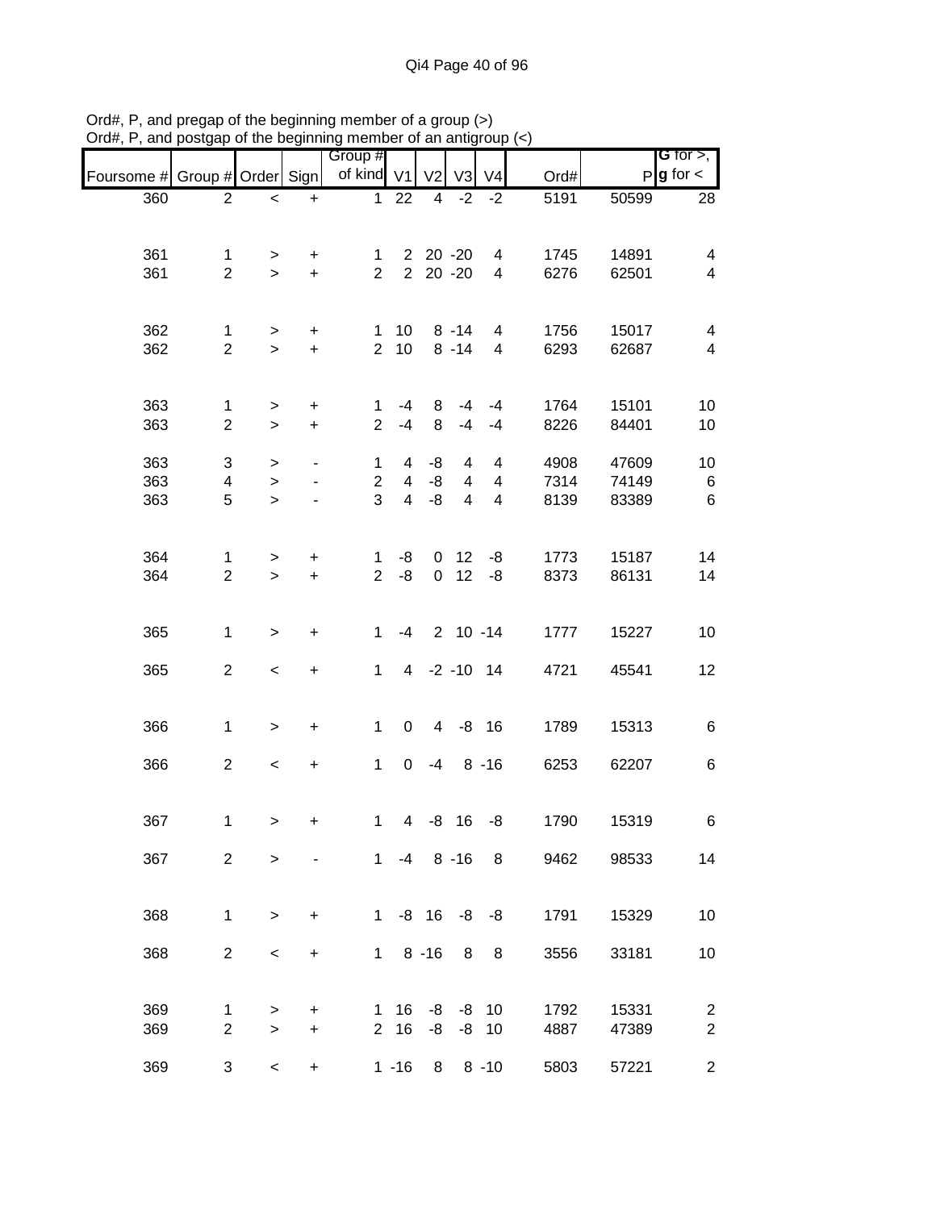|            |                    |                          |                                  | Group #        |                |                         |                |                          |      |       | <b>G</b> for $>$ , $\vert$ |
|------------|--------------------|--------------------------|----------------------------------|----------------|----------------|-------------------------|----------------|--------------------------|------|-------|----------------------------|
| Foursome # | Group # Order Sign |                          |                                  | of kind V1     |                | V <sub>2</sub>          | V <sub>3</sub> | V <sub>4</sub>           | Ord# | P     | $g$ for $\lt$              |
| 360        | $\overline{2}$     | $\,<$                    | $\ddot{}$                        | $\mathbf{1}$   | 22             | $\overline{\mathbf{4}}$ | $-2$           | $-2$                     | 5191 | 50599 | 28                         |
|            |                    |                          |                                  |                |                |                         |                |                          |      |       |                            |
| 361        | $\mathbf{1}$       | >                        | +                                | 1.             |                | 2 20 -20                |                | 4                        | 1745 | 14891 | 4                          |
| 361        | $\overline{2}$     | $\geq$                   | $+$                              | $\overline{2}$ |                | 2 20 -20                |                | $\overline{\mathcal{A}}$ | 6276 | 62501 | $\overline{\mathbf{4}}$    |
|            |                    |                          |                                  |                |                |                         |                |                          |      |       |                            |
| 362        | $\mathbf{1}$       | $\,$                     | $\ddot{}$                        | $\mathbf 1$    | 10             |                         | $8 - 14$       | 4                        | 1756 | 15017 | 4                          |
| 362        | $\overline{2}$     | $\geq$                   | $\pm$                            | $\overline{2}$ | 10             |                         | $8 - 14$       | 4                        | 6293 | 62687 | 4                          |
|            |                    |                          |                                  |                |                |                         |                |                          |      |       |                            |
| 363        | 1                  | $\,$                     | $\ddot{}$                        | 1              | $-4$           | 8                       | $-4$           | $-4$                     | 1764 | 15101 | 10                         |
| 363        | $\overline{2}$     | $\,$                     | $\ddot{}$                        | $\overline{2}$ | $-4$           | 8                       | $-4$           | $-4$                     | 8226 | 84401 | 10                         |
| 363        | 3                  | $\, > \,$                |                                  | 1              | 4              | -8                      | 4              | 4                        | 4908 | 47609 | 10                         |
| 363        | 4                  | $\,$                     |                                  | $\overline{2}$ | $\overline{4}$ | -8                      | $\overline{4}$ | $\overline{\mathbf{4}}$  | 7314 | 74149 | $\,6$                      |
| 363        | 5                  | $\mathbf{I}$             |                                  | 3              | $\overline{4}$ | -8                      | $\overline{4}$ | 4                        | 8139 | 83389 | $\,6$                      |
|            |                    |                          |                                  |                |                |                         |                |                          |      |       |                            |
| 364        | 1                  | $\, > \,$                | +                                | 1              | -8             | 0                       | 12             | -8                       | 1773 | 15187 | 14                         |
| 364        | $\overline{c}$     | $\geq$                   | +                                | $\overline{2}$ | -8             | $\mathbf 0$             | 12             | -8                       | 8373 | 86131 | 14                         |
|            |                    |                          |                                  |                |                |                         |                |                          |      |       |                            |
| 365        | $\mathbf{1}$       | $\geq$                   | +                                | 1.             | $-4$           |                         | $2 10 - 14$    |                          | 1777 | 15227 | 10                         |
|            |                    |                          |                                  |                |                |                         |                |                          |      |       |                            |
| 365        | $\overline{c}$     | $\,<$                    | $\begin{array}{c} + \end{array}$ | $\mathbf{1}$   |                |                         | 4 -2 -10 14    |                          | 4721 | 45541 | 12                         |
|            |                    |                          |                                  |                |                |                         |                |                          |      |       |                            |
| 366        | $\mathbf 1$        | $\,>$                    | $\ddot{}$                        | 1              | $\mathbf 0$    | $\overline{4}$          |                | $-8$ 16                  | 1789 | 15313 | 6                          |
|            |                    |                          |                                  |                |                |                         |                |                          |      |       |                            |
| 366        | $\overline{2}$     | $\overline{\phantom{a}}$ | $\boldsymbol{+}$                 | $\mathbf 1$    | $\mathbf 0$    | $-4$                    |                | $8 - 16$                 | 6253 | 62207 | 6                          |
|            |                    |                          |                                  |                |                |                         |                |                          |      |       |                            |
| 367        | $\mathbf{1}$       | $\geq$                   | +                                | $\mathbf 1$    |                |                         | 4 -8 16 -8     |                          | 1790 | 15319 | 6                          |
| 367        | $\overline{2}$     | $\geq$                   |                                  |                |                | $1 -4 8 -16$            |                | 8                        | 9462 | 98533 | 14                         |
|            |                    |                          |                                  |                |                |                         |                |                          |      |       |                            |
|            |                    |                          |                                  | $\mathbf{1}$   |                |                         |                |                          |      |       |                            |
| 368        | $\mathbf{1}$       | $\geq$                   | $\ddot{}$                        |                |                | $-8$ 16                 |                | $-8 - 8$                 | 1791 | 15329 | 10                         |
| 368        | $\overline{2}$     | $\,<$                    | +                                | $\mathbf 1$    |                | $8 - 16$                | 8              | 8                        | 3556 | 33181 | 10                         |
|            |                    |                          |                                  |                |                |                         |                |                          |      |       |                            |
| 369        | 1                  | >                        | +                                | 1              | 16             | -8                      | -8             | 10                       | 1792 | 15331 | $\overline{2}$             |
| 369        | $\overline{2}$     | $\,$                     | $\ddot{}$                        | $\overline{2}$ | 16             | -8                      | -8             | 10                       | 4887 | 47389 | $\overline{2}$             |
| 369        |                    |                          |                                  |                |                |                         |                |                          |      |       |                            |
|            | 3                  | $\overline{\phantom{0}}$ | $\ddot{}$                        |                | $1 - 16$       | 8                       |                | $8 - 10$                 | 5803 | 57221 | $\overline{c}$             |

Ord#, P, and pregap of the beginning member of a group (>) Ord#, P, and postgap of the beginning member of an antigroup (<)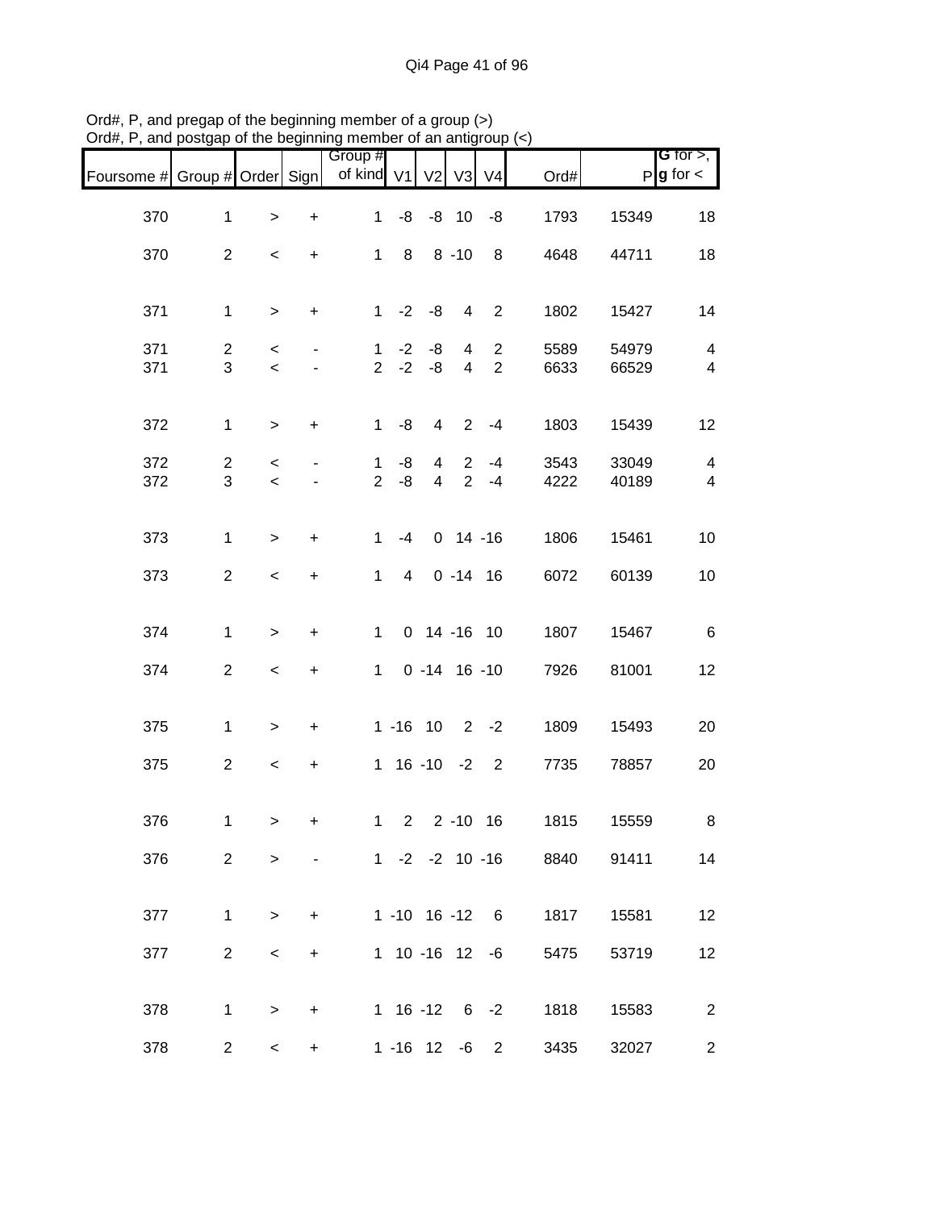| Foursome # Group # Order Sign |                |                          |                          | Group #<br>of kind V1 |                |                | V2 V3          | V <sub>4</sub>      | Ord#                      |       | G for $>$ ,<br>$P$ <b>g</b> for $\lt$ |
|-------------------------------|----------------|--------------------------|--------------------------|-----------------------|----------------|----------------|----------------|---------------------|---------------------------|-------|---------------------------------------|
| 370                           | $\mathbf{1}$   | $\, >$                   | $\boldsymbol{+}$         | $\mathbf{1}$          |                |                |                | $-8$ $-8$ 10 $-8$   | 1793                      | 15349 | 18                                    |
| 370                           | $\overline{2}$ | $\,<\,$                  | $\ddot{}$                |                       | $1 \quad 8$    |                | $8 - 10$       | 8                   | 4648                      | 44711 | 18                                    |
| 371                           | $\mathbf{1}$   | $\geq$                   | $\ddot{}$                |                       | $1 -2 -8$      |                | $\overline{4}$ | $\overline{2}$      | 1802                      | 15427 | 14                                    |
| 371                           | $\overline{a}$ | $\,<\,$                  | $\overline{\phantom{a}}$ | $\mathbf{1}$          | $-2$           | -8             | 4              | $\overline{2}$      | 5589                      | 54979 | $\overline{\mathbf{4}}$               |
| 371                           | 3              | $\,<$                    | $\overline{\phantom{a}}$ | $\overline{2}$        | $-2$           | $-8$           | $\overline{4}$ | $\overline{2}$      | 6633                      | 66529 | $\overline{\mathbf{4}}$               |
| 372                           | $\mathbf{1}$   | $\geq$                   | $\ddot{}$                |                       | $1 - 8$        | $\overline{4}$ |                | $2 - 4$             | 1803                      | 15439 | 12                                    |
| 372                           | $\overline{2}$ | $\,<$                    | $\overline{\phantom{a}}$ | $\mathbf{1}$          | -8             | $\overline{4}$ | $\overline{2}$ | $2 - 4$             | 3543                      | 33049 | $\overline{\mathbf{4}}$               |
| 372                           | 3              | $\prec$                  |                          | $\overline{2}$        | $-8$           | $\overline{4}$ |                | $-4$                | 4222                      | 40189 | $\overline{4}$                        |
| 373                           | $\mathbf{1}$   | $\geq$                   | $\pm$                    | $\mathbf{1}$          | -4             |                |                | $0$ 14 -16          | 1806                      | 15461 | 10                                    |
| 373                           | $\overline{2}$ | $\overline{\phantom{a}}$ | $\ddot{}$                | $1 \quad$             | $\overline{4}$ |                |                | $0 - 14 16$         | 6072                      | 60139 | 10                                    |
| 374                           | $\mathbf{1}$   | $\,$                     | $\ddot{}$                | $\mathbf 1$           |                |                |                | $0$ 14 -16 10       | 1807                      | 15467 | $\,6$                                 |
| 374                           | $\overline{c}$ | $\,<$                    | $\boldsymbol{+}$         | $1 \quad$             |                |                |                | $0 - 14 16 - 10$    | 7926                      | 81001 | 12                                    |
|                               |                |                          |                          |                       |                |                |                |                     |                           |       |                                       |
| 375                           | $\mathbf{1}$   | $\,>$                    | $\ddot{}$                |                       |                |                |                | $1 - 16$ 10 2 $-2$  | 1809                      | 15493 | 20                                    |
| 375                           | $\overline{c}$ | $\prec$                  | $\ddot{}$                |                       |                |                |                | $1 16 - 10 - 2 2$   | 7735                      | 78857 | 20                                    |
| 376                           | 1              | $\geq$                   | $\ddot{}$                |                       |                |                |                | 1 2 2 -10 16        | 1815                      | 15559 | $\,8\,$                               |
| 376                           | $\overline{2}$ | $\geq$                   |                          |                       |                |                |                |                     | 1 -2 -2 10 -16 8840 91411 |       | 14                                    |
| 377                           | $\mathbf{1}$   | $\geq$                   | $\ddot{}$                |                       |                |                |                | $1 - 10$ 16 $-12$ 6 | 1817                      | 15581 | 12                                    |
|                               |                |                          |                          |                       |                |                |                | 1 10 -16 12 -6      |                           |       |                                       |
| 377                           | $\overline{2}$ | $\,<\,$                  | $\ddot{}$                |                       |                |                |                |                     | 5475                      | 53719 | 12                                    |
| 378                           | $\mathbf{1}$   | $\, > \,$                | $\ddot{}$                |                       |                |                |                | $1 16 - 12 6 - 2$   | 1818                      | 15583 | $\overline{2}$                        |
| 378                           | $\overline{2}$ | $\overline{\phantom{0}}$ | $\ddot{}$                |                       |                |                |                | $1 - 16$ 12 $-6$ 2  | 3435                      | 32027 | $\overline{c}$                        |

Ord#, P, and pregap of the beginning member of a group (>) Ord#, P, and postgap of the beginning member of an antigroup (<)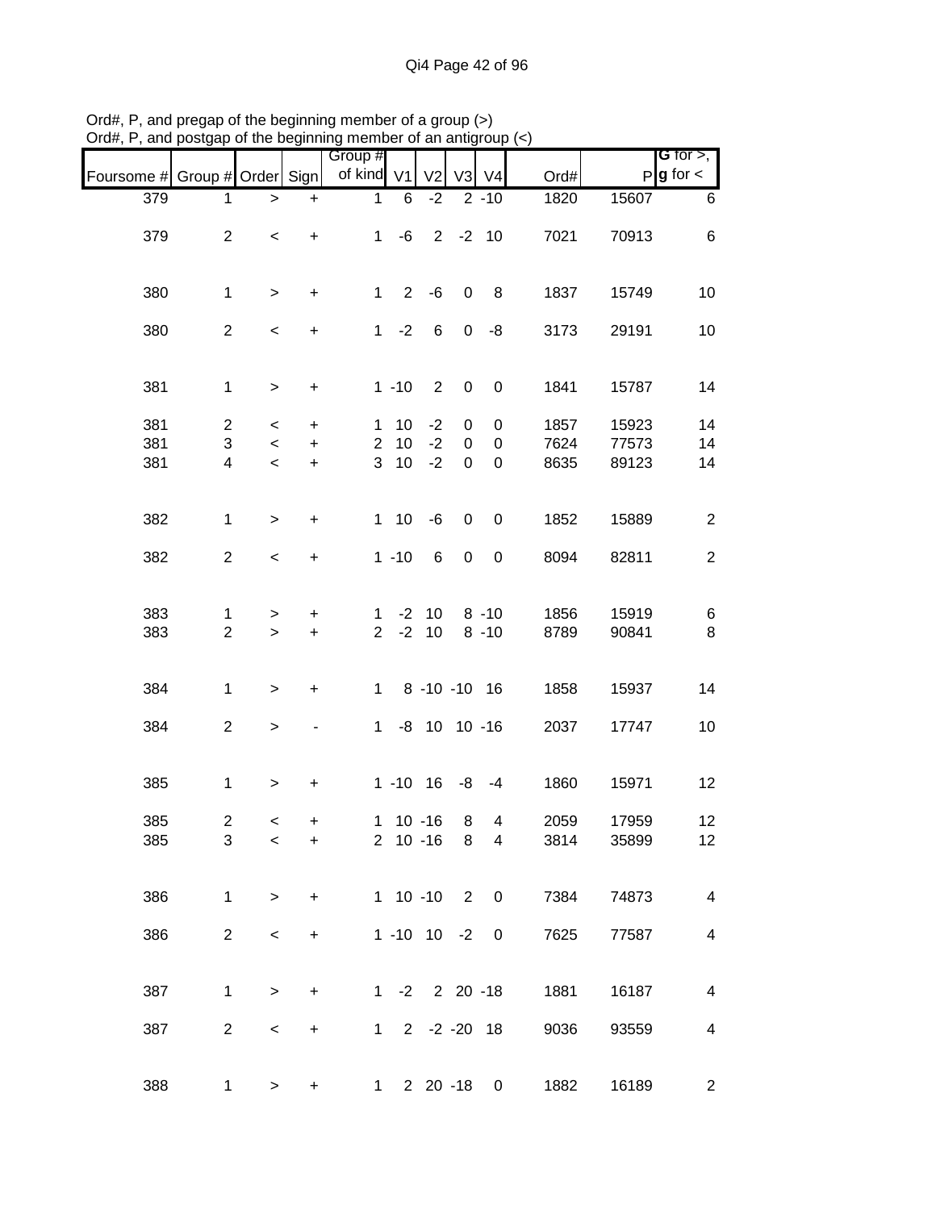|                               |                |           |                                  | Group #        |           |                                         |                |                  |                      |       | <b>G</b> for $>$ ,       |
|-------------------------------|----------------|-----------|----------------------------------|----------------|-----------|-----------------------------------------|----------------|------------------|----------------------|-------|--------------------------|
| Foursome # Group # Order Sign |                |           |                                  | of kind V1     |           | V <sub>2</sub>                          | V <sub>3</sub> | $\sqrt{4}$       | Ord#                 |       | $P g$ for $\lt$          |
| 379                           | 1              | >         | $\ddot{}$                        | 1              | 6         | $-2$                                    |                | $2 - 10$         | 1820                 | 15607 | 6                        |
|                               |                |           |                                  |                |           |                                         |                |                  |                      |       |                          |
| 379                           | $\overline{2}$ | $\,<$     | $\ddot{}$                        | $\mathbf{1}$   | -6        |                                         | $2 -2 10$      |                  | 7021                 | 70913 | 6                        |
|                               |                |           |                                  |                |           |                                         |                |                  |                      |       |                          |
| 380                           | $\mathbf{1}$   | $\, > \,$ | +                                | $\mathbf{1}$   | 2         | $-6$                                    | $\mathbf 0$    | 8                | 1837                 | 15749 | 10                       |
| 380                           | $\overline{2}$ | $\,<$     | $\ddot{}$                        | $\mathbf 1$    | $-2$      | 6                                       | $\overline{0}$ | -8               | 3173                 | 29191 | 10                       |
|                               |                |           |                                  |                |           |                                         |                |                  |                      |       |                          |
|                               |                |           |                                  |                |           |                                         |                |                  |                      |       |                          |
| 381                           | $\mathbf{1}$   | $\geq$    | $\begin{array}{c} + \end{array}$ |                | $1 - 10$  | $\overline{2}$                          | $\mathbf 0$    | $\boldsymbol{0}$ | 1841                 | 15787 | 14                       |
| 381                           | $\overline{c}$ | $\,<\,$   | $\ddot{}$                        | 1              | 10        | $-2$                                    | 0              | 0                | 1857                 | 15923 | 14                       |
| 381                           | 3              | $\,<$     | $\ddot{}$                        | $\overline{2}$ | 10        | $-2$                                    | $\pmb{0}$      | $\pmb{0}$        | 7624                 | 77573 | 14                       |
|                               |                |           |                                  |                |           |                                         |                |                  |                      |       |                          |
| 381                           | 4              | $\,<$     | $\ddot{}$                        | 3              | 10        | $-2$                                    | 0              | $\boldsymbol{0}$ | 8635                 | 89123 | 14                       |
|                               |                |           |                                  |                |           |                                         |                |                  |                      |       |                          |
| 382                           | $\mathbf{1}$   | $\,>$     | $\ddot{}$                        |                | $1 10$    | $-6$                                    | $\mathbf 0$    | $\pmb{0}$        | 1852                 | 15889 | $\overline{c}$           |
| 382                           | $\overline{2}$ | $\,<$     | $\ddot{}$                        |                | $1 - 10$  | 6                                       | $\mathbf 0$    | $\boldsymbol{0}$ | 8094                 | 82811 | $\overline{2}$           |
|                               |                |           |                                  |                |           |                                         |                |                  |                      |       |                          |
| 383                           |                |           |                                  |                |           | $-2$ 10                                 |                | $8 - 10$         | 1856                 |       |                          |
|                               | $\mathbf 1$    | >         | +                                | 1              |           |                                         |                |                  |                      | 15919 | 6                        |
| 383                           | $\overline{2}$ | $\geq$    | $\ddot{}$                        | $\overline{2}$ | $-2$      | 10                                      |                | $8 - 10$         | 8789                 | 90841 | 8                        |
|                               |                |           |                                  |                |           |                                         |                |                  |                      |       |                          |
| 384                           | $\mathbf{1}$   | $\,>$     | +                                | $\mathbf 1$    |           | 8 -10 -10 16                            |                |                  | 1858                 | 15937 | 14                       |
| 384                           | $\overline{c}$ | $\,$      |                                  | $\mathbf 1$    |           | $-8$ 10 10 $-16$                        |                |                  | 2037                 | 17747 | 10                       |
|                               |                |           |                                  |                |           |                                         |                |                  |                      |       |                          |
|                               |                |           |                                  |                |           |                                         |                |                  |                      |       |                          |
| 385                           | $\mathbf{1}$   | $\,$      | +                                |                |           | $1 - 10$ 16                             | -8             | $-4$             | 1860                 | 15971 | 12                       |
| 385                           | $\overline{2}$ | $\,<\,$   | +                                |                |           | $1 10 - 16$                             | 8              | 4                | 2059                 | 17959 | 12                       |
| 385                           | 3              | $\,<\,$   | +                                |                |           | 2 10 -16 8                              |                | $\overline{4}$   | 3814                 | 35899 | 12                       |
|                               |                |           |                                  |                |           |                                         |                |                  |                      |       |                          |
| 386                           | $\mathbf{1}$   | $\, > \,$ | $\ddot{}$                        |                |           | 1 10 -10 2 0                            |                |                  | 7384                 | 74873 | $\overline{4}$           |
|                               |                |           |                                  |                |           |                                         |                |                  |                      |       |                          |
| 386                           | $\overline{a}$ | $\,<$     | +                                |                |           | $1 - 10$ $10 - 2$                       |                | 0                | 7625                 | 77587 | $\overline{4}$           |
|                               |                |           |                                  |                |           |                                         |                |                  |                      |       |                          |
| 387                           | 1              | $\,$      | +                                |                |           | $1 -2 2 20 -18$                         |                |                  | 1881                 | 16187 | $\overline{\mathcal{A}}$ |
|                               |                |           |                                  |                |           |                                         |                |                  |                      |       |                          |
| 387                           | $\overline{a}$ | $\,<$     | $\ddot{}$                        |                |           | $1 \quad 2 \quad -2 \quad -20 \quad 18$ |                |                  | 9036                 | 93559 | $\overline{\mathbf{4}}$  |
|                               |                |           |                                  |                |           |                                         |                |                  |                      |       |                          |
| 388                           | $\mathbf 1$    | $\, > \,$ | +                                |                | $1 \quad$ | $2\ 20\ -18$                            |                |                  | 1882<br>$\mathbf{0}$ | 16189 | $\overline{c}$           |

Ord#, P, and pregap of the beginning member of a group (>) Ord#, P, and postgap of the beginning member of an antigroup (<)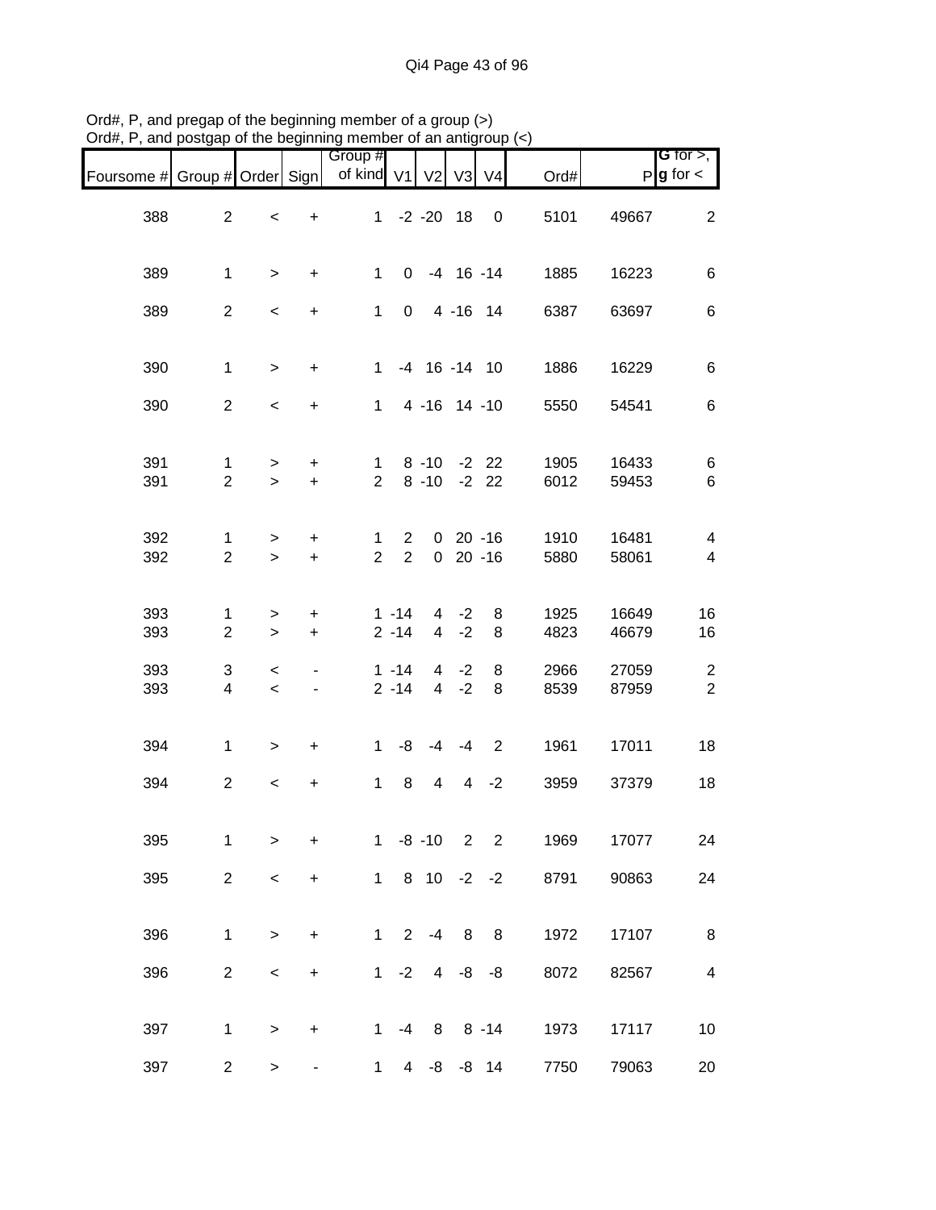| Foursome # Group # Order Sign |                                |                                     |                                                      | Group #<br>of kind V1          |                                  | V <sub>2</sub>                   | V3                      | V <sub>4</sub>           | Ord#         |                | <b>G</b> for $>$ ,<br>$P g$ for $\lt$ |
|-------------------------------|--------------------------------|-------------------------------------|------------------------------------------------------|--------------------------------|----------------------------------|----------------------------------|-------------------------|--------------------------|--------------|----------------|---------------------------------------|
| 388                           | $\overline{a}$                 | $\,<$                               | $\ddot{}$                                            |                                |                                  | $1 -2 -20 18$                    |                         | 0                        | 5101         | 49667          | $\overline{2}$                        |
| 389                           | $\mathbf{1}$                   | $\geq$                              | $\ddot{}$                                            | $\mathbf{1}$                   | 0                                |                                  |                         | $-4$ 16 $-14$            | 1885         | 16223          | 6                                     |
| 389                           | $\overline{a}$                 | $\,<$                               | $\ddot{}$                                            | $\mathbf{1}$                   | $\mathbf 0$                      |                                  |                         | 4 - 16 14                | 6387         | 63697          | 6                                     |
| 390                           | $\mathbf{1}$                   | $\, >$                              | $\ddot{}$                                            | 1                              |                                  | $-4$ 16 $-14$ 10                 |                         |                          | 1886         | 16229          | 6                                     |
| 390                           | $\overline{2}$                 | $\,<$                               | $\ddot{}$                                            |                                |                                  | 1 4 -16 14 -10                   |                         |                          | 5550         | 54541          | $\,6$                                 |
| 391<br>391                    | 1<br>$\overline{2}$            | $\geq$<br>$\geq$                    | $\ddot{}$<br>$+$                                     | $\mathbf 1$<br>$\overline{2}$  |                                  | $8 - 10 - 22$<br>$8 - 10 - 22$   |                         |                          | 1905<br>6012 | 16433<br>59453 | 6<br>6                                |
| 392<br>392                    | $\mathbf{1}$<br>$\overline{2}$ | $\, > \,$<br>$\geq$                 | $\ddot{}$<br>$\ddot{}$                               | $\mathbf{1}$<br>$\overline{2}$ | $\overline{2}$<br>$\overline{2}$ |                                  |                         | $0$ 20 -16<br>$0$ 20 -16 | 1910<br>5880 | 16481<br>58061 | 4<br>$\overline{\mathbf{4}}$          |
| 393<br>393                    | 1<br>$\overline{c}$            | ><br>$\geq$                         | +<br>$\ddot{}$                                       |                                | $1 - 14$<br>$2 - 14$             | $\overline{4}$<br>$\overline{4}$ | $-2$<br>$-2$            | 8<br>8                   | 1925<br>4823 | 16649<br>46679 | 16<br>16                              |
| 393<br>393                    | 3<br>$\overline{\mathbf{4}}$   | $\,<\,$<br>$\overline{\phantom{a}}$ | $\overline{\phantom{0}}$<br>$\overline{\phantom{a}}$ |                                | $1 - 14$<br>$2 - 14$             | $\overline{4}$<br>$\overline{4}$ | $-2$<br>$-2$            | 8<br>8                   | 2966<br>8539 | 27059<br>87959 | $\overline{c}$<br>$\overline{2}$      |
| 394                           | $\mathbf{1}$                   | $\,>$                               | $\ddot{}$                                            | $\mathbf 1$                    | -8                               | $-4$                             | $-4$                    | 2                        | 1961         | 17011          | 18                                    |
| 394                           | $\overline{a}$                 | $\,<\,$                             | $\begin{array}{c} + \end{array}$                     | $\mathbf{1}$                   | 8                                | $\overline{4}$                   | 4                       | $-2$                     | 3959         | 37379          | 18                                    |
| 395                           | 1                              | >                                   | $\ddot{}$                                            | 1                              |                                  | $-8 - 10$                        | $\overline{\mathbf{2}}$ | $\overline{\phantom{a}}$ | 1969         | 17077          | 24                                    |
| 395                           | $\overline{2}$                 | $\,<\,$                             | $\ddot{}$                                            |                                |                                  | $1810 -2 -2$                     |                         |                          | 8791         | 90863          | 24                                    |
| 396                           | $\mathbf{1}$                   | $\mathbf{I}$                        | $\ddot{}$                                            | $\mathbf{1}$                   | $\overline{2}$                   | $-4$                             | 8                       | 8                        | 1972         | 17107          | 8                                     |
| 396                           | $\overline{c}$                 | $\prec$                             | $\begin{array}{c} + \end{array}$                     |                                | $1 -2$                           |                                  | $4 - 8$                 | -8                       | 8072         | 82567          | $\overline{\mathbf{4}}$               |
| 397                           | 1                              | $\mathbf{1}$                        | $\ddot{}$                                            | $1 \quad$                      | $-4$                             | 8                                |                         | $8 - 14$                 | 1973         | 17117          | 10                                    |
| 397                           | $\overline{c}$                 | >                                   |                                                      | $\mathbf{1}$                   | 4 <sup>1</sup>                   |                                  |                         | $-8$ $-8$ 14             | 7750         | 79063          | 20                                    |

Ord#, P, and pregap of the beginning member of a group (>) Ord#, P, and postgap of the beginning member of an antigroup (<)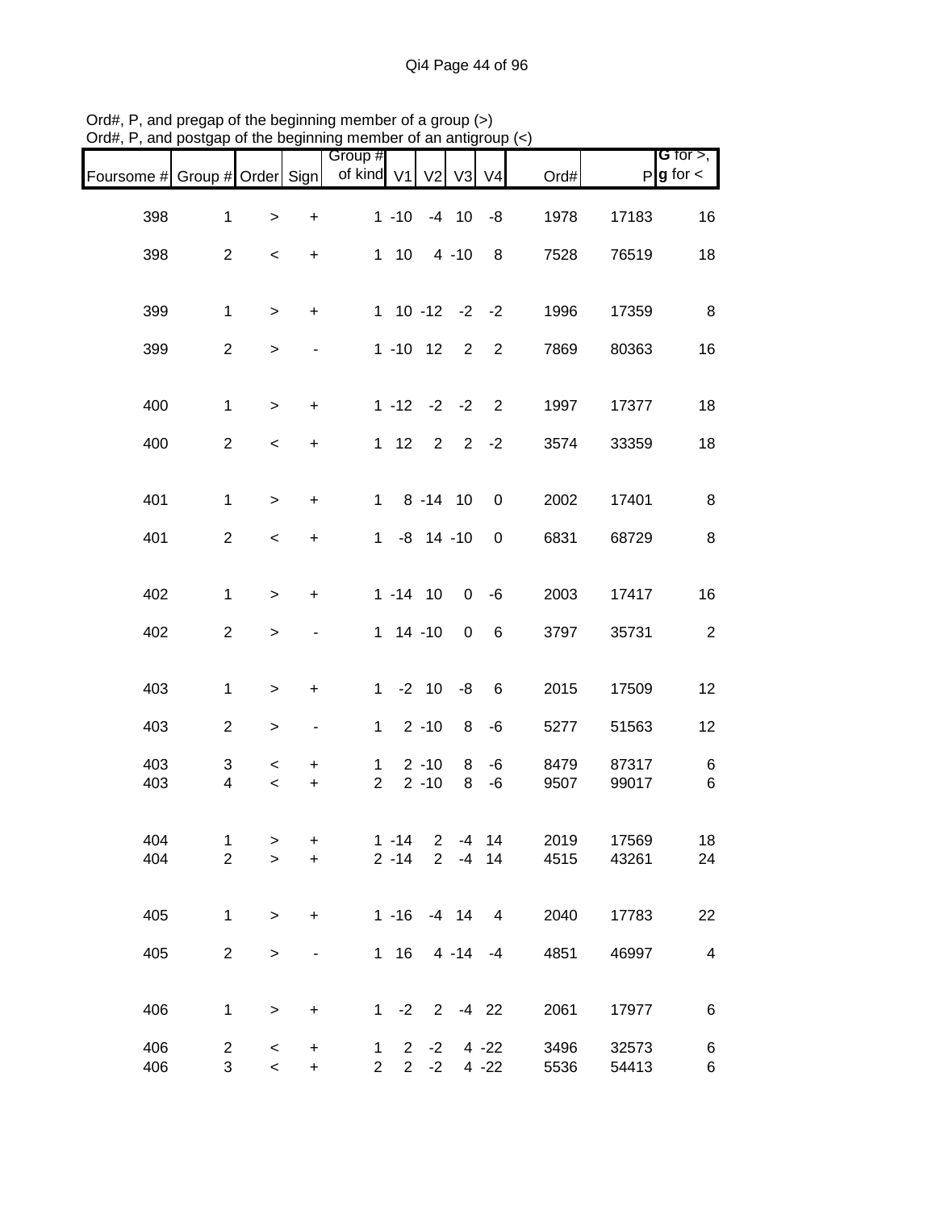| Foursome # Group # Order Sign |                         |                                     |                                  | Group #<br>of kind V1          |              | V <sub>2</sub>       | V3           | V <sub>4</sub> | Ord#         |                | <b>G</b> for $>$ ,<br>$P g$ for $\lt$ |
|-------------------------------|-------------------------|-------------------------------------|----------------------------------|--------------------------------|--------------|----------------------|--------------|----------------|--------------|----------------|---------------------------------------|
| 398                           | $\mathbf{1}$            | $\,$                                | $\ddot{}$                        |                                | $1 - 10$     |                      | $-4$ 10      | -8             | 1978         | 17183          | 16                                    |
| 398                           | $\overline{2}$          | $\overline{\phantom{a}}$            | $\ddot{}$                        |                                | $1 10$       |                      | $4 - 10$     | 8              | 7528         | 76519          | 18                                    |
| 399                           | $\mathbf{1}$            | $\geq$                              | $\ddot{}$                        |                                |              | $1$ 10 -12 -2 -2     |              |                | 1996         | 17359          | 8                                     |
| 399                           | $\overline{c}$          | $\,>$                               | $\overline{\phantom{a}}$         |                                |              | $1 - 10$ $12$        | $2^{\circ}$  | 2              | 7869         | 80363          | 16                                    |
|                               |                         |                                     |                                  |                                |              |                      |              |                |              |                |                                       |
| 400                           | $\mathbf{1}$            | $\,>$                               | $\ddot{}$                        |                                |              | $1 - 12 - 2 - 2$     |              | $\overline{2}$ | 1997         | 17377          | 18                                    |
| 400                           | $\overline{2}$          | $\,<$                               | $\ddot{}$                        |                                | $1 \quad 12$ |                      | $2 \quad 2$  | $-2$           | 3574         | 33359          | 18                                    |
| 401                           | $\mathbf{1}$            | $\,>$                               | $\ddot{}$                        | $\mathbf{1}$                   |              | $8 - 14$ 10          |              | $\mathbf 0$    | 2002         | 17401          | 8                                     |
|                               |                         |                                     |                                  |                                |              |                      |              |                |              |                |                                       |
| 401                           | $\overline{2}$          | $\,<$                               | $\ddot{}$                        | $1 \quad$                      |              | $-8$ 14 $-10$        |              | 0              | 6831         | 68729          | 8                                     |
| 402                           | $\mathbf{1}$            | $\geq$                              | $\ddot{}$                        |                                |              | $1 - 14$ 10          | $\mathbf 0$  | $-6$           | 2003         | 17417          | 16                                    |
| 402                           | $\overline{c}$          | $\mathbf{I}$                        |                                  |                                |              | $1 14 - 10$          | $\mathbf 0$  | 6              | 3797         | 35731          | $\overline{c}$                        |
| 403                           | $\mathbf{1}$            | $\,$                                | $\ddot{}$                        | $1 \quad$                      |              | $-2$ 10              | -8           | 6              | 2015         | 17509          | 12                                    |
|                               |                         |                                     |                                  |                                |              |                      |              |                |              |                |                                       |
| 403                           | $\overline{c}$          | $\,$                                | $\qquad \qquad \blacksquare$     | $\mathbf{1}$                   |              | $2 - 10$             | 8            | -6             | 5277         | 51563          | 12                                    |
| 403                           | 3                       | $\,<\,$                             | +                                | $\mathbf{1}$                   |              | $2 - 10$             | 8            | $-6$           | 8479         | 87317          | 6                                     |
| 403                           | $\overline{\mathbf{4}}$ | $\,<$                               | $\ddot{}$                        | $\overline{2}$                 |              | $2 - 10$             | 8            | $-6$           | 9507         | 99017          | $\,6$                                 |
| 404                           | $\mathbf 1$             | >                                   | $\ddot{}$                        |                                | $1 - 14$     | $\mathbf{2}$         |              | $-4$ 14        | 2019         | 17569          | 18                                    |
| 404                           | $\overline{2}$          | $\mathbf{I}$                        | $\ddot{}$                        |                                | $2 - 14$     | $\overline{2}$       |              | $-4$ 14        | 4515         | 43261          | 24                                    |
| 405                           | $\mathbf{1}$            | $\geq$                              | $\ddot{}$                        |                                | $1 - 16$     |                      | $-4$ 14 4    |                | 2040         | 17783          | 22                                    |
| 405                           | $\overline{c}$          | $\geq$                              |                                  |                                | $1 \t16$     |                      | $4 - 14 - 4$ |                | 4851         | 46997          | $\overline{\mathbf{4}}$               |
|                               |                         |                                     |                                  |                                |              |                      |              |                |              |                |                                       |
| 406                           | 1                       | $\mathbf{I}$                        | $\begin{array}{c} + \end{array}$ |                                |              | $1 -2 2 -4 22$       |              |                | 2061         | 17977          | 6                                     |
| 406<br>406                    | $\overline{2}$<br>3     | $\,<\,$<br>$\overline{\phantom{0}}$ | $\ddot{}$<br>$\ddot{}$           | $\mathbf{1}$<br>$\overline{2}$ | $2^{\circ}$  | $-2$<br>$2 -2 4 -22$ |              | $4 - 22$       | 3496<br>5536 | 32573<br>54413 | 6<br>6                                |

Ord#, P, and pregap of the beginning member of a group (>) Ord#, P, and postgap of the beginning member of an antigroup (<)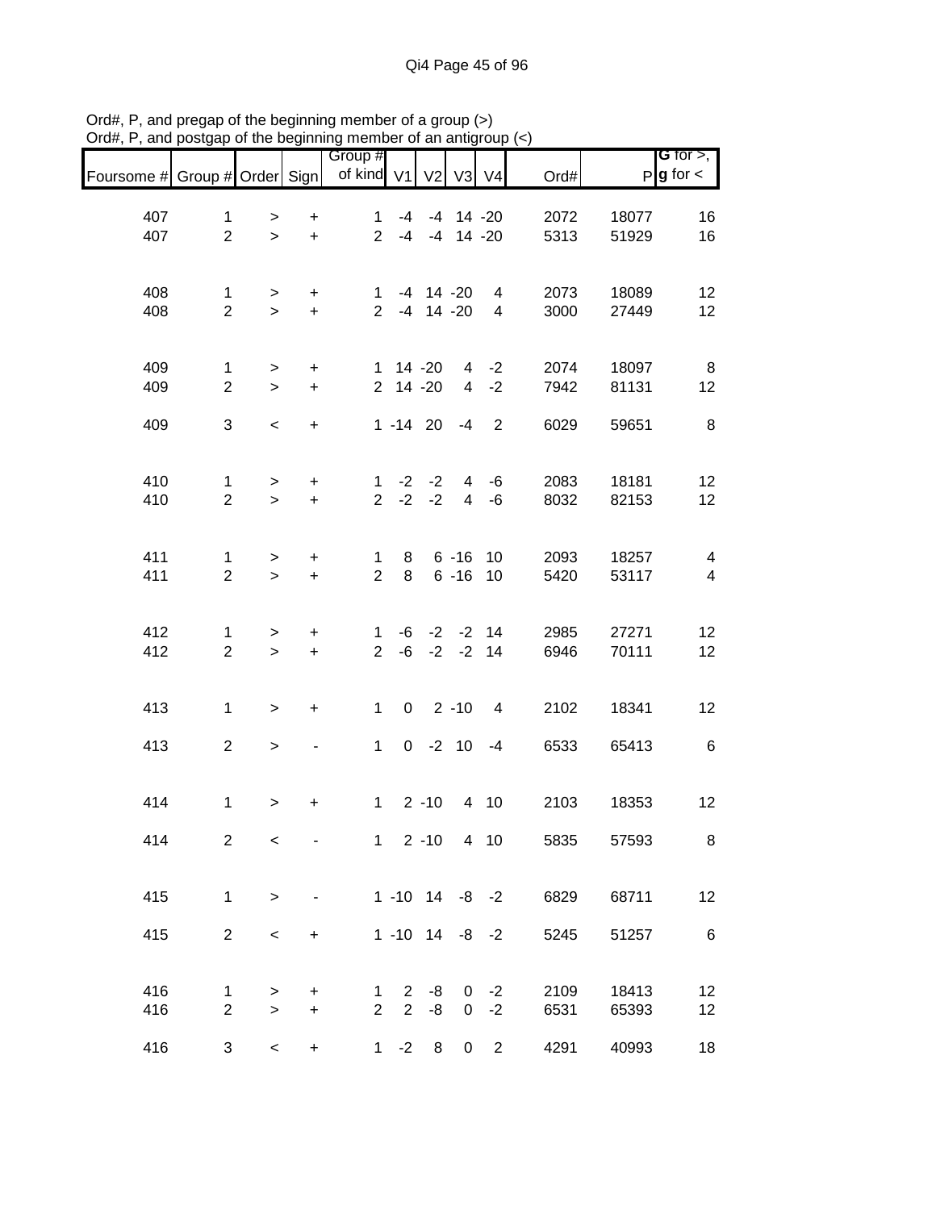| Foursome # Group # Order Sign |                                |             |                                  | Group #<br>of kind V1 |                | V <sub>2</sub>                 | V <sub>3</sub> | V <sub>4</sub>        | Ord#         |                | G for $>$ ,<br>$P$ <b>g</b> for $\lt$ |
|-------------------------------|--------------------------------|-------------|----------------------------------|-----------------------|----------------|--------------------------------|----------------|-----------------------|--------------|----------------|---------------------------------------|
|                               |                                |             |                                  |                       |                |                                |                |                       |              |                |                                       |
| 407<br>407                    | $\mathbf{1}$<br>$\overline{2}$ | ><br>$\geq$ | $\ddot{}$<br>$\ddot{}$           | 1<br>$\overline{2}$   | $-4$<br>$-4$   | $-4$                           | $-4$ 14 $-20$  | $14 - 20$             | 2072<br>5313 | 18077<br>51929 | 16<br>16                              |
|                               |                                |             |                                  |                       |                |                                |                |                       |              |                |                                       |
|                               |                                |             |                                  |                       |                |                                |                |                       |              |                |                                       |
| 408<br>408                    | $\mathbf{1}$<br>$\overline{2}$ | ><br>$\geq$ | $\ddot{}$<br>$\ddot{}$           | 1<br>$\overline{2}$   |                | $-4$ 14 $-20$<br>$-4$ 14 $-20$ |                | 4<br>$\overline{4}$   | 2073<br>3000 | 18089<br>27449 | 12<br>12                              |
|                               |                                |             |                                  |                       |                |                                |                |                       |              |                |                                       |
| 409                           | 1                              | $\, > \,$   | $\ddot{}$                        | 1                     |                | 14 -20                         | $\overline{4}$ | $-2$                  | 2074         | 18097          | 8                                     |
| 409                           | $\overline{2}$                 | $\geq$      | $\pm$                            |                       | 2 14 -20       |                                | $\overline{4}$ | $-2$                  | 7942         | 81131          | 12                                    |
| 409                           | 3                              | $\,<$       | $\ddot{}$                        |                       |                | $1 - 14$ 20                    | -4             | $\overline{2}$        | 6029         | 59651          | 8                                     |
|                               |                                |             |                                  |                       |                |                                |                |                       |              |                |                                       |
| 410                           | $\mathbf{1}$                   | $\,$        | $\ddot{}$                        | $\mathbf{1}$          |                | $-2$ $-2$                      | $\overline{4}$ | $-6$                  | 2083         | 18181          | 12                                    |
| 410                           | $\overline{2}$                 | $\geq$      | $\ddot{}$                        | $\overline{2}$        |                | $-2 -2$                        | $\overline{4}$ | $-6$                  | 8032         | 82153          | 12                                    |
|                               |                                |             |                                  |                       |                |                                |                |                       |              |                |                                       |
| 411                           | $\mathbf{1}$                   | $\, > \,$   | $\begin{array}{c} + \end{array}$ | 1                     | 8              |                                | $6 - 16$       | 10                    | 2093         | 18257          | $\overline{\mathbf{4}}$               |
| 411                           | $\overline{2}$                 | $\geq$      | $\ddot{}$                        | $\overline{2}$        | 8              |                                | $6 - 16$       | 10                    | 5420         | 53117          | $\overline{\mathbf{4}}$               |
|                               |                                |             |                                  |                       |                |                                |                |                       |              |                |                                       |
| 412                           | 1                              | >           | $\ddot{}$                        | 1                     |                | $-6$ $-2$ $-2$ 14              |                |                       | 2985         | 27271          | 12                                    |
| 412                           | $\overline{2}$                 | $\geq$      | $\ddot{}$                        | $\overline{2}$        |                | $-6$ $-2$ $-2$ 14              |                |                       | 6946         | 70111          | 12                                    |
|                               |                                |             |                                  |                       |                |                                |                |                       |              |                |                                       |
| 413                           | $\mathbf{1}$                   | $\,$        | $\ddot{}$                        | $\mathbf 1$           | $\mathbf 0$    |                                | $2 - 10$       | $\overline{4}$        | 2102         | 18341          | 12                                    |
| 413                           | $\overline{2}$                 | $\, >$      |                                  | $\mathbf{1}$          |                | $0 -2 10$                      |                | $-4$                  | 6533         | 65413          | $\,6$                                 |
|                               |                                |             |                                  |                       |                |                                |                |                       |              |                |                                       |
| 414                           | 1                              | >           | $\ddot{}$                        | $\mathbf{1}$          |                | $2 - 10$                       |                | 4 10                  | 2103         | 18353          | 12                                    |
|                               |                                |             |                                  |                       |                |                                |                |                       |              |                |                                       |
| 414                           | $\overline{2}$                 | $\,<\,$     |                                  |                       |                | $1 2 - 10 4 10$                |                |                       | 5835         | 57593          | 8                                     |
|                               |                                |             |                                  |                       |                |                                |                |                       |              |                |                                       |
| 415                           | $\mathbf{1}$                   | $\geq$      |                                  |                       |                |                                |                | $1 - 10$ $14 - 8 - 2$ | 6829         | 68711          | 12                                    |
| 415                           | $\overline{2}$                 | $\,<\,$     | $\ddot{}$                        |                       |                |                                |                | $1 - 10$ $14 - 8 - 2$ | 5245         | 51257          | 6                                     |
|                               |                                |             |                                  |                       |                |                                |                |                       |              |                |                                       |
| 416                           | 1                              | >           | $\ddot{}$                        | 1                     | $2^{\circ}$    | -8                             |                | $0 -2$                | 2109         | 18413          | 12                                    |
| 416                           | $\overline{2}$                 | $\geq$      | $\ddot{}$                        | $\overline{2}$        | $\overline{2}$ | -8                             | 0              | $-2$                  | 6531         | 65393          | 12                                    |
| 416                           | 3                              | $\,<$       | $\ddot{}$                        | 1                     | $-2$           | 8                              | 0              | $\overline{2}$        | 4291         | 40993          | 18                                    |

Ord#, P, and pregap of the beginning member of a group (>) Ord#, P, and postgap of the beginning member of an antigroup (<)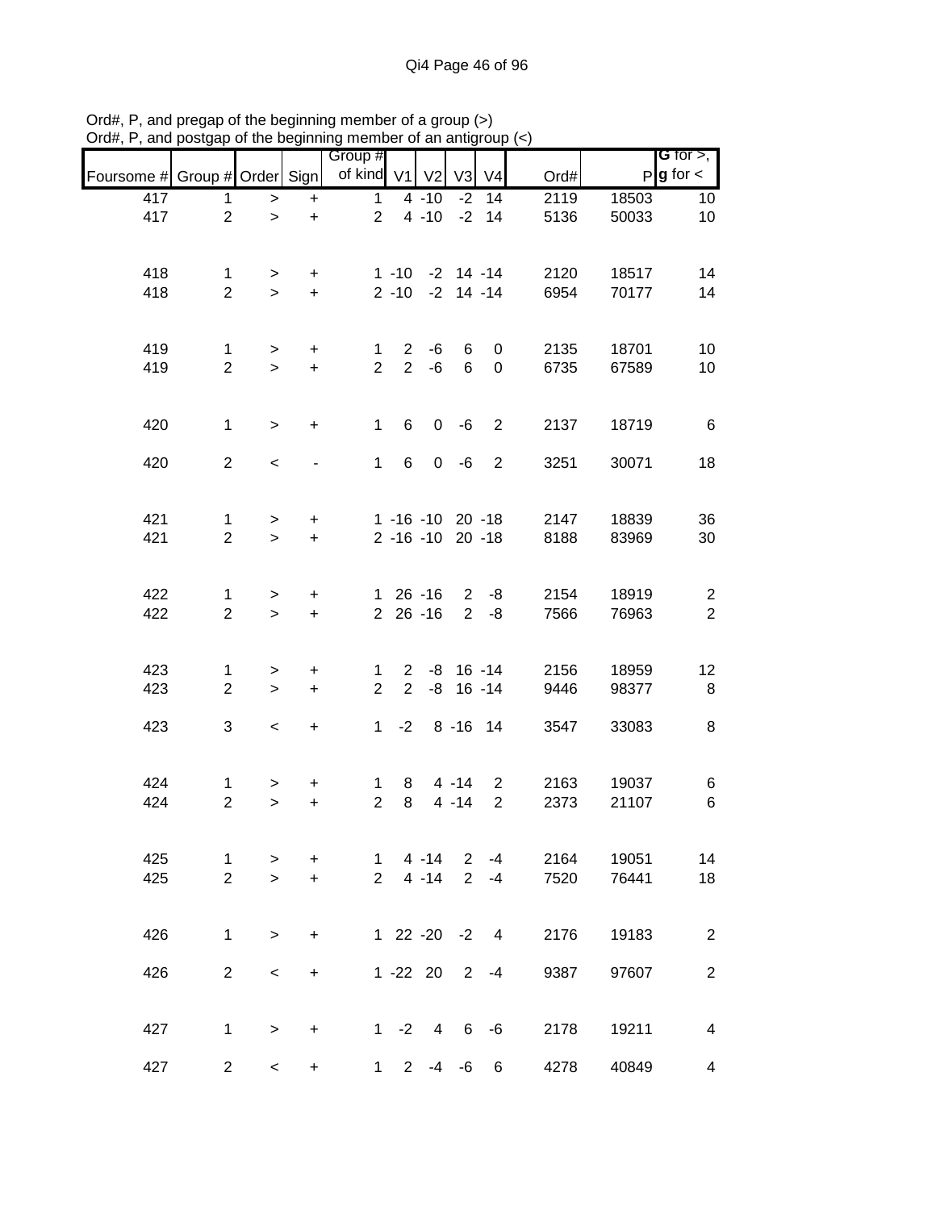|                               |                                |                          |                                  | Group #                       |                                |                                      |                |                    |              |                | G for $>$ ,                      |
|-------------------------------|--------------------------------|--------------------------|----------------------------------|-------------------------------|--------------------------------|--------------------------------------|----------------|--------------------|--------------|----------------|----------------------------------|
| Foursome # Group # Order Sign |                                |                          |                                  | of kind V1                    |                                | V <sub>2</sub>                       | V <sub>3</sub> | V <sub>4</sub>     | Ord#         |                | $P$ <b>g</b> for $\lt$           |
| 417                           | 1                              | $\,$                     | $\ddot{}$                        | $\mathbf{1}$                  |                                | $4 - 10$                             |                | $-2$ 14            | 2119         | 18503          | 10                               |
| 417                           | $\overline{2}$                 | $\mathbf{L}$             | $\ddot{}$                        | $\overline{2}$                |                                | $4 - 10$                             |                | $-2$ 14            | 5136         | 50033          | 10                               |
| 418<br>418                    | $\mathbf{1}$<br>$\overline{2}$ | ><br>$\geq$              | $\ddot{}$<br>$\ddot{}$           |                               | $2 - 10$                       | $1 - 10 - 2$ 14 - 14                 | $-2$ 14 $-14$  |                    | 2120<br>6954 | 18517<br>70177 | 14<br>14                         |
|                               |                                |                          |                                  |                               |                                |                                      |                |                    |              |                |                                  |
| 419<br>419                    | $\mathbf{1}$<br>$\overline{2}$ | $\, >$<br>$\geq$         | $\ddot{}$<br>$\ddot{}$           | 1<br>$\overline{2}$           | $\mathbf{2}$<br>$\overline{2}$ | -6<br>$-6$                           | 6<br>6         | 0<br>$\pmb{0}$     | 2135<br>6735 | 18701<br>67589 | 10<br>10                         |
|                               |                                |                          |                                  |                               |                                |                                      |                |                    |              |                |                                  |
| 420                           | $\mathbf{1}$                   | $\geq$                   | $\ddot{}$                        | $\mathbf{1}$                  | 6                              | $\mathbf 0$                          | -6             | $\overline{2}$     | 2137         | 18719          | 6                                |
| 420                           | $\overline{2}$                 | $\,<$                    |                                  | $\mathbf{1}$                  | 6                              |                                      | $0 - 6$        | $\overline{2}$     | 3251         | 30071          | 18                               |
| 421<br>421                    | $\mathbf{1}$<br>$\overline{2}$ | $\geq$<br>$\geq$         | $\boldsymbol{+}$<br>$\ddot{}$    |                               |                                | 1 -16 -10 20 -18<br>2 -16 -10 20 -18 |                |                    | 2147<br>8188 | 18839<br>83969 | 36<br>30                         |
|                               |                                |                          |                                  |                               |                                |                                      |                |                    |              |                |                                  |
| 422<br>422                    | 1<br>$\overline{2}$            | ><br>$\geq$              | $\ddot{}$<br>$\ddot{}$           |                               |                                | 1 26 -16<br>$2\ 26\ -16$             | $2^{\circ}$    | $2 - 8$<br>-8      | 2154<br>7566 | 18919<br>76963 | $\overline{c}$<br>$\overline{2}$ |
| 423                           | 1                              | >                        | $\ddot{}$                        | 1                             |                                | $2 -8 16 -14$                        |                |                    | 2156         | 18959          | 12                               |
| 423                           | $\overline{2}$                 | $\geq$                   | $\ddot{}$                        | $\overline{2}$                | $2^{\circ}$                    |                                      | $-8$ 16 $-14$  |                    | 9446         | 98377          | 8                                |
| 423                           | 3                              | $\overline{\phantom{a}}$ | $\begin{array}{c} + \end{array}$ | $\mathbf 1$                   | $-2$                           |                                      | $8 - 16$ 14    |                    | 3547         | 33083          | 8                                |
| 424                           | 1                              | >                        | +                                | 1                             | 8                              |                                      | $4 - 14$       | $\overline{2}$     | 2163         | 19037          | 6                                |
| 424                           | $\overline{2}$                 | $\geq$                   | $\ddot{}$                        | $\overline{2}$                | 8                              |                                      | $4 - 14$       | $\overline{2}$     | 2373         | 21107          | $\,6\,$                          |
| 425<br>425                    | $\mathbf 1$<br>$\overline{2}$  | $\,>$<br>$\geq$          | $\ddot{}$<br>$\ddot{}$           | $\mathbf 1$<br>$\overline{2}$ |                                | $4 - 14$<br>$4 - 14$                 |                | $2 - 4$<br>$2 - 4$ | 2164<br>7520 | 19051<br>76441 | 14<br>18                         |
|                               |                                |                          |                                  |                               |                                |                                      |                |                    |              |                |                                  |
| 426                           | 1                              | $\geq$                   | $\ddot{}$                        |                               |                                | 1 22 -20 -2 4                        |                |                    | 2176         | 19183          | $\overline{c}$                   |
| 426                           | $\overline{2}$                 | $\,<\,$                  | $\ddot{}$                        |                               |                                | $1 - 22$ 20                          |                | $2 - 4$            | 9387         | 97607          | $\overline{c}$                   |
| 427                           | $\mathbf 1$                    | $\geq$                   | $\ddot{}$                        |                               | $1 -2$                         | $\overline{4}$                       |                | 6 -6               | 2178         | 19211          | 4                                |
| 427                           | $\overline{2}$                 | $\overline{\phantom{0}}$ | $\ddot{}$                        | $1 \quad$                     | $\overline{2}$                 | $-4$                                 | -6             | 6                  | 4278         | 40849          | 4                                |

Ord#, P, and pregap of the beginning member of a group (>) Ord#, P, and postgap of the beginning member of an antigroup (<)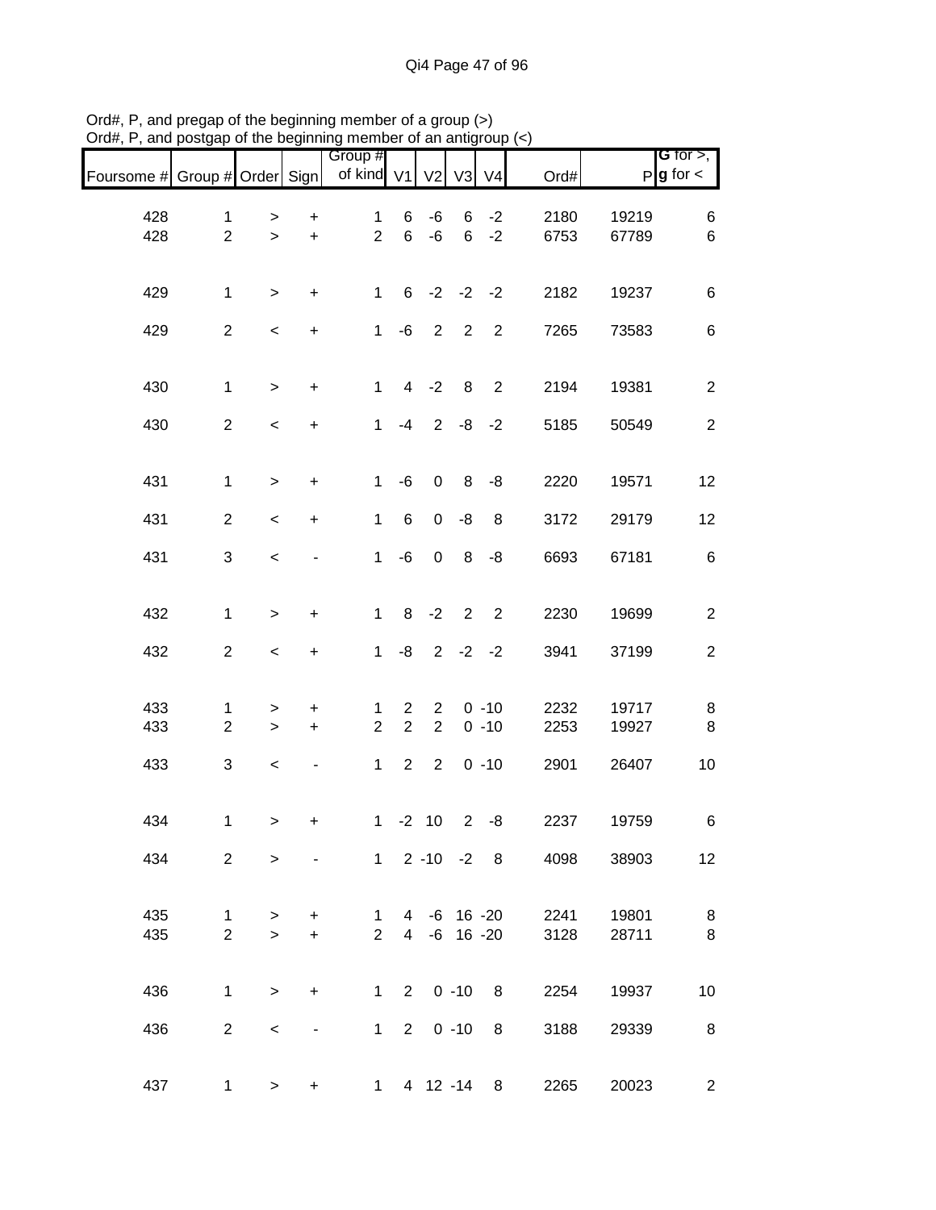|                               |                                |                     |                                               |                                |                              |                                  |                          |                        |              |                | <b>G</b> for $>$ ,     |
|-------------------------------|--------------------------------|---------------------|-----------------------------------------------|--------------------------------|------------------------------|----------------------------------|--------------------------|------------------------|--------------|----------------|------------------------|
| Foursome # Group # Order Sign |                                |                     |                                               | Group #<br>of kind V1          |                              | V <sub>2</sub>                   | V3                       | V <sub>4</sub>         | Ord#         |                | $P$ <b>g</b> for $\lt$ |
| 428<br>428                    | $\mathbf{1}$<br>$\overline{2}$ | $\,$<br>$\,$        | $\begin{array}{c} + \end{array}$<br>$\ddot{}$ | $\mathbf{1}$<br>$\overline{2}$ | 6<br>6                       | -6<br>$-6$                       | 6                        | $-2$<br>$6 -2$         | 2180<br>6753 | 19219<br>67789 | 6<br>$\,6$             |
| 429                           | $\mathbf{1}$                   | $\geq$              | $\ddot{}$                                     | $\mathbf{1}$                   |                              | $6 -2 -2 -2$                     |                          |                        | 2182         | 19237          | $\,6$                  |
| 429                           | $\overline{2}$                 | $\,<$               | $\ddot{}$                                     | $\mathbf{1}$                   | -6                           |                                  | $2\quad 2$               | $\overline{2}$         | 7265         | 73583          | $\,6$                  |
| 430                           | $\mathbf{1}$                   | $\,$                | $\ddot{}$                                     | $\mathbf{1}$                   |                              | $4 -2$                           | 8                        | $\overline{2}$         | 2194         | 19381          | $\overline{2}$         |
| 430                           | $\overline{2}$                 | $\,<$               | $\ddot{}$                                     | $\mathbf{1}$                   | $-4$                         | $2^{\circ}$                      |                          | $-8 - 2$               | 5185         | 50549          | $\overline{2}$         |
| 431                           | $\mathbf{1}$                   | $\,>$               | $\ddot{}$                                     | $\mathbf{1}$                   | -6                           | $\pmb{0}$                        |                          | $8 - 8$                | 2220         | 19571          | 12                     |
| 431                           | $\overline{2}$                 | $\,<$               | $\ddot{}$                                     | $\mathbf{1}$                   | 6                            | $\mathbf 0$                      | $-8$                     | 8                      | 3172         | 29179          | 12                     |
| 431                           | $\sqrt{3}$                     | $\,<$               |                                               | $\mathbf{1}$                   | -6                           | $\pmb{0}$                        | 8                        | -8                     | 6693         | 67181          | $\,6$                  |
| 432                           | $\mathbf{1}$                   | $\,$                | $\ddot{}$                                     | $\mathbf 1$                    |                              | $8 - 2$                          | $\overline{\phantom{a}}$ | $\overline{2}$         | 2230         | 19699          | $\overline{c}$         |
| 432                           | $\overline{c}$                 | $\,<$               | $\ddot{}$                                     | $\mathbf{1}$                   | -8                           |                                  |                          | $2 -2 -2$              | 3941         | 37199          | $\mathbf{2}$           |
| 433<br>433                    | 1<br>$\overline{2}$            | $\,$<br>$\, >$      | +<br>$\ddot{}$                                | 1<br>$\overline{2}$            | $\overline{2}$<br>$\sqrt{2}$ | $\overline{2}$<br>$\overline{2}$ |                          | $0 - 10$<br>$0 - 10$   | 2232<br>2253 | 19717<br>19927 | 8<br>8                 |
| 433                           | $\sqrt{3}$                     | $\,<$               |                                               | $\mathbf{1}$                   | 2                            | $\overline{2}$                   |                          | $0 - 10$               | 2901         | 26407          | 10                     |
| 434                           | $\mathbf{1}$                   | $\geq$              | $\pmb{+}$                                     |                                |                              | $1 - 2 10$                       |                          | $2 - 8$                | 2237         | 19759          | 6                      |
| 434                           | $\overline{2}$                 | $\geq$              |                                               |                                |                              |                                  |                          | $1 \t2 \t-10 \t-2 \t8$ | 4098         | 38903          | 12                     |
| 435<br>435                    | $\mathbf{1}$<br>$\overline{2}$ | ><br>$\geq$         | $\ddot{}$<br>$\ddot{}$                        | $\mathbf 1$<br>$\overline{2}$  |                              | 4 -6 16 -20                      |                          | 4 -6 16 -20            | 2241<br>3128 | 19801<br>28711 | 8<br>8                 |
| 436                           | $\mathbf{1}$                   | $\geq$              | $\begin{array}{c} + \end{array}$              |                                |                              | $1 2 0 -10$                      |                          | 8                      | 2254         | 19937          | 10                     |
| 436                           | $\overline{a}$                 | $\,<\,$             | $\overline{\phantom{a}}$                      | $\mathbf 1$                    | $\overline{2}$               |                                  | $0 - 10$                 | 8                      | 3188         | 29339          | 8                      |
| 437                           |                                | $1 \quad$<br>$\geq$ | $+$                                           |                                |                              |                                  |                          | 1 4 12 -14 8           | 2265         | 20023          | $\overline{2}$         |

Ord#, P, and pregap of the beginning member of a group (>) Ord#, P, and postgap of the beginning member of an antigroup (<)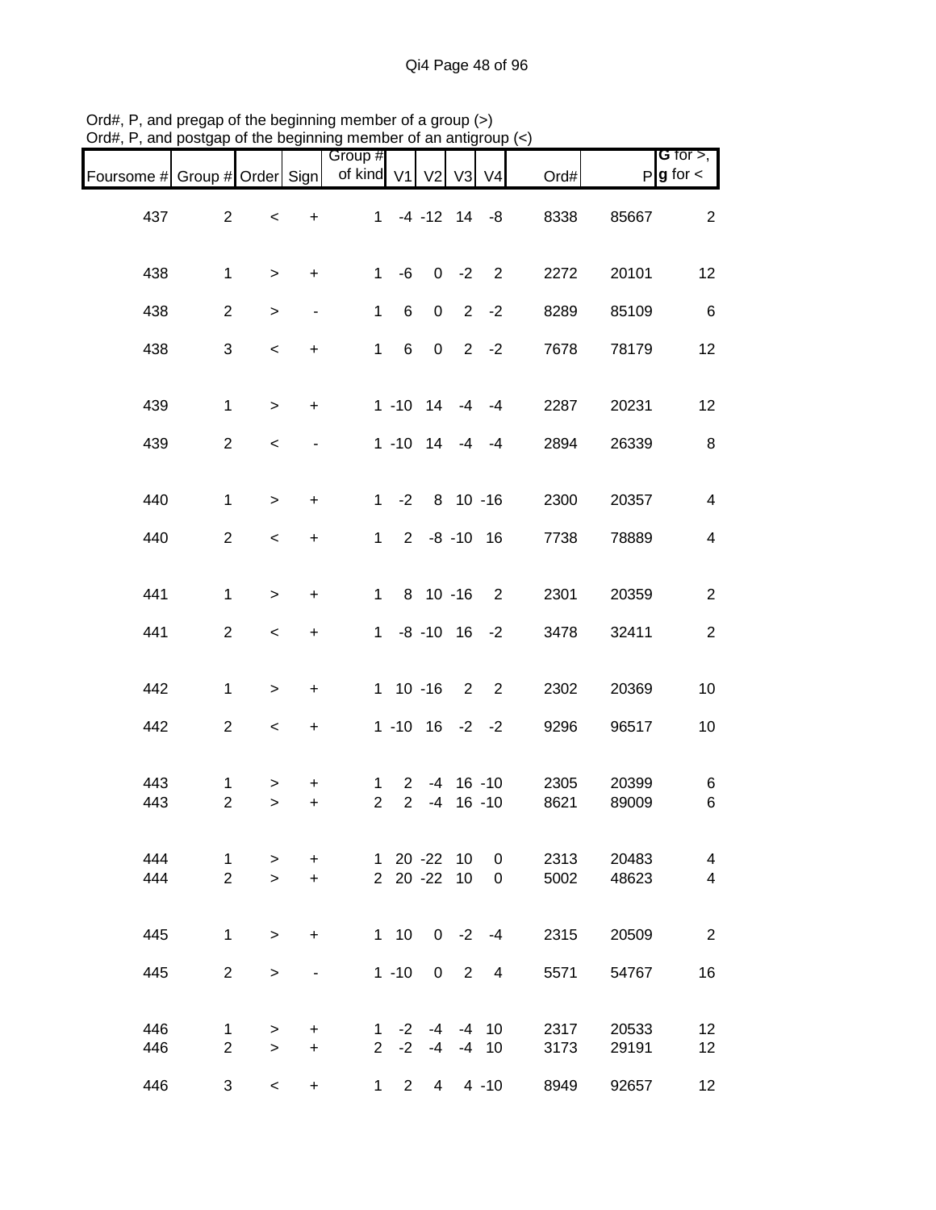| 21 an , 1 , and poolyap       |                                |                  |                          | share boghtmightenber or an anagroup |                                  |                            |                          |                                |              |                |                                       |
|-------------------------------|--------------------------------|------------------|--------------------------|--------------------------------------|----------------------------------|----------------------------|--------------------------|--------------------------------|--------------|----------------|---------------------------------------|
| Foursome # Group # Order Sign |                                |                  |                          | Group #<br>of kind V1 V2 V3 V4       |                                  |                            |                          |                                | Ord#         |                | G for $>$ ,<br>$P$ <b>g</b> for $\lt$ |
| 437                           | $\overline{a}$                 | $\,<$            | $\ddot{}$                |                                      |                                  |                            |                          | $1 -4 -12$ 14 $-8$             | 8338         | 85667          | $\overline{2}$                        |
| 438                           | $\mathbf{1}$                   | $\geq$           | $\ddot{}$                | 1                                    | -6                               |                            |                          | $0 -2 2$                       | 2272         | 20101          | 12                                    |
| 438                           | $\overline{2}$                 | $\,$             | $\overline{\phantom{a}}$ | $\mathbf{1}$                         | 6                                | $\mathbf 0$                |                          | $2 - 2$                        | 8289         | 85109          | $\,6$                                 |
| 438                           | 3                              | $\,<$            | $\ddot{}$                | $\mathbf{1}$                         | 6                                | $\overline{0}$             |                          | $2 -2$                         | 7678         | 78179          | 12                                    |
| 439                           | $\mathbf{1}$                   | $\geq$           | $\ddot{}$                |                                      |                                  |                            |                          | $1 - 10$ $14$ $-4$ $-4$        | 2287         | 20231          | 12                                    |
| 439                           | $\overline{2}$                 | $\,<$            |                          |                                      |                                  |                            |                          | $1 - 10$ $14$ $-4$ $-4$        | 2894         | 26339          | 8                                     |
| 440                           | $\mathbf{1}$                   | $\geq$           | $\ddot{}$                |                                      |                                  |                            |                          | $1 - 2 8 10 - 16$              | 2300         | 20357          | $\overline{\mathbf{4}}$               |
| 440                           | $\overline{2}$                 | $\,<$            | $\ddot{}$                |                                      |                                  |                            |                          | $1 2 -8 -10 16$                | 7738         | 78889          | $\overline{4}$                        |
| 441                           | $\mathbf{1}$                   | $\geq$           | $\ddot{}$                | $1 \quad$                            |                                  | 8 10 -16                   |                          | $\overline{\phantom{a}}$       | 2301         | 20359          | $\overline{2}$                        |
| 441                           | $\overline{2}$                 | $\,<$            | $\ddot{}$                |                                      |                                  |                            |                          | $1 - 8 - 10$ 16 $-2$           | 3478         | 32411          | $\mathbf{2}$                          |
| 442                           | $\mathbf{1}$                   | $\,$             | $\ddot{}$                |                                      |                                  |                            |                          | $1 10 - 16 2 2$                | 2302         | 20369          | 10                                    |
| 442                           | $\overline{2}$                 | $\,<$            | $\ddot{}$                |                                      |                                  |                            |                          | $1 - 10$ $16 - 2 - 2$          | 9296         | 96517          | 10                                    |
| 443<br>443                    | $\mathbf{1}$<br>$\overline{2}$ | ><br>$\geq$      | $\ddot{}$<br>$\ddot{}$   | $\mathbf{1}$<br>$\overline{2}$       | $\overline{2}$<br>$\overline{2}$ |                            |                          | $-4$ 16 $-10$<br>$-4$ 16 $-10$ | 2305<br>8621 | 20399<br>89009 | 6<br>6                                |
| 444<br>444                    | $\mathbf{1}$<br>$\overline{2}$ | $\geq$<br>$\geq$ | $\ddot{}$<br>$+$         |                                      |                                  | 1 20 -22 10<br>2 20 -22 10 |                          | 0<br>$\mathbf{0}$              | 2313<br>5002 | 20483<br>48623 | $\overline{4}$<br>$\overline{4}$      |
| 445                           | $\mathbf{1}$                   | $\geq$           | $\ddot{}$                |                                      | $1 \quad 10$                     |                            | $0 -2$                   | $-4$                           | 2315         | 20509          | $\overline{2}$                        |
| 445                           | $\overline{2}$                 | $\,$             | $\overline{\phantom{0}}$ |                                      | $1 - 10$                         | $\mathbf 0$                | $\overline{\phantom{0}}$ | 4                              | 5571         | 54767          | 16                                    |
| 446<br>446                    | $\mathbf{1}$<br>$\overline{2}$ | $\geq$<br>$\geq$ | $\ddot{}$<br>$+$         |                                      | $2 -2$                           | $1 -2 -4$                  |                          | $-4$ 10<br>$-4$ $-4$ 10        | 2317<br>3173 | 20533<br>29191 | 12<br>12                              |
| 446                           | 3                              | $\,<$            | $\ddot{}$                | $\mathbf 1$                          |                                  | $2 4 4 -10$                |                          |                                | 8949         | 92657          | 12                                    |

Ord#, P, and pregap of the beginning member of a group (>) Ord#, P, and postgap of the beginning member of an antigroup (<)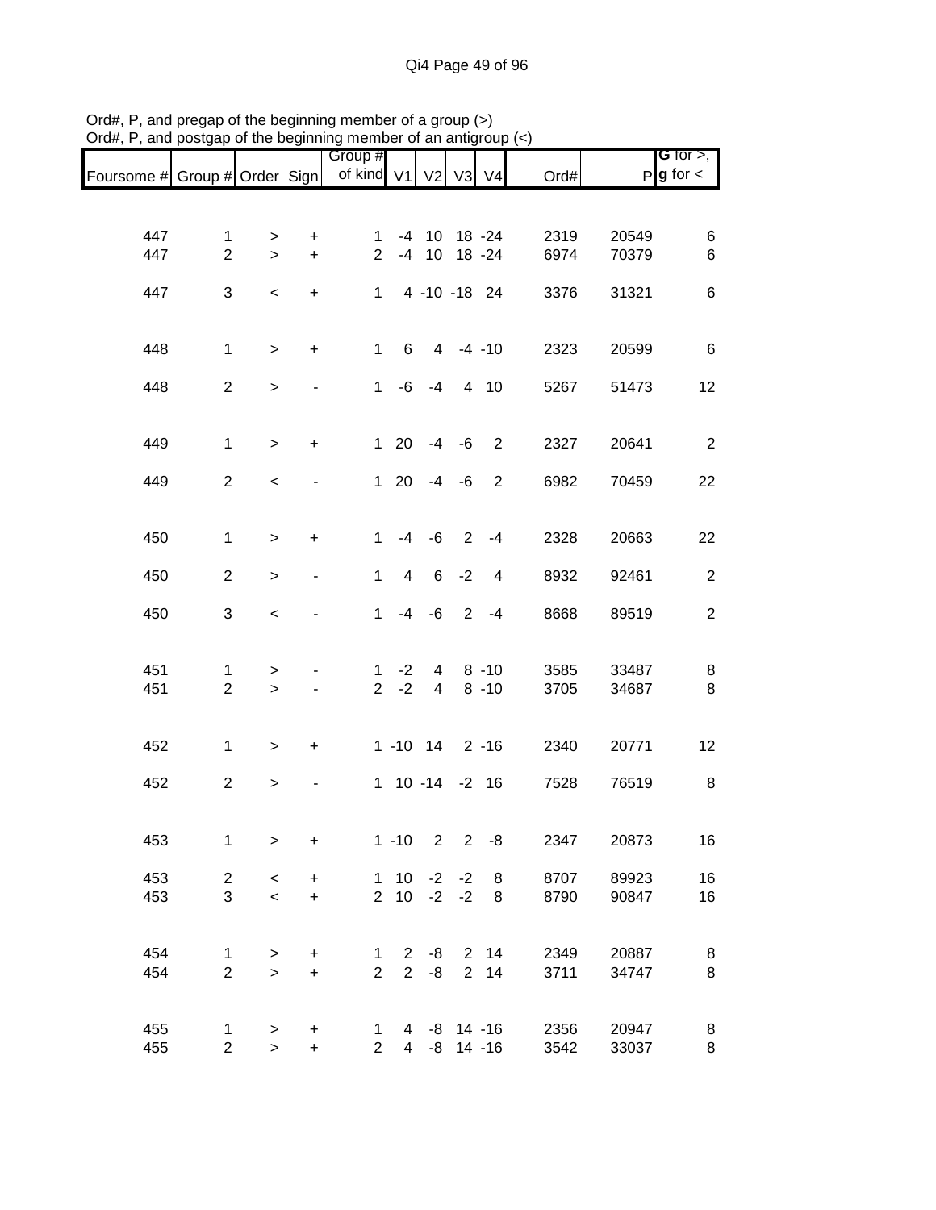|                               |                                |                          |                        |                       |                |                              |                |                |              |                | <b>G</b> for $>$ ,     |
|-------------------------------|--------------------------------|--------------------------|------------------------|-----------------------|----------------|------------------------------|----------------|----------------|--------------|----------------|------------------------|
| Foursome # Group # Order Sign |                                |                          |                        | Group #<br>of kind V1 |                |                              | V2 V3 V4       |                | Ord#         |                | $P$ <b>g</b> for $\lt$ |
|                               |                                |                          |                        |                       |                |                              |                |                |              |                |                        |
|                               |                                |                          |                        |                       |                |                              |                |                |              |                |                        |
| 447<br>447                    | $\mathbf{1}$<br>$\overline{2}$ | ><br>$\geq$              | $\ddot{}$<br>$\ddot{}$ | 1.<br>$\overline{2}$  |                | -4 10 18 -24<br>-4 10 18 -24 |                |                | 2319<br>6974 | 20549<br>70379 | 6<br>$\,6$             |
|                               |                                |                          |                        |                       |                |                              |                |                |              |                |                        |
| 447                           | $\mathbf{3}$                   | $\,<\,$                  | $\ddot{}$              | $\mathbf{1}$          |                | 4 -10 -18 24                 |                |                | 3376         | 31321          | $\,6$                  |
|                               |                                |                          |                        |                       |                |                              |                |                |              |                |                        |
| 448                           | $\mathbf{1}$                   | $\geq$                   | $\ddot{}$              | $\mathbf 1$           | 6              |                              | $4 - 4 - 10$   |                | 2323         | 20599          | $\,6$                  |
|                               |                                |                          |                        |                       |                |                              |                |                |              |                |                        |
| 448                           | $\overline{2}$                 | $\,$                     |                        | $\mathbf{1}$          | -6             | $-4$                         |                | 4 10           | 5267         | 51473          | 12                     |
|                               |                                |                          |                        |                       |                |                              |                |                |              |                |                        |
| 449                           | $\mathbf{1}$                   | $\geq$                   | $\ddot{}$              |                       | $1 \quad 20$   | $-4$                         | -6             | 2              | 2327         | 20641          | $\overline{2}$         |
| 449                           | $\overline{2}$                 | $\,<$                    |                        |                       | $1 \quad 20$   | $-4 -6$                      |                | $\overline{2}$ | 6982         | 70459          | 22                     |
|                               |                                |                          |                        |                       |                |                              |                |                |              |                |                        |
|                               |                                |                          |                        |                       |                |                              |                |                |              |                |                        |
| 450                           | $\mathbf{1}$                   | $\,>$                    | $\ddot{}$              | $\mathbf{1}$          |                | $-4 - 6$                     |                | $2 - 4$        | 2328         | 20663          | 22                     |
| 450                           | $\overline{2}$                 | $\, > \,$                |                        | 1                     | $\overline{4}$ | 6                            | $-2$           | 4              | 8932         | 92461          | $\overline{2}$         |
|                               |                                |                          |                        |                       |                |                              |                |                |              |                |                        |
| 450                           | 3                              | $\,<\,$                  |                        | $\mathbf{1}$          |                | $-4 - 6$                     | $\overline{2}$ | $-4$           | 8668         | 89519          | $\overline{2}$         |
|                               |                                |                          |                        |                       |                |                              |                |                |              |                |                        |
| 451                           | 1                              | $\, > \,$                |                        | 1                     | $-2$           | 4                            |                | $8 - 10$       | 3585         | 33487          | 8                      |
| 451                           | $\overline{2}$                 | $\, >$                   |                        | 2 <sup>7</sup>        | $-2$           | $\overline{4}$               |                | $8 - 10$       | 3705         | 34687          | 8                      |
|                               |                                |                          |                        |                       |                |                              |                |                |              |                |                        |
| 452                           | 1                              | $\geq$                   | $\ddot{}$              |                       |                | 1 -10 14 2 -16               |                |                | 2340         | 20771          | 12                     |
| 452                           | $\overline{2}$                 |                          |                        |                       |                | 1 10 -14 -2 16               |                |                | 7528         | 76519          | 8                      |
|                               |                                | $\,$                     |                        |                       |                |                              |                |                |              |                |                        |
|                               |                                |                          |                        |                       |                |                              |                |                |              |                |                        |
| 453                           | $\mathbf{1}$                   | $\, > \,$                | $\ddot{}$              |                       | $1 - 10$       | $\overline{2}$               | $\overline{2}$ | -8             | 2347         | 20873          | 16                     |
| 453                           | $\overline{c}$                 | $\,<$                    | $\ddot{}$              |                       |                | $1 \t10 \t-2 \t-2$           |                | 8              | 8707         | 89923          | 16                     |
| 453                           | 3                              | $\overline{\phantom{0}}$ | $\ddot{}$              |                       |                | $2 \t10 \t-2$                | $-2$           | 8              | 8790         | 90847          | 16                     |
|                               |                                |                          |                        |                       |                |                              |                |                |              |                |                        |
| 454                           | 1                              | $\, > \,$                | $\ddot{}$              | 1                     | $2^{\circ}$    | -8                           |                | $2 \quad 14$   | 2349         | 20887          | 8                      |
| 454                           | $\overline{2}$                 | $\geq$                   | $\ddot{}$              | $\overline{2}$        |                | $2 - 8$                      |                | $2 \quad 14$   | 3711         | 34747          | 8                      |
|                               |                                |                          |                        |                       |                |                              |                |                |              |                |                        |
| 455                           | 1                              | $\,$                     | $\ddot{}$              | 1                     |                | 4 -8 14 -16                  |                |                | 2356         | 20947          | 8                      |
| 455                           | $\overline{2}$                 | $\mathbf{I}$             | $\ddot{}$              | $\overline{2}$        |                | 4 -8 14 -16                  |                |                | 3542         | 33037          | 8                      |

Ord#, P, and pregap of the beginning member of a group (>) Ord#, P, and postgap of the beginning member of an antigroup (<)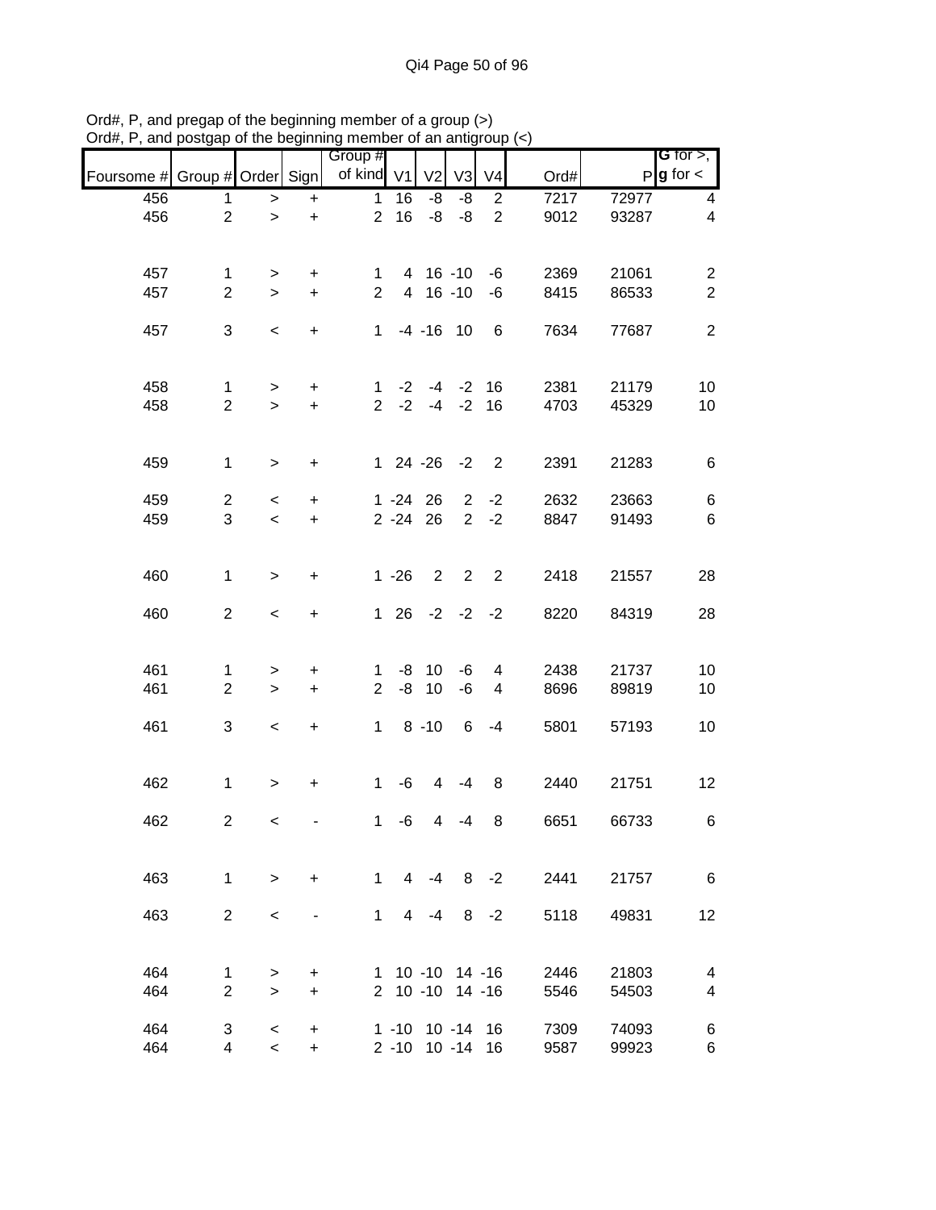|                               |                               |              |                                  | Group #                        |                |                      |                          |                |                   |                | G for $>$ ,                      |
|-------------------------------|-------------------------------|--------------|----------------------------------|--------------------------------|----------------|----------------------|--------------------------|----------------|-------------------|----------------|----------------------------------|
| Foursome # Group # Order Sign |                               |              |                                  | of kind V1                     |                | V <sub>2</sub>       | V <sub>3</sub>           | V <sub>4</sub> | Ord#              |                | $P$ <b>g</b> for $\lt$           |
| 456                           | 1                             | $\,>$        | $\ddot{}$                        | $\mathbf 1$                    | 16             | -8                   | -8                       | $\overline{c}$ | $\overline{72}17$ | 72977          | 4                                |
| 456                           | $\overline{2}$                | $\mathbf{I}$ | $\ddot{}$                        | $\overline{2}$                 | 16             | -8                   | -8                       | $\overline{2}$ | 9012              | 93287          | $\overline{\mathbf{4}}$          |
|                               |                               |              |                                  |                                |                |                      |                          |                |                   |                |                                  |
|                               |                               |              |                                  |                                |                |                      |                          |                |                   |                |                                  |
| 457<br>457                    | $\mathbf 1$<br>$\overline{2}$ | ><br>$\geq$  | +<br>$\ddot{}$                   | $\mathbf{1}$<br>$\overline{2}$ |                | 4 16 -10<br>4 16 -10 |                          | -6<br>$-6$     | 2369<br>8415      | 21061<br>86533 | $\overline{c}$<br>$\overline{2}$ |
|                               |                               |              |                                  |                                |                |                      |                          |                |                   |                |                                  |
| 457                           | 3                             | $\,<$        | $\ddot{}$                        | $\mathbf{1}$                   |                | $-4 - 16$ 10         |                          | 6              | 7634              | 77687          | $\overline{c}$                   |
|                               |                               |              |                                  |                                |                |                      |                          |                |                   |                |                                  |
|                               |                               |              |                                  |                                |                |                      |                          |                |                   |                |                                  |
| 458                           | $\mathbf{1}$                  | $\,$         | $\begin{array}{c} + \end{array}$ | 1                              |                | $-2$ $-4$            |                          | $-2$ 16        | 2381              | 21179          | 10                               |
| 458                           | $\overline{2}$                | $\geq$       | $\pm$                            | $\overline{2}$                 | $-2$           | $-4$                 | $-2$                     | 16             | 4703              | 45329          | 10                               |
|                               |                               |              |                                  |                                |                |                      |                          |                |                   |                |                                  |
| 459                           | $\mathbf{1}$                  | $\geq$       | $\ddot{}$                        |                                |                | $124 - 26 - 2$       |                          | $\overline{2}$ | 2391              | 21283          | 6                                |
|                               |                               |              |                                  |                                |                |                      |                          |                |                   |                |                                  |
| 459                           | $\overline{a}$                | $\,<$        | $\ddot{}$                        |                                |                | $1 - 24$ 26          |                          | $2 -2$         | 2632              | 23663          | $\,6$                            |
| 459                           | 3                             | $\,<$        | $\ddot{}$                        |                                |                | $2 - 24$ 26          | $2^{\circ}$              | $-2$           | 8847              | 91493          | $6\phantom{1}6$                  |
|                               |                               |              |                                  |                                |                |                      |                          |                |                   |                |                                  |
| 460                           | $\mathbf{1}$                  |              | $\ddot{}$                        |                                | $1 - 26$       | 2                    | $\overline{\phantom{0}}$ | $\overline{2}$ | 2418              | 21557          | 28                               |
|                               |                               | $\, > \,$    |                                  |                                |                |                      |                          |                |                   |                |                                  |
| 460                           | $\overline{2}$                | $\,<\,$      | $\ddot{}$                        |                                |                | $126 -2 -2 -2$       |                          |                | 8220              | 84319          | 28                               |
|                               |                               |              |                                  |                                |                |                      |                          |                |                   |                |                                  |
|                               |                               |              |                                  |                                |                |                      |                          |                |                   |                |                                  |
| 461                           | 1                             | >            | $\ddot{}$                        | 1                              |                | $-8$ 10              | -6                       | 4              | 2438              | 21737          | 10                               |
| 461                           | $\overline{2}$                | $\geq$       | $\pm$                            | $\overline{2}$                 | -8             | 10                   | -6                       | 4              | 8696              | 89819          | 10                               |
| 461                           | 3                             | $\,<$        | $\ddot{}$                        | $\mathbf 1$                    |                | $8 - 10$             | 6                        | $-4$           | 5801              | 57193          | 10                               |
|                               |                               |              |                                  |                                |                |                      |                          |                |                   |                |                                  |
|                               |                               |              |                                  |                                |                |                      |                          |                |                   |                |                                  |
| 462                           | $\mathbf{1}$                  | $\geq$       | $\ddot{}$                        | $\mathbf{1}$                   | $-6$           | $\overline{4}$       | $-4$                     | 8              | 2440              | 21751          | 12                               |
|                               |                               |              |                                  |                                |                |                      |                          |                |                   |                |                                  |
| 462                           | $\overline{c}$                | $\,<$        |                                  | $\mathbf{1}$                   | -6             | $\overline{4}$       | $-4$                     | 8              | 6651              | 66733          | 6                                |
|                               |                               |              |                                  |                                |                |                      |                          |                |                   |                |                                  |
| 463                           | $\mathbf{1}$                  | $\geq$       | $\ddot{}$                        | $\mathbf{1}$                   | $\overline{4}$ | $-4$                 |                          | $8 - 2$        | 2441              | 21757          | 6                                |
|                               |                               |              |                                  |                                |                |                      |                          |                |                   |                |                                  |
| 463                           | $\overline{2}$                | $\,<\,$      |                                  | $\mathbf{1}$                   | 4              | $-4$                 |                          | $8 - 2$        | 5118              | 49831          | 12                               |
|                               |                               |              |                                  |                                |                |                      |                          |                |                   |                |                                  |
|                               |                               |              |                                  |                                |                |                      |                          |                |                   |                |                                  |
| 464                           | 1                             | >            | +                                | 1.                             |                | 10 -10 14 -16        |                          |                | 2446              | 21803          | 4                                |
| 464                           | $\overline{2}$                | $\geq$       | $\ddot{}$                        |                                |                | 2 10 -10 14 -16      |                          |                | 5546              | 54503          | 4                                |
| 464                           | 3                             | $\,<\,$      | $\ddot{}$                        |                                |                | 1 -10 10 -14 16      |                          |                | 7309              | 74093          | 6                                |
| 464                           | 4                             | $\prec$      | $\ddot{}$                        |                                |                | 2 -10 10 -14 16      |                          |                | 9587              | 99923          | 6                                |

Ord#, P, and pregap of the beginning member of a group (>) Ord#, P, and postgap of the beginning member of an antigroup (<)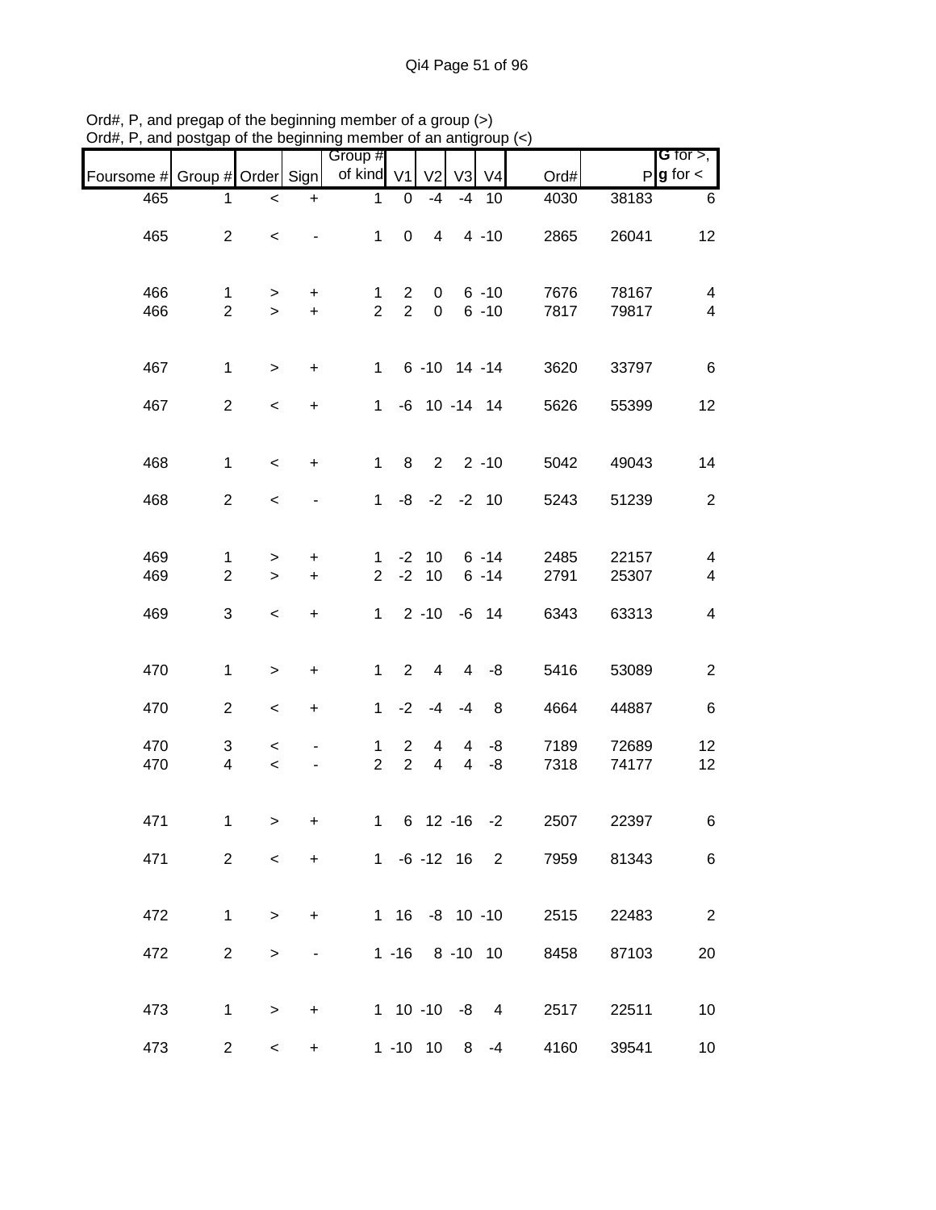|                               |                         |                          |           | Group #        |                |                  |                |                   |                       |            | <b>G</b> for $>$ ,       |
|-------------------------------|-------------------------|--------------------------|-----------|----------------|----------------|------------------|----------------|-------------------|-----------------------|------------|--------------------------|
| Foursome # Group # Order Sign |                         |                          |           | of kind V1     |                | V <sub>2</sub>   |                | V3 V4             | Ord#                  |            | $P$ <b>g</b> for $\lt$   |
| 465                           | 1                       | $\,<\,$                  | $\ddot{}$ | 1              | 0              | $-4$             | $-4$           | 10                | 4030                  | 38183      | 6                        |
| 465                           | $\overline{2}$          | $\,<$                    |           | $\mathbf{1}$   | $\pmb{0}$      | $\overline{4}$   |                | $4 - 10$          | 2865                  | 26041      | 12                       |
| 466                           | $\mathbf{1}$            | $\, > \,$                | $\ddot{}$ | 1              | $\overline{2}$ | 0                |                | $6 - 10$          | 7676                  | 78167      | $\overline{\mathbf{4}}$  |
| 466                           | $\overline{2}$          | $\geq$                   | $+$       | $\overline{2}$ | $\overline{2}$ | $\mathbf 0$      |                | $6 - 10$          | 7817                  | 79817      | $\overline{\mathbf{4}}$  |
| 467                           | $\mathbf{1}$            | $\geq$                   | $\ddot{}$ | $\mathbf{1}$   |                |                  |                | $6 - 10$ 14 $-14$ | 3620                  | 33797      | $\,6$                    |
| 467                           | $\overline{2}$          | $\,<$                    | $\ddot{}$ | $\mathbf 1$    |                | $-6$ 10 $-14$ 14 |                |                   | 5626                  | 55399      | 12                       |
| 468                           | $\mathbf{1}$            | $\,<\,$                  | $\ddot{}$ | $\mathbf{1}$   | 8              | $2^{\circ}$      |                | $2 - 10$          | 5042                  | 49043      | 14                       |
| 468                           | $\overline{2}$          | $\,<$                    |           | 1              | -8             |                  |                | $-2$ $-2$ 10      | 5243                  | 51239      | $\overline{c}$           |
| 469                           | $\mathbf{1}$            | $\, > \,$                | +         | $\mathbf{1}$   |                | $-2$ 10          |                | $6 - 14$          | 2485                  | 22157      | $\overline{\mathbf{4}}$  |
| 469                           | $\overline{2}$          | $\geq$                   | $\ddot{}$ | $\overline{2}$ | $-2$           | 10               |                | $6 - 14$          | 2791                  | 25307      | $\overline{\mathbf{4}}$  |
| 469                           | 3                       | $\,<$                    | $\ddot{}$ | $\mathbf{1}$   |                | $2 - 10$         |                | $-6$ 14           | 6343                  | 63313      | $\overline{\mathbf{4}}$  |
| 470                           | $\mathbf{1}$            | $\geq$                   | +         | $\mathbf{1}$   | $\overline{2}$ | 4                | 4              | -8                | 5416                  | 53089      | $\overline{c}$           |
| 470                           | $\overline{c}$          | $\,<$                    | +         | $\mathbf{1}$   | $-2$           | $-4$             | $-4$           | 8                 | 4664                  | 44887      | $\,6$                    |
| 470                           | 3                       | $\,<\,$                  |           | 1              | 2              | 4                | 4              | -8                | 7189                  | 72689      | 12                       |
| 470                           | $\overline{\mathbf{4}}$ | $\,<$                    |           | $\overline{2}$ | $\overline{2}$ | $\overline{4}$   | $\overline{4}$ | -8                | 7318                  | 74177      | 12                       |
| 471                           | $\mathbf{1}$            | $\geq$                   | +         | $1 -$          |                |                  |                | $6$ 12 -16 -2     | 2507                  | 22397      | 6                        |
| 471                           | $2^{\circ}$             | $\overline{\phantom{0}}$ | $+$       |                |                |                  |                |                   | 1 -6 -12 16 2         | 7959 81343 | 6                        |
| 472                           | $\mathbf{1}$            | $\geq$                   | $+$       |                |                |                  |                |                   | 1 16 -8 10 -10 2515   | 22483      | $\overline{\phantom{a}}$ |
| 472                           | $\overline{2}$          | $\geq$                   |           |                |                |                  |                |                   | 1 -16 8 -10 10 8458   | 87103      | 20                       |
| 473                           | $\mathbf{1}$            | $\geq$                   | $\ddot{}$ |                |                |                  |                |                   | 1 10 -10 -8 4 2517    | 22511      | 10                       |
| 473                           |                         | $2^{\sim}$<br>$\lt$      | $\ddot{}$ |                |                |                  |                |                   | 1 -10 10 8 -4<br>4160 | 39541      | $10\,$                   |

Ord#, P, and pregap of the beginning member of a group (>) Ord#, P, and postgap of the beginning member of an antigroup (<)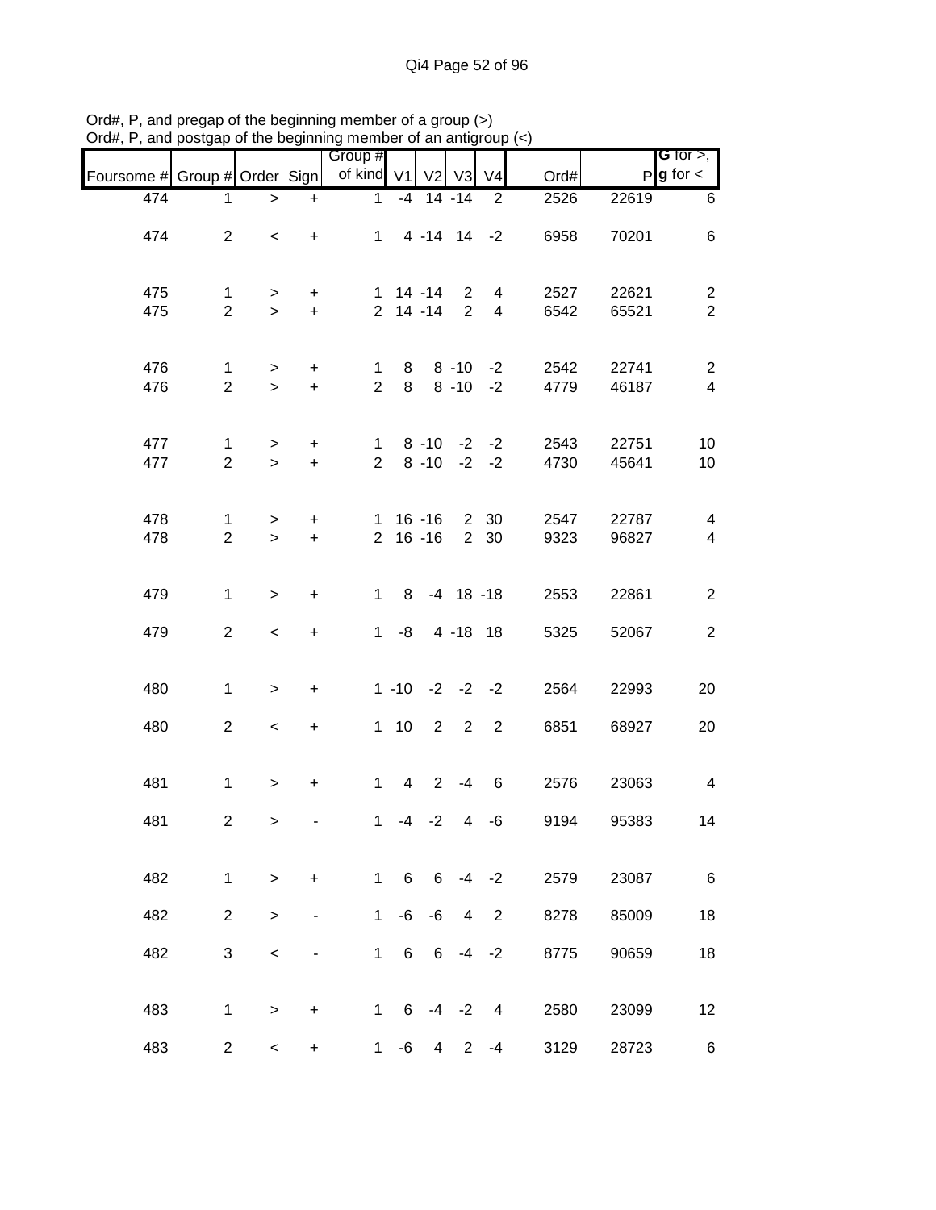| Foursome # Group # Order Sign |                                |                          |                        | Group #<br>of kind V1          |                 |                                               | $V2$ $V3$                   | V <sub>4</sub>      | Ord#         |                | <b>G</b> for $>$ ,<br>$P$ <b>g</b> for $\lt$ |
|-------------------------------|--------------------------------|--------------------------|------------------------|--------------------------------|-----------------|-----------------------------------------------|-----------------------------|---------------------|--------------|----------------|----------------------------------------------|
| 474                           | 1                              | $\, >$                   | $\ddot{}$              | $\mathbf{1}$                   |                 | $-4$ 14 $-14$                                 |                             | 2                   | 2526         | 22619          | 6                                            |
| 474                           | $\overline{2}$                 | $\,<\,$                  | $\ddot{}$              |                                |                 | $1 4 - 14 14 - 2$                             |                             |                     | 6958         | 70201          | 6                                            |
| 475<br>475                    | $\mathbf{1}$<br>$\overline{2}$ | $\geq$<br>$\geq$         | $+$<br>$+$             |                                |                 | $1 \t14 - 14$<br>$2$ 14 -14                   | $\mathbf{2}$<br>$2^{\circ}$ | 4<br>$\overline{4}$ | 2527<br>6542 | 22621<br>65521 | $\overline{2}$<br>$\overline{2}$             |
| 476<br>476                    | $\mathbf 1$<br>$\overline{2}$  | $\geq$<br>$\geq$         | $+$<br>$+$             | $\mathbf{1}$<br>$\overline{2}$ | 8<br>8          |                                               | $8 - 10$<br>$8 - 10$        | $-2$<br>$-2$        | 2542<br>4779 | 22741<br>46187 | $\overline{2}$<br>$\overline{4}$             |
| 477<br>477                    | $\mathbf{1}$<br>$\overline{2}$ | $\geq$<br>$\geq$         | $\ddot{}$<br>$+$       | $2^{\circ}$                    |                 | $1 \t 8 \t -10 \t -2 \t -2$<br>$8 - 10 -2 -2$ |                             |                     | 2543<br>4730 | 22751<br>45641 | 10<br>10                                     |
| 478<br>478                    | 1<br>$\overline{2}$            | $\geq$<br>$\geq$         | $\ddot{}$<br>$\ddot{}$ |                                |                 | 1 16 -16 2 30<br>$2 16 - 16$                  |                             | 2 30                | 2547<br>9323 | 22787<br>96827 | $\overline{4}$<br>$\overline{4}$             |
| 479                           | $\mathbf{1}$                   | $\geq$                   | $\ddot{}$              | $1 \quad$                      | 8               |                                               |                             | $-4$ 18 $-18$       | 2553         | 22861          | $\overline{2}$                               |
| 479                           | $\overline{2}$                 | $\overline{\phantom{a}}$ | $\ddot{}$              |                                | $1 - 8$         |                                               |                             | 4 -18 18            | 5325         | 52067          | $\overline{2}$                               |
| 480                           | $\mathbf{1}$                   | $\,$                     | $\ddot{}$              |                                |                 | $1 - 10 -2 -2 -2$                             |                             |                     | 2564         | 22993          | 20                                           |
| 480                           | $\overline{2}$                 | $\overline{\phantom{0}}$ | $\ddot{}$              |                                | $1 10$          | $\overline{2}$                                | $\overline{\phantom{a}}$    | $\overline{2}$      | 6851         | 68927          | 20                                           |
| 481                           | $\mathbf{1}$                   | $\geq$                   | $\ddot{}$              | $\mathbf{1}$                   | $4\overline{ }$ |                                               | $2 - 4$                     | 6                   | 2576         | 23063          | $\overline{\mathbf{4}}$                      |
| 481                           | $\overline{\mathbf{c}}$        | $\,$                     |                        | 1                              | $-4$            | $-2$                                          | $\overline{4}$              | -6                  | 9194         | 95383          | 14                                           |
| 482                           | $\mathbf{1}$                   | $\geq$                   | $\ddot{}$              | $\mathbf{1}$                   | 6               | 6                                             |                             | $-4 -2$             | 2579         | 23087          | $\,6$                                        |
| 482                           | $\overline{2}$                 | >                        |                        | $\mathbf{1}$                   | -6              | -6                                            | 4                           | $\overline{2}$      | 8278         | 85009          | 18                                           |
| 482                           | 3                              | $\,<$                    | -                      | $\mathbf{1}$                   | 6               | 6                                             | $-4$                        | $-2$                | 8775         | 90659          | 18                                           |
| 483                           | 1                              | >                        | $\ddot{}$              | $\mathbf{1}$                   | 6               | -4                                            | $-2$                        | 4                   | 2580         | 23099          | 12                                           |
| 483                           | $\overline{2}$                 | $\overline{\phantom{0}}$ | $\ddot{}$              | $\mathbf 1$                    | -6              | 4                                             | $\overline{2}$              | -4                  | 3129         | 28723          | 6                                            |

Ord#, P, and pregap of the beginning member of a group (>) Ord#, P, and postgap of the beginning member of an antigroup (<)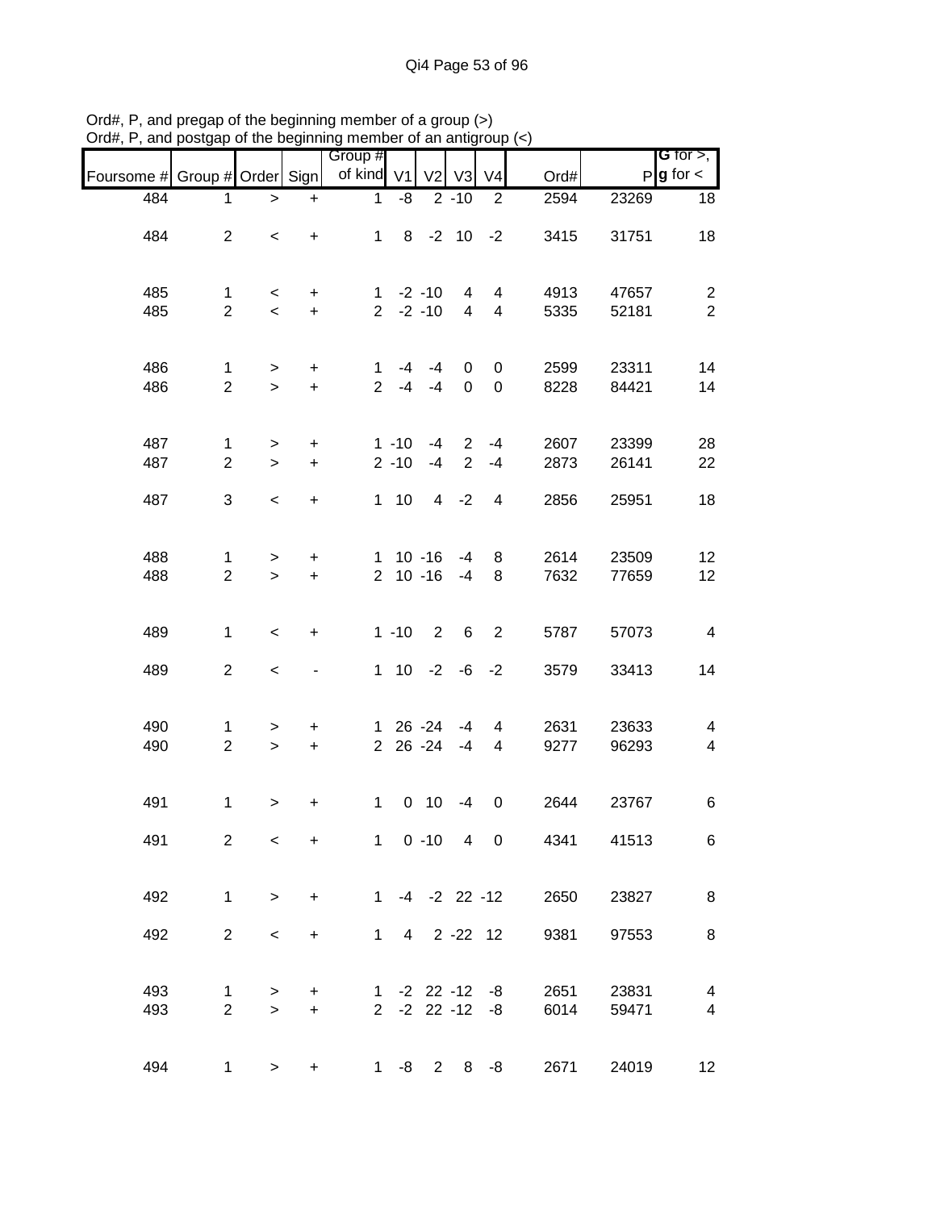|                               |                                |                          |                        | Group #             |                      |                              |                                  |                                            |                          |                | G for $>$ ,                                        |
|-------------------------------|--------------------------------|--------------------------|------------------------|---------------------|----------------------|------------------------------|----------------------------------|--------------------------------------------|--------------------------|----------------|----------------------------------------------------|
| Foursome # Group # Order Sign |                                |                          |                        | of kind V1          |                      | V <sub>2</sub>               | V3                               | V <sub>4</sub>                             | Ord#                     |                | $P$ <b>g</b> for $\lt$                             |
| 484                           | 1                              | $\, > \,$                | $\ddot{}$              | $\mathbf{1}$        | -8                   |                              | $2 - 10$                         | $\overline{2}$                             | 2594                     | 23269          | 18                                                 |
| 484                           | $\overline{2}$                 | $\,<$                    | $\ddot{}$              |                     |                      | $1 \t 8 \t -2 \t 10 \t -2$   |                                  |                                            | 3415                     | 31751          | 18                                                 |
| 485<br>485                    | $\mathbf{1}$<br>$\overline{2}$ | $\prec$<br>$\prec$       | $+$<br>$+$             |                     |                      | $1 - 2 - 10$<br>$2 -2 -10$   | 4<br>$\overline{4}$              | 4<br>$\overline{4}$                        | 4913<br>5335             | 47657<br>52181 | $\overline{c}$<br>$\overline{2}$                   |
| 486<br>486                    | $\mathbf 1$<br>$\overline{2}$  | $\geq$<br>$\geq$         | $+$<br>$+$             | 1<br>2 <sup>1</sup> | -4<br>$-4$           | -4<br>$-4$                   | 0<br>$\mathbf 0$                 | 0<br>0                                     | 2599<br>8228             | 23311<br>84421 | 14<br>14                                           |
| 487<br>487                    | $\mathbf{1}$<br>$\overline{2}$ | $\geq$<br>$\, > \,$      | $\ddot{}$<br>$\ddot{}$ |                     | $1 - 10$<br>$2 - 10$ | $-4$<br>$-4$                 | $\overline{2}$<br>$\overline{2}$ | $-4$<br>$-4$                               | 2607<br>2873             | 23399<br>26141 | 28<br>22                                           |
| 487                           | 3                              | $\overline{\phantom{0}}$ | $\ddot{}$              |                     | $1 \quad 10$         | $\overline{4}$               | $-2$                             | 4                                          | 2856                     | 25951          | 18                                                 |
| 488<br>488                    | $\mathbf{1}$<br>$\overline{2}$ | $\geq$<br>$\geq$         | $\ddot{}$<br>$\ddot{}$ |                     |                      | $1 \t10 - 16$<br>$2 10 - 16$ | $-4$<br>$-4$                     | 8<br>8                                     | 2614<br>7632             | 23509<br>77659 | 12<br>12                                           |
| 489                           | $\mathbf{1}$                   | $\,<$                    | $\ddot{}$              |                     | $1 - 10$             | $\overline{2}$               | 6                                | 2                                          | 5787                     | 57073          | $\overline{\mathbf{4}}$                            |
| 489                           | $\overline{2}$                 | $\,<$                    | -                      |                     |                      |                              |                                  | $1 10 -2 -6 -2$                            | 3579                     | 33413          | 14                                                 |
| 490<br>490                    | 1<br>$\overline{2}$            | $\geq$<br>$\geq$         | $\ddot{}$<br>$\ddot{}$ |                     |                      | 1 26 -24<br>2 26 -24         | -4<br>$-4$                       | 4<br>4                                     | 2631<br>9277             | 23633<br>96293 | 4<br>$\overline{\mathcal{A}}$                      |
| 491                           | 1                              | $\, > \,$                | +                      | $1 -$               |                      | $0$ 10                       | $-4$                             | $\mathbf 0$                                | 2644                     | 23767          | 6                                                  |
| 491                           | $\mathbf{2}^{\prime}$          | $\overline{\phantom{0}}$ | $+$                    |                     |                      |                              |                                  |                                            | 1 0 -10 4 0 4341         | 41513          | 6                                                  |
| 492                           | $\mathbf 1$                    | $\geq$                   | $+$                    |                     |                      |                              |                                  |                                            | $1 -4 -2 22 -12$<br>2650 | 23827          | 8                                                  |
| 492                           | $\overline{2}$                 | $\,<$                    | $+$                    |                     |                      |                              |                                  |                                            | 1 4 2 -22 12<br>9381     | 97553          | 8                                                  |
| 493<br>493                    | $\mathbf{1}$<br>$\overline{2}$ | $\, > \,$<br>$\geq$      | $+$<br>$+$             |                     |                      |                              |                                  | $1 - 2 22 - 12 - 8$<br>$2 - 2 22 - 12 - 8$ | 2651<br>6014             | 23831<br>59471 | $\overline{\mathbf{4}}$<br>$\overline{\mathbf{4}}$ |
| 494                           | 1                              | $\geq$                   | $+$                    |                     |                      |                              |                                  | $1 - 8$ 2 8 $-8$                           | 2671                     | 24019          | 12                                                 |

Ord#, P, and pregap of the beginning member of a group (>) Ord#, P, and postgap of the beginning member of an antigroup (<)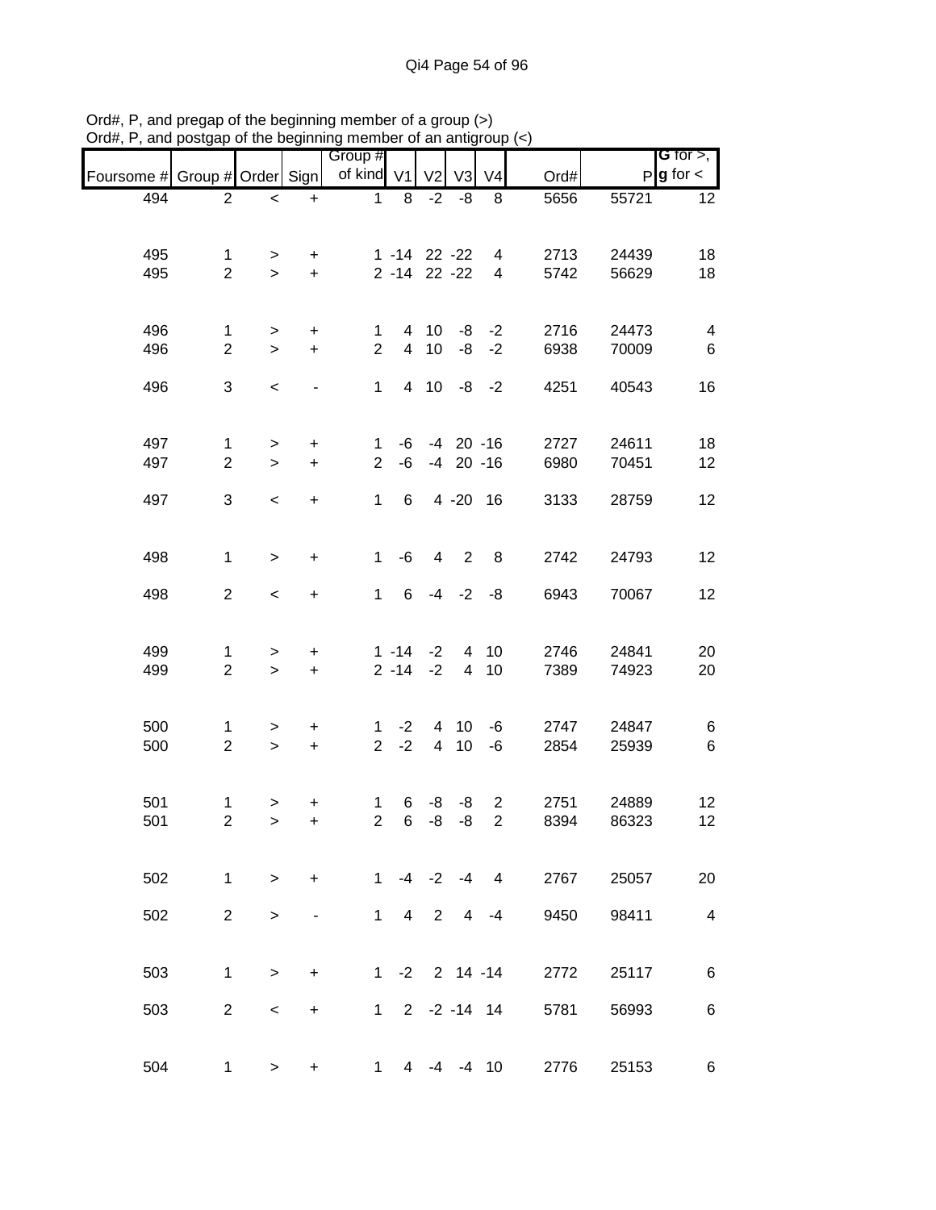|                               |                     |                     |                                  | or the beginning member or an antigroup |                  |                |                 |                         |      |       |                                       |
|-------------------------------|---------------------|---------------------|----------------------------------|-----------------------------------------|------------------|----------------|-----------------|-------------------------|------|-------|---------------------------------------|
| Foursome # Group # Order Sign |                     |                     |                                  | Group #<br>of kind V1                   |                  | V <sub>2</sub> | V <sub>3</sub>  | V <sub>4</sub>          | Ord# |       | G for $>$ ,<br>$P$ <b>g</b> for $\lt$ |
| 494                           | $\overline{2}$      | $\,<$               | $\ddot{}$                        | $\mathbf 1$                             | 8                | $-2$           | -8              | 8                       | 5656 | 55721 | 12                                    |
|                               |                     |                     |                                  |                                         |                  |                |                 |                         |      |       |                                       |
| 495                           | $\mathbf{1}$        | $\, > \,$           | $\ddot{}$                        |                                         | $1 - 14$ 22 - 22 |                |                 | 4                       | 2713 | 24439 | 18                                    |
| 495                           | $\overline{2}$      | $\,$                | $+$                              |                                         | 2 -14 22 -22     |                |                 | $\overline{\mathbf{4}}$ | 5742 | 56629 | 18                                    |
|                               |                     |                     |                                  |                                         |                  |                |                 |                         |      |       |                                       |
| 496                           | $\mathbf{1}$        | $\, >$              | $\boldsymbol{+}$                 | $\mathbf 1$                             |                  | 4 10           |                 | $-8 - -2$               | 2716 | 24473 | $\overline{\mathbf{4}}$               |
| 496                           | $\overline{2}$      | $\,$                | $\pm$                            | $\overline{2}$                          | $\overline{4}$   | 10             | -8              | $-2$                    | 6938 | 70009 | 6                                     |
| 496                           | 3                   | $\,<$               |                                  | $\mathbf{1}$                            | $\overline{4}$   | 10             | -8              | $-2$                    | 4251 | 40543 | 16                                    |
|                               |                     |                     |                                  |                                         |                  |                |                 |                         |      |       |                                       |
| 497                           | $\mathbf{1}$        |                     | $\begin{array}{c} + \end{array}$ | 1                                       | -6               |                | $-4$ 20 $-16$   |                         | 2727 | 24611 | 18                                    |
| 497                           | $\overline{2}$      | $\,$<br>$\geq$      | $\ddot{}$                        | $\overline{2}$                          | -6               |                | $-4$ 20 $-16$   |                         | 6980 | 70451 | 12                                    |
|                               |                     |                     |                                  |                                         |                  |                |                 |                         |      |       |                                       |
| 497                           | 3                   | $\,<$               | $\ddot{}$                        | $\mathbf{1}$                            | 6                |                | 4 -20 16        |                         | 3133 | 28759 | 12                                    |
|                               |                     |                     |                                  |                                         |                  |                |                 |                         |      |       |                                       |
| 498                           | $\mathbf{1}$        | $\geq$              | $\ddot{}$                        | $\mathbf{1}$                            | -6               | 4              | $\overline{2}$  | 8                       | 2742 | 24793 | 12                                    |
| 498                           | $\overline{2}$      | $\,<$               | $\boldsymbol{+}$                 | $\mathbf{1}$                            | 6                | $-4$           |                 | $-2 -8$                 | 6943 | 70067 | 12                                    |
|                               |                     |                     |                                  |                                         |                  |                |                 |                         |      |       |                                       |
| 499                           |                     |                     |                                  |                                         | $1 - 14$         | $-2$           | $\overline{4}$  | 10                      | 2746 | 24841 |                                       |
| 499                           | 1<br>$\overline{2}$ | $\, > \,$<br>$\, >$ | +<br>$\ddot{}$                   |                                         | $2 - 14$         | $-2$           | $\overline{4}$  | 10                      | 7389 | 74923 | 20<br>20                              |
|                               |                     |                     |                                  |                                         |                  |                |                 |                         |      |       |                                       |
| 500                           | $\mathbf{1}$        | $\, > \,$           | $\ddot{}$                        | 1                                       | $-2$             | $\overline{4}$ | 10              | $-6$                    | 2747 | 24847 | 6                                     |
| 500                           | $\overline{2}$      | $\geq$              | $\ddot{}$                        | $\overline{2}$                          | $-2$             | $\overline{4}$ | 10              | $-6$                    | 2854 | 25939 | $\,6\,$                               |
|                               |                     |                     |                                  |                                         |                  |                |                 |                         |      |       |                                       |
| 501                           | 1                   | $\, >$              | +                                | 1                                       | 6                | -8             | -8              | $\overline{2}$          | 2751 | 24889 | 12                                    |
| 501                           | $\overline{c}$      | $\, > \,$           | +                                | $\overline{2}$                          | 6                | $-8$           | -8              | $\overline{c}$          | 8394 | 86323 | 12                                    |
|                               |                     |                     |                                  |                                         |                  |                |                 |                         |      |       |                                       |
| 502                           | $\mathbf{1}$        | $\geq$              | $\ddot{}$                        | $\mathbf{1}$                            |                  | $-4 -2$        | $-4$            | 4                       | 2767 | 25057 | 20                                    |
|                               |                     |                     |                                  |                                         |                  |                |                 |                         |      |       |                                       |
| 502                           | $\overline{2}$      | $\, > \,$           |                                  | $\mathbf{1}$                            | $\overline{4}$   | $\overline{2}$ | 4               | $-4$                    | 9450 | 98411 | $\overline{\mathbf{4}}$               |
|                               |                     |                     |                                  |                                         |                  |                |                 |                         |      |       |                                       |
| 503                           | $\mathbf{1}$        | $\,$                | $\ddot{}$                        | $1 \quad$                               |                  |                | $-2$ 2 14 $-14$ |                         | 2772 | 25117 | 6                                     |
| 503                           | $\overline{2}$      | $\,<\,$             | $\ddot{}$                        |                                         | $1 2 -2 -14 14$  |                |                 |                         | 5781 | 56993 | 6                                     |
|                               |                     |                     |                                  |                                         |                  |                |                 |                         |      |       |                                       |
|                               |                     |                     |                                  |                                         |                  |                |                 |                         |      |       |                                       |
| 504                           | $\mathbf{1}$        | $\,>$               | $\ddot{}$                        | $\mathbf 1$                             | $\overline{4}$   | $-4$           |                 | $-4$ 10                 | 2776 | 25153 | 6                                     |

Ord#, P, and pregap of the beginning member of a group (>) Ord#, P, and postgap of the beginning member of an antigroup (<)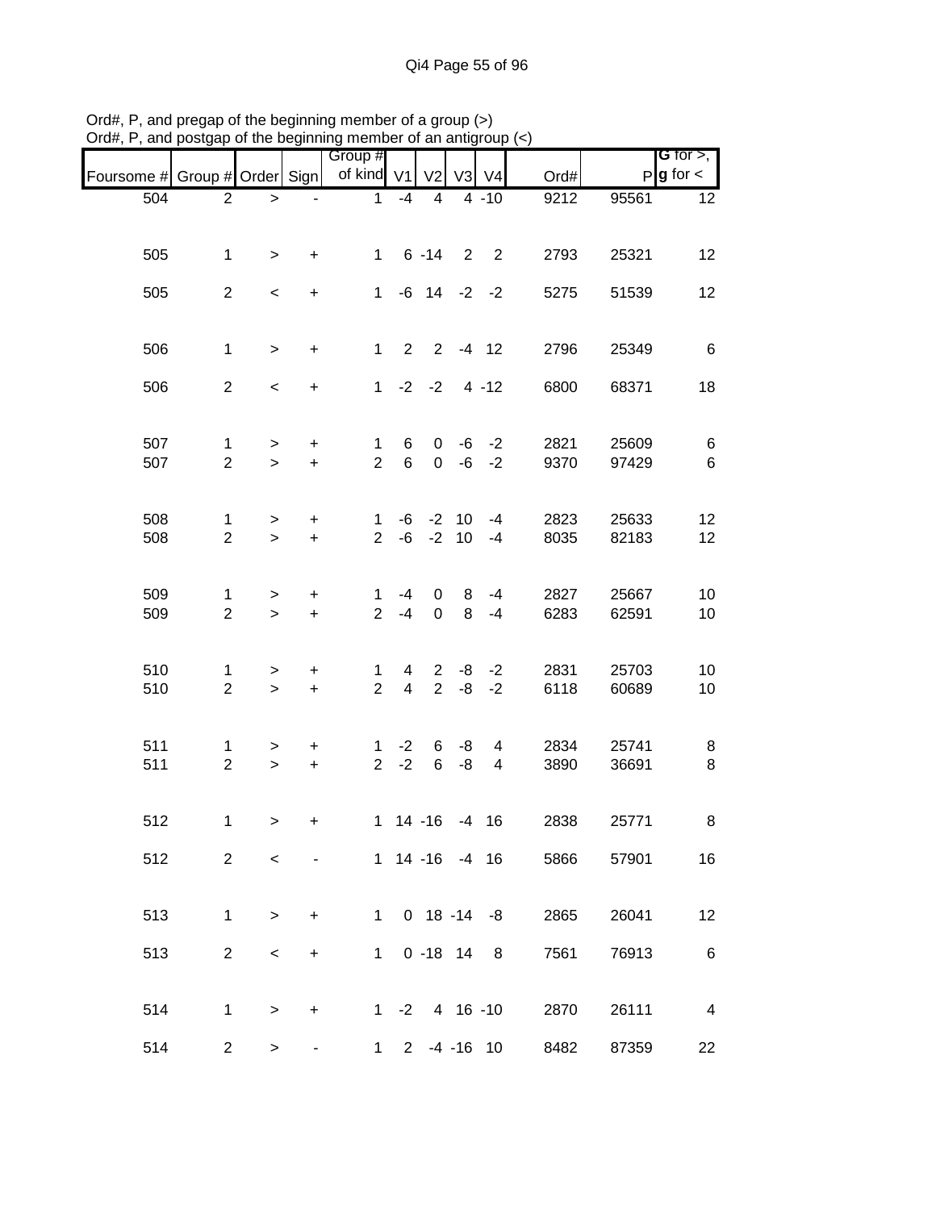| Foursome # Group # Order Sign |                                |                          |                                  | Group #<br>of kind V1          |                                  | V <sub>2</sub>                         |              | V3 V4          | Ord#         |                | G for $>$ ,<br>$P$ <b>g</b> for $\lt$ |
|-------------------------------|--------------------------------|--------------------------|----------------------------------|--------------------------------|----------------------------------|----------------------------------------|--------------|----------------|--------------|----------------|---------------------------------------|
| 504                           | $\overline{2}$                 | $\, >$                   |                                  | 1                              | $-4$                             | 4                                      |              | $4 - 10$       | 9212         | 95561          | 12                                    |
|                               |                                |                          |                                  |                                |                                  |                                        |              |                |              |                |                                       |
| 505                           | 1                              | $\geq$                   | +                                |                                |                                  | $1 \t6 - 14$ 2 2                       |              |                | 2793         | 25321          | 12                                    |
| 505                           | $\overline{2}$                 | $\,<\,$                  | $\ddot{}$                        | $\mathbf{1}$                   |                                  | $-6$ 14 $-2$ $-2$                      |              |                | 5275         | 51539          | 12                                    |
| 506                           | $\mathbf{1}$                   | $\geq$                   | $\ddot{}$                        | $\mathbf{1}$                   |                                  | $2 \t2 \t-4 \t12$                      |              |                | 2796         | 25349          | $6\phantom{1}6$                       |
|                               |                                |                          |                                  |                                |                                  |                                        |              |                |              |                |                                       |
| 506                           | $\overline{2}$                 | $\overline{\phantom{a}}$ | $\ddot{}$                        |                                |                                  | $1 -2 -2 4 -12$                        |              |                | 6800         | 68371          | 18                                    |
| 507                           | 1                              | $\geq$                   | $\ddot{}$                        | $\mathbf{1}$                   | 6                                |                                        | $0 -6 -2$    |                | 2821         | 25609          | $\,6$                                 |
| 507                           | $\overline{2}$                 | $\geq$                   | $\ddot{}$                        | $\overline{2}$                 | 6                                |                                        | $0 -6 -2$    |                | 9370         | 97429          | $\,6$                                 |
|                               |                                |                          |                                  |                                |                                  |                                        |              |                |              |                |                                       |
| 508<br>508                    | $\mathbf{1}$<br>$\overline{2}$ | $\,$<br>$\geq$           | $\ddot{}$<br>$\ddot{}$           | $\mathbf{1}$<br>$\overline{2}$ |                                  | $-6$ $-2$ 10 $-4$<br>$-6$ $-2$ 10 $-4$ |              |                | 2823<br>8035 | 25633<br>82183 | 12<br>12                              |
|                               |                                |                          |                                  |                                |                                  |                                        |              |                |              |                |                                       |
| 509                           | 1                              | $\, > \,$                | $\ddot{}$                        | 1                              | -4                               |                                        | $\mathbf{0}$ | $8 - 4$        | 2827         | 25667          | 10                                    |
| 509                           | $\overline{2}$                 | $\geq$                   | $\ddot{}$                        | 2 <sup>1</sup>                 | $-4$                             | $\mathsf{O}$                           | 8            | $-4$           | 6283         | 62591          | 10                                    |
| 510                           |                                |                          |                                  |                                |                                  |                                        | $2 -8 -2$    |                |              | 25703          | 10                                    |
| 510                           | 1<br>$\overline{2}$            | $\geq$<br>$\geq$         | $\ddot{}$<br>$+$                 | 1<br>$\overline{2}$            | $\overline{4}$<br>$\overline{4}$ |                                        | $2 -8 -2$    |                | 2831<br>6118 | 60689          | 10                                    |
|                               |                                |                          |                                  |                                |                                  |                                        |              |                |              |                |                                       |
| 511                           | 1                              | $\geq$                   | $+$                              | $\mathbf{1}$                   |                                  | $-2 \t 6 \t -8$                        |              | 4              | 2834         | 25741          | 8                                     |
| 511                           | $\overline{2}$                 | $\geq$                   | $+$                              |                                | $2 -2$                           | $6\overline{6}$                        | $-8$         | $\overline{4}$ | 3890         | 36691          | 8                                     |
| 512                           | $\mathbf{1}$                   | $\,>$                    | +                                |                                |                                  | 1 14 -16 -4 16                         |              |                | 2838         | 25771          | 8                                     |
|                               |                                |                          |                                  |                                |                                  |                                        |              |                |              |                |                                       |
| 512                           | $\overline{2}$                 | $\,<\,$                  |                                  |                                |                                  | 1 14 -16 -4 16                         |              |                | 5866         | 57901          | 16                                    |
| 513                           | $\mathbf 1$                    | >                        | $\ddot{}$                        |                                |                                  | 1 0 18 -14 -8                          |              |                | 2865         | 26041          | 12                                    |
|                               |                                |                          |                                  |                                |                                  |                                        |              |                |              |                |                                       |
| 513                           | $\overline{2}$                 | $\,<\,$                  | $\begin{array}{c} + \end{array}$ | $1 \quad$                      |                                  | $0 - 18$ 14 8                          |              |                | 7561         | 76913          | $\,6$                                 |
| 514                           | $\mathbf{1}$                   | $\geq$                   | $\ddot{}$                        |                                |                                  | $1 - 2$ 4 16 -10                       |              |                | 2870         | 26111          | $\overline{\mathbf{4}}$               |
|                               |                                |                          |                                  |                                |                                  |                                        |              |                |              |                |                                       |
| 514                           | $\overline{2}$                 | $\geq$                   |                                  | $1 \quad$                      |                                  | $2 - 4 - 16$ 10                        |              |                | 8482         | 87359          | 22                                    |

Ord#, P, and pregap of the beginning member of a group (>) Ord#, P, and postgap of the beginning member of an antigroup (<)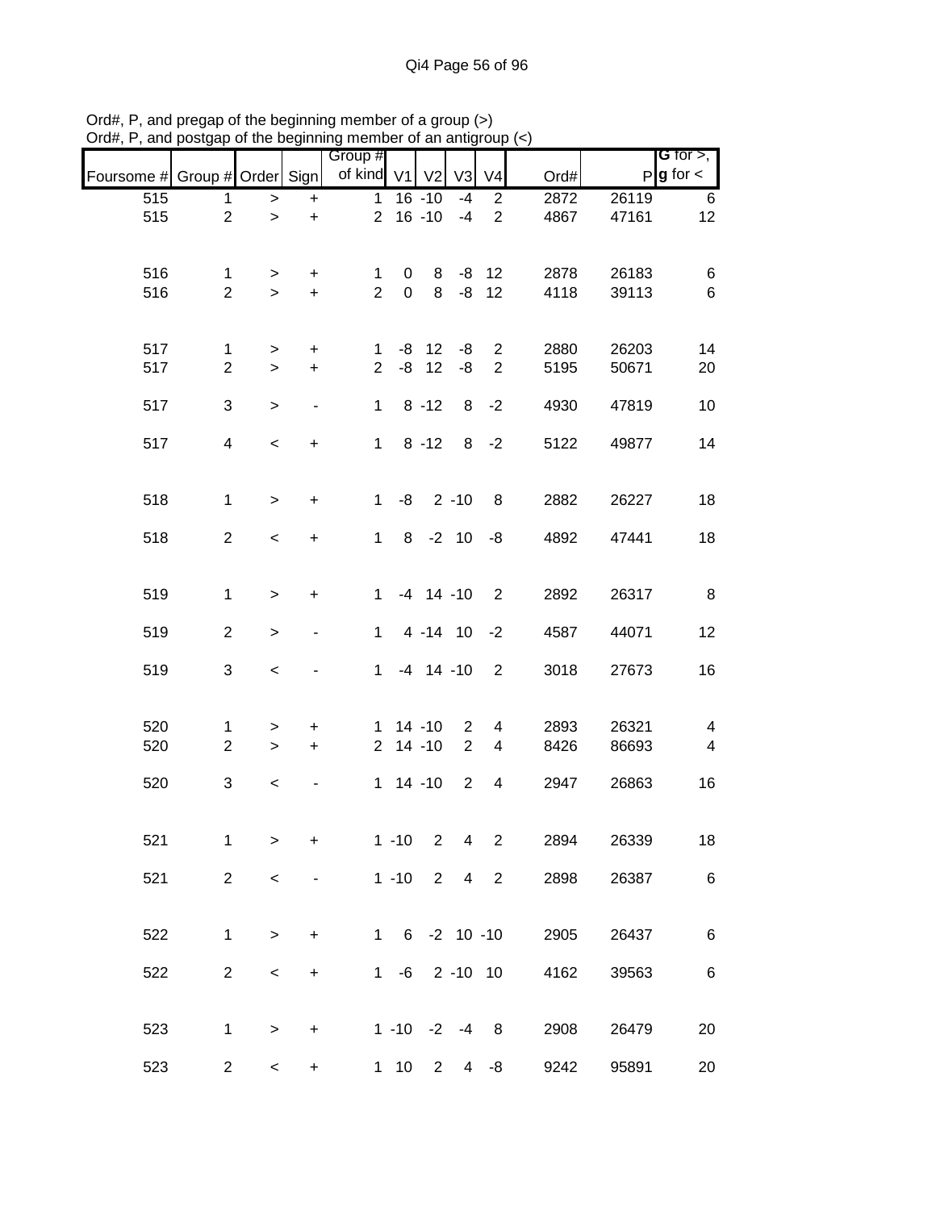|                               |                |                          |                | Group #        |             |                  |                |                |      |       | G for $>$ ,            |
|-------------------------------|----------------|--------------------------|----------------|----------------|-------------|------------------|----------------|----------------|------|-------|------------------------|
| Foursome # Group # Order Sign |                |                          |                | of kind V1     |             | V <sub>2</sub>   | V3             | V <sub>4</sub> | Ord# |       | $P$ <b>g</b> for $\lt$ |
| 515                           | 1              | $\,$                     | $\ddot{}$      | $\mathbf{1}$   |             | $16 - 10$        | $-4$           | $\overline{2}$ | 2872 | 26119 | 6                      |
| 515                           | $\overline{2}$ | $\mathbf{L}$             | $\ddot{}$      | $\overline{2}$ |             | $16 - 10$        | $-4$           | $\overline{2}$ | 4867 | 47161 | 12                     |
|                               |                |                          |                |                |             |                  |                |                |      |       |                        |
| 516                           | 1              | >                        | +              | 1              | 0           | 8                |                | $-8$ 12        | 2878 | 26183 | 6                      |
| 516                           | $\overline{2}$ | $\geq$                   | $\ddot{}$      | $\overline{2}$ | $\mathbf 0$ | 8                | -8             | 12             | 4118 | 39113 | $\,6\,$                |
|                               |                |                          |                |                |             |                  |                |                |      |       |                        |
| 517                           | 1              | >                        | $\ddot{}$      | 1              |             | $-8$ 12          | -8             | $\overline{2}$ | 2880 | 26203 | 14                     |
| 517                           | $\overline{2}$ | $\geq$                   | $\ddot{}$      | $\overline{2}$ | -8          | 12               | -8             | $\overline{2}$ | 5195 | 50671 | 20                     |
|                               |                |                          |                |                |             |                  |                |                |      |       |                        |
| 517                           | $\sqrt{3}$     | $\, >$                   | $\blacksquare$ | $\mathbf 1$    |             | $8 - 12$         |                | $8 - 2$        | 4930 | 47819 | 10                     |
| 517                           | $\overline{4}$ | $\overline{\phantom{a}}$ | $\ddot{}$      | $\mathbf{1}$   |             | $8 - 12$         |                | $8 - 2$        | 5122 | 49877 | 14                     |
|                               |                |                          |                |                |             |                  |                |                |      |       |                        |
|                               |                |                          |                |                |             |                  |                |                |      |       |                        |
| 518                           | $\mathbf{1}$   | $\,>$                    | $\ddot{}$      | $\mathbf{1}$   | -8          |                  | $2 - 10$       | 8              | 2882 | 26227 | 18                     |
| 518                           | 2              | $\,<$                    | $\ddot{}$      | $\mathbf{1}$   |             | $8 - 2 10 - 8$   |                |                | 4892 | 47441 | 18                     |
|                               |                |                          |                |                |             |                  |                |                |      |       |                        |
| 519                           | 1              | $\, > \,$                | $\ddot{}$      | $\mathbf 1$    |             | $-4$ 14 $-10$    |                | 2              | 2892 | 26317 | 8                      |
|                               |                |                          |                |                |             |                  |                |                |      |       |                        |
| 519                           | $\overline{2}$ | $\,>$                    |                | 1.             |             | 4 -14 10 -2      |                |                | 4587 | 44071 | 12                     |
|                               |                |                          |                |                |             |                  |                |                |      |       |                        |
| 519                           | 3              | $\,<$                    |                | $\mathbf{1}$   |             | $-4$ 14 $-10$    |                | $\overline{2}$ | 3018 | 27673 | 16                     |
|                               |                |                          |                |                |             |                  |                |                |      |       |                        |
| 520                           | 1              | $\, > \,$                | +              | $\mathbf 1$    |             | $14 - 10$        | $\overline{2}$ | 4              | 2893 | 26321 | 4                      |
| 520                           | $\overline{2}$ | $\, >$                   | $\ddot{}$      | $\overline{2}$ |             | $14 - 10$        | 2              | $\overline{4}$ | 8426 | 86693 | $\overline{4}$         |
| 520                           | 3              | $\prec$                  |                | 1              |             | $14 - 10$        | 2              | 4              | 2947 | 26863 | 16                     |
|                               |                |                          |                |                |             |                  |                |                |      |       |                        |
|                               |                |                          |                |                |             |                  |                |                |      |       |                        |
| 521                           | $\mathbf 1$    | >                        | +              |                | $1 - 10$    | $\overline{2}$   | $\overline{4}$ | $\overline{2}$ | 2894 | 26339 | 18                     |
| 521                           | $\overline{2}$ | $\,<$                    |                |                | $1 - 10$    | $2^{\circ}$      | $\overline{4}$ | $\overline{2}$ | 2898 | 26387 | 6                      |
|                               |                |                          |                |                |             |                  |                |                |      |       |                        |
| 522                           | $\mathbf{1}$   |                          | +              | $\mathbf 1$    |             | 6 -2 10 -10      |                |                | 2905 | 26437 | 6                      |
|                               |                | $\, > \,$                |                |                |             |                  |                |                |      |       |                        |
| 522                           | $\overline{c}$ | $\,<$                    | $\ddot{}$      | 1              |             | $-6$ 2 $-10$ 10  |                |                | 4162 | 39563 | 6                      |
|                               |                |                          |                |                |             |                  |                |                |      |       |                        |
| 523                           | 1              | $\, > \,$                | $\ddot{}$      |                |             | $1 - 10 -2 -4 8$ |                |                | 2908 | 26479 | 20                     |
|                               |                |                          |                |                |             |                  |                |                |      |       |                        |
| 523                           | $\overline{c}$ | $\,<\,$                  | $\ddot{}$      |                | $1 10$      | $\overline{2}$   |                | $4 - 8$        | 9242 | 95891 | 20                     |

Ord#, P, and pregap of the beginning member of a group (>) Ord#, P, and postgap of the beginning member of an antigroup (<)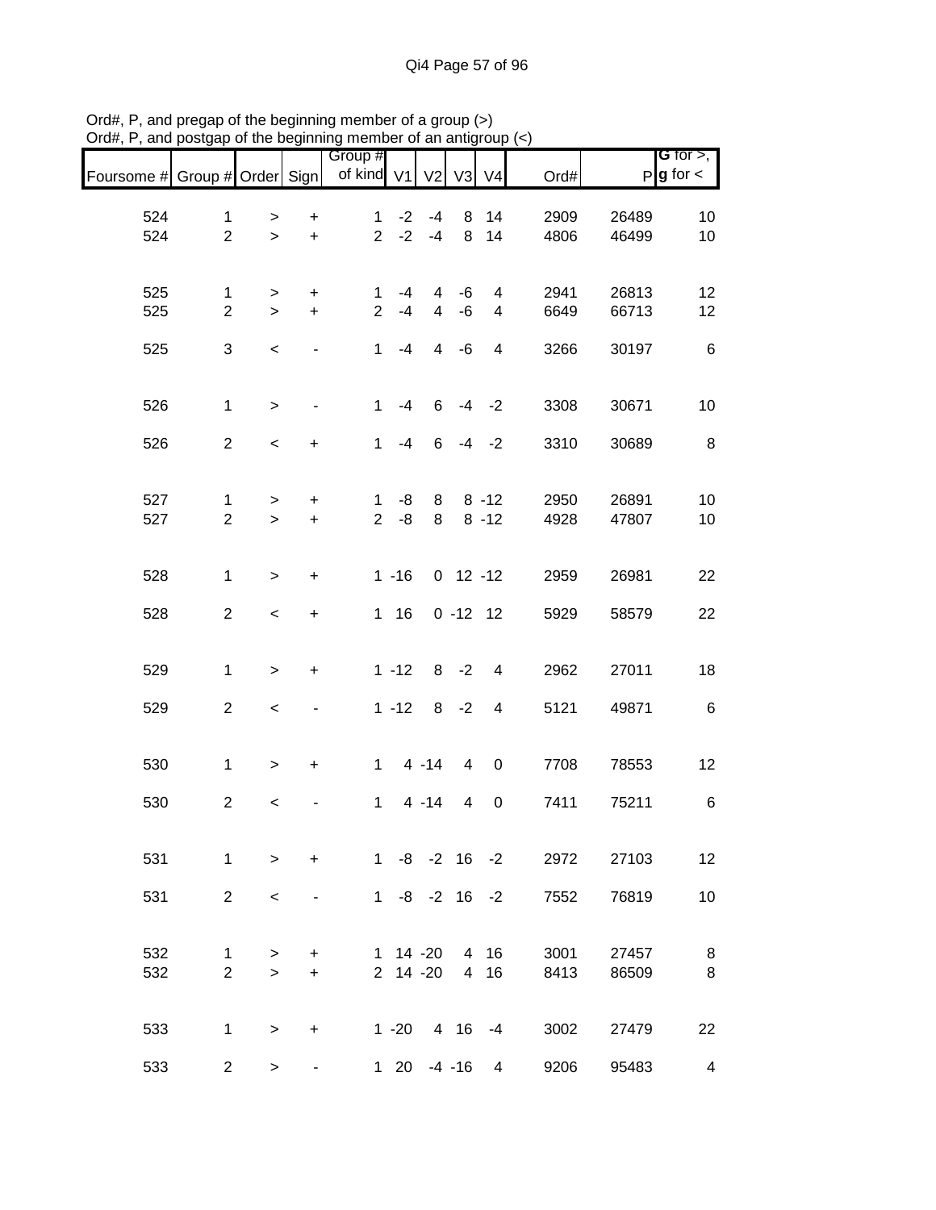| Foursome # Group # Order Sign |                               |              |                              | Group #<br>of kind V1         |            | V <sub>2</sub>      | V <sub>3</sub> | V <sub>4</sub>               | Ord#         |                | G for $>$ ,<br>$P g$ for $\lt$ |
|-------------------------------|-------------------------------|--------------|------------------------------|-------------------------------|------------|---------------------|----------------|------------------------------|--------------|----------------|--------------------------------|
| 524                           | $\mathbf 1$                   | >            | $\ddot{}$                    | $\mathbf{1}$                  | $-2$       | -4                  | 8              | 14                           | 2909         | 26489          | 10                             |
| 524                           | $\overline{2}$                | $\mathbf{I}$ | $\ddot{}$                    | $\overline{2}$                | $-2$       | $-4$                | 8              | 14                           | 4806         | 46499          | 10                             |
|                               |                               |              |                              |                               |            |                     |                |                              |              |                |                                |
| 525<br>525                    | $\mathbf 1$<br>$\overline{2}$ | ><br>$\geq$  | +<br>$\ddot{}$               | $\mathbf 1$<br>$\overline{2}$ | -4<br>$-4$ | 4<br>$\overline{4}$ | -6<br>$-6$     | 4<br>$\overline{\mathbf{4}}$ | 2941<br>6649 | 26813<br>66713 | 12<br>12                       |
|                               |                               |              |                              |                               |            |                     |                |                              |              |                |                                |
| 525                           | 3                             | $\,<\,$      |                              | $\mathbf{1}$                  | $-4$       | $\overline{4}$      | $-6$           | $\overline{\mathbf{4}}$      | 3266         | 30197          | $\,6$                          |
| 526                           | $\mathbf{1}$                  | $\,$         | $\qquad \qquad \blacksquare$ | $\mathbf{1}$                  | $-4$       | 6                   |                | $-4 -2$                      | 3308         | 30671          | 10                             |
|                               |                               |              |                              |                               |            |                     |                |                              |              |                |                                |
| 526                           | $\overline{2}$                | $\,<$        | $\ddot{}$                    | $\mathbf{1}$                  | $-4$       | 6                   |                | $-4 -2$                      | 3310         | 30689          | 8                              |
| 527                           | $\mathbf 1$                   | $\geq$       | $\ddot{}$                    | $\mathbf{1}$                  | -8         | 8                   |                | $8 - 12$                     | 2950         | 26891          | 10                             |
| 527                           | $\overline{2}$                | $\geq$       | $\ddot{}$                    | $\overline{2}$                | -8         | 8                   |                | $8 - 12$                     | 4928         | 47807          | 10                             |
|                               |                               |              |                              |                               |            |                     |                |                              |              |                |                                |
| 528                           | $\mathbf{1}$                  | $\,>$        | $\ddot{}$                    |                               | $1 - 16$   |                     | $0$ 12 -12     |                              | 2959         | 26981          | 22                             |
| 528                           | $\overline{2}$                | $\,<\,$      | +                            |                               | $1 \t16$   |                     | $0 - 12 12$    |                              | 5929         | 58579          | 22                             |
|                               |                               |              |                              |                               |            |                     |                |                              |              |                |                                |
| 529                           | $\mathbf 1$                   | $\,>$        | +                            |                               | $1 - 12$   |                     | $8 - 2$        | $\overline{\mathbf{4}}$      | 2962         | 27011          | 18                             |
| 529                           | $\overline{2}$                | $\prec$      |                              |                               | $1 - 12$   |                     | $8 - 2$        | $\overline{4}$               | 5121         | 49871          | $\,6$                          |
|                               |                               |              |                              |                               |            |                     |                |                              |              |                |                                |
| 530                           | $\mathbf 1$                   | $\,$         | $\ddot{}$                    | $\mathbf{1}$                  |            | $4 - 14$            | 4              | $\boldsymbol{0}$             | 7708         | 78553          | 12                             |
| 530                           | $\overline{2}$                | $\prec$      |                              | $\mathbf{1}$                  |            | $4 - 14$            | 4              | $\boldsymbol{0}$             | 7411         | 75211          | 6                              |
|                               |                               |              |                              |                               |            |                     |                |                              |              |                |                                |
| 531                           | $\mathbf{1}$                  | $\geq$       | $\ddot{}$                    |                               |            | $1 - 8 - 2 16 - 2$  |                |                              | 2972         | 27103          | 12                             |
| 531                           | $\overline{2}$                | $\,<\,$      |                              |                               |            | $1 - 8 - 2 16 - 2$  |                |                              | 7552         | 76819          | 10                             |
| 532                           |                               |              |                              |                               |            | $1 14 - 20$         |                | 4 16                         | 3001         | 27457          |                                |
| 532                           | 1<br>$\overline{2}$           | ><br>$\geq$  | $\ddot{}$<br>$\ddot{}$       |                               |            | 2 14 -20            |                | 4 16                         | 8413         | 86509          | 8<br>8                         |
|                               |                               |              |                              |                               |            |                     |                |                              |              |                |                                |
| 533                           | 1                             | $\,$         | $\ddot{}$                    |                               | $1 - 20$   |                     |                | 4 16 -4                      | 3002         | 27479          | 22                             |
| 533                           | $\overline{2}$                | $\,$         | ۰                            |                               |            | $120 - 4 - 16$      |                | 4                            | 9206         | 95483          | $\overline{\mathcal{A}}$       |

Ord#, P, and pregap of the beginning member of a group (>) Ord#, P, and postgap of the beginning member of an antigroup (<)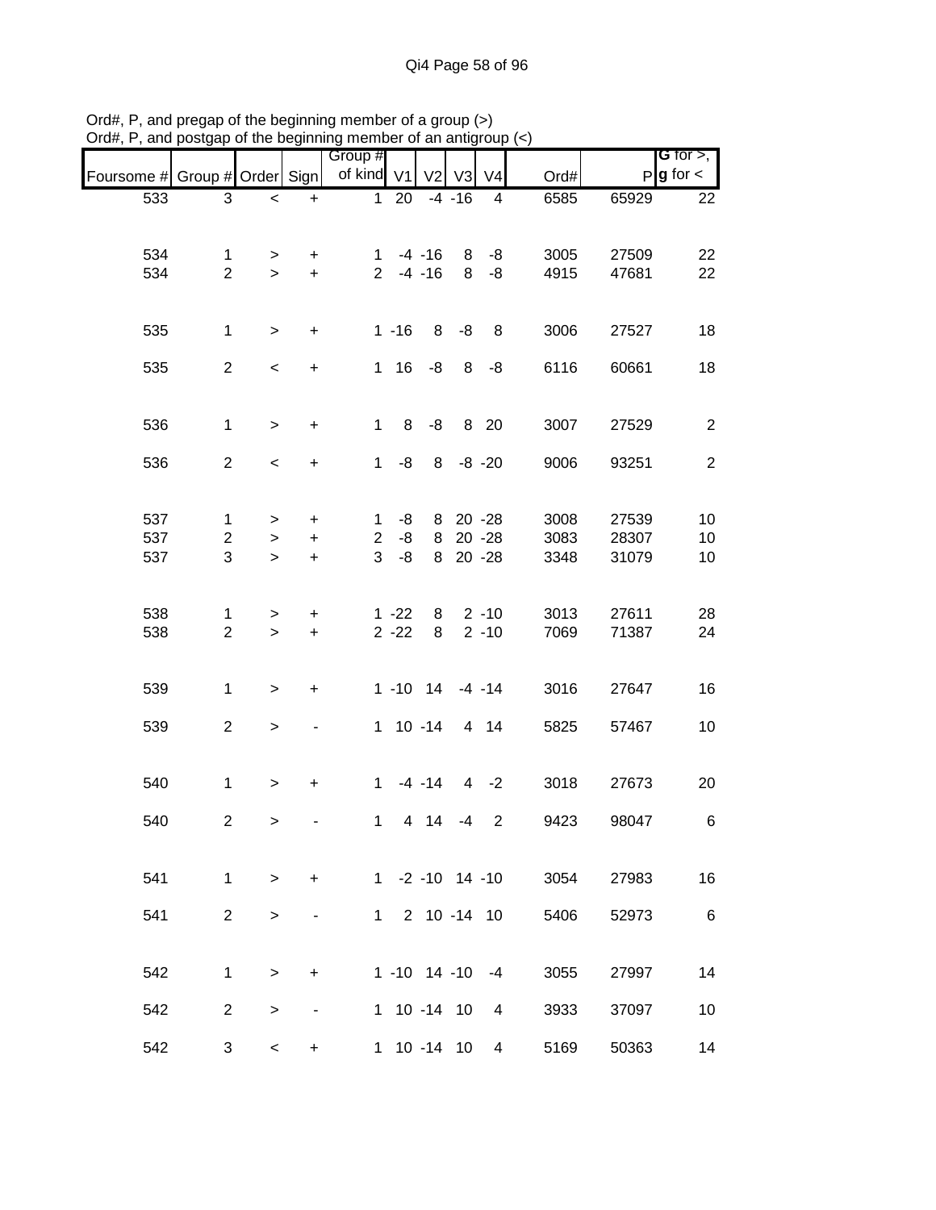| $D$ and $D$ $D$ $Q$ and $Q$ $Q$ and $Q$ and $Q$ and $Q$ and $Q$ and $Q$ and $Q$ and $Q$ $Q$ $Q$ $Q$ |                                     |                                |                          |                          |                      |                        |                         |                                   |                      |                         |                                |
|-----------------------------------------------------------------------------------------------------|-------------------------------------|--------------------------------|--------------------------|--------------------------|----------------------|------------------------|-------------------------|-----------------------------------|----------------------|-------------------------|--------------------------------|
| Foursome # Group # Order Sign                                                                       |                                     |                                |                          | Group #<br>of kind V1    |                      | V <sub>2</sub>         | V3                      | V <sub>4</sub>                    | Ord#                 |                         | G for $>$ ,<br>$P g$ for $\lt$ |
| 533                                                                                                 | $\ensuremath{\mathsf{3}}$           | $\,<$                          | $\ddot{}$                | $\mathbf 1$              | 20                   |                        | $-4 - 16$               | 4                                 | 6585                 | 65929                   | 22                             |
| 534<br>534                                                                                          | 1<br>$\overline{2}$                 | $\, > \,$<br>$\,$              | $\ddot{}$<br>$\pm$       | 1<br>$\overline{2}$      |                      | $-4 - 16$<br>$-4 - 16$ | 8<br>8                  | -8<br>-8                          | 3005<br>4915         | 27509<br>47681          | 22<br>22                       |
| 535                                                                                                 | $\mathbf{1}$                        | $\, >$                         | $\pm$                    |                          | $1 - 16$             | 8                      | -8                      | 8                                 | 3006                 | 27527                   | 18                             |
| 535                                                                                                 | $\overline{2}$                      | $\,<$                          | $\ddot{}$                | $\mathbf 1$              | 16                   | -8                     | 8                       | $-8$                              | 6116                 | 60661                   | 18                             |
| 536                                                                                                 | $\mathbf{1}$                        | $\, > \,$                      | $\ddot{}$                | $\mathbf 1$              | 8                    | -8                     | 8                       | 20                                | 3007                 | 27529                   | $\overline{2}$                 |
| 536                                                                                                 | $\overline{2}$                      | $\,<$                          | $\ddot{}$                | 1                        | -8                   | 8                      |                         | $-8 - 20$                         | 9006                 | 93251                   | $\overline{2}$                 |
| 537<br>537<br>537                                                                                   | $\mathbf{1}$<br>$\overline{2}$<br>3 | $\, > \,$<br>$\, > \,$<br>$\,$ | +<br>+<br>$\ddot{}$      | 1<br>$\overline{2}$<br>3 | -8<br>-8<br>-8       | 8<br>8<br>8            |                         | 20 - 28<br>$20 - 28$<br>$20 - 28$ | 3008<br>3083<br>3348 | 27539<br>28307<br>31079 | 10<br>10<br>10                 |
| 538<br>538                                                                                          | 1<br>$\overline{2}$                 | $\,$<br>$\, >$                 | +<br>$\boldsymbol{+}$    |                          | $1 - 22$<br>$2 - 22$ | 8<br>8                 |                         | $2 - 10$<br>$2 - 10$              | 3013<br>7069         | 27611<br>71387          | 28<br>24                       |
| 539                                                                                                 | $\mathbf{1}$                        | $\,>$                          | $\ddot{}$                |                          | $1 - 10$ 14          |                        |                         | $-4 - 14$                         | 3016                 | 27647                   | 16                             |
| 539                                                                                                 | $\overline{2}$                      | $\,$                           |                          |                          | $1 10 - 14$          |                        |                         | 4 14                              | 5825                 | 57467                   | 10                             |
| 540                                                                                                 | $\mathbf 1$                         | $\, > \,$                      | +                        | 1                        |                      | $-4 - 14$              |                         | $4 -2$                            | 3018                 | 27673                   | 20                             |
| 540                                                                                                 | $\overline{2}$                      | $\geq$                         |                          |                          | $1 \quad$            | 4 14                   | -4                      | 2                                 | 9423                 | 98047                   | 6                              |
| 541                                                                                                 | $\mathbf{1}$                        | $\geq$                         | $\ddot{}$                |                          |                      |                        | $1 - 2 - 10$ 14 -10     |                                   | 3054                 | 27983                   | 16                             |
| 541                                                                                                 | $\overline{2}$                      | $\,$                           | -                        | $1 \quad$                |                      |                        | 2 10 -14 10             |                                   | 5406                 | 52973                   | 6                              |
| 542                                                                                                 | $\mathbf{1}$                        | $\, > \,$                      | $\ddot{}$                |                          |                      |                        | $1 - 10$ $14 - 10$ $-4$ |                                   | 3055                 | 27997                   | 14                             |
| 542                                                                                                 | $\overline{2}$                      | $\,>$                          | $\overline{\phantom{a}}$ |                          |                      |                        | 1 10 -14 10             | 4                                 | 3933                 | 37097                   | 10                             |
| 542                                                                                                 | 3                                   | $\,<$                          | $\ddot{}$                |                          |                      |                        | 1 10 -14 10             | 4                                 | 5169                 | 50363                   | 14                             |

Ord#, P, and pregap of the beginning member of a group (>) Ord#, P, and postgap of the beginning member of an antigroup (<)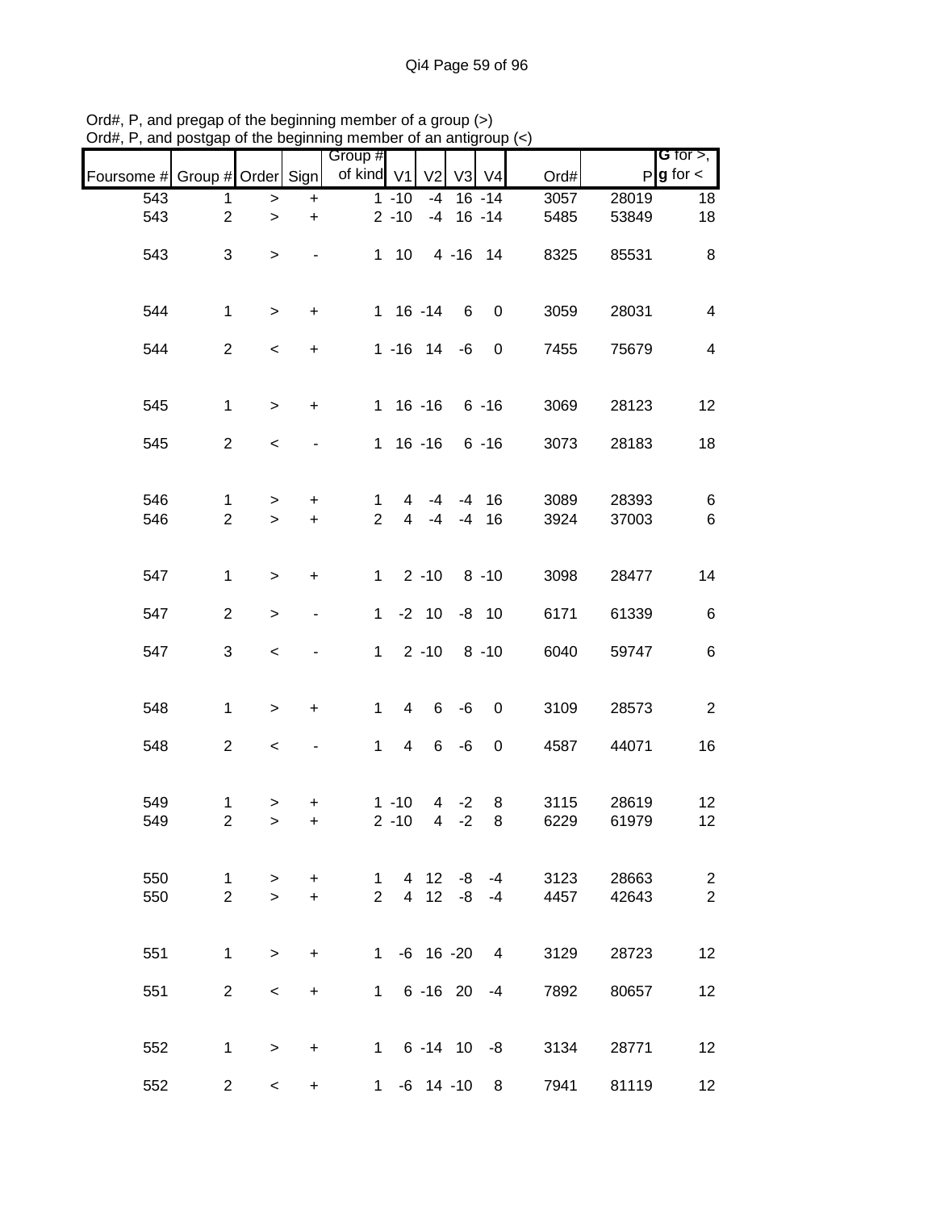|            |                                         |                     |                        | Group #                        |                       |                                  |                 |                     |              |                | G for $>$ ,                      |
|------------|-----------------------------------------|---------------------|------------------------|--------------------------------|-----------------------|----------------------------------|-----------------|---------------------|--------------|----------------|----------------------------------|
| Foursome # | Group # Order Sign                      |                     |                        | of kind V1                     |                       | V <sub>2</sub>                   | V <sub>3</sub>  | V <sub>4</sub>      | Ord#         | P              | $g$ for $\lt$                    |
| 543        | 1                                       | $\, >$              | $\ddot{}$              |                                | $1 - 10$              | $-4$                             |                 | $16 - 14$           | 3057         | 28019          | 18                               |
| 543        | $\overline{2}$                          | $\,$                | $\ddot{}$              |                                | $2 - 10$              |                                  | $-4$ 16 $-14$   |                     | 5485         | 53849          | 18                               |
| 543        | 3                                       | $\, >$              |                        |                                | $1 \quad 10$          |                                  | 4 -16 14        |                     | 8325         | 85531          | 8                                |
| 544        | $\mathbf{1}$                            | $\geq$              | $\ddot{}$              |                                | $1 16 - 14$           |                                  | $6\overline{6}$ | $\mathbf 0$         | 3059         | 28031          | 4                                |
| 544        | $\overline{2}$                          | $\,<$               | $\boldsymbol{+}$       |                                | $1 - 16$ 14 $-6$      |                                  |                 | $\boldsymbol{0}$    | 7455         | 75679          | $\overline{\mathbf{4}}$          |
| 545        | $\mathbf{1}$                            | $\geq$              | $\ddot{}$              |                                | 1 16 -16 6 -16        |                                  |                 |                     | 3069         | 28123          | 12                               |
| 545        | $\overline{2}$                          | $\,<$               |                        |                                | $1 16 - 16$           |                                  |                 | 6 -16               | 3073         | 28183          | 18                               |
| 546<br>546 | $\mathbf{1}$<br>$\overline{2}$          | $\, > \,$<br>$\geq$ | $\ddot{}$<br>$\ddot{}$ | $\mathbf{1}$<br>$\overline{2}$ | $\overline{4}$<br>4   | $-4$<br>$-4$                     | $-4$            | $-4$ 16<br>16       | 3089<br>3924 | 28393<br>37003 | 6<br>$\,6$                       |
| 547        | $\mathbf{1}$                            | $\, > \,$           | $\ddot{}$              |                                | $1 \quad 2 \quad -10$ |                                  |                 | $8 - 10$            | 3098         | 28477          | 14                               |
| 547        | $\overline{2}$                          | $\geq$              |                        | $\mathbf{1}$                   |                       | $-2$ 10                          |                 | $-8$ 10             | 6171         | 61339          | $\,6$                            |
| 547        | 3                                       | $\,<$               |                        | $\mathbf{1}$                   |                       | $2 - 10$                         |                 | $8 - 10$            | 6040         | 59747          | $\,6$                            |
| 548        | $\mathbf{1}$                            | $\,$                | $\ddot{}$              | $\mathbf{1}$                   | $\overline{4}$        |                                  | $6 - 6$         | $\boldsymbol{0}$    | 3109         | 28573          | $\overline{2}$                   |
| 548        | $\overline{2}$                          | $\,<$               |                        | $\mathbf{1}$                   | $\overline{4}$        |                                  | $6 - 6$         | $\boldsymbol{0}$    | 4587         | 44071          | 16                               |
| 549<br>549 | $\mathbf{1}$<br>$\overline{\mathbf{c}}$ | $\,>$<br>$\,$       | $\ddot{}$<br>$\ddot{}$ |                                | $1 - 10$<br>$2 - 10$  | $\overline{4}$<br>$\overline{4}$ | $-2$<br>$-2$    | 8<br>8              | 3115<br>6229 | 28619<br>61979 | 12<br>12                         |
| 550<br>550 | $\mathbf{1}$<br>$\overline{2}$          | $\geq$<br>$\geq$    | $\ddot{}$<br>$\ddot{}$ | 1.<br>$\overline{2}$           |                       | 4 12                             |                 | -8 -4<br>4 12 -8 -4 | 3123<br>4457 | 28663<br>42643 | $\overline{c}$<br>$\overline{2}$ |
| 551        | $\mathbf 1$                             | $\geq$              | $\ddot{}$              | 1                              |                       | $-6$ 16 $-20$                    |                 | $\overline{4}$      | 3129         | 28723          | 12                               |
| 551        | $\overline{2}$                          | $\,<\,$             | $\ddot{}$              | $\mathbf{1}$                   |                       |                                  |                 | $6 - 16$ 20 $-4$    | 7892         | 80657          | 12                               |
| 552        | $\mathbf 1$                             | $\geq$              | $\ddot{}$              |                                | $1 \t6 - 14$ 10 $-8$  |                                  |                 |                     | 3134         | 28771          | 12                               |
| 552        | $\overline{2}$                          | $\,<\,$             | $\ddot{}$              |                                | 1 -6 14 -10           |                                  |                 | 8                   | 7941         | 81119          | 12 <sub>2</sub>                  |

Ord#, P, and pregap of the beginning member of a group (>) Ord#, P, and postgap of the beginning member of an antigroup (<)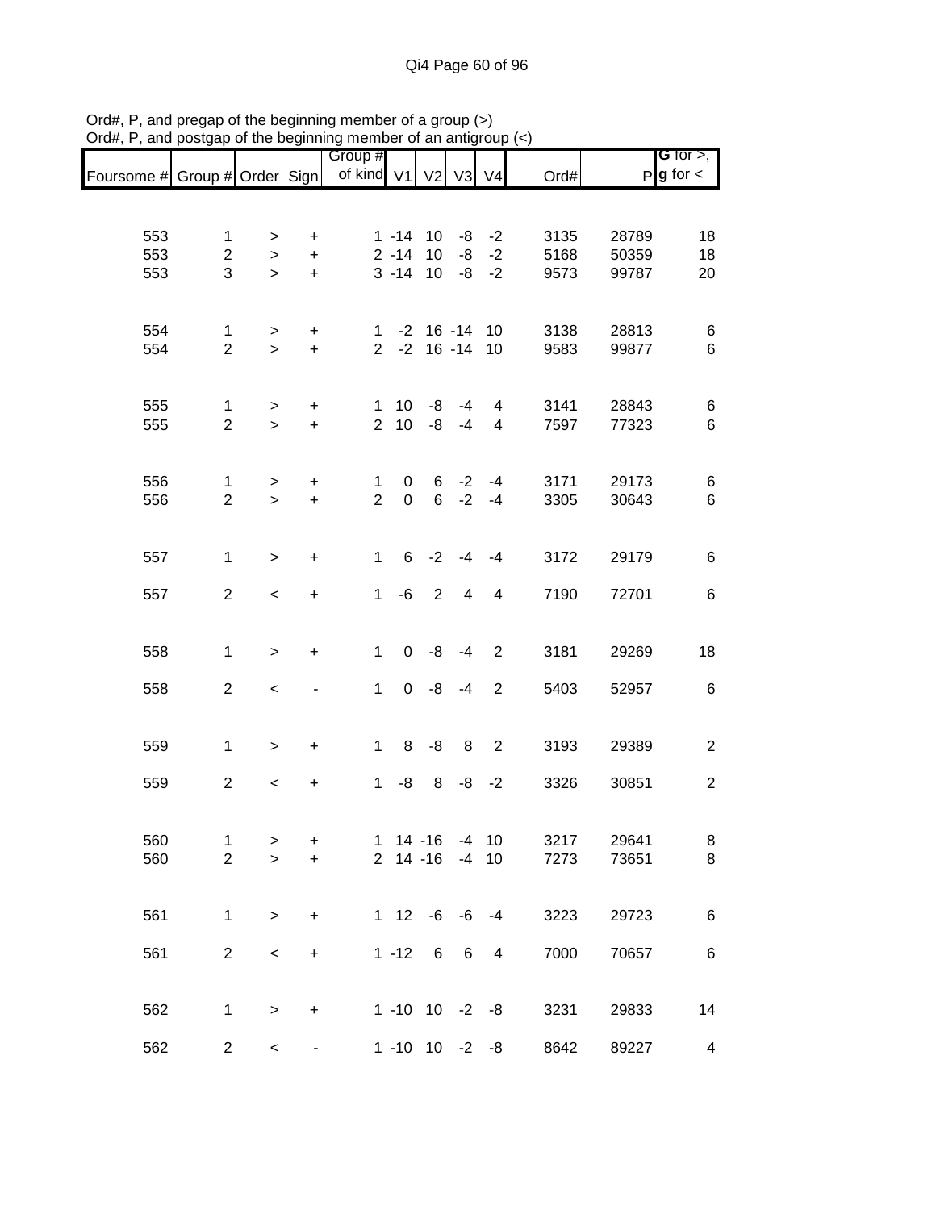|                               |                                |                     |                          | Group #        |                         |                 |                 |                   |              |                | G for $>$ ,            |
|-------------------------------|--------------------------------|---------------------|--------------------------|----------------|-------------------------|-----------------|-----------------|-------------------|--------------|----------------|------------------------|
| Foursome # Group # Order Sign |                                |                     |                          | of kind V1     |                         | V <sub>2</sub>  | V3              | V <sub>4</sub>    | Ord#         |                | $P$ <b>g</b> for $\lt$ |
|                               |                                |                     |                          |                |                         |                 |                 |                   |              |                |                        |
|                               |                                |                     |                          |                |                         |                 |                 |                   |              |                |                        |
| 553<br>553                    | $\mathbf{1}$<br>$\overline{2}$ | >                   | +                        |                | $1 - 14$ 10<br>$2 - 14$ | 10              | -8              | $-8 - -2$<br>$-2$ | 3135<br>5168 | 28789<br>50359 | 18<br>18               |
| 553                           | 3                              | $\, > \,$<br>$\geq$ | $\ddot{}$<br>$\ddot{}$   |                | $3 - 14$                | 10              |                 | $-8 - -2$         | 9573         | 99787          | 20                     |
|                               |                                |                     |                          |                |                         |                 |                 |                   |              |                |                        |
|                               |                                |                     |                          |                |                         |                 |                 |                   |              |                |                        |
| 554                           | $\mathbf{1}$                   | >                   | +                        | 1.             |                         | $-2$ 16 $-14$   |                 | 10                | 3138         | 28813          | 6                      |
| 554                           | $\overline{2}$                 | $\geq$              | $\ddot{}$                | $\overline{2}$ | $-2$                    |                 | $16 - 14$       | 10                | 9583         | 99877          | 6                      |
|                               |                                |                     |                          |                |                         |                 |                 |                   |              |                |                        |
| 555                           | 1                              | >                   | +                        | 1              | 10 <sup>°</sup>         | -8              | -4              | 4                 | 3141         | 28843          | 6                      |
| 555                           | $\overline{2}$                 | $\geq$              | $+$                      | $\overline{2}$ | 10 <sup>1</sup>         | -8              | $-4$            | 4                 | 7597         | 77323          | 6                      |
|                               |                                |                     |                          |                |                         |                 |                 |                   |              |                |                        |
| 556                           | $\mathbf{1}$                   | $\, > \,$           | $\ddot{}$                | 1              | $\overline{0}$          |                 | $6 -2$          | $-4$              | 3171         | 29173          | 6                      |
| 556                           | $\overline{2}$                 | $\,$                | $\ddot{}$                | $\overline{2}$ | $\mathbf 0$             | $6\overline{6}$ | $-2$            | $-4$              | 3305         | 30643          | 6                      |
|                               |                                |                     |                          |                |                         |                 |                 |                   |              |                |                        |
| 557                           | $\mathbf{1}$                   | $\,>$               | $\ddot{}$                | $\mathbf 1$    |                         | $6 -2$          | $-4$            | -4                | 3172         | 29179          | 6                      |
|                               |                                |                     |                          |                |                         |                 |                 |                   |              |                |                        |
| 557                           | $\overline{2}$                 | $\prec$             | $\ddot{}$                | $\mathbf 1$    | -6                      | 2               | $\overline{4}$  | $\overline{4}$    | 7190         | 72701          | 6                      |
|                               |                                |                     |                          |                |                         |                 |                 |                   |              |                |                        |
| 558                           | $\mathbf{1}$                   | $\,>$               | +                        | $\mathbf 1$    | 0                       | -8              | $-4$            | $\overline{2}$    | 3181         | 29269          | 18                     |
|                               |                                |                     |                          |                |                         |                 |                 |                   |              |                |                        |
| 558                           | $\overline{2}$                 | $\,<$               |                          | $\mathbf 1$    |                         | $0 - 8$         | $-4$            | $\overline{2}$    | 5403         | 52957          | 6                      |
|                               |                                |                     |                          |                |                         |                 |                 |                   |              |                |                        |
| 559                           | $\mathbf{1}$                   | $\,$                | $\ddot{}$                | $\mathbf{1}$   | 8                       | -8              | 8               | $\overline{2}$    | 3193         | 29389          | $\overline{2}$         |
|                               |                                |                     |                          |                |                         |                 |                 |                   |              |                |                        |
| 559                           | $\overline{2}$                 | $\,<$               | $\pmb{+}$                | $\mathbf{1}$   | -8                      | 8               | -8              | $-2$              | 3326         | 30851          | $\overline{2}$         |
|                               |                                |                     |                          |                |                         |                 |                 |                   |              |                |                        |
| 560                           | $\mathbf{1}$                   | >                   | +                        |                | $1 14 - 16$             |                 |                 | $-4$ 10           | 3217         | 29641          | 8                      |
| 560                           | $\overline{2}$                 | $\mathbf{L}$        | $\ddot{}$                |                | $2$ 14 -16              |                 | $-4$ 10         |                   | 7273         | 73651          | 8                      |
|                               |                                |                     |                          |                |                         |                 |                 |                   |              |                |                        |
| 561                           | $\mathbf{1}$                   | $\,$                | $\ddot{}$                |                | $1 12 -6 -6 -4$         |                 |                 |                   | 3223         | 29723          | 6                      |
|                               |                                |                     |                          |                |                         |                 |                 |                   |              |                |                        |
| 561                           | $\overline{2}$                 | $\,<$               | +                        |                | $1 - 12 6$              |                 | $6\overline{6}$ | $\overline{4}$    | 7000         | 70657          | 6                      |
|                               |                                |                     |                          |                |                         |                 |                 |                   |              |                |                        |
| 562                           | 1                              | $\, > \,$           | $\ddot{}$                |                | $1 - 10$ $10 - 2 - 8$   |                 |                 |                   | 3231         | 29833          | 14                     |
|                               |                                |                     |                          |                |                         |                 |                 |                   |              |                |                        |
| 562                           | $\overline{2}$                 | $\,<$               | $\overline{\phantom{a}}$ |                | $1 - 10$ $10 - 2 - 8$   |                 |                 |                   | 8642         | 89227          | 4                      |

Ord#, P, and pregap of the beginning member of a group (>) Ord#, P, and postgap of the beginning member of an antigroup (<)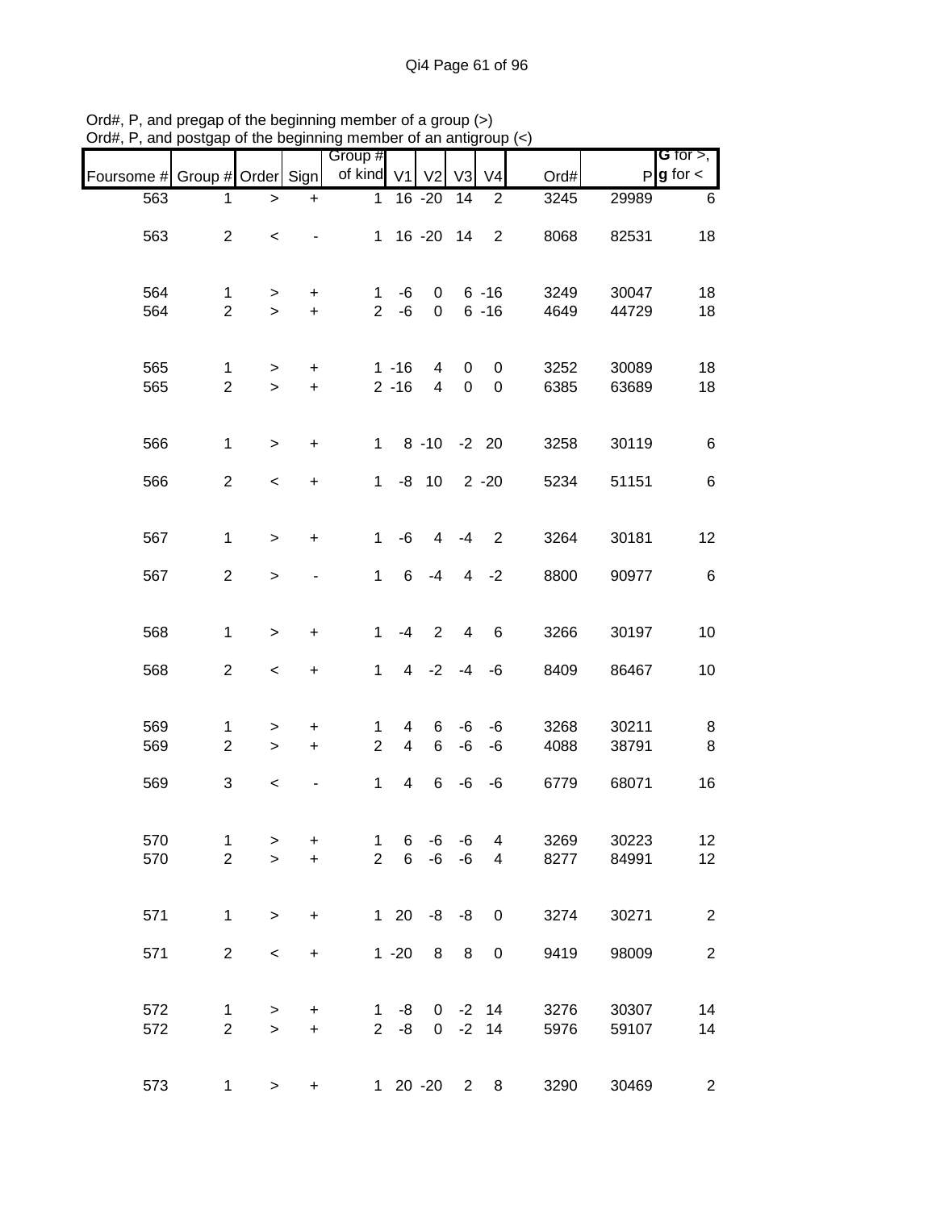|                               |                                |                     |                          | Group #                     |                      |                  |                  |                                  |              |                | G for $>$ ,            |
|-------------------------------|--------------------------------|---------------------|--------------------------|-----------------------------|----------------------|------------------|------------------|----------------------------------|--------------|----------------|------------------------|
| Foursome # Group # Order Sign |                                |                     |                          | of kind V1                  |                      | V <sub>2</sub>   | V <sub>3</sub>   | V <sub>4</sub>                   | Ord#         |                | $P$ <b>g</b> for $\lt$ |
| 563                           | 1                              | $\geq$              | $\ddot{}$                | $\mathbf{1}$                |                      | $16 - 20$        | 14               | 2                                | 3245         | 29989          | 6                      |
| 563                           | $\overline{2}$                 | $\,<\,$             |                          |                             |                      | 1 16 -20 14      |                  | 2                                | 8068         | 82531          | 18                     |
| 564<br>564                    | $\mathbf{1}$<br>$\overline{2}$ | ><br>$\geq$         | +<br>$\ddot{}$           | 1<br>$\overline{2}$         | -6<br>-6             | $\mathbf 0$<br>0 |                  | $6 - 16$<br>$6 - 16$             | 3249<br>4649 | 30047<br>44729 | 18<br>18               |
| 565<br>565                    | $\mathbf 1$<br>$\overline{2}$  | ><br>$\geq$         | $\ddot{}$<br>$\ddot{}$   |                             | $1 - 16$<br>$2 - 16$ | 4<br>4           | 0<br>$\mathbf 0$ | 0<br>0                           | 3252<br>6385 | 30089<br>63689 | 18<br>18               |
| 566                           | $\mathbf{1}$                   | $\geq$              | $\ddot{}$                | $\mathbf{1}$                |                      | 8 -10 -2 20      |                  |                                  | 3258         | 30119          | $\,6$                  |
| 566                           | $\overline{2}$                 | $\,<\,$             | $\ddot{}$                | $\mathbf{1}$                |                      | $-8$ 10          |                  | $2 - 20$                         | 5234         | 51151          | 6                      |
| 567                           | $\mathbf{1}$                   | $\geq$              | $\ddot{}$                | $\mathbf{1}$                | $-6$                 | 4                | $-4$             | $\overline{2}$                   | 3264         | 30181          | 12                     |
| 567                           | $\overline{2}$                 | $\geq$              |                          | $\mathbf{1}$                | 6                    | $-4$             | 4                | $-2$                             | 8800         | 90977          | $\,6$                  |
| 568                           | $\mathbf{1}$                   | $\geq$              | $\ddot{}$                | 1                           | $-4$                 | 2                | 4                | 6                                | 3266         | 30197          | 10                     |
| 568                           | $\overline{2}$                 | $\,<$               | $\ddot{}$                | $\mathbf{1}$                | 4                    | $-2$             | $-4$             | -6                               | 8409         | 86467          | 10                     |
| 569<br>569                    | 1<br>$\overline{2}$            | ><br>$\geq$         | +<br>$\ddot{}$           | 1<br>$\overline{2}$         | 4<br>$\overline{4}$  | 6<br>6           | -6<br>-6         | -6<br>-6                         | 3268<br>4088 | 30211<br>38791 | 8<br>8                 |
| 569                           | 3                              | $\,<$               | $\overline{\phantom{0}}$ | 1                           | 4                    | 6                | -6               | -6                               | 6779         | 68071          | 16                     |
| 570<br>570                    | $\mathbf{1}$<br>$\overline{2}$ | $\, > \,$<br>$\geq$ | $\ddot{}$<br>$+$         | $\mathbf{1}$<br>$2^{\circ}$ | 6<br>6               | -6               | -6<br>$-6 - 6$   | $\overline{4}$<br>$\overline{4}$ | 3269<br>8277 | 30223<br>84991 | 12<br>12               |
| 571                           | $\mathbf{1}$                   | $\geq$              | $\ddot{}$                |                             |                      | $120 -8 -8 0$    |                  |                                  | 3274         | 30271          | $\overline{2}$         |
| 571                           | $\overline{a}$                 | $\,<$               | $\ddot{}$                |                             | $1 - 20$             |                  | 8 8              | $\mathbf 0$                      | 9419         | 98009          | $\sqrt{2}$             |
| 572<br>572                    | $\mathbf{1}$<br>$\overline{2}$ | $\geq$<br>$\geq$    | $\ddot{}$<br>$\ddot{}$   | 1                           | -8<br>$2 - 8$        |                  |                  | $0 -2 14$<br>$0 -2 14$           | 3276<br>5976 | 30307<br>59107 | 14<br>14               |
| 573                           | $\mathbf{1}$                   | $\geq$              | $+$                      |                             |                      | 1 20 -20 2       |                  | 8                                | 3290         | 30469          | $\overline{c}$         |

Ord#, P, and pregap of the beginning member of a group (>) Ord#, P, and postgap of the beginning member of an antigroup (<)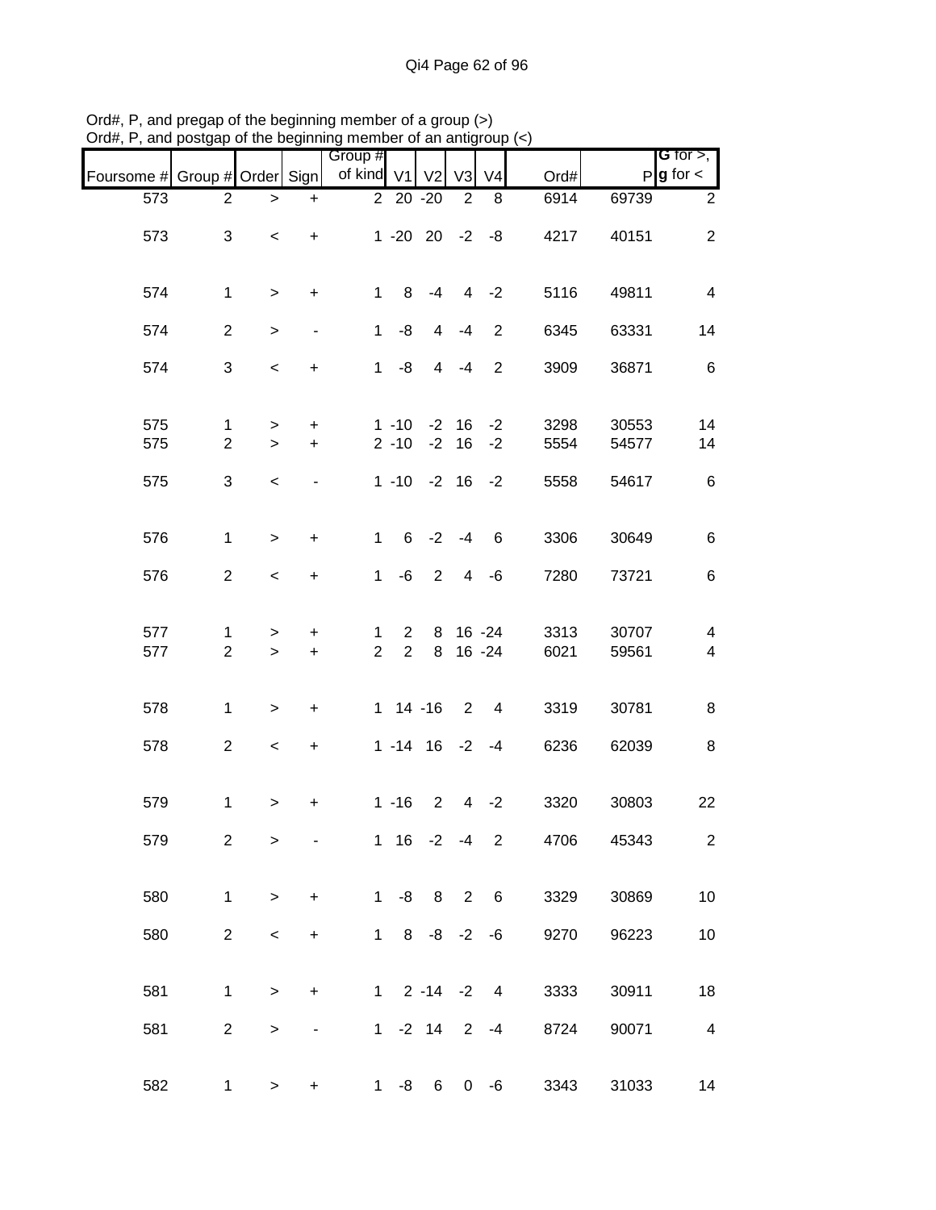|                               |                     |                          |                                  | Group #             |                                  |                |                |                          |              |                | G for $>$ ,                                         |
|-------------------------------|---------------------|--------------------------|----------------------------------|---------------------|----------------------------------|----------------|----------------|--------------------------|--------------|----------------|-----------------------------------------------------|
| Foursome # Group # Order Sign |                     |                          |                                  | of kind V1          |                                  | V <sub>2</sub> | V3             | V <sub>4</sub>           | Ord#         |                | $P g$ for $\lt$                                     |
| 573                           | $\overline{2}$      | >                        | $\begin{array}{c} + \end{array}$ |                     | 2 20 -20                         |                | 2              | 8                        | 6914         | 69739          | $\overline{2}$                                      |
| 573                           | 3                   | $\,<\,$                  | $+$                              |                     | $1 - 20$ $20 - 2 - 8$            |                |                |                          | 4217         | 40151          | $\overline{2}$                                      |
| 574                           | $\mathbf{1}$        | $\, > \,$                | $\ddot{}$                        | $\mathbf{1}$        | 8                                | $-4$           |                | $4 -2$                   | 5116         | 49811          | $\overline{4}$                                      |
| 574                           | $\overline{2}$      | $\, >$                   | $\overline{\phantom{0}}$         | $\mathbf{1}$        | -8                               | $\overline{4}$ | $-4$           | $\overline{2}$           | 6345         | 63331          | 14                                                  |
| 574                           | 3                   | $\overline{\phantom{a}}$ | $\ddot{}$                        |                     | $1 - 8$                          |                | $4 - 4$        | $\overline{2}$           | 3909         | 36871          | $\,6$                                               |
| 575<br>575                    | 1<br>$\overline{2}$ | $\, > \,$<br>$\, > \,$   | $+$<br>$\ddot{}$                 |                     | $1 - 10$<br>$2 - 10$             | $-2$           | $-2$ 16<br>16  | $-2$<br>$-2$             | 3298<br>5554 | 30553<br>54577 | 14<br>14                                            |
| 575                           | 3                   | $\,<$                    |                                  |                     | $1 - 10 - 2 16$                  |                |                | $-2$                     | 5558         | 54617          | $\,6$                                               |
| 576                           | $\mathbf{1}$        | $\geq$                   | $\ddot{}$                        | $\mathbf{1}$        | $6^{\circ}$                      |                | $-2 - 4$       | 6                        | 3306         | 30649          | 6                                                   |
| 576                           | $\overline{2}$      | $\,<\,$                  | $\ddot{}$                        | $\mathbf{1}$        | -6                               | $\overline{2}$ | $\overline{4}$ | $-6$                     | 7280         | 73721          | 6                                                   |
| 577<br>577                    | 1<br>$\overline{2}$ | ><br>$\geq$              | +<br>$\ddot{}$                   | 1<br>$\overline{2}$ | $\overline{2}$<br>$\overline{2}$ | 8<br>8         |                | $16 - 24$<br>$16 - 24$   | 3313<br>6021 | 30707<br>59561 | $\overline{\mathcal{A}}$<br>$\overline{\mathbf{4}}$ |
| 578                           | $\mathbf{1}$        | $\, >$                   | +                                |                     | 1 14 -16 2 4                     |                |                |                          | 3319         | 30781          | 8                                                   |
| 578                           | $\overline{2}$      | $\,<$                    | $\ddot{}$                        |                     | $1 - 14$ 16 $-2$ $-4$            |                |                |                          | 6236         | 62039          | 8                                                   |
| 579                           | 1                   | $\, > \,$                | +                                |                     | $1 - 16$                         | $\overline{2}$ | 4 <sup>1</sup> | $-2$                     | 3320         | 30803          | 22                                                  |
| 579                           | $\overline{2}$      | >                        |                                  |                     | $1 \t16 -2 -4$                   |                |                | $\overline{2}$           | 4706         | 45343          | $\overline{2}$                                      |
| 580                           | $\mathbf{1}$        | $\,>$                    | $\ddot{}$                        |                     | $1 - 8$ 8 2 6                    |                |                |                          | 3329         | 30869          | 10                                                  |
| 580                           | $\overline{2}$      | $\,<\,$                  | $\ddot{}$                        |                     | $1 \t 8 \t -8 \t -2$             |                |                | $-6$                     | 9270         | 96223          | 10                                                  |
| 581                           | 1                   | $\geq$                   | $\ddot{}$                        |                     | $1 \t2 -14 -2$                   |                |                | $\overline{\phantom{a}}$ | 3333         | 30911          | 18                                                  |
| 581                           | $\overline{c}$      | $\,$                     | $\qquad \qquad \blacksquare$     |                     | $1 - 2 14 2$                     |                |                | $-4$                     | 8724         | 90071          | $\overline{\mathbf{4}}$                             |
| 582                           | 1                   | $\,$                     | +                                | 1                   | -8                               | 6              | $\overline{0}$ | -6                       | 3343         | 31033          | 14                                                  |

Ord#, P, and pregap of the beginning member of a group (>) Ord#, P, and postgap of the beginning member of an antigroup (<)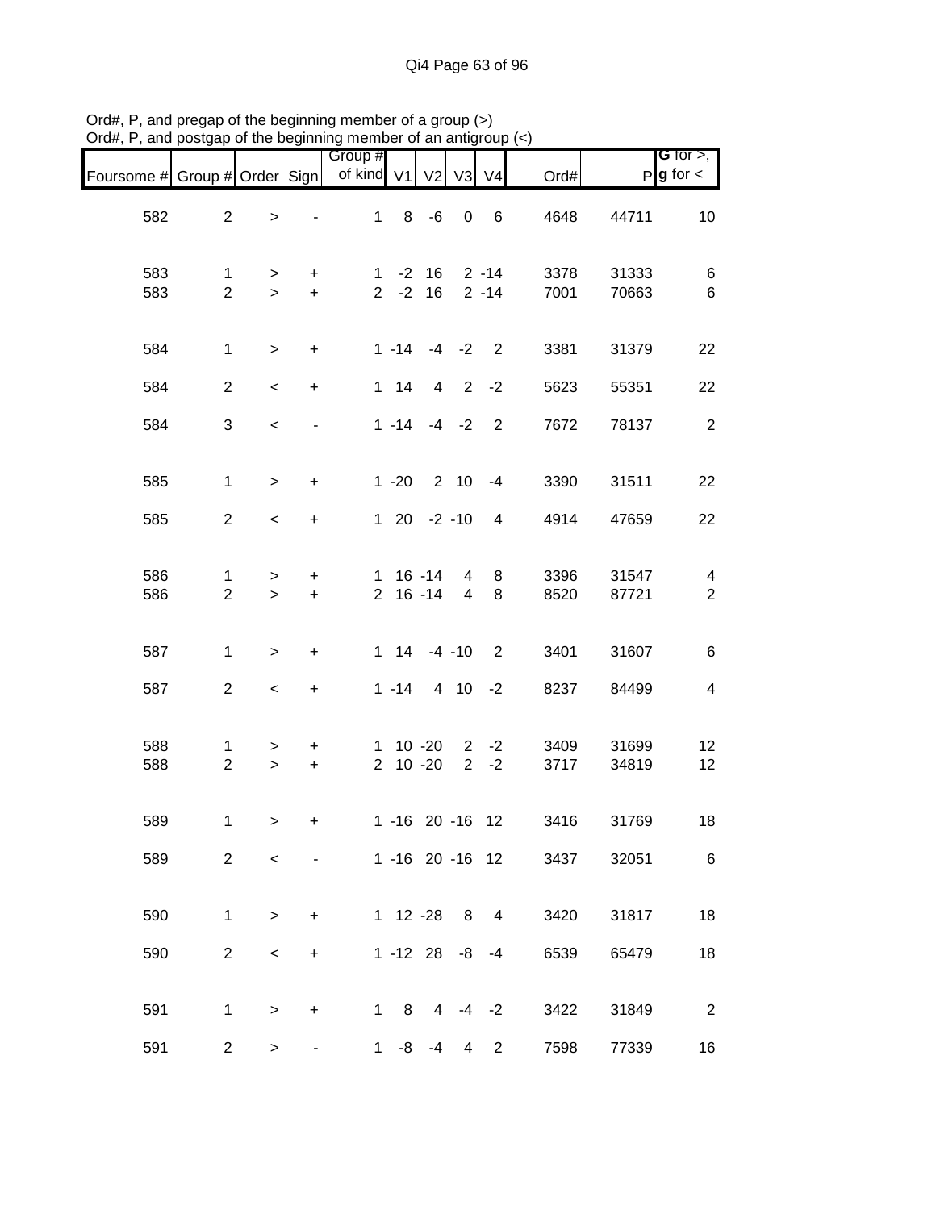|                               |                     |                          |                  | Group #<br>of kind V1 V2 |              |                                     |                         | V <sub>4</sub>             |              |                | G for $>$ ,<br>$P$ <b>g</b> for $\lt$     |
|-------------------------------|---------------------|--------------------------|------------------|--------------------------|--------------|-------------------------------------|-------------------------|----------------------------|--------------|----------------|-------------------------------------------|
| Foursome # Group # Order Sign |                     |                          |                  |                          |              |                                     | V3                      |                            | Ord#         |                |                                           |
| 582                           | $\overline{2}$      | $\,$                     |                  | $\mathbf{1}$             |              | $8 - 6$                             | $\overline{\mathbf{0}}$ | $6\overline{6}$            | 4648         | 44711          | 10                                        |
| 583<br>583                    | 1<br>$\overline{2}$ | $\geq$<br>$\geq$         | $+$<br>$+$       |                          |              | $1 - 2 16 2 - 14$<br>$2 - 2 16$     |                         | $2 - 14$                   | 3378<br>7001 | 31333<br>70663 | $\,6$<br>$\,6$                            |
| 584                           | $\mathbf{1}$        | $\geq$                   | $\ddot{}$        |                          |              | $1 - 14 - 4 - 2$                    |                         | $\overline{\phantom{0}}^2$ | 3381         | 31379          | 22                                        |
| 584                           | $\overline{2}$      | $\overline{\phantom{a}}$ | $+$              |                          | $1 \quad 14$ | $\overline{4}$                      |                         | $2 -2$                     | 5623         | 55351          | 22                                        |
| 584                           | 3                   | $\,<$                    |                  |                          |              | $1 - 14 - 4 - 2$                    |                         | $\overline{2}$             | 7672         | 78137          | $\sqrt{2}$                                |
| 585                           | $\mathbf{1}$        | $\geq$                   | $\pm$            |                          |              | $1 - 20$ 2 10 $-4$                  |                         |                            | 3390         | 31511          | 22                                        |
| 585                           | $\overline{a}$      | $\,<\,$                  | $+$              |                          |              | $120 -2 -10$                        |                         | $\overline{4}$             | 4914         | 47659          | 22                                        |
| 586<br>586                    | 1<br>$\overline{2}$ | $\, > \,$<br>$\geq$      | $\pm$<br>$+$     |                          |              | $1 \t16 \t-14$<br>2 16 -14          | 4<br>$\overline{4}$     | 8<br>8                     | 3396<br>8520 | 31547<br>87721 | $\overline{\mathbf{4}}$<br>$\overline{2}$ |
| 587                           | $\mathbf{1}$        | $\geq$                   | $\ddot{}$        |                          |              | $1 \t14 \t-4 \t-10$                 |                         | $\overline{\phantom{0}}^2$ | 3401         | 31607          | $\,6$                                     |
| 587                           | $\overline{2}$      | $\overline{\phantom{a}}$ | $+$              |                          | $1 - 14$     |                                     |                         | $410 -2$                   | 8237         | 84499          | $\overline{\mathbf{4}}$                   |
| 588<br>588                    | 1<br>$\overline{2}$ | $\geq$<br>$\geq$         | $\ddot{}$<br>$+$ |                          |              | $1 10 - 20 2 - 2$<br>$2 \t10 \t-20$ |                         | $2 -2$                     | 3409<br>3717 | 31699<br>34819 | 12<br>12                                  |
| 589                           | 1                   | $\geq$                   | +                |                          |              | 1 -16 20 -16 12                     |                         |                            | 3416         | 31769          | 18                                        |
| 589                           | $\overline{2}$      | $\,<\,$                  |                  |                          |              | 1 -16 20 -16 12                     |                         |                            | 3437         | 32051          | 6                                         |
| 590                           | $\mathbf 1$         | $\, > \,$                | $\ddot{}$        |                          |              | 1 12 -28                            | 8                       | 4                          | 3420         | 31817          | 18                                        |
| 590                           | $\overline{2}$      | $\,<$                    | $\ddot{}$        |                          |              | $1 - 12$ 28                         | -8                      | -4                         | 6539         | 65479          | 18                                        |
| 591                           | $\mathbf{1}$        | $\geq$                   | +                |                          | $1 \quad 8$  | $\overline{4}$                      | $-4$                    | $-2$                       | 3422         | 31849          | $\overline{2}$                            |
| 591                           | $\overline{2}$      | $\geq$                   |                  |                          | $1 - 8$      | -4                                  | 4                       | $\overline{2}$             | 7598         | 77339          | 16                                        |

Ord#, P, and pregap of the beginning member of a group (>) Ord#, P, and postgap of the beginning member of an antigroup (<)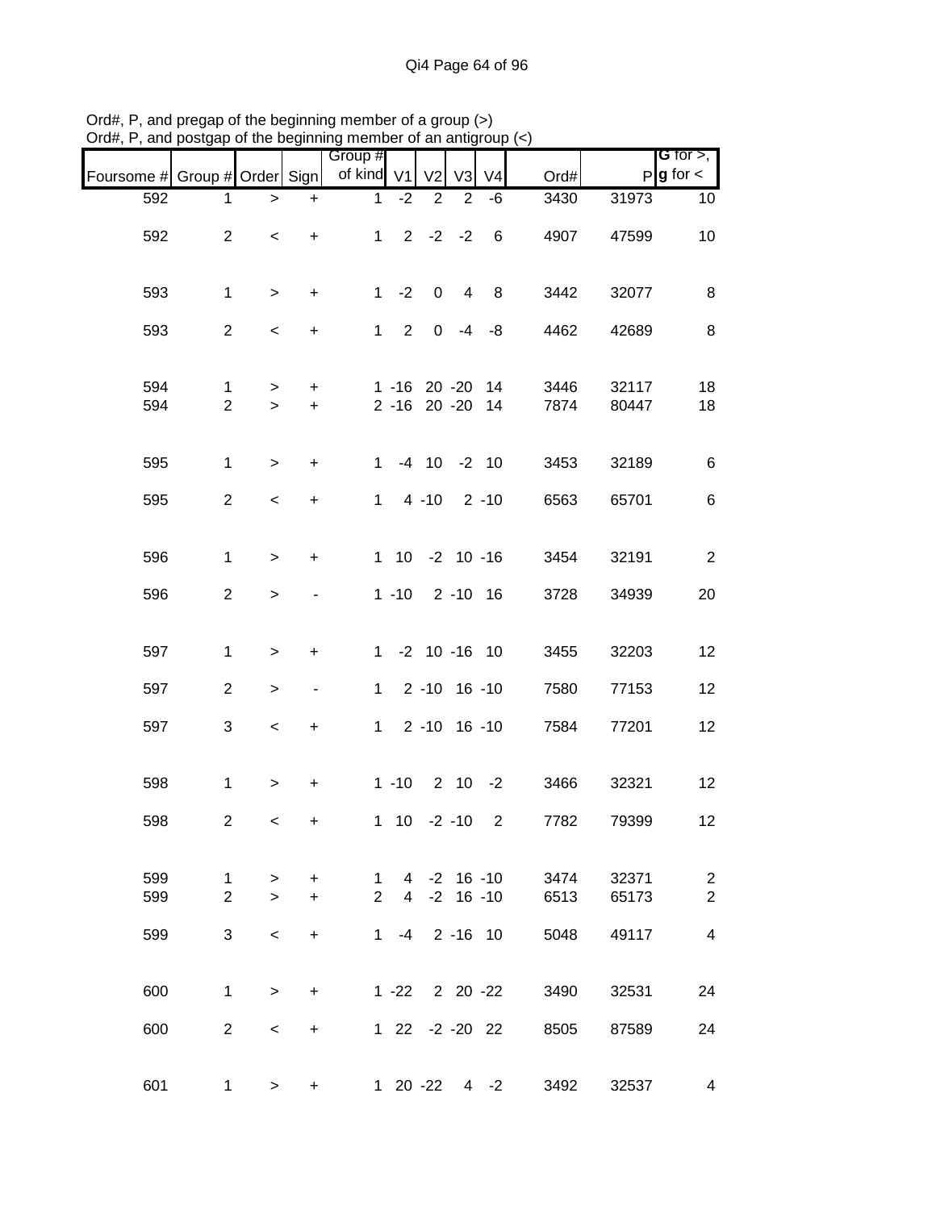|                               |                                |                          |                          | Group #        |                                      |                   |                |                |              |                | <b>G</b> for $>$ ,     |
|-------------------------------|--------------------------------|--------------------------|--------------------------|----------------|--------------------------------------|-------------------|----------------|----------------|--------------|----------------|------------------------|
| Foursome # Group # Order Sign |                                |                          |                          | of kind V1     |                                      | V <sub>2</sub>    | V3             | V <sub>4</sub> | Ord#         |                | $P$ <b>g</b> for $\lt$ |
| 592                           | 1                              | >                        | $\ddot{}$                | 1              | $-2$                                 | $\overline{2}$    | 2              | $-6$           | 3430         | 31973          | 10                     |
| 592                           | $\overline{2}$                 | $\overline{\phantom{a}}$ | $\ddot{}$                |                | $1 -$                                | $2 -2 -2$         |                | $\,6\,$        | 4907         | 47599          | 10                     |
| 593                           | $\mathbf{1}$                   | $\,$                     | $\ddot{}$                |                | $1 - 2$                              | $\pmb{0}$         | $\overline{4}$ | 8              | 3442         | 32077          | 8                      |
| 593                           | $\overline{2}$                 | $\overline{\phantom{a}}$ | $\ddot{}$                |                | $1 \quad 2$                          | $\overline{0}$    | $-4$           | -8             | 4462         | 42689          | 8                      |
| 594<br>594                    | $\mathbf{1}$<br>$\overline{2}$ | $\geq$<br>$\,>$          | $\ddot{}$<br>$\ddot{}$   |                | $1 - 16$ 20 $-20$<br>2 -16 20 -20 14 |                   |                | 14             | 3446<br>7874 | 32117<br>80447 | 18<br>18               |
| 595                           | $\mathbf{1}$                   | $\geq$                   | $\ddot{}$                | $\mathbf{1}$   |                                      | $-4$ 10 $-2$ 10   |                |                | 3453         | 32189          | $\,6$                  |
| 595                           | $\overline{2}$                 | $\,<$                    | $\ddot{}$                | $\mathbf{1}$   |                                      | 4 -10 2 -10       |                |                | 6563         | 65701          | $6\phantom{1}6$        |
| 596                           | $\mathbf{1}$                   | $\geq$                   | $\ddot{}$                |                | 1 10 -2 10 -16                       |                   |                |                | 3454         | 32191          | $\overline{2}$         |
| 596                           | $\overline{2}$                 | $\, > \,$                |                          |                | $1 - 10$                             |                   |                | 2 -10 16       | 3728         | 34939          | 20                     |
| 597                           | $\mathbf{1}$                   | $\,>$                    | +                        |                | 1 -2 10 -16 10                       |                   |                |                | 3455         | 32203          | 12                     |
| 597                           | $\overline{2}$                 | $\geq$                   | $\overline{\phantom{a}}$ | $\mathbf{1}$   |                                      | $2 - 10$ 16 $-10$ |                |                | 7580         | 77153          | 12                     |
| 597                           | 3                              | $\,<$                    | $\ddot{}$                |                | $1 \quad$                            | $2 - 10$ 16 $-10$ |                |                | 7584         | 77201          | 12                     |
| 598                           | $\mathbf{1}$                   | $\,$                     | $\ddot{}$                |                | $1 - 10$                             |                   |                | $2 \t10 \t-2$  | 3466         | 32321          | 12                     |
| 598                           | $\overline{c}$                 | $\,<$                    | +                        |                | $1 \t10 \t-2 \t-10$                  |                   |                | $\overline{2}$ | 7782         | 79399          | 12                     |
| 599                           | $\mathbf{1}$                   | $\geq$                   | $\ddot{}$                | $\mathbf{1}$   | 4                                    |                   |                | $-2$ 16 $-10$  | 3474         | 32371          | $\overline{c}$         |
| 599                           | $\overline{2}$                 | $\geq$                   | $+$                      | $\overline{2}$ | $\overline{4}$                       |                   | $-2$ 16 $-10$  |                | 6513         | 65173          | $\overline{2}$         |
| 599                           | 3                              | $\,<\,$                  | $\ddot{}$                | $1 \quad$      | $-4$                                 |                   |                | 2 -16 10       | 5048         | 49117          | 4                      |
| 600                           | $\mathbf 1$                    | $\geq$                   | $\ddot{}$                |                | $1 - 22$ 2 20 $-22$                  |                   |                |                | 3490         | 32531          | 24                     |
| 600                           | $\overline{2}$                 | $\,<\,$                  | +                        |                | $122$                                |                   |                | $-2 - 20$ 22   | 8505         | 87589          | 24                     |
| 601                           | $\mathbf{1}$                   | $\mathbf{r}$             | $\ddot{}$                |                | $1 20 - 22 4 - 2$                    |                   |                |                | 3492         | 32537          | 4                      |

Ord#, P, and pregap of the beginning member of a group (>) Ord#, P, and postgap of the beginning member of an antigroup (<)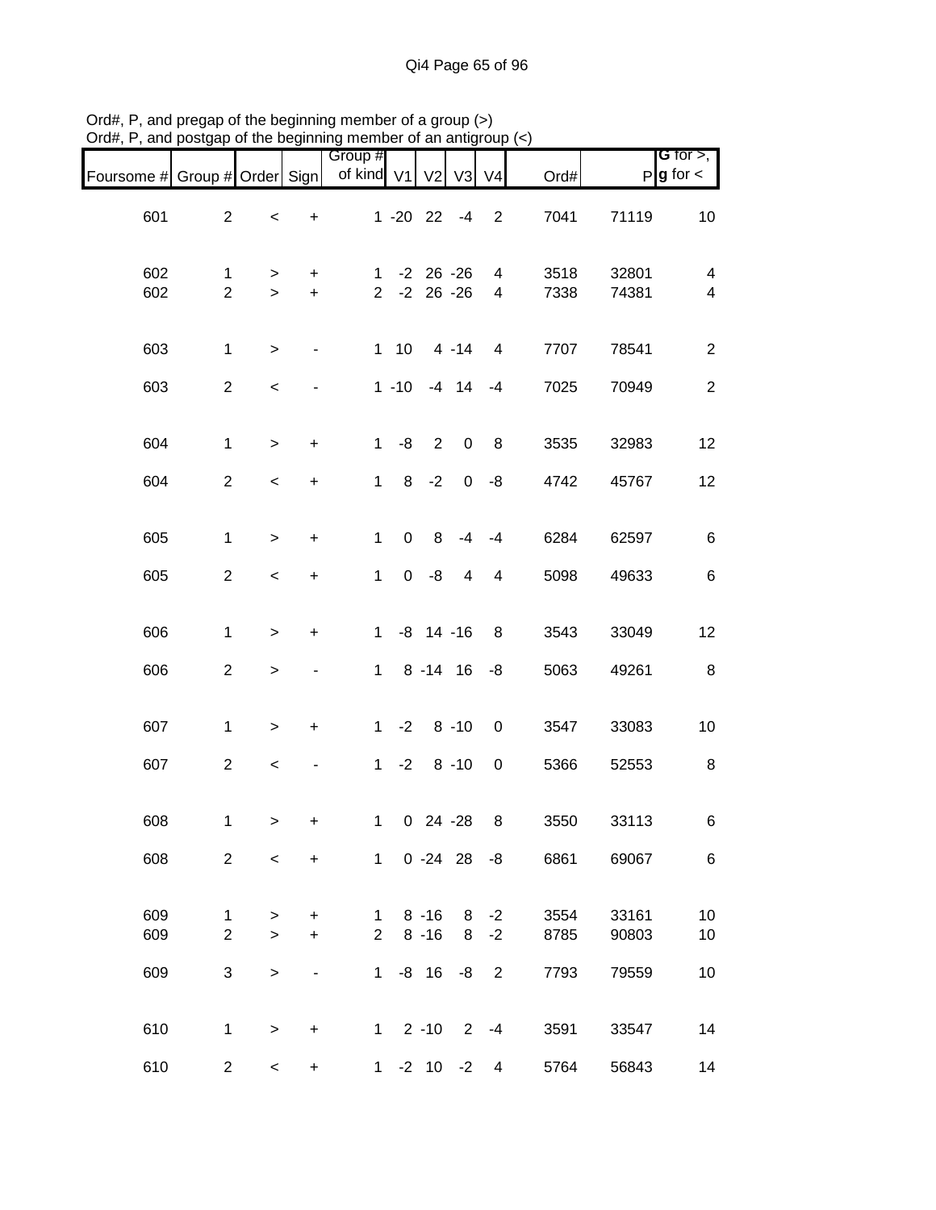| Foursome # Group # Order Sign |                           |              |                | Group #<br>of kind V1          |             | V <sub>2</sub>                 | V <sub>3</sub> | V <sub>4</sub> | Ord#         |                | <b>G</b> for $>$ ,<br>$P$ <b>g</b> for $\lt$ |
|-------------------------------|---------------------------|--------------|----------------|--------------------------------|-------------|--------------------------------|----------------|----------------|--------------|----------------|----------------------------------------------|
| 601                           | $\overline{2}$            | $\prec$      | $\ddot{}$      |                                |             | $1 - 20$ 22 $-4$               |                | $\overline{2}$ | 7041         | 71119          | 10                                           |
| 602<br>602                    | 1<br>$\overline{2}$       | ><br>$\geq$  | +<br>$+$       | $\mathbf{1}$<br>2 <sup>1</sup> |             | $-2$ 26 $-26$<br>$-2$ 26 $-26$ |                | 4<br>4         | 3518<br>7338 | 32801<br>74381 | $\overline{4}$<br>$\overline{\mathbf{4}}$    |
| 603                           | $\mathbf{1}$              | $\, >$       | $\blacksquare$ |                                | $1 10$      |                                | $4 - 14$       | 4              | 7707         | 78541          | $\overline{2}$                               |
| 603                           | $\overline{2}$            | $\prec$      |                |                                | $1 - 10$    |                                | $-4$ 14        | $-4$           | 7025         | 70949          | $\sqrt{2}$                                   |
| 604                           | $\mathbf{1}$              | $\, >$       | $\ddot{}$      | 1                              | $-8$        | $\overline{2}$                 | $\mathbf 0$    | 8              | 3535         | 32983          | 12                                           |
| 604                           | $\overline{2}$            | $\,<$        | $\ddot{}$      | $\mathbf 1$                    | 8           | $-2$                           | $\overline{0}$ | -8             | 4742         | 45767          | 12                                           |
| 605                           | $\mathbf 1$               | $\,>$        | $\ddot{}$      | $\mathbf{1}$                   | $\mathbf 0$ | 8                              | $-4$           | $-4$           | 6284         | 62597          | $\,6\,$                                      |
| 605                           | $\overline{2}$            | $\,<$        | $\ddot{}$      | $\mathbf{1}$                   | $\mathbf 0$ | -8                             | 4              | $\overline{4}$ | 5098         | 49633          | $6\phantom{1}6$                              |
| 606                           | $\mathbf{1}$              | $\geq$       | $\ddot{}$      | 1                              |             | $-8$ 14 $-16$                  |                | 8              | 3543         | 33049          | 12                                           |
| 606                           | $\overline{2}$            | $\,$         |                | $\mathbf{1}$                   |             | $8 - 14$ 16                    |                | -8             | 5063         | 49261          | $\, 8$                                       |
| 607                           | $\mathbf{1}$              | $\, >$       | $\ddot{}$      |                                |             | $1 -2 8 -10$                   |                | $\mathbf 0$    | 3547         | 33083          | 10                                           |
| 607                           | $\overline{c}$            | $\prec$      |                |                                | $1 -2$      |                                | $8 - 10$       | $\mathbf 0$    | 5366         | 52553          | 8                                            |
| 608                           | 1                         | $\geq$       | +              |                                |             | 1 0 24 -28                     |                | 8              | 3550         | 33113          | 6                                            |
| 608                           | $\overline{2}$            | $\,<$        | $\ddot{}$      |                                |             | $1 \t 0 -24 \t 28$             |                | -8             | 6861         | 69067          | $\,6$                                        |
| 609                           | $\mathbf 1$               | $\, > \,$    | +              | 1                              |             | $8 - 16$                       | 8              | $-2$           | 3554         | 33161          | 10                                           |
| 609                           | $\boldsymbol{2}$          | $\geq$       | $\ddot{}$      | $\overline{2}$                 |             | $8 - 16$                       | 8              | $-2$           | 8785         | 90803          | 10                                           |
| 609                           | $\ensuremath{\mathsf{3}}$ | $\mathbf{L}$ | -              | $\mathbf 1$                    |             | $-8$ 16                        | -8             | $\overline{2}$ | 7793         | 79559          | 10                                           |
| 610                           | 1                         | $\, >$       | $\pmb{+}$      | $1 \quad$                      |             | $2 - 10$                       | $\overline{2}$ | $-4$           | 3591         | 33547          | 14                                           |
| 610                           | $\overline{c}$            | $\,<$        | $\ddot{}$      |                                |             | $1 -2 10 -2$                   |                | 4              | 5764         | 56843          | 14                                           |

Ord#, P, and pregap of the beginning member of a group (>) Ord#, P, and postgap of the beginning member of an antigroup (<)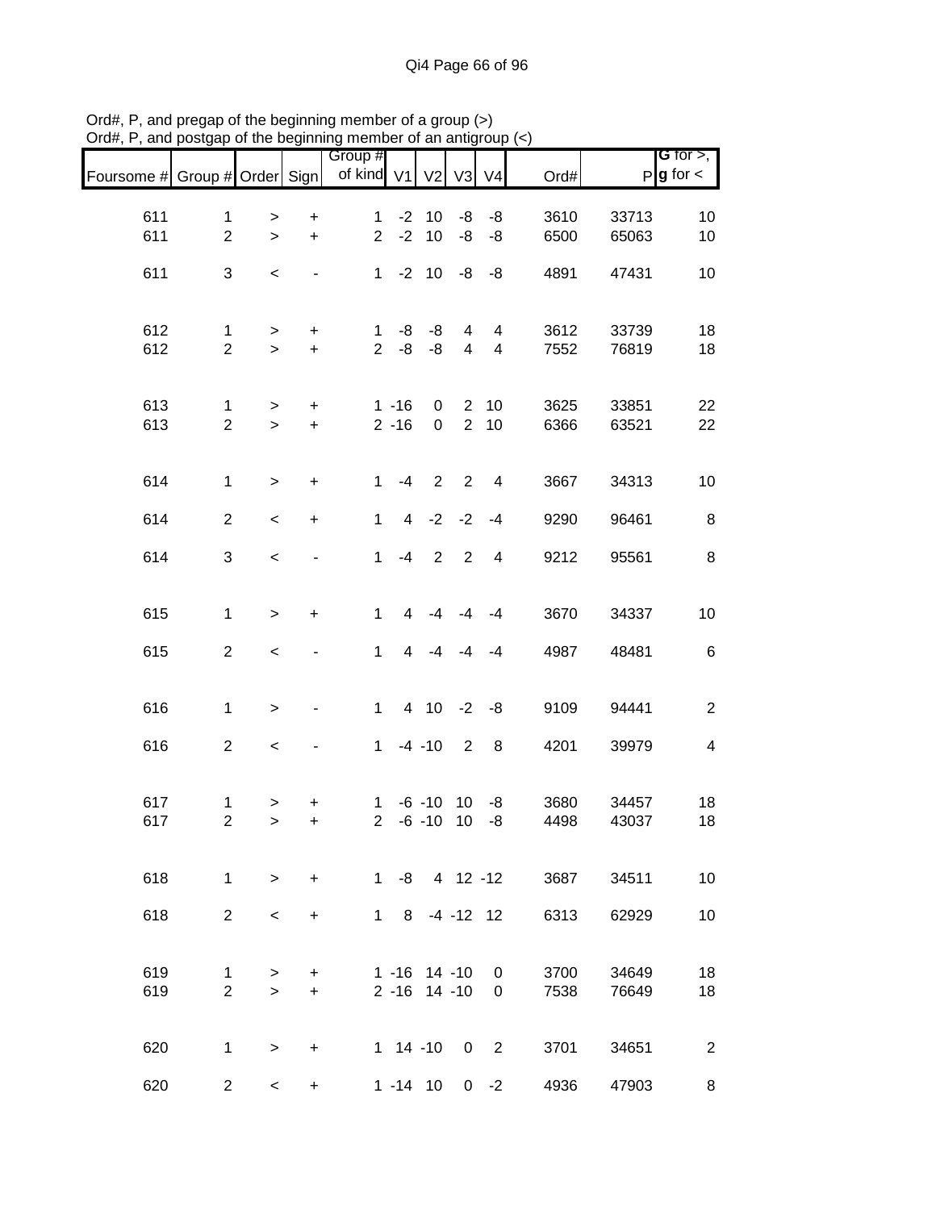| Foursome # Group # Order Sign |                                |                          |                        | Group #<br>of kind V1 |                      | V <sub>2</sub>             | V <sub>3</sub>           | V <sub>4</sub>     | Ord#         |                | G for $>$ ,<br>$P$ <b>g</b> for $\lt$ |
|-------------------------------|--------------------------------|--------------------------|------------------------|-----------------------|----------------------|----------------------------|--------------------------|--------------------|--------------|----------------|---------------------------------------|
| 611                           | $\mathbf 1$                    | $\, > \,$                | $\ddot{}$              | $\mathbf 1$           |                      | $-2$ 10                    | -8                       | -8                 | 3610         | 33713          | 10                                    |
| 611                           | $\overline{2}$                 | $\mathbf{I}$             | $\ddot{}$              | $\overline{2}$        |                      | $-2$ 10                    | -8                       | -8                 | 6500         | 65063          | 10                                    |
| 611                           | 3                              | $\,<$                    | $\blacksquare$         |                       |                      | $1 - 2 10$                 | -8                       | -8                 | 4891         | 47431          | 10                                    |
|                               |                                |                          |                        |                       |                      |                            |                          |                    |              |                |                                       |
| 612<br>612                    | 1<br>$\overline{2}$            | $\, > \,$<br>$\,>$       | +<br>$\ddot{}$         | 1<br>$\overline{2}$   | -8<br>$-8$           | -8<br>-8                   | 4<br>$\overline{4}$      | 4<br>4             | 3612<br>7552 | 33739<br>76819 | 18<br>18                              |
|                               |                                |                          |                        |                       |                      |                            |                          |                    |              |                |                                       |
| 613<br>613                    | $\mathbf{1}$<br>$\overline{2}$ | $\,$<br>$\,$             | $\ddot{}$<br>$\ddot{}$ |                       | $1 - 16$<br>$2 - 16$ | $\mathbf 0$<br>$\mathbf 0$ | $\overline{2}$           | $2 \quad 10$<br>10 | 3625<br>6366 | 33851<br>63521 | 22<br>22                              |
|                               |                                |                          |                        |                       |                      |                            |                          |                    |              |                |                                       |
| 614                           | $\mathbf 1$                    | $\,$                     | $\ddot{}$              | $\mathbf{1}$          | $-4$                 | $\overline{2}$             | $\overline{2}$           | $\overline{4}$     | 3667         | 34313          | 10                                    |
| 614                           | $\overline{2}$                 | $\,<$                    | $\ddot{}$              | $\mathbf{1}$          | $\overline{4}$       | $-2$                       | $-2$                     | $-4$               | 9290         | 96461          | 8                                     |
| 614                           | 3                              | $\,<$                    |                        | $\mathbf{1}$          | $-4$                 | $\overline{2}$             | $\overline{\phantom{0}}$ | $\overline{4}$     | 9212         | 95561          | $\bf 8$                               |
| 615                           | $\mathbf{1}$                   | $\,$                     | $\ddot{}$              | $\mathbf{1}$          | $\overline{4}$       | $-4$                       | $-4$                     | $-4$               | 3670         | 34337          | 10                                    |
| 615                           | $\overline{2}$                 | $\,<$                    |                        | $\mathbf{1}$          | 4                    | $-4$                       | $-4$                     | $-4$               | 4987         | 48481          | $\,6\,$                               |
|                               |                                |                          |                        |                       |                      |                            |                          |                    |              |                |                                       |
| 616                           | $\mathbf 1$                    | $\,$                     |                        | $\mathbf{1}$          |                      | 4 10                       | $-2$                     | -8                 | 9109         | 94441          | $\boldsymbol{2}$                      |
| 616                           | $\overline{2}$                 | $\prec$                  |                        | $\mathbf{1}$          |                      | $-4 - 10$                  | 2                        | 8                  | 4201         | 39979          | $\overline{\mathbf{4}}$               |
| 617                           |                                |                          |                        | $\mathbf{1}$          |                      | $-6 - 10$                  | 10                       |                    | 3680         | 34457          |                                       |
| 617                           | 1<br>$\overline{c}$            | $\, > \,$<br>$\geq$      | +<br>$\ddot{}$         | $\overline{2}$        |                      | $-6 - 10$                  | 10                       | -8<br>-8           | 4498         | 43037          | 18<br>18                              |
|                               |                                |                          |                        |                       | $1 - 8$              |                            | 4 12 -12                 |                    |              |                |                                       |
| 618                           | $\mathbf{1}$                   | $\geq$                   | $\ddot{}$              |                       |                      |                            |                          |                    | 3687         | 34511          | 10                                    |
| 618                           | $\overline{2}$                 | $\,<\,$                  | $\ddot{}$              | $1 \quad$             | 8                    |                            | $-4 - 12$ 12             |                    | 6313         | 62929          | 10                                    |
| 619                           | 1                              | $\, > \,$                | $\ddot{}$              |                       |                      | $1 - 16$ 14 -10            |                          | $\mathbf 0$        | 3700         | 34649          | 18                                    |
| 619                           | $\overline{2}$                 | $\geq$                   | $\ddot{}$              |                       |                      | $2 - 16$ 14 - 10           |                          | $\mathbf 0$        | 7538         | 76649          | 18                                    |
| 620                           | 1                              | $\,$                     | $\ddot{}$              |                       |                      | $1 14 - 10$                | $\mathbf 0$              | $\overline{2}$     | 3701         | 34651          | $\overline{2}$                        |
| 620                           | $\overline{2}$                 | $\overline{\phantom{0}}$ | +                      |                       |                      | $1 - 14$ 10                | $\overline{0}$           | $-2$               | 4936         | 47903          | 8                                     |

Ord#, P, and pregap of the beginning member of a group (>) Ord#, P, and postgap of the beginning member of an antigroup (<)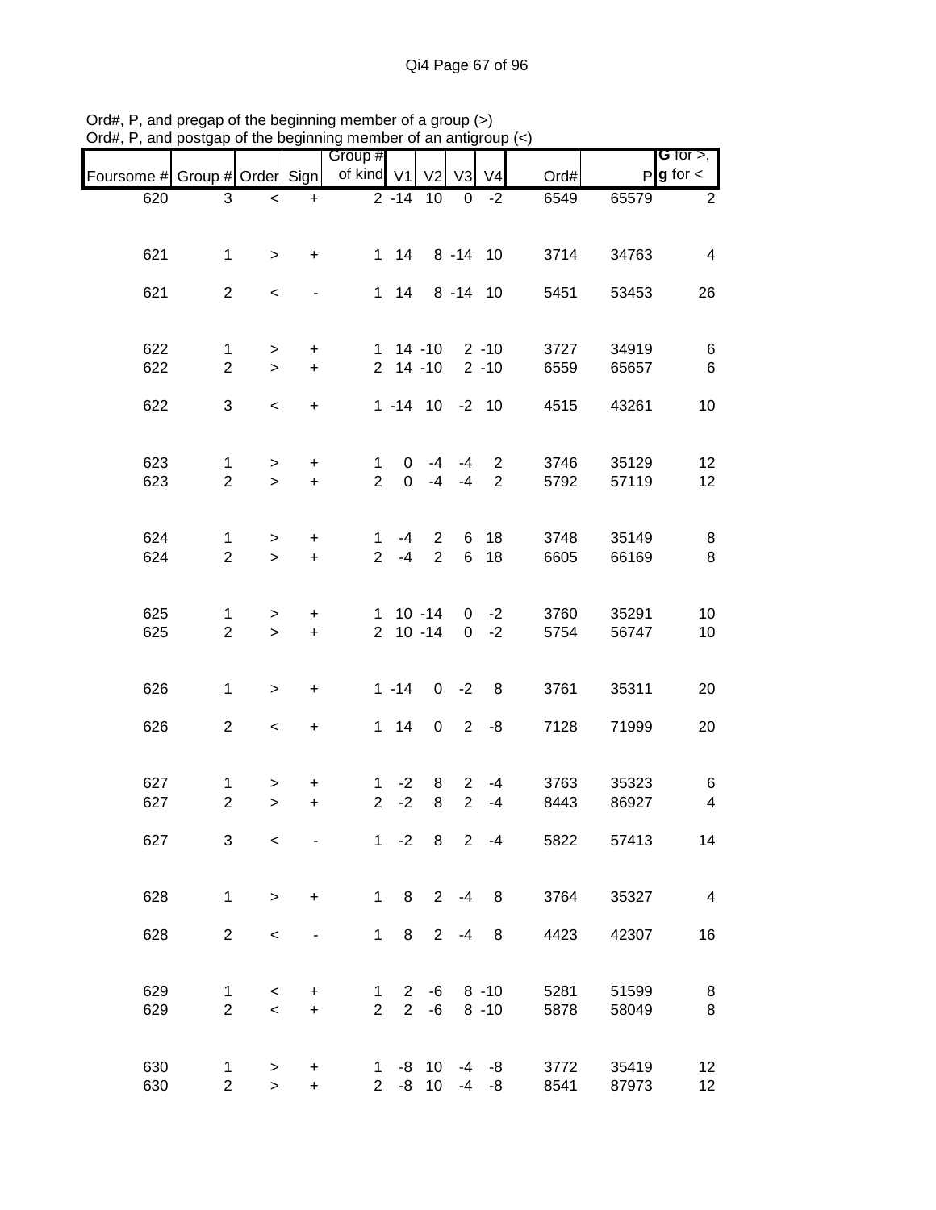|                               |                |                          |                                  | Group #        |                 |                     |                |                |      |       | G for $>$ ,             |
|-------------------------------|----------------|--------------------------|----------------------------------|----------------|-----------------|---------------------|----------------|----------------|------|-------|-------------------------|
| Foursome # Group # Order Sign |                |                          |                                  | of kind V1     |                 | V <sub>2</sub>      | V <sub>3</sub> | V <sub>4</sub> | Ord# |       | $P$ <b>g</b> for $\lt$  |
| 620                           | 3              | $\,<$                    | $\ddot{}$                        |                | $\sqrt{2} - 14$ | 10                  | 0              | $-2$           | 6549 | 65579 | 2                       |
|                               |                |                          |                                  |                |                 |                     |                |                |      |       |                         |
| 621                           | $\mathbf{1}$   | $\geq$                   | $\ddot{}$                        |                |                 | 1 14 8 -14 10       |                |                | 3714 | 34763 | $\overline{\mathbf{4}}$ |
|                               |                |                          |                                  |                |                 |                     |                |                |      |       |                         |
| 621                           | $\overline{2}$ | $\,<\,$                  |                                  |                | $1 \quad 14$    |                     | 8 - 14 10      |                | 5451 | 53453 | 26                      |
|                               |                |                          |                                  |                |                 |                     |                |                |      |       |                         |
| 622                           | $\mathbf{1}$   | $\, > \,$                | $\ddot{}$                        |                |                 | $1$ 14 -10 2 -10    |                |                | 3727 | 34919 | 6                       |
| 622                           | $\overline{2}$ | $\geq$                   | $\ddot{}$                        |                |                 | $2$ 14 -10          |                | $2 - 10$       | 6559 | 65657 | $\,6$                   |
|                               |                |                          |                                  |                |                 |                     |                |                |      |       |                         |
| 622                           | 3              | $\,<$                    | $\ddot{}$                        |                |                 | $1 - 14$ 10 $-2$ 10 |                |                | 4515 | 43261 | 10                      |
|                               |                |                          |                                  |                |                 |                     |                |                |      |       |                         |
| 623                           | 1              | $\geq$                   | $\begin{array}{c} + \end{array}$ | $\mathbf 1$    | $\overline{0}$  | $-4$                | $-4$           | $\overline{2}$ | 3746 | 35129 | 12                      |
| 623                           | $\overline{2}$ | $\geq$                   | $\ddot{}$                        | $\overline{2}$ | $\overline{0}$  | $-4$                | $-4$           | 2              | 5792 | 57119 | 12                      |
|                               |                |                          |                                  |                |                 |                     |                |                |      |       |                         |
| 624                           | $\mathbf{1}$   | >                        | +                                | 1              | $-4$            | $\overline{2}$      |                | 6 18           | 3748 | 35149 | 8                       |
| 624                           | $\overline{2}$ | $\geq$                   | $\ddot{}$                        | $\overline{2}$ | $-4$            | $\overline{2}$      |                | 6 18           | 6605 | 66169 | 8                       |
|                               |                |                          |                                  |                |                 |                     |                |                |      |       |                         |
| 625                           | 1              | $\, > \,$                | +                                |                |                 | $1 \t10 - 14$       |                | $0 -2$         | 3760 | 35291 | 10                      |
| 625                           | $\overline{2}$ | $\geq$                   | $\ddot{}$                        |                |                 | $2 \t10 - 14$       |                | $0 -2$         | 5754 | 56747 | 10                      |
|                               |                |                          |                                  |                |                 |                     |                |                |      |       |                         |
| 626                           | $\mathbf{1}$   | $\,$                     | $\ddot{}$                        |                | $1 - 14$        |                     | $0 -2$         | 8              | 3761 | 35311 | 20                      |
| 626                           | $\overline{2}$ |                          |                                  |                | $1 \quad 14$    | $\pmb{0}$           |                | $2 - 8$        | 7128 |       | 20                      |
|                               |                | $\overline{\phantom{a}}$ | $\ddot{}$                        |                |                 |                     |                |                |      | 71999 |                         |
|                               |                |                          |                                  |                |                 |                     |                |                |      |       |                         |
| 627                           | 1              | >                        | +                                | 1              | $-2$            | 8                   | $\overline{2}$ | $-4$           | 3763 | 35323 | 6                       |
| 627                           | $\overline{2}$ | $\mathbf{I}$             | $\ddot{}$                        | $\overline{2}$ | $-2$            | 8                   | $\overline{2}$ | $-4$           | 8443 | 86927 | $\overline{\mathbf{4}}$ |
| 627                           | 3              | $\,<\,$                  |                                  |                | $1 -2$          | 8                   | $\overline{2}$ | $-4$           | 5822 | 57413 | 14                      |
|                               |                |                          |                                  |                |                 |                     |                |                |      |       |                         |
| 628                           | $\mathbf{1}$   | $\geq$                   | $\ddot{}$                        | $\mathbf{1}$   | 8 <sup>8</sup>  |                     | $2 - 4$        | 8              | 3764 | 35327 | $\overline{4}$          |
|                               |                |                          |                                  |                |                 |                     |                |                |      |       |                         |
| 628                           | $\overline{2}$ | $\,<$                    |                                  | $\mathbf 1$    | 8               | $2^{\circ}$         | $-4$           | 8              | 4423 | 42307 | 16                      |
|                               |                |                          |                                  |                |                 |                     |                |                |      |       |                         |
| 629                           | 1              | $\,<\,$                  | +                                | 1              | $\mathbf{2}$    | -6                  |                | $8 - 10$       | 5281 | 51599 | 8                       |
| 629                           | $\overline{2}$ | $\,<$                    | $\ddot{}$                        | $\overline{2}$ | $\overline{2}$  | -6                  |                | $8 - 10$       | 5878 | 58049 | 8                       |
|                               |                |                          |                                  |                |                 |                     |                |                |      |       |                         |
| 630                           | $\mathbf{1}$   | >                        | +                                | 1              |                 | -8 10               | $-4$           | -8             | 3772 | 35419 | 12                      |
| 630                           | $\overline{2}$ | $\mathbf{I}$             | $\ddot{}$                        |                |                 | $2 -8 10$           | $-4$           | -8             | 8541 | 87973 | 12                      |

Ord#, P, and pregap of the beginning member of a group (>) Ord#, P, and postgap of the beginning member of an antigroup (<)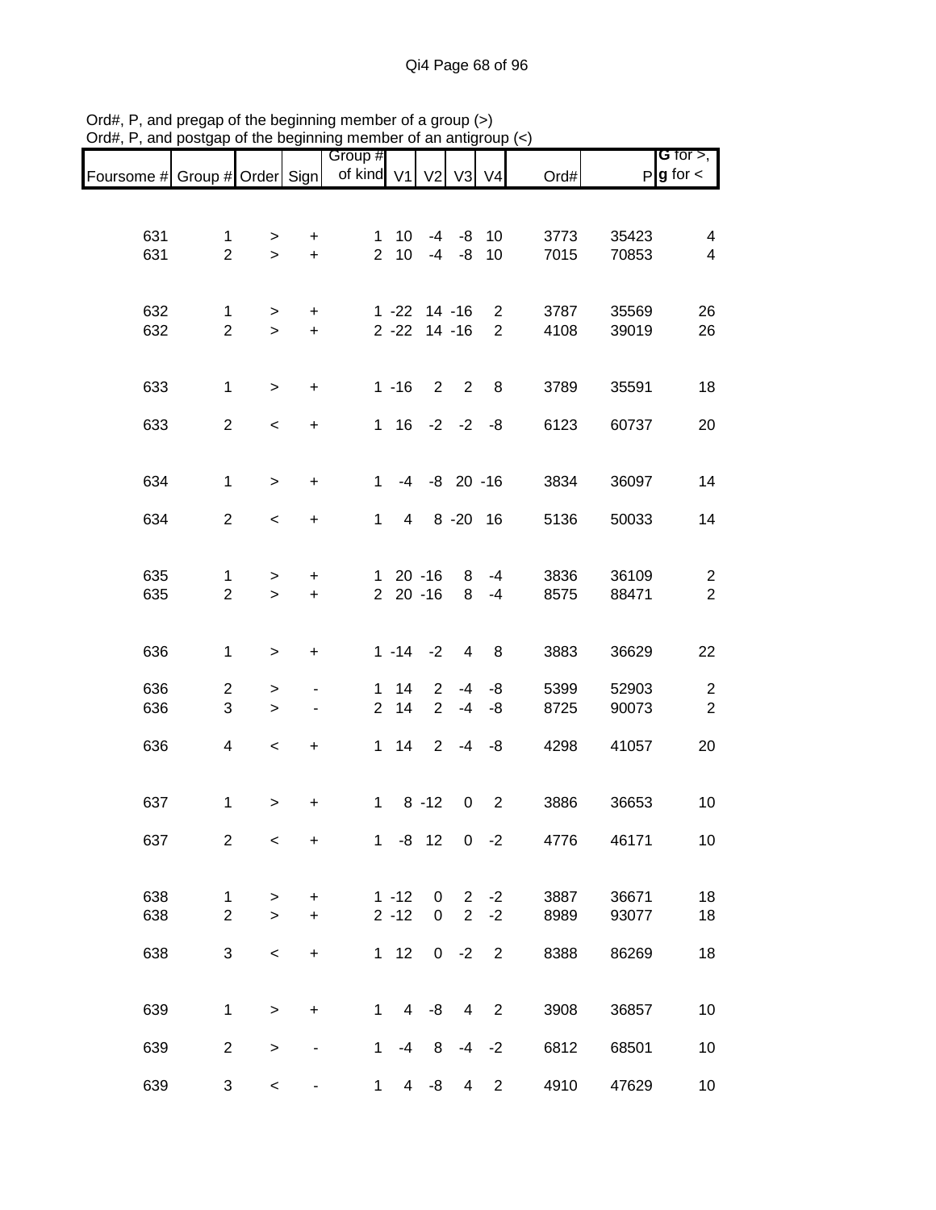|                               |                          |           |                                  | Group #        |                |                    |                |                |      |       | <b>G</b> for $>$ ,      |
|-------------------------------|--------------------------|-----------|----------------------------------|----------------|----------------|--------------------|----------------|----------------|------|-------|-------------------------|
| Foursome # Group # Order Sign |                          |           |                                  | of kind V1     |                | V <sub>2</sub>     | V <sub>3</sub> | V4             | Ord# |       | $P g$ for $\lt$         |
|                               |                          |           |                                  |                |                |                    |                |                |      |       |                         |
|                               |                          |           |                                  |                |                |                    |                |                |      |       |                         |
| 631                           | 1                        | >         | $\ddot{}$                        | 1.             | 10             | $-4$               |                | $-8$ 10        | 3773 | 35423 | $\overline{\mathbf{4}}$ |
| 631                           | $\overline{2}$           | $\geq$    | $\ddot{}$                        | $\overline{2}$ | 10             | $-4$               | -8             | 10             | 7015 | 70853 | $\overline{\mathbf{4}}$ |
|                               |                          |           |                                  |                |                |                    |                |                |      |       |                         |
| 632                           | $\mathbf 1$              | >         | +                                |                |                | $1 - 22$ $14 - 16$ |                | $\overline{2}$ | 3787 | 35569 | 26                      |
| 632                           | $\overline{2}$           | $\geq$    | $\ddot{}$                        |                | $2 - 22$       |                    | $14 - 16$      | $\overline{2}$ | 4108 | 39019 | 26                      |
|                               |                          |           |                                  |                |                |                    |                |                |      |       |                         |
|                               |                          |           |                                  |                |                |                    |                |                |      |       |                         |
| 633                           | 1                        | $\geq$    | $\ddot{}$                        |                | $1 - 16$       |                    | $2 \quad 2$    | 8              | 3789 | 35591 | 18                      |
| 633                           | $\overline{2}$           | $\,<$     | $\ddot{}$                        |                |                | $1 \t16 \t-2 \t-2$ |                | -8             | 6123 | 60737 | 20                      |
|                               |                          |           |                                  |                |                |                    |                |                |      |       |                         |
|                               |                          |           |                                  |                |                |                    |                |                |      |       |                         |
| 634                           | $\mathbf 1$              | $\, > \,$ | $\ddot{}$                        | $\mathbf{1}$   |                | $-4$ $-8$ 20 $-16$ |                |                | 3834 | 36097 | 14                      |
| 634                           | $\overline{2}$           |           |                                  | $\mathbf 1$    | 4              |                    | 8 - 20 16      |                | 5136 |       | 14                      |
|                               |                          | $\,<$     | $\ddot{}$                        |                |                |                    |                |                |      | 50033 |                         |
|                               |                          |           |                                  |                |                |                    |                |                |      |       |                         |
| 635                           | 1                        | $\, > \,$ | $\ddot{}$                        |                |                | $120 - 16$         | 8              | $-4$           | 3836 | 36109 | $\sqrt{2}$              |
| 635                           | $\overline{2}$           | $\geq$    | $\ddot{}$                        |                | $220 - 16$     |                    | 8              | $-4$           | 8575 | 88471 | $\overline{2}$          |
|                               |                          |           |                                  |                |                |                    |                |                |      |       |                         |
| 636                           | $\mathbf 1$              | $\, > \,$ | $\ddot{}$                        |                | $1 - 14 - 2$   |                    | 4              | 8              | 3883 | 36629 | 22                      |
|                               |                          |           |                                  |                |                |                    |                |                |      |       |                         |
| 636                           | $\overline{2}$           | >         |                                  | $\mathbf 1$    | 14             | $\overline{2}$     | -4             | -8             | 5399 | 52903 | $\overline{\mathbf{c}}$ |
| 636                           | 3                        | $\,$      |                                  | $\overline{2}$ | 14             | $\overline{2}$     | $-4$           | -8             | 8725 | 90073 | $\boldsymbol{2}$        |
| 636                           | $\overline{\mathcal{A}}$ | $\,<$     |                                  | $\mathbf 1$    | 14             | 2 <sup>1</sup>     |                | $-4 -8$        | 4298 | 41057 | 20                      |
|                               |                          |           | $\begin{array}{c} + \end{array}$ |                |                |                    |                |                |      |       |                         |
|                               |                          |           |                                  |                |                |                    |                |                |      |       |                         |
| 637                           | 1                        | $\, > \,$ | $\ddot{}$                        | $\mathbf 1$    |                | $8 - 12$           | 0              | $\overline{2}$ | 3886 | 36653 | 10                      |
|                               |                          |           |                                  |                |                |                    |                |                |      |       |                         |
| 637                           | $\overline{2}$           | $\,<\,$   | $\ddot{}$                        |                |                | $1 - 8$ 12         | $\mathbf 0$    | $-2$           | 4776 | 46171 | 10                      |
|                               |                          |           |                                  |                |                |                    |                |                |      |       |                         |
| 638                           | $\mathbf 1$              | $\, > \,$ | $\ddot{}$                        |                | $1 - 12$       | 0                  | $\overline{2}$ | $-2$           | 3887 | 36671 | 18                      |
| 638                           | $\overline{2}$           | $\geq$    | $\ddot{}$                        |                | $2 - 12$       | $\pmb{0}$          | $\overline{2}$ | $-2$           | 8989 | 93077 | 18                      |
|                               |                          |           |                                  |                |                |                    |                |                |      |       |                         |
| 638                           | 3                        | $\,<\,$   | $\ddot{}$                        |                | $1 \quad 12$   |                    | $0 -2$         | $\overline{2}$ | 8388 | 86269 | 18                      |
|                               |                          |           |                                  |                |                |                    |                |                |      |       |                         |
| 639                           | 1                        | $\, > \,$ | $\ddot{}$                        | 1              |                | $4 - 8$            | 4              | $\overline{2}$ | 3908 | 36857 | 10                      |
|                               |                          |           |                                  |                |                |                    |                |                |      |       |                         |
| 639                           | $\overline{2}$           | $\,>$     |                                  | 1              | $-4$           | 8                  | -4             | $-2$           | 6812 | 68501 | 10                      |
| 639                           | 3                        | $\,<$     |                                  | 1              | $\overline{4}$ | -8                 | 4              | $\overline{c}$ | 4910 | 47629 | 10                      |
|                               |                          |           |                                  |                |                |                    |                |                |      |       |                         |

Ord#, P, and pregap of the beginning member of a group (>) Ord#, P, and postgap of the beginning member of an antigroup (<)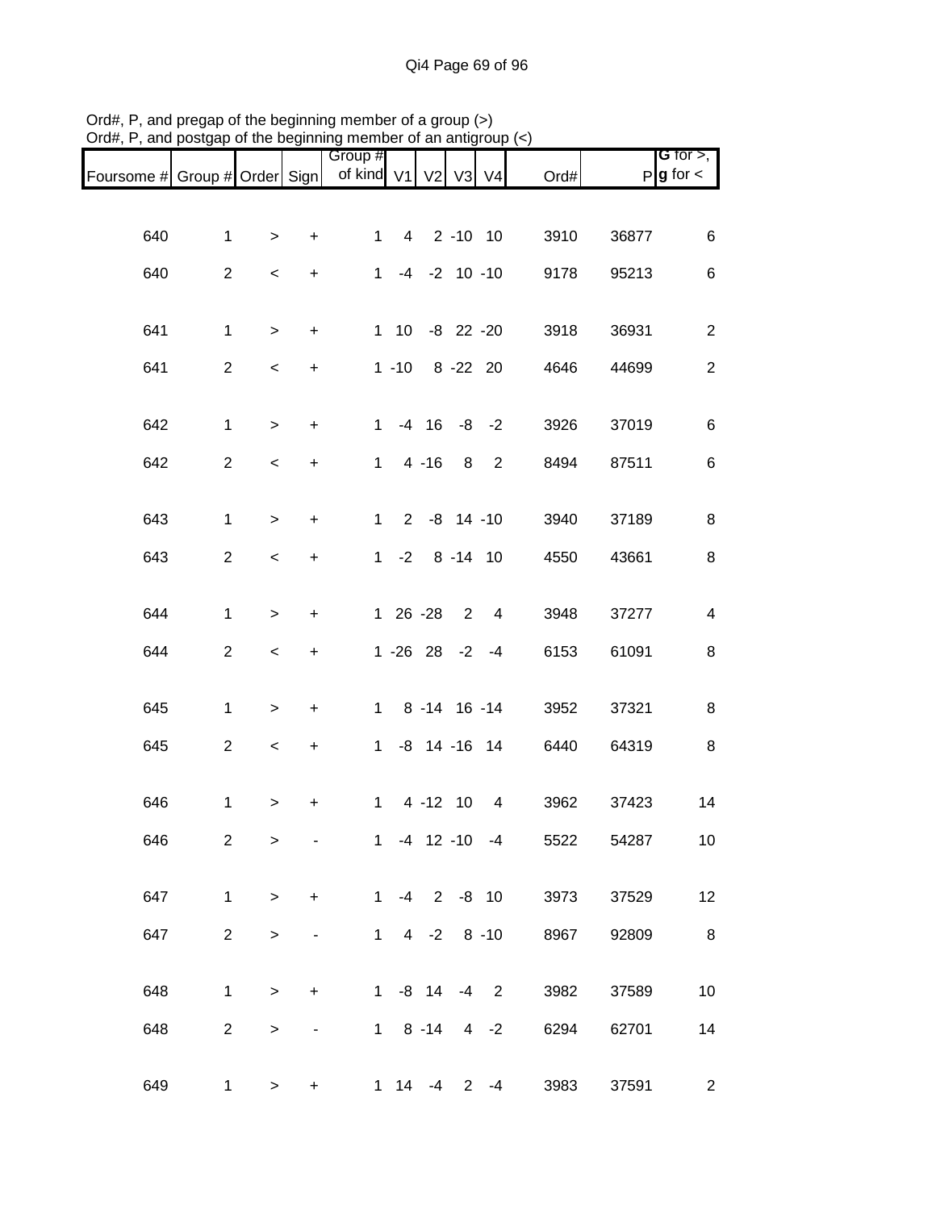| Foursome # Group # Order Sign |                |                          |           | Group #<br>of kind V1 V2 V3 V4 |           |                              |                |                | Ord# |       | G for $>$ ,<br>$P g$ for $\lt$ |
|-------------------------------|----------------|--------------------------|-----------|--------------------------------|-----------|------------------------------|----------------|----------------|------|-------|--------------------------------|
|                               |                |                          |           |                                |           |                              |                |                |      |       |                                |
| 640                           | $\mathbf{1}$   | $\mathbf{I}$             | $\ddot{}$ | $\mathbf{1}$                   |           | 4 2 -10 10                   |                |                | 3910 | 36877 | 6                              |
| 640                           | $\overline{2}$ | $\,<\,$                  | $\ddot{}$ | $1 \quad$                      |           | $-4$ $-2$ 10 $-10$           |                |                | 9178 | 95213 | 6                              |
|                               |                |                          |           |                                |           |                              |                |                |      |       |                                |
| 641                           | $\mathbf{1}$   | $\geq$                   | $\ddot{}$ |                                |           | 1 10 -8 22 -20               |                |                | 3918 | 36931 | $\boldsymbol{2}$               |
| 641                           | $\overline{2}$ | $\,<$                    | $\ddot{}$ |                                | $1 - 10$  |                              | 8 - 22 20      |                | 4646 | 44699 | $\boldsymbol{2}$               |
|                               |                |                          |           |                                |           |                              |                |                |      |       |                                |
| 642                           | $\mathbf{1}$   | $\,>$                    | $\ddot{}$ | $1 \quad$                      |           | $-4$ 16 $-8$ $-2$            |                |                | 3926 | 37019 | $\,6$                          |
| 642                           | $\overline{a}$ | $\overline{\phantom{a}}$ | $\ddot{}$ |                                |           | $1 4 - 16$                   | 8              | $\overline{2}$ | 8494 | 87511 | $\,6$                          |
| 643                           | $\mathbf{1}$   | $\,$                     | $\ddot{}$ |                                | $1 \quad$ | $2 -8 14 -10$                |                |                | 3940 | 37189 | 8                              |
| 643                           | $\overline{2}$ | $\,<$                    | $\ddot{}$ |                                |           | $1 - 2 8 - 14 10$            |                |                | 4550 | 43661 | 8                              |
|                               |                |                          |           |                                |           |                              |                |                |      |       |                                |
| 644                           | $\mathbf{1}$   | $\,$                     | $\ddot{}$ |                                |           | 1 26 -28                     | $\overline{2}$ | $\overline{4}$ | 3948 | 37277 | $\overline{\mathbf{4}}$        |
| 644                           | $\overline{c}$ | $\,<\,$                  | $\ddot{}$ |                                |           | $1 - 26$ 28 $-2$ $-4$        |                |                | 6153 | 61091 | 8                              |
|                               |                |                          |           |                                |           |                              |                |                |      |       |                                |
| 645                           | $\mathbf{1}$   | $\geq$                   | +         |                                |           | $1 \t 8 \t -14 \t 16 \t -14$ |                |                | 3952 | 37321 | 8                              |
| 645                           | $\overline{c}$ | $\,<$                    | $\ddot{}$ |                                |           | 1 -8 14 -16 14               |                |                | 6440 | 64319 | 8                              |
|                               |                |                          |           |                                |           |                              |                |                |      |       |                                |
| 646                           | $\mathbf{1}$   | $\,$                     | $\ddot{}$ | $\mathbf{1}$                   |           | 4 -12 10                     |                | 4              | 3962 | 37423 | 14                             |
| 646                           | $\overline{2}$ | >                        |           |                                |           | $1 -4 12 -10 -4$             |                |                | 5522 | 54287 | 10 <sup>°</sup>                |
| 647                           | $\mathbf{1}$   | $\geq$                   | $+$       |                                |           | $1 -4 2 -8 10$               |                |                | 3973 | 37529 | 12                             |
|                               |                |                          |           |                                |           |                              |                |                |      |       |                                |
| 647                           | $2^{\circ}$    | >                        |           |                                |           | $1 4 -2 8 -10$               |                |                | 8967 | 92809 | 8                              |
| 648                           | $\mathbf{1}$   | $\geq$                   | $\ddot{}$ |                                |           | $1 - 8$ 14 $-4$ 2            |                |                | 3982 | 37589 | 10                             |
| 648                           | $\overline{2}$ | >                        |           |                                |           | $1 \t 8 \t -14 \t 4 \t -2$   |                |                | 6294 | 62701 | 14                             |
|                               |                |                          |           |                                |           |                              |                |                |      |       |                                |
| 649                           | 1              | >                        | +         |                                |           | $1 \t14 \t-4 \t2 \t-4$       |                |                | 3983 | 37591 | $2^{\circ}$                    |

Ord#, P, and pregap of the beginning member of a group (>) Ord#, P, and postgap of the beginning member of an antigroup (<)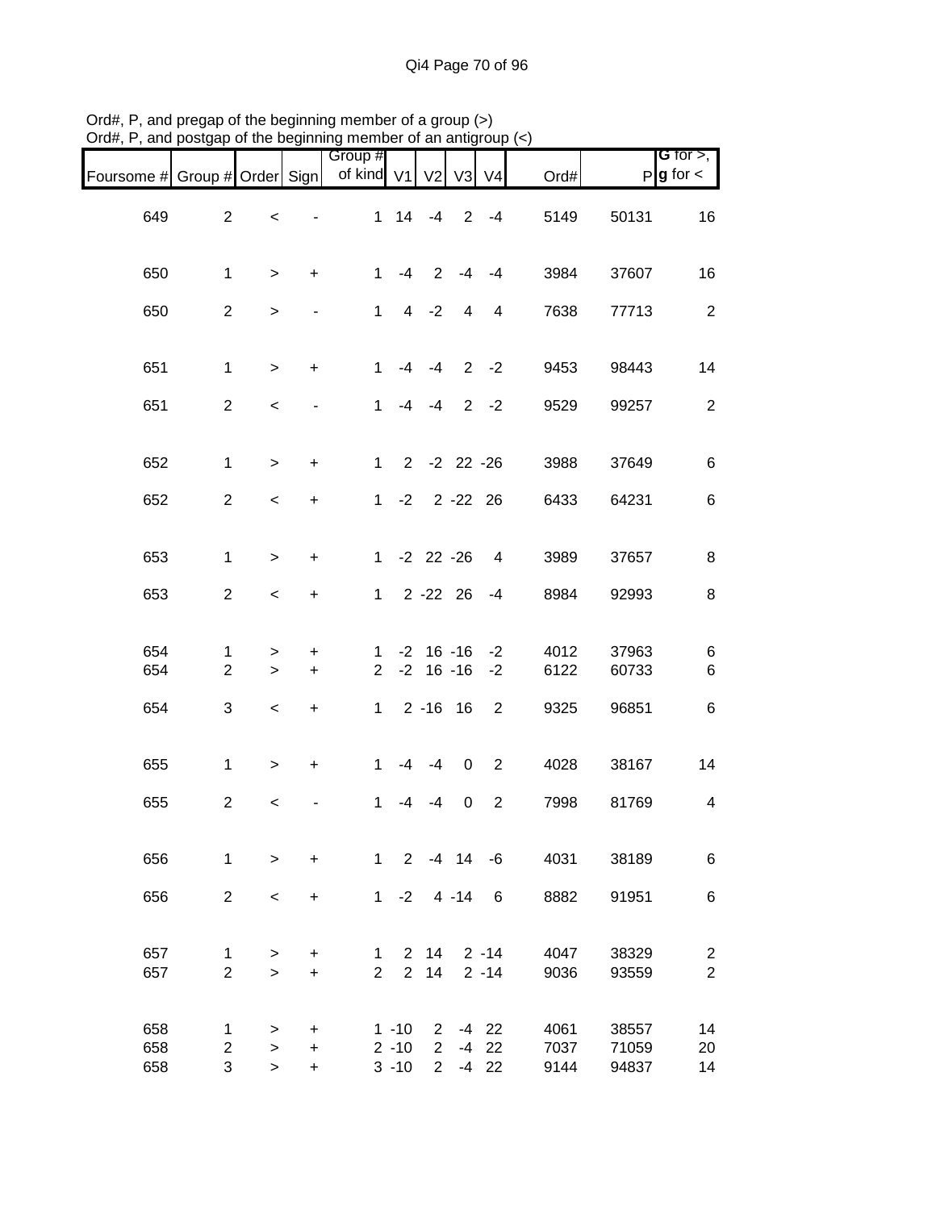| Foursome # Group # Order Sign |                                     |                              |                               | Group #<br>of kind V1         |                                  | V <sub>2</sub>                                  | V3                             | V <sub>4</sub>                | Ord#                 |                         | <b>G</b> for $>$ ,<br>$P$ <b>g</b> for $\lt$ |
|-------------------------------|-------------------------------------|------------------------------|-------------------------------|-------------------------------|----------------------------------|-------------------------------------------------|--------------------------------|-------------------------------|----------------------|-------------------------|----------------------------------------------|
| 649                           | $\overline{2}$                      | $\,<$                        |                               |                               | $1 \quad 14$                     | $-4$                                            |                                | $2 - 4$                       | 5149                 | 50131                   | 16                                           |
| 650                           | $\mathbf{1}$                        | $\, > \,$                    | $\ddot{}$                     | $\mathbf{1}$                  | $-4$                             | 2                                               | $-4$                           | $-4$                          | 3984                 | 37607                   | 16                                           |
| 650                           | $\overline{2}$                      | $\, > \,$                    | $\qquad \qquad \blacksquare$  | $\mathbf 1$                   | $\overline{4}$                   | $-2$                                            | 4                              | 4                             | 7638                 | 77713                   | $\overline{2}$                               |
| 651                           | $\mathbf{1}$                        | $\geq$                       | $\ddot{}$                     | $\mathbf{1}$                  | $-4$                             | -4                                              |                                | $2 -2$                        | 9453                 | 98443                   | 14                                           |
| 651                           | $\overline{2}$                      | $\,<\,$                      |                               | 1                             | -4                               | -4                                              |                                | $2 - 2$                       | 9529                 | 99257                   | $\overline{2}$                               |
| 652                           | $\mathbf{1}$                        | $\geq$                       | $\ddot{}$                     |                               |                                  |                                                 | $1 \t2 \t-2 \t22 \t-26$        |                               | 3988                 | 37649                   | $\,6$                                        |
| 652                           | $\overline{a}$                      | $\,<$                        | +                             |                               |                                  |                                                 | $1 -2 2 -22 26$                |                               | 6433                 | 64231                   | 6                                            |
| 653                           | $\mathbf{1}$                        | $\geq$                       | $\ddot{}$                     |                               |                                  |                                                 | $1 -2 22 -26$                  | 4                             | 3989                 | 37657                   | 8                                            |
| 653                           | $\overline{2}$                      | $\,<$                        | $\ddot{}$                     | $1 \quad$                     |                                  |                                                 | $2 - 22$ 26                    | $-4$                          | 8984                 | 92993                   | 8                                            |
| 654<br>654                    | $\mathbf 1$<br>$\overline{2}$       | ><br>$\geq$                  | +<br>$\ddot{}$                | 1<br>$\overline{2}$           |                                  |                                                 | $-2$ 16 $-16$<br>$-2$ 16 $-16$ | $-2$<br>$-2$                  | 4012<br>6122         | 37963<br>60733          | 6<br>6                                       |
| 654                           | 3                                   | $\,<$                        | $\boldsymbol{+}$              |                               |                                  |                                                 | $1 2 - 16 16$                  | $\overline{2}$                | 9325                 | 96851                   | 6                                            |
| 655                           | $\mathbf{1}$                        | $\geq$                       | $\ddot{}$                     | $\mathbf{1}$                  | $-4$                             | $-4$                                            | $\mathbf 0$                    | 2                             | 4028                 | 38167                   | 14                                           |
| 655                           | $\overline{2}$                      | $\,<$                        |                               | 1                             | $-4$                             | $-4$                                            | $\pmb{0}$                      | $\overline{2}$                | 7998                 | 81769                   | 4                                            |
| 656                           | $\mathbf{1}$                        | $\geq$                       | $\ddot{}$                     | $\mathbf{1}$                  | 2                                |                                                 | $-4$ 14 $-6$                   |                               | 4031                 | 38189                   | 6                                            |
| 656                           | $\overline{2}$                      | $\,<$                        | $\ddot{}$                     |                               | $1 -2$                           |                                                 | $4 - 14$                       | 6                             | 8882                 | 91951                   | 6                                            |
| 657<br>657                    | $\mathbf 1$<br>$\overline{2}$       | $\, > \,$<br>$\geq$          | +<br>$\ddot{}$                | $\mathbf 1$<br>$\overline{2}$ | $\overline{2}$                   | 2 14<br>14                                      |                                | $2 - 14$<br>$2 - 14$          | 4047<br>9036         | 38329<br>93559          | $\overline{c}$<br>$\overline{2}$             |
| 658<br>658<br>658             | $\mathbf{1}$<br>$\overline{2}$<br>3 | $\, > \,$<br>$\,>$<br>$\geq$ | $\ddot{}$<br>$\ddot{}$<br>$+$ |                               | $1 - 10$<br>$2 - 10$<br>$3 - 10$ | $2^{\circ}$<br>$\overline{2}$<br>$\overline{2}$ |                                | $-4$ 22<br>$-4$ 22<br>$-4$ 22 | 4061<br>7037<br>9144 | 38557<br>71059<br>94837 | 14<br>20<br>14                               |

Ord#, P, and pregap of the beginning member of a group (>) Ord#, P, and postgap of the beginning member of an antigroup (<)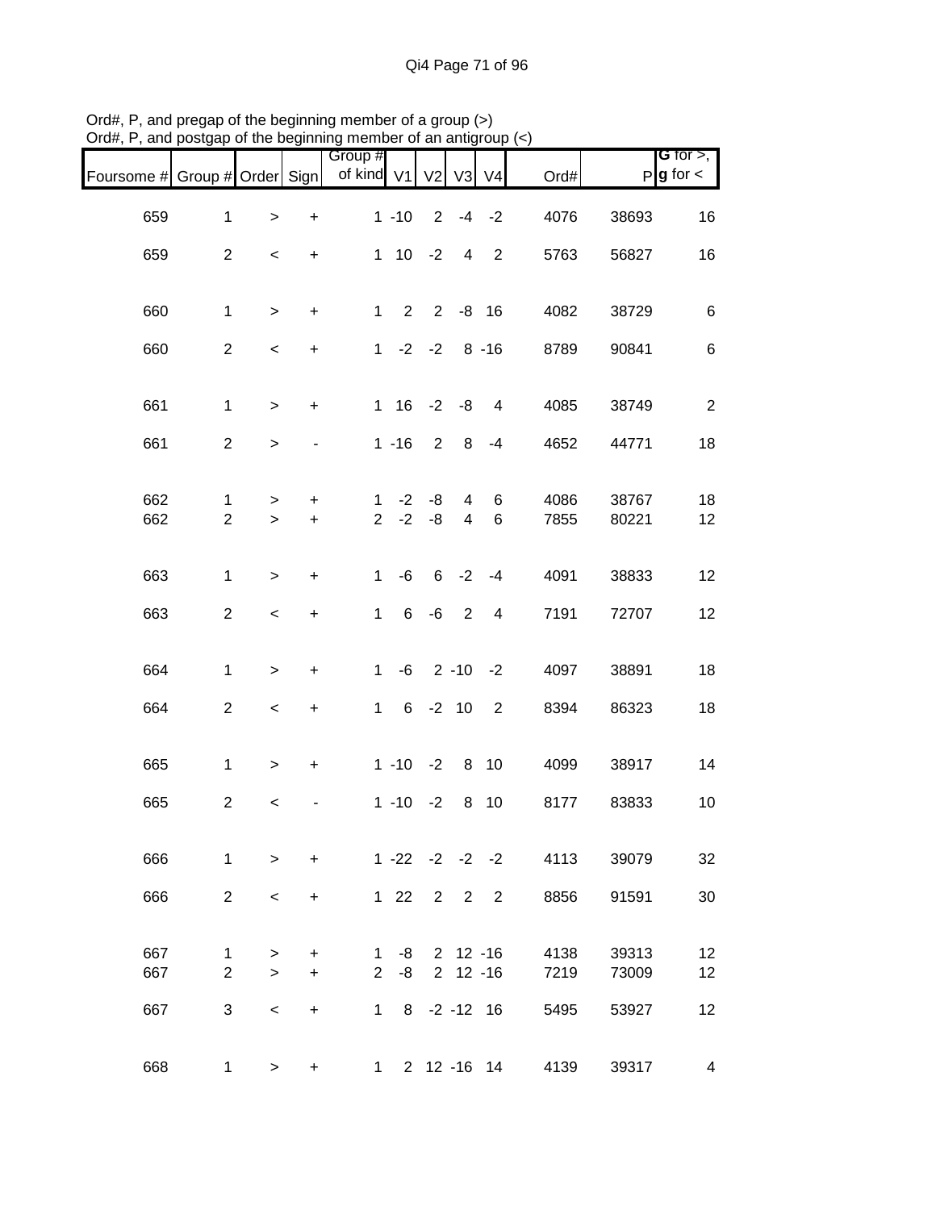| Foursome # Group # Order Sign |                |              |                                  | Group #<br>of kind V1 |                 | V <sub>2</sub>    | V3             | V <sub>4</sub>             | Ord# |       | <b>G</b> for $>$ ,<br>$P$ <b>g</b> for $\lt$ |
|-------------------------------|----------------|--------------|----------------------------------|-----------------------|-----------------|-------------------|----------------|----------------------------|------|-------|----------------------------------------------|
| 659                           | $\mathbf{1}$   | $\mathbf{L}$ | $\ddot{}$                        |                       | $1 - 10$        | $\overline{2}$    |                | $-4 -2$                    | 4076 | 38693 | 16                                           |
| 659                           | $\overline{2}$ | $\,<\,$      | $\ddot{}$                        |                       | $1 \t10 \t-2$   |                   | 4              | $\overline{\phantom{0}}$ 2 | 5763 | 56827 | 16                                           |
| 660                           | $\mathbf{1}$   | $\geq$       | $\ddot{}$                        | $\mathbf{1}$          |                 | $2 \t2 \t-8 \t16$ |                |                            | 4082 | 38729 | $\,6$                                        |
| 660                           | $\overline{2}$ | $\,<$        | $\ddot{}$                        |                       | $1 -2 -2 8 -16$ |                   |                |                            | 8789 | 90841 | $\,6$                                        |
|                               |                |              |                                  |                       |                 |                   |                |                            |      |       |                                              |
| 661                           | $\mathbf{1}$   | $\,>$        | $\ddot{}$                        |                       | $1 \t16$        |                   | $-2 -8$        | $\overline{4}$             | 4085 | 38749 | $\overline{2}$                               |
| 661                           | $\overline{2}$ | $\,$         |                                  |                       | $1 - 16$        | $\overline{2}$    | 8              | $-4$                       | 4652 | 44771 | 18                                           |
| 662                           | $\mathbf{1}$   | $\, > \,$    | +                                | $\mathbf{1}$          | $-2$            | -8                | 4              | 6                          | 4086 | 38767 | 18                                           |
| 662                           | $\overline{2}$ | $\geq$       | $\ddot{}$                        | $\overline{2}$        | $-2$            | -8                | $\overline{4}$ | 6                          | 7855 | 80221 | 12                                           |
| 663                           | $\mathbf{1}$   | $\,>$        | $\ddot{}$                        | $\mathbf{1}$          | -6              | 6                 | $-2$           | $-4$                       | 4091 | 38833 | 12                                           |
| 663                           | $\overline{c}$ | $\,<$        | +                                | $\mathbf{1}$          | 6               | -6                | 2              | 4                          | 7191 | 72707 | 12                                           |
|                               |                |              |                                  |                       |                 |                   |                |                            |      |       |                                              |
| 664                           | $\mathbf{1}$   | $\,$         | $\ddot{}$                        | $\mathbf 1$           | -6              |                   |                | $2 - 10 - 2$               | 4097 | 38891 | 18                                           |
| 664                           | $\overline{a}$ | $\,<$        | $\begin{array}{c} + \end{array}$ | $\mathbf{1}$          | 6               |                   | $-2$ 10        | $\overline{2}$             | 8394 | 86323 | 18                                           |
| 665                           | $\mathbf{1}$   | $\,$         | $\ddot{}$                        |                       | $1 - 10 - 2$    |                   |                | 8 10                       | 4099 | 38917 | 14                                           |
| 665                           | $\overline{c}$ | $\,<$        |                                  |                       | $1 - 10 - 2$    |                   | 8              | 10                         | 8177 | 83833 | 10                                           |
|                               |                |              |                                  |                       |                 |                   |                |                            |      |       |                                              |
| 666                           | $\mathbf{1}$   | $\,>$        | $\ddot{}$                        |                       |                 |                   |                | $1 - 22 - 2 - 2 - 2$       | 4113 | 39079 | 32                                           |
| 666                           | $\overline{2}$ | $\,<\,$      | $\ddot{}$                        |                       | $122$           | $\overline{2}$    |                | 2 2                        | 8856 | 91591 | 30                                           |
| 667                           | 1              | >            | +                                | 1                     | -8              |                   |                | $2$ 12 -16                 | 4138 | 39313 | 12                                           |
| 667                           | $\overline{2}$ | $\geq$       | $\ddot{}$                        | $\overline{2}$        | -8              |                   |                | $2$ 12 -16                 | 7219 | 73009 | 12                                           |
| 667                           | 3              | $\,<\,$      | $\ddot{}$                        |                       | $1 \quad$<br>8  |                   |                | $-2 - 12$ 16               | 5495 | 53927 | 12                                           |
| 668                           | $\mathbf{1}$   | >            | +                                |                       |                 |                   |                | 1 2 12 -16 14              | 4139 | 39317 | 4                                            |

Ord#, P, and pregap of the beginning member of a group (>) Ord#, P, and postgap of the beginning member of an antigroup (<)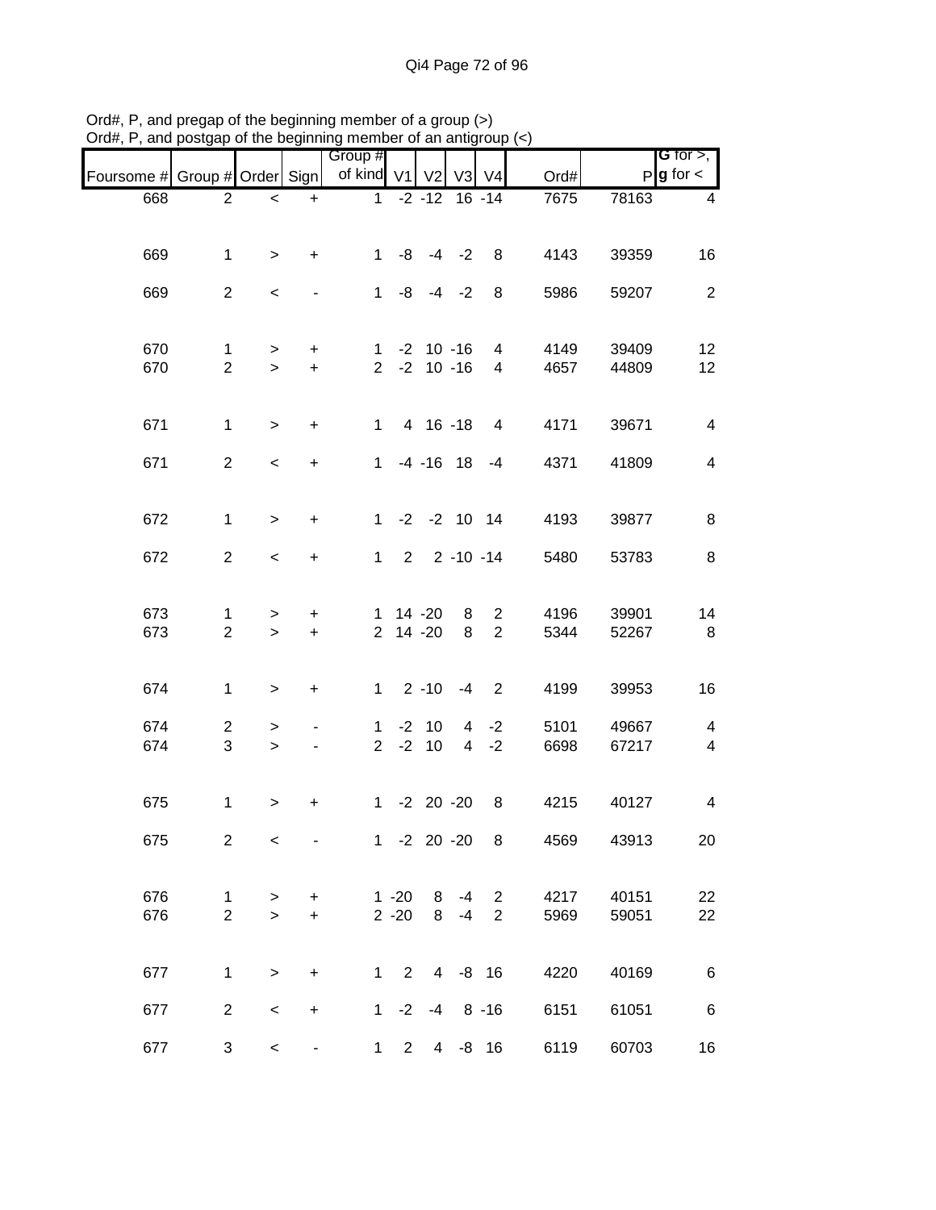| nam, i , and poolgap          |                     |                     |                                  | of the beginning includer of an antigroup $(\gamma)$ |                      |                      |                |                     |              |                |                         |
|-------------------------------|---------------------|---------------------|----------------------------------|------------------------------------------------------|----------------------|----------------------|----------------|---------------------|--------------|----------------|-------------------------|
|                               |                     |                     |                                  | Group #                                              |                      |                      |                |                     |              |                | <b>G</b> for $>$ ,      |
| Foursome # Group # Order Sign |                     |                     |                                  | of kind V1 V2                                        |                      |                      | V <sub>3</sub> | V <sub>4</sub>      | Ord#         |                | $P$ <b>g</b> for $\lt$  |
| 668                           | $\overline{2}$      | $\prec$             | $+$                              |                                                      |                      | $1 -2 -12$           |                | $16 - 14$           | 7675         | 78163          | 4                       |
| 669                           | $\mathbf{1}$        | $\geq$              | $\ddot{}$                        |                                                      |                      | $1 - 8 - 4 - 2$      |                | 8 <sup>8</sup>      | 4143         | 39359          | 16                      |
| 669                           | $\overline{2}$      | $\,<$               |                                  |                                                      |                      | $1 -8 -4 -2$         |                | 8                   | 5986         | 59207          | $\overline{2}$          |
| 670                           | $\mathbf 1$         | $\,$                | $+$                              |                                                      |                      | $1 - 2 10 - 16$      |                | 4                   | 4149         | 39409          | 12                      |
| 670                           | $\overline{2}$      | $\,>$               | $\ddot{}$                        |                                                      |                      | $2 -2 10 -16$        |                | 4                   | 4657         | 44809          | 12                      |
| 671                           | $\mathbf{1}$        | $\geq$              | $\ddot{}$                        | $\mathbf{1}$                                         |                      | 4 16 -18             |                | 4                   | 4171         | 39671          | $\overline{4}$          |
| 671                           | $\overline{2}$      | $\,<$               | $\ddot{}$                        |                                                      |                      | $1 - 4 - 16$ 18 $-4$ |                |                     | 4371         | 41809          | $\overline{4}$          |
| 672                           | $\mathbf{1}$        | $\geq$              | $\ddot{}$                        |                                                      |                      | $1 - 2 - 2$ 10 14    |                |                     | 4193         | 39877          | 8                       |
| 672                           | $\overline{2}$      | $\,<$               | $\ddot{}$                        |                                                      |                      | $1 2 2 - 10 - 14$    |                |                     | 5480         | 53783          | 8                       |
| 673<br>673                    | 1<br>$\overline{2}$ | $\, > \,$<br>$\geq$ | +<br>$+$                         |                                                      |                      | 1 14 -20<br>2 14 -20 | 8<br>8         | 2<br>$\overline{2}$ | 4196<br>5344 | 39901<br>52267 | 14<br>8                 |
| 674                           | $\mathbf{1}$        | $\geq$              | $\ddot{}$                        |                                                      |                      | $1 \quad 2 -10 -4$   |                | $\overline{2}$      | 4199         | 39953          | 16                      |
| 674                           | $\overline{2}$      | $\, > \,$           |                                  | $\mathbf{1}$                                         |                      | $-2$ 10              |                | $4 -2$              | 5101         | 49667          | $\overline{\mathbf{4}}$ |
| 674                           | 3                   | $\geq$              | $\overline{\phantom{0}}$         |                                                      |                      | $2 -2 10$            |                | $4 - 2$             | 6698         | 67217          | $\overline{\mathbf{4}}$ |
| 675                           | $\mathbf{1}$        | $\, > \,$           | +                                |                                                      |                      | $1 -2 20 -20$        |                | - 8                 | 4215         | 40127          | 4                       |
| 675                           | $\overline{2}$      | $\,<\,$             |                                  |                                                      |                      | $1 -2 20 -20$        |                | 8                   | 4569         | 43913          | 20                      |
| 676<br>676                    | 1<br>$\overline{2}$ | ><br>$\geq$         | $\ddot{}$<br>$\ddot{}$           |                                                      | $1 - 20$<br>$2 - 20$ | 8<br>8               | -4<br>$-4$     | 2<br>$\overline{2}$ | 4217<br>5969 | 40151<br>59051 | 22<br>22                |
| 677                           | 1                   | $\,$                | $\ddot{}$                        |                                                      | $1\quad 2$           |                      | $4 - 8 16$     |                     | 4220         | 40169          | 6                       |
| 677                           | $\overline{2}$      | $\,<$               | $\begin{array}{c} + \end{array}$ |                                                      | $1 -2$               | $-4$                 |                | $8 - 16$            | 6151         | 61051          | 6                       |
| 677                           | 3                   | $\,<\,$             | -                                | 1                                                    | $2^{\circ}$          |                      | 4 -8 16        |                     | 6119         | 60703          | 16                      |

Ord#, P, and pregap of the beginning member of a group (>) Ord#, P, and postgap of the beginning member of an antigroup (<)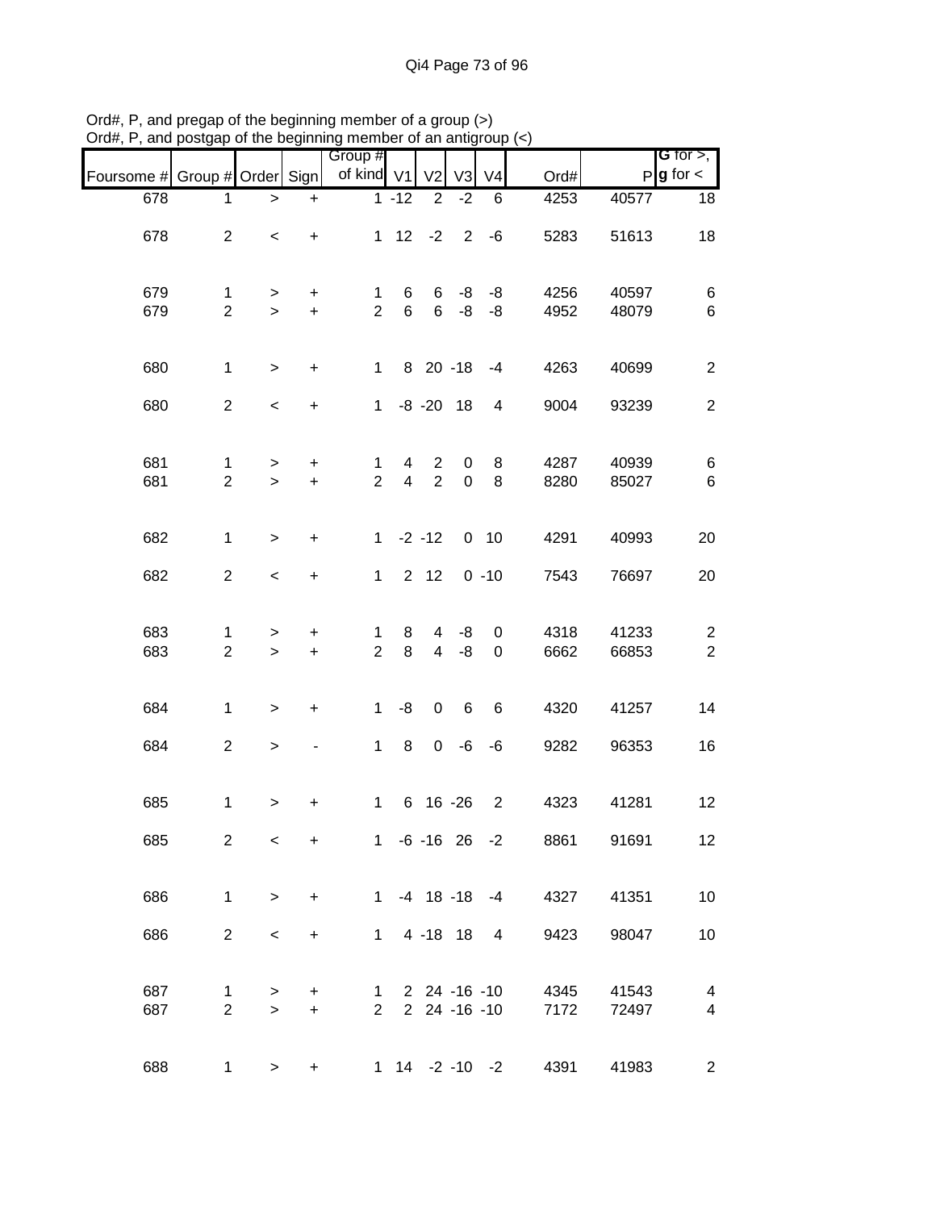|                               |                                |                     |                        | Group #                        |                     |                                  |                  |                              |              |                | <b>G</b> for $>$ ,                 |
|-------------------------------|--------------------------------|---------------------|------------------------|--------------------------------|---------------------|----------------------------------|------------------|------------------------------|--------------|----------------|------------------------------------|
| Foursome # Group # Order Sign |                                |                     |                        | of kind V1                     |                     | V <sub>2</sub>                   | V <sub>3</sub>   | V <sub>4</sub>               | Ord#         |                | $P$ <b>g</b> for $\lt$             |
| 678                           | 1                              | >                   | $\ddot{}$              |                                | $1 - 12$            | $\overline{2}$                   | $-2$             | 6                            | 4253         | 40577          | 18                                 |
| 678                           | $\overline{a}$                 | $\,<\,$             | $\ddot{}$              |                                |                     | $1 \t12 \t-2$                    | $2^{\circ}$      | $-6$                         | 5283         | 51613          | 18                                 |
| 679<br>679                    | $\mathbf{1}$<br>$\overline{2}$ | ><br>$\geq$         | +<br>$\ddot{}$         | $\mathbf{1}$<br>$\overline{2}$ | 6<br>6              | 6<br>6                           | -8<br>-8         | -8<br>-8                     | 4256<br>4952 | 40597<br>48079 | 6<br>6                             |
| 680                           | $\mathbf{1}$                   | $\geq$              | $\ddot{}$              | $1 \quad$                      |                     | 8 20 -18                         |                  | $-4$                         | 4263         | 40699          | $\overline{2}$                     |
| 680                           | $\overline{2}$                 | $\,<$               | $\ddot{}$              | 1                              |                     | $-8 - 20$ 18                     |                  | 4                            | 9004         | 93239          | $\overline{2}$                     |
| 681<br>681                    | $\mathbf{1}$<br>$\overline{2}$ | $\geq$<br>$\geq$    | $\ddot{}$<br>$\ddot{}$ | 1<br>$\overline{2}$            | 4<br>$\overline{4}$ | $\overline{2}$<br>2              | 0<br>$\mathbf 0$ | 8<br>8                       | 4287<br>8280 | 40939<br>85027 | 6<br>$\,6$                         |
| 682                           | $\mathbf{1}$                   | $\geq$              | $\ddot{}$              |                                |                     | $1 -2 -12 0 10$                  |                  |                              | 4291         | 40993          | 20                                 |
| 682                           | $\overline{a}$                 | $\,<$               | $\ddot{}$              | $\mathbf{1}$                   |                     | $2 \quad 12$                     |                  | $0 - 10$                     | 7543         | 76697          | 20                                 |
| 683<br>683                    | $\mathbf{1}$<br>$\overline{2}$ | ><br>$\geq$         | +<br>$\ddot{}$         | 1<br>$\overline{2}$            | 8<br>8              | $\overline{4}$<br>$\overline{4}$ | -8<br>-8         | 0<br>$\mathbf 0$             | 4318<br>6662 | 41233<br>66853 | $\overline{c}$<br>$\boldsymbol{2}$ |
| 684                           | $\mathbf{1}$                   | $\geq$              | +                      | $\mathbf{1}$                   | -8                  | $\mathbf 0$                      | 6                | 6                            | 4320         | 41257          | 14                                 |
| 684                           | $\overline{a}$                 | $\,$                |                        | 1                              | $\,8\,$             | $\mathbf 0$                      | -6               | -6                           | 9282         | 96353          | 16                                 |
| 685                           | $\mathbf{1}$                   | $\, > \,$           | $\ddot{}$              | $\mathbf{1}$                   |                     | 6 16 -26                         |                  | $\overline{2}$               | 4323         | 41281          | 12                                 |
| 685                           | $\overline{2}$                 | $\,<\,$             | $\ddot{}$              |                                |                     |                                  |                  | $1 - 6 - 16$ 26 $-2$         | 8861         | 91691          | 12 <sub>2</sub>                    |
| 686                           | $\mathbf{1}$                   | $\geq$              | $\ddot{}$              |                                |                     |                                  |                  | $1 -4 18 -18 -4$             | 4327         | 41351          | 10                                 |
| 686                           | $\overline{2}$                 | $\,<$               | $\ddot{}$              |                                |                     | 1 4 -18 18                       |                  | $4\overline{ }$              | 9423         | 98047          | 10                                 |
| 687<br>687                    | $\mathbf{1}$<br>$\overline{2}$ | $\, > \,$<br>$\geq$ | $+$<br>$+$             | $1 \quad$<br>$2^{\circ}$       |                     |                                  |                  | 2 24 -16 -10<br>2 24 -16 -10 | 4345<br>7172 | 41543<br>72497 | $\overline{\mathbf{4}}$<br>4       |
| 688                           | $\mathbf{1}$                   | $\geq$              | $\ddot{}$              |                                |                     |                                  |                  | 1 14 -2 -10 -2               | 4391         | 41983          | $\overline{c}$                     |

Ord#, P, and pregap of the beginning member of a group (>) Ord#, P, and postgap of the beginning member of an antigroup (<)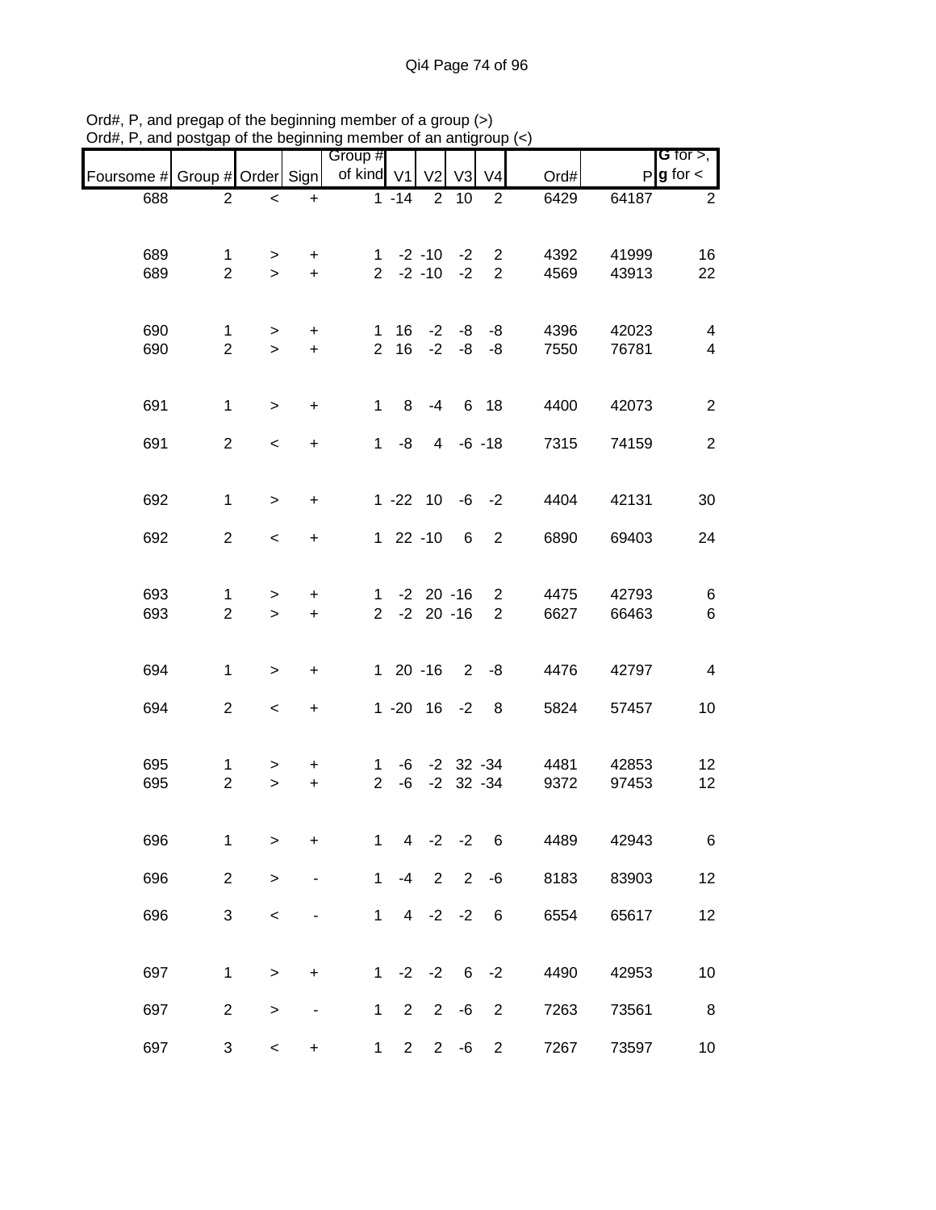| , ,                           | poolgap                        |                          |                        | or are beginning member or an anagroup $(\gamma)$ |                                  |                |                                      |                                  |              |                |                                       |
|-------------------------------|--------------------------------|--------------------------|------------------------|---------------------------------------------------|----------------------------------|----------------|--------------------------------------|----------------------------------|--------------|----------------|---------------------------------------|
| Foursome # Group # Order Sign |                                |                          |                        | Group #<br>of kind V1                             |                                  | V <sub>2</sub> | V <sub>3</sub>                       | V <sub>4</sub>                   | Ord#         |                | G for $>$ ,<br>$P$ <b>g</b> for $\lt$ |
| 688                           | $\overline{c}$                 | $\overline{\phantom{a}}$ | $\ddot{}$              |                                                   | $1 - 14$                         | $\overline{2}$ | 10                                   | 2                                | 6429         | 64187          | $\overline{2}$                        |
| 689<br>689                    | $\mathbf{1}$<br>$\overline{2}$ | $\geq$<br>$\geq$         | $\ddot{}$<br>$+$       |                                                   |                                  |                | $1 -2 -10 -2$<br>$2 -2 -10 -2$       | $\overline{2}$<br>$\overline{2}$ | 4392<br>4569 | 41999<br>43913 | 16<br>22                              |
| 690<br>690                    | $\mathbf{1}$<br>$\overline{2}$ | $\geq$<br>$\geq$         | $\ddot{}$<br>$\ddot{}$ | $\mathbf 1$<br>$\overline{2}$                     |                                  |                | $16 - 2 - 8 - 8$<br>$16 - 2 - 8 - 8$ |                                  | 4396<br>7550 | 42023<br>76781 | 4<br>$\overline{4}$                   |
| 691                           | $\mathbf{1}$                   | $\geq$                   | $\ddot{}$              | $\mathbf 1$                                       | 8                                | $-4$           |                                      | 6 18                             | 4400         | 42073          | $\overline{c}$                        |
| 691                           | $\overline{2}$                 | $\,<$                    | $\ddot{}$              | $\mathbf 1$                                       | -8                               |                | $4 - 6 - 18$                         |                                  | 7315         | 74159          | $\overline{2}$                        |
| 692                           | $\mathbf{1}$                   | $\geq$                   | $\ddot{}$              |                                                   |                                  |                | $1 - 22$ 10 $-6$ $-2$                |                                  | 4404         | 42131          | 30                                    |
| 692                           | $\overline{2}$                 | $\overline{\phantom{a}}$ | $\ddot{}$              |                                                   | $122 - 10$                       |                | 6                                    | $\overline{2}$                   | 6890         | 69403          | 24                                    |
| 693<br>693                    | 1<br>$\overline{2}$            | ><br>$\geq$              | $\ddot{}$<br>$\ddot{}$ |                                                   | $1 - 2 20 - 16$<br>$2 -2 20 -16$ |                |                                      | $\overline{2}$<br>$\overline{2}$ | 4475<br>6627 | 42793<br>66463 | 6<br>$\,6$                            |
| 694                           | $\mathbf{1}$                   | $\,>$                    | $\ddot{}$              |                                                   | $120 - 16$                       |                |                                      | $2 - 8$                          | 4476         | 42797          | 4                                     |
| 694                           | $\overline{2}$                 | $\overline{\phantom{a}}$ | $\ddot{}$              |                                                   |                                  |                | $1 - 20$ $16 - 2$                    | 8                                | 5824         | 57457          | 10                                    |
| 695<br>695                    | $\mathbf{1}$<br>$\overline{2}$ | ><br>$\geq$              | $\ddot{}$<br>$\ddot{}$ | 1<br>$\overline{2}$                               | -6                               |                | $-2$ 32 $-34$                        | $-6$ $-2$ 32 $-34$               | 4481<br>9372 | 42853<br>97453 | 12<br>12                              |
| 696                           | 1                              | >                        | +                      | 1                                                 | 4                                | $-2$           | $-2$                                 | $\,6$                            | 4489         | 42943          | 6                                     |
| 696                           | $\overline{c}$                 | $\,$                     |                        | 1                                                 | $-4$                             | $\overline{2}$ | $\overline{2}$                       | $-6$                             | 8183         | 83903          | 12                                    |
| 696                           | 3                              | $\,<$                    |                        | $\mathbf 1$                                       |                                  | $4 -2 -2$      |                                      | $6\phantom{1}6$                  | 6554         | 65617          | 12                                    |
| 697                           | 1                              | $\,$                     | $\ddot{}$              | $\mathbf 1$                                       |                                  | $-2 -2$        | 6                                    | $-2$                             | 4490         | 42953          | 10                                    |
| 697                           | $\overline{c}$                 | >                        |                        | $\mathbf{1}$                                      | 2                                | $\overline{2}$ | $-6$                                 | $\overline{2}$                   | 7263         | 73561          | 8                                     |
| 697                           | 3                              | $\,<$                    | $\ddot{}$              | $\mathbf{1}$                                      | $\overline{2}$                   |                | $2 - 6$                              | $\overline{c}$                   | 7267         | 73597          | 10                                    |

Ord#, P, and pregap of the beginning member of a group (>) Ord#, P, and postgap of the beginning member of an antigroup (<)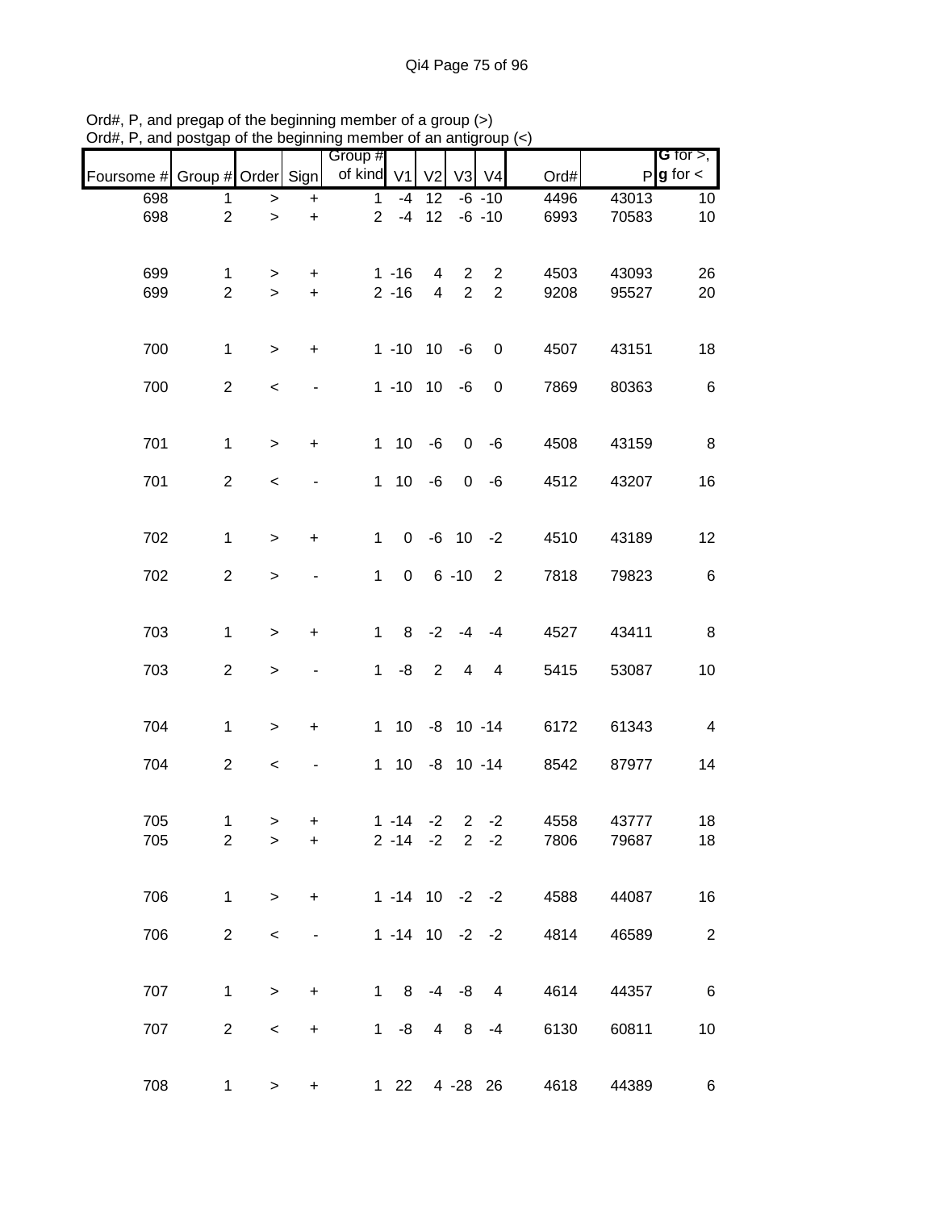|                               |                |              |                                  | Group #        |                       |                |             |                  |      |       | <b>G</b> for $>$ , |
|-------------------------------|----------------|--------------|----------------------------------|----------------|-----------------------|----------------|-------------|------------------|------|-------|--------------------|
| Foursome # Group # Order Sign |                |              |                                  | of kind V1     |                       | V <sub>2</sub> | V3          | V <sub>4</sub>   | Ord# |       | $P g$ for $\lt$    |
| 698                           | 1              | >            | $\ddot{}$                        | $\mathbf 1$    | -4                    | 12             |             | $-6 - 10$        | 4496 | 43013 | 10                 |
| 698                           | $\overline{2}$ | $\geq$       | $\ddot{}$                        | $\overline{2}$ | $-4$                  | 12             |             | $-6 - 10$        | 6993 | 70583 | 10                 |
|                               |                |              |                                  |                |                       |                |             |                  |      |       |                    |
| 699                           | 1              | >            | +                                |                | $1 - 16$              | 4              | 2           | $\overline{2}$   | 4503 | 43093 | 26                 |
| 699                           | $\overline{2}$ | $\geq$       | $+$                              |                | $2 - 16$              | $\overline{4}$ | $\sqrt{2}$  | $\overline{2}$   | 9208 | 95527 | 20                 |
|                               |                |              |                                  |                |                       |                |             |                  |      |       |                    |
| 700                           | $\mathbf{1}$   | >            | $\ddot{}$                        |                | $1 - 10$ 10           |                | $-6$        | $\boldsymbol{0}$ | 4507 | 43151 | 18                 |
|                               |                |              |                                  |                |                       |                |             |                  |      |       |                    |
| 700                           | $\overline{2}$ | $\,<$        |                                  |                | $1 - 10$ 10           |                | -6          | $\mathbf 0$      | 7869 | 80363 | 6                  |
|                               |                |              |                                  |                |                       |                |             |                  |      |       |                    |
| 701                           | $\mathbf{1}$   | $\,>$        | $\ddot{}$                        | $\mathbf 1$    | 10 <sup>°</sup>       | $-6$           | 0           | $-6$             | 4508 | 43159 | 8                  |
| 701                           | $\overline{2}$ | $\,<\,$      |                                  | $\mathbf 1$    |                       | $10 - 6$       | $\mathbf 0$ | -6               | 4512 | 43207 | 16                 |
|                               |                |              |                                  |                |                       |                |             |                  |      |       |                    |
|                               |                |              |                                  |                |                       |                |             |                  |      |       |                    |
| 702                           | $\mathbf 1$    | >            | $\ddot{}$                        | $\mathbf 1$    | $\mathbf 0$           |                |             | $-6$ 10 $-2$     | 4510 | 43189 | 12                 |
| 702                           | $\overline{2}$ | $\, > \,$    |                                  | $\mathbf{1}$   | $\mathbf 0$           |                | $6 - 10$    | 2                | 7818 | 79823 | 6                  |
|                               |                |              |                                  |                |                       |                |             |                  |      |       |                    |
| 703                           | $\mathbf 1$    | $\mathbf{I}$ | $\ddot{}$                        | 1              | 8                     | $-2$           | $-4$        | $-4$             | 4527 | 43411 | 8                  |
|                               |                |              |                                  |                |                       |                |             |                  |      |       |                    |
| 703                           | $\overline{2}$ | $\,$         |                                  | $\mathbf 1$    | -8                    | $\overline{2}$ | 4           | $\overline{4}$   | 5415 | 53087 | 10                 |
|                               |                |              |                                  |                |                       |                |             |                  |      |       |                    |
| 704                           | $\mathbf 1$    | $\,$         | $\ddot{}$                        | $\mathbf 1$    | 10 <sup>°</sup>       |                |             | $-8$ 10 $-14$    | 6172 | 61343 | $\overline{4}$     |
|                               |                |              |                                  |                |                       |                |             |                  |      |       |                    |
| 704                           | $\overline{2}$ | $\,<$        |                                  | $\mathbf{1}$   |                       |                |             | 10 -8 10 -14     | 8542 | 87977 | 14                 |
|                               |                |              |                                  |                |                       |                |             |                  |      |       |                    |
| 705                           | $\mathbf 1$    | $\, > \,$    | +                                |                | $1 - 14 - 2$          |                |             | $2 -2$           | 4558 | 43777 | 18                 |
| 705                           | $\overline{2}$ | >            | +                                |                | $2 - 14 - 2$ 2 $-2$   |                |             |                  | 7806 | 79687 | 18                 |
|                               |                |              |                                  |                |                       |                |             |                  |      |       |                    |
| 706                           | $\mathbf{1}$   | $\,>$        | $\ddot{}$                        |                | $1 - 14$ 10 $-2$ $-2$ |                |             |                  | 4588 | 44087 | 16                 |
| 706                           | $\overline{2}$ |              |                                  |                | $1 - 14$ 10 $-2$ $-2$ |                |             |                  | 4814 |       | $\overline{2}$     |
|                               |                | $\,<$        |                                  |                |                       |                |             |                  |      | 46589 |                    |
|                               |                |              |                                  |                |                       |                |             |                  |      |       |                    |
| 707                           | 1              | $\mathbf{I}$ | +                                | $\mathbf{1}$   |                       |                | $8 - 4 - 8$ | $\overline{4}$   | 4614 | 44357 | 6                  |
| 707                           | $\overline{c}$ | $\,<$        | $\begin{array}{c} + \end{array}$ | 1              | -8                    | $\overline{4}$ | 8           | $-4$             | 6130 | 60811 | 10                 |
|                               |                |              |                                  |                |                       |                |             |                  |      |       |                    |
|                               |                |              |                                  |                |                       |                |             |                  |      |       |                    |
| 708                           | 1              | $\geq$       | $\ddot{}$                        |                | $1 \quad 22$          |                |             | 4 - 28 26        | 4618 | 44389 | 6                  |

Ord#, P, and pregap of the beginning member of a group (>) Ord#, P, and postgap of the beginning member of an antigroup (<)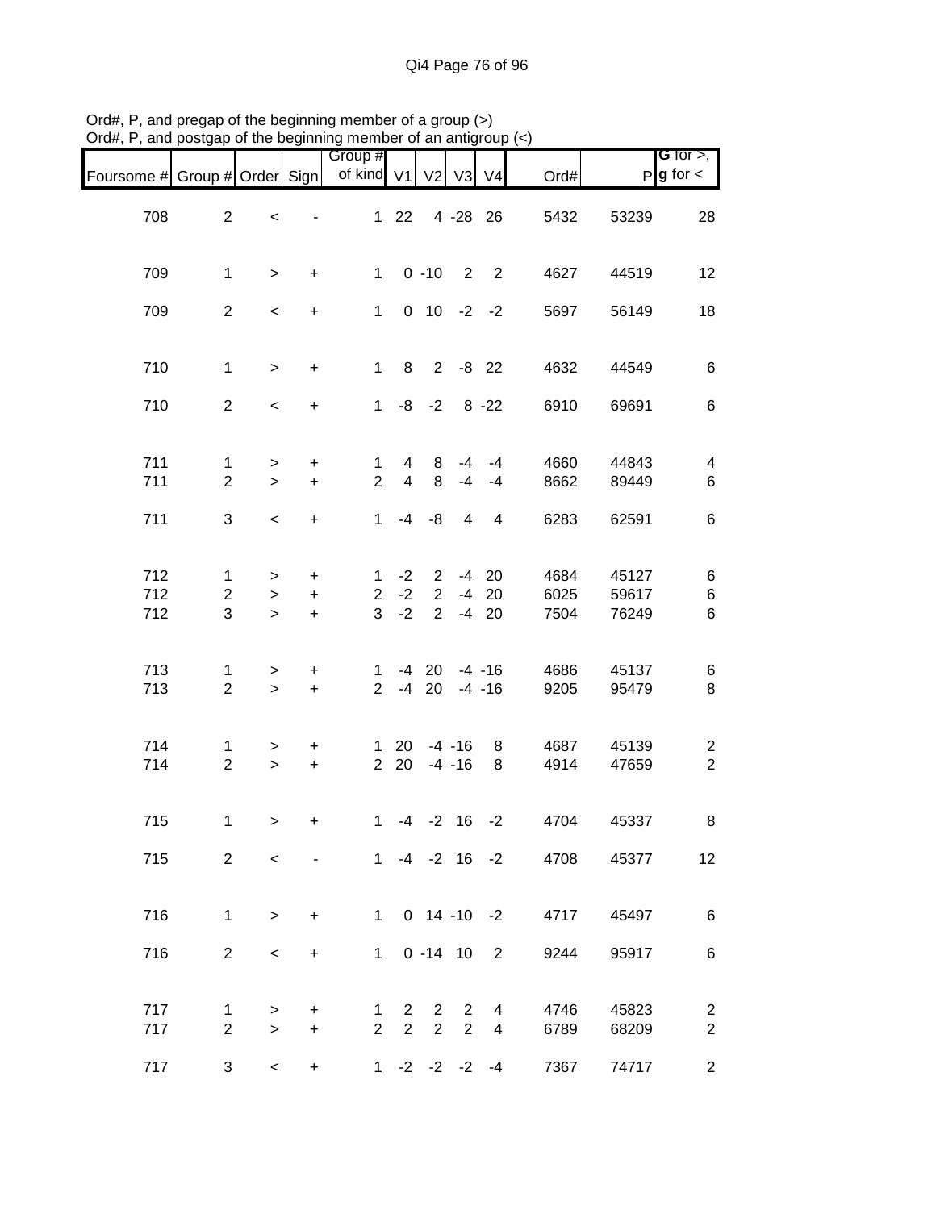| Foursome # Group # Order Sign |                                |                          |                        | Group #<br>of kind V1          |                                | V <sub>2</sub>                   |                                  | V3 V4                      | Ord#                    |                | <b>G</b> for $>$ ,<br>$P$ <b>g</b> for $\lt$ |
|-------------------------------|--------------------------------|--------------------------|------------------------|--------------------------------|--------------------------------|----------------------------------|----------------------------------|----------------------------|-------------------------|----------------|----------------------------------------------|
| 708                           | $\overline{2}$                 | $\,<$                    |                        | 1                              | 22                             |                                  | 4 - 28 26                        |                            | 5432                    | 53239          | 28                                           |
| 709                           | $\mathbf{1}$                   | $\, > \,$                | $\ddot{}$              | $\mathbf{1}$                   |                                | $0 - 10$                         | 2                                | $\overline{\phantom{0}}^2$ | 4627                    | 44519          | 12                                           |
| 709                           | $\overline{2}$                 | $\overline{\phantom{a}}$ | $\ddot{}$              | $\mathbf 1$                    |                                |                                  | $0$ 10 -2 -2                     |                            | 5697                    | 56149          | 18                                           |
| 710                           | $\mathbf{1}$                   | $\geq$                   | $\ddot{}$              | $\mathbf{1}$                   | 8                              |                                  | $2 - 8$ 22                       |                            | 4632                    | 44549          | 6                                            |
| 710                           | $\overline{2}$                 | $\overline{\phantom{a}}$ | $\ddot{}$              | 1                              | -8                             | $-2$                             |                                  | $8 - 22$                   | 6910                    | 69691          | 6                                            |
| 711<br>711                    | 1<br>$\overline{2}$            | $\geq$<br>$\geq$         | $\ddot{}$<br>$+$       | $\mathbf{1}$<br>$\overline{2}$ | 4<br>$\overline{4}$            | 8<br>8                           | $-4$<br>$-4$                     | -4<br>$-4$                 | 4660<br>8662            | 44843<br>89449 | $\overline{\mathbf{4}}$<br>6                 |
| 711                           | 3                              | $\overline{\phantom{0}}$ | $\ddot{}$              | $\mathbf{1}$                   | -4                             | -8                               | 4                                | 4                          | 6283                    | 62591          | 6                                            |
| 712<br>712                    | $\mathbf{1}$<br>$\overline{2}$ | $\, > \,$<br>$\geq$      | +<br>$\ddot{}$         | $\mathbf 1$<br>$\overline{2}$  | $-2$<br>$-2$                   | $\overline{2}$<br>$\overline{2}$ |                                  | $-4$ 20<br>$-4$ 20         | 4684<br>6025            | 45127<br>59617 | 6<br>$\,6$                                   |
| 712                           | 3                              | $\geq$                   | $+$                    | 3                              | $-2$                           | $\overline{2}$                   |                                  | $-4$ 20                    | 7504                    | 76249          | 6                                            |
| 713<br>713                    | 1<br>$\overline{2}$            | $\, > \,$<br>$\geq$      | +<br>$\ddot{}$         | $\mathbf 1$<br>$2^{\circ}$     |                                | $-4$ 20<br>$-4$ 20               |                                  | $-4 - 16$<br>$-4 - 16$     | 4686<br>9205            | 45137<br>95479 | 6<br>8                                       |
| 714<br>714                    | 1<br>$\overline{2}$            | $\, > \,$<br>$\,>$       | $\ddot{}$<br>$\ddot{}$ | $\mathbf{1}$<br>2 <sup>1</sup> | 20<br>20                       |                                  | $-4 - 16$<br>$-4 - 16$           | 8<br>8                     | 4687<br>4914            | 45139<br>47659 | $\overline{c}$<br>$\overline{2}$             |
| 715                           | $\mathbf{1}$                   | $\geq$                   | +                      | 1                              |                                |                                  | $-4$ $-2$ 16                     | $-2$                       | 4704                    | 45337          | 8                                            |
| 715                           | $\overline{2}$                 | $\prec$                  |                        |                                |                                |                                  |                                  |                            | $1 -4 -2 16 -2$<br>4708 | 45377          | 12 <sup>°</sup>                              |
| 716                           | $\mathbf{1}$                   | $\geq$                   | $+$                    |                                |                                |                                  |                                  |                            | 1 0 14 -10 -2<br>4717   | 45497          | 6                                            |
| 716                           | $\overline{2}$                 | $\,<$                    | $\ddot{}$              |                                |                                |                                  | $1 \t0 -14 \t10 \t2$             |                            | 9244                    | 95917          | 6                                            |
| 717<br>717                    | 1<br>$\overline{2}$            | ><br>$\geq$              | +<br>$+$               | 1<br>$\overline{2}$            | $\mathbf{2}$<br>$\overline{2}$ | $\overline{2}$<br>$\overline{2}$ | $\overline{2}$<br>$\overline{2}$ | 4<br>4                     | 4746<br>6789            | 45823<br>68209 | $\overline{c}$<br>$\overline{2}$             |
| 717                           | 3 <sup>1</sup>                 | $\overline{\phantom{0}}$ | $\ddot{}$              |                                |                                |                                  | $1 -2 -2 -2 -4$                  |                            | 7367                    | 74717          | $\overline{2}$                               |

Ord#, P, and pregap of the beginning member of a group (>) Ord#, P, and postgap of the beginning member of an antigroup (<)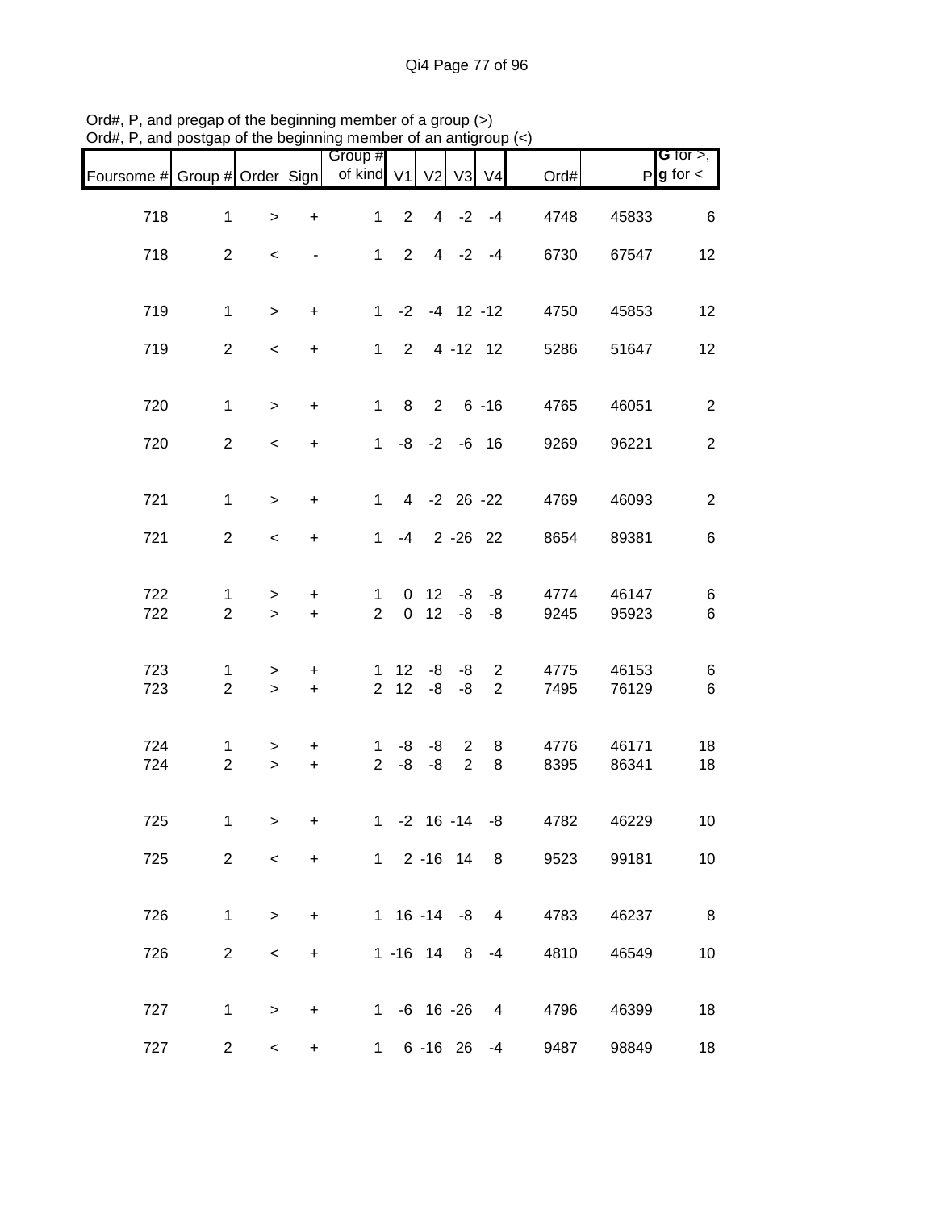| Foursome # Group # Order Sign |                                |                  |                          | Group #<br>of kind V1 V2      |                       |                 |                                  | $V3$ $V4$      | Ord#                  |                | <b>G</b> for $>$ ,<br>$P$ <b>g</b> for $\lt$ |
|-------------------------------|--------------------------------|------------------|--------------------------|-------------------------------|-----------------------|-----------------|----------------------------------|----------------|-----------------------|----------------|----------------------------------------------|
| 718                           | $\mathbf{1}$                   | $\,$             | $\ddot{}$                | $\mathbf{1}$                  | $\overline{2}$        |                 | $4 -2 -4$                        |                | 4748                  | 45833          | 6                                            |
| 718                           | $\overline{2}$                 | $\,<$            | $\overline{\phantom{a}}$ | $1 \quad$                     | $\overline{2}$        |                 | $4 -2 -4$                        |                | 6730                  | 67547          | 12                                           |
| 719                           | $\mathbf{1}$                   | $\geq$           | $\ddot{}$                |                               | $1 -2 -4 12 -12$      |                 |                                  |                | 4750                  | 45853          | 12                                           |
| 719                           | $\overline{2}$                 | $\,<$            | $+$                      |                               | $1 \t2 \t4 - 12 \t12$ |                 |                                  |                | 5286                  | 51647          | 12                                           |
| 720                           | $\mathbf{1}$                   | $\geq$           | $\ddot{}$                | $1 \quad$                     |                       |                 | 8 2 6 -16                        |                | 4765                  | 46051          | $\overline{2}$                               |
| 720                           | $\overline{2}$                 | $\prec$          | $+$                      |                               | $1 - 8 - 2 - 6$ 16    |                 |                                  |                | 9269                  | 96221          | $\overline{2}$                               |
| 721                           | $\mathbf{1}$                   | $\geq$           | $\ddot{}$                |                               | 1 4 -2 26 -22         |                 |                                  |                | 4769                  | 46093          | $\overline{c}$                               |
| 721                           | $\overline{2}$                 | $\,<\,$          | $+$                      |                               | $1 -4 2 -26 22$       |                 |                                  |                | 8654                  | 89381          | 6                                            |
|                               |                                |                  |                          |                               |                       |                 |                                  |                |                       |                |                                              |
| 722<br>722                    | $\mathbf{1}$<br>$\overline{2}$ | $\geq$<br>$\geq$ | $\ddot{}$<br>$+$         | $\mathbf 1$<br>$\overline{2}$ |                       | 0 <sub>12</sub> | $0 \t12 \t-8 \t-8$               | $-8 - -8$      | 4774<br>9245          | 46147<br>95923 | 6<br>6                                       |
| 723                           | $\mathbf 1$                    | $\geq$           | $\pm$                    |                               | $1 \t12 \t-8 \t-8$    |                 |                                  | $\overline{2}$ | 4775                  | 46153          | 6                                            |
| 723                           | $\overline{a}$                 | $\geq$           | $+$                      | 2 <sup>1</sup>                | 12                    | -8              | -8                               | $\overline{2}$ | 7495                  | 76129          | 6                                            |
| 724<br>724                    | 1<br>$\overline{2}$            | $\geq$<br>$\geq$ | $\ddot{}$<br>$+$         | 1<br>$\overline{2}$           | -8<br>-8              | -8<br>-8        | $\overline{2}$<br>$\overline{2}$ | 8<br>8         | 4776<br>8395          | 46171<br>86341 | 18<br>18                                     |
|                               |                                |                  |                          |                               |                       |                 |                                  |                |                       |                |                                              |
| 725                           | $\mathbf{1}$                   | $\geq$           | $\ddot{}$                |                               | $1 - 2 16 - 14 - 8$   |                 |                                  |                | 4782                  | 46229          | 10                                           |
| 725                           | $\overline{2}$                 | $\prec$          | $+$                      |                               |                       |                 |                                  |                | 1 2 -16 14 8<br>9523  | 99181          | 10                                           |
| 726                           | $\mathbf{1}$                   | $\geq$           | $+$                      |                               |                       |                 |                                  |                | 1 16 -14 -8 4 4783    | 46237          | $\overline{\phantom{a}}$ 8                   |
| 726                           | $2^{\circ}$                    | $\,<\,$          | $\ddot{}$                |                               | $1 - 16$ 14 8 $-4$    |                 |                                  |                | 4810                  | 46549          | 10                                           |
| 727                           | $\mathbf{1}$                   | $\geq$           | $\ddot{}$                |                               |                       |                 |                                  |                | 1 -6 16 -26 4<br>4796 | 46399          | 18                                           |
| 727                           | 2 <sup>1</sup>                 | $\,<\,$          | +                        |                               |                       |                 |                                  |                | 1 6 -16 26 -4<br>9487 | 98849          | 18                                           |

Ord#, P, and pregap of the beginning member of a group (>) Ord#, P, and postgap of the beginning member of an antigroup (<)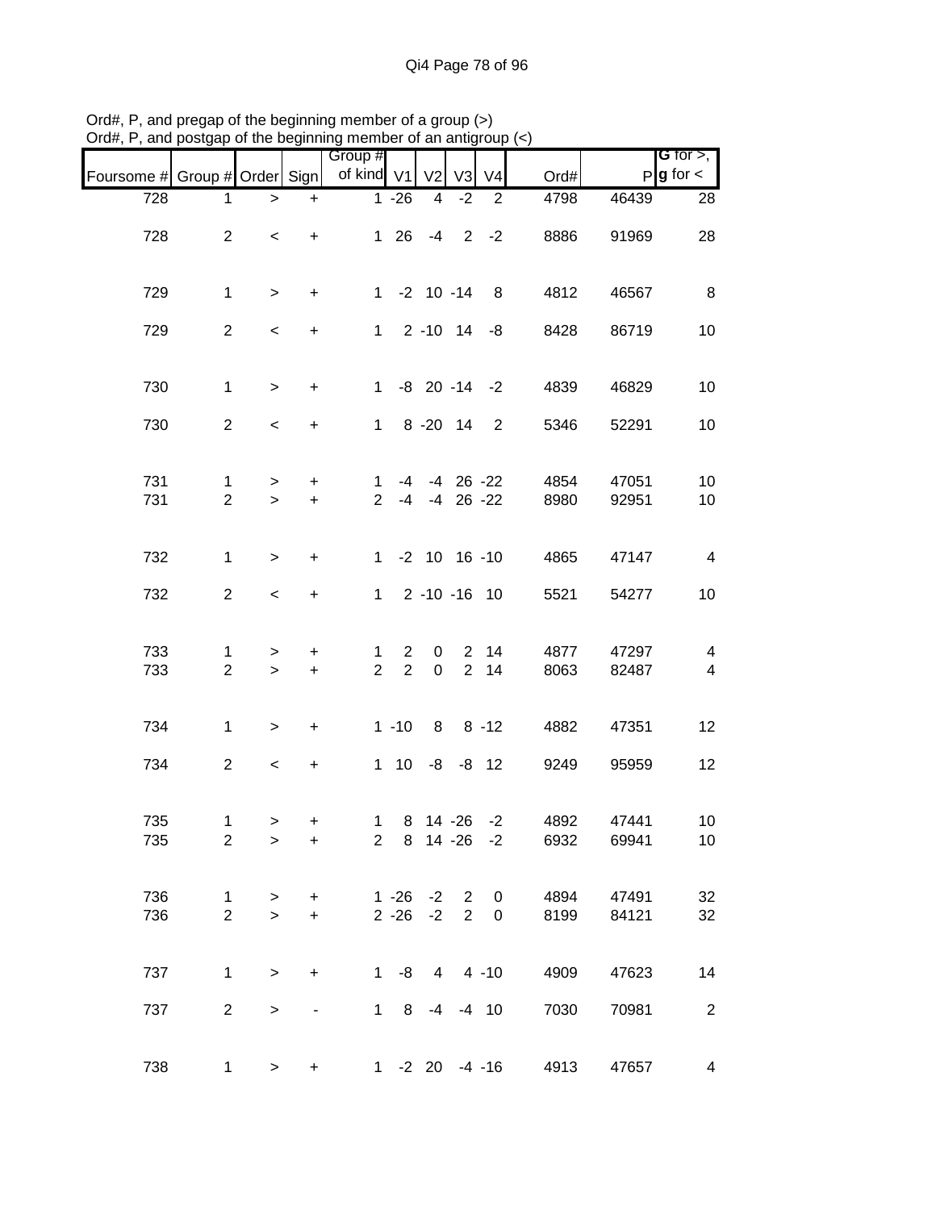|                               |                               |                          |                              | Group #             |                                  |                         |                |                     |              |                | G for $>$ ,                               |
|-------------------------------|-------------------------------|--------------------------|------------------------------|---------------------|----------------------------------|-------------------------|----------------|---------------------|--------------|----------------|-------------------------------------------|
| Foursome # Group # Order Sign |                               |                          |                              | of kind V1          |                                  | V <sub>2</sub>          | V3             | V <sub>4</sub>      | Ord#         |                | $P$ <b>g</b> for $\lt$                    |
| 728                           | 1                             | >                        | $\ddot{}$                    |                     | $1 - 26$                         | 4                       | $-2$           | $\overline{2}$      | 4798         | 46439          | 28                                        |
|                               |                               |                          |                              |                     |                                  |                         |                |                     |              |                |                                           |
| 728                           | $\overline{2}$                | $\,<\,$                  | $\ddot{}$                    |                     | $1 \quad 26$                     | $-4$                    |                | $2 -2$              | 8886         | 91969          | 28                                        |
|                               |                               |                          |                              |                     |                                  |                         |                |                     |              |                |                                           |
| 729                           | $\mathbf{1}$                  | $\,>$                    | $\ddot{}$                    |                     |                                  | $1 - 2 10 - 14$         |                | 8 <sup>8</sup>      | 4812         | 46567          | 8                                         |
|                               |                               |                          |                              |                     |                                  |                         |                |                     |              |                |                                           |
| 729                           | $\overline{a}$                | $\overline{\phantom{a}}$ | $\ddot{}$                    |                     |                                  | $1 \t2 \t-10 \t14 \t-8$ |                |                     | 8428         | 86719          | 10                                        |
|                               |                               |                          |                              |                     |                                  |                         |                |                     |              |                |                                           |
| 730                           | $\mathbf{1}$                  | $\geq$                   | $\ddot{}$                    | $1 \quad$           |                                  |                         |                | $-8$ 20 $-14$ $-2$  | 4839         | 46829          | 10                                        |
|                               |                               |                          |                              |                     |                                  |                         |                |                     |              |                |                                           |
| 730                           | $\overline{a}$                | $\overline{\phantom{a}}$ | $\ddot{}$                    | $1 \quad$           |                                  | 8 - 20 14               |                | $\overline{2}$      | 5346         | 52291          | 10                                        |
|                               |                               |                          |                              |                     |                                  |                         |                |                     |              |                |                                           |
| 731                           | $\mathbf{1}$                  | $\geq$                   | $\ddot{}$                    | $\mathbf{1}$        | $-4$                             |                         |                | $-4$ 26 $-22$       | 4854         | 47051          | 10                                        |
| 731                           | $\overline{2}$                | $\geq$                   | $\ddot{}$                    | $\overline{2}$      | $-4$                             |                         |                | $-4$ 26 $-22$       | 8980         | 92951          | 10                                        |
|                               |                               |                          |                              |                     |                                  |                         |                |                     |              |                |                                           |
|                               |                               |                          |                              |                     |                                  |                         |                |                     |              |                |                                           |
| 732                           | $\mathbf{1}$                  | $\geq$                   | $\ddot{}$                    |                     |                                  | $1 - 2 10 16 - 10$      |                |                     | 4865         | 47147          | $\overline{4}$                            |
| 732                           | $\overline{2}$                | $\overline{\phantom{a}}$ | $\ddot{}$                    |                     |                                  | 1 2 -10 -16 10          |                |                     | 5521         | 54277          | 10                                        |
|                               |                               |                          |                              |                     |                                  |                         |                |                     |              |                |                                           |
|                               |                               |                          |                              |                     |                                  |                         |                |                     |              |                |                                           |
| 733<br>733                    | $\mathbf 1$<br>$\overline{2}$ | ><br>$\geq$              | +<br>$\ddot{}$               | 1<br>$\overline{2}$ | $\overline{2}$<br>$\overline{2}$ | 0<br>$\mathbf 0$        |                | 2 14<br>2 14        | 4877<br>8063 | 47297<br>82487 | $\overline{4}$<br>$\overline{\mathbf{4}}$ |
|                               |                               |                          |                              |                     |                                  |                         |                |                     |              |                |                                           |
|                               |                               |                          |                              |                     |                                  |                         |                |                     |              |                |                                           |
| 734                           | $\mathbf{1}$                  | $\mathbf{I}$             | $\ddot{}$                    |                     | $1 - 10$                         | 8                       |                | $8 - 12$            | 4882         | 47351          | 12                                        |
| 734                           | $\overline{2}$                |                          |                              |                     | $1 \quad 10$                     |                         |                | $-8 - 8 12$         |              |                | 12                                        |
|                               |                               | $\overline{\phantom{a}}$ | $\ddot{}$                    |                     |                                  |                         |                |                     | 9249         | 95959          |                                           |
|                               |                               |                          |                              |                     |                                  |                         |                |                     |              |                |                                           |
| 735                           | 1                             | $\geq$                   | +                            |                     |                                  |                         |                | 1 8 14 -26 -2       | 4892         | 47441          | 10                                        |
| 735                           | $\overline{2}$                | >                        | +                            |                     |                                  |                         |                | 2 8 14 -26 -2       | 6932         | 69941          | 10 <sup>°</sup>                           |
|                               |                               |                          |                              |                     |                                  |                         |                |                     |              |                |                                           |
| 736                           | $\mathbf 1$                   | $\geq$                   | $\ddot{}$                    |                     | $1 - 26$                         |                         | $-2$ 2         | 0                   | 4894         | 47491          | 32                                        |
| 736                           | $\overline{2}$                | $\geq$                   | $+$                          |                     | $2 - 26$                         | $-2$                    | $\overline{2}$ | 0                   | 8199         | 84121          | 32                                        |
|                               |                               |                          |                              |                     |                                  |                         |                |                     |              |                |                                           |
| 737                           |                               |                          |                              |                     | $1 - 8$                          |                         |                | $4 \t 4 \t -10$     |              |                |                                           |
|                               | $\mathbf 1$                   | $\geq$                   | $\ddot{}$                    |                     |                                  |                         |                |                     | 4909         | 47623          | 14                                        |
| 737                           | $\overline{2}$                | $\, > \,$                | $\qquad \qquad \blacksquare$ |                     | $1 \quad 8$                      | $-4$                    |                | $-4$ 10             | 7030         | 70981          | $\overline{c}$                            |
|                               |                               |                          |                              |                     |                                  |                         |                |                     |              |                |                                           |
|                               |                               |                          |                              |                     |                                  |                         |                |                     |              |                |                                           |
| 738                           | $\mathbf{1}$                  | $\geq$                   | $\ddot{}$                    |                     |                                  |                         |                | $1 - 2 20 - 4 - 16$ | 4913         | 47657          | 4                                         |

Ord#, P, and pregap of the beginning member of a group (>) Ord#, P, and postgap of the beginning member of an antigroup (<)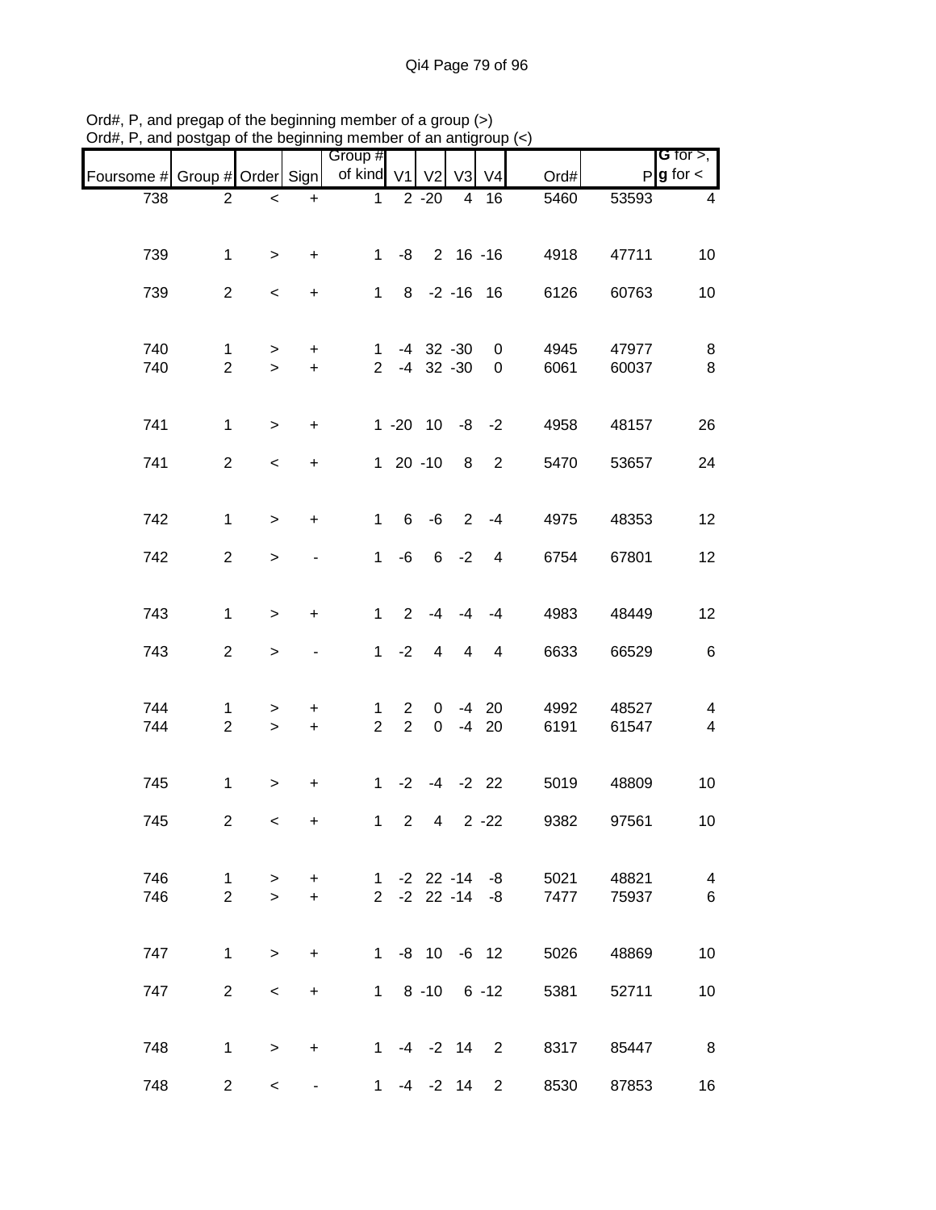|                               |                     |                 |                        | Group #              |                     |                                |                |                  |                    |                | <b>G</b> for $>$ ,           |
|-------------------------------|---------------------|-----------------|------------------------|----------------------|---------------------|--------------------------------|----------------|------------------|--------------------|----------------|------------------------------|
| Foursome # Group # Order Sign |                     |                 |                        | of kind V1           |                     | V <sub>2</sub>                 | V3             | V <sub>4</sub>   | Ord#               |                | $P g$ for $\lt$              |
| 738                           | $\overline{2}$      | $\,<$           | $\ddot{}$              | $\mathbf{1}$         |                     | $2 - 20$                       | $\overline{4}$ | 16               | 5460               | 53593          | $\overline{\mathbf{4}}$      |
|                               |                     |                 |                        |                      |                     |                                |                |                  |                    |                |                              |
| 739                           | $\mathbf{1}$        | $\geq$          | $\ddot{}$              | $\mathbf{1}$         |                     | $-8$ 2 16 $-16$                |                |                  | 4918               | 47711          | 10                           |
| 739                           | $\overline{2}$      | $\,<\,$         | $\ddot{}$              | $\mathbf 1$          |                     | 8 -2 -16 16                    |                |                  | 6126               | 60763          | 10                           |
| 740<br>740                    | 1<br>$\overline{2}$ | ><br>$\geq$     | $\ddot{}$<br>$\ddot{}$ | 1.<br>2 <sup>1</sup> |                     | $-4$ 32 $-30$<br>$-4$ 32 $-30$ |                | 0<br>$\mathbf 0$ | 4945<br>6061       | 47977<br>60037 | 8<br>8                       |
| 741                           | $\mathbf{1}$        | $\,$            | $\ddot{}$              |                      |                     | $1 - 20$ $10 - 8$ $-2$         |                |                  | 4958               | 48157          | 26                           |
| 741                           | $\overline{2}$      | $\,<$           | $\ddot{}$              |                      |                     | $120 - 10$                     | 8 <sup>8</sup> | 2                | 5470               | 53657          | 24                           |
| 742                           | $\mathbf{1}$        | $\geq$          | $\ddot{}$              | $\mathbf{1}$         |                     | $6 - 6$                        | $\overline{2}$ | $-4$             | 4975               | 48353          | 12                           |
| 742                           | $\overline{2}$      | $\,>$           |                        | $\mathbf{1}$         | -6                  |                                | $6 -2$         | $\overline{4}$   | 6754               | 67801          | 12                           |
| 743                           | $\mathbf{1}$        | $\geq$          | $\ddot{}$              | $\mathbf{1}$         | 2                   | $-4$                           | $-4$           | $-4$             | 4983               | 48449          | 12                           |
| 743                           | $\overline{2}$      | $\,>$           |                        | $\mathbf{1}$         | $-2$                | $\overline{4}$                 | 4              | $\overline{4}$   | 6633               | 66529          | $\,6$                        |
| 744<br>744                    | 1<br>$\overline{2}$ | $\,>$<br>$\geq$ | +<br>$\ddot{}$         | 1<br>$\overline{2}$  | 2<br>$\overline{2}$ | 0<br>$\mathbf 0$               | $-4$           | $-4$ 20<br>20    | 4992<br>6191       | 48527<br>61547 | 4<br>$\overline{\mathbf{4}}$ |
| 745                           | $\mathbf{1}$        | $\geq$          | $\ddot{}$              | 1                    |                     | $-2$ $-4$ $-2$ 22              |                |                  | 5019               | 48809          | 10                           |
| 745                           | $\overline{c}$      | $\,<\,$         | $\ddot{}$              | $\mathbf 1$          | $\overline{2}$      | $\overline{4}$                 |                | $2 - 22$         | 9382               | 97561          | 10                           |
| 746                           | $\mathbf{1}$        | $\geq$          | $\ddot{}$              |                      |                     | $1 - 2 22 - 14 - 8$            |                |                  | 5021               | 48821          | $\overline{\mathbf{4}}$      |
| 746                           | $\overline{2}$      | $\geq$          | $+$                    |                      |                     | $2 -2 22 -14$                  |                | -8               | 7477               | 75937          | $6\phantom{1}6$              |
| 747                           | $\mathbf{1}$        | $\geq$          | $\ddot{}$              |                      |                     | $1 - 8 10$                     |                | $-6$ 12          | 5026               | 48869          | 10                           |
| 747                           | $2^{\circ}$         | $\,<\,$         | $+$                    |                      |                     | $1 \t 8 \t -10 \t 6 \t -12$    |                |                  | 5381               | 52711          | 10                           |
| 748                           | $\mathbf 1$         | $\geq$          | $\ddot{}$              |                      |                     | $1 -4 -2 14 2$                 |                |                  | 8317               | 85447          | 8                            |
| 748                           | $\overline{2}$      | $\,<\,$         |                        |                      |                     | 1 -4 -2 14                     |                |                  | 8530<br>$2^{\sim}$ | 87853          | 16                           |

Ord#, P, and pregap of the beginning member of a group (>) Ord#, P, and postgap of the beginning member of an antigroup (<)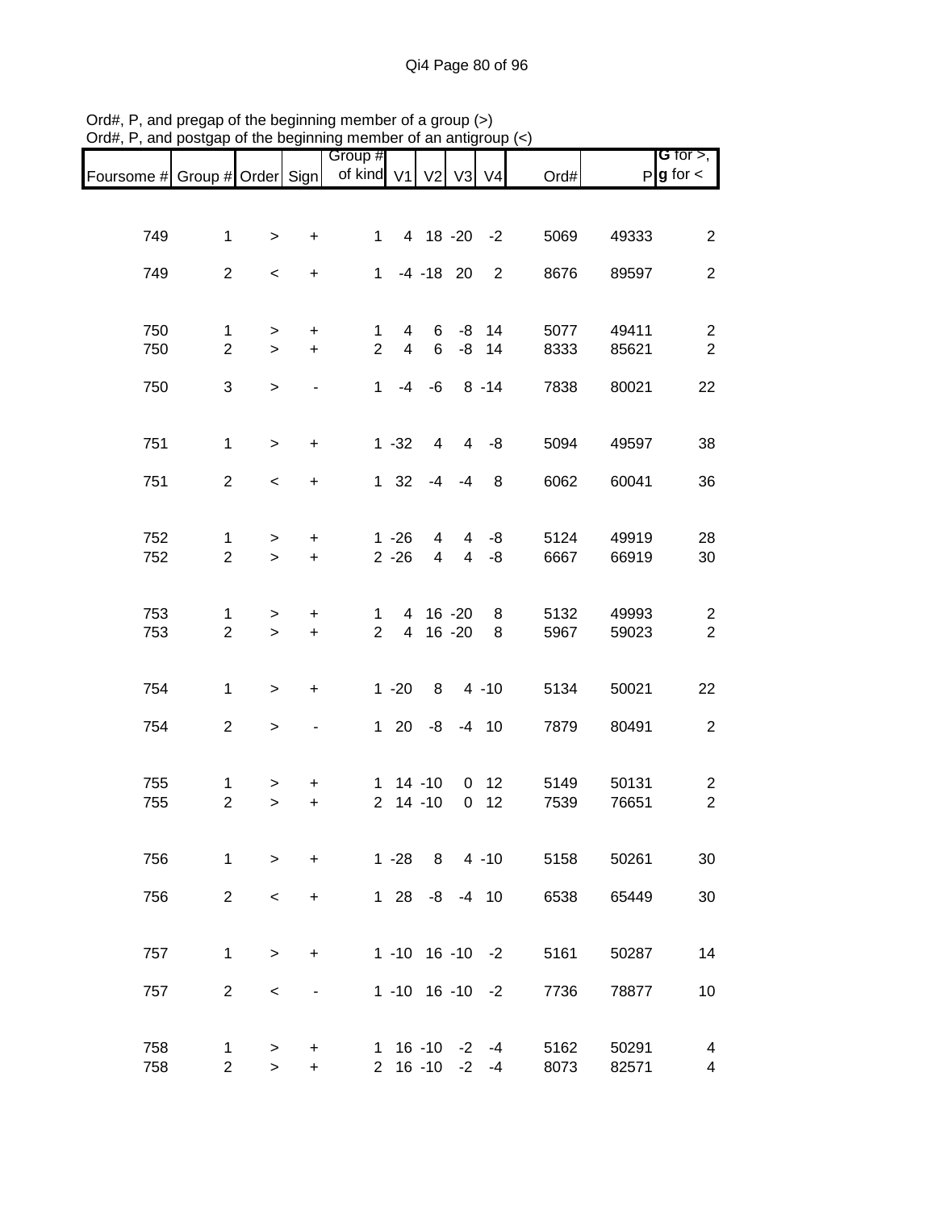|                               |                                |             |                          | Group #                        |                      |                        |                                  |                           |              |                | <b>G</b> for $>$ ,           |
|-------------------------------|--------------------------------|-------------|--------------------------|--------------------------------|----------------------|------------------------|----------------------------------|---------------------------|--------------|----------------|------------------------------|
| Foursome # Group # Order Sign |                                |             |                          | of kind V1 V2 V3 V4            |                      |                        |                                  |                           | Ord#         |                | $P g$ for $\lt$              |
|                               |                                |             |                          |                                |                      |                        |                                  |                           |              |                |                              |
|                               |                                |             |                          |                                |                      |                        |                                  |                           |              |                |                              |
| 749                           | $\mathbf{1}$                   | $\geq$      | $\ddot{}$                |                                | $1 \quad$            | 4 18 -20 -2            |                                  |                           | 5069         | 49333          | $\overline{2}$               |
| 749                           | $\overline{2}$                 | $\,<$       | $\ddot{}$                | $\mathbf 1$                    |                      | $-4 - 18$ 20           |                                  | 2                         | 8676         | 89597          | $\overline{2}$               |
|                               |                                |             |                          |                                |                      |                        |                                  |                           |              |                |                              |
|                               |                                |             |                          |                                |                      |                        |                                  |                           |              |                |                              |
| 750<br>750                    | $\mathbf{1}$<br>$\overline{2}$ | $\, > \,$   | $\ddot{}$<br>$+$         | $\mathbf{1}$<br>$\overline{2}$ | 4<br>$\overline{4}$  | 6<br>6                 |                                  | $-8$ 14<br>$-8$ 14        | 5077<br>8333 | 49411<br>85621 | $\overline{c}$<br>$\sqrt{2}$ |
|                               |                                | $\geq$      |                          |                                |                      |                        |                                  |                           |              |                |                              |
| 750                           | 3                              | $\geq$      |                          |                                | $1 -4 -6$            |                        |                                  | $8 - 14$                  | 7838         | 80021          | 22                           |
|                               |                                |             |                          |                                |                      |                        |                                  |                           |              |                |                              |
|                               |                                |             |                          |                                |                      |                        |                                  |                           |              |                |                              |
| 751                           | $\mathbf{1}$                   | $\geq$      | $\ddot{}$                |                                | $1 - 32$             | 4                      |                                  | $4 - 8$                   | 5094         | 49597          | 38                           |
| 751                           | $\overline{2}$                 | $\,<$       | $\ddot{}$                |                                | $1 \quad 32$         |                        | $-4 - 4$                         | 8                         | 6062         | 60041          | 36                           |
|                               |                                |             |                          |                                |                      |                        |                                  |                           |              |                |                              |
|                               |                                |             |                          |                                |                      |                        |                                  |                           |              |                |                              |
| 752<br>752                    | $\mathbf{1}$<br>$\overline{2}$ | $\geq$      | $\ddot{}$<br>$\ddot{}$   |                                | $1 - 26$<br>$2 - 26$ | $\overline{4}$<br>4    | $\overline{4}$<br>$\overline{4}$ | -8<br>-8                  | 5124<br>6667 | 49919<br>66919 | 28<br>30                     |
|                               |                                | $\geq$      |                          |                                |                      |                        |                                  |                           |              |                |                              |
|                               |                                |             |                          |                                |                      |                        |                                  |                           |              |                |                              |
| 753                           | 1                              | $\geq$      | $\ddot{}$                | $\mathbf{1}$                   |                      | 4 16 -20               |                                  | 8                         | 5132         | 49993          | $\overline{2}$               |
| 753                           | $\overline{2}$                 | $\geq$      | $\ddot{}$                | $\overline{2}$                 |                      | 4 16 -20               |                                  | 8                         | 5967         | 59023          | $\overline{2}$               |
|                               |                                |             |                          |                                |                      |                        |                                  |                           |              |                |                              |
| 754                           | $\mathbf{1}$                   | $\geq$      | $\ddot{}$                |                                | $1 - 20$             | 8                      |                                  | $4 - 10$                  | 5134         | 50021          | 22                           |
|                               |                                |             |                          |                                |                      |                        |                                  |                           |              |                |                              |
| 754                           | $\overline{2}$                 | $\geq$      |                          |                                | $1 \quad 20$         | -8                     |                                  | $-4$ 10                   | 7879         | 80491          | $\overline{c}$               |
|                               |                                |             |                          |                                |                      |                        |                                  |                           |              |                |                              |
| 755                           | 1                              | $\,$        | +                        |                                | $1 14 - 10$          |                        |                                  | 0 <sub>12</sub>           | 5149         | 50131          | $\overline{c}$               |
| 755                           | $\overline{2}$                 | $\geq$      | $\ddot{}$                | $\overline{2}$                 |                      | $14 - 10$              | $\mathbf 0$                      | 12                        | 7539         | 76651          | $\overline{c}$               |
|                               |                                |             |                          |                                |                      |                        |                                  |                           |              |                |                              |
|                               |                                |             |                          |                                |                      |                        |                                  |                           |              |                |                              |
| 756                           | $\mathbf{1}$                   | $\geq$      | $\ddot{}$                |                                |                      |                        |                                  | 1 -28 8 4 -10             | 5158         | 50261          | 30                           |
| 756                           | $2^{\circ}$                    | $\prec$     | $\ddot{}$                |                                |                      | $128 - 8 - 410$        |                                  |                           | 6538         | 65449          | 30                           |
|                               |                                |             |                          |                                |                      |                        |                                  |                           |              |                |                              |
|                               |                                |             |                          |                                |                      |                        |                                  |                           |              |                |                              |
| 757                           | $\mathbf{1}$                   | $\geq$      | $\ddot{}$                |                                |                      |                        |                                  | $1 - 10$ $16 - 10$ $-2$   | 5161         | 50287          | 14                           |
| 757                           | $\overline{2}$                 | $\,<\,$     | $\overline{\phantom{0}}$ |                                |                      | $1 - 10$ 16 $-10$ $-2$ |                                  |                           | 7736         | 78877          | 10                           |
|                               |                                |             |                          |                                |                      |                        |                                  |                           |              |                |                              |
|                               |                                |             |                          |                                |                      |                        |                                  |                           |              |                |                              |
| 758<br>758                    | 1<br>$\overline{2}$            | ><br>$\geq$ | +<br>$+$                 |                                |                      | $2 \t16 - 10 -2$       |                                  | $1 \t16 - 10 -2 -4$<br>-4 | 5162<br>8073 | 50291<br>82571 | 4<br>4                       |
|                               |                                |             |                          |                                |                      |                        |                                  |                           |              |                |                              |

Ord#, P, and pregap of the beginning member of a group (>) Ord#, P, and postgap of the beginning member of an antigroup (<)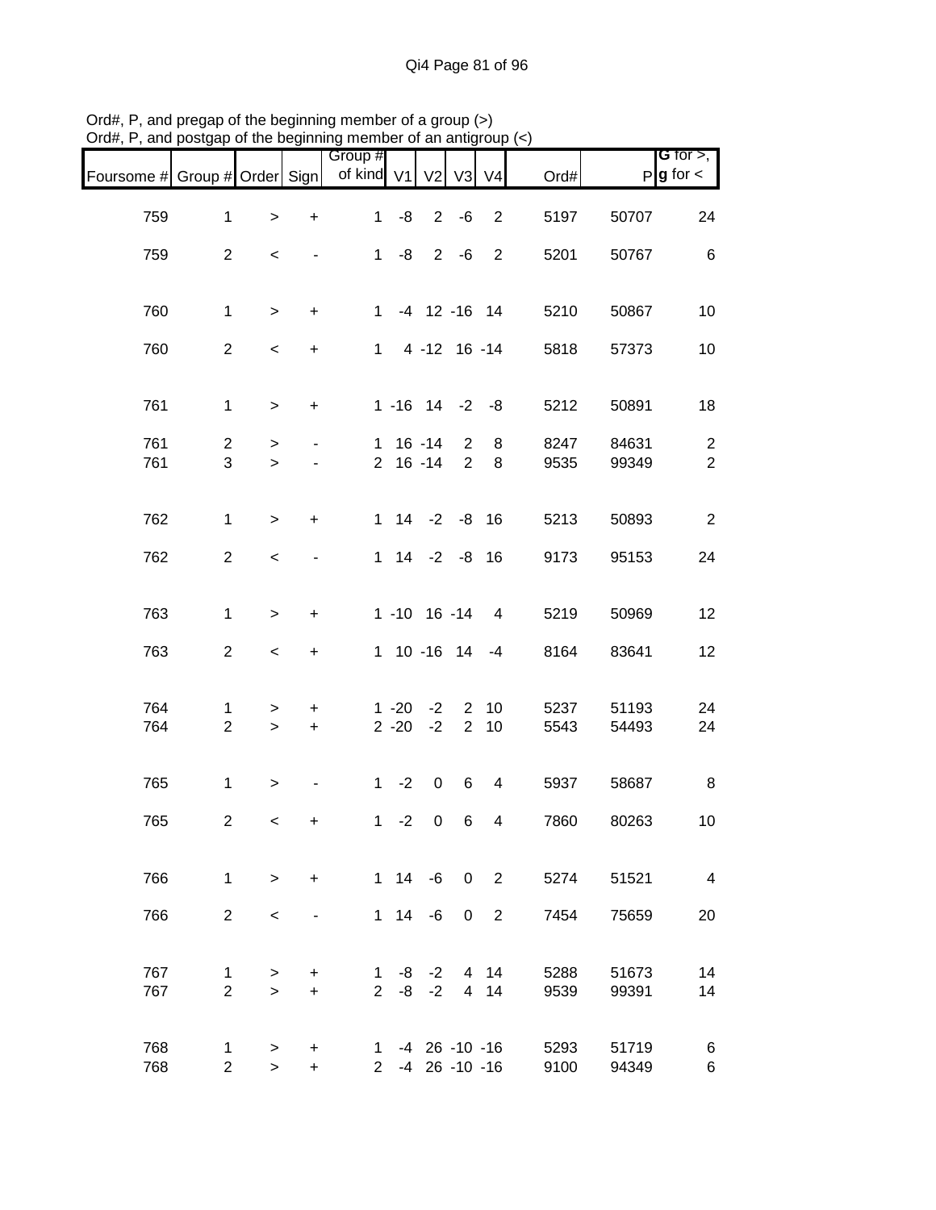| Foursome # Group # Order Sign |                     |                          |                          | Group #<br>of kind V1 |          | V <sub>2</sub> | V3                      | V <sub>4</sub>           | Ord#         |                | G for $>$ ,<br>$P$ <b>g</b> for $\lt$ |
|-------------------------------|---------------------|--------------------------|--------------------------|-----------------------|----------|----------------|-------------------------|--------------------------|--------------|----------------|---------------------------------------|
| 759                           | $\mathbf{1}$        | $\,$                     | $\ddot{}$                | $\mathbf{1}$          | -8       |                | $2 - 6$                 | $\overline{2}$           | 5197         | 50707          | 24                                    |
| 759                           | $\overline{2}$      | $\,<$                    | $\overline{\phantom{a}}$ | 1                     | -8       |                | $2 - 6$                 | 2                        | 5201         | 50767          | $\,6$                                 |
| 760                           | $\mathbf{1}$        | $\geq$                   | $+$                      |                       |          |                |                         | 1 -4 12 -16 14           | 5210         | 50867          | 10                                    |
| 760                           | $\overline{2}$      | $\,<$                    | $\ddot{}$                |                       |          |                |                         | $1 4 - 12 16 - 14$       | 5818         | 57373          | 10                                    |
| 761                           | $\mathbf{1}$        | $\,>$                    | $\ddot{}$                |                       |          |                |                         | $1 - 16$ $14$ $-2$ $-8$  | 5212         | 50891          | 18                                    |
| 761                           | $\overline{c}$      | $\,>$                    | $\blacksquare$           |                       |          | $1 \t16 - 14$  | $\overline{2}$          | 8                        | 8247         | 84631          | $\overline{c}$                        |
| 761                           | 3                   | $\geq$                   |                          |                       |          | $2 \t16 - 14$  | $\overline{2}$          | 8                        | 9535         | 99349          | $\overline{2}$                        |
| 762                           | $\mathbf{1}$        | $\geq$                   | $\ddot{}$                |                       |          |                | $1$ $14$ $-2$ $-8$ $16$ |                          | 5213         | 50893          | $\overline{2}$                        |
| 762                           | $\overline{2}$      | $\,<$                    | $\overline{\phantom{a}}$ |                       |          |                | $1$ $14$ $-2$ $-8$ $16$ |                          | 9173         | 95153          | 24                                    |
| 763                           | $\mathbf{1}$        | $\geq$                   | $\ddot{}$                |                       |          |                |                         | $1 - 10$ 16 $-14$ 4      | 5219         | 50969          | 12                                    |
| 763                           | $\overline{2}$      | $\overline{\phantom{a}}$ | $\ddot{}$                |                       |          |                |                         | $1 10 - 16 14 - 4$       | 8164         | 83641          | 12                                    |
| 764                           | 1                   | $\, > \,$                | $\ddot{}$                |                       | $1 - 20$ | $-2$           | $2^{\circ}$             | 10                       | 5237         | 51193          | 24                                    |
| 764                           | $\overline{2}$      | $\,$                     | $\ddot{}$                |                       | $2 - 20$ | $-2$           | $\overline{2}$          | 10                       | 5543         | 54493          | 24                                    |
| 765                           | $\mathbf{1}$        | $\,$                     |                          |                       | $1 -2$   | $\mathbf 0$    | 6                       | $\overline{4}$           | 5937         | 58687          | 8                                     |
| 765                           | $\overline{c}$      | $\,<$                    | +                        | 1                     | $-2$     | $\mathbf 0$    | 6                       | 4                        | 7860         | 80263          | 10                                    |
| 766                           | $\mathbf{1}$        | $\geq$                   | $+$                      |                       |          |                |                         | $1 14 -6 0 2$            | 5274         | 51521          | $\overline{4}$                        |
| 766                           | $\overline{2}$      | $\,<\,$                  |                          |                       |          | $1 \t14 \t-6$  |                         | 0 <sub>2</sub>           | 7454         | 75659          | 20                                    |
| 767<br>767                    | 1<br>$\overline{2}$ | $\, > \,$                | +<br>$+$                 |                       |          | $2 -8 -2$      |                         | $1 - 8 - 2$ 4 14<br>4 14 | 5288<br>9539 | 51673<br>99391 | 14<br>14                              |
|                               |                     | $\geq$                   |                          |                       |          |                |                         |                          |              |                |                                       |
| 768<br>768                    | 1<br>$\overline{2}$ | $\geq$<br>$\geq$         | $\pm$<br>$+$             |                       |          |                | 2 -4 26 -10 -16         | $1 - 4$ 26 -10 -16       | 5293<br>9100 | 51719<br>94349 | 6<br>6                                |

Ord#, P, and pregap of the beginning member of a group (>) Ord#, P, and postgap of the beginning member of an antigroup (<)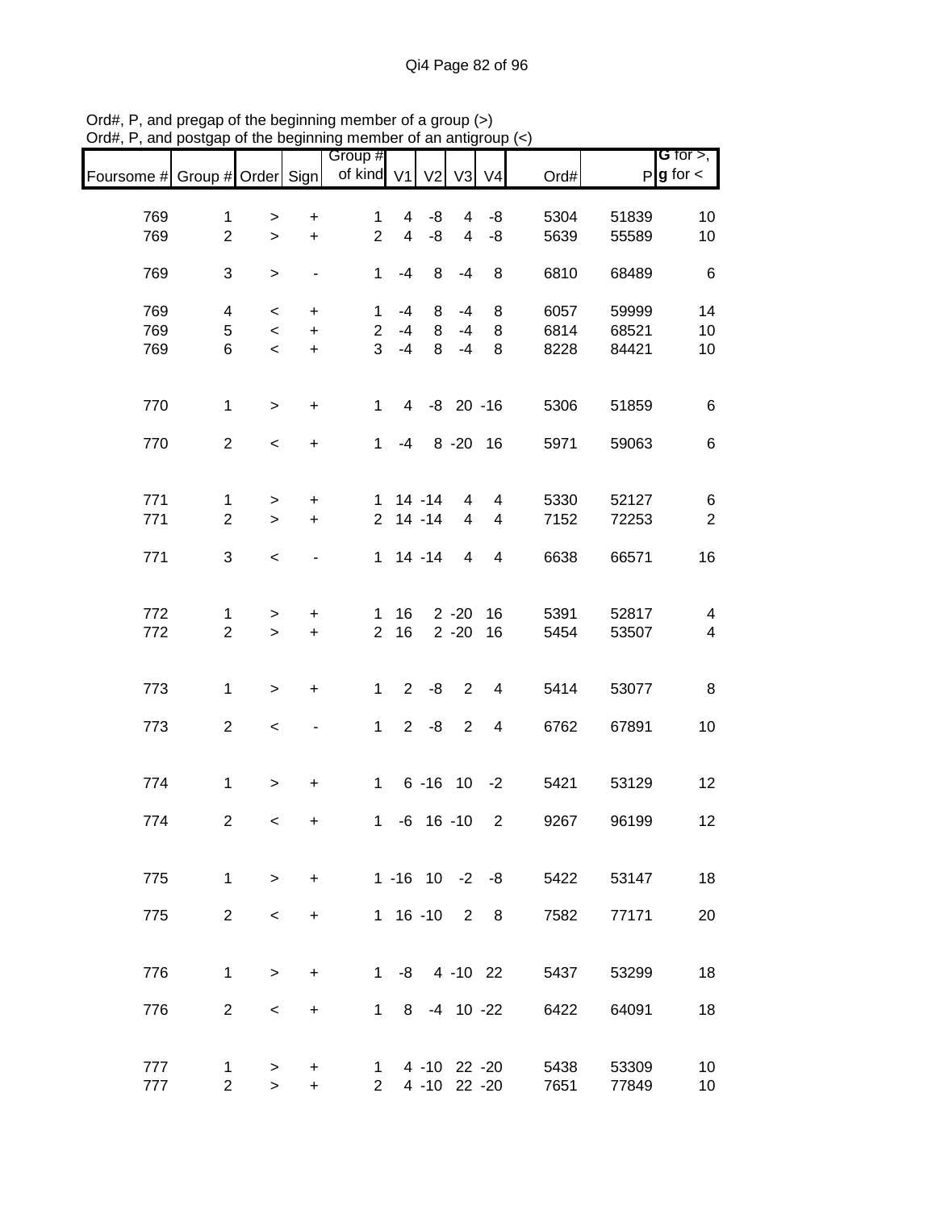|                               |                                |                     |                        | Group #<br>of kind V1          |                                  | V <sub>2</sub> | V <sub>3</sub>      | V <sub>4</sub> | Ord#                          |                | G for $>$ ,<br>$P$ <b>g</b> for $\lt$ |
|-------------------------------|--------------------------------|---------------------|------------------------|--------------------------------|----------------------------------|----------------|---------------------|----------------|-------------------------------|----------------|---------------------------------------|
| Foursome # Group # Order Sign |                                |                     |                        |                                |                                  |                |                     |                |                               |                |                                       |
|                               |                                |                     |                        |                                |                                  |                |                     |                |                               |                |                                       |
| 769<br>769                    | $\mathbf{1}$<br>$\overline{2}$ | $\,$<br>$\geq$      | $\ddot{}$<br>$\ddot{}$ | $\mathbf{1}$<br>$\overline{2}$ | $\overline{4}$<br>$\overline{4}$ | -8<br>-8       | 4<br>$\overline{4}$ | -8<br>-8       | 5304<br>5639                  | 51839<br>55589 | 10                                    |
|                               |                                |                     |                        |                                |                                  |                |                     |                |                               |                | 10                                    |
| 769                           | 3                              | $\,>$               | $\blacksquare$         | $\mathbf 1$                    | $-4$                             | 8              | $-4$                | 8              | 6810                          | 68489          | $6\phantom{1}6$                       |
|                               |                                |                     |                        |                                |                                  |                |                     |                |                               |                |                                       |
| 769                           | 4                              | $\,<\,$             | $\ddot{}$              | $\mathbf 1$                    | -4                               | 8              | -4                  | 8              | 6057                          | 59999          | 14                                    |
| 769                           | 5                              | $\,<$               | $+$                    | $\overline{2}$                 | $-4$                             | 8              | $-4$                | 8              | 6814                          | 68521          | 10                                    |
| 769                           | 6                              | $\prec$             | $+$                    | 3                              | $-4$                             | 8              | $-4$                | 8              | 8228                          | 84421          | 10                                    |
|                               |                                |                     |                        |                                |                                  |                |                     |                |                               |                |                                       |
|                               |                                |                     |                        |                                |                                  |                |                     |                |                               |                |                                       |
| 770                           | $\mathbf{1}$                   | $\,$                | $\ddot{}$              | $\mathbf{1}$                   |                                  | 4 -8 20 -16    |                     |                | 5306                          | 51859          | $\,6$                                 |
| 770                           | $\overline{2}$                 |                     |                        | $\mathbf{1}$                   | -4                               |                | 8 - 20 16           |                | 5971                          | 59063          | 6                                     |
|                               |                                | $\,<$               | $\ddot{}$              |                                |                                  |                |                     |                |                               |                |                                       |
|                               |                                |                     |                        |                                |                                  |                |                     |                |                               |                |                                       |
| 771                           | $\mathbf 1$                    | $\, > \,$           | $\ddot{}$              | $\mathbf{1}$                   |                                  | $14 - 14$      | 4                   | 4              | 5330                          | 52127          | 6                                     |
| 771                           | $\overline{2}$                 | $\geq$              | $\ddot{}$              |                                |                                  | $2$ 14 -14     | $\overline{4}$      | $\overline{4}$ | 7152                          | 72253          | $\overline{2}$                        |
|                               |                                |                     |                        |                                |                                  |                |                     |                |                               |                |                                       |
| 771                           | 3                              | $\,<$               |                        |                                |                                  | $1 14 - 14$    | $\overline{4}$      | $\overline{4}$ | 6638                          | 66571          | 16                                    |
|                               |                                |                     |                        |                                |                                  |                |                     |                |                               |                |                                       |
|                               |                                |                     |                        |                                |                                  |                |                     |                |                               |                |                                       |
| 772                           | 1                              | >                   | +                      | 1                              | 16                               |                | $2 - 20$            | 16             | 5391                          | 52817          | $\overline{\mathbf{4}}$               |
| 772                           | $\overline{2}$                 | $\geq$              | $\ddot{}$              | $\overline{2}$                 | 16                               |                | $2 - 20$            | 16             | 5454                          | 53507          | $\overline{\mathcal{A}}$              |
|                               |                                |                     |                        |                                |                                  |                |                     |                |                               |                |                                       |
| 773                           | $\mathbf{1}$                   | $\mathbf{I}$        | $\ddot{}$              | $\mathbf 1$                    | $2^{\circ}$                      | -8             | $\overline{2}$      | 4              | 5414                          | 53077          | 8                                     |
|                               |                                |                     |                        |                                |                                  |                |                     |                |                               |                |                                       |
| 773                           | $\overline{2}$                 | $\,<$               |                        | $\mathbf{1}$                   | $2^{\circ}$                      | -8             | 2                   | $\overline{4}$ | 6762                          | 67891          | 10                                    |
|                               |                                |                     |                        |                                |                                  |                |                     |                |                               |                |                                       |
|                               |                                |                     |                        |                                |                                  |                |                     |                |                               |                |                                       |
| 774                           | $\mathbf{1}$                   | $\,>$               | $\ddot{}$              | $\mathbf{1}$                   |                                  | $6 - 16$ 10    |                     | $-2$           | 5421                          | 53129          | 12                                    |
|                               |                                |                     |                        |                                |                                  |                |                     |                |                               |                |                                       |
| 774                           | $\overline{c}$                 | $\,<\,$             | $\ddot{}$              | 1                              |                                  | $-6$ 16 $-10$  |                     | 2              | 9267                          | 96199          | 12                                    |
|                               |                                |                     |                        |                                |                                  |                |                     |                |                               |                |                                       |
| 775                           | $\mathbf{1}$                   | $\geq$              | $+$                    |                                |                                  |                |                     |                | $1 - 16$ $10 - 2 - 8$<br>5422 | 53147          | 18                                    |
|                               |                                |                     |                        |                                |                                  |                |                     |                |                               |                |                                       |
| 775                           | $2^{\circ}$                    | $\lt$               | $+$                    |                                |                                  | 1 16 -10 2 8   |                     |                | 7582                          | 77171          | 20                                    |
|                               |                                |                     |                        |                                |                                  |                |                     |                |                               |                |                                       |
|                               |                                |                     |                        |                                |                                  |                |                     |                |                               |                |                                       |
| 776                           | $\mathbf{1}$                   | $\geq$              | $+$                    |                                |                                  |                |                     |                | 1 -8 4 -10 22<br>5437         | 53299          | 18                                    |
|                               |                                |                     |                        |                                |                                  |                |                     |                |                               |                |                                       |
| 776                           | $\overline{2}$                 | $\,<\,$             | $\pm$                  |                                |                                  |                |                     |                | 1 8 -4 10 -22<br>6422         | 64091          | 18                                    |
|                               |                                |                     |                        |                                |                                  |                |                     |                |                               |                |                                       |
|                               |                                |                     |                        |                                |                                  | 1 4 -10 22 -20 |                     |                |                               |                |                                       |
| 777<br>777                    | 1<br>2 <sup>7</sup>            | $\, > \,$<br>$\geq$ | $\ddot{}$<br>$+$       |                                |                                  | 2 4 -10 22 -20 |                     |                | 5438<br>7651                  | 53309<br>77849 | 10<br>10                              |
|                               |                                |                     |                        |                                |                                  |                |                     |                |                               |                |                                       |

Ord#, P, and pregap of the beginning member of a group (>) Ord#, P, and postgap of the beginning member of an antigroup (<)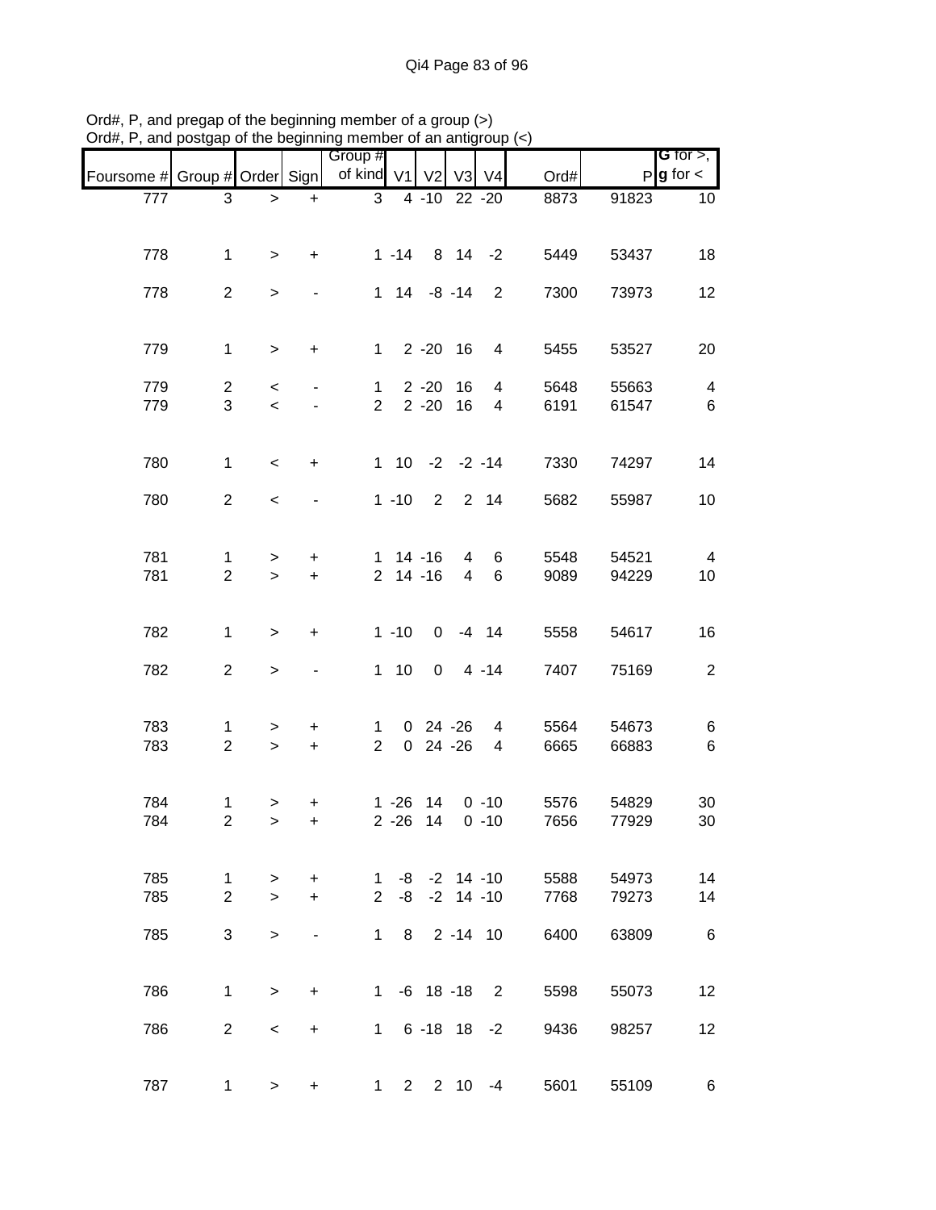|                               |                                |                     |                          | Group #             |                |                           |                     |                            |              |                | <b>G</b> for $>$ ,      |
|-------------------------------|--------------------------------|---------------------|--------------------------|---------------------|----------------|---------------------------|---------------------|----------------------------|--------------|----------------|-------------------------|
| Foursome # Group # Order Sign |                                |                     |                          | of kind V1          |                | V <sub>2</sub>            |                     | V3 V4                      | Ord#         |                | $P$ <b>g</b> for $\lt$  |
| 777                           | 3                              | $\,>$               | $\ddot{}$                | 3                   |                | 4 -10 22 -20              |                     |                            | 8873         | 91823          | 10                      |
|                               |                                |                     |                          |                     |                |                           |                     |                            |              |                |                         |
|                               |                                |                     |                          |                     |                | $1 - 14$ 8 14 $-2$        |                     |                            | 5449         |                | 18                      |
| 778                           | 1                              | $\, > \,$           | $\ddot{}$                |                     |                |                           |                     |                            |              | 53437          |                         |
| 778                           | $\overline{2}$                 | $\,>$               |                          |                     |                | $1 \t14 \t-8 \t-14$       |                     | $\overline{2}$             | 7300         | 73973          | 12                      |
|                               |                                |                     |                          |                     |                |                           |                     |                            |              |                |                         |
|                               |                                |                     |                          |                     |                |                           |                     |                            |              |                |                         |
| 779                           | $\mathbf{1}$                   | $\geq$              | $\ddot{}$                |                     |                | $1 \quad 2 - 20 \quad 16$ |                     | 4                          | 5455         | 53527          | 20                      |
| 779                           | $\overline{2}$                 | $\,<\,$             |                          | $\mathbf 1$         |                | $2 - 20$                  | 16                  | 4                          | 5648         | 55663          | $\overline{\mathbf{4}}$ |
| 779                           | 3                              | $\,<$               | $\overline{\phantom{a}}$ | $\overline{2}$      |                | $2 - 20$                  | 16                  | 4                          | 6191         | 61547          | $\,6\,$                 |
|                               |                                |                     |                          |                     |                |                           |                     |                            |              |                |                         |
| 780                           | 1                              |                     |                          |                     |                | $1$ 10 $-2$ $-2$ $-14$    |                     |                            | 7330         |                | 14                      |
|                               |                                | $\,<$               | $\ddot{}$                |                     |                |                           |                     |                            |              | 74297          |                         |
| 780                           | $\overline{2}$                 | $\,<$               |                          |                     |                | $1 - 10$ 2 2 14           |                     |                            | 5682         | 55987          | 10                      |
|                               |                                |                     |                          |                     |                |                           |                     |                            |              |                |                         |
|                               |                                |                     |                          |                     |                |                           |                     |                            |              |                |                         |
| 781<br>781                    | 1<br>$\overline{2}$            | $\, > \,$<br>$\geq$ | +<br>$\ddot{}$           | 1.                  |                | $14 - 16$<br>$2$ 14 -16   | 4<br>$\overline{4}$ | 6<br>6                     | 5548<br>9089 | 54521<br>94229 | $\overline{4}$<br>10    |
|                               |                                |                     |                          |                     |                |                           |                     |                            |              |                |                         |
|                               |                                |                     |                          |                     |                |                           |                     |                            |              |                |                         |
| 782                           | $\mathbf{1}$                   | $\,$                | $\ddot{}$                |                     | $1 - 10$       | $\overline{0}$            |                     | $-4$ 14                    | 5558         | 54617          | 16                      |
|                               |                                |                     |                          |                     |                |                           |                     |                            |              |                |                         |
| 782                           | $\overline{a}$                 | $\, >$              |                          |                     | $1 \quad 10$   | $\mathbf 0$               |                     | $4 - 14$                   | 7407         | 75169          | $\sqrt{2}$              |
|                               |                                |                     |                          |                     |                |                           |                     |                            |              |                |                         |
| 783                           | 1                              | $\, > \,$           | +                        | 1                   |                | $0$ 24 -26                |                     | 4                          | 5564         | 54673          | 6                       |
| 783                           | $\overline{2}$                 | $\,$                | $\ddot{}$                | $\overline{2}$      | $\overline{0}$ |                           | 24 - 26             | 4                          | 6665         | 66883          | $\,6\,$                 |
|                               |                                |                     |                          |                     |                |                           |                     |                            |              |                |                         |
| 784                           | 1                              | >                   | +                        |                     |                | $1 - 26$ 14               |                     | $0 - 10$                   | 5576         | 54829          | 30                      |
| 784                           | $\overline{c}$                 | $\, >$              | $\ddot{}$                |                     | $2 - 26$       | 14                        |                     | $0 - 10$                   | 7656         | 77929          | 30                      |
|                               |                                |                     |                          |                     |                |                           |                     |                            |              |                |                         |
|                               |                                |                     |                          |                     |                |                           |                     |                            |              |                |                         |
| 785<br>785                    | $\mathbf{1}$<br>$\overline{2}$ | $\, > \,$<br>$\geq$ | $\ddot{}$<br>$+$         | 1<br>$\overline{2}$ | -8             | $-8$ $-2$ 14 $-10$        | $-2$ 14 $-10$       |                            | 5588<br>7768 | 54973<br>79273 | 14<br>14                |
|                               |                                |                     |                          |                     |                |                           |                     |                            |              |                |                         |
| 785                           | 3                              | $\geq$              | -                        | $\mathbf{1}$        |                | 8 2 - 14 10               |                     |                            | 6400         | 63809          | 6                       |
|                               |                                |                     |                          |                     |                |                           |                     |                            |              |                |                         |
|                               |                                |                     |                          |                     |                |                           |                     |                            |              |                |                         |
| 786                           | $\mathbf{1}$                   | $\,>$               | $\ddot{}$                |                     |                | $1 - 6$ 18 - 18           |                     | $\overline{\phantom{0}}^2$ | 5598         | 55073          | 12                      |
| 786                           | $\overline{2}$                 | $\,<\,$             | $\ddot{}$                | 1                   |                | $6 - 18$ 18 $-2$          |                     |                            | 9436         | 98257          | 12                      |
|                               |                                |                     |                          |                     |                |                           |                     |                            |              |                |                         |
|                               |                                |                     |                          |                     |                |                           |                     |                            |              |                |                         |
| 787                           | 1                              | $\geq$              | $\ddot{}$                | 1                   | $2^{\circ}$    |                           |                     | $2 \t10 \t-4$              | 5601         | 55109          | 6                       |

Ord#, P, and pregap of the beginning member of a group (>) Ord#, P, and postgap of the beginning member of an antigroup (<)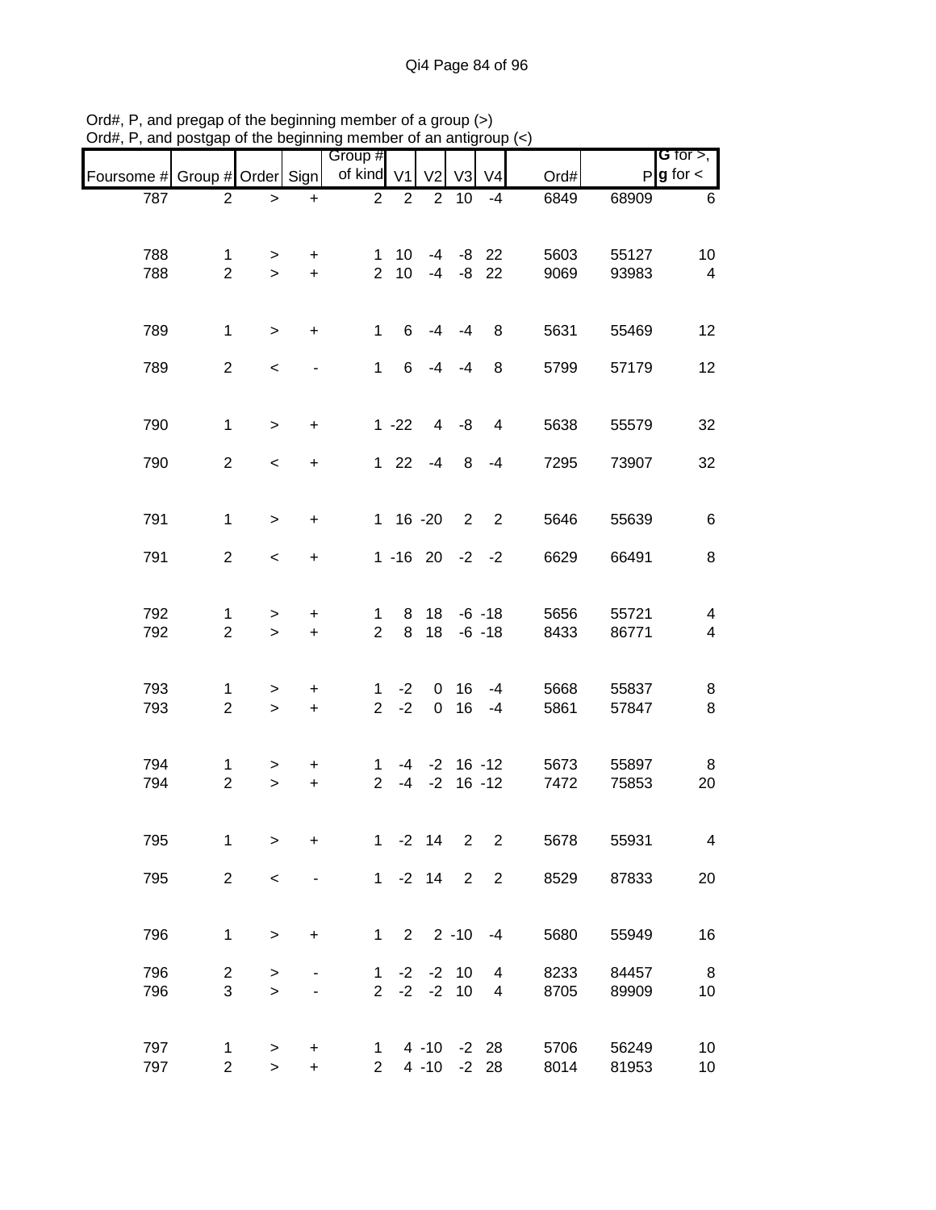|                               |                                  |                |                  | or the beginning member or an amign |                 |                 |                    |                         |              |                |                                              |
|-------------------------------|----------------------------------|----------------|------------------|-------------------------------------|-----------------|-----------------|--------------------|-------------------------|--------------|----------------|----------------------------------------------|
| Foursome # Group # Order Sign |                                  |                |                  | Group #<br>of kind V1               |                 | V <sub>2</sub>  | V <sub>3</sub>     | V <sub>4</sub>          | Ord#         |                | <b>G</b> for $>$ ,<br>$P$ <b>g</b> for $\lt$ |
| 787                           | $\overline{2}$                   | $\, > \,$      | $\ddot{}$        | $\overline{2}$                      | $\overline{2}$  | $\overline{2}$  | 10                 | $-4$                    | 6849         | 68909          | 6                                            |
|                               |                                  |                |                  |                                     |                 |                 |                    |                         |              |                |                                              |
| 788                           | 1<br>$\overline{2}$              | >              | $\ddot{}$        | $\mathbf 1$<br>$\overline{2}$       | 10 <sup>°</sup> | $-4$            |                    | $-8$ 22                 | 5603         | 55127          | 10                                           |
| 788                           |                                  | $\geq$         | $+$              |                                     | 10 <sup>1</sup> | $-4$            | -8                 | 22                      | 9069         | 93983          | 4                                            |
| 789                           | $\mathbf{1}$                     | $\, > \,$      | $\ddot{}$        | $\mathbf{1}$                        | 6               | $-4$            | $-4$               | 8                       | 5631         | 55469          | 12                                           |
| 789                           | $\overline{2}$                   | $\,<$          |                  | $\mathbf{1}$                        | 6               | $-4$            | $-4$               | 8                       | 5799         | 57179          | 12                                           |
| 790                           | $\mathbf{1}$                     | $\,>$          | $\ddot{}$        |                                     | $1 - 22$        | $\overline{4}$  | -8                 | $\overline{\mathbf{4}}$ | 5638         | 55579          | 32                                           |
| 790                           | $\overline{2}$                   | $\,<$          | $\ddot{}$        |                                     | $122$           | $-4$            | 8                  | $-4$                    | 7295         | 73907          | 32                                           |
| 791                           | $\mathbf{1}$                     | $\geq$         | $\ddot{}$        |                                     | $1 16 - 20$     |                 | $\overline{2}$     | $\overline{2}$          | 5646         | 55639          | 6                                            |
| 791                           | $\overline{2}$                   | $\,<$          | $\ddot{}$        |                                     | $1 - 16$ 20     |                 | $-2$ $-2$          |                         | 6629         | 66491          | 8                                            |
| 792                           | 1                                | >              | +                | 1                                   | 8               | 18              |                    | $-6 - 18$               | 5656         | 55721          | 4                                            |
| 792                           | $\overline{2}$                   | $\, >$         | $\boldsymbol{+}$ | $\overline{2}$                      | 8               | 18              |                    | $-6 - 18$               | 8433         | 86771          | $\overline{\mathbf{4}}$                      |
| 793                           | $\mathbf 1$                      | $\, > \,$      | $\ddot{}$        | 1                                   | $-2$            | 0               | 16                 | $-4$                    | 5668         | 55837          | 8                                            |
| 793                           | $\overline{2}$                   | $\, >$         | $\ddot{}$        | $\overline{2}$                      | $-2$            | $\mathbf 0$     | 16                 | -4                      | 5861         | 57847          | 8                                            |
| 794                           | 1                                | >              | +                | 1                                   |                 |                 | $-4$ $-2$ 16 $-12$ |                         | 5673         | 55897          | 8                                            |
| 794                           | $\overline{2}$                   | $\,$           | $\ddot{}$        | $\overline{2}$                      | $-4$            | $-2$            |                    | $16 - 12$               | 7472         | 75853          | 20                                           |
| 795                           | 1                                | >              | $\ddot{}$        | $\mathbf{1}$                        |                 | $-2$ 14         | $\overline{2}$     | $\overline{2}$          | 5678         | 55931          | $\overline{\mathbf{4}}$                      |
| 795                           | $\overline{2}$                   | $\,<$          |                  | $\mathbf 1$                         |                 | $-2$ 14         | 2                  | $\overline{2}$          | 8529         | 87833          | 20                                           |
| 796                           | $\mathbf{1}$                     | $\,$           | $\ddot{}$        | $\mathbf 1$                         | $\overline{2}$  |                 | $2 - 10$           | $-4$                    | 5680         | 55949          | 16                                           |
| 796<br>796                    | $\overline{c}$<br>$\mathfrak{S}$ | $\,$<br>$\, >$ |                  | $\mathbf{1}$<br>$\overline{2}$      | $-2$            | $-2$<br>$-2 -2$ | 10<br>10           | 4<br>4                  | 8233<br>8705 | 84457<br>89909 | 8<br>10                                      |
|                               |                                  |                |                  |                                     |                 |                 |                    |                         |              |                |                                              |
| 797                           | 1                                | >              | +                | 1                                   |                 |                 | 4 -10 -2 28        |                         | 5706         | 56249          | 10                                           |
| 797                           | $\overline{2}$                   | $\mathbf{I}$   | $\ddot{}$        | $\overline{2}$                      |                 | $4 - 10$        | $-2$               | 28                      | 8014         | 81953          | 10                                           |

Ord#, P, and pregap of the beginning member of a group (>) Ord#, P, and postgap of the beginning member of an antigroup (<)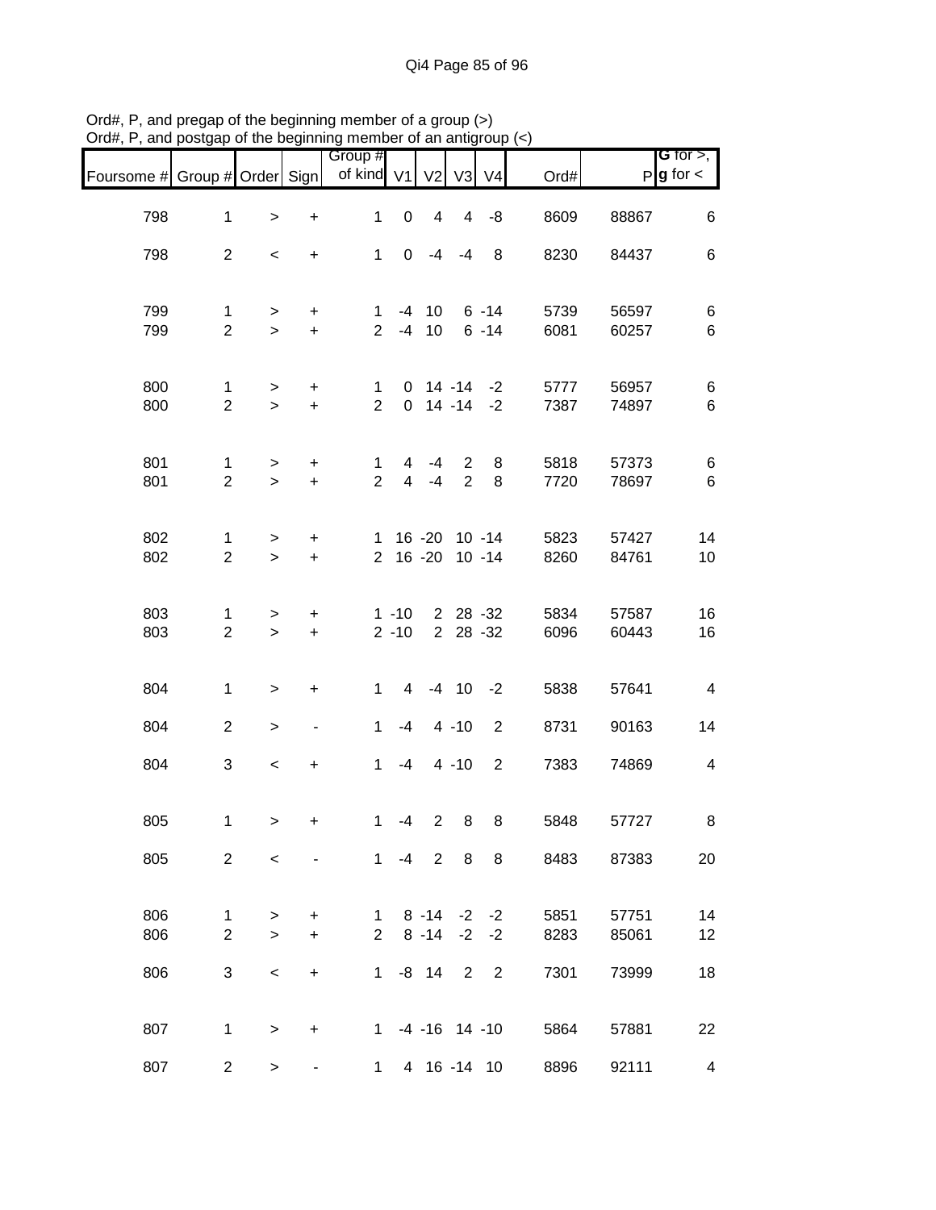|                               |                                |                     |                              | Group #        |                      |                                    |                         |                            |              |                | G for $>$ ,             |
|-------------------------------|--------------------------------|---------------------|------------------------------|----------------|----------------------|------------------------------------|-------------------------|----------------------------|--------------|----------------|-------------------------|
| Foursome # Group # Order Sign |                                |                     |                              | of kind V1     |                      | V <sub>2</sub>                     | V3                      | V <sub>4</sub>             | Ord#         |                | $P g$ for $\lt$         |
| 798                           | $\mathbf{1}$                   | $\,>$               | $\ddot{}$                    | $\mathbf{1}$   | $\pmb{0}$            | $\overline{\mathbf{4}}$            | $\overline{\mathbf{4}}$ | -8                         | 8609         | 88867          | 6                       |
| 798                           | $\overline{2}$                 | $\,<\,$             | $\ddot{}$                    | $\mathbf{1}$   | 0                    | -4                                 | $-4$                    | 8                          | 8230         | 84437          | 6                       |
| 799                           | 1                              | $\, > \,$           | +                            | $\mathbf{1}$   |                      | $-4$ 10                            |                         | $6 - 14$                   | 5739         | 56597          | 6                       |
| 799                           | $\overline{2}$                 | $\geq$              | $\ddot{}$                    | $\overline{2}$ |                      | $-4$ 10                            |                         | $6 - 14$                   | 6081         | 60257          | $\,6$                   |
| 800                           | 1                              | $\, > \,$           | $\ddot{}$                    | $\mathbf 1$    |                      | $0 \t14 - 14$                      |                         | $-2$                       | 5777         | 56957          | 6                       |
| 800                           | $\overline{2}$                 | $\,>$               | $\ddot{}$                    | $\overline{2}$ | $\mathbf 0$          |                                    | $14 - 14$               | $-2$                       | 7387         | 74897          | 6                       |
| 801                           | 1                              | $\geq$              | $\ddot{}$                    | $\mathbf{1}$   | 4                    | $-4$                               | $\overline{2}$          | 8                          | 5818         | 57373          | 6                       |
| 801                           | $\overline{2}$                 | $\geq$              | $\ddot{}$                    | $\overline{2}$ | $\overline{4}$       | $-4$                               | $\overline{2}$          | 8                          | 7720         | 78697          | 6                       |
| 802<br>802                    | 1<br>$\overline{2}$            | $\,$<br>$\geq$      | $\ddot{}$<br>$\ddot{}$       |                |                      | 1 16 -20 10 -14<br>2 16 -20 10 -14 |                         |                            | 5823<br>8260 | 57427<br>84761 | 14<br>10                |
|                               |                                |                     |                              |                |                      |                                    |                         |                            |              |                |                         |
| 803<br>803                    | $\mathbf{1}$<br>$\overline{2}$ | $\, > \,$<br>$\geq$ | $\ddot{}$<br>$\ddot{}$       |                | $1 - 10$<br>$2 - 10$ |                                    | 2 28 -32                | 2 28 -32                   | 5834<br>6096 | 57587<br>60443 | 16<br>16                |
|                               |                                |                     |                              |                |                      |                                    |                         |                            |              |                |                         |
| 804                           | $\mathbf{1}$                   | $\, > \,$           | $\ddot{}$                    | $\mathbf{1}$   | 4                    |                                    | $-4$ 10                 | $-2$                       | 5838         | 57641          | $\overline{4}$          |
| 804                           | $\overline{2}$                 | $\, > \,$           | $\qquad \qquad \blacksquare$ | $\mathbf{1}$   | $-4$                 |                                    | $4 - 10$                | 2                          | 8731         | 90163          | 14                      |
| 804                           | 3                              | $\,<$               | $\ddot{}$                    | $\mathbf{1}$   | $-4$                 |                                    | $4 - 10$                | $\overline{2}$             | 7383         | 74869          | $\overline{\mathbf{4}}$ |
| 805                           | $\mathbf{1}$                   | $\, > \,$           | +                            | $\mathbf{1}$   | $-4$                 | $\overline{2}$                     | 8                       | 8                          | 5848         | 57727          | 8                       |
| 805                           | $\overline{2}$                 | $\,<\,$             |                              |                | $1 - 4$              | $2^{\circ}$                        | 8                       | 8                          | 8483         | 87383          | 20                      |
| 806                           | $\mathbf{1}$                   | $\, > \,$           | +                            | $\mathbf{1}$   |                      | $8 - 14 - 2 - 2$                   |                         |                            | 5851         | 57751          | 14                      |
| 806                           | $\overline{2}$                 | $\geq$              | $\ddot{}$                    | $\overline{2}$ |                      | $8 - 14$                           | $-2$                    | $-2$                       | 8283         | 85061          | 12                      |
| 806                           | 3                              | $\,<\,$             | $\ddot{}$                    | 1              |                      | $-8$ 14                            | 2                       | $\overline{\phantom{0}}$ 2 | 7301         | 73999          | 18                      |
| 807                           | 1                              | $\,>$               | +                            |                |                      | $1 -4 -16$ 14 -10                  |                         |                            | 5864         | 57881          | 22                      |
| 807                           | 2 <sup>7</sup>                 | $\, > \,$           |                              | 1              |                      | 4 16 -14 10                        |                         |                            | 8896         | 92111          | $\overline{4}$          |

Ord#, P, and pregap of the beginning member of a group (>) Ord#, P, and postgap of the beginning member of an antigroup (<)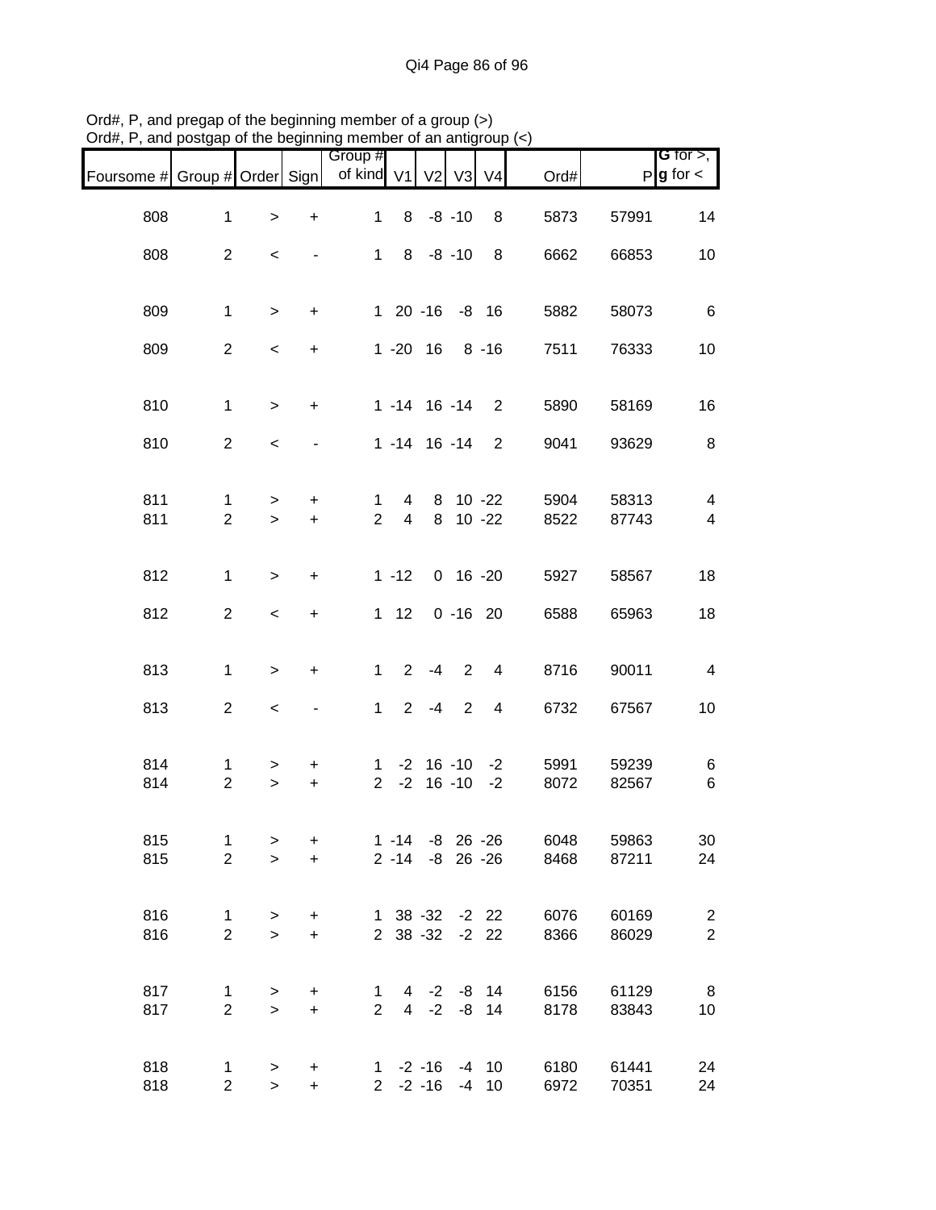| Foursome # Group # Order Sign |                                |                  |                              | Group #<br>of kind V1          |                            |               |             | V <sub>2</sub> V <sub>3</sub> V <sub>4</sub> | Ord#         |                | G for $>$ ,<br>$P g$ for $\lt$                      |
|-------------------------------|--------------------------------|------------------|------------------------------|--------------------------------|----------------------------|---------------|-------------|----------------------------------------------|--------------|----------------|-----------------------------------------------------|
| 808                           | $\mathbf{1}$                   | $\, > \,$        | +                            | 1                              | 8                          |               | $-8 - 10$   | 8                                            | 5873         | 57991          | 14                                                  |
| 808                           | $\overline{2}$                 | $\,<\,$          |                              | $\mathbf 1$                    | 8                          |               | $-8 - 10$   | 8                                            | 6662         | 66853          | 10                                                  |
|                               |                                |                  |                              |                                |                            |               |             |                                              |              |                |                                                     |
| 809                           | $\mathbf{1}$                   | $\, > \,$        | $\ddot{}$                    |                                | 1 20 -16 -8 16             |               |             |                                              | 5882         | 58073          | 6                                                   |
| 809                           | $\overline{2}$                 | $\,<$            | $\ddot{}$                    |                                | $1 - 20$ 16                |               |             | $8 - 16$                                     | 7511         | 76333          | 10                                                  |
| 810                           | $\mathbf{1}$                   | $\geq$           | $\ddot{}$                    |                                | $1 - 14$ 16 $-14$          |               |             | $\overline{2}$                               | 5890         | 58169          | 16                                                  |
| 810                           | $\overline{2}$                 | $\,<\,$          | $\overline{\phantom{a}}$     |                                | 1 -14 16 -14               |               |             | $\overline{2}$                               | 9041         | 93629          | 8                                                   |
|                               |                                |                  |                              |                                |                            |               |             |                                              |              |                |                                                     |
| 811<br>811                    | $\mathbf{1}$<br>$\overline{2}$ | $\geq$<br>$\geq$ | $\ddot{}$<br>$+$             | $\mathbf{1}$<br>$\overline{2}$ | 4<br>$\overline{4}$        | 8             |             | 8 10 -22<br>$10 - 22$                        | 5904<br>8522 | 58313<br>87743 | $\overline{\mathbf{4}}$<br>$\overline{\mathcal{A}}$ |
|                               |                                |                  |                              |                                |                            |               |             |                                              |              |                |                                                     |
| 812                           | $\mathbf{1}$                   | $\geq$           | $\ddot{}$                    |                                | $1 - 12$                   |               |             | $0 16 - 20$                                  | 5927         | 58567          | 18                                                  |
| 812                           | $\overline{2}$                 | $\,<$            | $\ddot{}$                    |                                | $1 \quad 12$               |               | $0 - 16 20$ |                                              | 6588         | 65963          | 18                                                  |
|                               |                                |                  |                              |                                |                            |               |             |                                              |              |                |                                                     |
| 813                           | $\mathbf{1}$                   | $\geq$           | $\ddot{}$                    | 1                              | $\overline{2}$             | $-4$          | 2           | 4                                            | 8716         | 90011          | $\overline{\mathbf{4}}$                             |
| 813                           | $\overline{2}$                 | $\,<$            | $\qquad \qquad \blacksquare$ | $\mathbf{1}$                   | $\overline{2}$             | $-4$          | 2           | $\overline{4}$                               | 6732         | 67567          | 10                                                  |
| 814                           | 1                              | $\, > \,$        | +                            | 1                              |                            | $-2$ 16 $-10$ |             | $-2$                                         | 5991         | 59239          | 6                                                   |
| 814                           | $\overline{2}$                 | $\, >$           | $\ddot{}$                    | $\overline{2}$                 | $-2$                       |               | $16 - 10$   | $-2$                                         | 8072         | 82567          | 6                                                   |
| 815                           | $\mathbf{1}$                   | $\, > \,$        | $\ddot{}$                    |                                | $1 - 14 - 8$ 26 - 26       |               |             |                                              | 6048         | 59863          | 30                                                  |
| 815                           | $\overline{2}$                 | $\geq$           | $+$                          |                                | $2 - 14 - 8$ 26 - 26       |               |             |                                              | 8468         | 87211          | 24                                                  |
|                               |                                |                  |                              |                                |                            |               |             |                                              |              |                |                                                     |
| 816<br>816                    | $\mathbf{1}$<br>$\overline{2}$ | $\,$<br>$\geq$   | $\ddot{}$<br>$+$             |                                | 1 38 -32 -2 22<br>2 38 -32 |               |             | $-2$ 22                                      | 6076<br>8366 | 60169<br>86029 | $\overline{c}$<br>$\overline{2}$                    |
|                               |                                |                  |                              |                                |                            |               |             |                                              |              |                |                                                     |
| 817<br>817                    | $\mathbf{1}$<br>$\overline{2}$ | $\,$<br>$\geq$   | $\pm$<br>$+$                 | 1<br>$\overline{2}$            |                            |               |             | 4 -2 -8 14<br>4 -2 -8 14                     | 6156<br>8178 | 61129<br>83843 | 8<br>10                                             |
|                               |                                |                  |                              |                                |                            |               |             |                                              |              |                |                                                     |
| 818                           | $\mathbf{1}$                   | $\, > \,$        | $\ddot{}$                    |                                | $1 - 2 - 16$               |               | $-4$        | $-4$ 10                                      | 6180         | 61441          | 24                                                  |
| 818                           | $\overline{a}$                 | $\geq$           | $\ddot{}$                    |                                | $2 - 2 - 16$               |               |             | 10                                           | 6972         | 70351          | 24                                                  |

Ord#, P, and pregap of the beginning member of a group (>) Ord#, P, and postgap of the beginning member of an antigroup (<)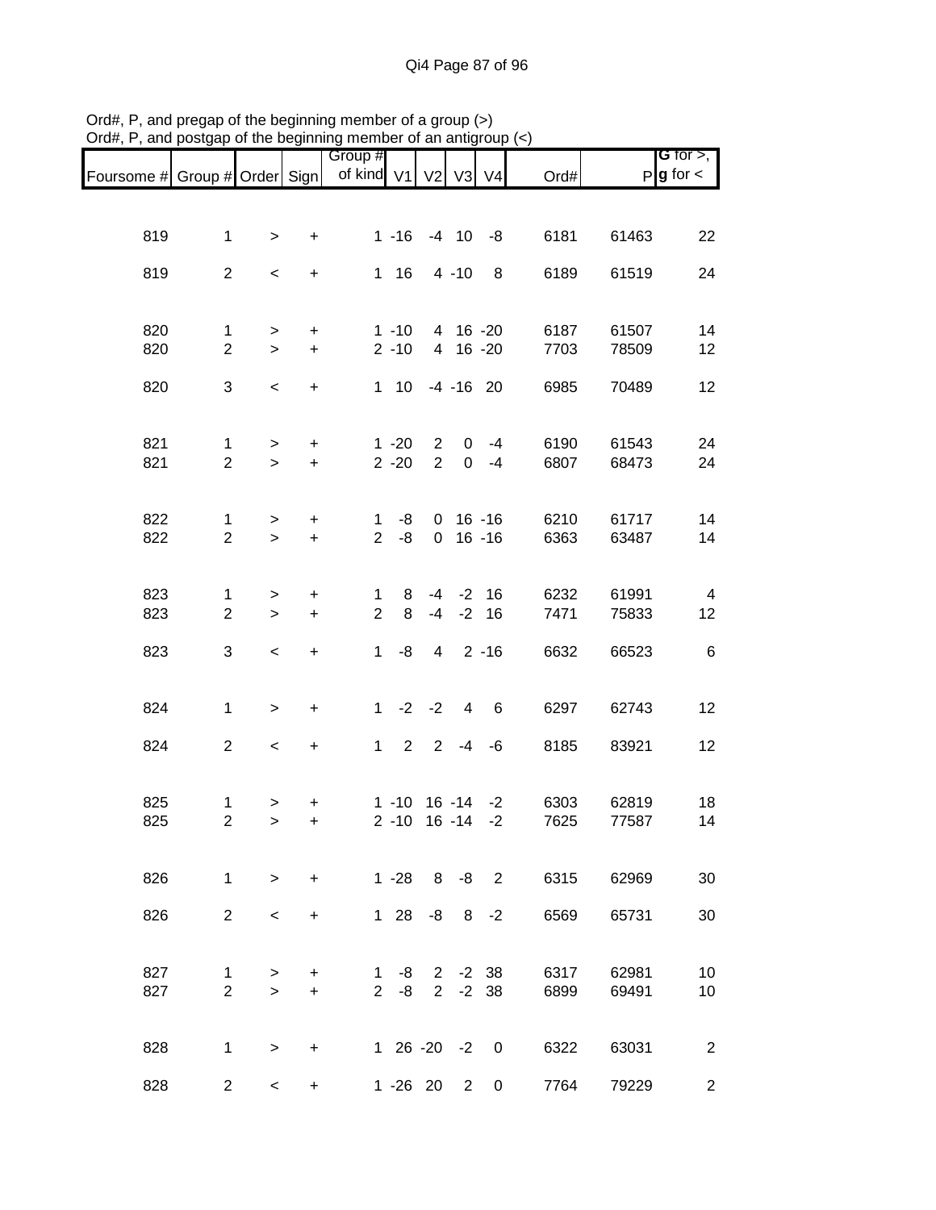| Group #                                                                                                                                                                |                | G for $>$ ,          |
|------------------------------------------------------------------------------------------------------------------------------------------------------------------------|----------------|----------------------|
| of kind V1 V2 V3 V4<br>Foursome # Group # Order Sign<br>Ord#                                                                                                           |                | $P g$ for $\lt$      |
|                                                                                                                                                                        |                |                      |
|                                                                                                                                                                        |                |                      |
| 819<br>$1 - 16$<br>6181<br>$\mathbf{1}$<br>$-4$ 10<br>-8<br>$\ddot{}$<br>$\,$                                                                                          | 61463          | 22                   |
| 819<br>$\overline{a}$<br>$1 \t16$<br>$4 - 10$<br>8<br>6189                                                                                                             | 61519          | 24                   |
| $\,<\,$<br>$\ddot{}$                                                                                                                                                   |                |                      |
|                                                                                                                                                                        |                |                      |
| 820<br>$1 - 10$<br>4 16 -20<br>6187<br>$\mathbf{1}$<br>$\ddot{}$<br>>                                                                                                  | 61507          | 14                   |
| $\overline{2}$<br>820<br>$2 - 10$<br>4 16 -20<br>$+$<br>7703<br>$\geq$                                                                                                 | 78509          | 12                   |
| 820<br>3<br>$1 \quad 10$<br>$-4 - 16$ 20<br>6985<br>$\,<$<br>$\ddot{}$                                                                                                 | 70489          | 12                   |
|                                                                                                                                                                        |                |                      |
|                                                                                                                                                                        |                |                      |
| 821<br>$1 - 20$<br>$\overline{2}$<br>6190<br>$\mathbf 0$<br>$-4$<br>$\mathbf{1}$<br>$\ddot{}$<br>$\geq$                                                                | 61543          | 24                   |
| 821<br>$\overline{2}$<br>$2 - 20$<br>$\overline{2}$<br>$\mathbf 0$<br>6807<br>$-4$<br>$+$<br>$\geq$                                                                    | 68473          | 24                   |
|                                                                                                                                                                        |                |                      |
| 822<br>$16 - 16$<br>6210<br>-8<br>$\overline{0}$<br>$\mathbf{1}$<br>$\ddot{}$<br>$\mathbf 1$<br>$\, >$                                                                 | 61717          | 14                   |
| 822<br>$\overline{2}$<br>$\overline{2}$<br>$16 - 16$<br>-8<br>6363<br>$\mathbf 0$<br>$\ddot{}$<br>$\geq$                                                               | 63487          | 14                   |
|                                                                                                                                                                        |                |                      |
|                                                                                                                                                                        |                |                      |
| 823<br>$-4$ $-2$ 16<br>8<br>6232<br>1<br>$\mathbf{1}$<br>$\ddot{}$<br>$\geq$<br>823<br>$\overline{c}$<br>$\overline{2}$<br>8<br>$-4$<br>$-2$ 16<br>7471<br>$+$<br>$\,$ | 61991<br>75833 | $\overline{4}$<br>12 |
|                                                                                                                                                                        |                |                      |
| 3<br>-8<br>$4 \quad 2 \quad -16$<br>823<br>$\mathbf 1$<br>6632<br>$\,<$<br>$\ddot{}$                                                                                   | 66523          | 6                    |
|                                                                                                                                                                        |                |                      |
|                                                                                                                                                                        |                |                      |
| $1 -2$<br>824<br>$\mathbf{1}$<br>$-2$<br>6297<br>4<br>$6\overline{6}$<br>$\geq$<br>$\ddot{}$                                                                           | 62743          | 12                   |
| $2 - 4$<br>824<br>$\overline{2}$<br>$\mathbf{1}$<br>$\overline{2}$<br>8185<br>$-6$<br>$\overline{\phantom{a}}$<br>$\ddot{}$                                            | 83921          | 12                   |
|                                                                                                                                                                        |                |                      |
|                                                                                                                                                                        |                |                      |
| 825<br>$1 - 10$<br>16 -14<br>6303<br>$-2$<br>$\mathbf{1}$<br>$\, > \,$<br>+                                                                                            | 62819          | 18                   |
| 825<br>$\overline{2}$<br>$2 - 10$<br>$16 - 14$<br>7625<br>$-2$<br>$\geq$<br>$\pm$                                                                                      | 77587          | 14                   |
|                                                                                                                                                                        |                |                      |
| $1 - 28$ $8 - 8$ 2<br>826<br>6315<br>$\mathbf{1}$<br>$\geq$<br>$+$                                                                                                     | 62969          | 30                   |
|                                                                                                                                                                        |                |                      |
| 2 <sup>1</sup><br>$128$<br>826<br>$-8$ 8 $-2$<br>6569<br>$\prec$<br>$\ddot{}$                                                                                          | 65731          | 30                   |
|                                                                                                                                                                        |                |                      |
| 827<br>$2 -2 38$<br>6317<br>$1 - 8$<br>$\mathbf{1}$<br>$\geq$<br>+                                                                                                     | 62981          | 10                   |
| 827<br>$\overline{2}$<br>$-8$<br>$2 -2 38$<br>$\overline{2}$<br>6899<br>$+$<br>$\geq$                                                                                  | 69491          | 10                   |
|                                                                                                                                                                        |                |                      |
|                                                                                                                                                                        |                |                      |
| $126-20-20$<br>828<br>6322<br>$\mathbf{1}$<br>$\geq$<br>$\ddot{}$                                                                                                      | 63031          | $\overline{2}$       |
| 828<br>$2^{\circ}$<br>1 -26 20 2<br>7764<br>$\overline{0}$<br>$\overline{\phantom{0}}$<br>$+$                                                                          | 79229          | $\overline{2}$       |

Ord#, P, and pregap of the beginning member of a group (>) Ord#, P, and postgap of the beginning member of an antigroup (<)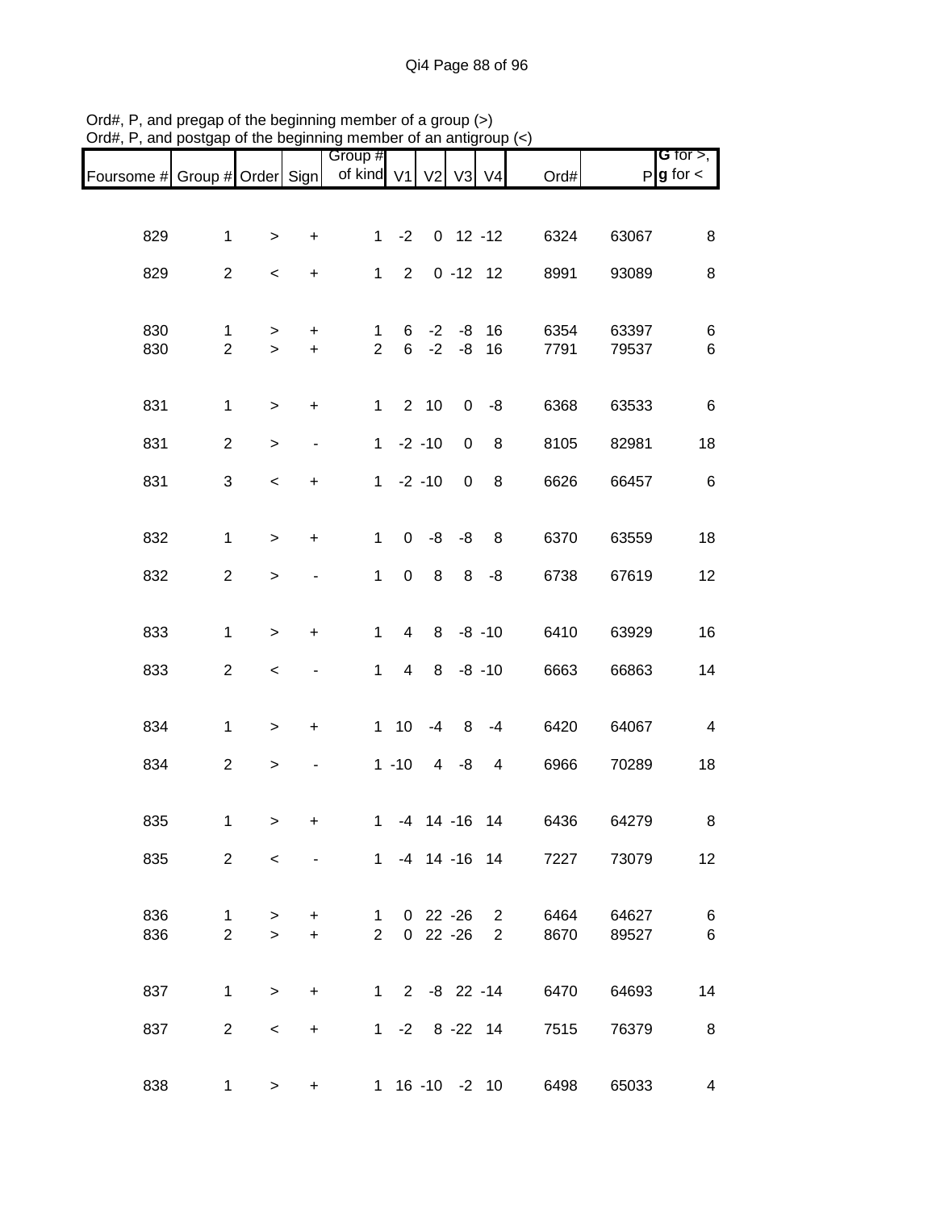|                               |                |                          |                              | Group #        |                |                      |             |                |                        |       | <b>G</b> for $>$ ,      |
|-------------------------------|----------------|--------------------------|------------------------------|----------------|----------------|----------------------|-------------|----------------|------------------------|-------|-------------------------|
| Foursome # Group # Order Sign |                |                          |                              | of kind V1     |                | V <sub>2</sub>       |             | V3 V4          | Ord#                   |       | $P$ <b>g</b> for $\lt$  |
|                               |                |                          |                              |                |                |                      |             |                |                        |       |                         |
| 829                           | $\mathbf{1}$   | $\, >$                   | $\ddot{}$                    | 1              | $-2$           |                      | $0$ 12 -12  |                | 6324                   | 63067 | 8                       |
|                               |                |                          |                              |                |                |                      |             |                |                        |       |                         |
| 829                           | $\overline{c}$ | $\,<$                    | $\ddot{}$                    | $\mathbf{1}$   | 2              |                      | $0 - 12 12$ |                | 8991                   | 93089 | $\,8\,$                 |
| 830                           | $\mathbf{1}$   | >                        | +                            | $\mathbf{1}$   | 6              | $-2$                 | -8          | 16             | 6354                   | 63397 | 6                       |
| 830                           | $\overline{2}$ | $\,$                     | $\ddot{}$                    | $\overline{2}$ | 6              | $-2$                 | $-8$        | 16             | 7791                   | 79537 | $\,6$                   |
|                               |                |                          |                              |                |                |                      |             |                |                        |       |                         |
| 831                           | $\mathbf 1$    | >                        | $\ddot{}$                    | $\mathbf{1}$   |                | 2 10                 | 0           | -8             | 6368                   | 63533 | $\,6$                   |
| 831                           | $\overline{2}$ | >                        | $\overline{\phantom{0}}$     | $\mathbf{1}$   |                | $-2 - 10$            | $\pmb{0}$   | 8              | 8105                   | 82981 | 18                      |
| 831                           | 3              | $\prec$                  | $\ddot{}$                    |                |                | $1 -2 -10$           | $\mathbf 0$ | 8              | 6626                   | 66457 | $\,6$                   |
|                               |                |                          |                              |                |                |                      |             |                |                        |       |                         |
| 832                           | $\mathbf{1}$   | $\, >$                   | $\ddot{}$                    | $\mathbf{1}$   | $\mathbf 0$    | -8                   | -8          | 8              | 6370                   | 63559 | 18                      |
| 832                           | $\overline{c}$ | $\, >$                   | $\qquad \qquad \blacksquare$ | $\mathbf 1$    | 0              | 8                    | 8           | -8             | 6738                   | 67619 | 12                      |
|                               |                |                          |                              |                |                |                      |             |                |                        |       |                         |
| 833                           | $\mathbf 1$    | $\geq$                   | $\ddot{}$                    | $\mathbf{1}$   | 4              | 8                    |             | $-8 - 10$      | 6410                   | 63929 | 16                      |
| 833                           | $\overline{2}$ | $\,<$                    |                              | $\mathbf{1}$   | $\overline{4}$ | 8                    |             | $-8 - 10$      | 6663                   | 66863 | 14                      |
|                               |                |                          |                              |                |                |                      |             |                |                        |       |                         |
| 834                           | $\mathbf{1}$   | $\, > \,$                | +                            |                | 1 10           | $-4$                 | 8           | -4             | 6420                   | 64067 | $\overline{\mathbf{4}}$ |
| 834                           | $\overline{c}$ | $\,$                     |                              |                | $1 - 10$       | $\overline{4}$       | $-8$        | $\overline{4}$ | 6966                   | 70289 | 18                      |
|                               |                |                          |                              |                |                |                      |             |                |                        |       |                         |
| 835                           | 1              | $\, >$                   | +                            | $\mathbf{1}$   |                | $-4$ 14 $-16$ 14     |             |                | 6436                   | 64279 | 8                       |
| 835                           | $\overline{2}$ | $\overline{\phantom{0}}$ | $\blacksquare$               |                |                |                      |             | 1 -4 14 -16 14 | 7227                   | 73079 | 12                      |
|                               |                |                          |                              |                |                |                      |             |                |                        |       |                         |
| 836                           | $\mathbf{1}$   | $\geq$                   | $+$                          |                |                | 1 0 22 -26           |             | $2^{\circ}$    | 6464                   | 64627 | $6\phantom{1}6$         |
| 836                           | $\overline{2}$ | $\geq$                   | $+$                          |                | $2^{\circ}$    | $0\quad 22\quad -26$ |             | $2^{\circ}$    | 8670                   | 89527 | $6\phantom{1}6$         |
|                               |                |                          |                              |                |                |                      |             |                |                        |       |                         |
| 837                           | $\mathbf{1}$   | $\geq$                   | $+$                          |                |                |                      |             |                | 1 2 -8 22 -14<br>6470  | 64693 | 14                      |
| 837                           | $\overline{2}$ | $\,<\,$                  | $\ddot{}$                    |                |                |                      |             | 1 -2 8 -22 14  | 7515                   | 76379 | 8                       |
|                               |                |                          |                              |                |                |                      |             |                |                        |       |                         |
| 838                           | 1              | $\geq$                   | $\ddot{}$                    |                |                |                      |             |                | 1 16 -10 -2 10<br>6498 | 65033 | 4                       |
|                               |                |                          |                              |                |                |                      |             |                |                        |       |                         |

Ord#, P, and pregap of the beginning member of a group (>) Ord#, P, and postgap of the beginning member of an antigroup (<)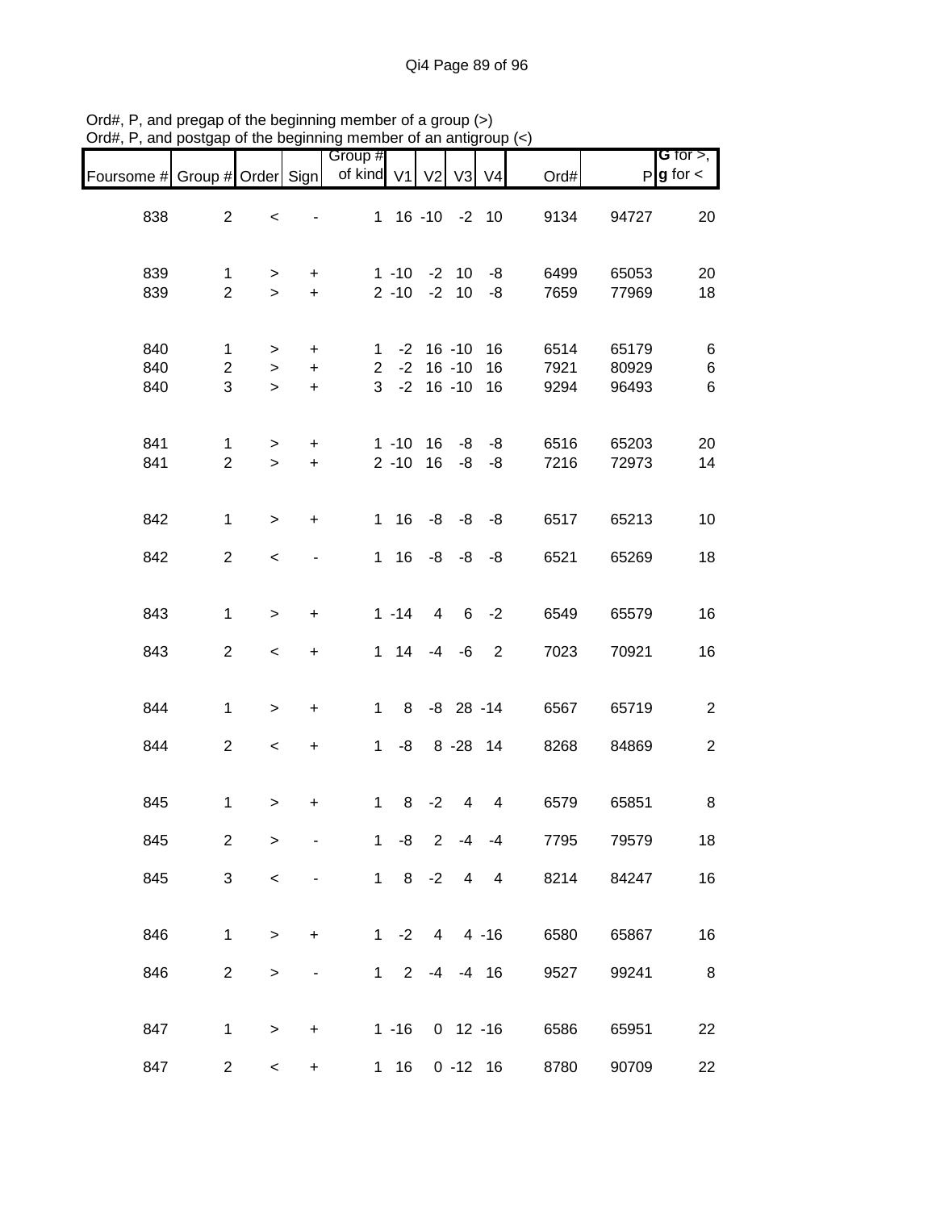| Foursome # Group # Order Sign |                                |                                 |                                     | Group #<br>of kind V1 |              | V <sub>2</sub>                                        | V3             | V <sub>4</sub>           | Ord#                 |                         | <b>G</b> for $>$ ,<br>$P$ <b>g</b> for $\lt$ |
|-------------------------------|--------------------------------|---------------------------------|-------------------------------------|-----------------------|--------------|-------------------------------------------------------|----------------|--------------------------|----------------------|-------------------------|----------------------------------------------|
| 838                           | $\overline{2}$                 | $\,<$                           |                                     |                       |              | 1 16 -10 -2 10                                        |                |                          | 9134                 | 94727                   | 20                                           |
| 839<br>839                    | $\mathbf{1}$<br>$\overline{2}$ | $\geq$<br>$\geq$                | $\ddot{}$<br>$+$                    |                       | $2 - 10$     | $1 - 10 - 2 10$                                       | $-2$ 10        | -8<br>-8                 | 6499<br>7659         | 65053<br>77969          | 20<br>18                                     |
| 840<br>840<br>840             | 1<br>$\overline{c}$<br>3       | $\, > \,$<br>$\,>$<br>$\, > \,$ | $\ddot{}$<br>$\ddot{}$<br>$\ddot{}$ |                       |              | $1 - 2 16 - 10$<br>$2 - 2 16 - 10$<br>$3 - 2 16 - 10$ |                | 16<br>16<br>16           | 6514<br>7921<br>9294 | 65179<br>80929<br>96493 | 6<br>6<br>6                                  |
| 841<br>841                    | $\mathbf{1}$<br>$\overline{2}$ | $\geq$<br>$\geq$                | $\ddot{}$<br>$\ddot{}$              |                       |              | $1 - 10$ 16<br>$2 - 10$ 16                            | -8<br>-8       | -8<br>-8                 | 6516<br>7216         | 65203<br>72973          | 20<br>14                                     |
| 842                           | $\mathbf{1}$                   | $\geq$                          | $\ddot{}$                           |                       | $1 \t16$     |                                                       |                | $-8 - 8 - 8$             | 6517                 | 65213                   | 10                                           |
| 842                           | $\overline{2}$                 | $\,<\,$                         |                                     |                       | 1 16         |                                                       | $-8 - 8 - 8$   |                          | 6521                 | 65269                   | 18                                           |
| 843                           | $\mathbf{1}$                   | $\geq$                          | $\ddot{}$                           |                       | $1 - 14$     | 4                                                     | 6              | $-2$                     | 6549                 | 65579                   | 16                                           |
| 843                           | $\overline{a}$                 | $\,<\,$                         | +                                   |                       | $1 \quad 14$ |                                                       | $-4 - 6$       | $\overline{\phantom{0}}$ | 7023                 | 70921                   | 16                                           |
| 844                           | $\mathbf{1}$                   | $\,$                            | $\begin{array}{c} + \end{array}$    | $\mathbf{1}$          | 8            |                                                       | $-8$ 28 $-14$  |                          | 6567                 | 65719                   | $\sqrt{2}$                                   |
| 844                           | $\overline{2}$                 | $\,<\,$                         | $\ddot{}$                           |                       | $1 - 8$      |                                                       |                | 8 - 28 14                | 8268                 | 84869                   | $\boldsymbol{2}$                             |
| 845                           | $\mathbf{1}$                   | $\, > \,$                       | +                                   | $\mathbf{1}$          | 8            | $-2$                                                  | 4              | 4                        | 6579                 | 65851                   | 8                                            |
| 845                           | $\overline{c}$                 | >                               |                                     | $\mathbf 1$           | -8           | $\overline{2}$                                        | $-4$           | $-4$                     | 7795                 | 79579                   | 18                                           |
| 845                           | 3                              | $\,<$                           |                                     |                       |              | $1 \t 8 \t -2$                                        | $\overline{4}$ | $\overline{4}$           | 8214                 | 84247                   | 16                                           |
| 846                           | 1                              | $\,>$                           | +                                   |                       | $1 -2$       | $\overline{4}$                                        |                | 4 -16                    | 6580                 | 65867                   | 16                                           |
| 846                           | $\overline{2}$                 | $\,$                            |                                     |                       | $1 \quad 2$  | $-4$                                                  |                | $-4$ 16                  | 9527                 | 99241                   | $\,8\,$                                      |
| 847                           | 1                              | $\,$                            | $\pmb{+}$                           |                       | $1 - 16$     |                                                       |                | $0$ 12 -16               | 6586                 | 65951                   | 22                                           |
| 847                           | $\overline{c}$                 | $\,<$                           | $\ddot{}$                           |                       | $1 \quad 16$ |                                                       |                | $0 - 12$ 16              | 8780                 | 90709                   | 22                                           |

Ord#, P, and pregap of the beginning member of a group (>) Ord#, P, and postgap of the beginning member of an antigroup (<)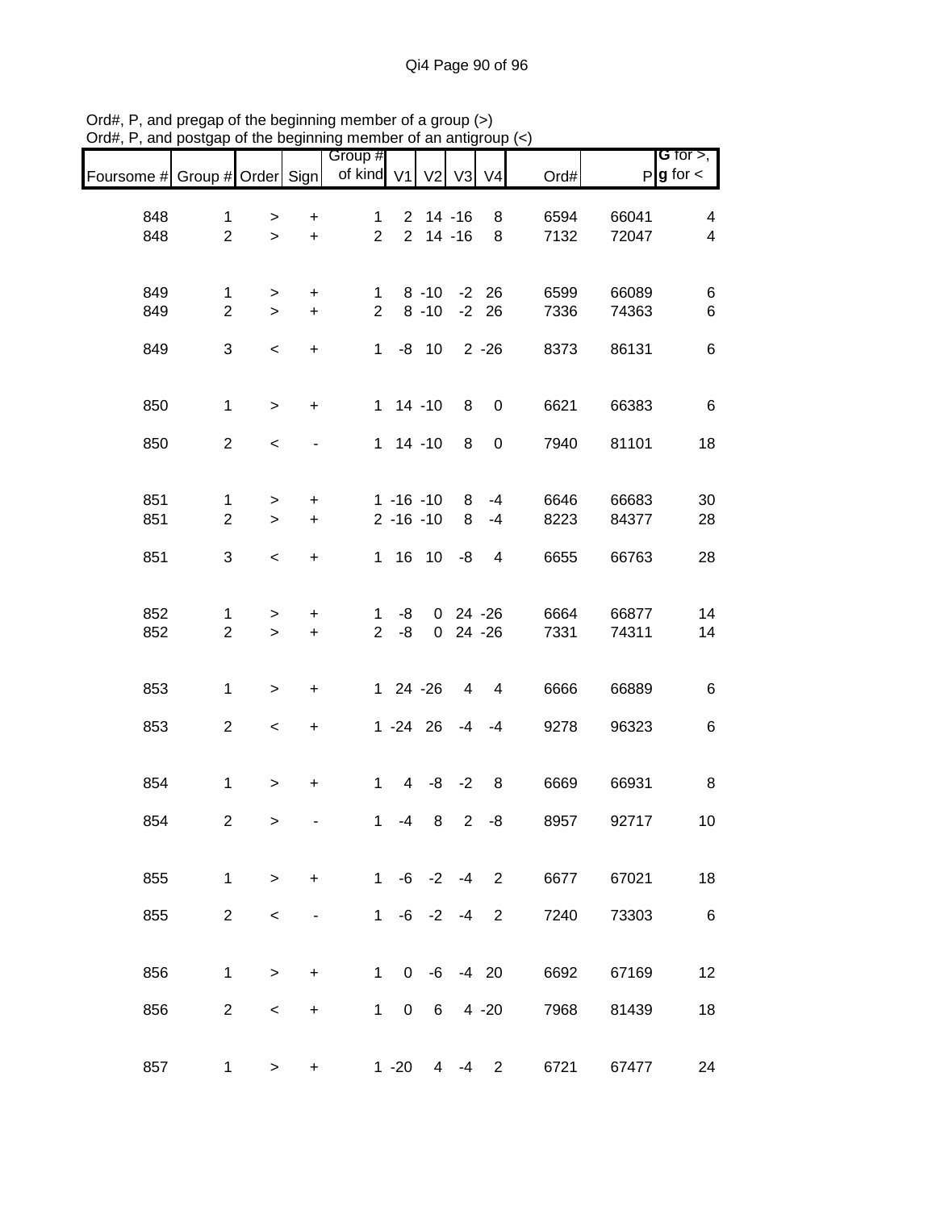|                               |                                |                          |                  | Group #                       |               |                          |              |                          |              |                | <b>G</b> for $>$ ,     |
|-------------------------------|--------------------------------|--------------------------|------------------|-------------------------------|---------------|--------------------------|--------------|--------------------------|--------------|----------------|------------------------|
| Foursome # Group # Order Sign |                                |                          |                  | of kind V1                    |               | V <sub>2</sub>           | V3           | V <sub>4</sub>           | Ord#         |                | $P$ <b>g</b> for $\lt$ |
|                               |                                |                          |                  |                               |               |                          |              |                          |              |                |                        |
| 848<br>848                    | $\mathbf{1}$<br>$\overline{2}$ | $\, > \,$<br>$\geq$      | $\ddot{}$<br>$+$ | $\mathbf 1$<br>$\overline{2}$ |               | $2$ 14 -16<br>$2$ 14 -16 |              | 8<br>8                   | 6594<br>7132 | 66041<br>72047 | 4<br>$\overline{4}$    |
|                               |                                |                          |                  |                               |               |                          |              |                          |              |                |                        |
| 849                           | 1                              | $\, > \,$                | $\ddot{}$        | $\mathbf 1$                   |               | 8 -10 -2 26              |              |                          | 6599         | 66089          | $\,6$                  |
| 849                           | $\overline{2}$                 | $\geq$                   | $\pm$            | $\overline{2}$                |               | 8 -10 -2 26              |              |                          | 7336         | 74363          | $\,6$                  |
| 849                           | 3                              | $\overline{\phantom{a}}$ | $\boldsymbol{+}$ | $\mathbf{1}$                  |               | $-8$ 10                  |              | $2 - 26$                 | 8373         | 86131          | $\,6$                  |
| 850                           | $\mathbf{1}$                   | $\geq$                   | $\ddot{}$        |                               |               | $1 14 - 10$              | 8            | $\overline{\phantom{0}}$ | 6621         | 66383          | $\,6$                  |
| 850                           | $\overline{2}$                 | $\,<$                    |                  |                               |               | $1 14 - 10$              | 8            | $\boldsymbol{0}$         | 7940         | 81101          | 18                     |
| 851                           | $\mathbf{1}$                   | $\, > \,$                | $\ddot{}$        |                               |               | $1 - 16 - 10$            | 8            | $-4$                     | 6646         | 66683          | 30                     |
| 851                           | $\overline{2}$                 | $\geq$                   | $\ddot{}$        |                               | $2 - 16 - 10$ |                          | 8            | $-4$                     | 8223         | 84377          | 28                     |
| 851                           | 3                              | $\overline{\phantom{a}}$ | $\ddot{}$        |                               |               | $1 16 10 -8$             |              | $\overline{4}$           | 6655         | 66763          | 28                     |
| 852                           | 1                              | $\, > \,$                | $\ddot{}$        | $\mathbf 1$                   | -8            |                          | $0$ 24 -26   |                          | 6664         | 66877          | 14                     |
| 852                           | $\overline{2}$                 | $\geq$                   | $\ddot{}$        |                               | $2 - 8$       |                          | $0$ 24 -26   |                          | 7331         | 74311          | 14                     |
| 853                           | $\mathbf{1}$                   | $\,$                     | $\ddot{}$        |                               | $124 - 26$    |                          |              | $4 \quad 4$              | 6666         | 66889          | $\,6$                  |
| 853                           | $\overline{2}$                 | $\overline{\phantom{a}}$ | $\pm$            |                               |               | $1 - 24$ 26 $-4$ $-4$    |              |                          | 9278         | 96323          | $\,6$                  |
| 854                           | $\mathbf{1}$                   | $\, > \,$                | $\ddot{}$        | $\mathbf{1}$                  |               | $4 -8 -2$                |              | $_{\rm 8}$               | 6669         | 66931          | 8                      |
| 854                           | $\overline{2}$                 | $\,>$                    |                  | $\mathbf{1}$                  | -4            |                          | $8 \t2 \t-8$ |                          | 8957         | 92717          | 10                     |
| 855                           | $\mathbf{1}$                   | $\geq$                   | +                | 1                             |               | $-6 -2$                  | -4           | $\overline{2}$           | 6677         | 67021          | 18                     |
| 855                           | $\overline{2}$                 | $\,<$                    | ۰                | $\mathbf{1}$                  |               | $-6 -2 -4$               |              | $\overline{2}$           | 7240         | 73303          | $\,6$                  |
|                               |                                |                          |                  | $\mathbf{1}$                  |               |                          |              |                          |              |                |                        |
| 856                           | 1                              | $\,$                     | $\ddot{}$        |                               | $\mathbf{0}$  | -6                       |              | $-4$ 20                  | 6692         | 67169          | 12                     |
| 856                           | $\overline{2}$                 | $\,<\,$                  | +                | $\mathbf{1}$                  | 0             | 6                        |              | $4 - 20$                 | 7968         | 81439          | 18                     |
| 857                           | 1                              | $\, > \,$                | +                |                               | $1 - 20$      | 4                        | $-4$         | $\overline{2}$           | 6721         | 67477          | 24                     |

Ord#, P, and pregap of the beginning member of a group (>) Ord#, P, and postgap of the beginning member of an antigroup (<)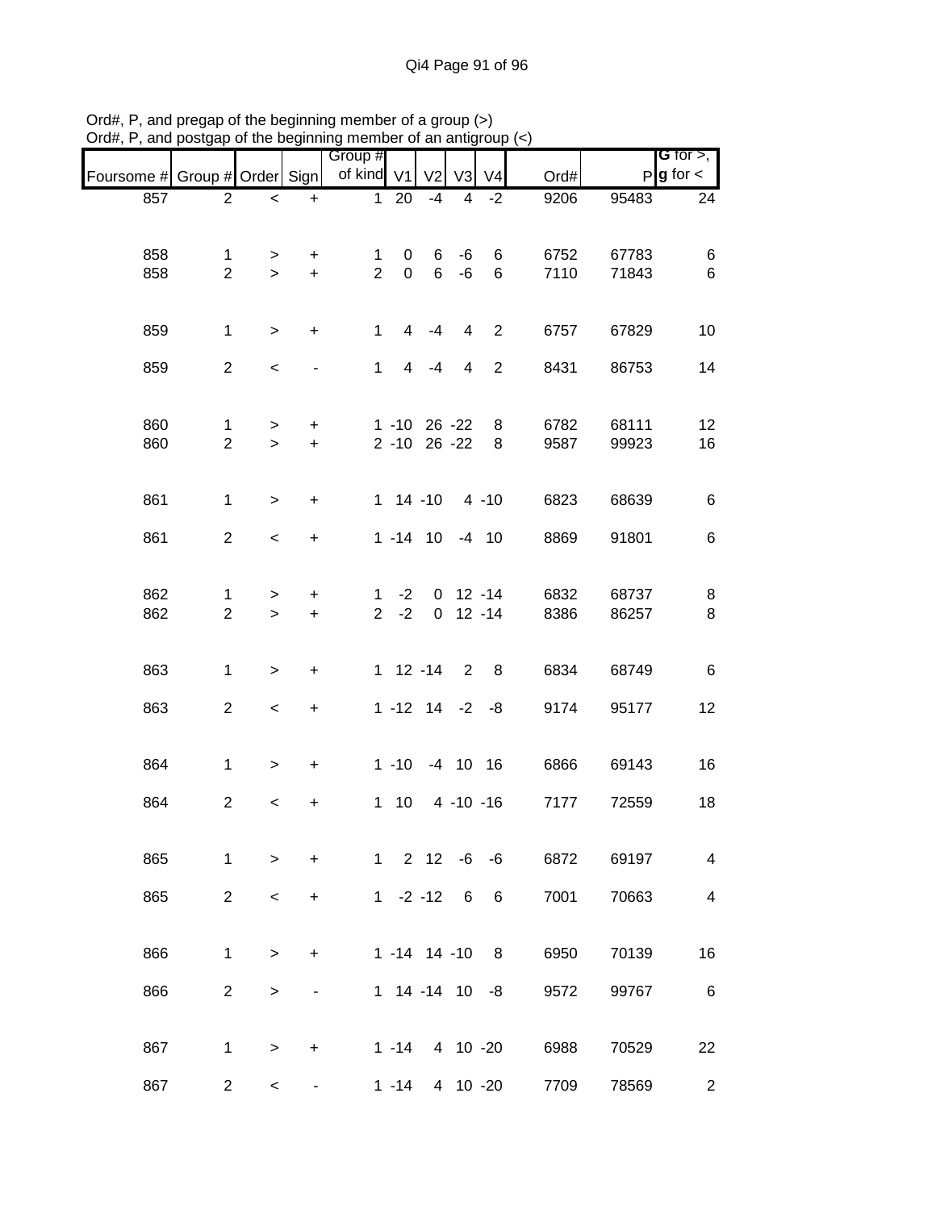|                               |                |                          |                  | Group #        |             |                       |                |                |      |       | G for $>$ ,            |
|-------------------------------|----------------|--------------------------|------------------|----------------|-------------|-----------------------|----------------|----------------|------|-------|------------------------|
| Foursome # Group # Order Sign |                |                          |                  | of kind V1     |             | V <sub>2</sub>        | V <sub>3</sub> | V <sub>4</sub> | Ord# |       | $P$ <b>g</b> for $\lt$ |
| 857                           | $\overline{2}$ | $\,<$                    | $\ddot{}$        | $\mathbf 1$    | 20          | $-4$                  | 4              | $-2$           | 9206 | 95483 | 24                     |
|                               |                |                          |                  |                |             |                       |                |                |      |       |                        |
| 858                           | $\mathbf{1}$   | >                        | $\ddot{}$        | 1              | 0           | 6                     | -6             | 6              | 6752 | 67783 | 6                      |
| 858                           | $\overline{2}$ | $\geq$                   | $\ddot{}$        | $\overline{2}$ | $\mathbf 0$ | $6\phantom{1}$        | $-6$           | $\,6\,$        | 7110 | 71843 | $\,6\,$                |
|                               |                |                          |                  |                |             |                       |                |                |      |       |                        |
| 859                           | $\mathbf{1}$   | $\geq$                   | $\ddot{}$        | $\mathbf{1}$   | 4           | $-4$                  | 4              | $\overline{2}$ | 6757 | 67829 | 10                     |
| 859                           | $\overline{2}$ | $\,<$                    |                  | $\mathbf{1}$   | 4           | $-4$                  | 4              | $\overline{2}$ | 8431 | 86753 | 14                     |
|                               |                |                          |                  |                |             |                       |                |                |      |       |                        |
| 860                           | $\mathbf{1}$   | $\geq$                   | $\ddot{}$        |                |             | 1 -10 26 -22          |                | 8              | 6782 | 68111 | 12                     |
| 860                           | $\overline{2}$ | $\geq$                   | $\pm$            |                |             | 2 -10 26 -22          |                | 8              | 9587 | 99923 | 16                     |
|                               |                |                          |                  |                |             |                       |                |                |      |       |                        |
| 861                           | $\mathbf{1}$   | $\geq$                   | $\ddot{}$        |                |             | 1 14 -10 4 -10        |                |                | 6823 | 68639 | 6                      |
| 861                           | $\overline{2}$ | $\,<$                    | $\ddot{}$        |                |             | $1 - 14$ 10 $-4$ 10   |                |                | 8869 | 91801 | 6                      |
|                               |                |                          |                  |                |             |                       |                |                |      |       |                        |
| 862                           | 1              | >                        | $\ddot{}$        | 1              | $-2$        |                       | $0$ 12 -14     |                | 6832 | 68737 | 8                      |
| 862                           | $\overline{2}$ | $\geq$                   | $\ddot{}$        | $2^{\circ}$    | $-2$        |                       | $0$ 12 -14     |                | 8386 | 86257 | 8                      |
|                               |                |                          |                  |                |             |                       |                |                |      |       |                        |
| 863                           | $\mathbf{1}$   | $\,>$                    | $\boldsymbol{+}$ |                |             | $1 12 - 14$           | $\overline{2}$ | 8              | 6834 | 68749 | $\,6$                  |
| 863                           | $\overline{2}$ | $\overline{\phantom{a}}$ | $\boldsymbol{+}$ |                |             | $1 - 12$ $14 - 2 - 8$ |                |                | 9174 | 95177 | 12                     |
|                               |                |                          |                  |                |             |                       |                |                |      |       |                        |
| 864                           | $\mathbf{1}$   | $\geq$                   | $\ddot{}$        |                |             | 1 -10 -4 10 16        |                |                | 6866 | 69143 | 16                     |
| 864                           | $\overline{c}$ | $\,<$                    | $\pmb{+}$        |                | $1\quad10$  |                       |                | 4 -10 -16      | 7177 | 72559 | 18                     |
|                               |                |                          |                  |                |             |                       |                |                |      |       |                        |
| 865                           | $\mathbf{1}$   | $\,>$                    | $\ddot{}$        |                |             | $1 \quad 2 \quad 12$  |                | $-6 - 6$       | 6872 | 69197 | $\overline{4}$         |
|                               |                |                          |                  |                |             |                       |                |                |      |       |                        |
| 865                           | $\overline{2}$ | $\,<$                    | +                |                | $1 -2 -12$  |                       | 6              | 6              | 7001 | 70663 | 4                      |
|                               |                |                          |                  |                |             |                       |                |                |      |       |                        |
| 866                           | $\mathbf{1}$   | $\, > \,$                | +                |                |             | $1 - 14$ 14 -10       |                | 8              | 6950 | 70139 | 16                     |
| 866                           | $\overline{2}$ | $\,$                     |                  |                |             | 1 14 -14 10 -8        |                |                | 9572 | 99767 | 6                      |
|                               |                |                          |                  |                |             |                       |                |                |      |       |                        |
| 867                           | $\mathbf{1}$   | $\, > \,$                | +                |                |             | 1 -14 4 10 -20        |                |                | 6988 | 70529 | 22                     |
| 867                           | $\overline{c}$ | $\,<\,$                  |                  |                | $1 - 14$    |                       | 4 10 -20       |                | 7709 | 78569 | $\overline{2}$         |

Ord#, P, and pregap of the beginning member of a group (>) Ord#, P, and postgap of the beginning member of an antigroup (<)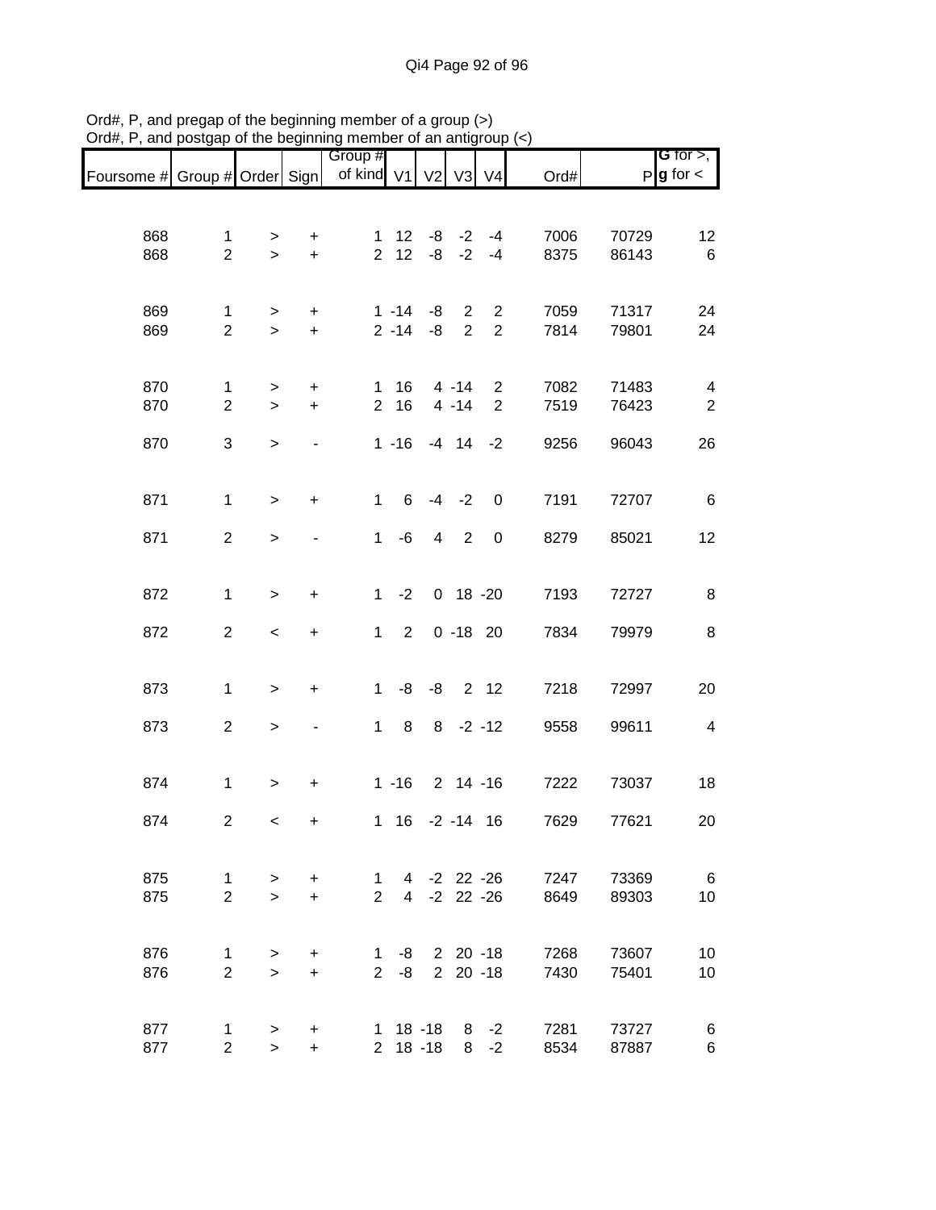|                               |                                |                  |                                  | Group #                        |                      |                            |                     |                                  |              |                | G for $>$ ,             |
|-------------------------------|--------------------------------|------------------|----------------------------------|--------------------------------|----------------------|----------------------------|---------------------|----------------------------------|--------------|----------------|-------------------------|
| Foursome # Group # Order Sign |                                |                  |                                  | of kind V1                     |                      | V <sub>2</sub>             | V3                  | V <sub>4</sub>                   | Ord#         |                | $P g$ for $\lt$         |
|                               |                                |                  |                                  |                                |                      |                            |                     |                                  |              |                |                         |
| 868                           | $\mathbf{1}$                   |                  | $\ddot{}$                        | $\mathbf{1}$                   | 12 <sup>7</sup>      |                            | $-8$ $-2$           | $-4$                             | 7006         | 70729          | 12                      |
| 868                           | $\overline{2}$                 | ><br>$\geq$      | $\ddot{}$                        | $\overline{2}$                 | 12                   | -8                         | $-2$                | $-4$                             | 8375         | 86143          | $\,6$                   |
|                               |                                |                  |                                  |                                |                      |                            |                     |                                  |              |                |                         |
|                               |                                |                  |                                  |                                |                      |                            |                     |                                  |              |                |                         |
| 869<br>869                    | $\mathbf{1}$<br>$\overline{2}$ | ><br>$\,$        | $\ddot{}$<br>$\ddot{}$           |                                | $1 - 14$<br>$2 - 14$ | -8<br>-8                   | 2<br>$\overline{2}$ | $\overline{2}$<br>$\overline{2}$ | 7059<br>7814 | 71317<br>79801 | 24<br>24                |
|                               |                                |                  |                                  |                                |                      |                            |                     |                                  |              |                |                         |
|                               |                                |                  |                                  |                                |                      |                            |                     |                                  |              |                |                         |
| 870                           | 1                              | >                | $\ddot{}$                        | $\mathbf 1$                    | 16                   |                            | $4 - 14$            | 2                                | 7082         | 71483          | $\overline{\mathbf{4}}$ |
| 870                           | $\overline{2}$                 | $\geq$           | $\ddot{}$                        | $\overline{2}$                 | 16                   |                            | $4 - 14$            | $\overline{2}$                   | 7519         | 76423          | $\overline{2}$          |
| 870                           | $\ensuremath{\mathsf{3}}$      | $\,$             |                                  |                                | $1 - 16$             |                            | $-4$ 14             | $-2$                             | 9256         | 96043          | 26                      |
|                               |                                |                  |                                  |                                |                      |                            |                     |                                  |              |                |                         |
|                               |                                |                  |                                  |                                |                      |                            |                     |                                  |              |                |                         |
| 871                           | $\mathbf{1}$                   | $\,$             | $\ddot{}$                        | $\mathbf{1}$                   | 6                    | $-4$                       | $-2$                | $\mathbf 0$                      | 7191         | 72707          | $\,6$                   |
| 871                           | $\overline{2}$                 | $\, >$           |                                  | $\mathbf{1}$                   | $-6$                 | $\overline{\mathbf{4}}$    | $\overline{2}$      | $\boldsymbol{0}$                 | 8279         | 85021          | 12                      |
|                               |                                |                  |                                  |                                |                      |                            |                     |                                  |              |                |                         |
|                               |                                |                  |                                  |                                |                      |                            |                     |                                  |              |                |                         |
| 872                           | $\mathbf 1$                    | $\,>$            | $\ddot{}$                        | $\mathbf{1}$                   | $-2$                 |                            | $0$ 18 -20          |                                  | 7193         | 72727          | 8                       |
| 872                           | $\overline{2}$                 | $\,<$            | $\ddot{}$                        | $\mathbf 1$                    | $\overline{2}$       |                            | $0 - 18$ 20         |                                  | 7834         | 79979          | 8                       |
|                               |                                |                  |                                  |                                |                      |                            |                     |                                  |              |                |                         |
|                               |                                |                  |                                  |                                |                      |                            |                     |                                  |              |                |                         |
| 873                           | $\mathbf 1$                    | $\,$             | $\begin{array}{c} + \end{array}$ | $\mathbf 1$                    | -8                   | -8                         |                     | 2 12                             | 7218         | 72997          | 20                      |
| 873                           | $\overline{c}$                 | $\,$             |                                  | $\mathbf 1$                    | 8                    |                            | $8 - 2 - 12$        |                                  | 9558         | 99611          | $\overline{4}$          |
|                               |                                |                  |                                  |                                |                      |                            |                     |                                  |              |                |                         |
|                               |                                |                  |                                  |                                |                      |                            |                     |                                  |              |                |                         |
| 874                           | $\mathbf 1$                    | $\, > \,$        | $\ddot{}$                        |                                | $1 - 16$             |                            | $2$ 14 -16          |                                  | 7222         | 73037          | 18                      |
| 874                           | $\overline{2}$                 | $\,<\,$          | $\ddot{}$                        |                                |                      | 1 16 -2 -14 16             |                     |                                  | 7629         | 77621          | 20                      |
|                               |                                |                  |                                  |                                |                      |                            |                     |                                  |              |                |                         |
|                               |                                |                  |                                  |                                |                      |                            |                     |                                  |              |                |                         |
| 875<br>875                    | $\mathbf{1}$<br>$\overline{2}$ | $\geq$<br>$\geq$ | $\ddot{}$<br>$+$                 | $\mathbf{1}$<br>$\overline{2}$ |                      | 4 -2 22 -26<br>4 -2 22 -26 |                     |                                  | 7247<br>8649 | 73369<br>89303 | 6<br>10                 |
|                               |                                |                  |                                  |                                |                      |                            |                     |                                  |              |                |                         |
|                               |                                |                  |                                  |                                |                      |                            |                     |                                  |              |                |                         |
| 876                           | $\mathbf{1}$                   | $\geq$           | $\ddot{}$                        | 1                              | -8                   |                            |                     | $220 - 18$                       | 7268         | 73607          | 10                      |
| 876                           | $\overline{2}$                 | $\geq$           | $\ddot{}$                        | $\overline{2}$                 | -8                   |                            |                     | $220 - 18$                       | 7430         | 75401          | 10                      |
|                               |                                |                  |                                  |                                |                      |                            |                     |                                  |              |                |                         |
| 877                           | $\mathbf{1}$                   | >                | $\ddot{}$                        |                                |                      | 1 18 -18                   |                     | $8 - 2$                          | 7281         | 73727          | 6                       |
| 877                           | $\overline{2}$                 | $\geq$           | $\ddot{}$                        |                                |                      | $2$ 18 -18                 | 8                   | $-2$                             | 8534         | 87887          | $\,6$                   |

Ord#, P, and pregap of the beginning member of a group (>) Ord#, P, and postgap of the beginning member of an antigroup (<)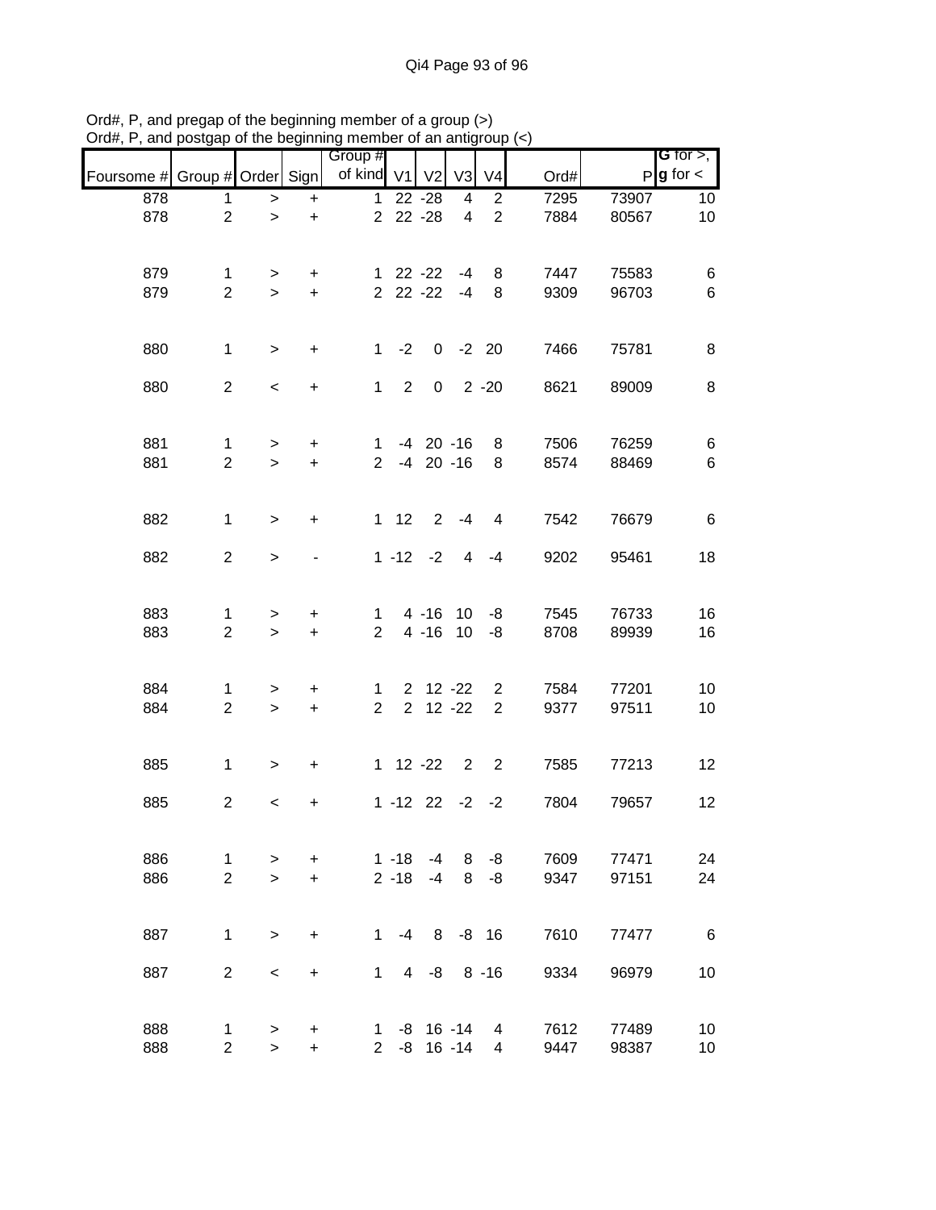|                               |                     |                          |                                  | Group #                       |                |                       |                |                     |              |                | <b>G</b> for $>$ , |
|-------------------------------|---------------------|--------------------------|----------------------------------|-------------------------------|----------------|-----------------------|----------------|---------------------|--------------|----------------|--------------------|
| Foursome # Group # Order Sign |                     |                          |                                  | of kind V1                    |                | V <sub>2</sub>        | V <sub>3</sub> | V <sub>4</sub>      | Ord#         |                | $P g$ for $\lt$    |
| 878                           | $\mathbf{1}$        | $\,$                     | $\ddot{}$                        | $\mathbf{1}$                  |                | $22 - 28$             | $\overline{4}$ | $\overline{c}$      | 7295         | 73907          | 10                 |
| 878                           | $\overline{2}$      | $\mathbf{I}$             | $\ddot{}$                        | $\overline{2}$                |                | $22 - 28$             | $\overline{4}$ | $\overline{2}$      | 7884         | 80567          | 10                 |
|                               |                     |                          |                                  |                               |                |                       |                |                     |              |                |                    |
| 879                           | $\mathbf{1}$        | >                        | +                                |                               |                | $122 -22$             | -4             | 8                   | 7447         | 75583          | 6                  |
| 879                           | $\overline{2}$      | $\geq$                   | $+$                              |                               |                | $2$ 22 - $22$         | $-4$           | 8                   | 9309         | 96703          | $\,6\,$            |
| 880                           | $\mathbf{1}$        | $\geq$                   | $\ddot{}$                        | $\mathbf{1}$                  | $-2$           |                       | $0 -2 20$      |                     | 7466         | 75781          | 8                  |
| 880                           | $\overline{2}$      | $\overline{\phantom{a}}$ | $\begin{array}{c} + \end{array}$ | $\mathbf{1}$                  | $\overline{2}$ | $\mathbf 0$           |                | $2 - 20$            | 8621         | 89009          | 8                  |
|                               |                     |                          |                                  |                               |                |                       |                |                     |              |                |                    |
| 881                           | $\mathbf{1}$        | $\geq$                   | $\ddot{}$                        | $\mathbf{1}$                  |                | $-4$ 20 $-16$         |                | 8                   | 7506         | 76259          | 6                  |
| 881                           | $\overline{2}$      | $\geq$                   | $\ddot{}$                        | $\overline{2}$                |                | $-4$ 20 $-16$         |                | 8                   | 8574         | 88469          | $\,6\,$            |
| 882                           | $\mathbf{1}$        |                          | $\ddot{}$                        |                               | $1 \quad 12$   |                       | $2 - 4$        | $\overline{4}$      | 7542         | 76679          | 6                  |
|                               |                     | $\,>$                    |                                  |                               |                |                       |                |                     |              |                |                    |
| 882                           | $\overline{2}$      | $\,$                     |                                  |                               |                | $1 - 12 - 2$          | 4              | $-4$                | 9202         | 95461          | 18                 |
|                               |                     |                          |                                  |                               |                |                       |                |                     |              |                |                    |
| 883<br>883                    | 1<br>$\overline{2}$ | ><br>$\geq$              | +<br>$\ddot{}$                   | $\mathbf 1$<br>$\overline{2}$ |                | 4 -16 10<br>$4 - 16$  | 10             | -8<br>-8            | 7545<br>8708 | 76733<br>89939 | 16<br>16           |
|                               |                     |                          |                                  |                               |                |                       |                |                     |              |                |                    |
| 884<br>884                    | 1<br>$\overline{2}$ | ><br>$\,$                | $\ddot{}$<br>$\ddot{}$           | 1<br>$\overline{2}$           | $\overline{2}$ | $2$ 12 -22            | $12 - 22$      | 2<br>$\overline{2}$ | 7584<br>9377 | 77201<br>97511 | 10<br>10           |
|                               |                     |                          |                                  |                               |                |                       |                |                     |              |                |                    |
| 885                           | $\mathbf{1}$        | $\geq$                   | $\ddot{}$                        |                               |                | $1 \t12 \t-22$        | $\overline{2}$ | $\overline{2}$      | 7585         | 77213          | 12                 |
| 885                           | $\overline{c}$      | $\,<\,$                  | $\pmb{+}$                        |                               |                | $1 - 12$ 22 $-2$ $-2$ |                |                     | 7804         | 79657          | 12                 |
|                               |                     |                          |                                  |                               |                |                       |                |                     |              |                |                    |
| 886                           | 1                   | >                        | +                                |                               | $1 - 18$       | $-4$                  | 8              | -8                  | 7609         | 77471          | 24                 |
| 886                           | $\overline{2}$      | $\geq$                   | $\ddot{}$                        |                               | $2 - 18$       | $-4$                  | 8              | $-8$                | 9347         | 97151          | 24                 |
| 887                           | $\mathbf{1}$        | $\geq$                   | +                                | 1                             | $-4$           | 8                     |                | $-8$ 16             | 7610         | 77477          | 6                  |
|                               |                     |                          |                                  |                               |                |                       |                |                     |              |                |                    |
| 887                           | $\overline{2}$      | $\,<\,$                  | +                                | $\mathbf{1}$                  | 4 <sup>1</sup> | -8                    |                | $8 - 16$            | 9334         | 96979          | 10                 |
| 888                           | 1                   | $\, > \,$                | +                                | 1.                            | -8             |                       | $16 - 14$      | 4                   | 7612         | 77489          | 10                 |
| 888                           | $\overline{c}$      | $\, >$                   | $\ddot{}$                        | $\overline{2}$                | -8             |                       | $16 - 14$      | 4                   | 9447         | 98387          | 10                 |

Ord#, P, and pregap of the beginning member of a group (>) Ord#, P, and postgap of the beginning member of an antigroup (<)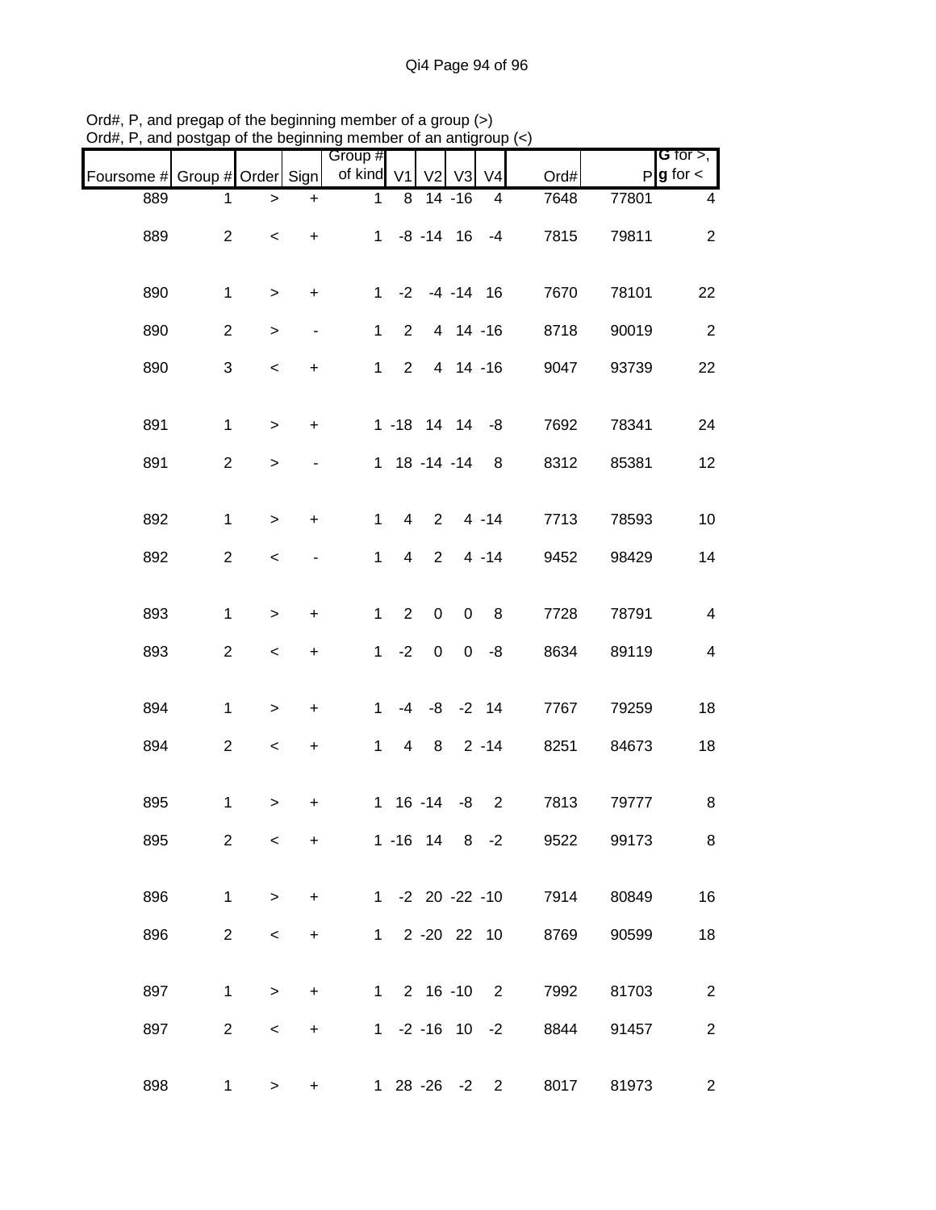| Foursome # | Group # Order Sign        |                          |                              | Group #<br>of kind | V <sub>1</sub> | V <sub>2</sub>       | V <sub>3</sub> | V <sub>4</sub> | Ord#                    |       | <b>G</b> for $>$ ,<br>$P$ <b>g</b> for $\lt$ |
|------------|---------------------------|--------------------------|------------------------------|--------------------|----------------|----------------------|----------------|----------------|-------------------------|-------|----------------------------------------------|
| 889        | 1                         | $\, > \,$                | $\ddot{}$                    | $\mathbf{1}$       | 8              |                      | $14 - 16$      | 4              | 7648                    | 77801 | 4                                            |
| 889        | $\overline{2}$            | $\overline{\phantom{a}}$ | $\ddot{}$                    | 1                  |                | $-8$ $-14$ 16        |                | $-4$           | 7815                    | 79811 | $\overline{2}$                               |
| 890        | $\mathbf{1}$              | $\geq$                   | $\ddot{}$                    | $1 \quad$          | $-2$           |                      | $-4 - 14$ 16   |                | 7670                    | 78101 | 22                                           |
| 890        | $\overline{c}$            | $\, >$                   | $\qquad \qquad \blacksquare$ | $\mathbf{1}$       | $\overline{2}$ |                      | 4 14 -16       |                | 8718                    | 90019 | $\overline{2}$                               |
| 890        | $\ensuremath{\mathsf{3}}$ | $\,<$                    | $\ddot{}$                    | $\mathbf{1}$       | $\overline{2}$ |                      | 4 14 -16       |                | 9047                    | 93739 | 22                                           |
| 891        | $\mathbf{1}$              | $\,$                     | $\ddot{}$                    |                    |                | $1 - 18$ 14 14 $-8$  |                |                | 7692                    | 78341 | 24                                           |
| 891        | $\overline{2}$            | $\, > \,$                |                              |                    |                | 1 18 -14 -14         |                | 8              | 8312                    | 85381 | 12                                           |
| 892        | $\mathbf{1}$              | $\,$                     | $\ddot{}$                    | $\mathbf{1}$       | $\overline{4}$ | $\overline{2}$       |                | $4 - 14$       | 7713                    | 78593 | 10                                           |
| 892        | $\overline{c}$            | $\,<\,$                  |                              | $\mathbf{1}$       | 4              | $\overline{2}$       |                | $4 - 14$       | 9452                    | 98429 | 14                                           |
| 893        | $\mathbf{1}$              | $\,$                     | +                            | $\mathbf{1}$       | $\sqrt{2}$     | $\boldsymbol{0}$     | $\mathbf 0$    | 8              | 7728                    | 78791 | $\overline{\mathbf{4}}$                      |
| 893        | $\overline{c}$            | $\,<$                    | $\ddot{}$                    | 1                  | $-2$           | $\pmb{0}$            | $\mathbf 0$    | -8             | 8634                    | 89119 | $\overline{\mathbf{4}}$                      |
| 894        | $\mathbf{1}$              | $\, >$                   | $\ddot{}$                    | $\mathbf{1}$       | $-4$           | -8                   |                | $-2$ 14        | 7767                    | 79259 | 18                                           |
| 894        | $\overline{c}$            | $\,<$                    | $\ddot{}$                    | $\mathbf{1}$       | $\overline{4}$ | 8                    |                | $2 - 14$       | 8251                    | 84673 | 18                                           |
| 895        | $\mathbf{1}$              | >                        | +                            |                    |                | $1 \t16 - 14$        | -8             | $\overline{2}$ | 7813                    | 79777 | 8                                            |
| 895        | $\overline{2}$            | $\,<\,$                  | +                            |                    |                | $1 - 16$ 14 8 $-2$   |                |                | 9522                    | 99173 | 8                                            |
| 896        | $\mathbf{1}$              | $\,>$                    | $\ddot{}$                    |                    |                |                      |                |                | 1 -2 20 -22 -10<br>7914 | 80849 | 16                                           |
| 896        | $\overline{2}$            | $\,<\,$                  | $\ddot{}$                    |                    |                | 1 2 -20 22 10        |                |                | 8769                    | 90599 | 18                                           |
| 897        | $\mathbf{1}$              | $\, > \,$                | $\ddot{}$                    |                    |                | $1 2 16 - 10 2$      |                |                | 7992                    | 81703 | $\overline{2}$                               |
| 897        | $\overline{2}$            | $\,<$                    | $\ddot{}$                    |                    |                | $1 - 2 - 16$ 10 $-2$ |                |                | 8844                    | 91457 | $\overline{c}$                               |
| 898        | $\mathbf{1}$              | >                        | $\ddot{}$                    |                    |                | 1 28 -26 -2 2        |                |                | 8017                    | 81973 | $\overline{2}$                               |

Ord#, P, and pregap of the beginning member of a group (>) Ord#, P, and postgap of the beginning member of an antigroup (<)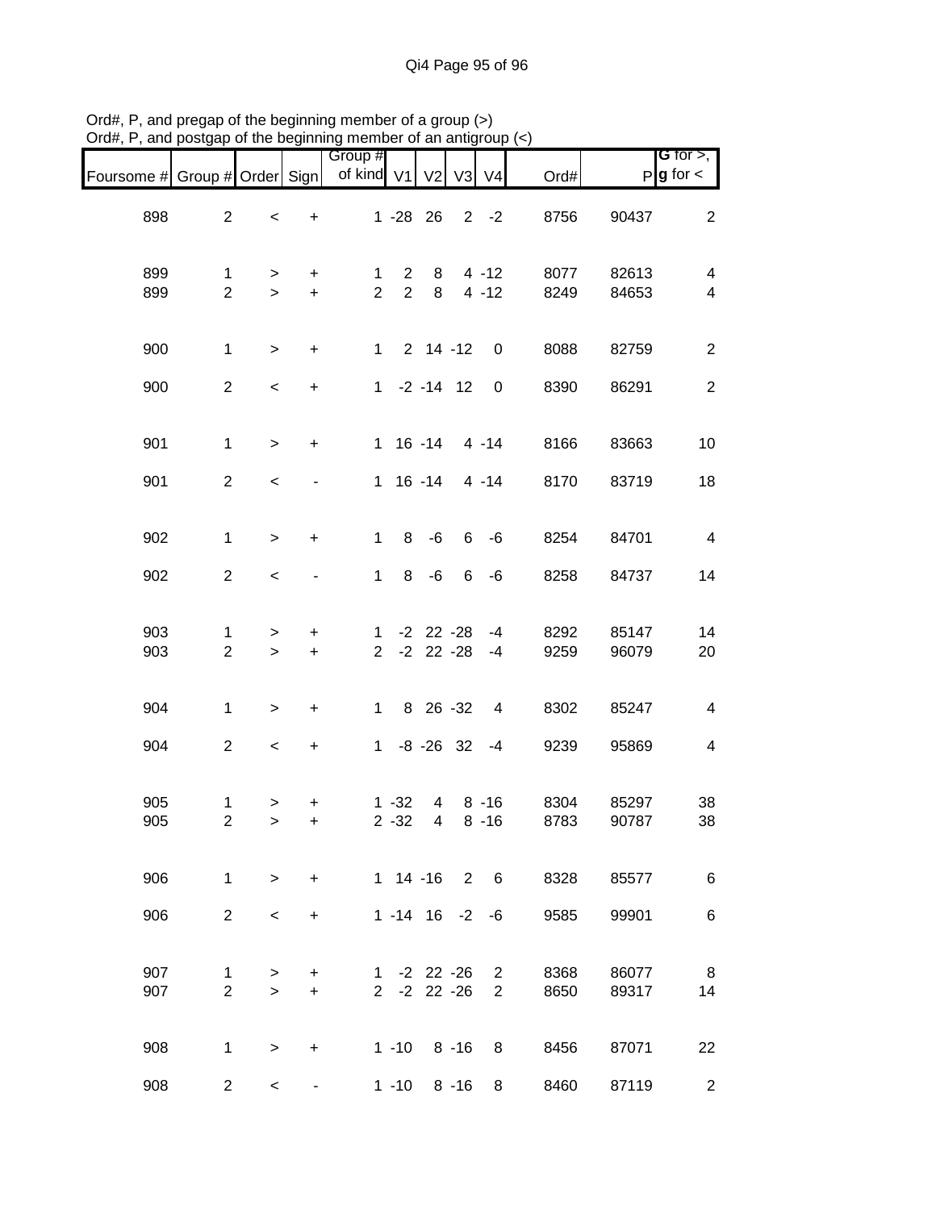| Foursome # Group # Order Sign |                                |                           |                          | Group #<br>of kind V1 |                                  | V <sub>2</sub>                   | V <sub>3</sub>  | V <sub>4</sub>                   | Ord#         |                | <b>G</b> for $>$ ,<br>$P$ <b>g</b> for $\lt$ |
|-------------------------------|--------------------------------|---------------------------|--------------------------|-----------------------|----------------------------------|----------------------------------|-----------------|----------------------------------|--------------|----------------|----------------------------------------------|
| 898                           | $\overline{2}$                 | $\,<$                     | $\ddot{}$                |                       |                                  | $1 - 28$ 26                      |                 | $2 -2$                           | 8756         | 90437          | $\overline{2}$                               |
| 899<br>899                    | $\mathbf{1}$<br>$\overline{2}$ | ><br>$\geq$               | $\ddot{}$<br>$+$         | 1<br>$\overline{2}$   | $\overline{2}$<br>$\overline{2}$ | 8<br>8                           |                 | $4 - 12$<br>$4 - 12$             | 8077<br>8249 | 82613<br>84653 | 4<br>$\overline{4}$                          |
| 900                           | $\mathbf{1}$                   | $\geq$                    | $+$                      |                       |                                  | $1 2 14 - 12$                    |                 | 0                                | 8088         | 82759          | $\overline{2}$                               |
| 900                           | $\overline{2}$                 | $\,<$                     | $\ddot{}$                |                       |                                  | $1 -2 -14$ 12                    |                 | $\mathbf 0$                      | 8390         | 86291          | $\overline{2}$                               |
| 901                           | $\mathbf{1}$                   | $\geq$                    | $\ddot{}$                |                       |                                  | $1 16 - 14 4 - 14$               |                 |                                  | 8166         | 83663          | 10                                           |
| 901                           | $\overline{2}$                 | $\,<$                     | $\blacksquare$           |                       |                                  | $1 \t16 - 14$                    |                 | 4 -14                            | 8170         | 83719          | 18                                           |
| 902                           | $\mathbf{1}$                   | $\geq$                    | $\ddot{}$                | $\mathbf{1}$          | 8                                | -6                               | $6\overline{6}$ | -6                               | 8254         | 84701          | $\overline{4}$                               |
| 902                           | $\overline{2}$                 | $\,<$                     | $\overline{\phantom{0}}$ | $\mathbf{1}$          | 8                                | -6                               | 6               | -6                               | 8258         | 84737          | 14                                           |
| 903<br>903                    | $\mathbf 1$<br>$\overline{2}$  | $\, > \,$<br>$\geq$       | +<br>$+$                 |                       |                                  | $1 - 2 22 - 28$<br>$2 -2 22 -28$ |                 | $-4$<br>$-4$                     | 8292<br>9259 | 85147<br>96079 | 14<br>20                                     |
| 904                           | $\mathbf{1}$                   | $\, >$                    | $\ddot{}$                | $1 \quad$             |                                  | 8 26 - 32                        |                 | $\overline{4}$                   | 8302         | 85247          | $\overline{\mathbf{4}}$                      |
| 904                           | $\overline{2}$                 | $\,<$                     | $\ddot{}$                |                       |                                  | $1 - 8 - 26$ 32                  |                 | $-4$                             | 9239         | 95869          | $\overline{\mathbf{4}}$                      |
| 905<br>905                    | $\mathbf{1}$<br>$\overline{2}$ | $\, > \,$<br>$\mathbf{L}$ | +<br>$\ddot{}$           |                       | $1 - 32$<br>$2 - 32$             | 4<br>$\overline{4}$              |                 | $8 - 16$<br>$8 - 16$             | 8304<br>8783 | 85297<br>90787 | 38<br>38                                     |
| 906                           | $\mathbf{1}$                   | $\geq$                    | $\ddot{}$                |                       |                                  | $1 14 - 16 2$                    |                 | $6\overline{6}$                  | 8328         | 85577          | 6                                            |
| 906                           | $\overline{2}$                 | $\,<\,$                   | $\ddot{}$                |                       |                                  | $1 - 14$ 16 $-2$                 |                 | -6                               | 9585         | 99901          | 6                                            |
| 907<br>907                    | 1<br>$\overline{2}$            | ><br>$\geq$               | +<br>$\ddot{}$           |                       |                                  | $1 - 2 22 - 26$<br>$2 -2 22 -26$ |                 | $\overline{2}$<br>$\overline{2}$ | 8368<br>8650 | 86077<br>89317 | 8<br>14                                      |
| 908                           | $\mathbf 1$                    | $\, > \,$                 | +                        |                       | $1 - 10$                         |                                  | $8 - 16$        | 8                                | 8456         | 87071          | 22                                           |
| 908                           | $\overline{2}$                 | $\,<\,$                   | ۰                        |                       | $1 - 10$                         |                                  | $8 - 16$        | 8                                | 8460         | 87119          | $\overline{2}$                               |

Ord#, P, and pregap of the beginning member of a group (>) Ord#, P, and postgap of the beginning member of an antigroup (<)